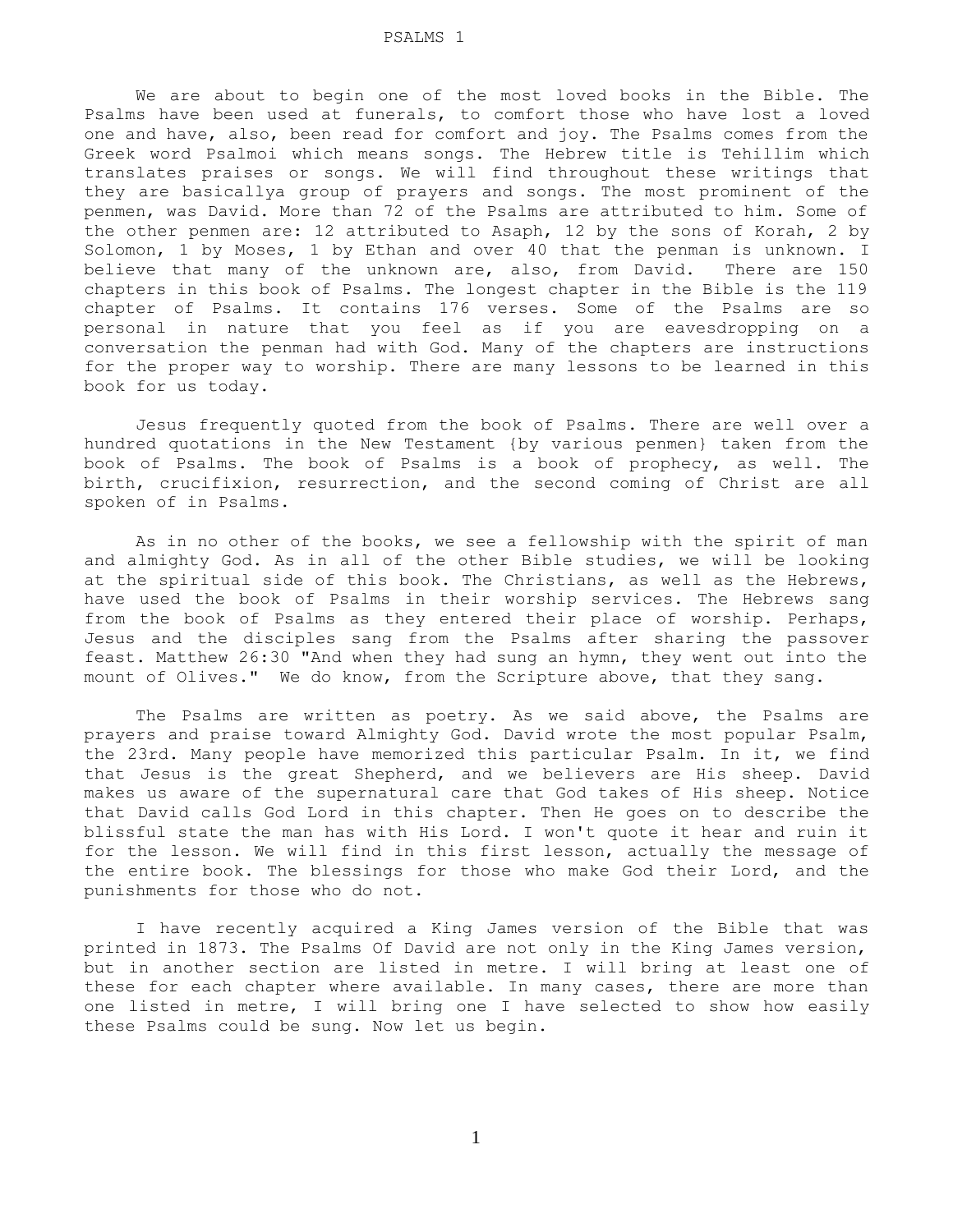We are about to begin one of the most loved books in the Bible. The Psalms have been used at funerals, to comfort those who have lost a loved one and have, also, been read for comfort and joy. The Psalms comes from the Greek word Psalmoi which means songs. The Hebrew title is Tehillim which translates praises or songs. We will find throughout these writings that they are basicallya group of prayers and songs. The most prominent of the penmen, was David. More than 72 of the Psalms are attributed to him. Some of the other penmen are: 12 attributed to Asaph, 12 by the sons of Korah, 2 by Solomon, 1 by Moses, 1 by Ethan and over 40 that the penman is unknown. I believe that many of the unknown are, also, from David. There are 150 chapters in this book of Psalms. The longest chapter in the Bible is the 119 chapter of Psalms. It contains 176 verses. Some of the Psalms are so personal in nature that you feel as if you are eavesdropping on a conversation the penman had with God. Many of the chapters are instructions for the proper way to worship. There are many lessons to be learned in this book for us today.

 Jesus frequently quoted from the book of Psalms. There are well over a hundred quotations in the New Testament {by various penmen} taken from the book of Psalms. The book of Psalms is a book of prophecy, as well. The birth, crucifixion, resurrection, and the second coming of Christ are all spoken of in Psalms.

 As in no other of the books, we see a fellowship with the spirit of man and almighty God. As in all of the other Bible studies, we will be looking at the spiritual side of this book. The Christians, as well as the Hebrews, have used the book of Psalms in their worship services. The Hebrews sang from the book of Psalms as they entered their place of worship. Perhaps, Jesus and the disciples sang from the Psalms after sharing the passover feast. Matthew 26:30 "And when they had sung an hymn, they went out into the mount of Olives." We do know, from the Scripture above, that they sang.

 The Psalms are written as poetry. As we said above, the Psalms are prayers and praise toward Almighty God. David wrote the most popular Psalm, the 23rd. Many people have memorized this particular Psalm. In it, we find that Jesus is the great Shepherd, and we believers are His sheep. David makes us aware of the supernatural care that God takes of His sheep. Notice that David calls God Lord in this chapter. Then He goes on to describe the blissful state the man has with His Lord. I won't quote it hear and ruin it for the lesson. We will find in this first lesson, actually the message of the entire book. The blessings for those who make God their Lord, and the punishments for those who do not.

 I have recently acquired a King James version of the Bible that was printed in 1873. The Psalms Of David are not only in the King James version, but in another section are listed in metre. I will bring at least one of these for each chapter where available. In many cases, there are more than one listed in metre, I will bring one I have selected to show how easily these Psalms could be sung. Now let us begin.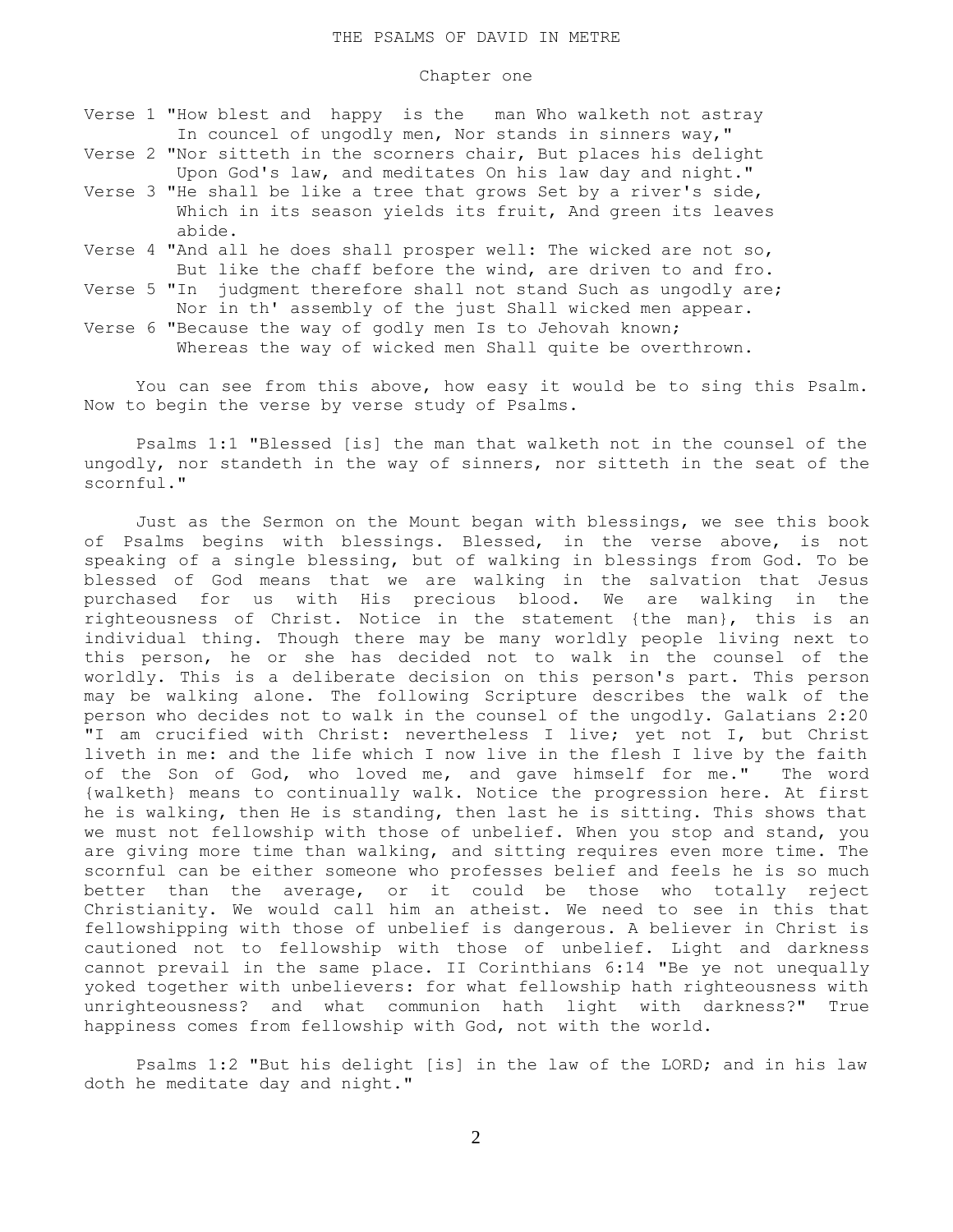## Chapter one

- Verse 1 "How blest and happy is the man Who walketh not astray In councel of ungodly men, Nor stands in sinners way,"
- Verse 2 "Nor sitteth in the scorners chair, But places his delight Upon God's law, and meditates On his law day and night."
- Verse 3 "He shall be like a tree that grows Set by a river's side, Which in its season yields its fruit, And green its leaves abide.
- Verse 4 "And all he does shall prosper well: The wicked are not so, But like the chaff before the wind, are driven to and fro.
- Verse 5 "In judgment therefore shall not stand Such as ungodly are; Nor in th' assembly of the just Shall wicked men appear.
- Verse 6 "Because the way of godly men Is to Jehovah known; Whereas the way of wicked men Shall quite be overthrown.

 You can see from this above, how easy it would be to sing this Psalm. Now to begin the verse by verse study of Psalms.

 Psalms 1:1 "Blessed [is] the man that walketh not in the counsel of the ungodly, nor standeth in the way of sinners, nor sitteth in the seat of the scornful."

 Just as the Sermon on the Mount began with blessings, we see this book of Psalms begins with blessings. Blessed, in the verse above, is not speaking of a single blessing, but of walking in blessings from God. To be blessed of God means that we are walking in the salvation that Jesus purchased for us with His precious blood. We are walking in the righteousness of Christ. Notice in the statement {the man}, this is an individual thing. Though there may be many worldly people living next to this person, he or she has decided not to walk in the counsel of the worldly. This is a deliberate decision on this person's part. This person may be walking alone. The following Scripture describes the walk of the person who decides not to walk in the counsel of the ungodly. Galatians 2:20 "I am crucified with Christ: nevertheless I live; yet not I, but Christ liveth in me: and the life which I now live in the flesh I live by the faith of the Son of God, who loved me, and gave himself for me." The word {walketh} means to continually walk. Notice the progression here. At first he is walking, then He is standing, then last he is sitting. This shows that we must not fellowship with those of unbelief. When you stop and stand, you are giving more time than walking, and sitting requires even more time. The scornful can be either someone who professes belief and feels he is so much better than the average, or it could be those who totally reject Christianity. We would call him an atheist. We need to see in this that fellowshipping with those of unbelief is dangerous. A believer in Christ is cautioned not to fellowship with those of unbelief. Light and darkness cannot prevail in the same place. II Corinthians 6:14 "Be ye not unequally yoked together with unbelievers: for what fellowship hath righteousness with unrighteousness? and what communion hath light with darkness?" True happiness comes from fellowship with God, not with the world.

 Psalms 1:2 "But his delight [is] in the law of the LORD; and in his law doth he meditate day and night."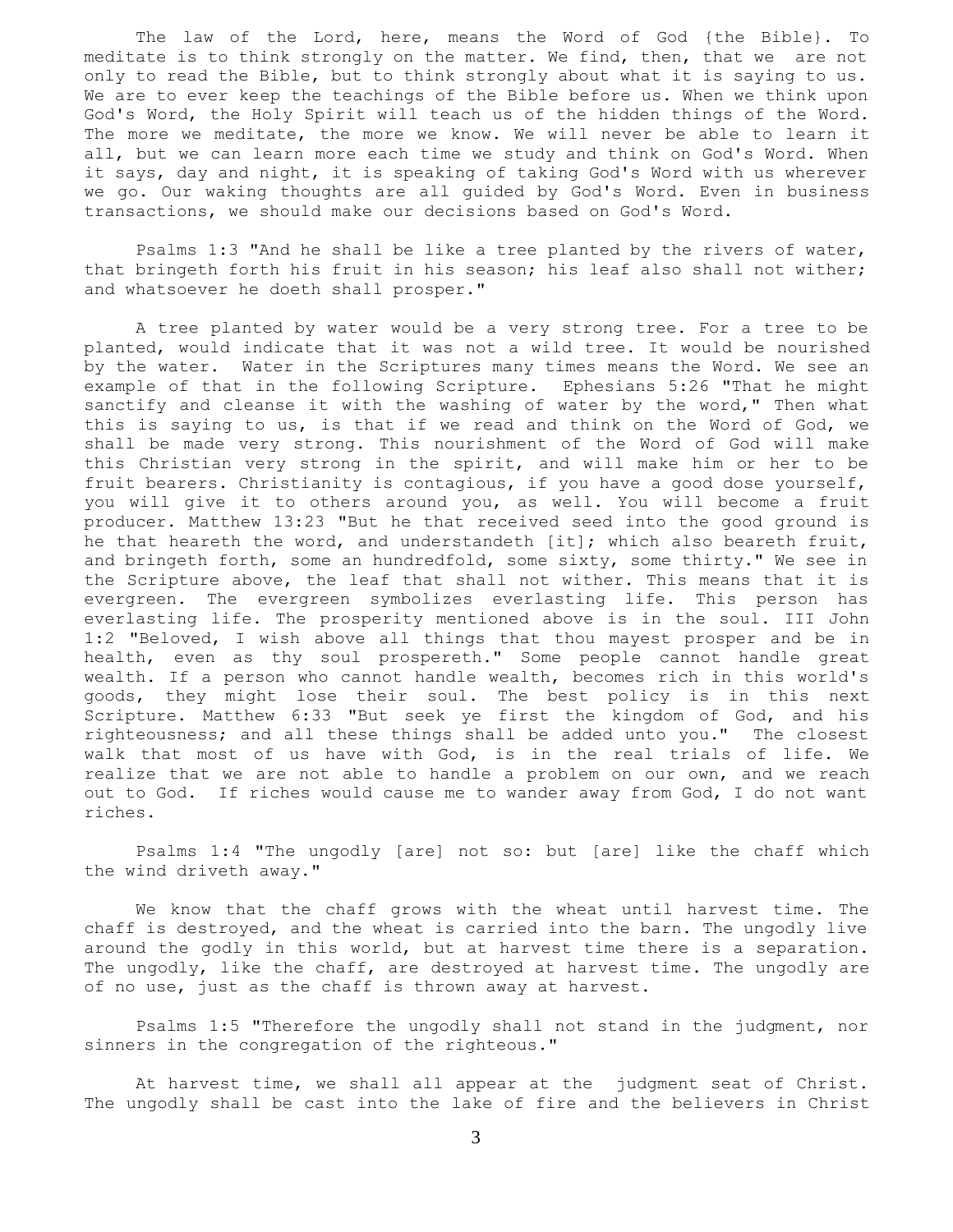The law of the Lord, here, means the Word of God {the Bible}. To meditate is to think strongly on the matter. We find, then, that we are not only to read the Bible, but to think strongly about what it is saying to us. We are to ever keep the teachings of the Bible before us. When we think upon God's Word, the Holy Spirit will teach us of the hidden things of the Word. The more we meditate, the more we know. We will never be able to learn it all, but we can learn more each time we study and think on God's Word. When it says, day and night, it is speaking of taking God's Word with us wherever we go. Our waking thoughts are all guided by God's Word. Even in business transactions, we should make our decisions based on God's Word.

 Psalms 1:3 "And he shall be like a tree planted by the rivers of water, that bringeth forth his fruit in his season; his leaf also shall not wither; and whatsoever he doeth shall prosper."

 A tree planted by water would be a very strong tree. For a tree to be planted, would indicate that it was not a wild tree. It would be nourished by the water. Water in the Scriptures many times means the Word. We see an example of that in the following Scripture. Ephesians 5:26 "That he might sanctify and cleanse it with the washing of water by the word," Then what this is saying to us, is that if we read and think on the Word of God, we shall be made very strong. This nourishment of the Word of God will make this Christian very strong in the spirit, and will make him or her to be fruit bearers. Christianity is contagious, if you have a good dose yourself, you will give it to others around you, as well. You will become a fruit producer. Matthew 13:23 "But he that received seed into the good ground is he that heareth the word, and understandeth [it]; which also beareth fruit, and bringeth forth, some an hundredfold, some sixty, some thirty." We see in the Scripture above, the leaf that shall not wither. This means that it is evergreen. The evergreen symbolizes everlasting life. This person has everlasting life. The prosperity mentioned above is in the soul. III John 1:2 "Beloved, I wish above all things that thou mayest prosper and be in health, even as thy soul prospereth." Some people cannot handle great wealth. If a person who cannot handle wealth, becomes rich in this world's goods, they might lose their soul. The best policy is in this next Scripture. Matthew 6:33 "But seek ye first the kingdom of God, and his righteousness; and all these things shall be added unto you." The closest walk that most of us have with God, is in the real trials of life. We realize that we are not able to handle a problem on our own, and we reach out to God. If riches would cause me to wander away from God, I do not want riches.

 Psalms 1:4 "The ungodly [are] not so: but [are] like the chaff which the wind driveth away."

 We know that the chaff grows with the wheat until harvest time. The chaff is destroyed, and the wheat is carried into the barn. The ungodly live around the godly in this world, but at harvest time there is a separation. The ungodly, like the chaff, are destroyed at harvest time. The ungodly are of no use, just as the chaff is thrown away at harvest.

 Psalms 1:5 "Therefore the ungodly shall not stand in the judgment, nor sinners in the congregation of the righteous."

 At harvest time, we shall all appear at the judgment seat of Christ. The ungodly shall be cast into the lake of fire and the believers in Christ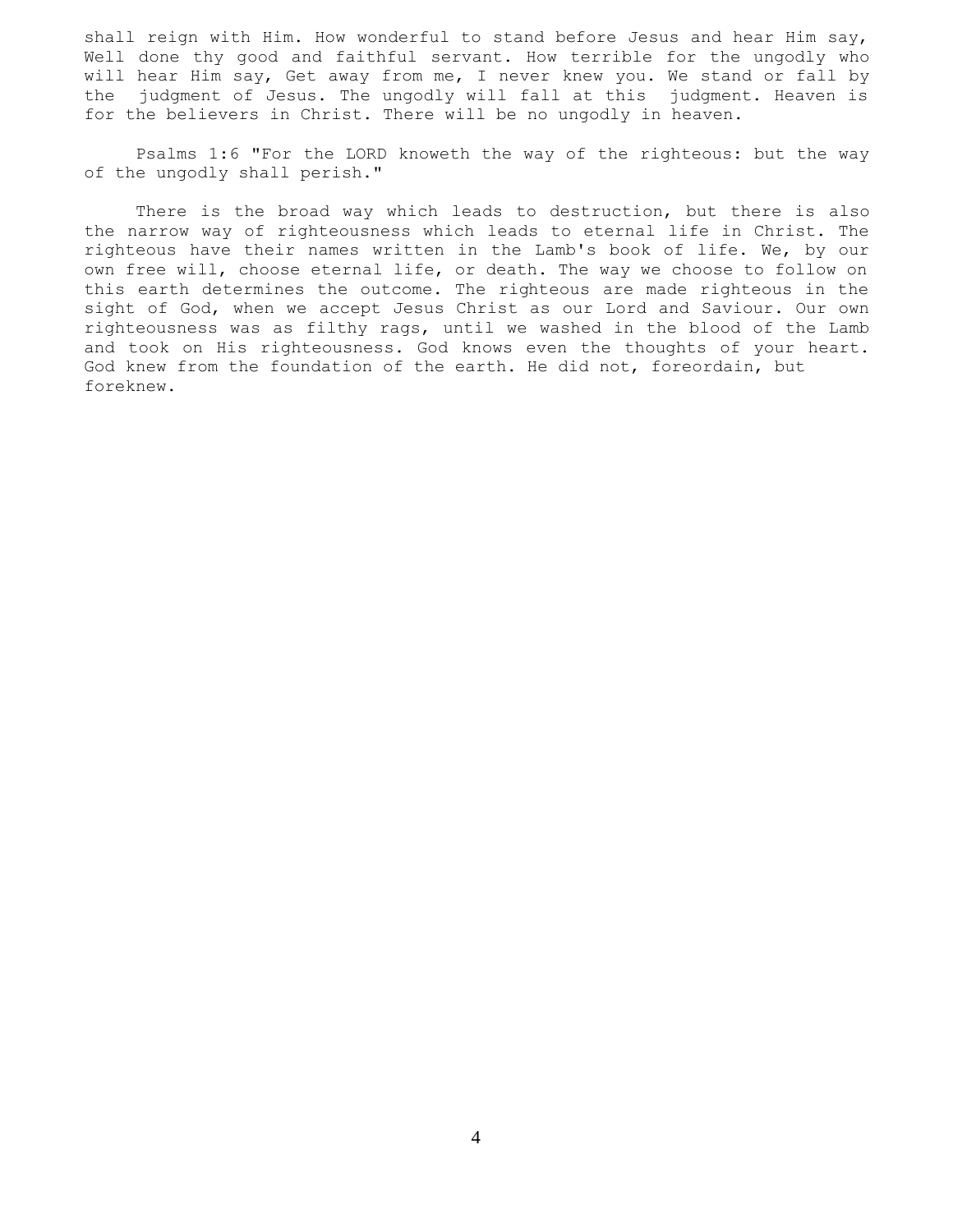shall reign with Him. How wonderful to stand before Jesus and hear Him say, Well done thy good and faithful servant. How terrible for the ungodly who will hear Him say, Get away from me, I never knew you. We stand or fall by the judgment of Jesus. The ungodly will fall at this judgment. Heaven is for the believers in Christ. There will be no ungodly in heaven.

 Psalms 1:6 "For the LORD knoweth the way of the righteous: but the way of the ungodly shall perish."

 There is the broad way which leads to destruction, but there is also the narrow way of righteousness which leads to eternal life in Christ. The righteous have their names written in the Lamb's book of life. We, by our own free will, choose eternal life, or death. The way we choose to follow on this earth determines the outcome. The righteous are made righteous in the sight of God, when we accept Jesus Christ as our Lord and Saviour. Our own righteousness was as filthy rags, until we washed in the blood of the Lamb and took on His righteousness. God knows even the thoughts of your heart. God knew from the foundation of the earth. He did not, foreordain, but foreknew.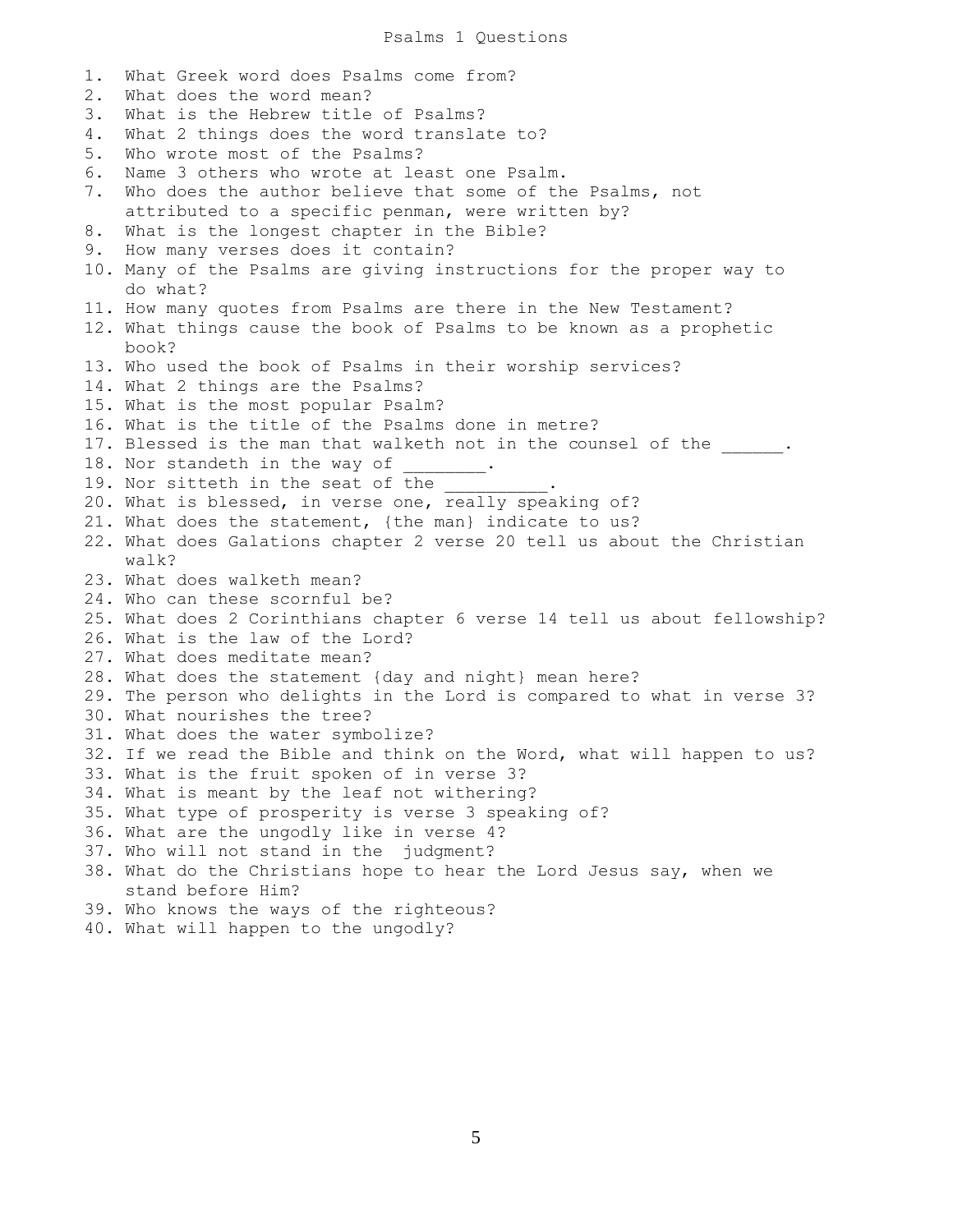Psalms 1 Questions

1. What Greek word does Psalms come from? 2. What does the word mean? 3. What is the Hebrew title of Psalms? 4. What 2 things does the word translate to? 5. Who wrote most of the Psalms? 6. Name 3 others who wrote at least one Psalm. 7. Who does the author believe that some of the Psalms, not attributed to a specific penman, were written by? 8. What is the longest chapter in the Bible? 9. How many verses does it contain? 10. Many of the Psalms are giving instructions for the proper way to do what? 11. How many quotes from Psalms are there in the New Testament? 12. What things cause the book of Psalms to be known as a prophetic book? 13. Who used the book of Psalms in their worship services? 14. What 2 things are the Psalms? 15. What is the most popular Psalm? 16. What is the title of the Psalms done in metre? 17. Blessed is the man that walketh not in the counsel of the  $\qquad \qquad$ 18. Nor standeth in the way of 19. Nor sitteth in the seat of the  $\overline{\phantom{a}}$ 20. What is blessed, in verse one, really speaking of? 21. What does the statement, {the man} indicate to us? 22. What does Galations chapter 2 verse 20 tell us about the Christian walk? 23. What does walketh mean? 24. Who can these scornful be? 25. What does 2 Corinthians chapter 6 verse 14 tell us about fellowship? 26. What is the law of the Lord? 27. What does meditate mean? 28. What does the statement {day and night} mean here? 29. The person who delights in the Lord is compared to what in verse 3? 30. What nourishes the tree? 31. What does the water symbolize? 32. If we read the Bible and think on the Word, what will happen to us? 33. What is the fruit spoken of in verse 3? 34. What is meant by the leaf not withering? 35. What type of prosperity is verse 3 speaking of? 36. What are the ungodly like in verse 4? 37. Who will not stand in the judgment? 38. What do the Christians hope to hear the Lord Jesus say, when we stand before Him? 39. Who knows the ways of the righteous? 40. What will happen to the ungodly?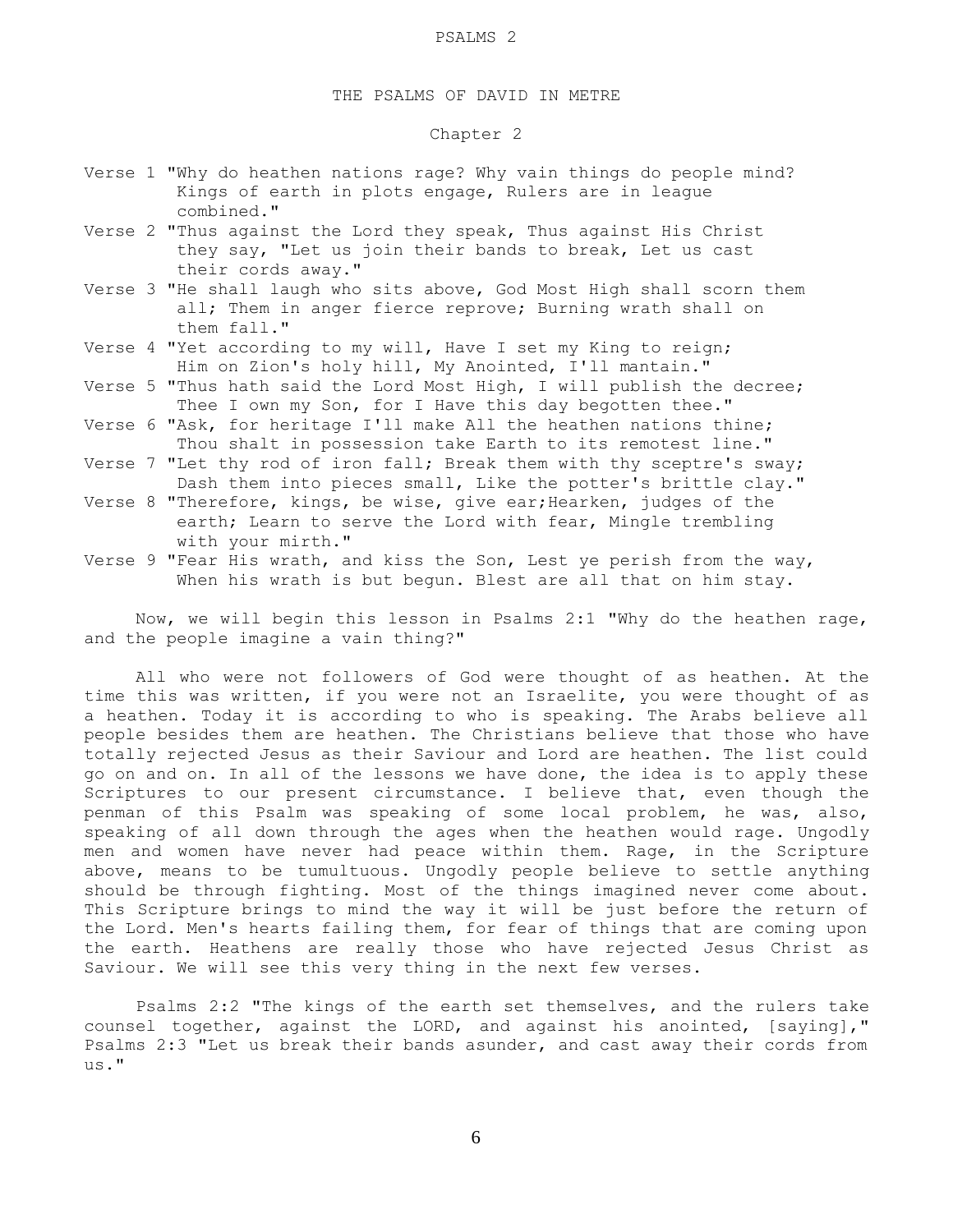## THE PSALMS OF DAVID IN METRE

# Chapter 2

- Verse 1 "Why do heathen nations rage? Why vain things do people mind? Kings of earth in plots engage, Rulers are in league combined."
- Verse 2 "Thus against the Lord they speak, Thus against His Christ they say, "Let us join their bands to break, Let us cast their cords away."
- Verse 3 "He shall laugh who sits above, God Most High shall scorn them all; Them in anger fierce reprove; Burning wrath shall on them fall."
- Verse 4 "Yet according to my will, Have I set my King to reign; Him on Zion's holy hill, My Anointed, I'll mantain."
- Verse 5 "Thus hath said the Lord Most High, I will publish the decree; Thee I own my Son, for I Have this day begotten thee."
- Verse 6 "Ask, for heritage I'll make All the heathen nations thine; Thou shalt in possession take Earth to its remotest line."
- Verse 7 "Let thy rod of iron fall; Break them with thy sceptre's sway; Dash them into pieces small, Like the potter's brittle clay."
- Verse 8 "Therefore, kings, be wise, give ear; Hearken, judges of the earth; Learn to serve the Lord with fear, Mingle trembling with your mirth."
- Verse 9 "Fear His wrath, and kiss the Son, Lest ye perish from the way, When his wrath is but begun. Blest are all that on him stay.

 Now, we will begin this lesson in Psalms 2:1 "Why do the heathen rage, and the people imagine a vain thing?"

 All who were not followers of God were thought of as heathen. At the time this was written, if you were not an Israelite, you were thought of as a heathen. Today it is according to who is speaking. The Arabs believe all people besides them are heathen. The Christians believe that those who have totally rejected Jesus as their Saviour and Lord are heathen. The list could go on and on. In all of the lessons we have done, the idea is to apply these Scriptures to our present circumstance. I believe that, even though the penman of this Psalm was speaking of some local problem, he was, also, speaking of all down through the ages when the heathen would rage. Ungodly men and women have never had peace within them. Rage, in the Scripture above, means to be tumultuous. Ungodly people believe to settle anything should be through fighting. Most of the things imagined never come about. This Scripture brings to mind the way it will be just before the return of the Lord. Men's hearts failing them, for fear of things that are coming upon the earth. Heathens are really those who have rejected Jesus Christ as Saviour. We will see this very thing in the next few verses.

 Psalms 2:2 "The kings of the earth set themselves, and the rulers take counsel together, against the LORD, and against his anointed, [saying]," Psalms 2:3 "Let us break their bands asunder, and cast away their cords from  $\overline{u}$ s."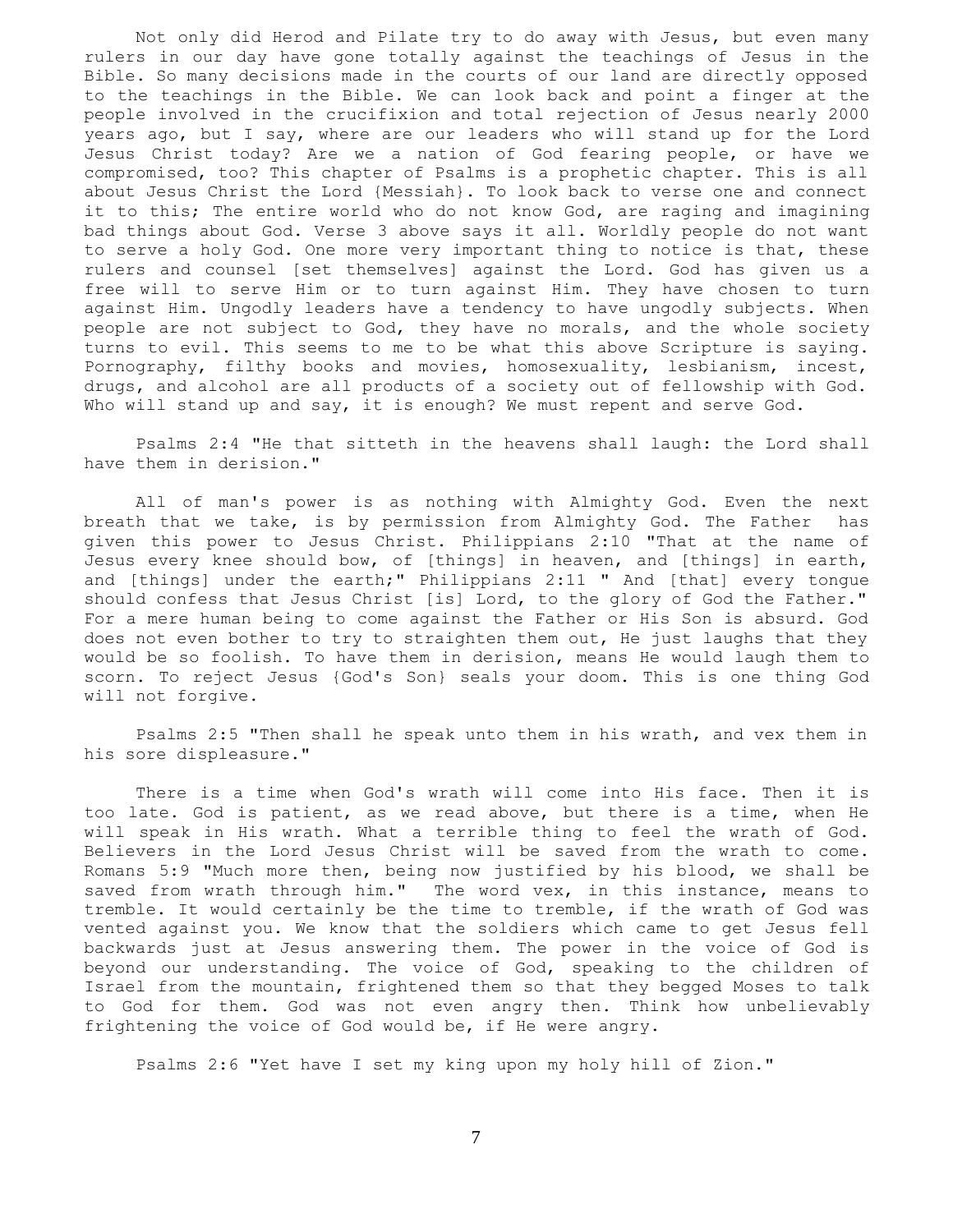Not only did Herod and Pilate try to do away with Jesus, but even many rulers in our day have gone totally against the teachings of Jesus in the Bible. So many decisions made in the courts of our land are directly opposed to the teachings in the Bible. We can look back and point a finger at the people involved in the crucifixion and total rejection of Jesus nearly 2000 years ago, but I say, where are our leaders who will stand up for the Lord Jesus Christ today? Are we a nation of God fearing people, or have we compromised, too? This chapter of Psalms is a prophetic chapter. This is all about Jesus Christ the Lord {Messiah}. To look back to verse one and connect it to this; The entire world who do not know God, are raging and imagining bad things about God. Verse 3 above says it all. Worldly people do not want to serve a holy God. One more very important thing to notice is that, these rulers and counsel [set themselves] against the Lord. God has given us a free will to serve Him or to turn against Him. They have chosen to turn against Him. Ungodly leaders have a tendency to have ungodly subjects. When people are not subject to God, they have no morals, and the whole society turns to evil. This seems to me to be what this above Scripture is saying. Pornography, filthy books and movies, homosexuality, lesbianism, incest, drugs, and alcohol are all products of a society out of fellowship with God. Who will stand up and say, it is enough? We must repent and serve God.

 Psalms 2:4 "He that sitteth in the heavens shall laugh: the Lord shall have them in derision."

 All of man's power is as nothing with Almighty God. Even the next breath that we take, is by permission from Almighty God. The Father has given this power to Jesus Christ. Philippians 2:10 "That at the name of Jesus every knee should bow, of [things] in heaven, and [things] in earth, and [things] under the earth;" Philippians 2:11 " And [that] every tongue should confess that Jesus Christ [is] Lord, to the glory of God the Father." For a mere human being to come against the Father or His Son is absurd. God does not even bother to try to straighten them out, He just laughs that they would be so foolish. To have them in derision, means He would laugh them to scorn. To reject Jesus {God's Son} seals your doom. This is one thing God will not forgive.

 Psalms 2:5 "Then shall he speak unto them in his wrath, and vex them in his sore displeasure."

 There is a time when God's wrath will come into His face. Then it is too late. God is patient, as we read above, but there is a time, when He will speak in His wrath. What a terrible thing to feel the wrath of God. Believers in the Lord Jesus Christ will be saved from the wrath to come. Romans 5:9 "Much more then, being now justified by his blood, we shall be saved from wrath through him." The word vex, in this instance, means to tremble. It would certainly be the time to tremble, if the wrath of God was vented against you. We know that the soldiers which came to get Jesus fell backwards just at Jesus answering them. The power in the voice of God is beyond our understanding. The voice of God, speaking to the children of Israel from the mountain, frightened them so that they begged Moses to talk to God for them. God was not even angry then. Think how unbelievably frightening the voice of God would be, if He were angry.

Psalms 2:6 "Yet have I set my king upon my holy hill of Zion."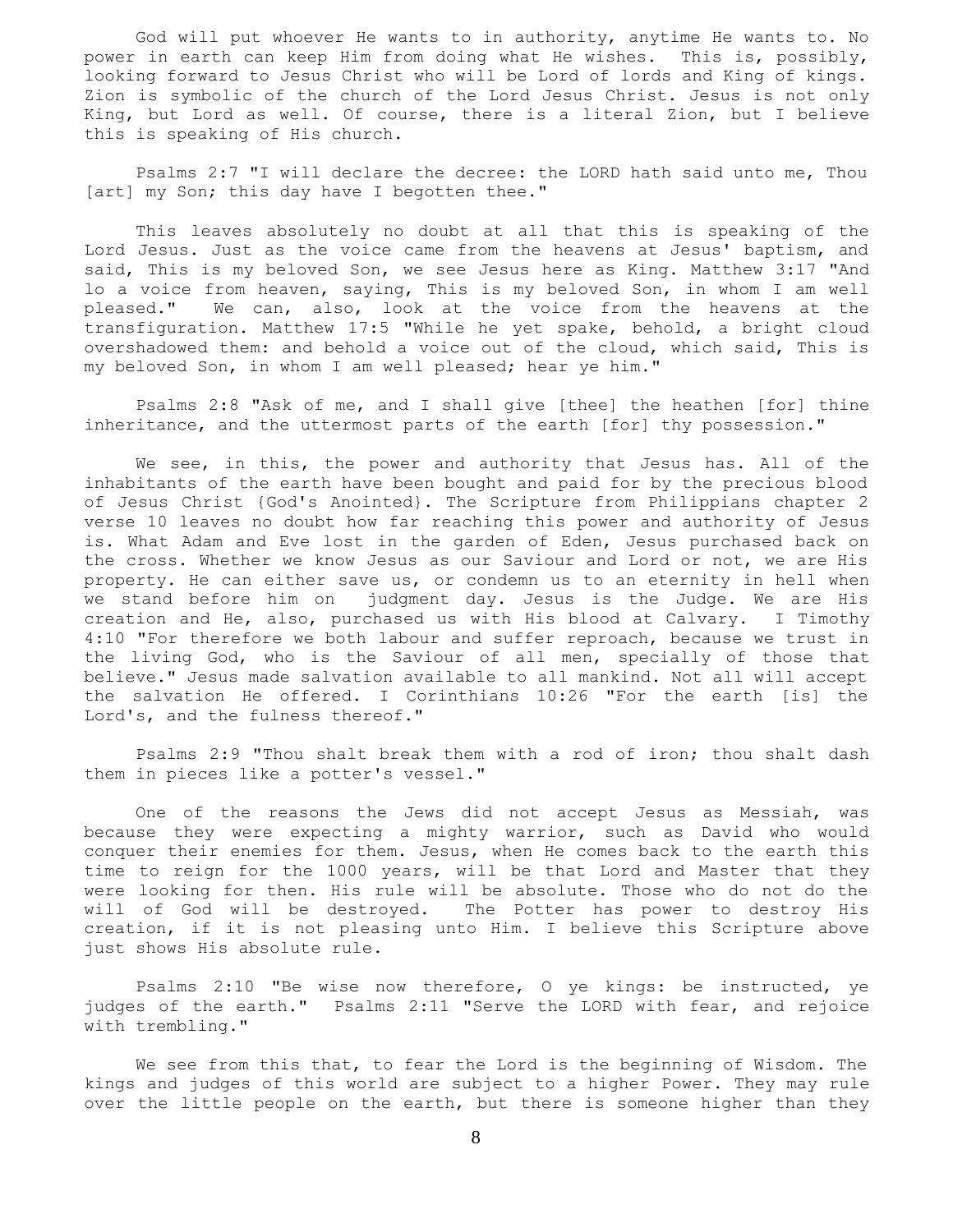God will put whoever He wants to in authority, anytime He wants to. No power in earth can keep Him from doing what He wishes. This is, possibly, looking forward to Jesus Christ who will be Lord of lords and King of kings. Zion is symbolic of the church of the Lord Jesus Christ. Jesus is not only King, but Lord as well. Of course, there is a literal Zion, but I believe this is speaking of His church.

 Psalms 2:7 "I will declare the decree: the LORD hath said unto me, Thou [art] my Son; this day have I begotten thee."

 This leaves absolutely no doubt at all that this is speaking of the Lord Jesus. Just as the voice came from the heavens at Jesus' baptism, and said, This is my beloved Son, we see Jesus here as King. Matthew 3:17 "And lo a voice from heaven, saying, This is my beloved Son, in whom I am well pleased." We can, also, look at the voice from the heavens at the transfiguration. Matthew 17:5 "While he yet spake, behold, a bright cloud overshadowed them: and behold a voice out of the cloud, which said, This is my beloved Son, in whom I am well pleased; hear ye him."

 Psalms 2:8 "Ask of me, and I shall give [thee] the heathen [for] thine inheritance, and the uttermost parts of the earth [for] thy possession."

 We see, in this, the power and authority that Jesus has. All of the inhabitants of the earth have been bought and paid for by the precious blood of Jesus Christ {God's Anointed}. The Scripture from Philippians chapter 2 verse 10 leaves no doubt how far reaching this power and authority of Jesus is. What Adam and Eve lost in the garden of Eden, Jesus purchased back on the cross. Whether we know Jesus as our Saviour and Lord or not, we are His property. He can either save us, or condemn us to an eternity in hell when we stand before him on judgment day. Jesus is the Judge. We are His creation and He, also, purchased us with His blood at Calvary. I Timothy 4:10 "For therefore we both labour and suffer reproach, because we trust in the living God, who is the Saviour of all men, specially of those that believe." Jesus made salvation available to all mankind. Not all will accept the salvation He offered. I Corinthians 10:26 "For the earth [is] the Lord's, and the fulness thereof."

 Psalms 2:9 "Thou shalt break them with a rod of iron; thou shalt dash them in pieces like a potter's vessel."

 One of the reasons the Jews did not accept Jesus as Messiah, was because they were expecting a mighty warrior, such as David who would conquer their enemies for them. Jesus, when He comes back to the earth this time to reign for the 1000 years, will be that Lord and Master that they were looking for then. His rule will be absolute. Those who do not do the will of God will be destroyed. The Potter has power to destroy His creation, if it is not pleasing unto Him. I believe this Scripture above just shows His absolute rule.

 Psalms 2:10 "Be wise now therefore, O ye kings: be instructed, ye judges of the earth." Psalms 2:11 "Serve the LORD with fear, and rejoice with trembling."

 We see from this that, to fear the Lord is the beginning of Wisdom. The kings and judges of this world are subject to a higher Power. They may rule over the little people on the earth, but there is someone higher than they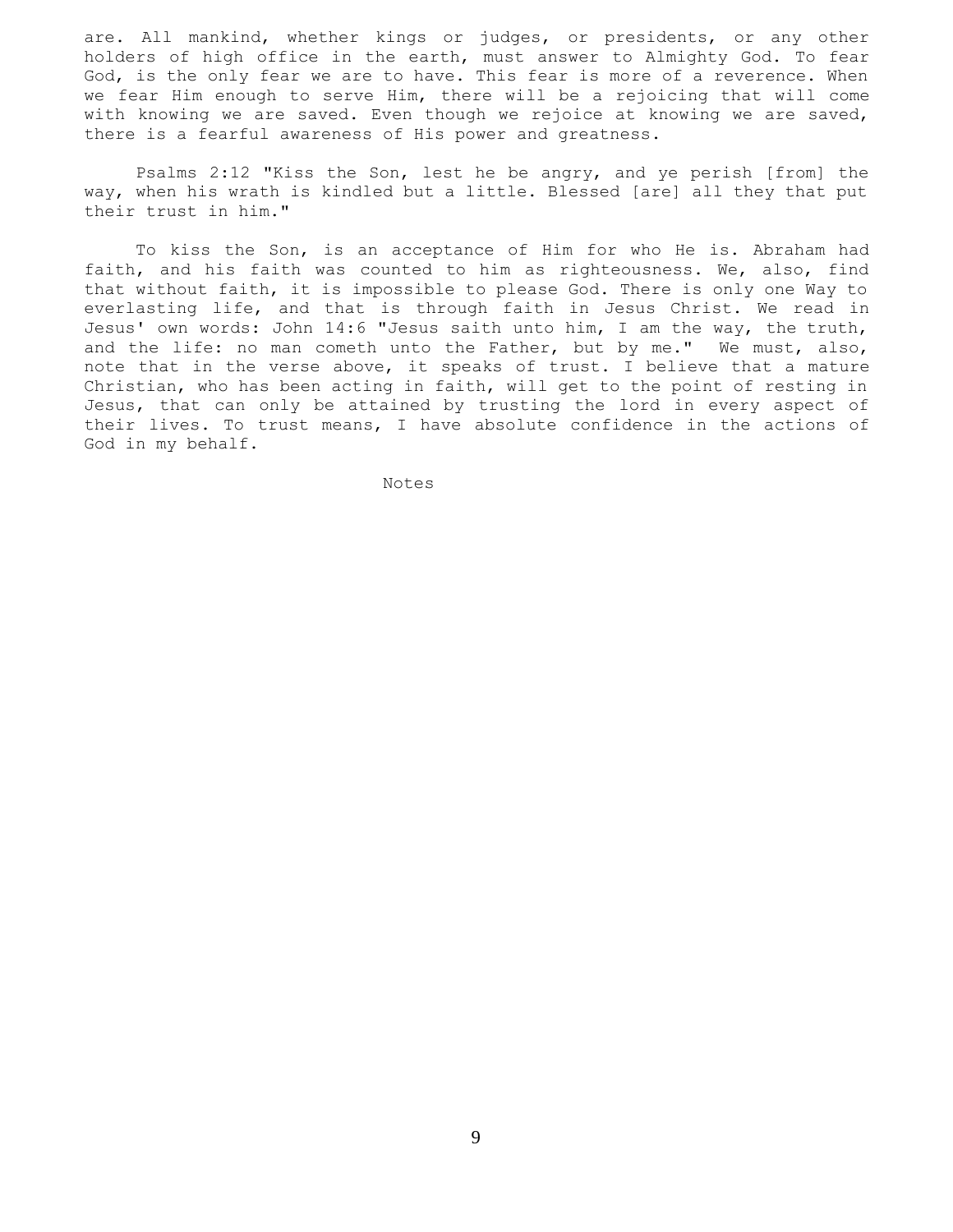are. All mankind, whether kings or judges, or presidents, or any other holders of high office in the earth, must answer to Almighty God. To fear God, is the only fear we are to have. This fear is more of a reverence. When we fear Him enough to serve Him, there will be a rejoicing that will come with knowing we are saved. Even though we rejoice at knowing we are saved, there is a fearful awareness of His power and greatness.

 Psalms 2:12 "Kiss the Son, lest he be angry, and ye perish [from] the way, when his wrath is kindled but a little. Blessed [are] all they that put their trust in him."

 To kiss the Son, is an acceptance of Him for who He is. Abraham had faith, and his faith was counted to him as righteousness. We, also, find that without faith, it is impossible to please God. There is only one Way to everlasting life, and that is through faith in Jesus Christ. We read in Jesus' own words: John 14:6 "Jesus saith unto him, I am the way, the truth, and the life: no man cometh unto the Father, but by me." We must, also, note that in the verse above, it speaks of trust. I believe that a mature Christian, who has been acting in faith, will get to the point of resting in Jesus, that can only be attained by trusting the lord in every aspect of their lives. To trust means, I have absolute confidence in the actions of God in my behalf.

Notes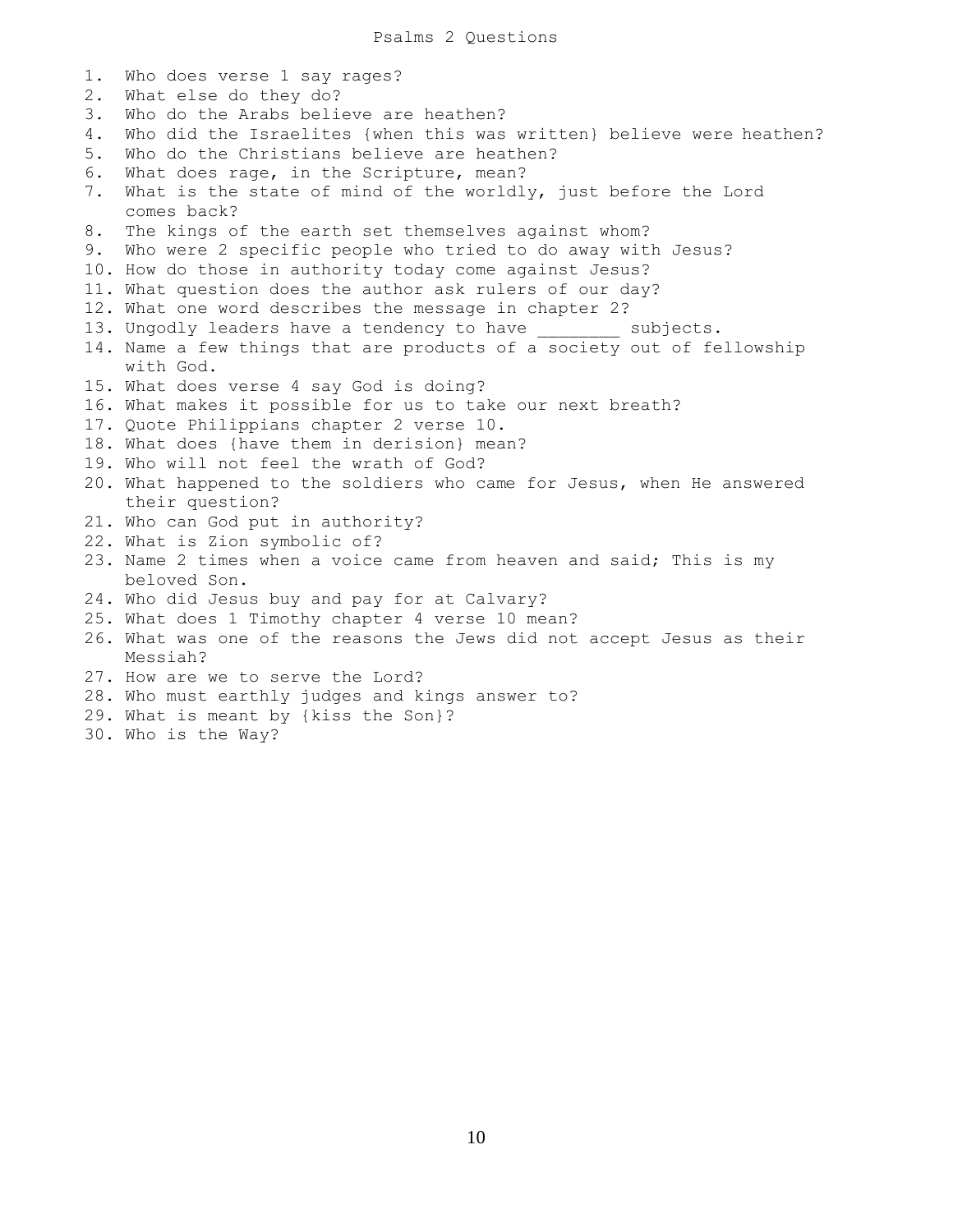| $1$ . | Who does verse 1 say rages?                                                        |
|-------|------------------------------------------------------------------------------------|
| $2$ . | What else do they do?                                                              |
| 3.    | Who do the Arabs believe are heathen?                                              |
| 4.    | Who did the Israelites {when this was written} believe were heathen?               |
| 5.    | Who do the Christians believe are heathen?                                         |
| 6.    | What does rage, in the Scripture, mean?                                            |
| 7.    | What is the state of mind of the worldly, just before the Lord<br>comes back?      |
| 8.    | The kings of the earth set themselves against whom?                                |
|       | 9. Who were 2 specific people who tried to do away with Jesus?                     |
|       | 10. How do those in authority today come against Jesus?                            |
|       | 11. What question does the author ask rulers of our day?                           |
|       | 12. What one word describes the message in chapter 2?                              |
|       | 13. Ungodly leaders have a tendency to have ________<br>subjects.                  |
|       | 14. Name a few things that are products of a society out of fellowship             |
|       | with God.                                                                          |
|       | 15. What does verse 4 say God is doing?                                            |
|       | 16. What makes it possible for us to take our next breath?                         |
|       | 17. Quote Philippians chapter 2 verse 10.                                          |
|       | 18. What does {have them in derision} mean?                                        |
|       | 19. Who will not feel the wrath of God?                                            |
|       | 20. What happened to the soldiers who came for Jesus, when He answered             |
|       | their question?                                                                    |
|       | 21. Who can God put in authority?                                                  |
|       | 22. What is Zion symbolic of?                                                      |
|       | 23. Name 2 times when a voice came from heaven and said; This is my                |
|       | beloved Son.                                                                       |
|       | 24. Who did Jesus buy and pay for at Calvary?                                      |
|       | 25. What does 1 Timothy chapter 4 verse 10 mean?                                   |
|       | 26. What was one of the reasons the Jews did not accept Jesus as their<br>Messiah? |
|       | 27. How are we to serve the Lord?                                                  |
|       | 28. Who must earthly judges and kings answer to?                                   |
|       | 29. What is meant by {kiss the Son}?                                               |
|       | 30. Who is the Way?                                                                |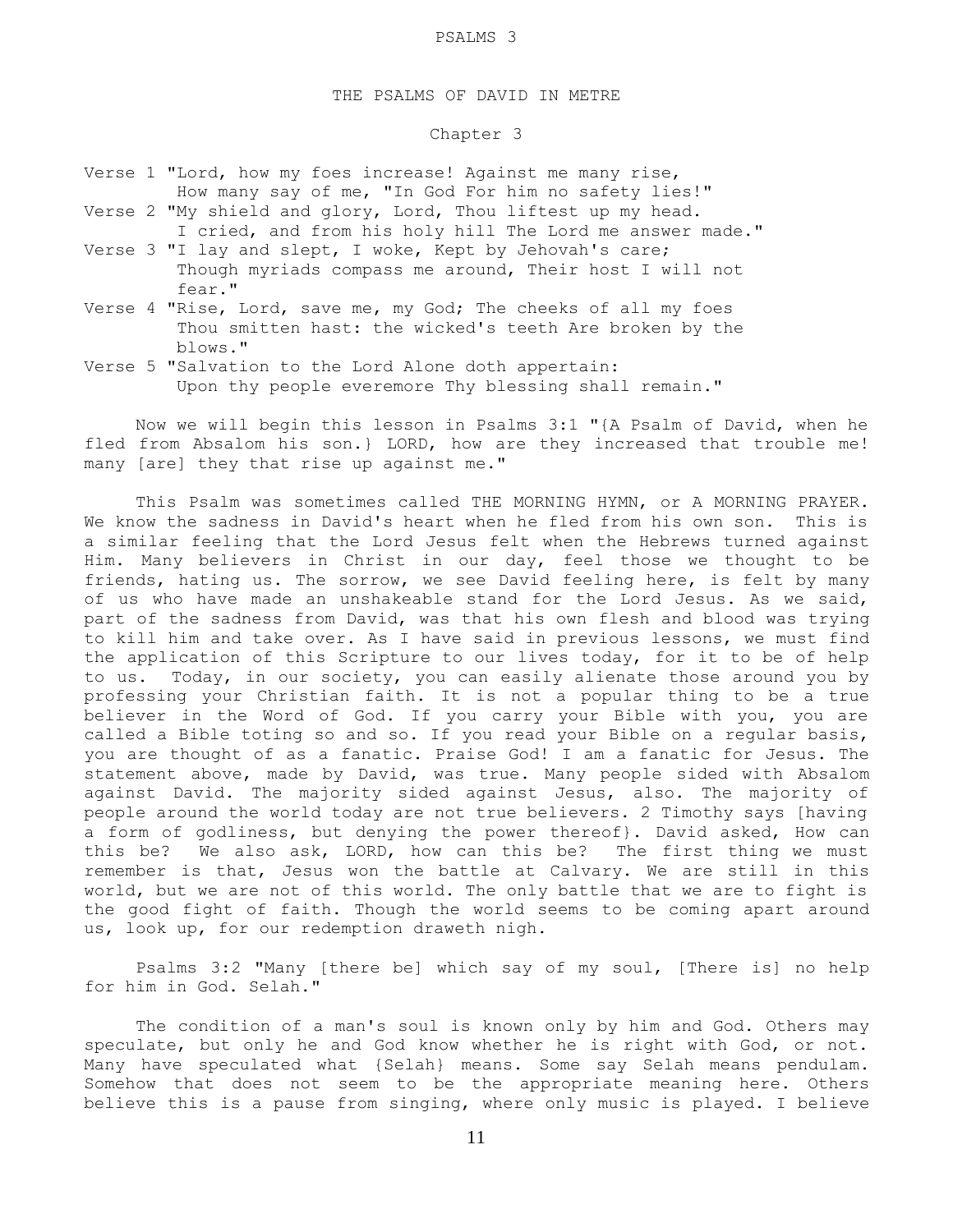## THE PSALMS OF DAVID IN METRE

## Chapter 3

|  | Verse 1 "Lord, how my foes increase! Against me many rise, |  |  |  |  |  |                                                      |
|--|------------------------------------------------------------|--|--|--|--|--|------------------------------------------------------|
|  |                                                            |  |  |  |  |  | How many say of me, "In God For him no safety lies!" |

- Verse 2 "My shield and glory, Lord, Thou liftest up my head. I cried, and from his holy hill The Lord me answer made."
- Verse 3 "I lay and slept, I woke, Kept by Jehovah's care; Though myriads compass me around, Their host I will not fear."
- Verse 4 "Rise, Lord, save me, my God; The cheeks of all my foes Thou smitten hast: the wicked's teeth Are broken by the blows."
- Verse 5 "Salvation to the Lord Alone doth appertain: Upon thy people everemore Thy blessing shall remain."

 Now we will begin this lesson in Psalms 3:1 "{A Psalm of David, when he fled from Absalom his son.} LORD, how are they increased that trouble me! many [are] they that rise up against me."

 This Psalm was sometimes called THE MORNING HYMN, or A MORNING PRAYER. We know the sadness in David's heart when he fled from his own son. This is a similar feeling that the Lord Jesus felt when the Hebrews turned against Him. Many believers in Christ in our day, feel those we thought to be friends, hating us. The sorrow, we see David feeling here, is felt by many of us who have made an unshakeable stand for the Lord Jesus. As we said, part of the sadness from David, was that his own flesh and blood was trying to kill him and take over. As I have said in previous lessons, we must find the application of this Scripture to our lives today, for it to be of help to us. Today, in our society, you can easily alienate those around you by professing your Christian faith. It is not a popular thing to be a true believer in the Word of God. If you carry your Bible with you, you are called a Bible toting so and so. If you read your Bible on a regular basis, you are thought of as a fanatic. Praise God! I am a fanatic for Jesus. The statement above, made by David, was true. Many people sided with Absalom against David. The majority sided against Jesus, also. The majority of people around the world today are not true believers. 2 Timothy says [having a form of godliness, but denying the power thereof}. David asked, How can this be? We also ask, LORD, how can this be? The first thing we must remember is that, Jesus won the battle at Calvary. We are still in this world, but we are not of this world. The only battle that we are to fight is the good fight of faith. Though the world seems to be coming apart around us, look up, for our redemption draweth nigh.

 Psalms 3:2 "Many [there be] which say of my soul, [There is] no help for him in God. Selah."

 The condition of a man's soul is known only by him and God. Others may speculate, but only he and God know whether he is right with God, or not. Many have speculated what {Selah} means. Some say Selah means pendulam. Somehow that does not seem to be the appropriate meaning here. Others believe this is a pause from singing, where only music is played. I believe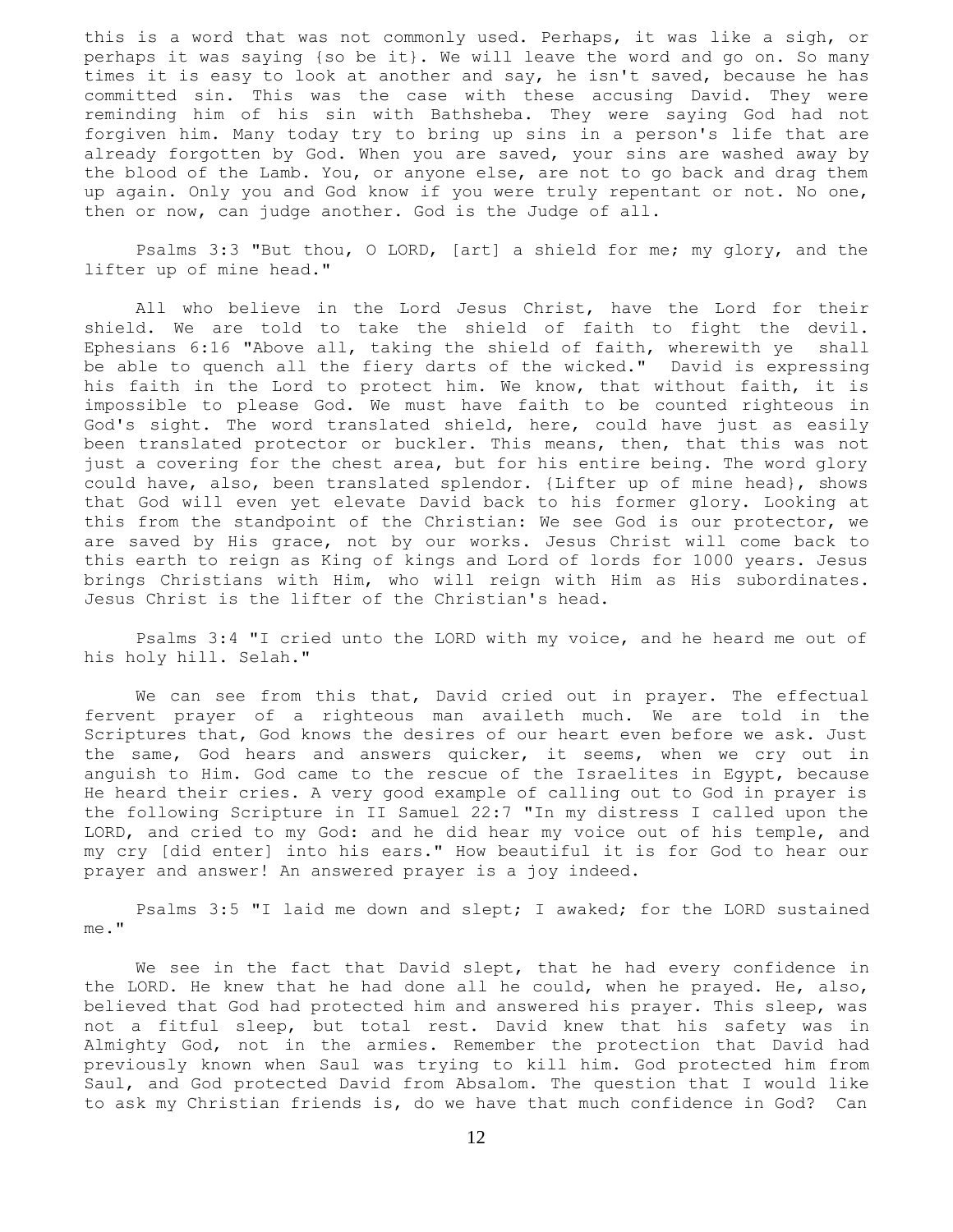this is a word that was not commonly used. Perhaps, it was like a sigh, or perhaps it was saying {so be it}. We will leave the word and go on. So many times it is easy to look at another and say, he isn't saved, because he has committed sin. This was the case with these accusing David. They were reminding him of his sin with Bathsheba. They were saying God had not forgiven him. Many today try to bring up sins in a person's life that are already forgotten by God. When you are saved, your sins are washed away by the blood of the Lamb. You, or anyone else, are not to go back and drag them up again. Only you and God know if you were truly repentant or not. No one, then or now, can judge another. God is the Judge of all.

 Psalms 3:3 "But thou, O LORD, [art] a shield for me; my glory, and the lifter up of mine head."

 All who believe in the Lord Jesus Christ, have the Lord for their shield. We are told to take the shield of faith to fight the devil. Ephesians 6:16 "Above all, taking the shield of faith, wherewith ye shall be able to quench all the fiery darts of the wicked." David is expressing his faith in the Lord to protect him. We know, that without faith, it is impossible to please God. We must have faith to be counted righteous in God's sight. The word translated shield, here, could have just as easily been translated protector or buckler. This means, then, that this was not just a covering for the chest area, but for his entire being. The word glory could have, also, been translated splendor. {Lifter up of mine head}, shows that God will even yet elevate David back to his former glory. Looking at this from the standpoint of the Christian: We see God is our protector, we are saved by His grace, not by our works. Jesus Christ will come back to this earth to reign as King of kings and Lord of lords for 1000 years. Jesus brings Christians with Him, who will reign with Him as His subordinates. Jesus Christ is the lifter of the Christian's head.

 Psalms 3:4 "I cried unto the LORD with my voice, and he heard me out of his holy hill. Selah."

 We can see from this that, David cried out in prayer. The effectual fervent prayer of a righteous man availeth much. We are told in the Scriptures that, God knows the desires of our heart even before we ask. Just the same, God hears and answers quicker, it seems, when we cry out in anguish to Him. God came to the rescue of the Israelites in Egypt, because He heard their cries. A very good example of calling out to God in prayer is the following Scripture in II Samuel 22:7 "In my distress I called upon the LORD, and cried to my God: and he did hear my voice out of his temple, and my cry [did enter] into his ears." How beautiful it is for God to hear our prayer and answer! An answered prayer is a joy indeed.

 Psalms 3:5 "I laid me down and slept; I awaked; for the LORD sustained me."

We see in the fact that David slept, that he had every confidence in the LORD. He knew that he had done all he could, when he prayed. He, also, believed that God had protected him and answered his prayer. This sleep, was not a fitful sleep, but total rest. David knew that his safety was in Almighty God, not in the armies. Remember the protection that David had previously known when Saul was trying to kill him. God protected him from Saul, and God protected David from Absalom. The question that I would like to ask my Christian friends is, do we have that much confidence in God? Can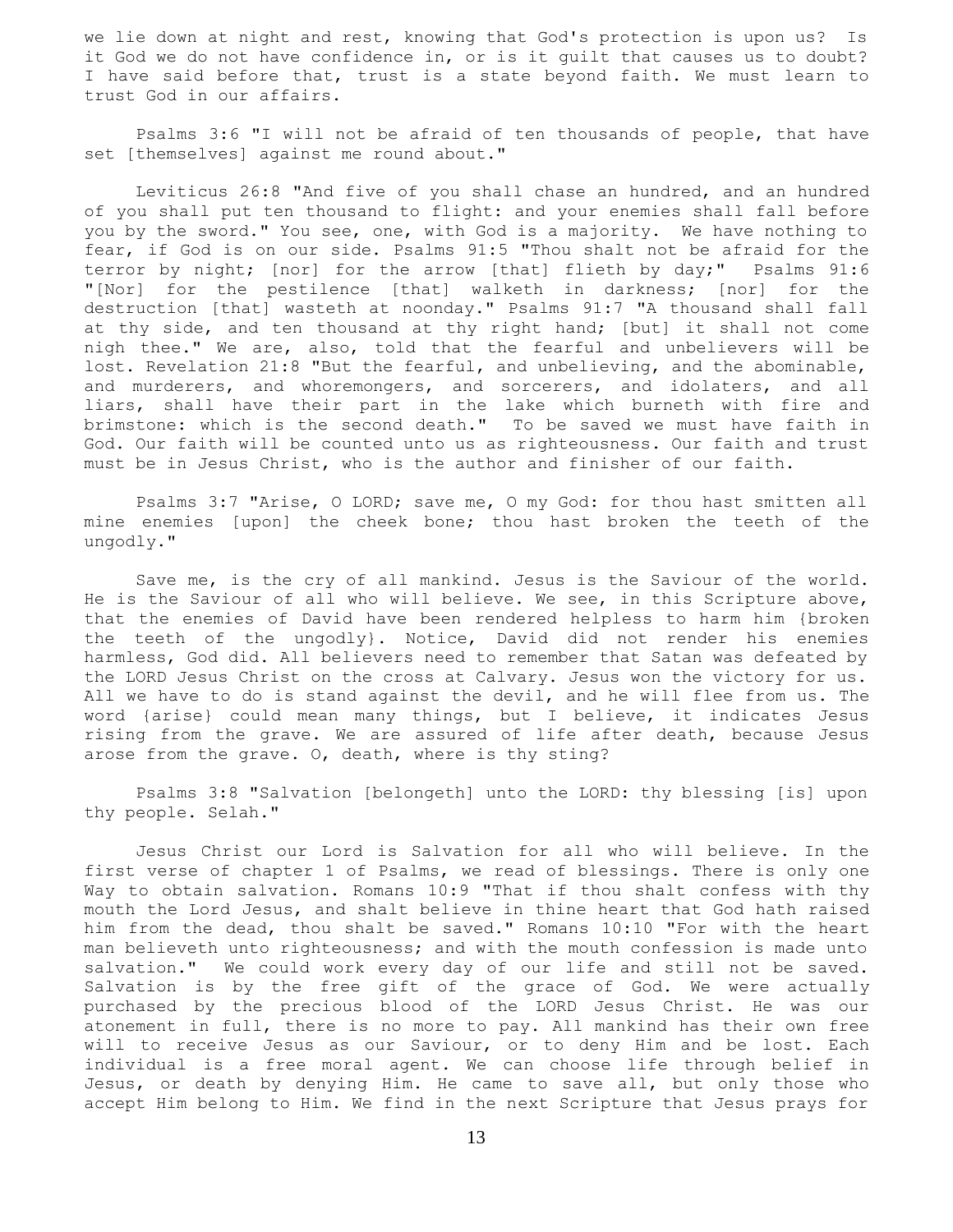we lie down at night and rest, knowing that God's protection is upon us? Is it God we do not have confidence in, or is it guilt that causes us to doubt? I have said before that, trust is a state beyond faith. We must learn to trust God in our affairs.

 Psalms 3:6 "I will not be afraid of ten thousands of people, that have set [themselves] against me round about."

 Leviticus 26:8 "And five of you shall chase an hundred, and an hundred of you shall put ten thousand to flight: and your enemies shall fall before you by the sword." You see, one, with God is a majority. We have nothing to fear, if God is on our side. Psalms 91:5 "Thou shalt not be afraid for the terror by night; [nor] for the arrow [that] flieth by day;" Psalms 91:6 "[Nor] for the pestilence [that] walketh in darkness; [nor] for the destruction [that] wasteth at noonday." Psalms 91:7 "A thousand shall fall at thy side, and ten thousand at thy right hand; [but] it shall not come nigh thee." We are, also, told that the fearful and unbelievers will be lost. Revelation 21:8 "But the fearful, and unbelieving, and the abominable, and murderers, and whoremongers, and sorcerers, and idolaters, and all liars, shall have their part in the lake which burneth with fire and brimstone: which is the second death." To be saved we must have faith in God. Our faith will be counted unto us as righteousness. Our faith and trust must be in Jesus Christ, who is the author and finisher of our faith.

 Psalms 3:7 "Arise, O LORD; save me, O my God: for thou hast smitten all mine enemies [upon] the cheek bone; thou hast broken the teeth of the ungodly."

 Save me, is the cry of all mankind. Jesus is the Saviour of the world. He is the Saviour of all who will believe. We see, in this Scripture above, that the enemies of David have been rendered helpless to harm him {broken the teeth of the ungodly}. Notice, David did not render his enemies harmless, God did. All believers need to remember that Satan was defeated by the LORD Jesus Christ on the cross at Calvary. Jesus won the victory for us. All we have to do is stand against the devil, and he will flee from us. The word {arise} could mean many things, but I believe, it indicates Jesus rising from the grave. We are assured of life after death, because Jesus arose from the grave. O, death, where is thy sting?

 Psalms 3:8 "Salvation [belongeth] unto the LORD: thy blessing [is] upon thy people. Selah."

 Jesus Christ our Lord is Salvation for all who will believe. In the first verse of chapter 1 of Psalms, we read of blessings. There is only one Way to obtain salvation. Romans 10:9 "That if thou shalt confess with thy mouth the Lord Jesus, and shalt believe in thine heart that God hath raised him from the dead, thou shalt be saved." Romans 10:10 "For with the heart man believeth unto righteousness; and with the mouth confession is made unto salvation." We could work every day of our life and still not be saved. Salvation is by the free gift of the grace of God. We were actually purchased by the precious blood of the LORD Jesus Christ. He was our atonement in full, there is no more to pay. All mankind has their own free will to receive Jesus as our Saviour, or to deny Him and be lost. Each individual is a free moral agent. We can choose life through belief in Jesus, or death by denying Him. He came to save all, but only those who accept Him belong to Him. We find in the next Scripture that Jesus prays for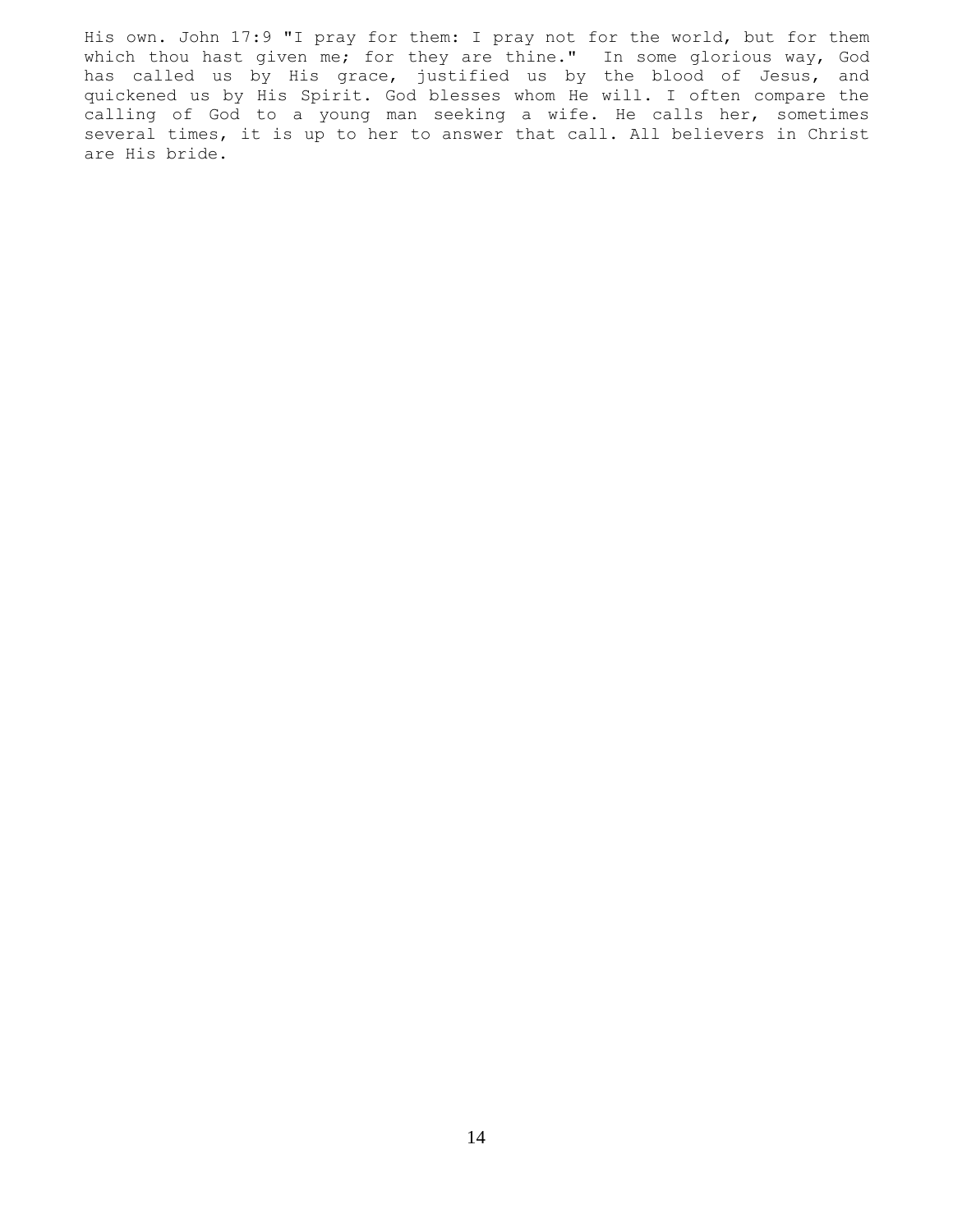His own. John 17:9 "I pray for them: I pray not for the world, but for them which thou hast given me; for they are thine." In some glorious way, God has called us by His grace, justified us by the blood of Jesus, and quickened us by His Spirit. God blesses whom He will. I often compare the calling of God to a young man seeking a wife. He calls her, sometimes several times, it is up to her to answer that call. All believers in Christ are His bride.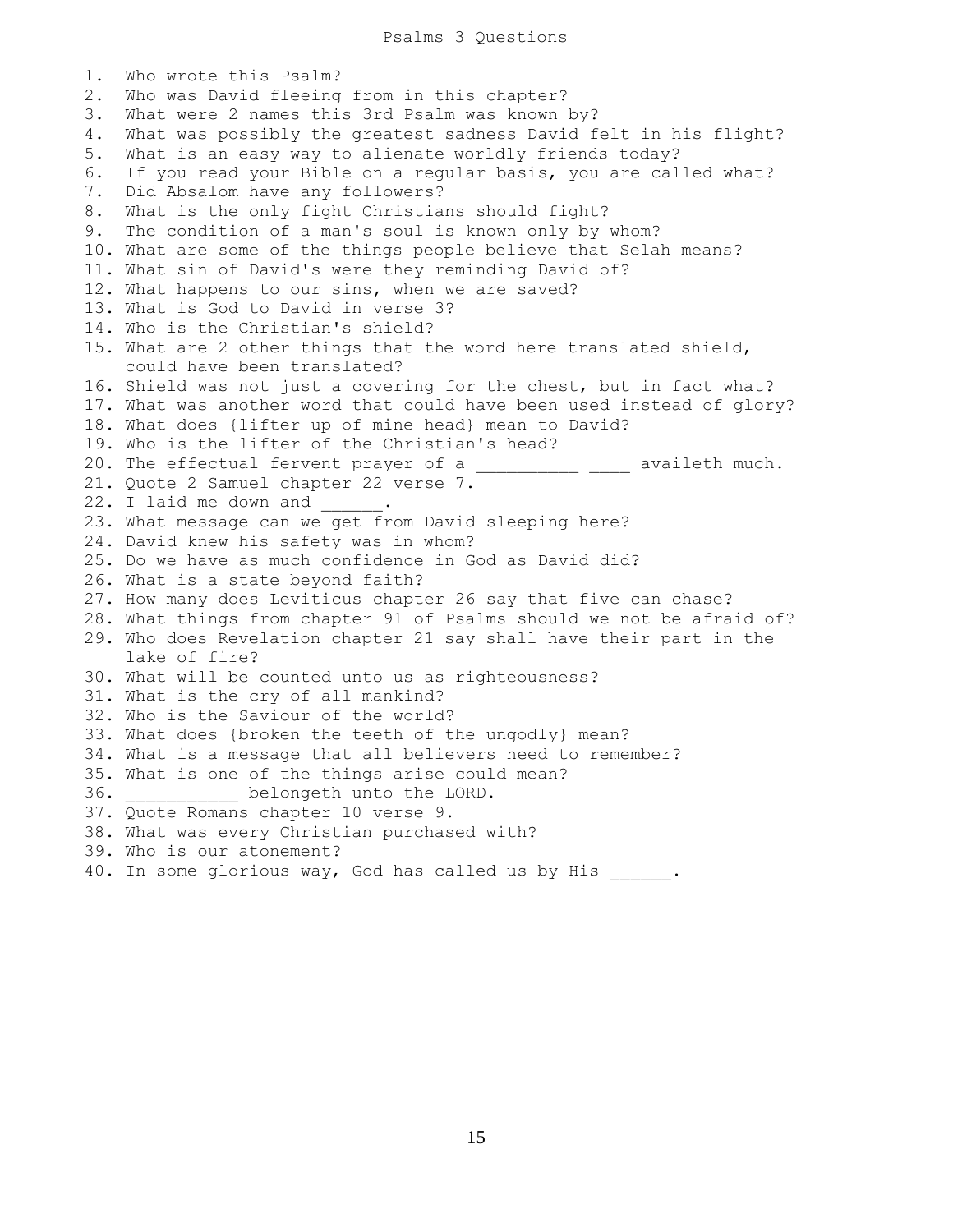1. Who wrote this Psalm? 2. Who was David fleeing from in this chapter? 3. What were 2 names this 3rd Psalm was known by? 4. What was possibly the greatest sadness David felt in his flight? 5. What is an easy way to alienate worldly friends today? 6. If you read your Bible on a regular basis, you are called what? 7. Did Absalom have any followers? 8. What is the only fight Christians should fight? 9. The condition of a man's soul is known only by whom? 10. What are some of the things people believe that Selah means? 11. What sin of David's were they reminding David of? 12. What happens to our sins, when we are saved? 13. What is God to David in verse 3? 14. Who is the Christian's shield? 15. What are 2 other things that the word here translated shield, could have been translated? 16. Shield was not just a covering for the chest, but in fact what? 17. What was another word that could have been used instead of glory? 18. What does {lifter up of mine head} mean to David? 19. Who is the lifter of the Christian's head? 20. The effectual fervent prayer of a \_\_\_\_\_\_\_\_\_\_\_ \_\_\_\_ availeth much. 21. Quote 2 Samuel chapter 22 verse 7. 22. I laid me down and 23. What message can we get from David sleeping here? 24. David knew his safety was in whom? 25. Do we have as much confidence in God as David did? 26. What is a state beyond faith? 27. How many does Leviticus chapter 26 say that five can chase? 28. What things from chapter 91 of Psalms should we not be afraid of? 29. Who does Revelation chapter 21 say shall have their part in the lake of fire? 30. What will be counted unto us as righteousness? 31. What is the cry of all mankind? 32. Who is the Saviour of the world? 33. What does {broken the teeth of the ungodly} mean? 34. What is a message that all believers need to remember? 35. What is one of the things arise could mean? 36. \_\_\_\_\_\_\_\_\_\_\_ belongeth unto the LORD. 37. Quote Romans chapter 10 verse 9. 38. What was every Christian purchased with? 39. Who is our atonement? 40. In some glorious way, God has called us by His \_\_\_\_\_\_.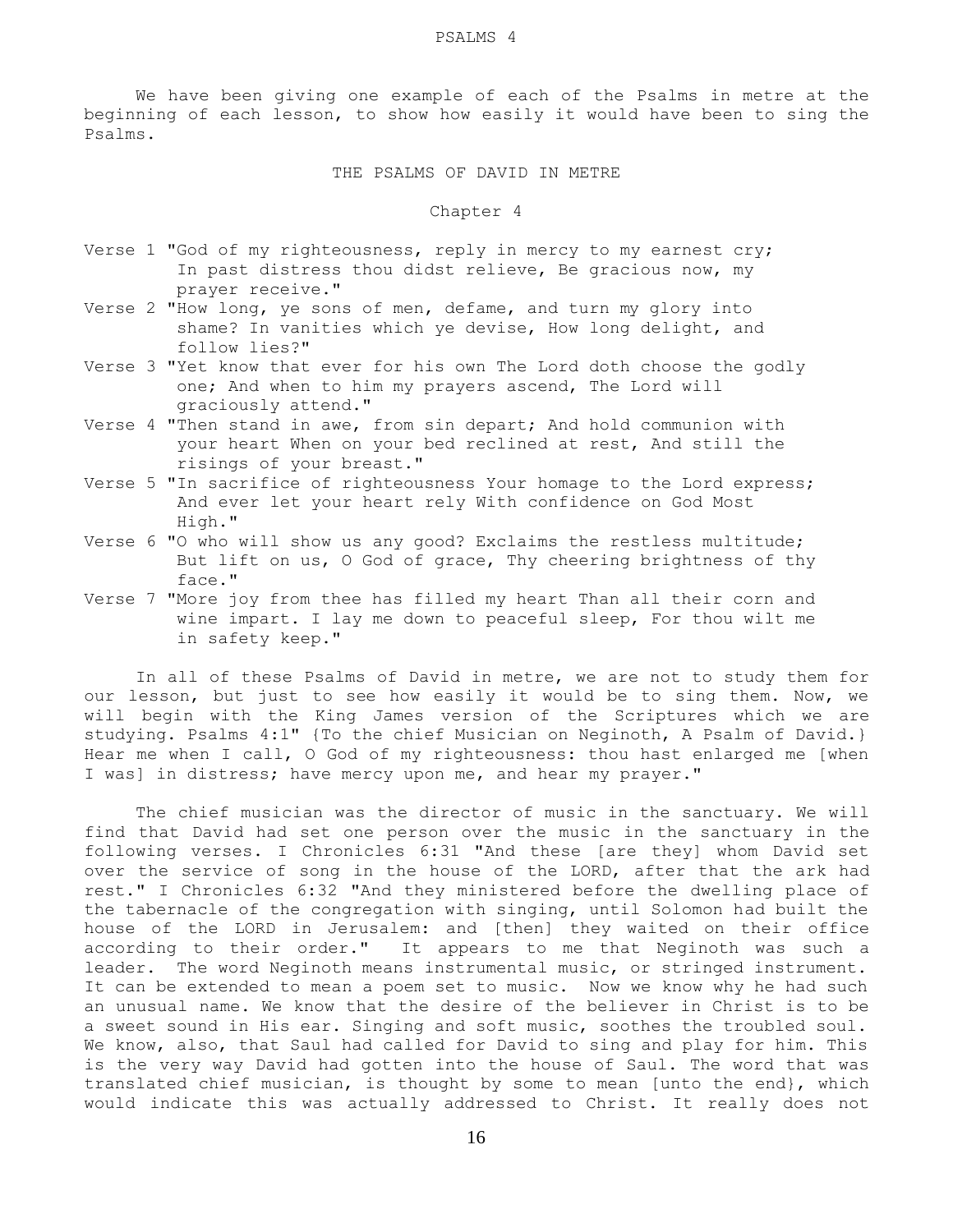We have been giving one example of each of the Psalms in metre at the beginning of each lesson, to show how easily it would have been to sing the Psalms.

THE PSALMS OF DAVID IN METRE

Chapter 4

- Verse 1 "God of my righteousness, reply in mercy to my earnest cry; In past distress thou didst relieve, Be gracious now, my prayer receive."
- Verse 2 "How long, ye sons of men, defame, and turn my glory into shame? In vanities which ye devise, How long delight, and follow lies?"
- Verse 3 "Yet know that ever for his own The Lord doth choose the godly one; And when to him my prayers ascend, The Lord will graciously attend."
- Verse 4 "Then stand in awe, from sin depart; And hold communion with your heart When on your bed reclined at rest, And still the risings of your breast."
- Verse 5 "In sacrifice of righteousness Your homage to the Lord express; And ever let your heart rely With confidence on God Most High."
- Verse 6 "O who will show us any good? Exclaims the restless multitude; But lift on us, O God of grace, Thy cheering brightness of thy face."
- Verse 7 "More joy from thee has filled my heart Than all their corn and wine impart. I lay me down to peaceful sleep, For thou wilt me in safety keep."

 In all of these Psalms of David in metre, we are not to study them for our lesson, but just to see how easily it would be to sing them. Now, we will begin with the King James version of the Scriptures which we are studying. Psalms 4:1" {To the chief Musician on Neginoth, A Psalm of David.} Hear me when I call, O God of my righteousness: thou hast enlarged me [when I was] in distress; have mercy upon me, and hear my prayer."

 The chief musician was the director of music in the sanctuary. We will find that David had set one person over the music in the sanctuary in the following verses. I Chronicles 6:31 "And these [are they] whom David set over the service of song in the house of the LORD, after that the ark had rest." I Chronicles 6:32 "And they ministered before the dwelling place of the tabernacle of the congregation with singing, until Solomon had built the house of the LORD in Jerusalem: and [then] they waited on their office according to their order." It appears to me that Neginoth was such a leader. The word Neginoth means instrumental music, or stringed instrument. It can be extended to mean a poem set to music. Now we know why he had such an unusual name. We know that the desire of the believer in Christ is to be a sweet sound in His ear. Singing and soft music, soothes the troubled soul. We know, also, that Saul had called for David to sing and play for him. This is the very way David had gotten into the house of Saul. The word that was translated chief musician, is thought by some to mean [unto the end}, which would indicate this was actually addressed to Christ. It really does not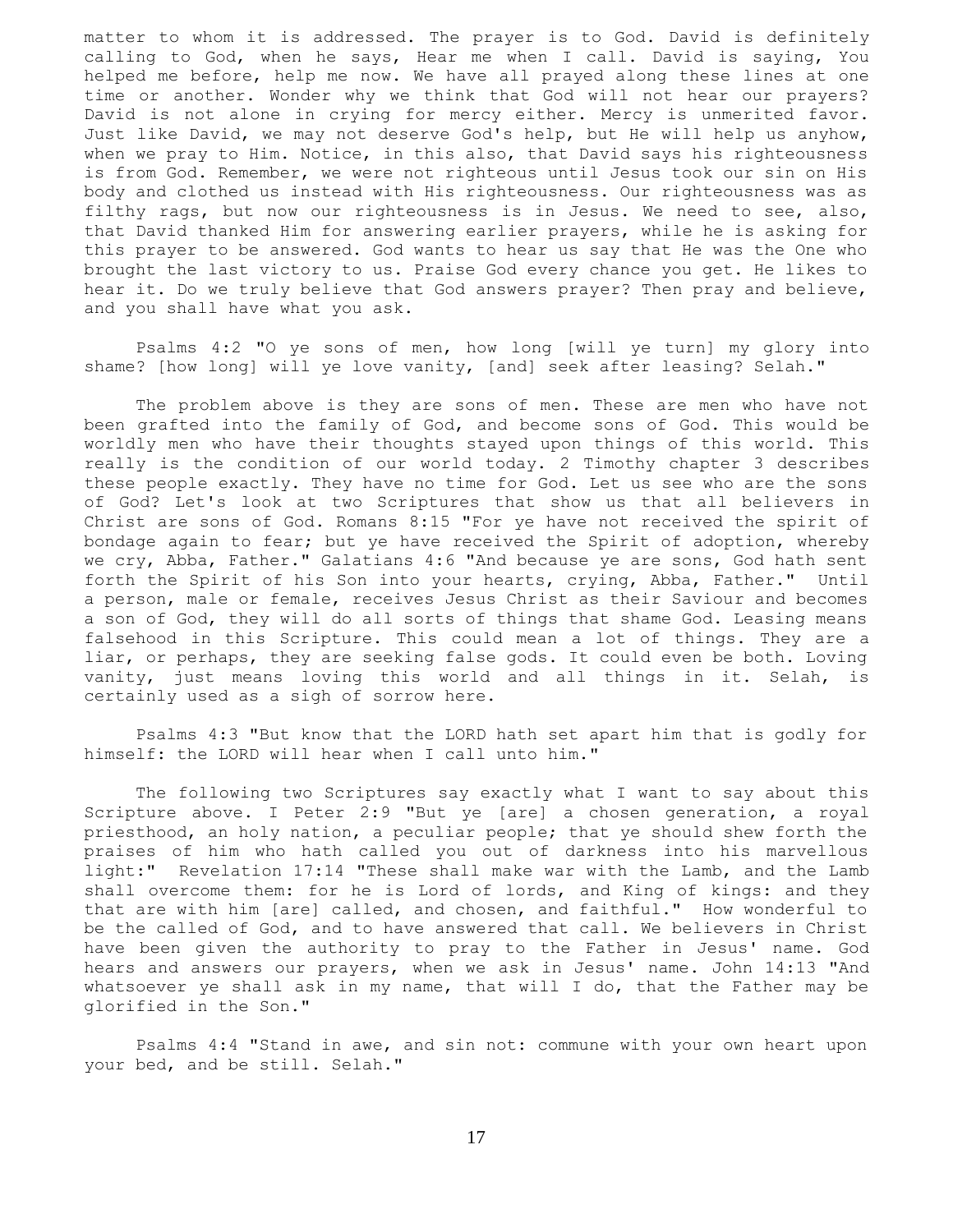matter to whom it is addressed. The prayer is to God. David is definitely calling to God, when he says, Hear me when I call. David is saying, You helped me before, help me now. We have all prayed along these lines at one time or another. Wonder why we think that God will not hear our prayers? David is not alone in crying for mercy either. Mercy is unmerited favor. Just like David, we may not deserve God's help, but He will help us anyhow, when we pray to Him. Notice, in this also, that David says his righteousness is from God. Remember, we were not righteous until Jesus took our sin on His body and clothed us instead with His righteousness. Our righteousness was as filthy rags, but now our righteousness is in Jesus. We need to see, also, that David thanked Him for answering earlier prayers, while he is asking for this prayer to be answered. God wants to hear us say that He was the One who brought the last victory to us. Praise God every chance you get. He likes to hear it. Do we truly believe that God answers prayer? Then pray and believe, and you shall have what you ask.

 Psalms 4:2 "O ye sons of men, how long [will ye turn] my glory into shame? [how long] will ye love vanity, [and] seek after leasing? Selah."

 The problem above is they are sons of men. These are men who have not been grafted into the family of God, and become sons of God. This would be worldly men who have their thoughts stayed upon things of this world. This really is the condition of our world today. 2 Timothy chapter 3 describes these people exactly. They have no time for God. Let us see who are the sons of God? Let's look at two Scriptures that show us that all believers in Christ are sons of God. Romans 8:15 "For ye have not received the spirit of bondage again to fear; but ye have received the Spirit of adoption, whereby we cry, Abba, Father." Galatians 4:6 "And because ye are sons, God hath sent forth the Spirit of his Son into your hearts, crying, Abba, Father." Until a person, male or female, receives Jesus Christ as their Saviour and becomes a son of God, they will do all sorts of things that shame God. Leasing means falsehood in this Scripture. This could mean a lot of things. They are a liar, or perhaps, they are seeking false gods. It could even be both. Loving vanity, just means loving this world and all things in it. Selah, is certainly used as a sigh of sorrow here.

 Psalms 4:3 "But know that the LORD hath set apart him that is godly for himself: the LORD will hear when I call unto him."

 The following two Scriptures say exactly what I want to say about this Scripture above. I Peter 2:9 "But ye [are] a chosen generation, a royal priesthood, an holy nation, a peculiar people; that ye should shew forth the praises of him who hath called you out of darkness into his marvellous light:" Revelation 17:14 "These shall make war with the Lamb, and the Lamb shall overcome them: for he is Lord of lords, and King of kings: and they that are with him [are] called, and chosen, and faithful." How wonderful to be the called of God, and to have answered that call. We believers in Christ have been given the authority to pray to the Father in Jesus' name. God hears and answers our prayers, when we ask in Jesus' name. John 14:13 "And whatsoever ye shall ask in my name, that will I do, that the Father may be glorified in the Son."

 Psalms 4:4 "Stand in awe, and sin not: commune with your own heart upon your bed, and be still. Selah."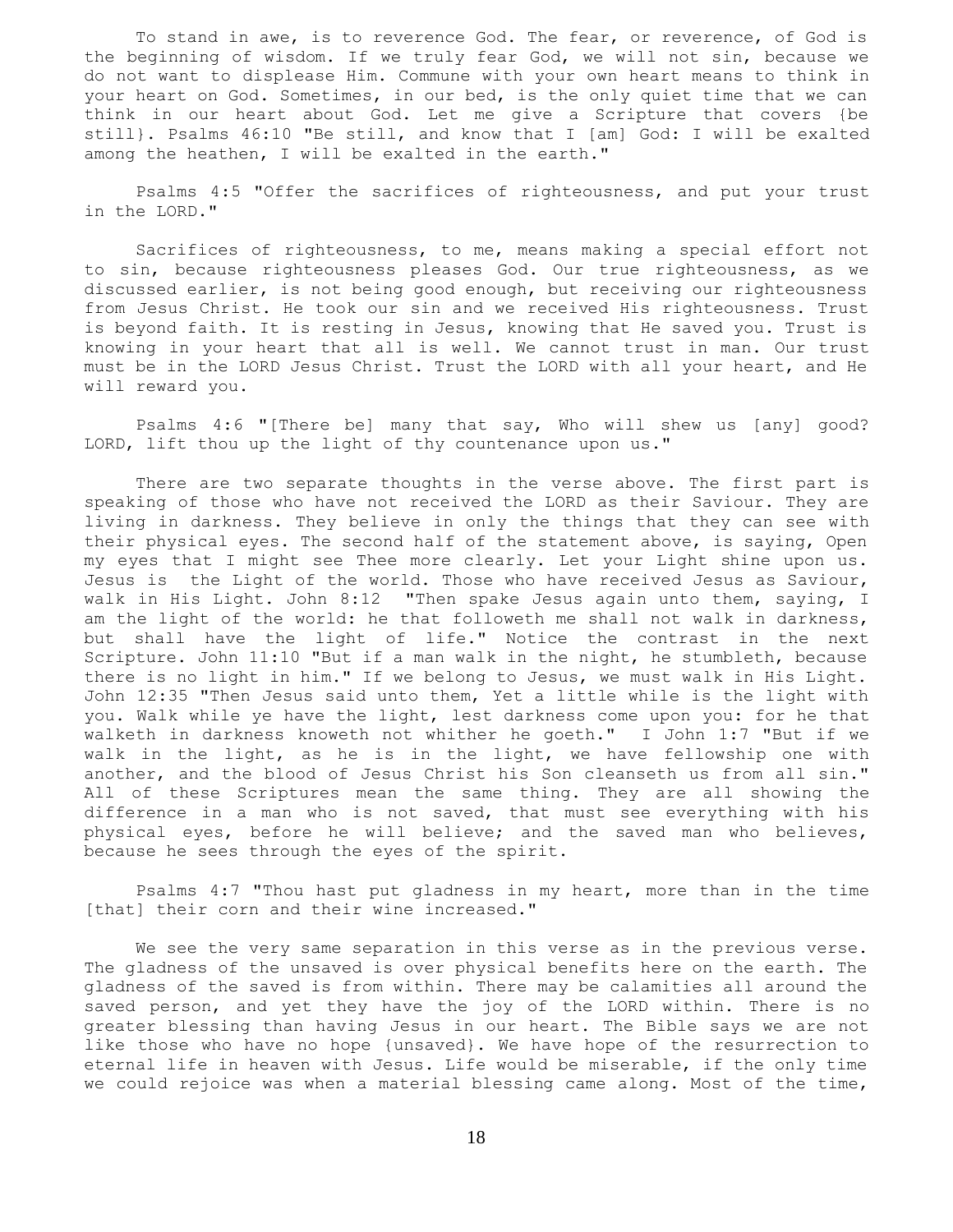To stand in awe, is to reverence God. The fear, or reverence, of God is the beginning of wisdom. If we truly fear God, we will not sin, because we do not want to displease Him. Commune with your own heart means to think in your heart on God. Sometimes, in our bed, is the only quiet time that we can think in our heart about God. Let me give a Scripture that covers {be still}. Psalms 46:10 "Be still, and know that I [am] God: I will be exalted among the heathen, I will be exalted in the earth."

 Psalms 4:5 "Offer the sacrifices of righteousness, and put your trust in the LORD."

 Sacrifices of righteousness, to me, means making a special effort not to sin, because righteousness pleases God. Our true righteousness, as we discussed earlier, is not being good enough, but receiving our righteousness from Jesus Christ. He took our sin and we received His righteousness. Trust is beyond faith. It is resting in Jesus, knowing that He saved you. Trust is knowing in your heart that all is well. We cannot trust in man. Our trust must be in the LORD Jesus Christ. Trust the LORD with all your heart, and He will reward you.

 Psalms 4:6 "[There be] many that say, Who will shew us [any] good? LORD, lift thou up the light of thy countenance upon us."

 There are two separate thoughts in the verse above. The first part is speaking of those who have not received the LORD as their Saviour. They are living in darkness. They believe in only the things that they can see with their physical eyes. The second half of the statement above, is saying, Open my eyes that I might see Thee more clearly. Let your Light shine upon us. Jesus is the Light of the world. Those who have received Jesus as Saviour, walk in His Light. John 8:12 "Then spake Jesus again unto them, saying, I am the light of the world: he that followeth me shall not walk in darkness, but shall have the light of life." Notice the contrast in the next Scripture. John 11:10 "But if a man walk in the night, he stumbleth, because there is no light in him." If we belong to Jesus, we must walk in His Light. John 12:35 "Then Jesus said unto them, Yet a little while is the light with you. Walk while ye have the light, lest darkness come upon you: for he that walketh in darkness knoweth not whither he goeth." I John 1:7 "But if we walk in the light, as he is in the light, we have fellowship one with another, and the blood of Jesus Christ his Son cleanseth us from all sin." All of these Scriptures mean the same thing. They are all showing the difference in a man who is not saved, that must see everything with his physical eyes, before he will believe; and the saved man who believes, because he sees through the eyes of the spirit.

 Psalms 4:7 "Thou hast put gladness in my heart, more than in the time [that] their corn and their wine increased."

 We see the very same separation in this verse as in the previous verse. The gladness of the unsaved is over physical benefits here on the earth. The gladness of the saved is from within. There may be calamities all around the saved person, and yet they have the joy of the LORD within. There is no greater blessing than having Jesus in our heart. The Bible says we are not like those who have no hope {unsaved}. We have hope of the resurrection to eternal life in heaven with Jesus. Life would be miserable, if the only time we could rejoice was when a material blessing came along. Most of the time,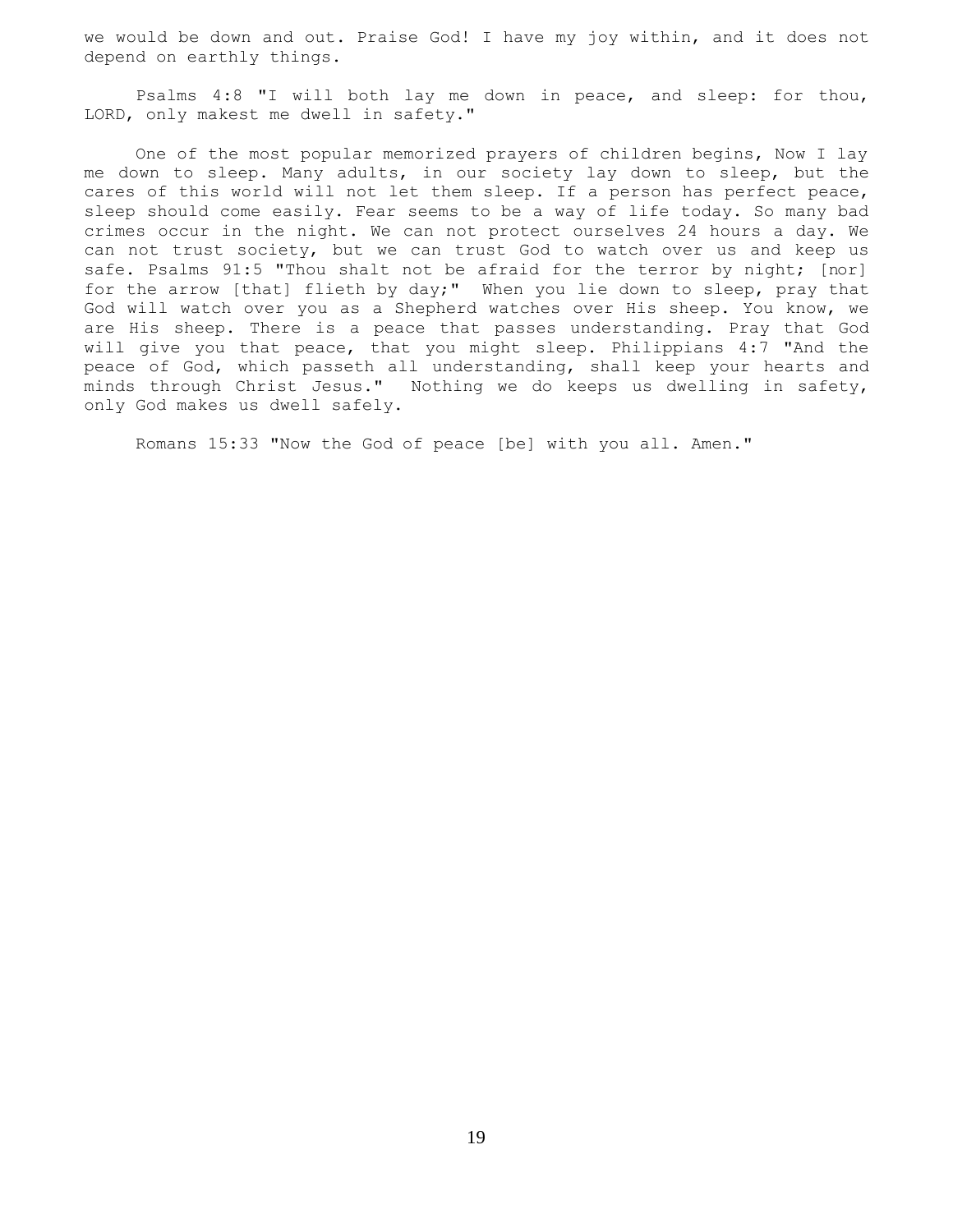we would be down and out. Praise God! I have my joy within, and it does not depend on earthly things.

 Psalms 4:8 "I will both lay me down in peace, and sleep: for thou, LORD, only makest me dwell in safety."

 One of the most popular memorized prayers of children begins, Now I lay me down to sleep. Many adults, in our society lay down to sleep, but the cares of this world will not let them sleep. If a person has perfect peace, sleep should come easily. Fear seems to be a way of life today. So many bad crimes occur in the night. We can not protect ourselves 24 hours a day. We can not trust society, but we can trust God to watch over us and keep us safe. Psalms 91:5 "Thou shalt not be afraid for the terror by night; [nor] for the arrow [that] flieth by day;" When you lie down to sleep, pray that God will watch over you as a Shepherd watches over His sheep. You know, we are His sheep. There is a peace that passes understanding. Pray that God will give you that peace, that you might sleep. Philippians 4:7 "And the peace of God, which passeth all understanding, shall keep your hearts and minds through Christ Jesus." Nothing we do keeps us dwelling in safety, only God makes us dwell safely.

Romans 15:33 "Now the God of peace [be] with you all. Amen."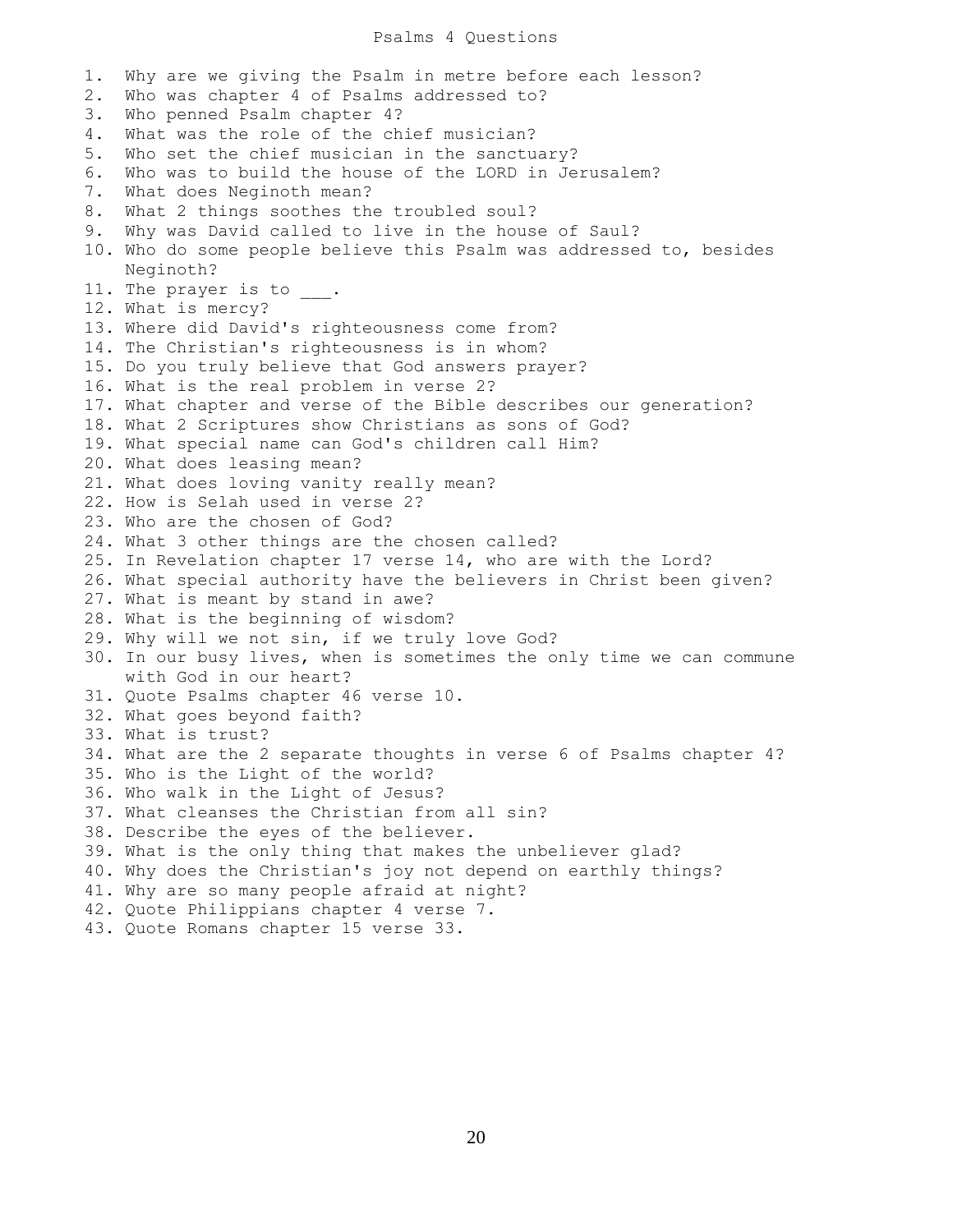## Psalms 4 Questions

1. Why are we giving the Psalm in metre before each lesson? 2. Who was chapter 4 of Psalms addressed to? 3. Who penned Psalm chapter 4? 4. What was the role of the chief musician? 5. Who set the chief musician in the sanctuary? 6. Who was to build the house of the LORD in Jerusalem? 7. What does Neginoth mean? 8. What 2 things soothes the troubled soul? 9. Why was David called to live in the house of Saul? 10. Who do some people believe this Psalm was addressed to, besides Neginoth? 11. The prayer is to 12. What is mercy? 13. Where did David's righteousness come from? 14. The Christian's righteousness is in whom? 15. Do you truly believe that God answers prayer? 16. What is the real problem in verse 2? 17. What chapter and verse of the Bible describes our generation? 18. What 2 Scriptures show Christians as sons of God? 19. What special name can God's children call Him? 20. What does leasing mean? 21. What does loving vanity really mean? 22. How is Selah used in verse 2? 23. Who are the chosen of God? 24. What 3 other things are the chosen called? 25. In Revelation chapter 17 verse 14, who are with the Lord? 26. What special authority have the believers in Christ been given? 27. What is meant by stand in awe? 28. What is the beginning of wisdom? 29. Why will we not sin, if we truly love God? 30. In our busy lives, when is sometimes the only time we can commune with God in our heart? 31. Quote Psalms chapter 46 verse 10. 32. What goes beyond faith? 33. What is trust? 34. What are the 2 separate thoughts in verse 6 of Psalms chapter 4? 35. Who is the Light of the world? 36. Who walk in the Light of Jesus? 37. What cleanses the Christian from all sin? 38. Describe the eyes of the believer. 39. What is the only thing that makes the unbeliever glad? 40. Why does the Christian's joy not depend on earthly things? 41. Why are so many people afraid at night? 42. Quote Philippians chapter 4 verse 7. 43. Quote Romans chapter 15 verse 33.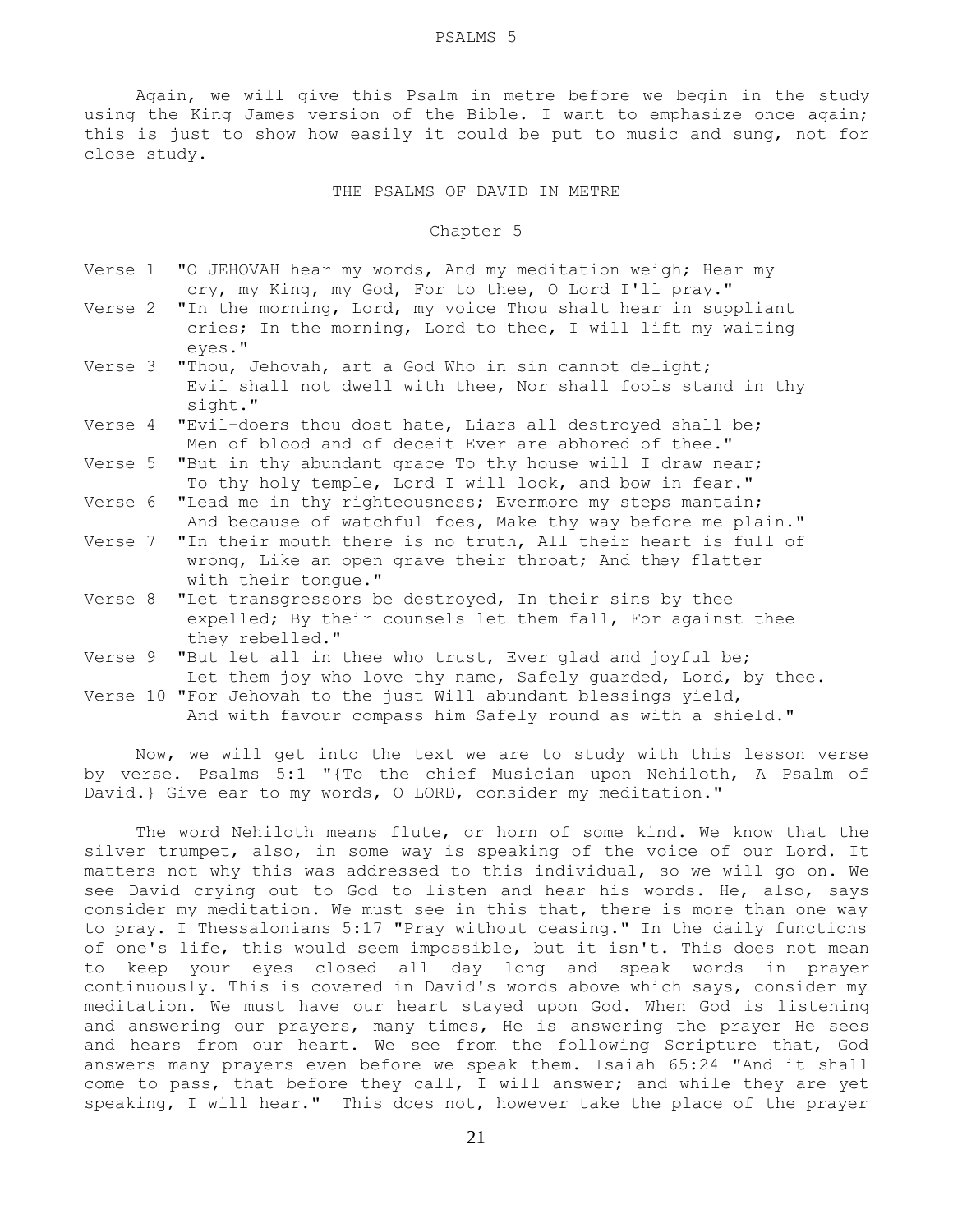Again, we will give this Psalm in metre before we begin in the study using the King James version of the Bible. I want to emphasize once again; this is just to show how easily it could be put to music and sung, not for close study.

## THE PSALMS OF DAVID IN METRE

## Chapter 5

- Verse 1 "O JEHOVAH hear my words, And my meditation weigh; Hear my cry, my King, my God, For to thee, O Lord I'll pray."
- Verse 2 "In the morning, Lord, my voice Thou shalt hear in suppliant cries; In the morning, Lord to thee, I will lift my waiting eyes."
- Verse 3 "Thou, Jehovah, art a God Who in sin cannot delight; Evil shall not dwell with thee, Nor shall fools stand in thy sight."
- Verse 4 "Evil-doers thou dost hate, Liars all destroyed shall be; Men of blood and of deceit Ever are abhored of thee."
- Verse 5 "But in thy abundant grace To thy house will I draw near; To thy holy temple, Lord I will look, and bow in fear."
- Verse 6 "Lead me in thy righteousness; Evermore my steps mantain; And because of watchful foes, Make thy way before me plain."
- Verse 7 "In their mouth there is no truth, All their heart is full of wrong, Like an open grave their throat; And they flatter with their tongue."
- Verse 8 "Let transgressors be destroyed, In their sins by thee expelled; By their counsels let them fall, For against thee they rebelled."
- Verse 9 "But let all in thee who trust, Ever glad and joyful be; Let them joy who love thy name, Safely guarded, Lord, by thee.
- Verse 10 "For Jehovah to the just Will abundant blessings yield, And with favour compass him Safely round as with a shield."

 Now, we will get into the text we are to study with this lesson verse by verse. Psalms 5:1 "{To the chief Musician upon Nehiloth, A Psalm of David.} Give ear to my words, O LORD, consider my meditation."

 The word Nehiloth means flute, or horn of some kind. We know that the silver trumpet, also, in some way is speaking of the voice of our Lord. It matters not why this was addressed to this individual, so we will go on. We see David crying out to God to listen and hear his words. He, also, says consider my meditation. We must see in this that, there is more than one way to pray. I Thessalonians 5:17 "Pray without ceasing." In the daily functions of one's life, this would seem impossible, but it isn't. This does not mean to keep your eyes closed all day long and speak words in prayer continuously. This is covered in David's words above which says, consider my meditation. We must have our heart stayed upon God. When God is listening and answering our prayers, many times, He is answering the prayer He sees and hears from our heart. We see from the following Scripture that, God answers many prayers even before we speak them. Isaiah 65:24 "And it shall come to pass, that before they call, I will answer; and while they are yet speaking, I will hear." This does not, however take the place of the prayer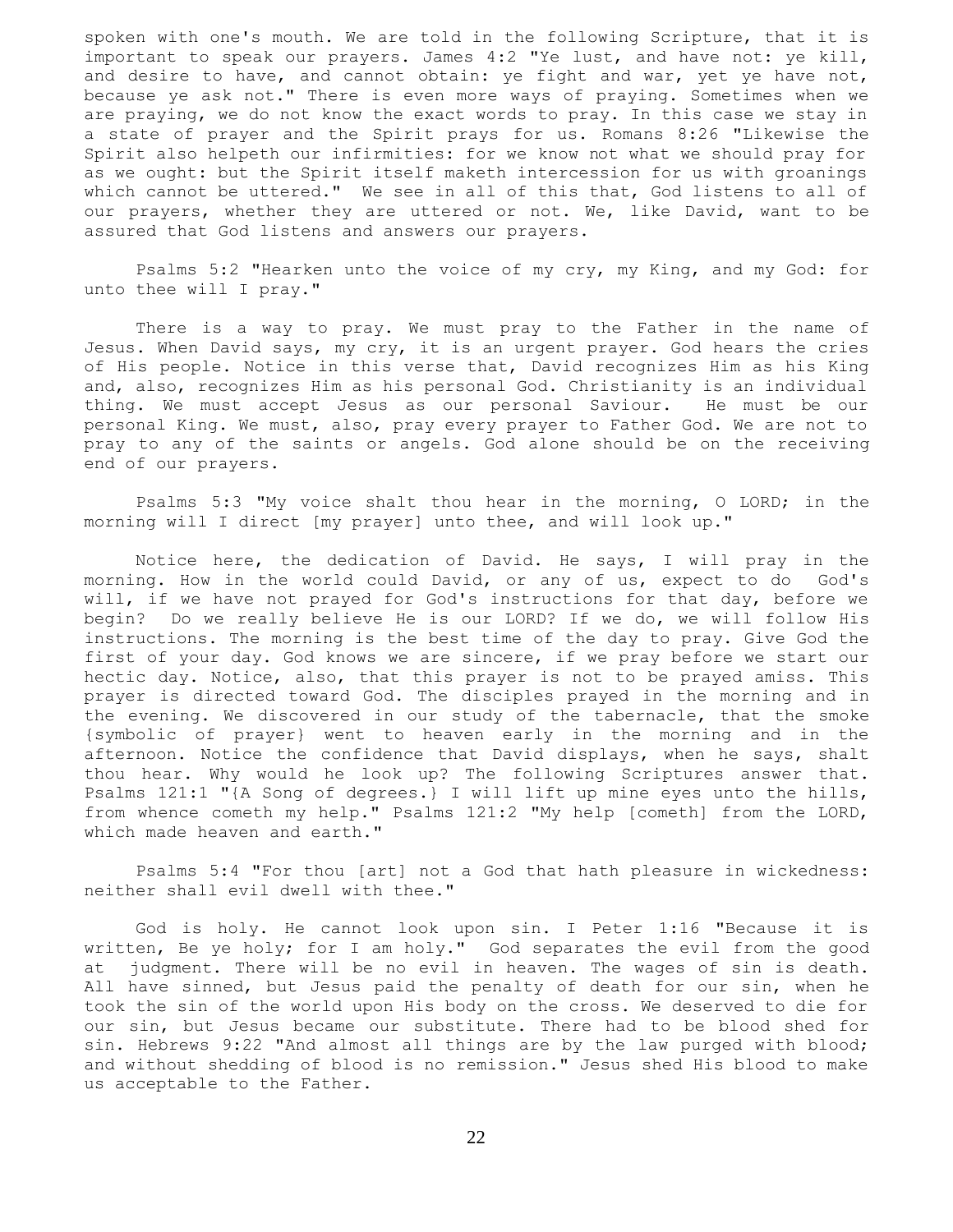spoken with one's mouth. We are told in the following Scripture, that it is important to speak our prayers. James 4:2 "Ye lust, and have not: ye kill, and desire to have, and cannot obtain: ye fight and war, yet ye have not, because ye ask not." There is even more ways of praying. Sometimes when we are praying, we do not know the exact words to pray. In this case we stay in a state of prayer and the Spirit prays for us. Romans 8:26 "Likewise the Spirit also helpeth our infirmities: for we know not what we should pray for as we ought: but the Spirit itself maketh intercession for us with groanings which cannot be uttered." We see in all of this that, God listens to all of our prayers, whether they are uttered or not. We, like David, want to be assured that God listens and answers our prayers.

 Psalms 5:2 "Hearken unto the voice of my cry, my King, and my God: for unto thee will I pray."

 There is a way to pray. We must pray to the Father in the name of Jesus. When David says, my cry, it is an urgent prayer. God hears the cries of His people. Notice in this verse that, David recognizes Him as his King and, also, recognizes Him as his personal God. Christianity is an individual thing. We must accept Jesus as our personal Saviour. He must be our personal King. We must, also, pray every prayer to Father God. We are not to pray to any of the saints or angels. God alone should be on the receiving end of our prayers.

 Psalms 5:3 "My voice shalt thou hear in the morning, O LORD; in the morning will I direct [my prayer] unto thee, and will look up."

 Notice here, the dedication of David. He says, I will pray in the morning. How in the world could David, or any of us, expect to do God's will, if we have not prayed for God's instructions for that day, before we begin? Do we really believe He is our LORD? If we do, we will follow His instructions. The morning is the best time of the day to pray. Give God the first of your day. God knows we are sincere, if we pray before we start our hectic day. Notice, also, that this prayer is not to be prayed amiss. This prayer is directed toward God. The disciples prayed in the morning and in the evening. We discovered in our study of the tabernacle, that the smoke {symbolic of prayer} went to heaven early in the morning and in the afternoon. Notice the confidence that David displays, when he says, shalt thou hear. Why would he look up? The following Scriptures answer that. Psalms 121:1 "{A Song of degrees.} I will lift up mine eyes unto the hills, from whence cometh my help." Psalms 121:2 "My help [cometh] from the LORD, which made heaven and earth."

 Psalms 5:4 "For thou [art] not a God that hath pleasure in wickedness: neither shall evil dwell with thee."

 God is holy. He cannot look upon sin. I Peter 1:16 "Because it is written, Be ye holy; for I am holy." God separates the evil from the good at judgment. There will be no evil in heaven. The wages of sin is death. All have sinned, but Jesus paid the penalty of death for our sin, when he took the sin of the world upon His body on the cross. We deserved to die for our sin, but Jesus became our substitute. There had to be blood shed for sin. Hebrews 9:22 "And almost all things are by the law purged with blood; and without shedding of blood is no remission." Jesus shed His blood to make us acceptable to the Father.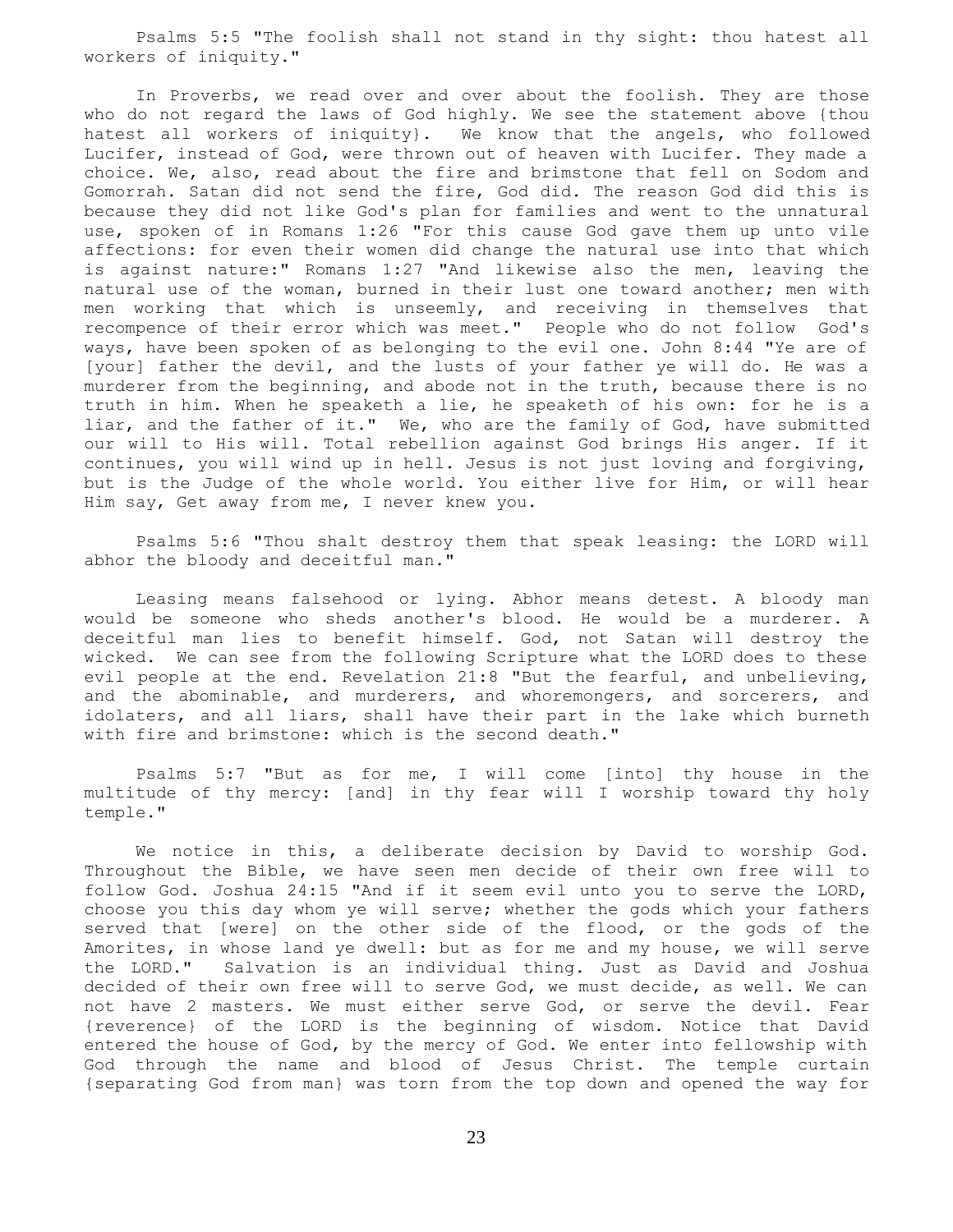Psalms 5:5 "The foolish shall not stand in thy sight: thou hatest all workers of iniquity."

 In Proverbs, we read over and over about the foolish. They are those who do not regard the laws of God highly. We see the statement above {thou hatest all workers of iniquity}. We know that the angels, who followed Lucifer, instead of God, were thrown out of heaven with Lucifer. They made a choice. We, also, read about the fire and brimstone that fell on Sodom and Gomorrah. Satan did not send the fire, God did. The reason God did this is because they did not like God's plan for families and went to the unnatural use, spoken of in Romans 1:26 "For this cause God gave them up unto vile affections: for even their women did change the natural use into that which is against nature:" Romans 1:27 "And likewise also the men, leaving the natural use of the woman, burned in their lust one toward another; men with men working that which is unseemly, and receiving in themselves that recompence of their error which was meet." People who do not follow God's ways, have been spoken of as belonging to the evil one. John 8:44 "Ye are of [your] father the devil, and the lusts of your father ye will do. He was a murderer from the beginning, and abode not in the truth, because there is no truth in him. When he speaketh a lie, he speaketh of his own: for he is a liar, and the father of it." We, who are the family of God, have submitted our will to His will. Total rebellion against God brings His anger. If it continues, you will wind up in hell. Jesus is not just loving and forgiving, but is the Judge of the whole world. You either live for Him, or will hear Him say, Get away from me, I never knew you.

 Psalms 5:6 "Thou shalt destroy them that speak leasing: the LORD will abhor the bloody and deceitful man."

 Leasing means falsehood or lying. Abhor means detest. A bloody man would be someone who sheds another's blood. He would be a murderer. A deceitful man lies to benefit himself. God, not Satan will destroy the wicked. We can see from the following Scripture what the LORD does to these evil people at the end. Revelation 21:8 "But the fearful, and unbelieving, and the abominable, and murderers, and whoremongers, and sorcerers, and idolaters, and all liars, shall have their part in the lake which burneth with fire and brimstone: which is the second death."

 Psalms 5:7 "But as for me, I will come [into] thy house in the multitude of thy mercy: [and] in thy fear will I worship toward thy holy temple."

 We notice in this, a deliberate decision by David to worship God. Throughout the Bible, we have seen men decide of their own free will to follow God. Joshua 24:15 "And if it seem evil unto you to serve the LORD, choose you this day whom ye will serve; whether the gods which your fathers served that [were] on the other side of the flood, or the gods of the Amorites, in whose land ye dwell: but as for me and my house, we will serve the LORD." Salvation is an individual thing. Just as David and Joshua decided of their own free will to serve God, we must decide, as well. We can not have 2 masters. We must either serve God, or serve the devil. Fear {reverence} of the LORD is the beginning of wisdom. Notice that David entered the house of God, by the mercy of God. We enter into fellowship with God through the name and blood of Jesus Christ. The temple curtain {separating God from man} was torn from the top down and opened the way for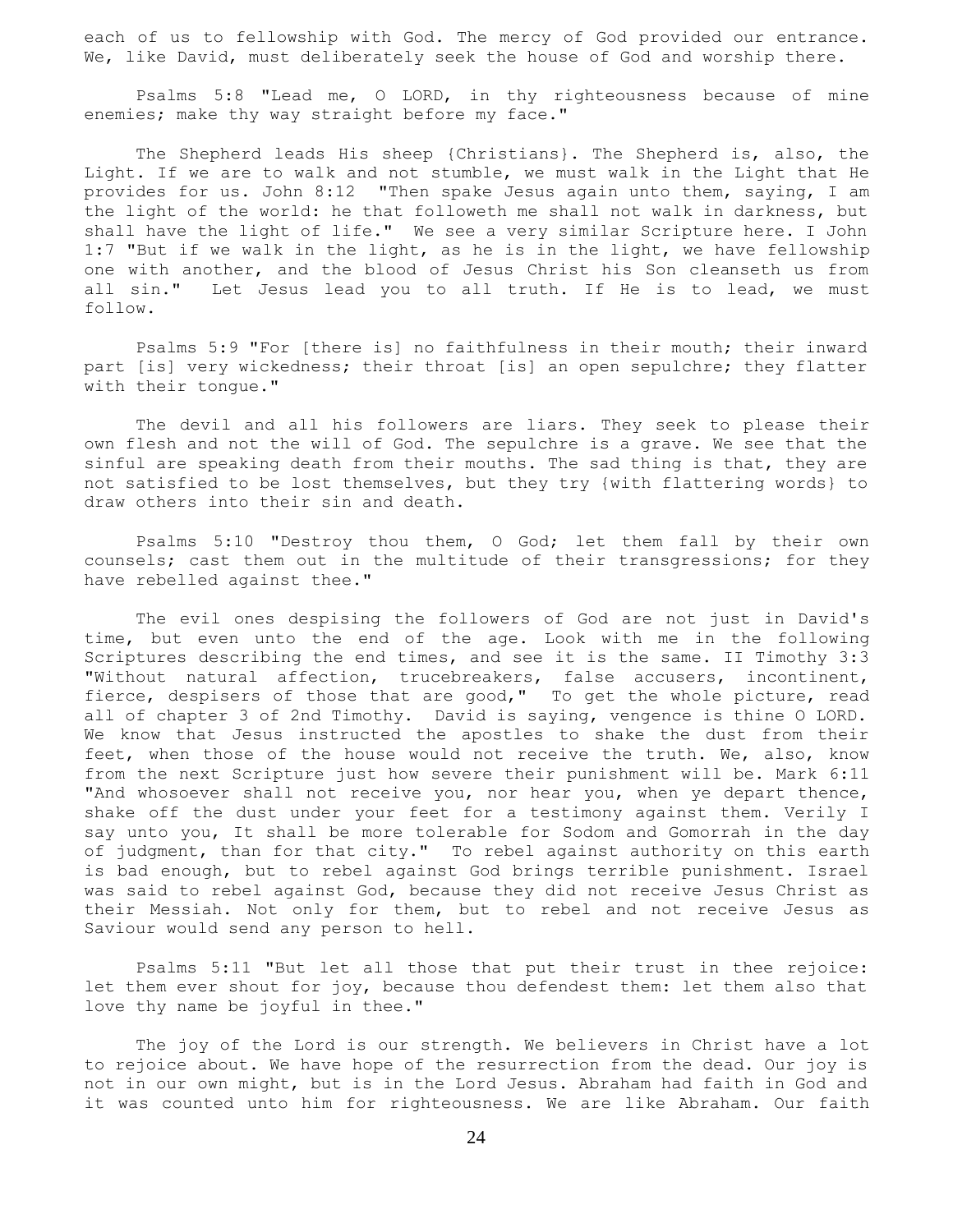each of us to fellowship with God. The mercy of God provided our entrance. We, like David, must deliberately seek the house of God and worship there.

 Psalms 5:8 "Lead me, O LORD, in thy righteousness because of mine enemies; make thy way straight before my face."

 The Shepherd leads His sheep {Christians}. The Shepherd is, also, the Light. If we are to walk and not stumble, we must walk in the Light that He provides for us. John 8:12 "Then spake Jesus again unto them, saying, I am the light of the world: he that followeth me shall not walk in darkness, but shall have the light of life." We see a very similar Scripture here. I John 1:7 "But if we walk in the light, as he is in the light, we have fellowship one with another, and the blood of Jesus Christ his Son cleanseth us from all sin." Let Jesus lead you to all truth. If He is to lead, we must follow.

 Psalms 5:9 "For [there is] no faithfulness in their mouth; their inward part [is] very wickedness; their throat [is] an open sepulchre; they flatter with their tongue."

 The devil and all his followers are liars. They seek to please their own flesh and not the will of God. The sepulchre is a grave. We see that the sinful are speaking death from their mouths. The sad thing is that, they are not satisfied to be lost themselves, but they try {with flattering words} to draw others into their sin and death.

 Psalms 5:10 "Destroy thou them, O God; let them fall by their own counsels; cast them out in the multitude of their transgressions; for they have rebelled against thee."

 The evil ones despising the followers of God are not just in David's time, but even unto the end of the age. Look with me in the following Scriptures describing the end times, and see it is the same. II Timothy 3:3 "Without natural affection, trucebreakers, false accusers, incontinent, fierce, despisers of those that are good," To get the whole picture, read all of chapter 3 of 2nd Timothy. David is saying, vengence is thine O LORD. We know that Jesus instructed the apostles to shake the dust from their feet, when those of the house would not receive the truth. We, also, know from the next Scripture just how severe their punishment will be. Mark 6:11 "And whosoever shall not receive you, nor hear you, when ye depart thence, shake off the dust under your feet for a testimony against them. Verily I say unto you, It shall be more tolerable for Sodom and Gomorrah in the day of judgment, than for that city." To rebel against authority on this earth is bad enough, but to rebel against God brings terrible punishment. Israel was said to rebel against God, because they did not receive Jesus Christ as their Messiah. Not only for them, but to rebel and not receive Jesus as Saviour would send any person to hell.

 Psalms 5:11 "But let all those that put their trust in thee rejoice: let them ever shout for joy, because thou defendest them: let them also that love thy name be joyful in thee."

 The joy of the Lord is our strength. We believers in Christ have a lot to rejoice about. We have hope of the resurrection from the dead. Our joy is not in our own might, but is in the Lord Jesus. Abraham had faith in God and it was counted unto him for righteousness. We are like Abraham. Our faith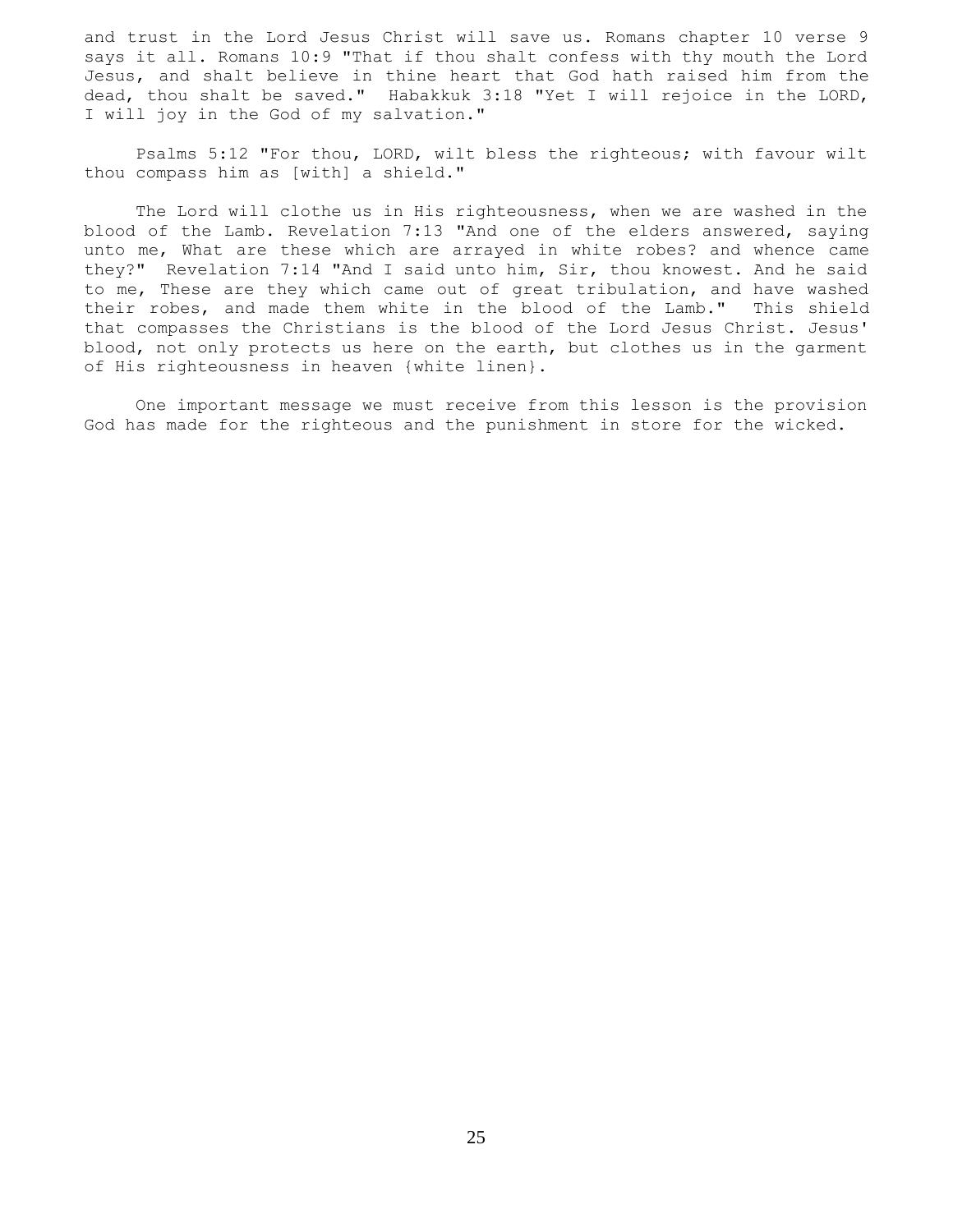and trust in the Lord Jesus Christ will save us. Romans chapter 10 verse 9 says it all. Romans 10:9 "That if thou shalt confess with thy mouth the Lord Jesus, and shalt believe in thine heart that God hath raised him from the dead, thou shalt be saved." Habakkuk 3:18 "Yet I will rejoice in the LORD, I will joy in the God of my salvation."

 Psalms 5:12 "For thou, LORD, wilt bless the righteous; with favour wilt thou compass him as [with] a shield."

 The Lord will clothe us in His righteousness, when we are washed in the blood of the Lamb. Revelation 7:13 "And one of the elders answered, saying unto me, What are these which are arrayed in white robes? and whence came they?" Revelation 7:14 "And I said unto him, Sir, thou knowest. And he said to me, These are they which came out of great tribulation, and have washed their robes, and made them white in the blood of the Lamb." This shield that compasses the Christians is the blood of the Lord Jesus Christ. Jesus' blood, not only protects us here on the earth, but clothes us in the garment of His righteousness in heaven {white linen}.

 One important message we must receive from this lesson is the provision God has made for the righteous and the punishment in store for the wicked.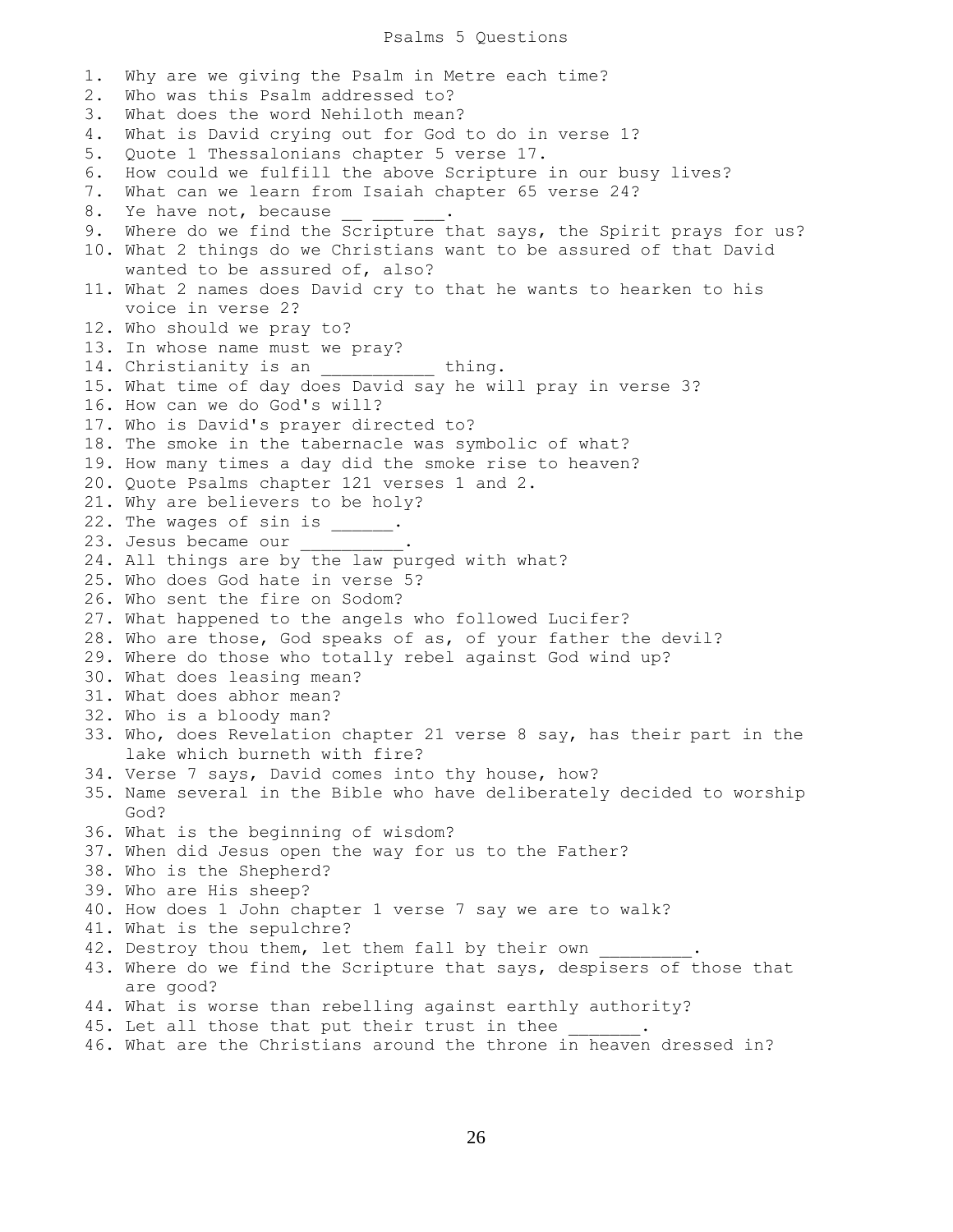## Psalms 5 Questions

1. Why are we giving the Psalm in Metre each time? 2. Who was this Psalm addressed to? 3. What does the word Nehiloth mean? 4. What is David crying out for God to do in verse 1? 5. Quote 1 Thessalonians chapter 5 verse 17. 6. How could we fulfill the above Scripture in our busy lives? 7. What can we learn from Isaiah chapter 65 verse 24? 8. Ye have not, because 9. Where do we find the Scripture that says, the Spirit prays for us? 10. What 2 things do we Christians want to be assured of that David wanted to be assured of, also? 11. What 2 names does David cry to that he wants to hearken to his voice in verse 2? 12. Who should we pray to? 13. In whose name must we pray? 14. Christianity is an \_\_\_\_\_\_\_\_\_\_ thing. 15. What time of day does David say he will pray in verse 3? 16. How can we do God's will? 17. Who is David's prayer directed to? 18. The smoke in the tabernacle was symbolic of what? 19. How many times a day did the smoke rise to heaven? 20. Quote Psalms chapter 121 verses 1 and 2. 21. Why are believers to be holy? 22. The wages of sin is  $\frac{1}{\sqrt{2}}$ . 23. Jesus became our \_\_\_\_ 24. All things are by the law purged with what? 25. Who does God hate in verse 5? 26. Who sent the fire on Sodom? 27. What happened to the angels who followed Lucifer? 28. Who are those, God speaks of as, of your father the devil? 29. Where do those who totally rebel against God wind up? 30. What does leasing mean? 31. What does abhor mean? 32. Who is a bloody man? 33. Who, does Revelation chapter 21 verse 8 say, has their part in the lake which burneth with fire? 34. Verse 7 says, David comes into thy house, how? 35. Name several in the Bible who have deliberately decided to worship God? 36. What is the beginning of wisdom? 37. When did Jesus open the way for us to the Father? 38. Who is the Shepherd? 39. Who are His sheep? 40. How does 1 John chapter 1 verse 7 say we are to walk? 41. What is the sepulchre? 42. Destroy thou them, let them fall by their own 43. Where do we find the Scripture that says, despisers of those that are good? 44. What is worse than rebelling against earthly authority? 45. Let all those that put their trust in thee 46. What are the Christians around the throne in heaven dressed in?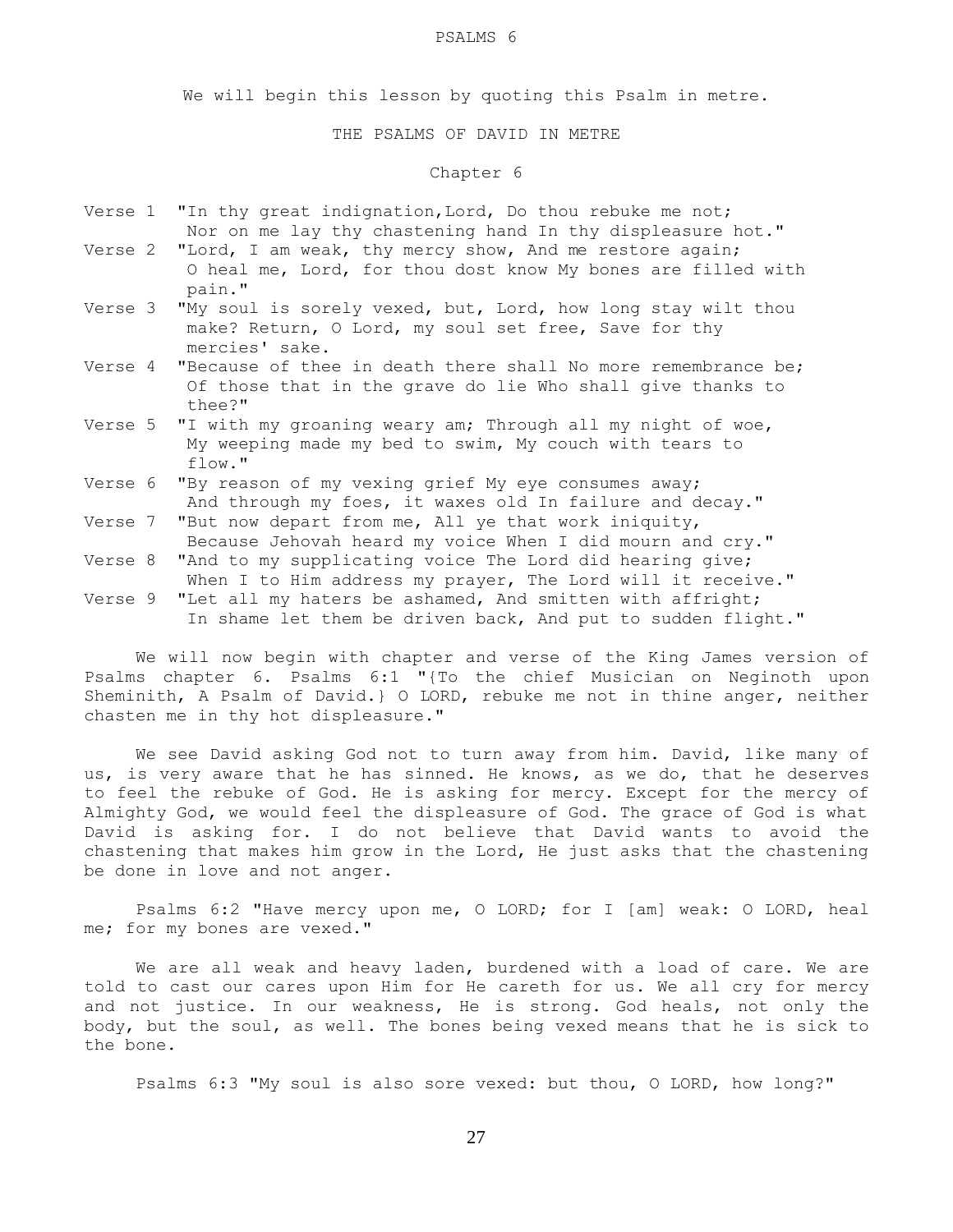#### PSALMS 6

We will begin this lesson by quoting this Psalm in metre.

# THE PSALMS OF DAVID IN METRE

# Chapter 6

- Verse 1 "In thy great indignation, Lord, Do thou rebuke me not; Nor on me lay thy chastening hand In thy displeasure hot."
- Verse 2 "Lord, I am weak, thy mercy show, And me restore again; O heal me, Lord, for thou dost know My bones are filled with pain."
- Verse 3 "My soul is sorely vexed, but, Lord, how long stay wilt thou make? Return, O Lord, my soul set free, Save for thy mercies' sake.
- Verse 4 "Because of thee in death there shall No more remembrance be; Of those that in the grave do lie Who shall give thanks to thee?"
- Verse 5 "I with my groaning weary am; Through all my night of woe, My weeping made my bed to swim, My couch with tears to flow."
- Verse 6 "By reason of my vexing grief My eye consumes away; And through my foes, it waxes old In failure and decay."
- Verse 7 "But now depart from me, All ye that work iniquity,
- Because Jehovah heard my voice When I did mourn and cry." Verse 8 "And to my supplicating voice The Lord did hearing give;
- When I to Him address my prayer, The Lord will it receive."
- Verse 9 "Let all my haters be ashamed, And smitten with affright; In shame let them be driven back, And put to sudden flight."

 We will now begin with chapter and verse of the King James version of Psalms chapter 6. Psalms 6:1 "{To the chief Musician on Neginoth upon Sheminith, A Psalm of David.} O LORD, rebuke me not in thine anger, neither chasten me in thy hot displeasure."

 We see David asking God not to turn away from him. David, like many of us, is very aware that he has sinned. He knows, as we do, that he deserves to feel the rebuke of God. He is asking for mercy. Except for the mercy of Almighty God, we would feel the displeasure of God. The grace of God is what David is asking for. I do not believe that David wants to avoid the chastening that makes him grow in the Lord, He just asks that the chastening be done in love and not anger.

 Psalms 6:2 "Have mercy upon me, O LORD; for I [am] weak: O LORD, heal me; for my bones are vexed."

 We are all weak and heavy laden, burdened with a load of care. We are told to cast our cares upon Him for He careth for us. We all cry for mercy and not justice. In our weakness, He is strong. God heals, not only the body, but the soul, as well. The bones being vexed means that he is sick to the bone.

Psalms 6:3 "My soul is also sore vexed: but thou, O LORD, how long?"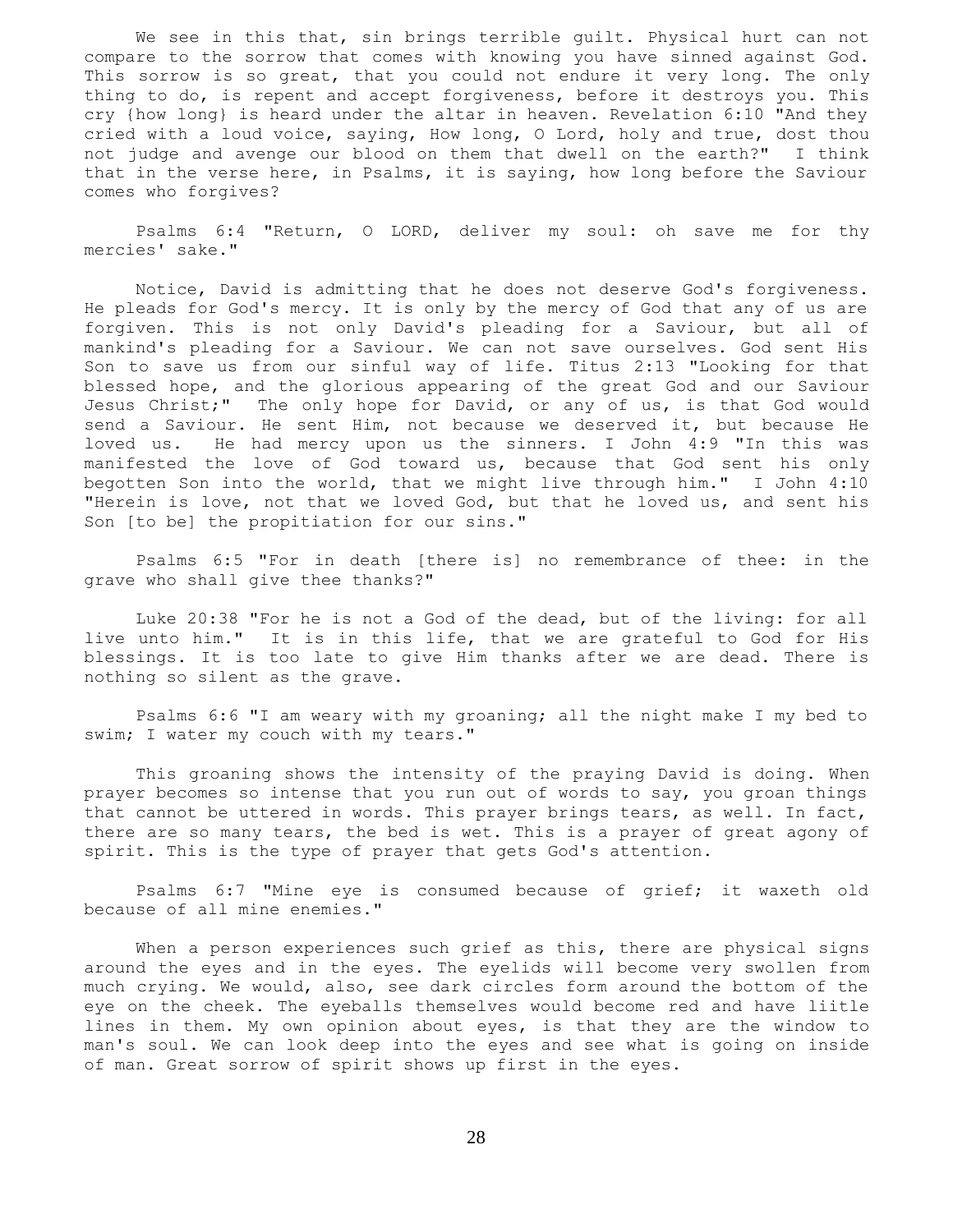We see in this that, sin brings terrible quilt. Physical hurt can not compare to the sorrow that comes with knowing you have sinned against God. This sorrow is so great, that you could not endure it very long. The only thing to do, is repent and accept forgiveness, before it destroys you. This cry {how long} is heard under the altar in heaven. Revelation 6:10 "And they cried with a loud voice, saying, How long, O Lord, holy and true, dost thou not judge and avenge our blood on them that dwell on the earth?" I think that in the verse here, in Psalms, it is saying, how long before the Saviour comes who forgives?

 Psalms 6:4 "Return, O LORD, deliver my soul: oh save me for thy mercies' sake."

 Notice, David is admitting that he does not deserve God's forgiveness. He pleads for God's mercy. It is only by the mercy of God that any of us are forgiven. This is not only David's pleading for a Saviour, but all of mankind's pleading for a Saviour. We can not save ourselves. God sent His Son to save us from our sinful way of life. Titus 2:13 "Looking for that blessed hope, and the glorious appearing of the great God and our Saviour Jesus Christ;" The only hope for David, or any of us, is that God would send a Saviour. He sent Him, not because we deserved it, but because He loved us. He had mercy upon us the sinners. I John 4:9 "In this was manifested the love of God toward us, because that God sent his only begotten Son into the world, that we might live through him." I John 4:10 "Herein is love, not that we loved God, but that he loved us, and sent his Son [to be] the propitiation for our sins."

 Psalms 6:5 "For in death [there is] no remembrance of thee: in the grave who shall give thee thanks?"

 Luke 20:38 "For he is not a God of the dead, but of the living: for all live unto him." It is in this life, that we are grateful to God for His blessings. It is too late to give Him thanks after we are dead. There is nothing so silent as the grave.

 Psalms 6:6 "I am weary with my groaning; all the night make I my bed to swim; I water my couch with my tears."

 This groaning shows the intensity of the praying David is doing. When prayer becomes so intense that you run out of words to say, you groan things that cannot be uttered in words. This prayer brings tears, as well. In fact, there are so many tears, the bed is wet. This is a prayer of great agony of spirit. This is the type of prayer that gets God's attention.

 Psalms 6:7 "Mine eye is consumed because of grief; it waxeth old because of all mine enemies."

When a person experiences such grief as this, there are physical signs around the eyes and in the eyes. The eyelids will become very swollen from much crying. We would, also, see dark circles form around the bottom of the eye on the cheek. The eyeballs themselves would become red and have liitle lines in them. My own opinion about eyes, is that they are the window to man's soul. We can look deep into the eyes and see what is going on inside of man. Great sorrow of spirit shows up first in the eyes.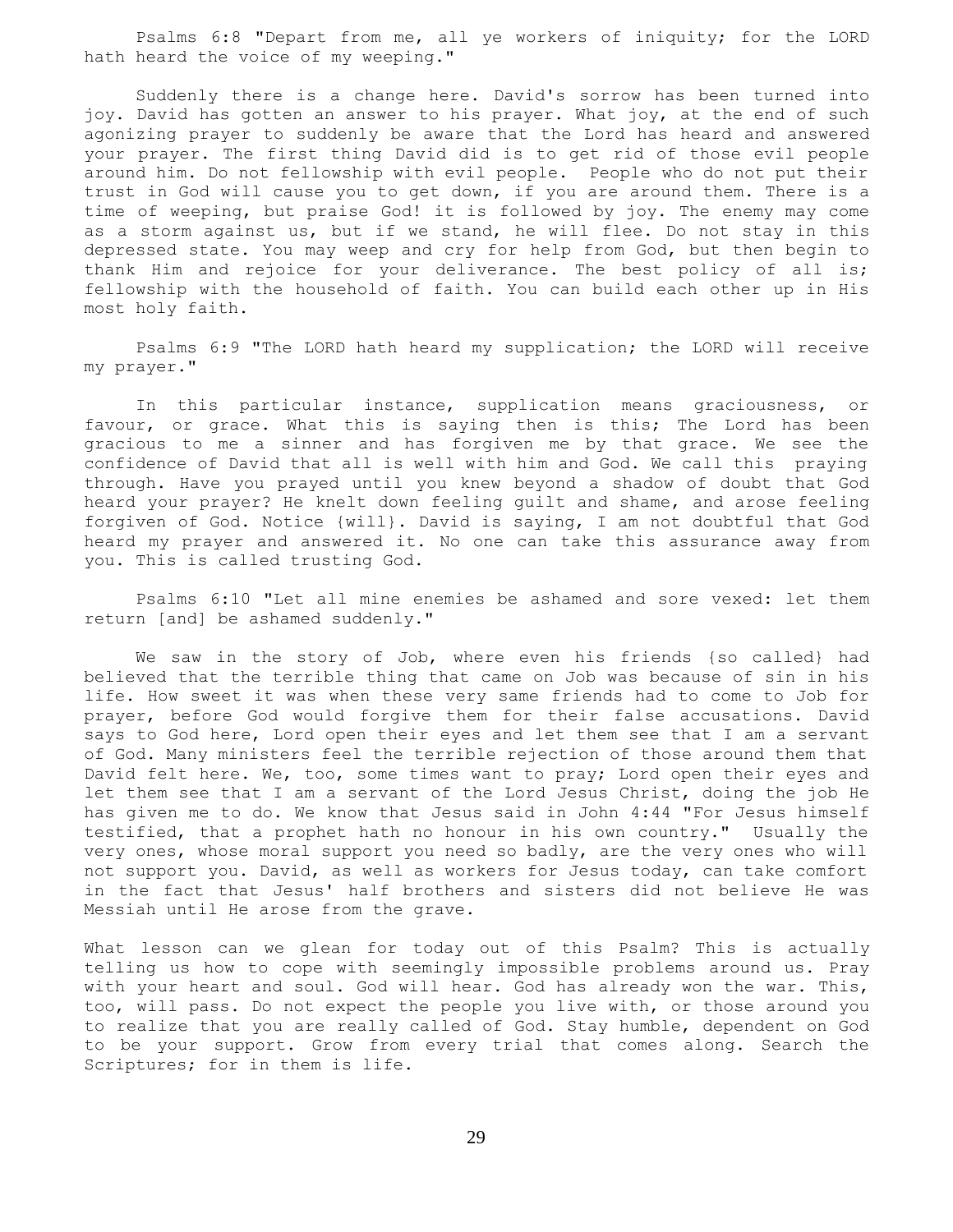Psalms 6:8 "Depart from me, all ye workers of iniquity; for the LORD hath heard the voice of my weeping."

 Suddenly there is a change here. David's sorrow has been turned into joy. David has gotten an answer to his prayer. What joy, at the end of such agonizing prayer to suddenly be aware that the Lord has heard and answered your prayer. The first thing David did is to get rid of those evil people around him. Do not fellowship with evil people. People who do not put their trust in God will cause you to get down, if you are around them. There is a time of weeping, but praise God! it is followed by joy. The enemy may come as a storm against us, but if we stand, he will flee. Do not stay in this depressed state. You may weep and cry for help from God, but then begin to thank Him and rejoice for your deliverance. The best policy of all is; fellowship with the household of faith. You can build each other up in His most holy faith.

 Psalms 6:9 "The LORD hath heard my supplication; the LORD will receive my prayer."

 In this particular instance, supplication means graciousness, or favour, or grace. What this is saying then is this; The Lord has been gracious to me a sinner and has forgiven me by that grace. We see the confidence of David that all is well with him and God. We call this praying through. Have you prayed until you knew beyond a shadow of doubt that God heard your prayer? He knelt down feeling guilt and shame, and arose feeling forgiven of God. Notice {will}. David is saying, I am not doubtful that God heard my prayer and answered it. No one can take this assurance away from you. This is called trusting God.

 Psalms 6:10 "Let all mine enemies be ashamed and sore vexed: let them return [and] be ashamed suddenly."

 We saw in the story of Job, where even his friends {so called} had believed that the terrible thing that came on Job was because of sin in his life. How sweet it was when these very same friends had to come to Job for prayer, before God would forgive them for their false accusations. David says to God here, Lord open their eyes and let them see that I am a servant of God. Many ministers feel the terrible rejection of those around them that David felt here. We, too, some times want to pray; Lord open their eyes and let them see that I am a servant of the Lord Jesus Christ, doing the job He has given me to do. We know that Jesus said in John 4:44 "For Jesus himself testified, that a prophet hath no honour in his own country." Usually the very ones, whose moral support you need so badly, are the very ones who will not support you. David, as well as workers for Jesus today, can take comfort in the fact that Jesus' half brothers and sisters did not believe He was Messiah until He arose from the grave.

What lesson can we glean for today out of this Psalm? This is actually telling us how to cope with seemingly impossible problems around us. Pray with your heart and soul. God will hear. God has already won the war. This, too, will pass. Do not expect the people you live with, or those around you to realize that you are really called of God. Stay humble, dependent on God to be your support. Grow from every trial that comes along. Search the Scriptures; for in them is life.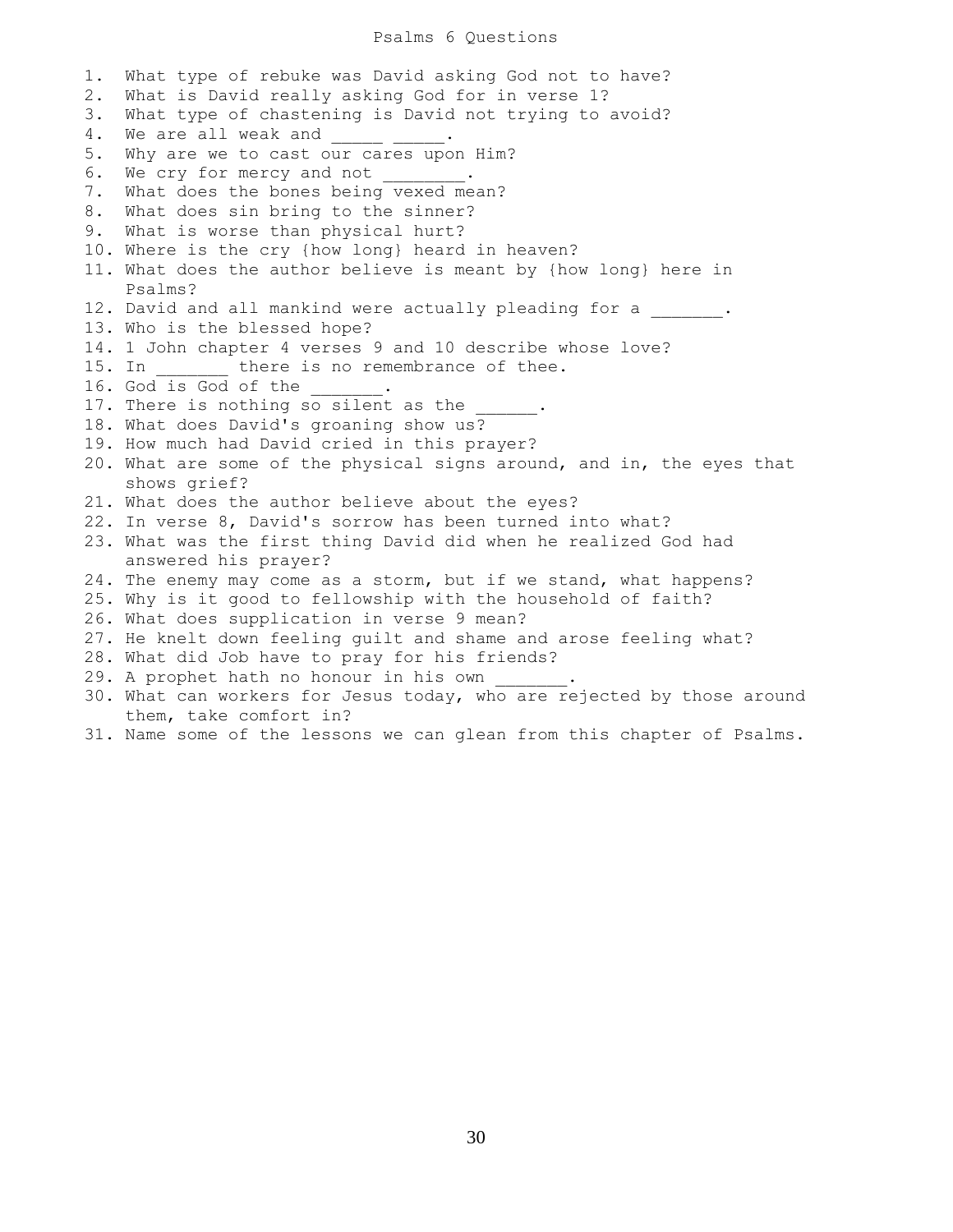## Psalms 6 Questions

1. What type of rebuke was David asking God not to have? 2. What is David really asking God for in verse 1? 3. What type of chastening is David not trying to avoid? 4. We are all weak and \_\_\_\_\_\_ \_\_\_\_\_. 5. Why are we to cast our cares upon Him? 6. We cry for mercy and not \_\_\_\_\_\_\_\_. 7. What does the bones being vexed mean? 8. What does sin bring to the sinner? 9. What is worse than physical hurt? 10. Where is the cry {how long} heard in heaven? 11. What does the author believe is meant by {how long} here in Psalms? 12. David and all mankind were actually pleading for a  $\qquad \qquad$ 13. Who is the blessed hope? 14. 1 John chapter 4 verses 9 and 10 describe whose love? 15. In there is no remembrance of thee. 16. God is God of the \_\_\_\_\_\_. 17. There is nothing so silent as the 18. What does David's groaning show us? 19. How much had David cried in this prayer? 20. What are some of the physical signs around, and in, the eyes that shows grief? 21. What does the author believe about the eyes? 22. In verse 8, David's sorrow has been turned into what? 23. What was the first thing David did when he realized God had answered his prayer? 24. The enemy may come as a storm, but if we stand, what happens? 25. Why is it good to fellowship with the household of faith? 26. What does supplication in verse 9 mean? 27. He knelt down feeling guilt and shame and arose feeling what? 28. What did Job have to pray for his friends? 29. A prophet hath no honour in his own 30. What can workers for Jesus today, who are rejected by those around them, take comfort in? 31. Name some of the lessons we can glean from this chapter of Psalms.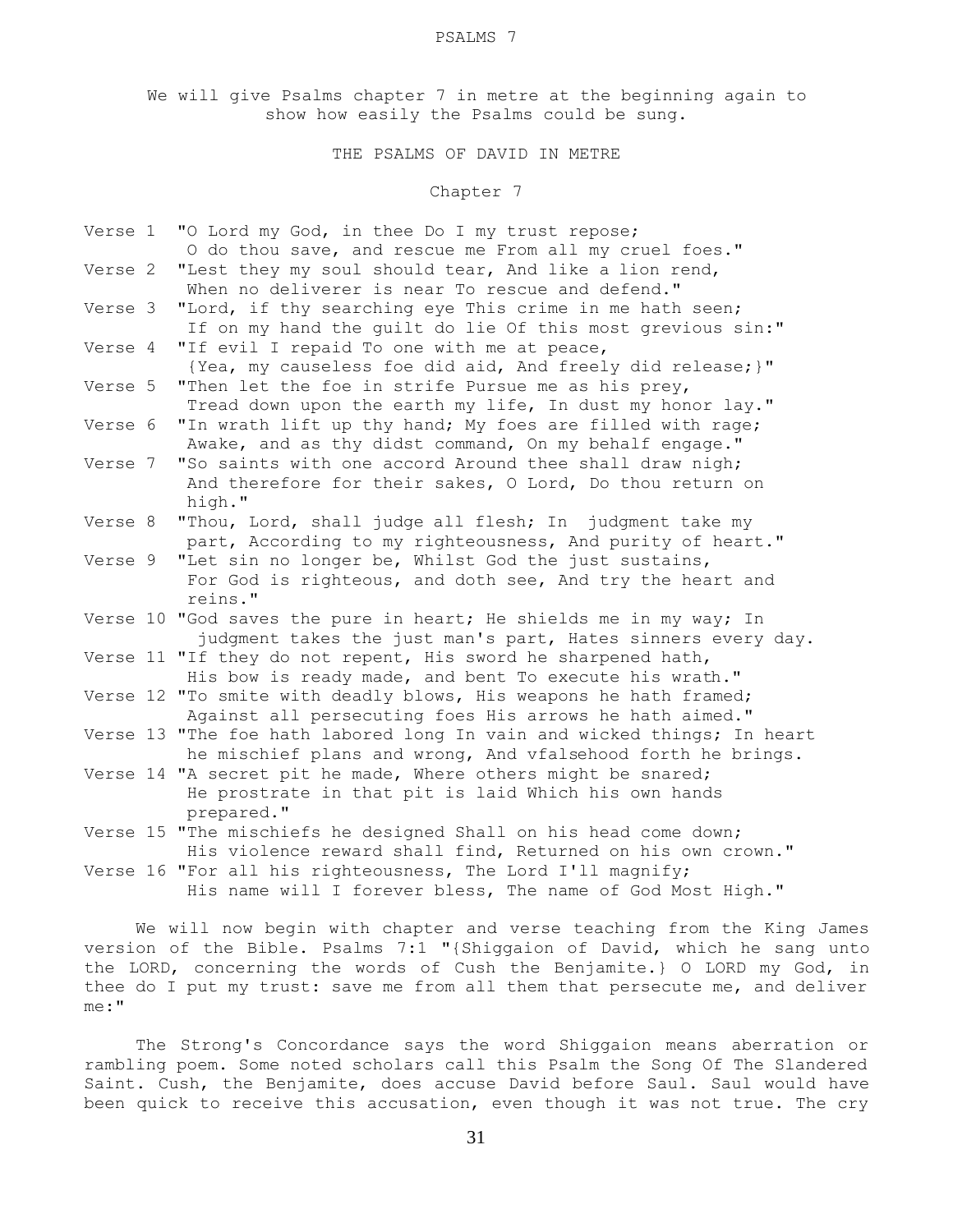We will give Psalms chapter 7 in metre at the beginning again to show how easily the Psalms could be sung.

THE PSALMS OF DAVID IN METRE

Chapter 7

| Verse 1 | "O Lord my God, in thee Do I my trust repose;                           |
|---------|-------------------------------------------------------------------------|
|         | O do thou save, and rescue me From all my cruel foes."                  |
| Verse 2 | "Lest they my soul should tear, And like a lion rend,                   |
|         | When no deliverer is near To rescue and defend."                        |
| Verse 3 | "Lord, if thy searching eye This crime in me hath seen;                 |
|         | If on my hand the quilt do lie Of this most grevious sin:"              |
| Verse 4 | "If evil I repaid To one with me at peace,                              |
|         | {Yea, my causeless foe did aid, And freely did release; }"              |
| Verse 5 | "Then let the foe in strife Pursue me as his prey,                      |
|         | Tread down upon the earth my life, In dust my honor lay."               |
| Verse 6 | "In wrath lift up thy hand; My foes are filled with rage;               |
|         | Awake, and as thy didst command, On my behalf engage."                  |
| Verse 7 | "So saints with one accord Around thee shall draw nigh;                 |
|         | And therefore for their sakes, O Lord, Do thou return on                |
|         | high."                                                                  |
| Verse 8 | "Thou, Lord, shall judge all flesh; In judgment take my                 |
|         | part, According to my righteousness, And purity of heart."              |
|         | Verse 9 "Let sin no longer be, Whilst God the just sustains,            |
|         | For God is righteous, and doth see, And try the heart and               |
|         | reins."                                                                 |
|         | Verse 10 "God saves the pure in heart; He shields me in my way; In      |
|         | judgment takes the just man's part, Hates sinners every day.            |
|         | Verse 11 "If they do not repent, His sword he sharpened hath,           |
|         | His bow is ready made, and bent To execute his wrath."                  |
|         | Verse 12 "To smite with deadly blows, His weapons he hath framed;       |
|         | Against all persecuting foes His arrows he hath aimed."                 |
|         | Verse 13 "The foe hath labored long In vain and wicked things; In heart |
|         | he mischief plans and wrong, And vfalsehood forth he brings.            |
|         | Verse 14 "A secret pit he made, Where others might be snared;           |
|         | He prostrate in that pit is laid Which his own hands                    |
|         | prepared."                                                              |
|         | Verse 15 "The mischiefs he designed Shall on his head come down;        |
|         | His violence reward shall find, Returned on his own crown."             |
|         | Verse 16 "For all his righteousness, The Lord I'll magnify;             |
|         | His name will I forever bless, The name of God Most High."              |
|         | the company's company's company's company's                             |

 We will now begin with chapter and verse teaching from the King James version of the Bible. Psalms 7:1 "{Shiggaion of David, which he sang unto the LORD, concerning the words of Cush the Benjamite.} O LORD my God, in thee do I put my trust: save me from all them that persecute me, and deliver me:"

 The Strong's Concordance says the word Shiggaion means aberration or rambling poem. Some noted scholars call this Psalm the Song Of The Slandered Saint. Cush, the Benjamite, does accuse David before Saul. Saul would have been quick to receive this accusation, even though it was not true. The cry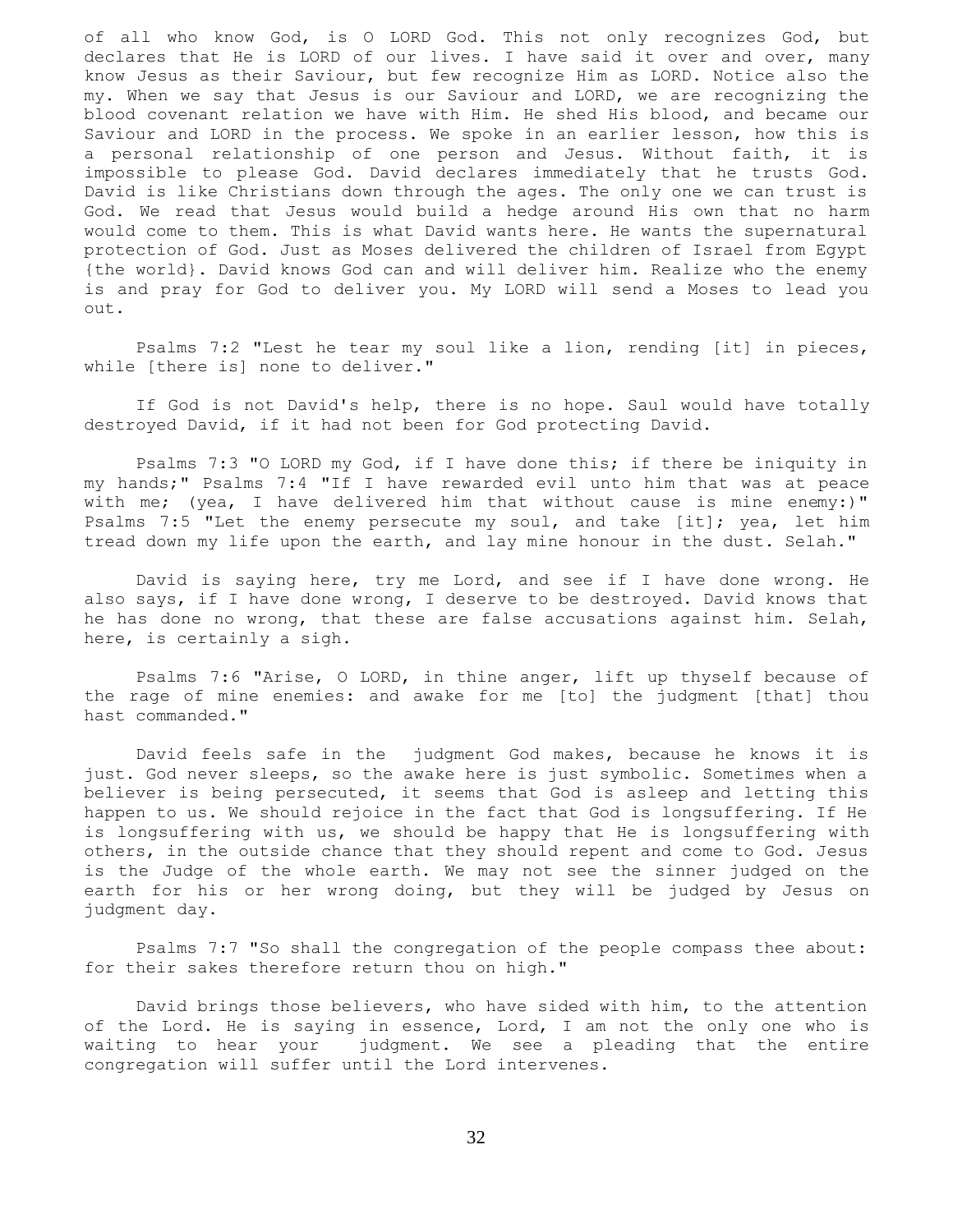of all who know God, is O LORD God. This not only recognizes God, but declares that He is LORD of our lives. I have said it over and over, many know Jesus as their Saviour, but few recognize Him as LORD. Notice also the my. When we say that Jesus is our Saviour and LORD, we are recognizing the blood covenant relation we have with Him. He shed His blood, and became our Saviour and LORD in the process. We spoke in an earlier lesson, how this is a personal relationship of one person and Jesus. Without faith, it is impossible to please God. David declares immediately that he trusts God. David is like Christians down through the ages. The only one we can trust is God. We read that Jesus would build a hedge around His own that no harm would come to them. This is what David wants here. He wants the supernatural protection of God. Just as Moses delivered the children of Israel from Egypt {the world}. David knows God can and will deliver him. Realize who the enemy is and pray for God to deliver you. My LORD will send a Moses to lead you out.

 Psalms 7:2 "Lest he tear my soul like a lion, rending [it] in pieces, while [there is] none to deliver."

 If God is not David's help, there is no hope. Saul would have totally destroyed David, if it had not been for God protecting David.

 Psalms 7:3 "O LORD my God, if I have done this; if there be iniquity in my hands;" Psalms 7:4 "If I have rewarded evil unto him that was at peace with me; (yea, I have delivered him that without cause is mine enemy:)" Psalms 7:5 "Let the enemy persecute my soul, and take [it]; yea, let him tread down my life upon the earth, and lay mine honour in the dust. Selah."

 David is saying here, try me Lord, and see if I have done wrong. He also says, if I have done wrong, I deserve to be destroyed. David knows that he has done no wrong, that these are false accusations against him. Selah, here, is certainly a sigh.

 Psalms 7:6 "Arise, O LORD, in thine anger, lift up thyself because of the rage of mine enemies: and awake for me [to] the judgment [that] thou hast commanded."

 David feels safe in the judgment God makes, because he knows it is just. God never sleeps, so the awake here is just symbolic. Sometimes when a believer is being persecuted, it seems that God is asleep and letting this happen to us. We should rejoice in the fact that God is longsuffering. If He is longsuffering with us, we should be happy that He is longsuffering with others, in the outside chance that they should repent and come to God. Jesus is the Judge of the whole earth. We may not see the sinner judged on the earth for his or her wrong doing, but they will be judged by Jesus on judgment day.

 Psalms 7:7 "So shall the congregation of the people compass thee about: for their sakes therefore return thou on high."

 David brings those believers, who have sided with him, to the attention of the Lord. He is saying in essence, Lord, I am not the only one who is waiting to hear your judgment. We see a pleading that the entire congregation will suffer until the Lord intervenes.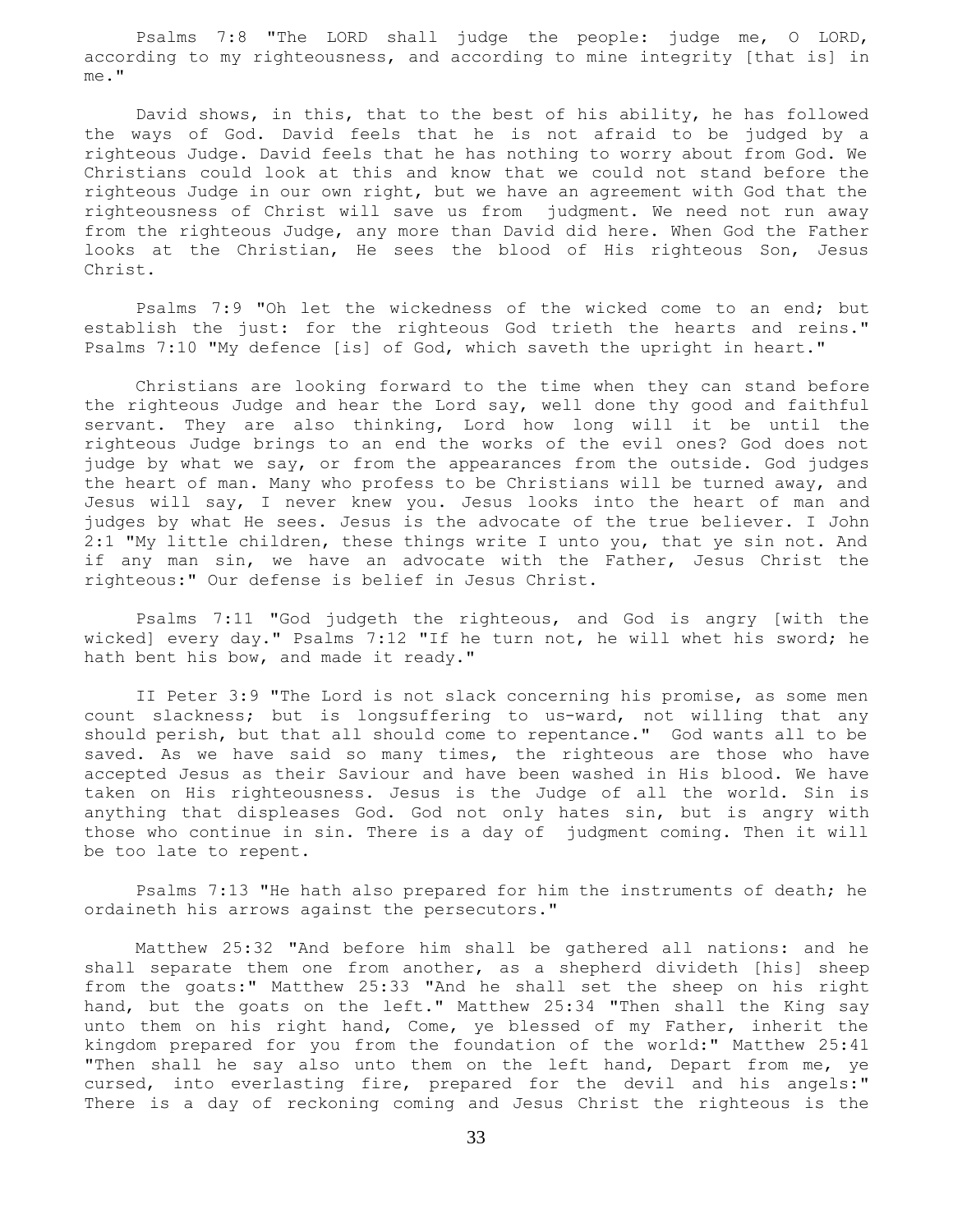Psalms 7:8 "The LORD shall judge the people: judge me, O LORD, according to my righteousness, and according to mine integrity [that is] in me."

 David shows, in this, that to the best of his ability, he has followed the ways of God. David feels that he is not afraid to be judged by a righteous Judge. David feels that he has nothing to worry about from God. We Christians could look at this and know that we could not stand before the righteous Judge in our own right, but we have an agreement with God that the righteousness of Christ will save us from judgment. We need not run away from the righteous Judge, any more than David did here. When God the Father looks at the Christian, He sees the blood of His righteous Son, Jesus Christ.

 Psalms 7:9 "Oh let the wickedness of the wicked come to an end; but establish the just: for the righteous God trieth the hearts and reins." Psalms 7:10 "My defence [is] of God, which saveth the upright in heart."

 Christians are looking forward to the time when they can stand before the righteous Judge and hear the Lord say, well done thy good and faithful servant. They are also thinking, Lord how long will it be until the righteous Judge brings to an end the works of the evil ones? God does not judge by what we say, or from the appearances from the outside. God judges the heart of man. Many who profess to be Christians will be turned away, and Jesus will say, I never knew you. Jesus looks into the heart of man and judges by what He sees. Jesus is the advocate of the true believer. I John 2:1 "My little children, these things write I unto you, that ye sin not. And if any man sin, we have an advocate with the Father, Jesus Christ the righteous:" Our defense is belief in Jesus Christ.

 Psalms 7:11 "God judgeth the righteous, and God is angry [with the wicked] every day." Psalms 7:12 "If he turn not, he will whet his sword; he hath bent his bow, and made it ready."

 II Peter 3:9 "The Lord is not slack concerning his promise, as some men count slackness; but is longsuffering to us-ward, not willing that any should perish, but that all should come to repentance." God wants all to be saved. As we have said so many times, the righteous are those who have accepted Jesus as their Saviour and have been washed in His blood. We have taken on His righteousness. Jesus is the Judge of all the world. Sin is anything that displeases God. God not only hates sin, but is angry with those who continue in sin. There is a day of judgment coming. Then it will be too late to repent.

 Psalms 7:13 "He hath also prepared for him the instruments of death; he ordaineth his arrows against the persecutors."

 Matthew 25:32 "And before him shall be gathered all nations: and he shall separate them one from another, as a shepherd divideth [his] sheep from the goats:" Matthew 25:33 "And he shall set the sheep on his right hand, but the goats on the left." Matthew 25:34 "Then shall the King say unto them on his right hand, Come, ye blessed of my Father, inherit the kingdom prepared for you from the foundation of the world:" Matthew 25:41 "Then shall he say also unto them on the left hand, Depart from me, ye cursed, into everlasting fire, prepared for the devil and his angels:" There is a day of reckoning coming and Jesus Christ the righteous is the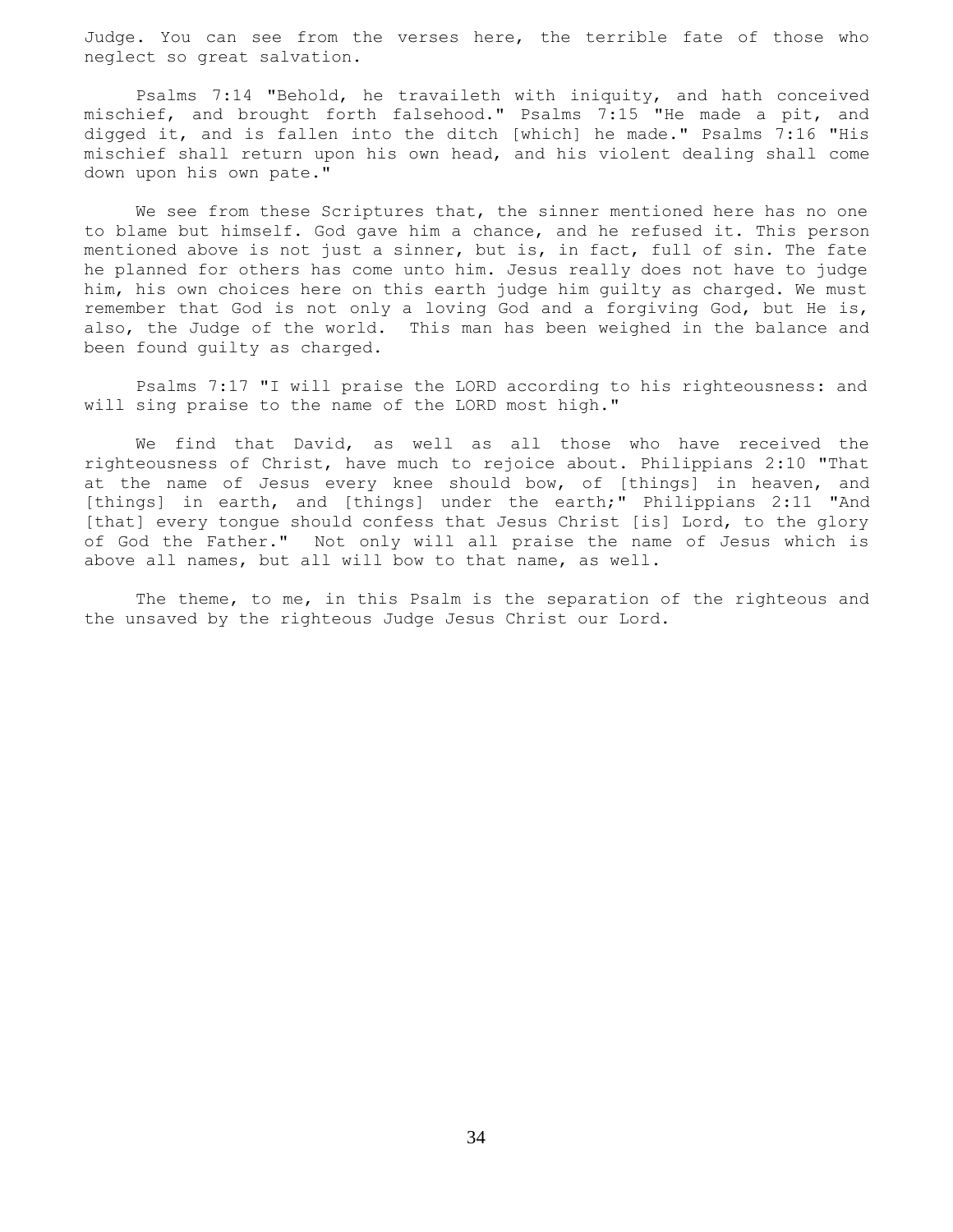Judge. You can see from the verses here, the terrible fate of those who neglect so great salvation.

 Psalms 7:14 "Behold, he travaileth with iniquity, and hath conceived mischief, and brought forth falsehood." Psalms 7:15 "He made a pit, and digged it, and is fallen into the ditch [which] he made." Psalms 7:16 "His mischief shall return upon his own head, and his violent dealing shall come down upon his own pate."

We see from these Scriptures that, the sinner mentioned here has no one to blame but himself. God gave him a chance, and he refused it. This person mentioned above is not just a sinner, but is, in fact, full of sin. The fate he planned for others has come unto him. Jesus really does not have to judge him, his own choices here on this earth judge him guilty as charged. We must remember that God is not only a loving God and a forgiving God, but He is, also, the Judge of the world. This man has been weighed in the balance and been found guilty as charged.

 Psalms 7:17 "I will praise the LORD according to his righteousness: and will sing praise to the name of the LORD most high."

 We find that David, as well as all those who have received the righteousness of Christ, have much to rejoice about. Philippians 2:10 "That at the name of Jesus every knee should bow, of [things] in heaven, and [things] in earth, and [things] under the earth;" Philippians 2:11 "And [that] every tongue should confess that Jesus Christ [is] Lord, to the glory of God the Father." Not only will all praise the name of Jesus which is above all names, but all will bow to that name, as well.

 The theme, to me, in this Psalm is the separation of the righteous and the unsaved by the righteous Judge Jesus Christ our Lord.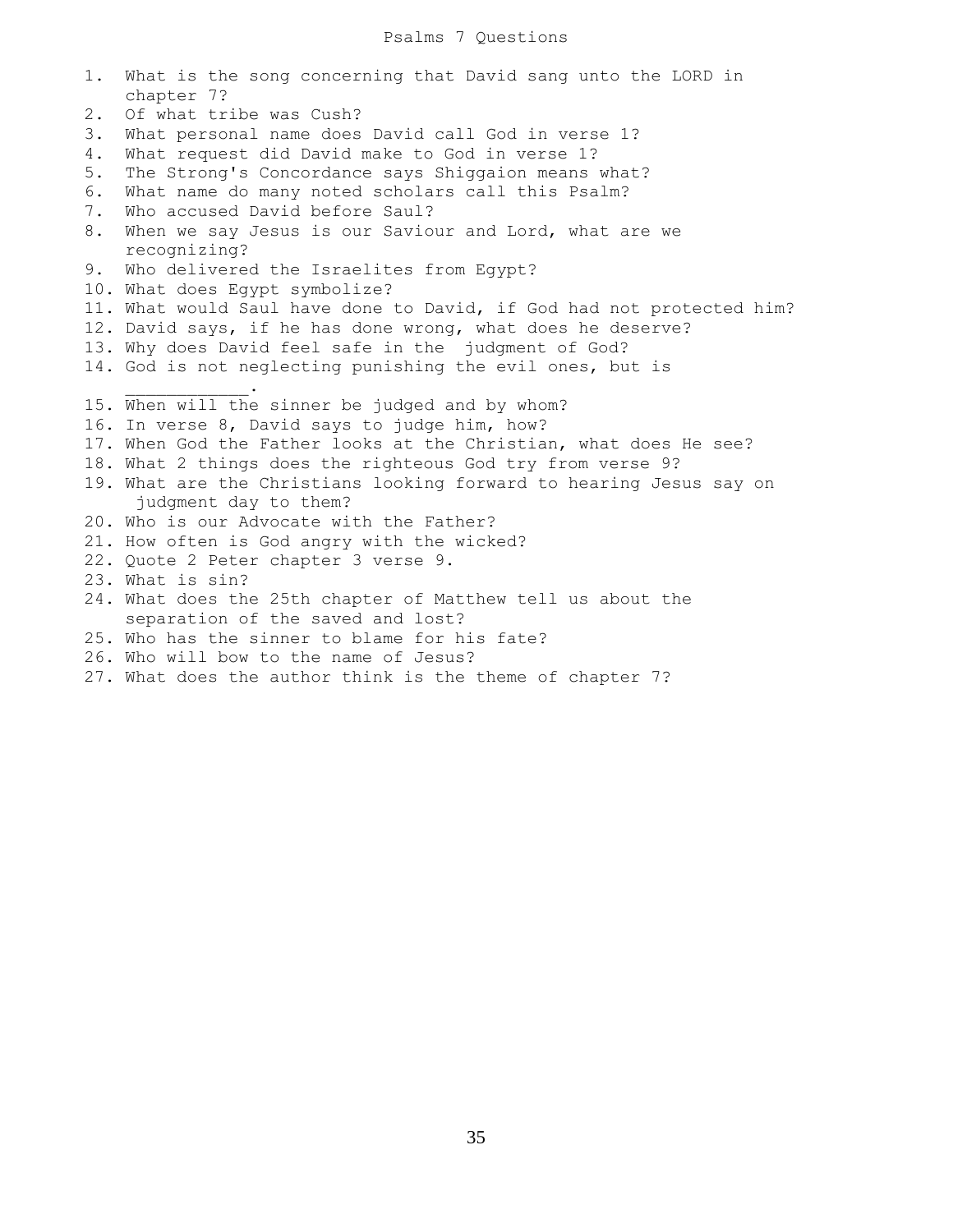# Psalms 7 Questions

| 1.    | What is the song concerning that David sang unto the LORD in<br>chapter 7? |
|-------|----------------------------------------------------------------------------|
| $2$ . | Of what tribe was Cush?                                                    |
| 3.    | What personal name does David call God in verse 1?                         |
| 4.    | What request did David make to God in verse 1?                             |
| 5.    | The Strong's Concordance says Shiggaion means what?                        |
| 6.    | What name do many noted scholars call this Psalm?                          |
| 7.    | Who accused David before Saul?                                             |
| 8.    | When we say Jesus is our Saviour and Lord, what are we                     |
|       | recognizing?                                                               |
| 9.    | Who delivered the Israelites from Egypt?                                   |
|       | 10. What does Egypt symbolize?                                             |
|       | 11. What would Saul have done to David, if God had not protected him?      |
|       | 12. David says, if he has done wrong, what does he deserve?                |
|       | 13. Why does David feel safe in the judgment of God?                       |
|       | 14. God is not neglecting punishing the evil ones, but is                  |
|       |                                                                            |
|       | 15. When will the sinner be judged and by whom?                            |
|       | 16. In verse 8, David says to judge him, how?                              |
|       | 17. When God the Father looks at the Christian, what does He see?          |
|       | 18. What 2 things does the righteous God try from verse 9?                 |
|       | 19. What are the Christians looking forward to hearing Jesus say on        |
|       | judgment day to them?                                                      |
|       | 20. Who is our Advocate with the Father?                                   |
|       | 21. How often is God angry with the wicked?                                |
|       | 22. Quote 2 Peter chapter 3 verse 9.                                       |
|       | 23. What is sin?                                                           |
|       | 24. What does the 25th chapter of Matthew tell us about the                |
|       | separation of the saved and lost?                                          |
|       | 25. Who has the sinner to blame for his fate?                              |
|       | 26. Who will bow to the name of Jesus?                                     |
|       | 27. What does the author think is the theme of chapter 7?                  |
|       |                                                                            |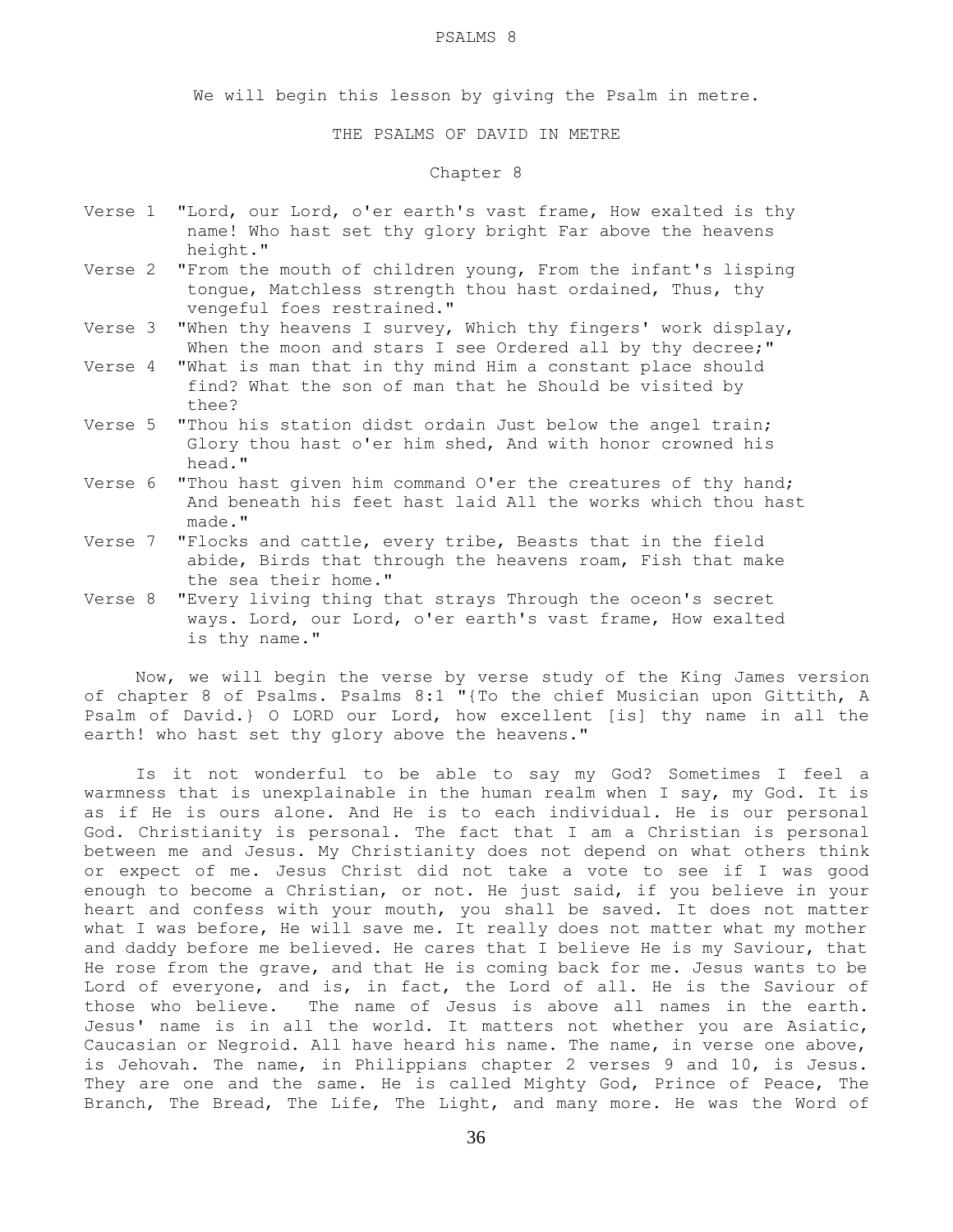#### PSALMS 8

We will begin this lesson by giving the Psalm in metre.

# THE PSALMS OF DAVID IN METRE

# Chapter 8

- Verse 1 "Lord, our Lord, o'er earth's vast frame, How exalted is thy name! Who hast set thy glory bright Far above the heavens height."
- Verse 2 "From the mouth of children young, From the infant's lisping tongue, Matchless strength thou hast ordained, Thus, thy vengeful foes restrained."
- Verse 3 "When thy heavens I survey, Which thy fingers' work display, When the moon and stars I see Ordered all by thy decree;"
- Verse 4 "What is man that in thy mind Him a constant place should find? What the son of man that he Should be visited by thee?
- Verse 5 "Thou his station didst ordain Just below the angel train; Glory thou hast o'er him shed, And with honor crowned his head."
- Verse 6 "Thou hast given him command O'er the creatures of thy hand; And beneath his feet hast laid All the works which thou hast made."
- Verse 7 "Flocks and cattle, every tribe, Beasts that in the field abide, Birds that through the heavens roam, Fish that make the sea their home."
- Verse 8 "Every living thing that strays Through the oceon's secret ways. Lord, our Lord, o'er earth's vast frame, How exalted is thy name."

 Now, we will begin the verse by verse study of the King James version of chapter 8 of Psalms. Psalms 8:1 "{To the chief Musician upon Gittith, A Psalm of David.} O LORD our Lord, how excellent [is] thy name in all the earth! who hast set thy glory above the heavens."

 Is it not wonderful to be able to say my God? Sometimes I feel a warmness that is unexplainable in the human realm when I say, my God. It is as if He is ours alone. And He is to each individual. He is our personal God. Christianity is personal. The fact that I am a Christian is personal between me and Jesus. My Christianity does not depend on what others think or expect of me. Jesus Christ did not take a vote to see if I was good enough to become a Christian, or not. He just said, if you believe in your heart and confess with your mouth, you shall be saved. It does not matter what I was before, He will save me. It really does not matter what my mother and daddy before me believed. He cares that I believe He is my Saviour, that He rose from the grave, and that He is coming back for me. Jesus wants to be Lord of everyone, and is, in fact, the Lord of all. He is the Saviour of those who believe. The name of Jesus is above all names in the earth. Jesus' name is in all the world. It matters not whether you are Asiatic, Caucasian or Negroid. All have heard his name. The name, in verse one above, is Jehovah. The name, in Philippians chapter 2 verses 9 and 10, is Jesus. They are one and the same. He is called Mighty God, Prince of Peace, The Branch, The Bread, The Life, The Light, and many more. He was the Word of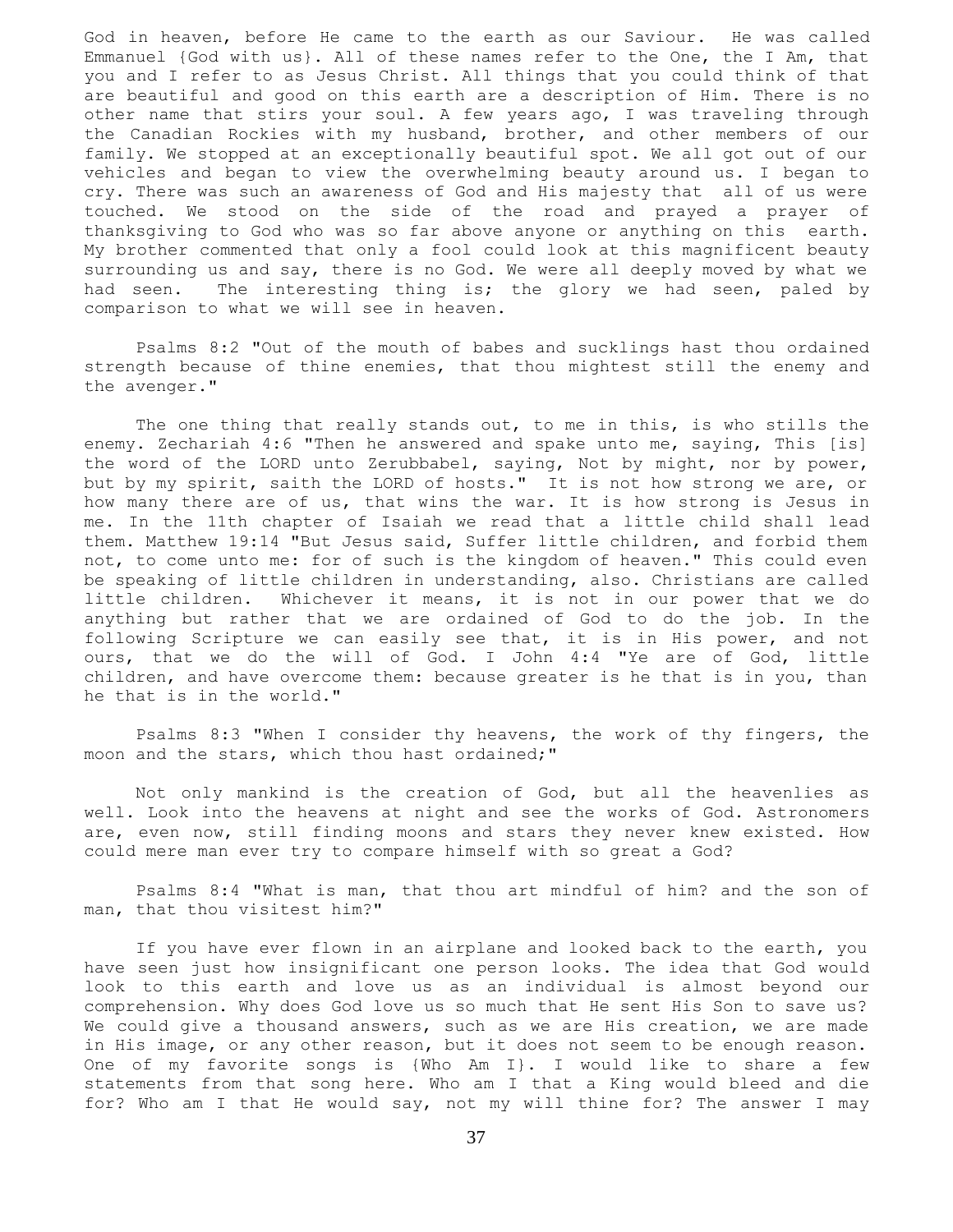God in heaven, before He came to the earth as our Saviour. He was called Emmanuel {God with us}. All of these names refer to the One, the I Am, that you and I refer to as Jesus Christ. All things that you could think of that are beautiful and good on this earth are a description of Him. There is no other name that stirs your soul. A few years ago, I was traveling through the Canadian Rockies with my husband, brother, and other members of our family. We stopped at an exceptionally beautiful spot. We all got out of our vehicles and began to view the overwhelming beauty around us. I began to cry. There was such an awareness of God and His majesty that all of us were touched. We stood on the side of the road and prayed a prayer of thanksgiving to God who was so far above anyone or anything on this earth. My brother commented that only a fool could look at this magnificent beauty surrounding us and say, there is no God. We were all deeply moved by what we had seen. The interesting thing is; the glory we had seen, paled by comparison to what we will see in heaven.

 Psalms 8:2 "Out of the mouth of babes and sucklings hast thou ordained strength because of thine enemies, that thou mightest still the enemy and the avenger."

 The one thing that really stands out, to me in this, is who stills the enemy. Zechariah 4:6 "Then he answered and spake unto me, saying, This [is] the word of the LORD unto Zerubbabel, saying, Not by might, nor by power, but by my spirit, saith the LORD of hosts." It is not how strong we are, or how many there are of us, that wins the war. It is how strong is Jesus in me. In the 11th chapter of Isaiah we read that a little child shall lead them. Matthew 19:14 "But Jesus said, Suffer little children, and forbid them not, to come unto me: for of such is the kingdom of heaven." This could even be speaking of little children in understanding, also. Christians are called little children. Whichever it means, it is not in our power that we do anything but rather that we are ordained of God to do the job. In the following Scripture we can easily see that, it is in His power, and not ours, that we do the will of God. I John 4:4 "Ye are of God, little children, and have overcome them: because greater is he that is in you, than he that is in the world."

 Psalms 8:3 "When I consider thy heavens, the work of thy fingers, the moon and the stars, which thou hast ordained;"

 Not only mankind is the creation of God, but all the heavenlies as well. Look into the heavens at night and see the works of God. Astronomers are, even now, still finding moons and stars they never knew existed. How could mere man ever try to compare himself with so great a God?

 Psalms 8:4 "What is man, that thou art mindful of him? and the son of man, that thou visitest him?"

 If you have ever flown in an airplane and looked back to the earth, you have seen just how insignificant one person looks. The idea that God would look to this earth and love us as an individual is almost beyond our comprehension. Why does God love us so much that He sent His Son to save us? We could give a thousand answers, such as we are His creation, we are made in His image, or any other reason, but it does not seem to be enough reason. One of my favorite songs is {Who Am I}. I would like to share a few statements from that song here. Who am I that a King would bleed and die for? Who am I that He would say, not my will thine for? The answer I may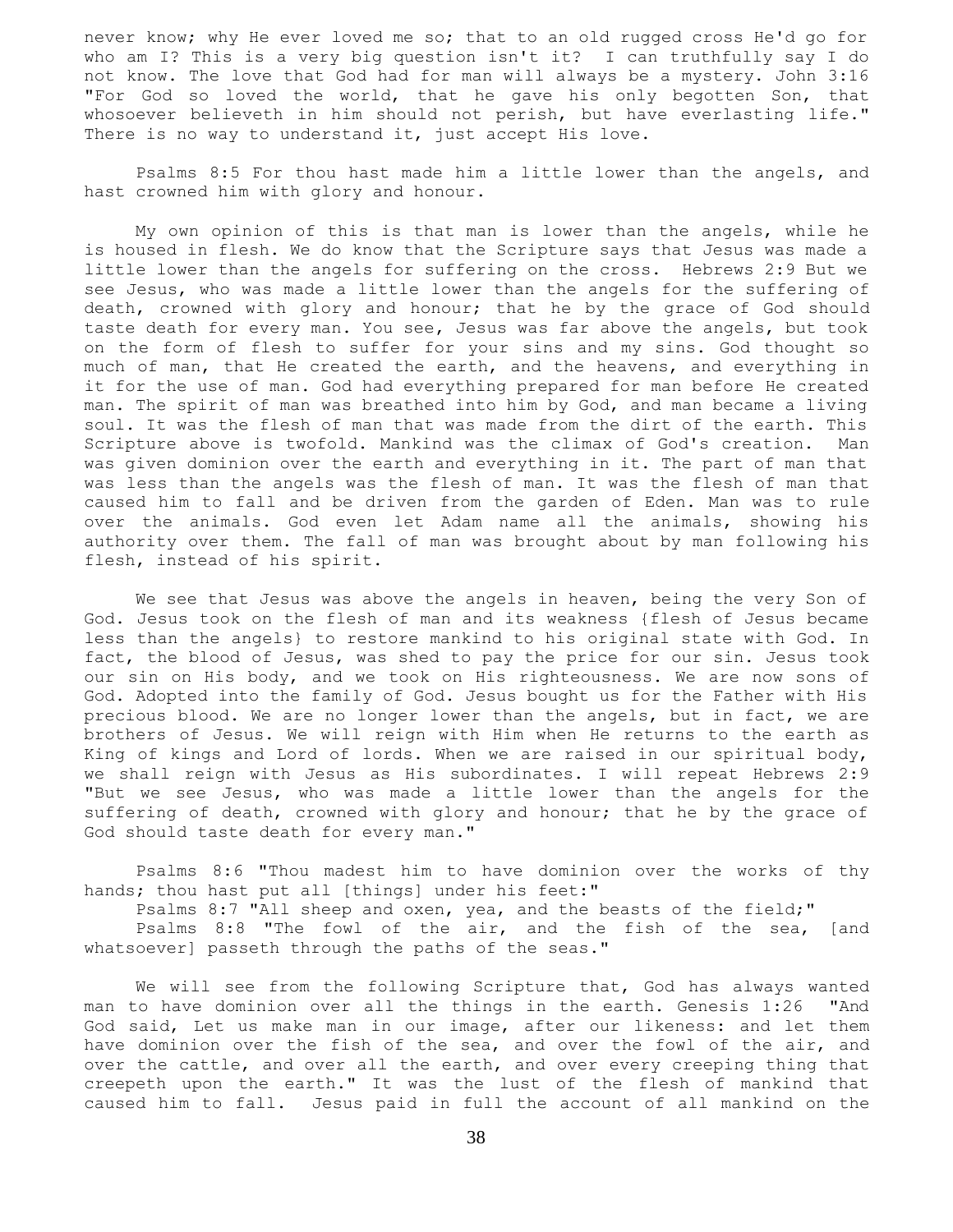never know; why He ever loved me so; that to an old rugged cross He'd go for who am I? This is a very big question isn't it? I can truthfully say I do not know. The love that God had for man will always be a mystery. John 3:16 "For God so loved the world, that he gave his only begotten Son, that whosoever believeth in him should not perish, but have everlasting life." There is no way to understand it, just accept His love.

 Psalms 8:5 For thou hast made him a little lower than the angels, and hast crowned him with glory and honour.

 My own opinion of this is that man is lower than the angels, while he is housed in flesh. We do know that the Scripture says that Jesus was made a little lower than the angels for suffering on the cross. Hebrews 2:9 But we see Jesus, who was made a little lower than the angels for the suffering of death, crowned with glory and honour; that he by the grace of God should taste death for every man. You see, Jesus was far above the angels, but took on the form of flesh to suffer for your sins and my sins. God thought so much of man, that He created the earth, and the heavens, and everything in it for the use of man. God had everything prepared for man before He created man. The spirit of man was breathed into him by God, and man became a living soul. It was the flesh of man that was made from the dirt of the earth. This Scripture above is twofold. Mankind was the climax of God's creation. Man was given dominion over the earth and everything in it. The part of man that was less than the angels was the flesh of man. It was the flesh of man that caused him to fall and be driven from the garden of Eden. Man was to rule over the animals. God even let Adam name all the animals, showing his authority over them. The fall of man was brought about by man following his flesh, instead of his spirit.

 We see that Jesus was above the angels in heaven, being the very Son of God. Jesus took on the flesh of man and its weakness {flesh of Jesus became less than the angels} to restore mankind to his original state with God. In fact, the blood of Jesus, was shed to pay the price for our sin. Jesus took our sin on His body, and we took on His righteousness. We are now sons of God. Adopted into the family of God. Jesus bought us for the Father with His precious blood. We are no longer lower than the angels, but in fact, we are brothers of Jesus. We will reign with Him when He returns to the earth as King of kings and Lord of lords. When we are raised in our spiritual body, we shall reign with Jesus as His subordinates. I will repeat Hebrews 2:9 "But we see Jesus, who was made a little lower than the angels for the suffering of death, crowned with glory and honour; that he by the grace of God should taste death for every man."

 Psalms 8:6 "Thou madest him to have dominion over the works of thy hands; thou hast put all [things] under his feet:"

Psalms 8:7 "All sheep and oxen, yea, and the beasts of the field;"

Psalms 8:8 "The fowl of the air, and the fish of the sea, [and whatsoever] passeth through the paths of the seas."

 We will see from the following Scripture that, God has always wanted man to have dominion over all the things in the earth. Genesis 1:26 "And God said, Let us make man in our image, after our likeness: and let them have dominion over the fish of the sea, and over the fowl of the air, and over the cattle, and over all the earth, and over every creeping thing that creepeth upon the earth." It was the lust of the flesh of mankind that caused him to fall. Jesus paid in full the account of all mankind on the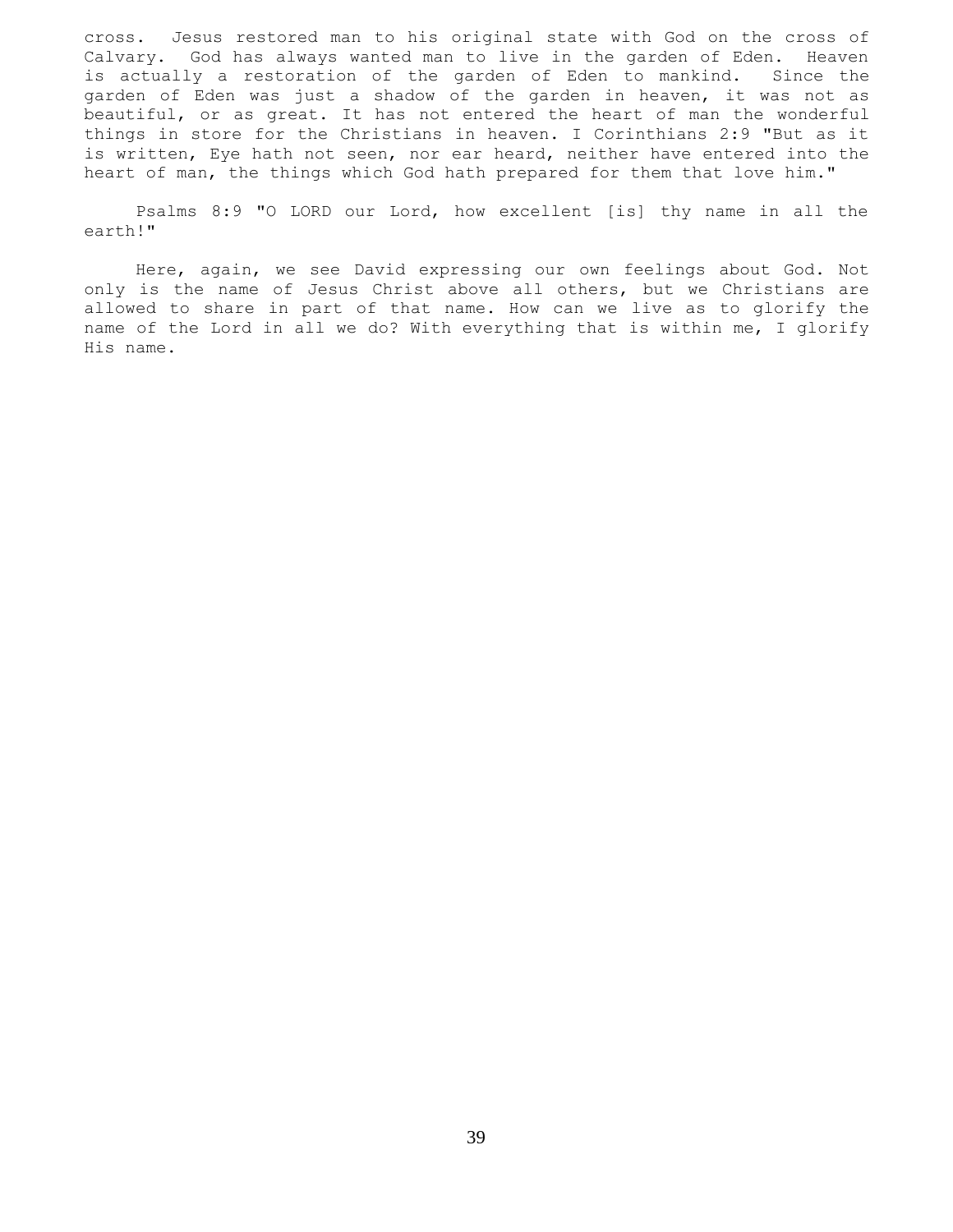cross. Jesus restored man to his original state with God on the cross of Calvary. God has always wanted man to live in the garden of Eden. Heaven is actually a restoration of the garden of Eden to mankind. Since the garden of Eden was just a shadow of the garden in heaven, it was not as beautiful, or as great. It has not entered the heart of man the wonderful things in store for the Christians in heaven. I Corinthians 2:9 "But as it is written, Eye hath not seen, nor ear heard, neither have entered into the heart of man, the things which God hath prepared for them that love him."

 Psalms 8:9 "O LORD our Lord, how excellent [is] thy name in all the earth!"

 Here, again, we see David expressing our own feelings about God. Not only is the name of Jesus Christ above all others, but we Christians are allowed to share in part of that name. How can we live as to glorify the name of the Lord in all we do? With everything that is within me, I glorify His name.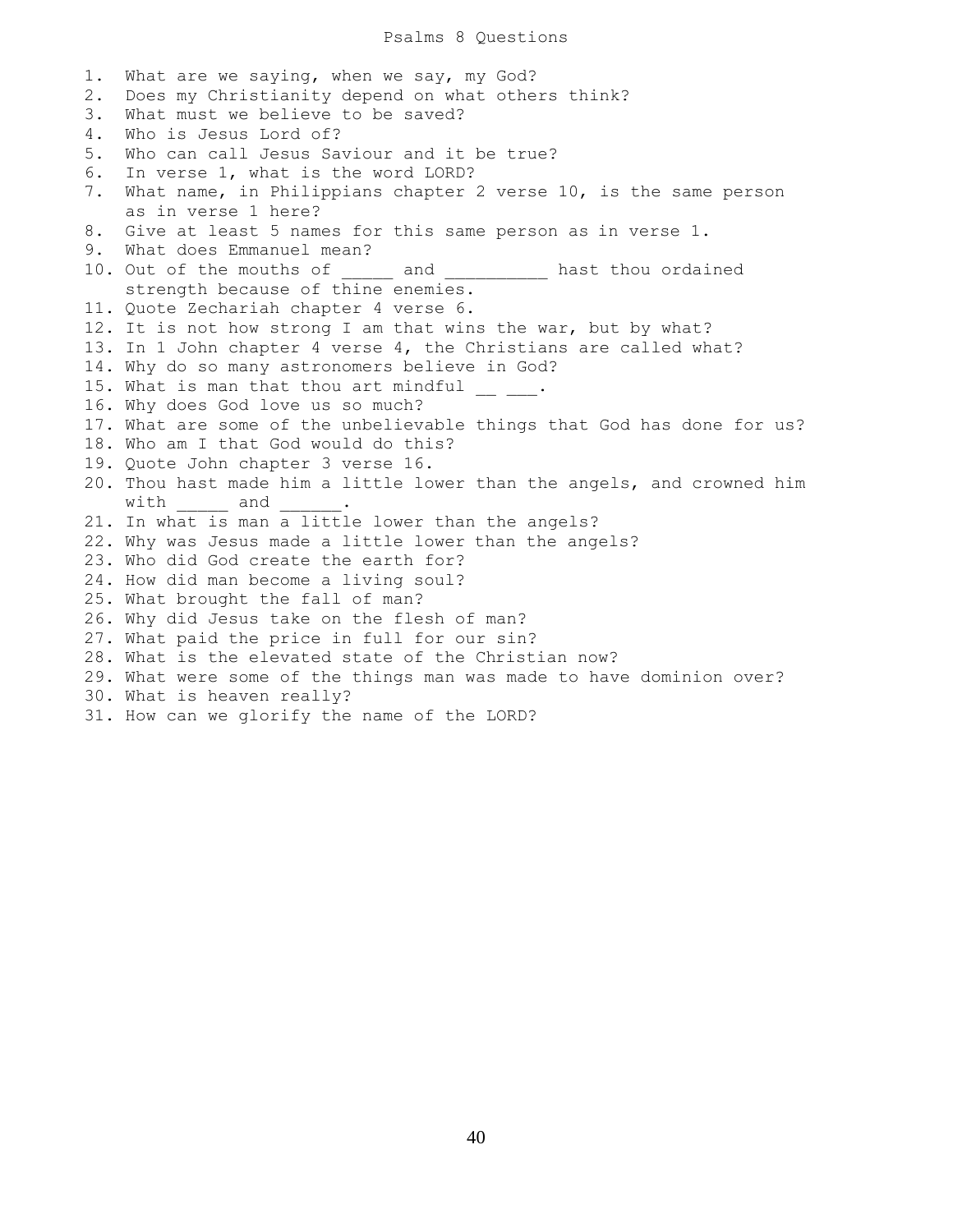### Psalms 8 Questions

1. What are we saying, when we say, my God? 2. Does my Christianity depend on what others think? 3. What must we believe to be saved? 4. Who is Jesus Lord of? 5. Who can call Jesus Saviour and it be true? 6. In verse 1, what is the word LORD? 7. What name, in Philippians chapter 2 verse 10, is the same person as in verse 1 here? 8. Give at least 5 names for this same person as in verse 1. 9. What does Emmanuel mean? 10. Out of the mouths of \_\_\_\_\_ and \_\_\_\_\_\_\_\_\_\_ hast thou ordained strength because of thine enemies. 11. Quote Zechariah chapter 4 verse 6. 12. It is not how strong I am that wins the war, but by what? 13. In 1 John chapter 4 verse 4, the Christians are called what? 14. Why do so many astronomers believe in God? 15. What is man that thou art mindful  $\frac{1}{\sqrt{2}}$ 16. Why does God love us so much? 17. What are some of the unbelievable things that God has done for us? 18. Who am I that God would do this? 19. Quote John chapter 3 verse 16. 20. Thou hast made him a little lower than the angels, and crowned him with and 21. In what is man a little lower than the angels? 22. Why was Jesus made a little lower than the angels? 23. Who did God create the earth for? 24. How did man become a living soul? 25. What brought the fall of man? 26. Why did Jesus take on the flesh of man? 27. What paid the price in full for our sin? 28. What is the elevated state of the Christian now? 29. What were some of the things man was made to have dominion over? 30. What is heaven really? 31. How can we glorify the name of the LORD?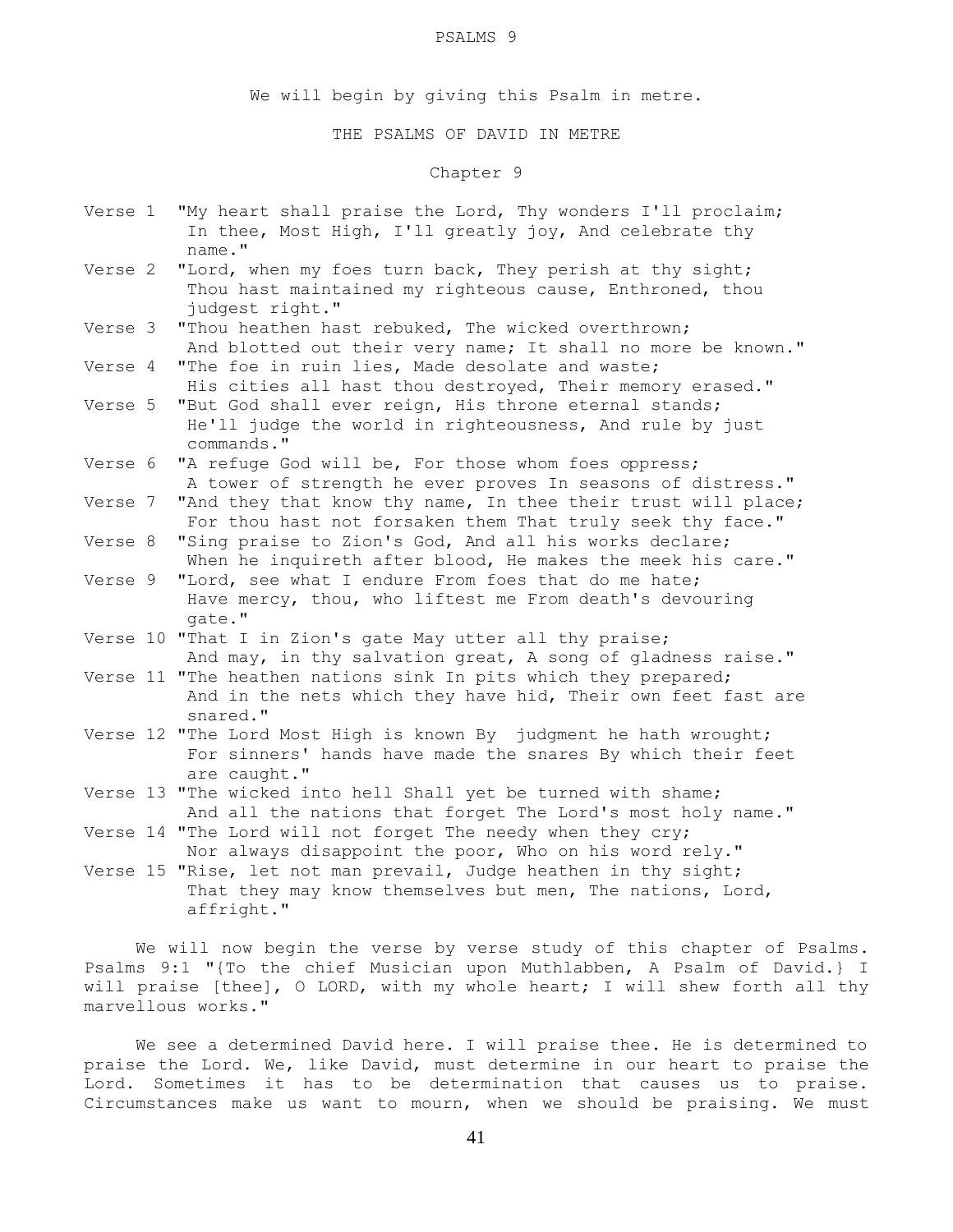#### PSALMS 9

We will begin by giving this Psalm in metre.

## THE PSALMS OF DAVID IN METRE

# Chapter 9

| Verse 1 | "My heart shall praise the Lord, Thy wonders I'll proclaim;<br>In thee, Most High, I'll greatly joy, And celebrate thy                            |
|---------|---------------------------------------------------------------------------------------------------------------------------------------------------|
| Verse 2 | name."<br>"Lord, when my foes turn back, They perish at thy sight;<br>Thou hast maintained my righteous cause, Enthroned, thou<br>judgest right." |
| Verse 3 | "Thou heathen hast rebuked, The wicked overthrown;<br>And blotted out their very name; It shall no more be known."                                |
| Verse 4 | "The foe in ruin lies, Made desolate and waste;<br>His cities all hast thou destroyed, Their memory erased."                                      |
| Verse 5 | "But God shall ever reign, His throne eternal stands;<br>He'll judge the world in righteousness, And rule by just<br>commands."                   |
| Verse 6 | "A refuge God will be, For those whom foes oppress;<br>A tower of strength he ever proves In seasons of distress."                                |
| Verse 7 | "And they that know thy name, In thee their trust will place;<br>For thou hast not forsaken them That truly seek thy face."                       |
| Verse 8 | "Sing praise to Zion's God, And all his works declare;<br>When he inquireth after blood, He makes the meek his care."                             |
| Verse 9 | "Lord, see what I endure From foes that do me hate;<br>Have mercy, thou, who liftest me From death's devouring<br>qate."                          |
|         | Verse 10 "That I in Zion's gate May utter all thy praise;<br>And may, in thy salvation great, A song of gladness raise."                          |
|         | Verse 11 "The heathen nations sink In pits which they prepared;<br>And in the nets which they have hid, Their own feet fast are<br>snared."       |
|         | Verse 12 "The Lord Most High is known By judgment he hath wrought;<br>For sinners' hands have made the snares By which their feet<br>are caught." |
|         | Verse 13 "The wicked into hell Shall yet be turned with shame;<br>And all the nations that forget The Lord's most holy name."                     |
|         | Verse 14 "The Lord will not forget The needy when they cry;<br>Nor always disappoint the poor, Who on his word rely."                             |

Verse 15 "Rise, let not man prevail, Judge heathen in thy sight; That they may know themselves but men, The nations, Lord, affright."

 We will now begin the verse by verse study of this chapter of Psalms. Psalms 9:1 "{To the chief Musician upon Muthlabben, A Psalm of David.} I will praise [thee], O LORD, with my whole heart; I will shew forth all thy marvellous works."

 We see a determined David here. I will praise thee. He is determined to praise the Lord. We, like David, must determine in our heart to praise the Lord. Sometimes it has to be determination that causes us to praise. Circumstances make us want to mourn, when we should be praising. We must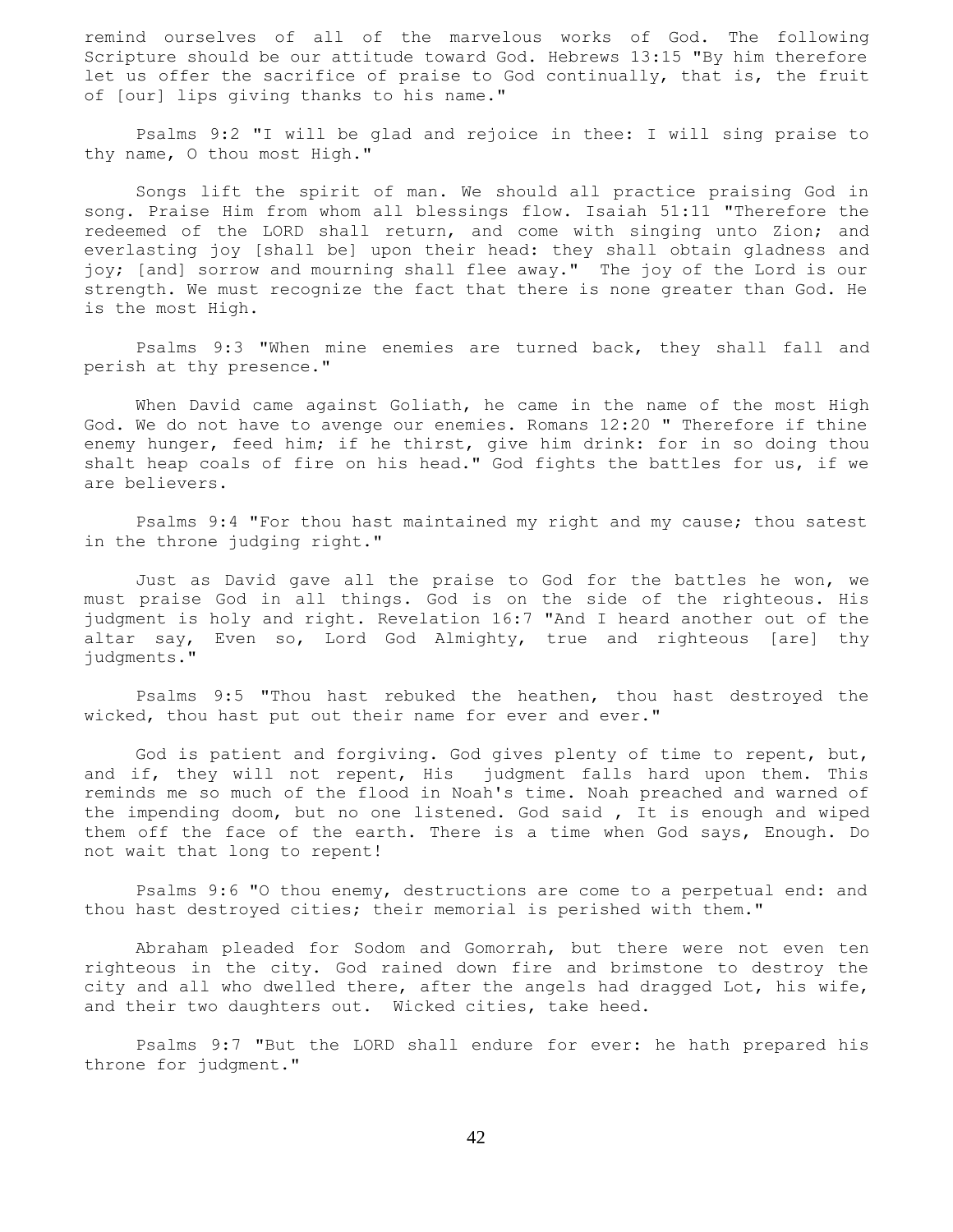remind ourselves of all of the marvelous works of God. The following Scripture should be our attitude toward God. Hebrews 13:15 "By him therefore let us offer the sacrifice of praise to God continually, that is, the fruit of [our] lips giving thanks to his name."

 Psalms 9:2 "I will be glad and rejoice in thee: I will sing praise to thy name, O thou most High."

 Songs lift the spirit of man. We should all practice praising God in song. Praise Him from whom all blessings flow. Isaiah 51:11 "Therefore the redeemed of the LORD shall return, and come with singing unto Zion; and everlasting joy [shall be] upon their head: they shall obtain gladness and joy; [and] sorrow and mourning shall flee away." The joy of the Lord is our strength. We must recognize the fact that there is none greater than God. He is the most High.

 Psalms 9:3 "When mine enemies are turned back, they shall fall and perish at thy presence."

 When David came against Goliath, he came in the name of the most High God. We do not have to avenge our enemies. Romans 12:20 " Therefore if thine enemy hunger, feed him; if he thirst, give him drink: for in so doing thou shalt heap coals of fire on his head." God fights the battles for us, if we are believers.

 Psalms 9:4 "For thou hast maintained my right and my cause; thou satest in the throne judging right."

 Just as David gave all the praise to God for the battles he won, we must praise God in all things. God is on the side of the righteous. His judgment is holy and right. Revelation 16:7 "And I heard another out of the altar say, Even so, Lord God Almighty, true and righteous [are] thy judgments."

 Psalms 9:5 "Thou hast rebuked the heathen, thou hast destroyed the wicked, thou hast put out their name for ever and ever."

 God is patient and forgiving. God gives plenty of time to repent, but, and if, they will not repent, His judgment falls hard upon them. This reminds me so much of the flood in Noah's time. Noah preached and warned of the impending doom, but no one listened. God said , It is enough and wiped them off the face of the earth. There is a time when God says, Enough. Do not wait that long to repent!

 Psalms 9:6 "O thou enemy, destructions are come to a perpetual end: and thou hast destroyed cities; their memorial is perished with them."

 Abraham pleaded for Sodom and Gomorrah, but there were not even ten righteous in the city. God rained down fire and brimstone to destroy the city and all who dwelled there, after the angels had dragged Lot, his wife, and their two daughters out. Wicked cities, take heed.

 Psalms 9:7 "But the LORD shall endure for ever: he hath prepared his throne for judgment."

42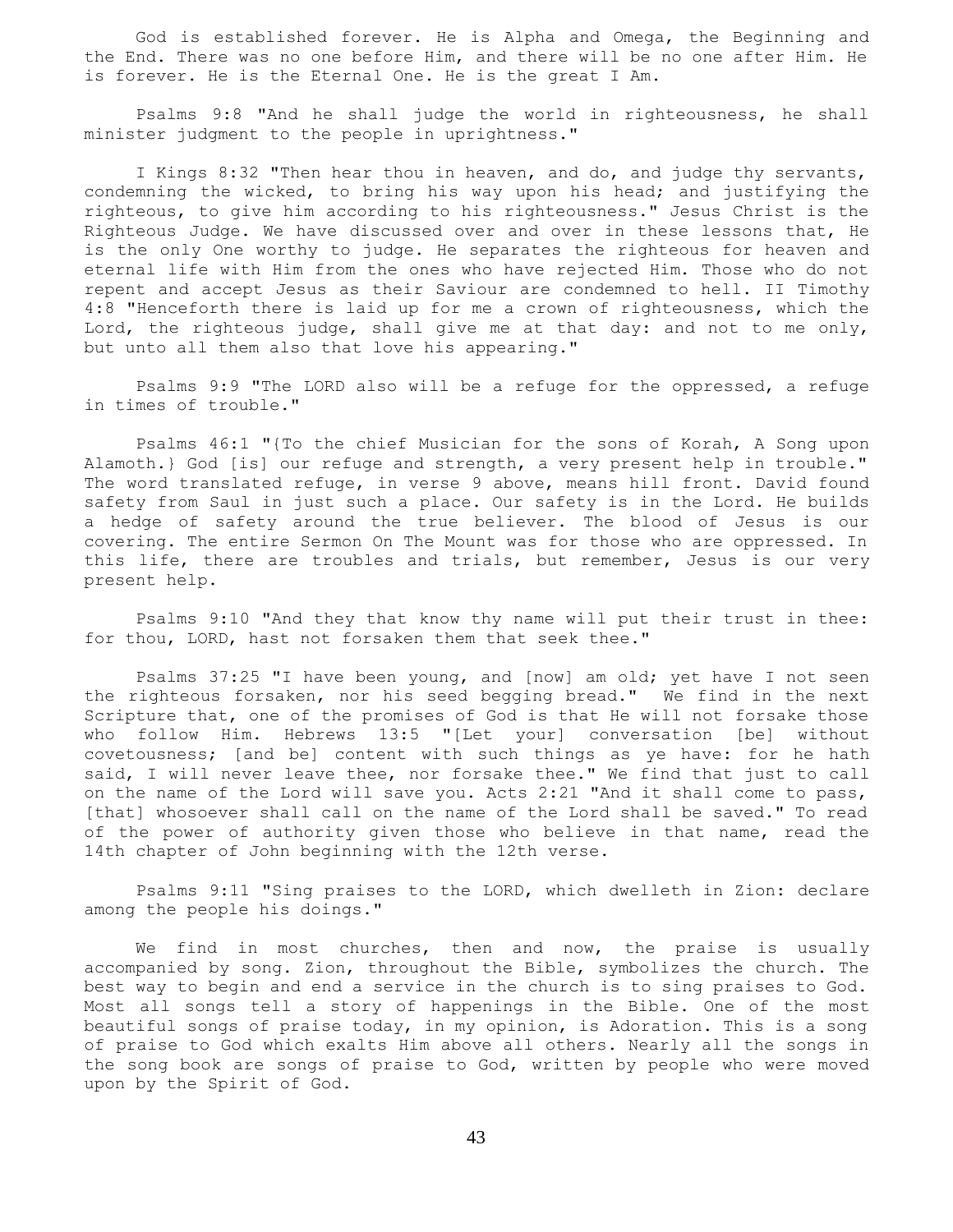God is established forever. He is Alpha and Omega, the Beginning and the End. There was no one before Him, and there will be no one after Him. He is forever. He is the Eternal One. He is the great I Am.

 Psalms 9:8 "And he shall judge the world in righteousness, he shall minister judgment to the people in uprightness."

 I Kings 8:32 "Then hear thou in heaven, and do, and judge thy servants, condemning the wicked, to bring his way upon his head; and justifying the righteous, to give him according to his righteousness." Jesus Christ is the Righteous Judge. We have discussed over and over in these lessons that, He is the only One worthy to judge. He separates the righteous for heaven and eternal life with Him from the ones who have rejected Him. Those who do not repent and accept Jesus as their Saviour are condemned to hell. II Timothy 4:8 "Henceforth there is laid up for me a crown of righteousness, which the Lord, the righteous judge, shall give me at that day: and not to me only, but unto all them also that love his appearing."

 Psalms 9:9 "The LORD also will be a refuge for the oppressed, a refuge in times of trouble."

 Psalms 46:1 "{To the chief Musician for the sons of Korah, A Song upon Alamoth.} God [is] our refuge and strength, a very present help in trouble." The word translated refuge, in verse 9 above, means hill front. David found safety from Saul in just such a place. Our safety is in the Lord. He builds a hedge of safety around the true believer. The blood of Jesus is our covering. The entire Sermon On The Mount was for those who are oppressed. In this life, there are troubles and trials, but remember, Jesus is our very present help.

 Psalms 9:10 "And they that know thy name will put their trust in thee: for thou, LORD, hast not forsaken them that seek thee."

 Psalms 37:25 "I have been young, and [now] am old; yet have I not seen the righteous forsaken, nor his seed begging bread." We find in the next Scripture that, one of the promises of God is that He will not forsake those who follow Him. Hebrews 13:5 "[Let your] conversation [be] without covetousness; [and be] content with such things as ye have: for he hath said, I will never leave thee, nor forsake thee." We find that just to call on the name of the Lord will save you. Acts 2:21 "And it shall come to pass, [that] whosoever shall call on the name of the Lord shall be saved." To read of the power of authority given those who believe in that name, read the 14th chapter of John beginning with the 12th verse.

 Psalms 9:11 "Sing praises to the LORD, which dwelleth in Zion: declare among the people his doings."

We find in most churches, then and now, the praise is usually accompanied by song. Zion, throughout the Bible, symbolizes the church. The best way to begin and end a service in the church is to sing praises to God. Most all songs tell a story of happenings in the Bible. One of the most beautiful songs of praise today, in my opinion, is Adoration. This is a song of praise to God which exalts Him above all others. Nearly all the songs in the song book are songs of praise to God, written by people who were moved upon by the Spirit of God.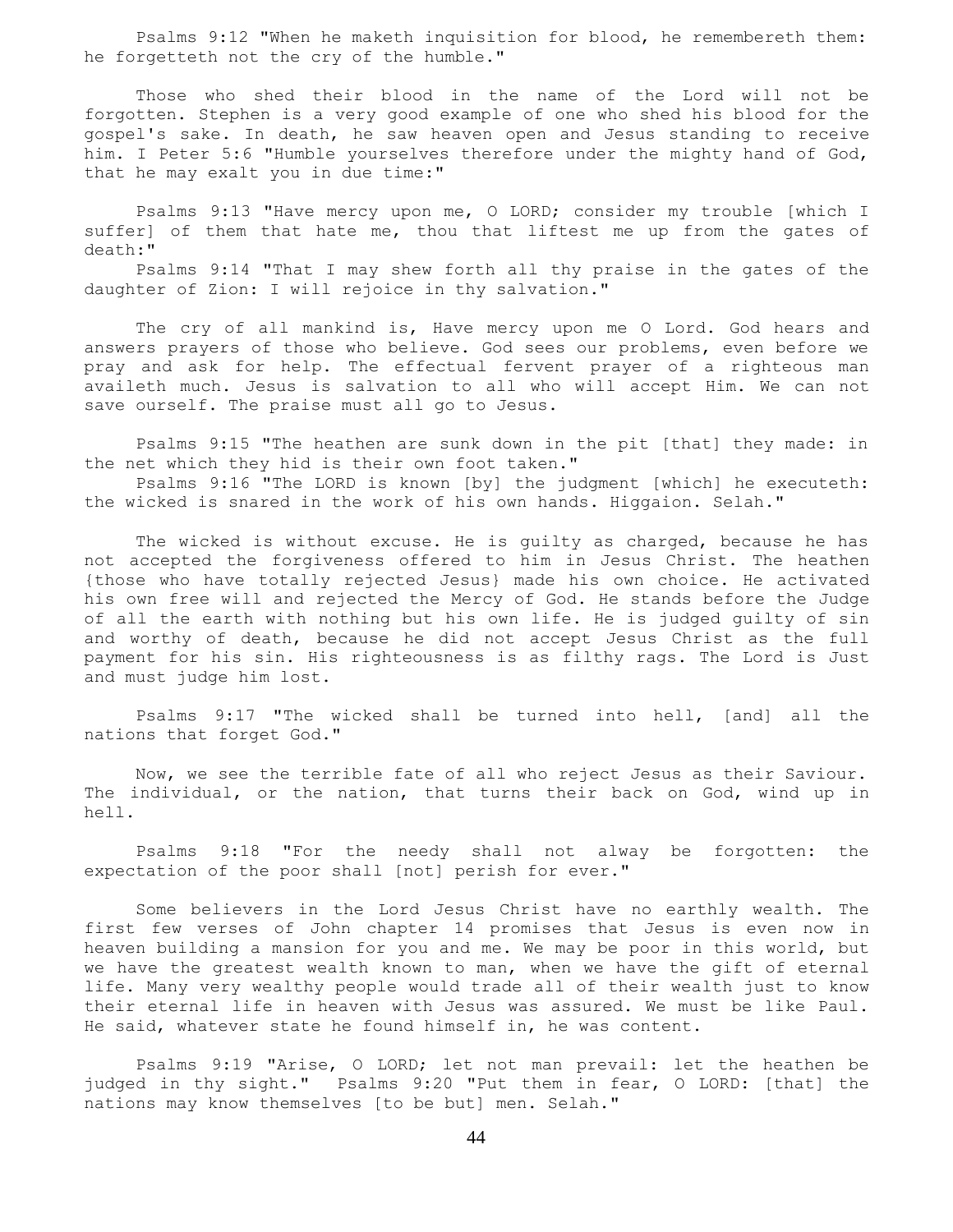Psalms 9:12 "When he maketh inquisition for blood, he remembereth them: he forgetteth not the cry of the humble."

 Those who shed their blood in the name of the Lord will not be forgotten. Stephen is a very good example of one who shed his blood for the gospel's sake. In death, he saw heaven open and Jesus standing to receive him. I Peter 5:6 "Humble yourselves therefore under the mighty hand of God, that he may exalt you in due time:"

 Psalms 9:13 "Have mercy upon me, O LORD; consider my trouble [which I suffer] of them that hate me, thou that liftest me up from the gates of death:"

 Psalms 9:14 "That I may shew forth all thy praise in the gates of the daughter of Zion: I will rejoice in thy salvation."

 The cry of all mankind is, Have mercy upon me O Lord. God hears and answers prayers of those who believe. God sees our problems, even before we pray and ask for help. The effectual fervent prayer of a righteous man availeth much. Jesus is salvation to all who will accept Him. We can not save ourself. The praise must all go to Jesus.

 Psalms 9:15 "The heathen are sunk down in the pit [that] they made: in the net which they hid is their own foot taken."

 Psalms 9:16 "The LORD is known [by] the judgment [which] he executeth: the wicked is snared in the work of his own hands. Higgaion. Selah."

 The wicked is without excuse. He is guilty as charged, because he has not accepted the forgiveness offered to him in Jesus Christ. The heathen {those who have totally rejected Jesus} made his own choice. He activated his own free will and rejected the Mercy of God. He stands before the Judge of all the earth with nothing but his own life. He is judged guilty of sin and worthy of death, because he did not accept Jesus Christ as the full payment for his sin. His righteousness is as filthy rags. The Lord is Just and must judge him lost.

 Psalms 9:17 "The wicked shall be turned into hell, [and] all the nations that forget God."

 Now, we see the terrible fate of all who reject Jesus as their Saviour. The individual, or the nation, that turns their back on God, wind up in hell.

 Psalms 9:18 "For the needy shall not alway be forgotten: the expectation of the poor shall [not] perish for ever."

 Some believers in the Lord Jesus Christ have no earthly wealth. The first few verses of John chapter 14 promises that Jesus is even now in heaven building a mansion for you and me. We may be poor in this world, but we have the greatest wealth known to man, when we have the gift of eternal life. Many very wealthy people would trade all of their wealth just to know their eternal life in heaven with Jesus was assured. We must be like Paul. He said, whatever state he found himself in, he was content.

 Psalms 9:19 "Arise, O LORD; let not man prevail: let the heathen be judged in thy sight." Psalms 9:20 "Put them in fear, O LORD: [that] the nations may know themselves [to be but] men. Selah."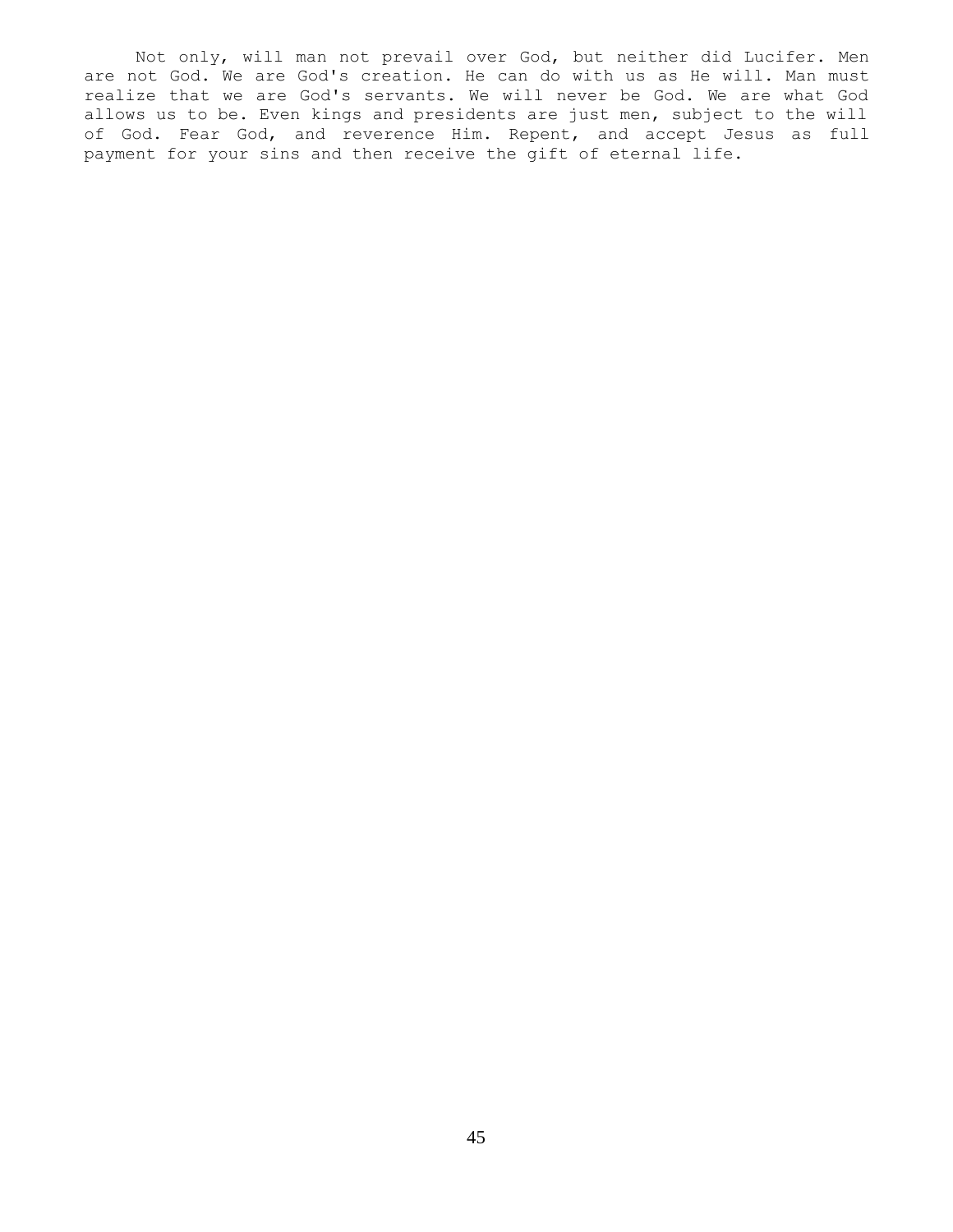Not only, will man not prevail over God, but neither did Lucifer. Men are not God. We are God's creation. He can do with us as He will. Man must realize that we are God's servants. We will never be God. We are what God allows us to be. Even kings and presidents are just men, subject to the will of God. Fear God, and reverence Him. Repent, and accept Jesus as full payment for your sins and then receive the gift of eternal life.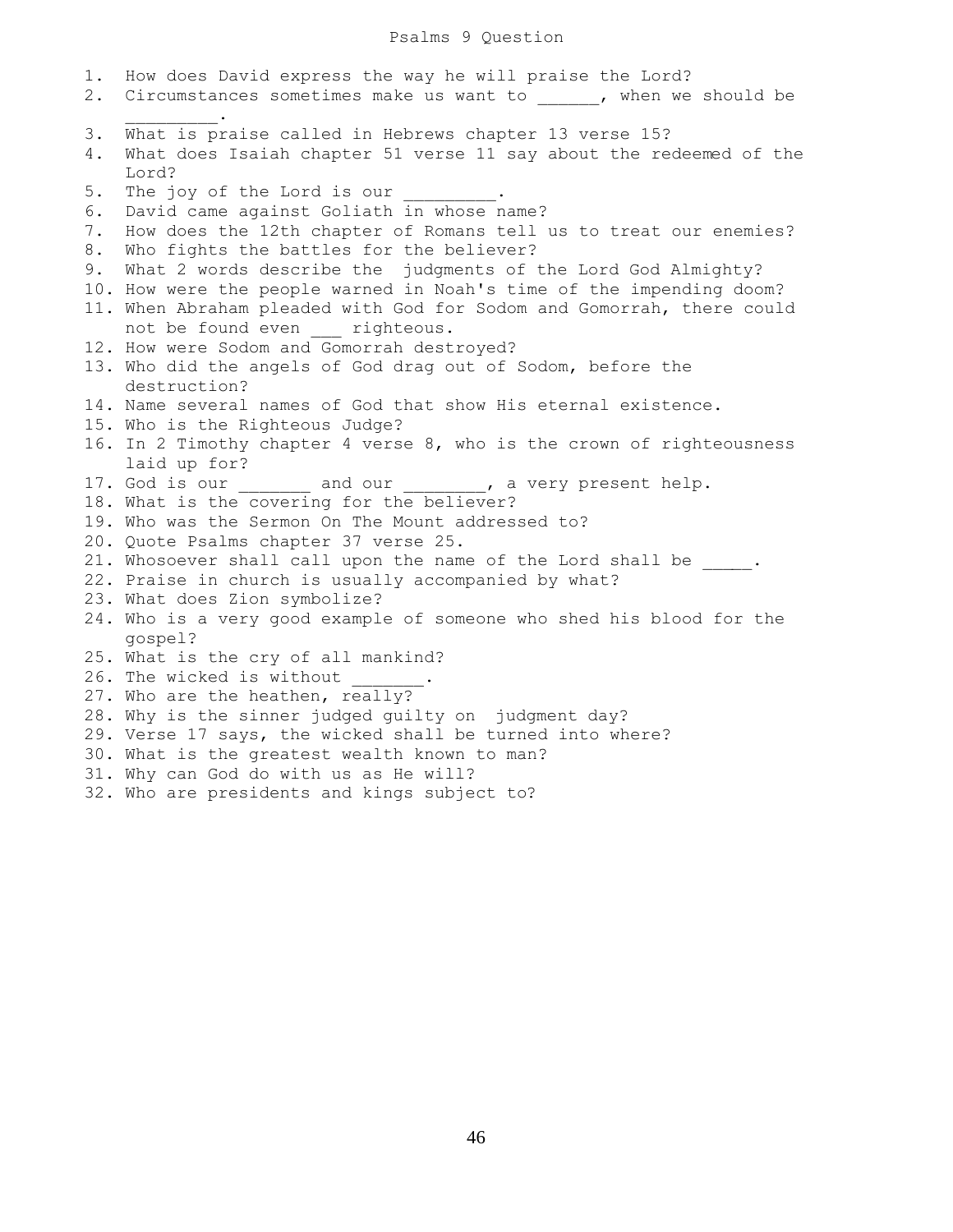1. How does David express the way he will praise the Lord? 2. Circumstances sometimes make us want to all when we should be  $\frac{1}{2}$  and  $\frac{1}{2}$  and  $\frac{1}{2}$  and  $\frac{1}{2}$  and  $\frac{1}{2}$ 3. What is praise called in Hebrews chapter 13 verse 15? 4. What does Isaiah chapter 51 verse 11 say about the redeemed of the Lord? 5. The joy of the Lord is our 6. David came against Goliath in whose name? 7. How does the 12th chapter of Romans tell us to treat our enemies? 8. Who fights the battles for the believer? 9. What 2 words describe the judgments of the Lord God Almighty? 10. How were the people warned in Noah's time of the impending doom? 11. When Abraham pleaded with God for Sodom and Gomorrah, there could not be found even righteous. 12. How were Sodom and Gomorrah destroyed? 13. Who did the angels of God drag out of Sodom, before the destruction? 14. Name several names of God that show His eternal existence. 15. Who is the Righteous Judge? 16. In 2 Timothy chapter 4 verse 8, who is the crown of righteousness laid up for? 17. God is our \_\_\_\_\_\_\_\_ and our \_\_\_\_\_\_\_\_, a very present help. 18. What is the covering for the believer? 19. Who was the Sermon On The Mount addressed to? 20. Quote Psalms chapter 37 verse 25. 21. Whosoever shall call upon the name of the Lord shall be \_\_\_\_\_. 22. Praise in church is usually accompanied by what? 23. What does Zion symbolize? 24. Who is a very good example of someone who shed his blood for the gospel? 25. What is the cry of all mankind? 26. The wicked is without 27. Who are the heathen, really? 28. Why is the sinner judged guilty on judgment day? 29. Verse 17 says, the wicked shall be turned into where? 30. What is the greatest wealth known to man? 31. Why can God do with us as He will? 32. Who are presidents and kings subject to?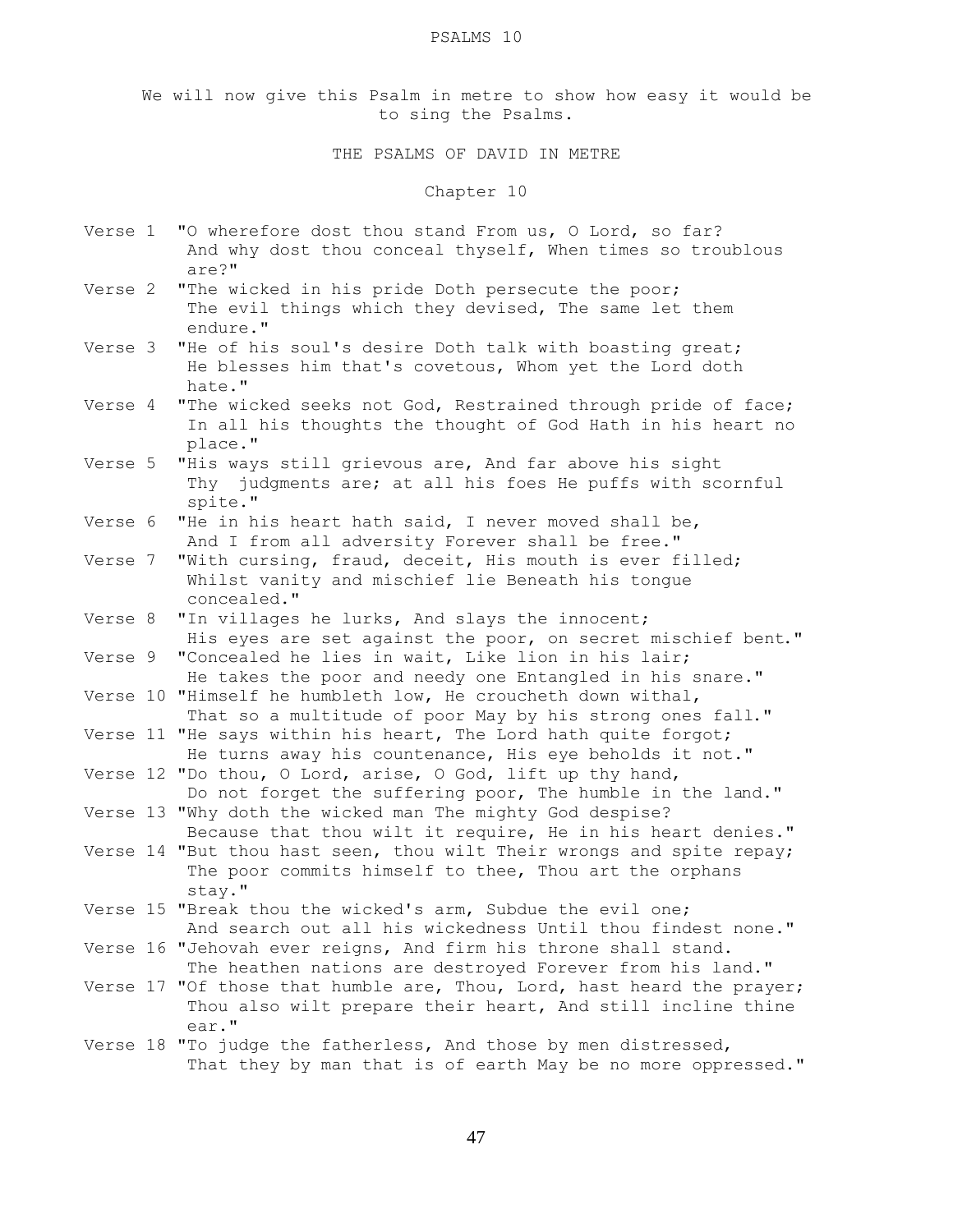#### PSALMS 10

We will now give this Psalm in metre to show how easy it would be to sing the Psalms.

# THE PSALMS OF DAVID IN METRE

### Chapter 10

- Verse 1 "O wherefore dost thou stand From us, O Lord, so far? And why dost thou conceal thyself, When times so troublous are?"
- Verse 2 "The wicked in his pride Doth persecute the poor; The evil things which they devised, The same let them endure."
- Verse 3 "He of his soul's desire Doth talk with boasting great; He blesses him that's covetous, Whom yet the Lord doth hate."
- Verse 4 "The wicked seeks not God, Restrained through pride of face; In all his thoughts the thought of God Hath in his heart no place."
- Verse 5 "His ways still grievous are, And far above his sight Thy judgments are; at all his foes He puffs with scornful spite."
- Verse 6 "He in his heart hath said, I never moved shall be, And I from all adversity Forever shall be free."
- Verse 7 "With cursing, fraud, deceit, His mouth is ever filled; Whilst vanity and mischief lie Beneath his tongue concealed."
- Verse 8 "In villages he lurks, And slays the innocent; His eyes are set against the poor, on secret mischief bent."
- Verse 9 "Concealed he lies in wait, Like lion in his lair; He takes the poor and needy one Entangled in his snare." Verse 10 "Himself he humbleth low, He croucheth down withal,
- That so a multitude of poor May by his strong ones fall." Verse 11 "He says within his heart, The Lord hath quite forgot;
- He turns away his countenance, His eye beholds it not." Verse 12 "Do thou, O Lord, arise, O God, lift up thy hand,
- Do not forget the suffering poor, The humble in the land." Verse 13 "Why doth the wicked man The mighty God despise?
- Because that thou wilt it require, He in his heart denies." Verse 14 "But thou hast seen, thou wilt Their wrongs and spite repay; The poor commits himself to thee, Thou art the orphans stay."
- Verse 15 "Break thou the wicked's arm, Subdue the evil one; And search out all his wickedness Until thou findest none."
- Verse 16 "Jehovah ever reigns, And firm his throne shall stand. The heathen nations are destroyed Forever from his land."
- Verse 17 "Of those that humble are, Thou, Lord, hast heard the prayer; Thou also wilt prepare their heart, And still incline thine ear."
- Verse 18 "To judge the fatherless, And those by men distressed, That they by man that is of earth May be no more oppressed."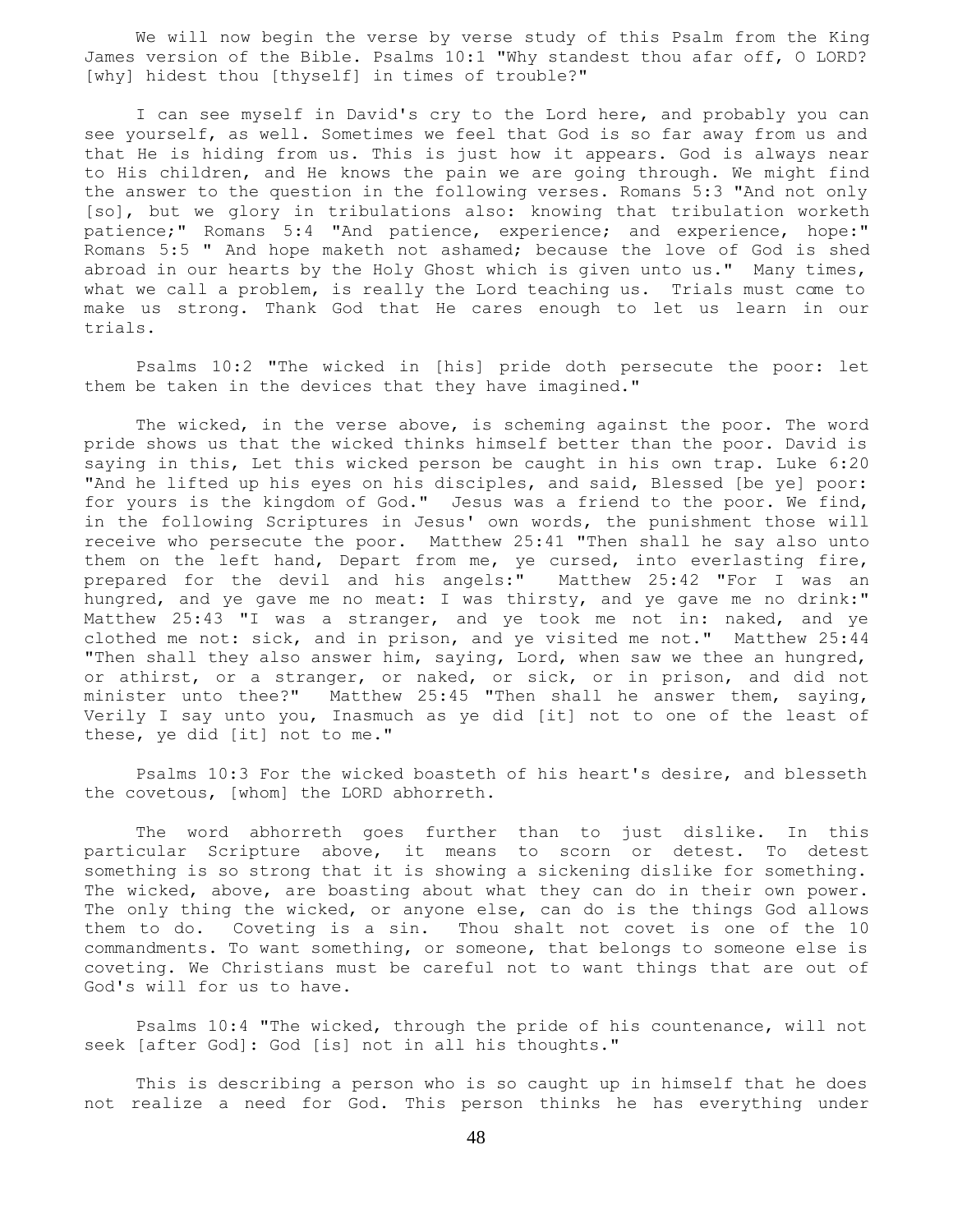We will now begin the verse by verse study of this Psalm from the King James version of the Bible. Psalms 10:1 "Why standest thou afar off, O LORD? [why] hidest thou [thyself] in times of trouble?"

 I can see myself in David's cry to the Lord here, and probably you can see yourself, as well. Sometimes we feel that God is so far away from us and that He is hiding from us. This is just how it appears. God is always near to His children, and He knows the pain we are going through. We might find the answer to the question in the following verses. Romans 5:3 "And not only [so], but we glory in tribulations also: knowing that tribulation worketh patience;" Romans 5:4 "And patience, experience; and experience, hope:" Romans 5:5 " And hope maketh not ashamed; because the love of God is shed abroad in our hearts by the Holy Ghost which is given unto us." Many times, what we call a problem, is really the Lord teaching us. Trials must come to make us strong. Thank God that He cares enough to let us learn in our trials.

 Psalms 10:2 "The wicked in [his] pride doth persecute the poor: let them be taken in the devices that they have imagined."

 The wicked, in the verse above, is scheming against the poor. The word pride shows us that the wicked thinks himself better than the poor. David is saying in this, Let this wicked person be caught in his own trap. Luke 6:20 "And he lifted up his eyes on his disciples, and said, Blessed [be ye] poor: for yours is the kingdom of God." Jesus was a friend to the poor. We find, in the following Scriptures in Jesus' own words, the punishment those will receive who persecute the poor. Matthew 25:41 "Then shall he say also unto them on the left hand, Depart from me, ye cursed, into everlasting fire, prepared for the devil and his angels:" Matthew 25:42 "For I was an hungred, and ye gave me no meat: I was thirsty, and ye gave me no drink:" Matthew 25:43 "I was a stranger, and ye took me not in: naked, and ye clothed me not: sick, and in prison, and ye visited me not." Matthew 25:44 "Then shall they also answer him, saying, Lord, when saw we thee an hungred, or athirst, or a stranger, or naked, or sick, or in prison, and did not minister unto thee?" Matthew 25:45 "Then shall he answer them, saying, Verily I say unto you, Inasmuch as ye did [it] not to one of the least of these, ye did [it] not to me."

 Psalms 10:3 For the wicked boasteth of his heart's desire, and blesseth the covetous, [whom] the LORD abhorreth.

 The word abhorreth goes further than to just dislike. In this particular Scripture above, it means to scorn or detest. To detest something is so strong that it is showing a sickening dislike for something. The wicked, above, are boasting about what they can do in their own power. The only thing the wicked, or anyone else, can do is the things God allows them to do. Coveting is a sin. Thou shalt not covet is one of the 10 commandments. To want something, or someone, that belongs to someone else is coveting. We Christians must be careful not to want things that are out of God's will for us to have.

 Psalms 10:4 "The wicked, through the pride of his countenance, will not seek [after God]: God [is] not in all his thoughts."

 This is describing a person who is so caught up in himself that he does not realize a need for God. This person thinks he has everything under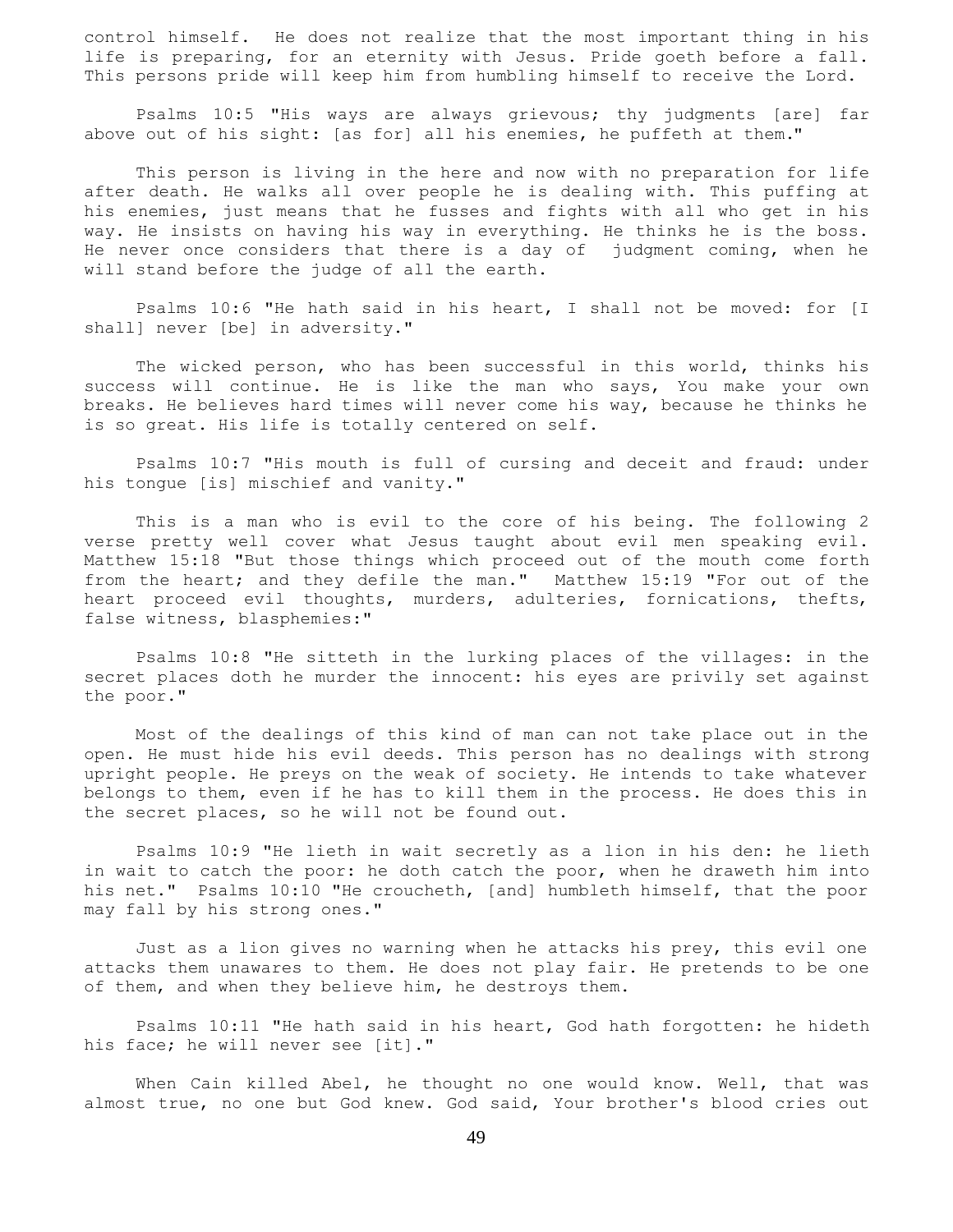control himself. He does not realize that the most important thing in his life is preparing, for an eternity with Jesus. Pride goeth before a fall. This persons pride will keep him from humbling himself to receive the Lord.

 Psalms 10:5 "His ways are always grievous; thy judgments [are] far above out of his sight: [as for] all his enemies, he puffeth at them."

 This person is living in the here and now with no preparation for life after death. He walks all over people he is dealing with. This puffing at his enemies, just means that he fusses and fights with all who get in his way. He insists on having his way in everything. He thinks he is the boss. He never once considers that there is a day of judgment coming, when he will stand before the judge of all the earth.

 Psalms 10:6 "He hath said in his heart, I shall not be moved: for [I shall] never [be] in adversity."

 The wicked person, who has been successful in this world, thinks his success will continue. He is like the man who says, You make your own breaks. He believes hard times will never come his way, because he thinks he is so great. His life is totally centered on self.

 Psalms 10:7 "His mouth is full of cursing and deceit and fraud: under his tongue [is] mischief and vanity."

 This is a man who is evil to the core of his being. The following 2 verse pretty well cover what Jesus taught about evil men speaking evil. Matthew 15:18 "But those things which proceed out of the mouth come forth from the heart; and they defile the man." Matthew 15:19 "For out of the heart proceed evil thoughts, murders, adulteries, fornications, thefts, false witness, blasphemies:"

 Psalms 10:8 "He sitteth in the lurking places of the villages: in the secret places doth he murder the innocent: his eyes are privily set against the poor."

 Most of the dealings of this kind of man can not take place out in the open. He must hide his evil deeds. This person has no dealings with strong upright people. He preys on the weak of society. He intends to take whatever belongs to them, even if he has to kill them in the process. He does this in the secret places, so he will not be found out.

 Psalms 10:9 "He lieth in wait secretly as a lion in his den: he lieth in wait to catch the poor: he doth catch the poor, when he draweth him into his net." Psalms 10:10 "He croucheth, [and] humbleth himself, that the poor may fall by his strong ones."

 Just as a lion gives no warning when he attacks his prey, this evil one attacks them unawares to them. He does not play fair. He pretends to be one of them, and when they believe him, he destroys them.

 Psalms 10:11 "He hath said in his heart, God hath forgotten: he hideth his face; he will never see [it]."

 When Cain killed Abel, he thought no one would know. Well, that was almost true, no one but God knew. God said, Your brother's blood cries out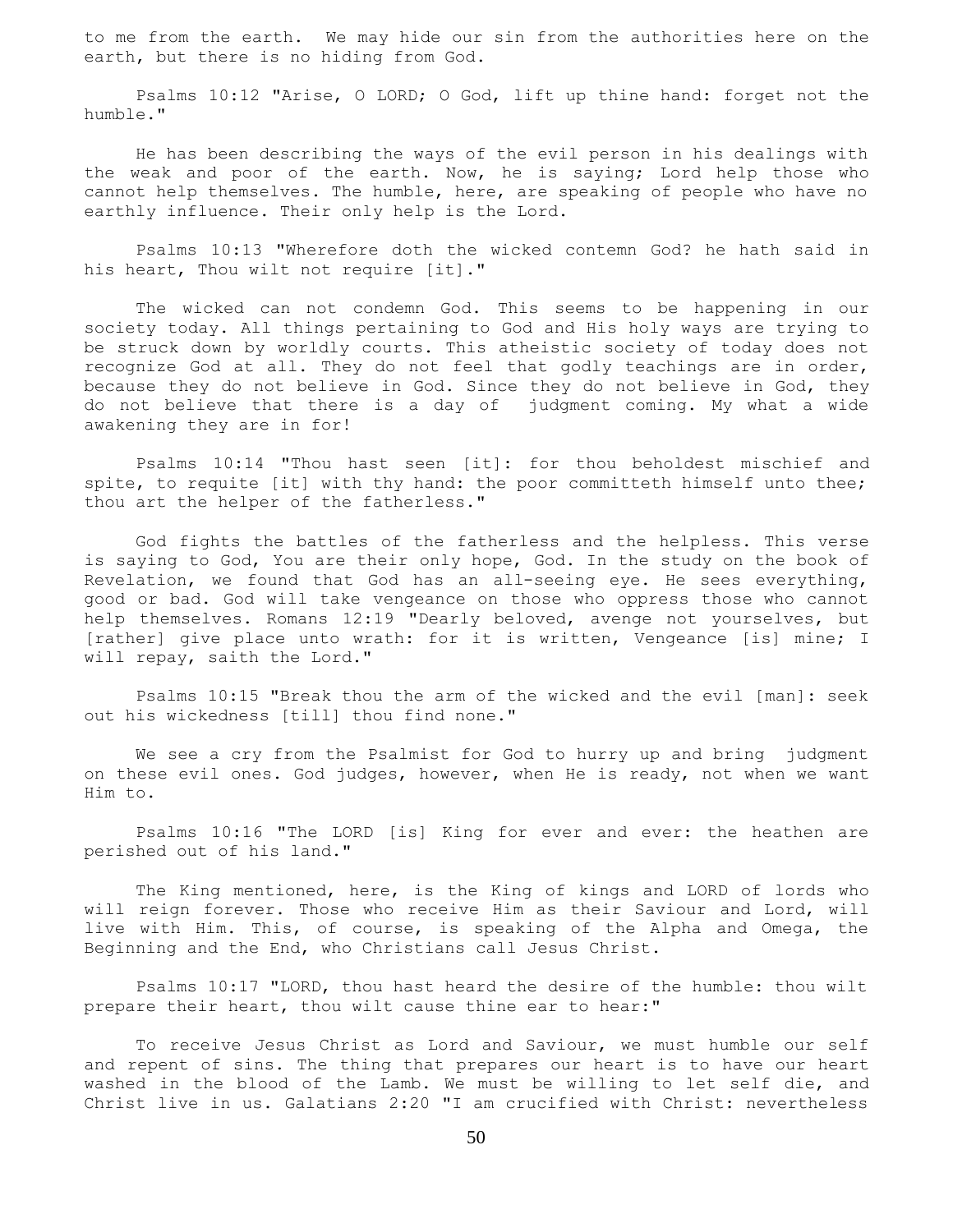to me from the earth. We may hide our sin from the authorities here on the earth, but there is no hiding from God.

 Psalms 10:12 "Arise, O LORD; O God, lift up thine hand: forget not the humble."

 He has been describing the ways of the evil person in his dealings with the weak and poor of the earth. Now, he is saying; Lord help those who cannot help themselves. The humble, here, are speaking of people who have no earthly influence. Their only help is the Lord.

 Psalms 10:13 "Wherefore doth the wicked contemn God? he hath said in his heart, Thou wilt not require [it]."

 The wicked can not condemn God. This seems to be happening in our society today. All things pertaining to God and His holy ways are trying to be struck down by worldly courts. This atheistic society of today does not recognize God at all. They do not feel that godly teachings are in order, because they do not believe in God. Since they do not believe in God, they do not believe that there is a day of judgment coming. My what a wide awakening they are in for!

 Psalms 10:14 "Thou hast seen [it]: for thou beholdest mischief and spite, to requite [it] with thy hand: the poor committeth himself unto thee; thou art the helper of the fatherless."

 God fights the battles of the fatherless and the helpless. This verse is saying to God, You are their only hope, God. In the study on the book of Revelation, we found that God has an all-seeing eye. He sees everything, good or bad. God will take vengeance on those who oppress those who cannot help themselves. Romans 12:19 "Dearly beloved, avenge not yourselves, but [rather] give place unto wrath: for it is written, Vengeance [is] mine; I will repay, saith the Lord."

 Psalms 10:15 "Break thou the arm of the wicked and the evil [man]: seek out his wickedness [till] thou find none."

We see a cry from the Psalmist for God to hurry up and bring judgment on these evil ones. God judges, however, when He is ready, not when we want Him to.

 Psalms 10:16 "The LORD [is] King for ever and ever: the heathen are perished out of his land."

 The King mentioned, here, is the King of kings and LORD of lords who will reign forever. Those who receive Him as their Saviour and Lord, will live with Him. This, of course, is speaking of the Alpha and Omega, the Beginning and the End, who Christians call Jesus Christ.

 Psalms 10:17 "LORD, thou hast heard the desire of the humble: thou wilt prepare their heart, thou wilt cause thine ear to hear:"

 To receive Jesus Christ as Lord and Saviour, we must humble our self and repent of sins. The thing that prepares our heart is to have our heart washed in the blood of the Lamb. We must be willing to let self die, and Christ live in us. Galatians 2:20 "I am crucified with Christ: nevertheless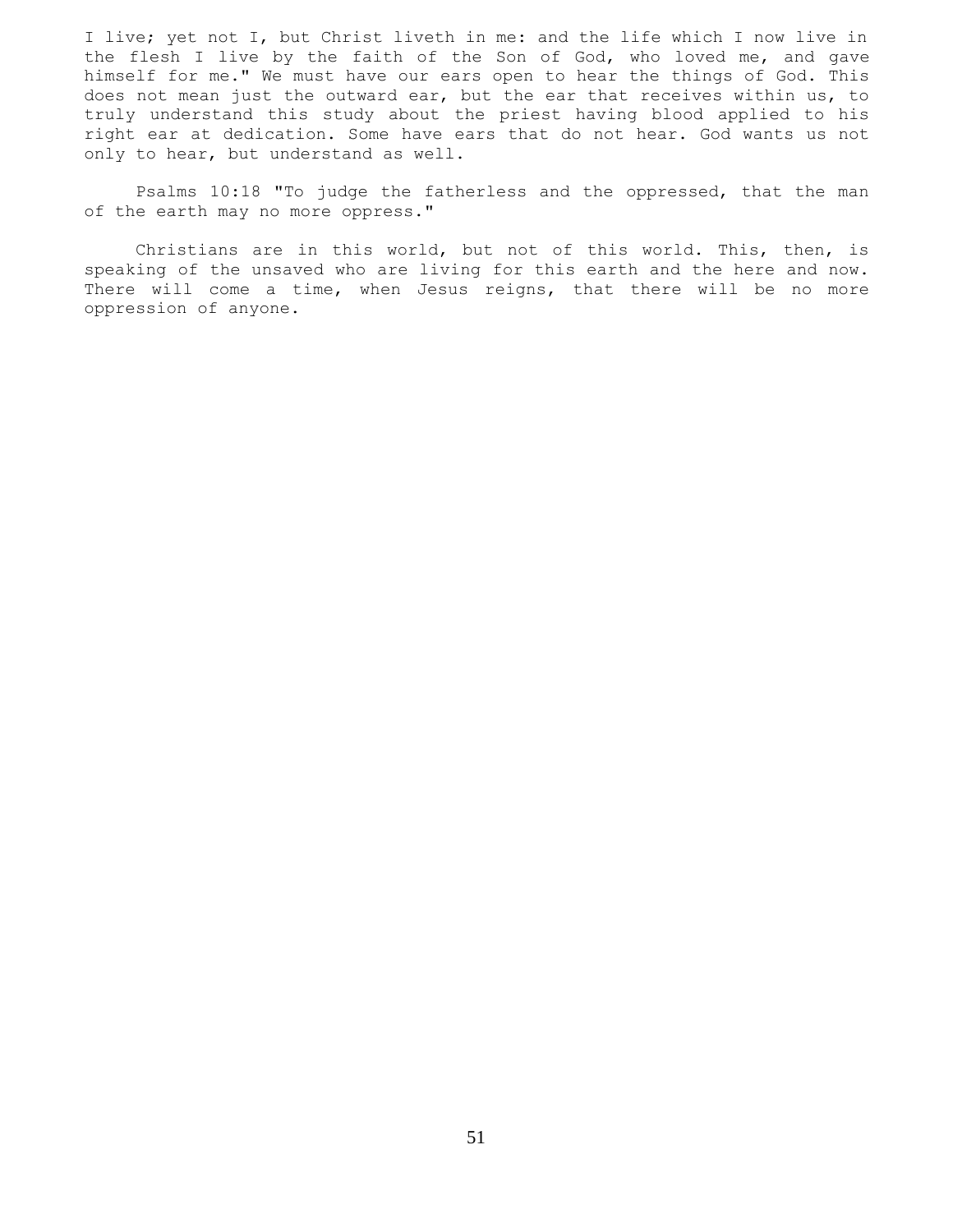I live; yet not I, but Christ liveth in me: and the life which I now live in the flesh I live by the faith of the Son of God, who loved me, and gave himself for me." We must have our ears open to hear the things of God. This does not mean just the outward ear, but the ear that receives within us, to truly understand this study about the priest having blood applied to his right ear at dedication. Some have ears that do not hear. God wants us not only to hear, but understand as well.

 Psalms 10:18 "To judge the fatherless and the oppressed, that the man of the earth may no more oppress."

 Christians are in this world, but not of this world. This, then, is speaking of the unsaved who are living for this earth and the here and now. There will come a time, when Jesus reigns, that there will be no more oppression of anyone.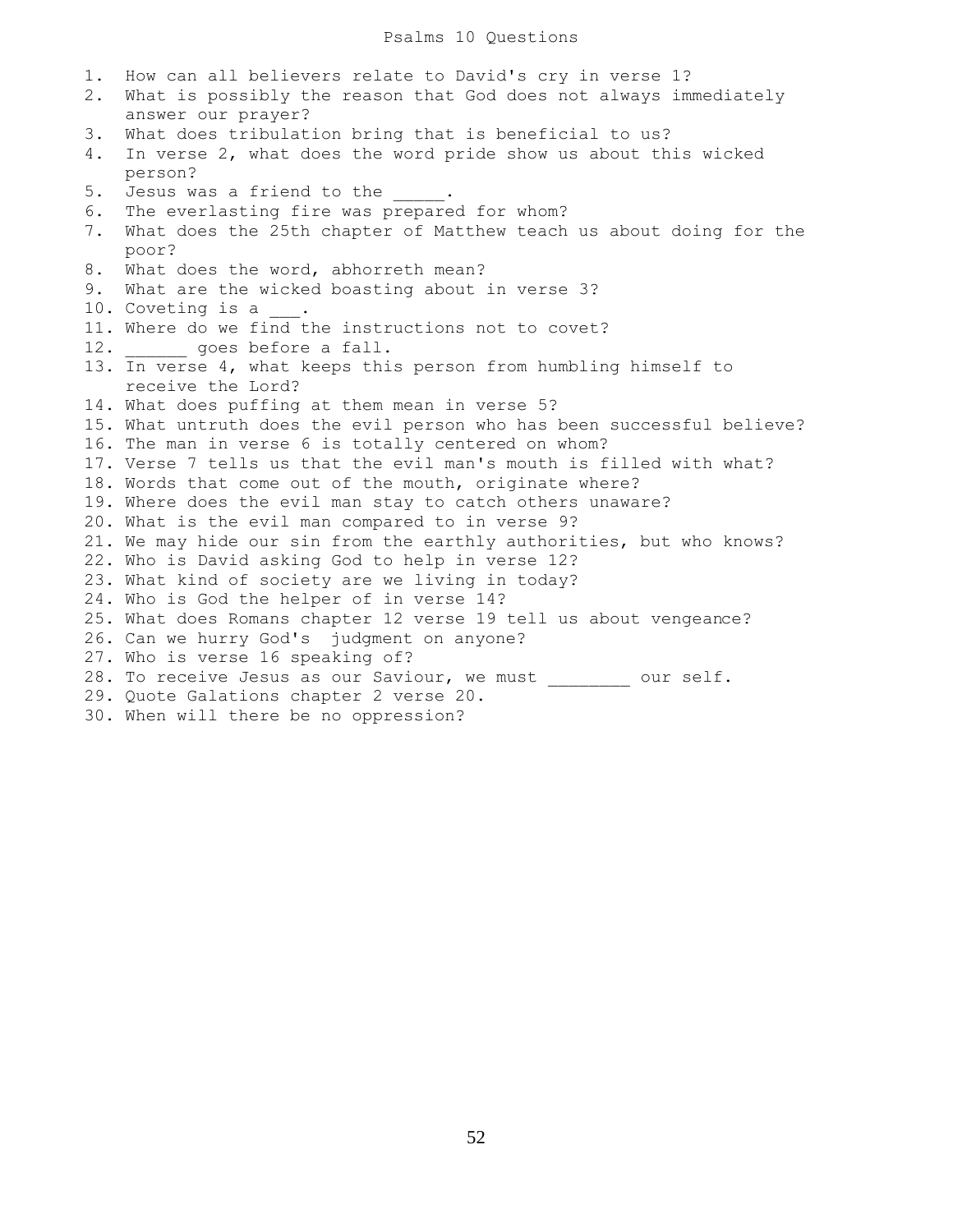1. How can all believers relate to David's cry in verse 1? 2. What is possibly the reason that God does not always immediately answer our prayer? 3. What does tribulation bring that is beneficial to us? 4. In verse 2, what does the word pride show us about this wicked person? 5. Jesus was a friend to the  $\qquad \qquad$ 6. The everlasting fire was prepared for whom? 7. What does the 25th chapter of Matthew teach us about doing for the poor? 8. What does the word, abhorreth mean? 9. What are the wicked boasting about in verse 3? 10. Coveting is a 11. Where do we find the instructions not to covet? 12. goes before a fall. 13. In verse 4, what keeps this person from humbling himself to receive the Lord? 14. What does puffing at them mean in verse 5? 15. What untruth does the evil person who has been successful believe? 16. The man in verse 6 is totally centered on whom? 17. Verse 7 tells us that the evil man's mouth is filled with what? 18. Words that come out of the mouth, originate where? 19. Where does the evil man stay to catch others unaware? 20. What is the evil man compared to in verse 9? 21. We may hide our sin from the earthly authorities, but who knows? 22. Who is David asking God to help in verse 12? 23. What kind of society are we living in today? 24. Who is God the helper of in verse 14? 25. What does Romans chapter 12 verse 19 tell us about vengeance? 26. Can we hurry God's judgment on anyone? 27. Who is verse 16 speaking of? 28. To receive Jesus as our Saviour, we must \_\_\_\_\_\_\_\_ our self. 29. Quote Galations chapter 2 verse 20. 30. When will there be no oppression?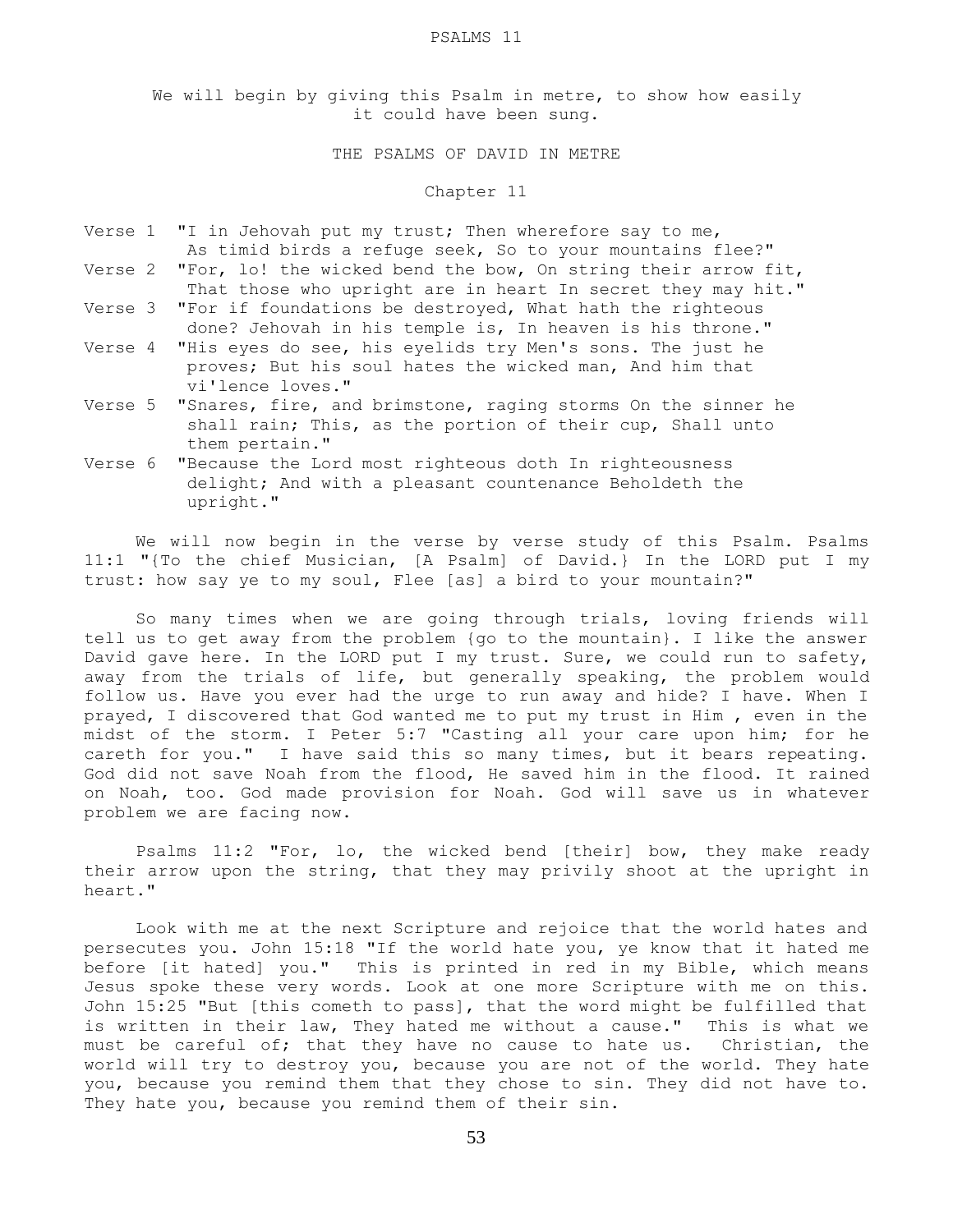#### PSALMS 11

We will begin by giving this Psalm in metre, to show how easily it could have been sung.

# THE PSALMS OF DAVID IN METRE

### Chapter 11

- Verse 1 "I in Jehovah put my trust; Then wherefore say to me, As timid birds a refuge seek, So to your mountains flee?" Verse 2 "For, lo! the wicked bend the bow, On string their arrow fit,
- That those who upright are in heart In secret they may hit." Verse 3 "For if foundations be destroyed, What hath the righteous done? Jehovah in his temple is, In heaven is his throne."
- Verse 4 "His eyes do see, his eyelids try Men's sons. The just he proves; But his soul hates the wicked man, And him that vi'lence loves."
- Verse 5 "Snares, fire, and brimstone, raging storms On the sinner he shall rain; This, as the portion of their cup, Shall unto them pertain."
- Verse 6 "Because the Lord most righteous doth In righteousness delight; And with a pleasant countenance Beholdeth the upright."

We will now begin in the verse by verse study of this Psalm. Psalms 11:1 "{To the chief Musician, [A Psalm] of David.} In the LORD put I my trust: how say ye to my soul, Flee [as] a bird to your mountain?"

 So many times when we are going through trials, loving friends will tell us to get away from the problem {go to the mountain}. I like the answer David gave here. In the LORD put I my trust. Sure, we could run to safety, away from the trials of life, but generally speaking, the problem would follow us. Have you ever had the urge to run away and hide? I have. When I prayed, I discovered that God wanted me to put my trust in Him , even in the midst of the storm. I Peter 5:7 "Casting all your care upon him; for he careth for you." I have said this so many times, but it bears repeating. God did not save Noah from the flood, He saved him in the flood. It rained on Noah, too. God made provision for Noah. God will save us in whatever problem we are facing now.

 Psalms 11:2 "For, lo, the wicked bend [their] bow, they make ready their arrow upon the string, that they may privily shoot at the upright in heart."

 Look with me at the next Scripture and rejoice that the world hates and persecutes you. John 15:18 "If the world hate you, ye know that it hated me before [it hated] you." This is printed in red in my Bible, which means Jesus spoke these very words. Look at one more Scripture with me on this. John 15:25 "But [this cometh to pass], that the word might be fulfilled that is written in their law, They hated me without a cause." This is what we must be careful of; that they have no cause to hate us. Christian, the world will try to destroy you, because you are not of the world. They hate you, because you remind them that they chose to sin. They did not have to. They hate you, because you remind them of their sin.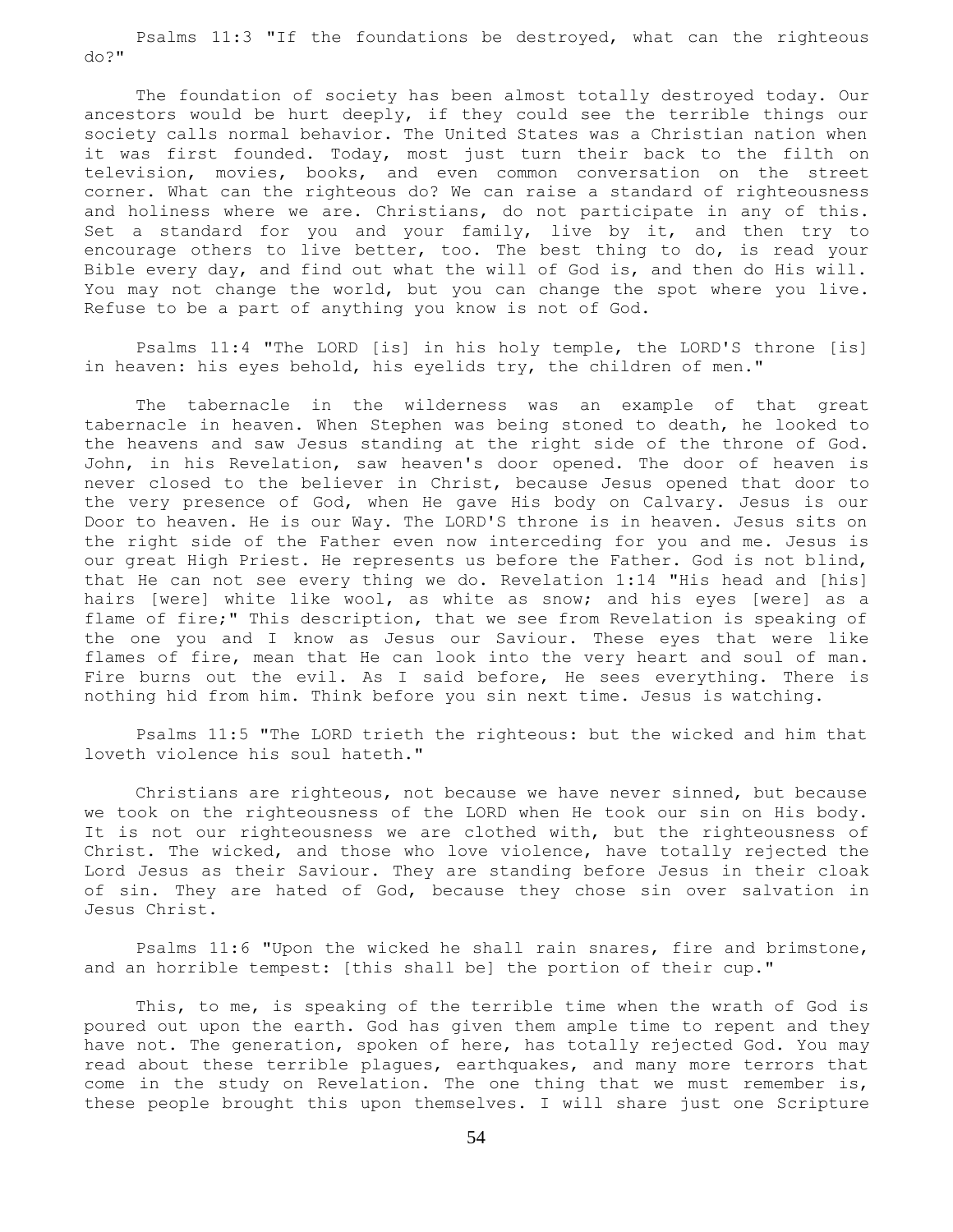Psalms 11:3 "If the foundations be destroyed, what can the righteous do?"

 The foundation of society has been almost totally destroyed today. Our ancestors would be hurt deeply, if they could see the terrible things our society calls normal behavior. The United States was a Christian nation when it was first founded. Today, most just turn their back to the filth on television, movies, books, and even common conversation on the street corner. What can the righteous do? We can raise a standard of righteousness and holiness where we are. Christians, do not participate in any of this. Set a standard for you and your family, live by it, and then try to encourage others to live better, too. The best thing to do, is read your Bible every day, and find out what the will of God is, and then do His will. You may not change the world, but you can change the spot where you live. Refuse to be a part of anything you know is not of God.

 Psalms 11:4 "The LORD [is] in his holy temple, the LORD'S throne [is] in heaven: his eyes behold, his eyelids try, the children of men."

 The tabernacle in the wilderness was an example of that great tabernacle in heaven. When Stephen was being stoned to death, he looked to the heavens and saw Jesus standing at the right side of the throne of God. John, in his Revelation, saw heaven's door opened. The door of heaven is never closed to the believer in Christ, because Jesus opened that door to the very presence of God, when He gave His body on Calvary. Jesus is our Door to heaven. He is our Way. The LORD'S throne is in heaven. Jesus sits on the right side of the Father even now interceding for you and me. Jesus is our great High Priest. He represents us before the Father. God is not blind, that He can not see every thing we do. Revelation 1:14 "His head and [his] hairs [were] white like wool, as white as snow; and his eyes [were] as a flame of fire;" This description, that we see from Revelation is speaking of the one you and I know as Jesus our Saviour. These eyes that were like flames of fire, mean that He can look into the very heart and soul of man. Fire burns out the evil. As I said before, He sees everything. There is nothing hid from him. Think before you sin next time. Jesus is watching.

 Psalms 11:5 "The LORD trieth the righteous: but the wicked and him that loveth violence his soul hateth."

 Christians are righteous, not because we have never sinned, but because we took on the righteousness of the LORD when He took our sin on His body. It is not our righteousness we are clothed with, but the righteousness of Christ. The wicked, and those who love violence, have totally rejected the Lord Jesus as their Saviour. They are standing before Jesus in their cloak of sin. They are hated of God, because they chose sin over salvation in Jesus Christ.

 Psalms 11:6 "Upon the wicked he shall rain snares, fire and brimstone, and an horrible tempest: [this shall be] the portion of their cup."

 This, to me, is speaking of the terrible time when the wrath of God is poured out upon the earth. God has given them ample time to repent and they have not. The generation, spoken of here, has totally rejected God. You may read about these terrible plagues, earthquakes, and many more terrors that come in the study on Revelation. The one thing that we must remember is, these people brought this upon themselves. I will share just one Scripture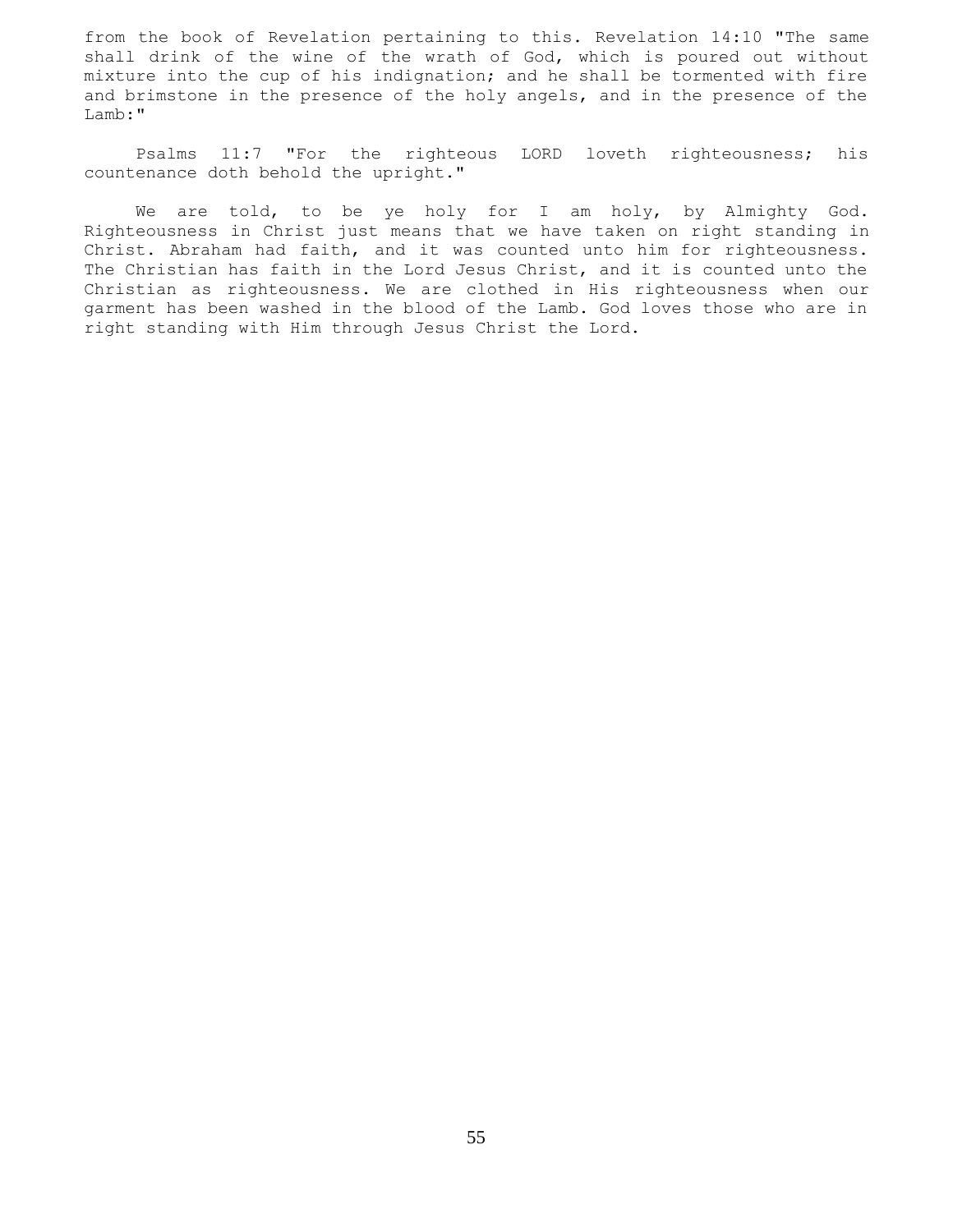from the book of Revelation pertaining to this. Revelation 14:10 "The same shall drink of the wine of the wrath of God, which is poured out without mixture into the cup of his indignation; and he shall be tormented with fire and brimstone in the presence of the holy angels, and in the presence of the Lamb:"

 Psalms 11:7 "For the righteous LORD loveth righteousness; his countenance doth behold the upright."

We are told, to be ye holy for I am holy, by Almighty God. Righteousness in Christ just means that we have taken on right standing in Christ. Abraham had faith, and it was counted unto him for righteousness. The Christian has faith in the Lord Jesus Christ, and it is counted unto the Christian as righteousness. We are clothed in His righteousness when our garment has been washed in the blood of the Lamb. God loves those who are in right standing with Him through Jesus Christ the Lord.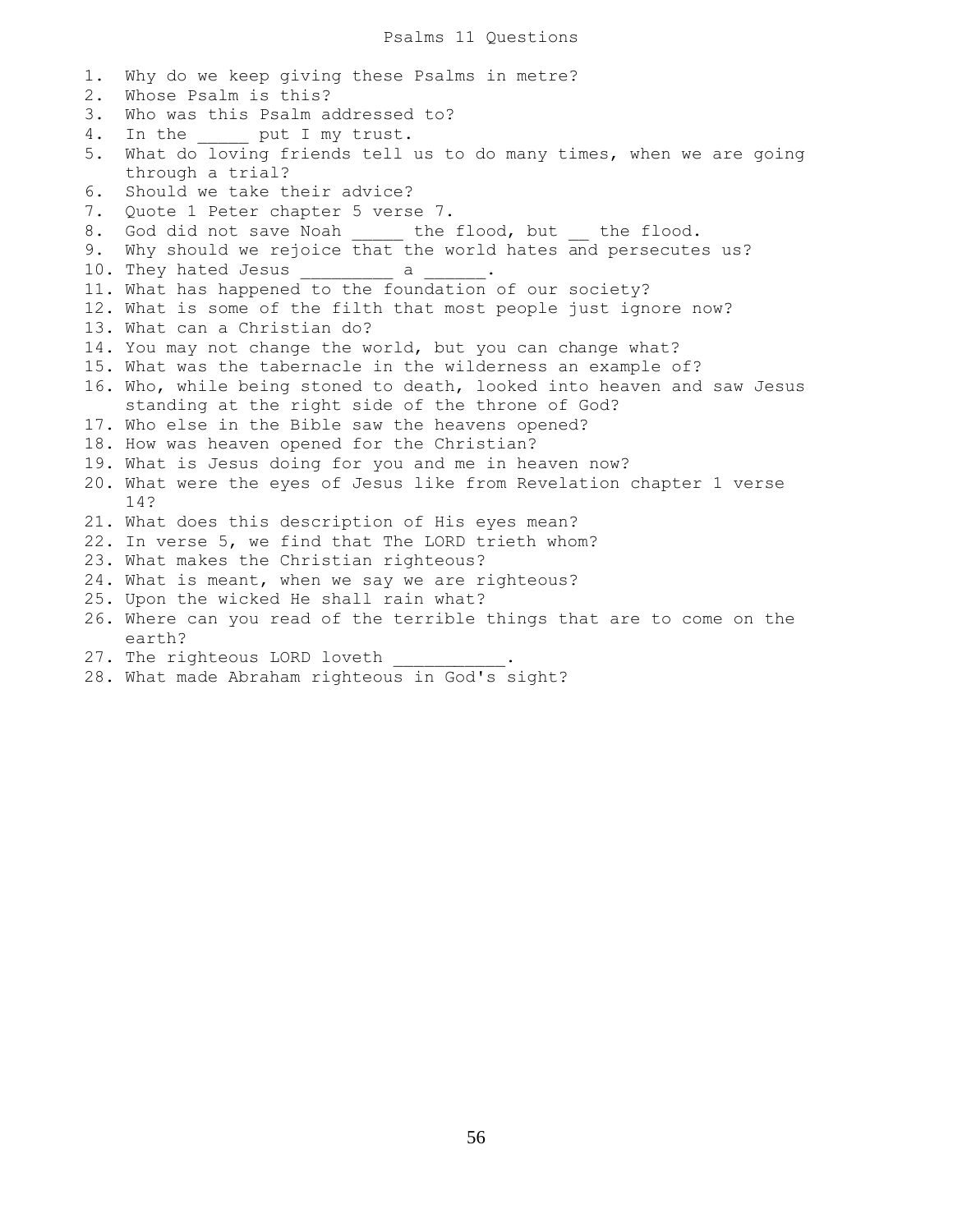Psalms 11 Questions

1. Why do we keep giving these Psalms in metre? 2. Whose Psalm is this? 3. Who was this Psalm addressed to? 4. In the put I my trust. 5. What do loving friends tell us to do many times, when we are going through a trial? 6. Should we take their advice? 7. Quote 1 Peter chapter 5 verse 7. 8. God did not save Noah \_\_\_\_ the flood, but \_\_ the flood. 9. Why should we rejoice that the world hates and persecutes us? 10. They hated Jesus \_\_\_\_\_\_\_\_\_\_ a 11. What has happened to the foundation of our society? 12. What is some of the filth that most people just ignore now? 13. What can a Christian do? 14. You may not change the world, but you can change what? 15. What was the tabernacle in the wilderness an example of? 16. Who, while being stoned to death, looked into heaven and saw Jesus standing at the right side of the throne of God? 17. Who else in the Bible saw the heavens opened? 18. How was heaven opened for the Christian? 19. What is Jesus doing for you and me in heaven now? 20. What were the eyes of Jesus like from Revelation chapter 1 verse 14? 21. What does this description of His eyes mean? 22. In verse 5, we find that The LORD trieth whom? 23. What makes the Christian righteous? 24. What is meant, when we say we are righteous? 25. Upon the wicked He shall rain what? 26. Where can you read of the terrible things that are to come on the earth? 27. The righteous LORD loveth 28. What made Abraham righteous in God's sight?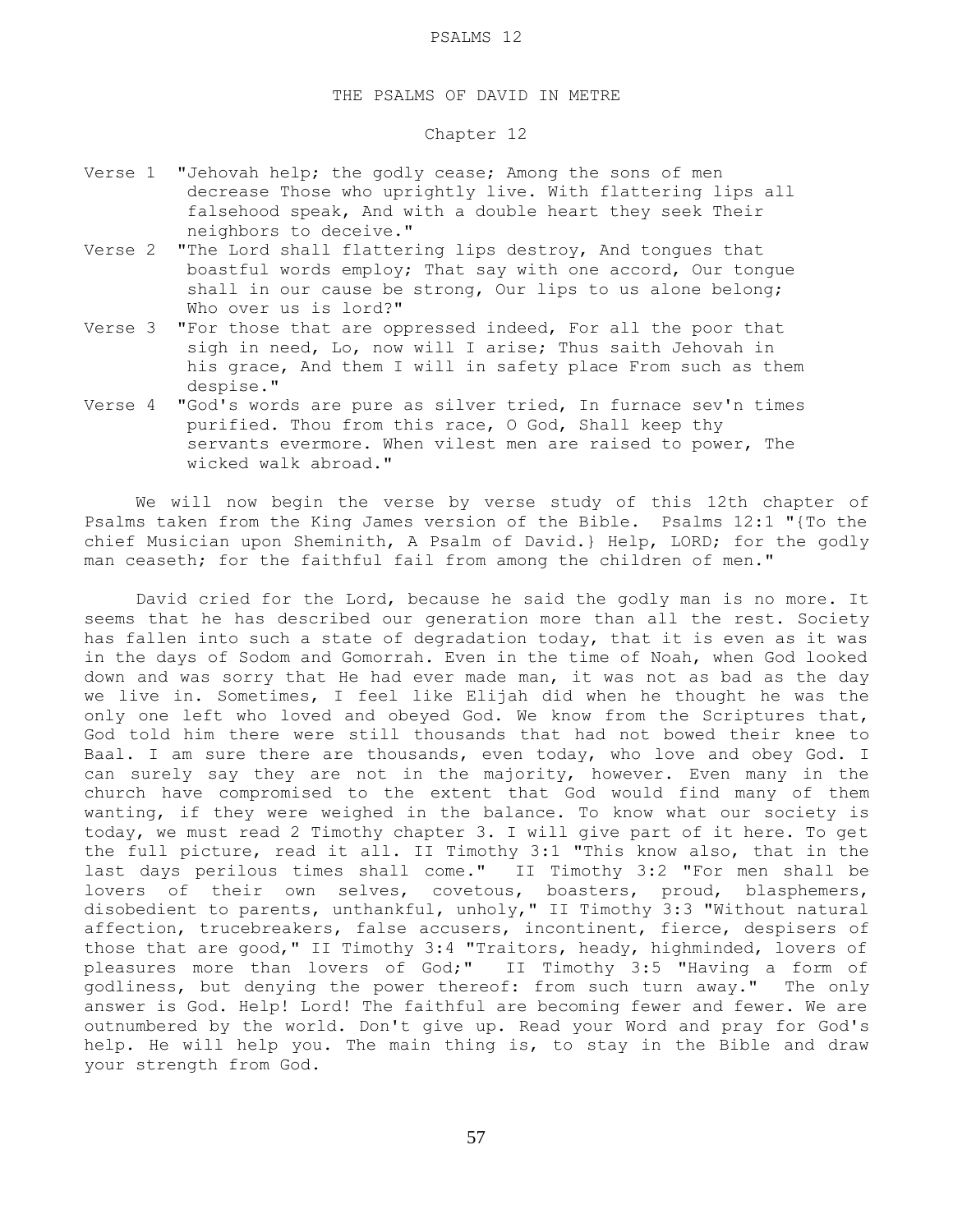## THE PSALMS OF DAVID IN METRE

### Chapter 12

- Verse 1 "Jehovah help; the godly cease; Among the sons of men decrease Those who uprightly live. With flattering lips all falsehood speak, And with a double heart they seek Their neighbors to deceive."
- Verse 2 "The Lord shall flattering lips destroy, And tongues that boastful words employ; That say with one accord, Our tongue shall in our cause be strong, Our lips to us alone belong; Who over us is lord?"
- Verse 3 "For those that are oppressed indeed, For all the poor that sigh in need, Lo, now will I arise; Thus saith Jehovah in his grace, And them I will in safety place From such as them despise."
- Verse 4 "God's words are pure as silver tried, In furnace sev'n times purified. Thou from this race, O God, Shall keep thy servants evermore. When vilest men are raised to power, The wicked walk abroad."

 We will now begin the verse by verse study of this 12th chapter of Psalms taken from the King James version of the Bible. Psalms 12:1 "{To the chief Musician upon Sheminith, A Psalm of David.} Help, LORD; for the godly man ceaseth; for the faithful fail from among the children of men."

 David cried for the Lord, because he said the godly man is no more. It seems that he has described our generation more than all the rest. Society has fallen into such a state of degradation today, that it is even as it was in the days of Sodom and Gomorrah. Even in the time of Noah, when God looked down and was sorry that He had ever made man, it was not as bad as the day we live in. Sometimes, I feel like Elijah did when he thought he was the only one left who loved and obeyed God. We know from the Scriptures that, God told him there were still thousands that had not bowed their knee to Baal. I am sure there are thousands, even today, who love and obey God. I can surely say they are not in the majority, however. Even many in the church have compromised to the extent that God would find many of them wanting, if they were weighed in the balance. To know what our society is today, we must read 2 Timothy chapter 3. I will give part of it here. To get the full picture, read it all. II Timothy 3:1 "This know also, that in the last days perilous times shall come." II Timothy 3:2 "For men shall be lovers of their own selves, covetous, boasters, proud, blasphemers, disobedient to parents, unthankful, unholy," II Timothy 3:3 "Without natural affection, trucebreakers, false accusers, incontinent, fierce, despisers of those that are good," II Timothy 3:4 "Traitors, heady, highminded, lovers of pleasures more than lovers of God;" II Timothy 3:5 "Having a form of godliness, but denying the power thereof: from such turn away." The only answer is God. Help! Lord! The faithful are becoming fewer and fewer. We are outnumbered by the world. Don't give up. Read your Word and pray for God's help. He will help you. The main thing is, to stay in the Bible and draw your strength from God.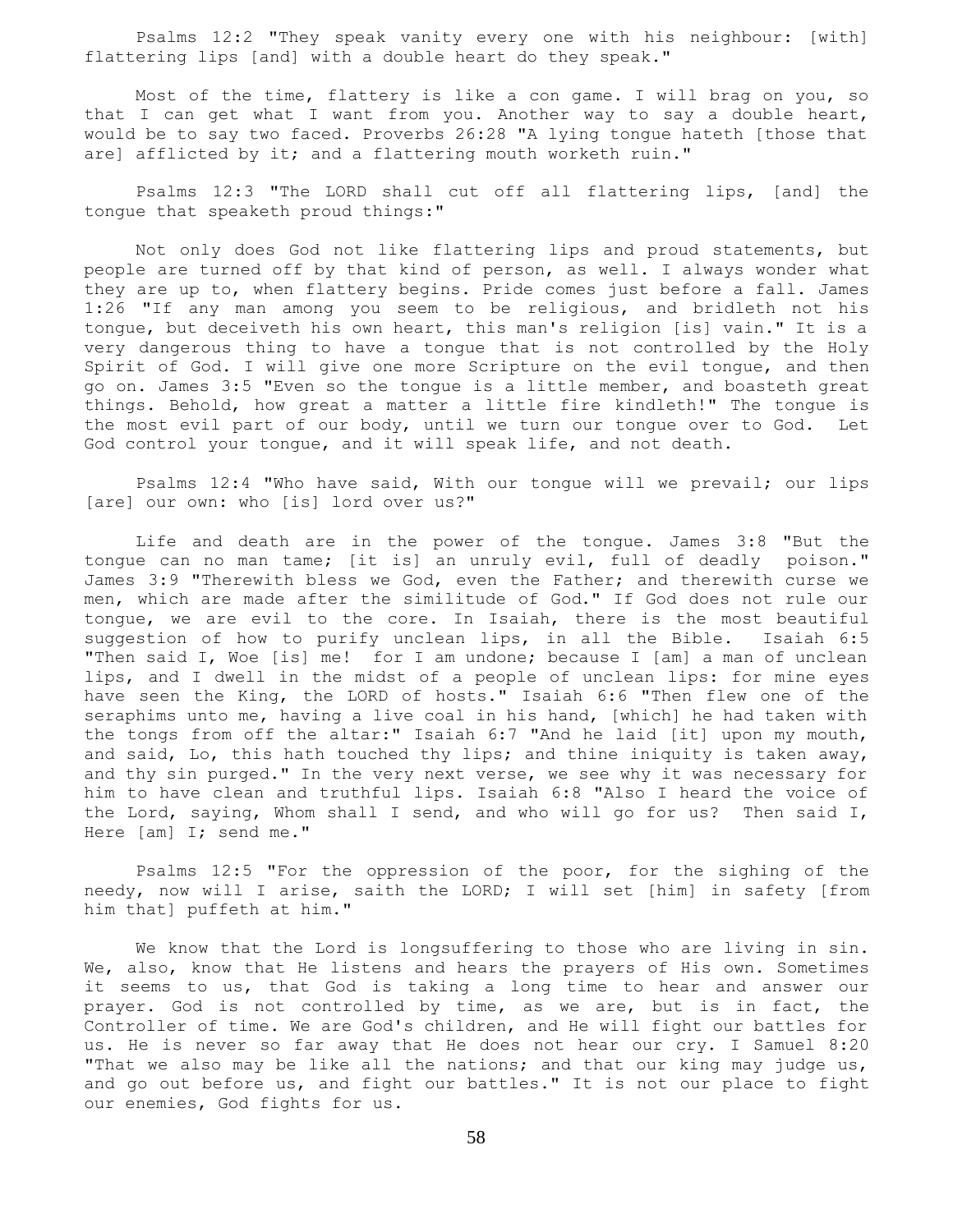Psalms 12:2 "They speak vanity every one with his neighbour: [with] flattering lips [and] with a double heart do they speak."

 Most of the time, flattery is like a con game. I will brag on you, so that I can get what I want from you. Another way to say a double heart, would be to say two faced. Proverbs 26:28 "A lying tongue hateth [those that are] afflicted by it; and a flattering mouth worketh ruin."

 Psalms 12:3 "The LORD shall cut off all flattering lips, [and] the tongue that speaketh proud things:"

 Not only does God not like flattering lips and proud statements, but people are turned off by that kind of person, as well. I always wonder what they are up to, when flattery begins. Pride comes just before a fall. James 1:26 "If any man among you seem to be religious, and bridleth not his tongue, but deceiveth his own heart, this man's religion [is] vain." It is a very dangerous thing to have a tongue that is not controlled by the Holy Spirit of God. I will give one more Scripture on the evil tongue, and then go on. James 3:5 "Even so the tongue is a little member, and boasteth great things. Behold, how great a matter a little fire kindleth!" The tongue is the most evil part of our body, until we turn our tongue over to God. Let God control your tongue, and it will speak life, and not death.

 Psalms 12:4 "Who have said, With our tongue will we prevail; our lips [are] our own: who [is] lord over us?"

 Life and death are in the power of the tongue. James 3:8 "But the tongue can no man tame; [it is] an unruly evil, full of deadly poison." James 3:9 "Therewith bless we God, even the Father; and therewith curse we men, which are made after the similitude of God." If God does not rule our tongue, we are evil to the core. In Isaiah, there is the most beautiful suggestion of how to purify unclean lips, in all the Bible. Isaiah 6:5 "Then said I, Woe [is] me! for I am undone; because I [am] a man of unclean lips, and I dwell in the midst of a people of unclean lips: for mine eyes have seen the King, the LORD of hosts." Isaiah 6:6 "Then flew one of the seraphims unto me, having a live coal in his hand, [which] he had taken with the tongs from off the altar:" Isaiah 6:7 "And he laid [it] upon my mouth, and said, Lo, this hath touched thy lips; and thine iniquity is taken away, and thy sin purged." In the very next verse, we see why it was necessary for him to have clean and truthful lips. Isaiah 6:8 "Also I heard the voice of the Lord, saying, Whom shall I send, and who will go for us? Then said I, Here [am] I; send me."

 Psalms 12:5 "For the oppression of the poor, for the sighing of the needy, now will I arise, saith the LORD; I will set [him] in safety [from him that] puffeth at him."

 We know that the Lord is longsuffering to those who are living in sin. We, also, know that He listens and hears the prayers of His own. Sometimes it seems to us, that God is taking a long time to hear and answer our prayer. God is not controlled by time, as we are, but is in fact, the Controller of time. We are God's children, and He will fight our battles for us. He is never so far away that He does not hear our cry. I Samuel 8:20 "That we also may be like all the nations; and that our king may judge us, and go out before us, and fight our battles." It is not our place to fight our enemies, God fights for us.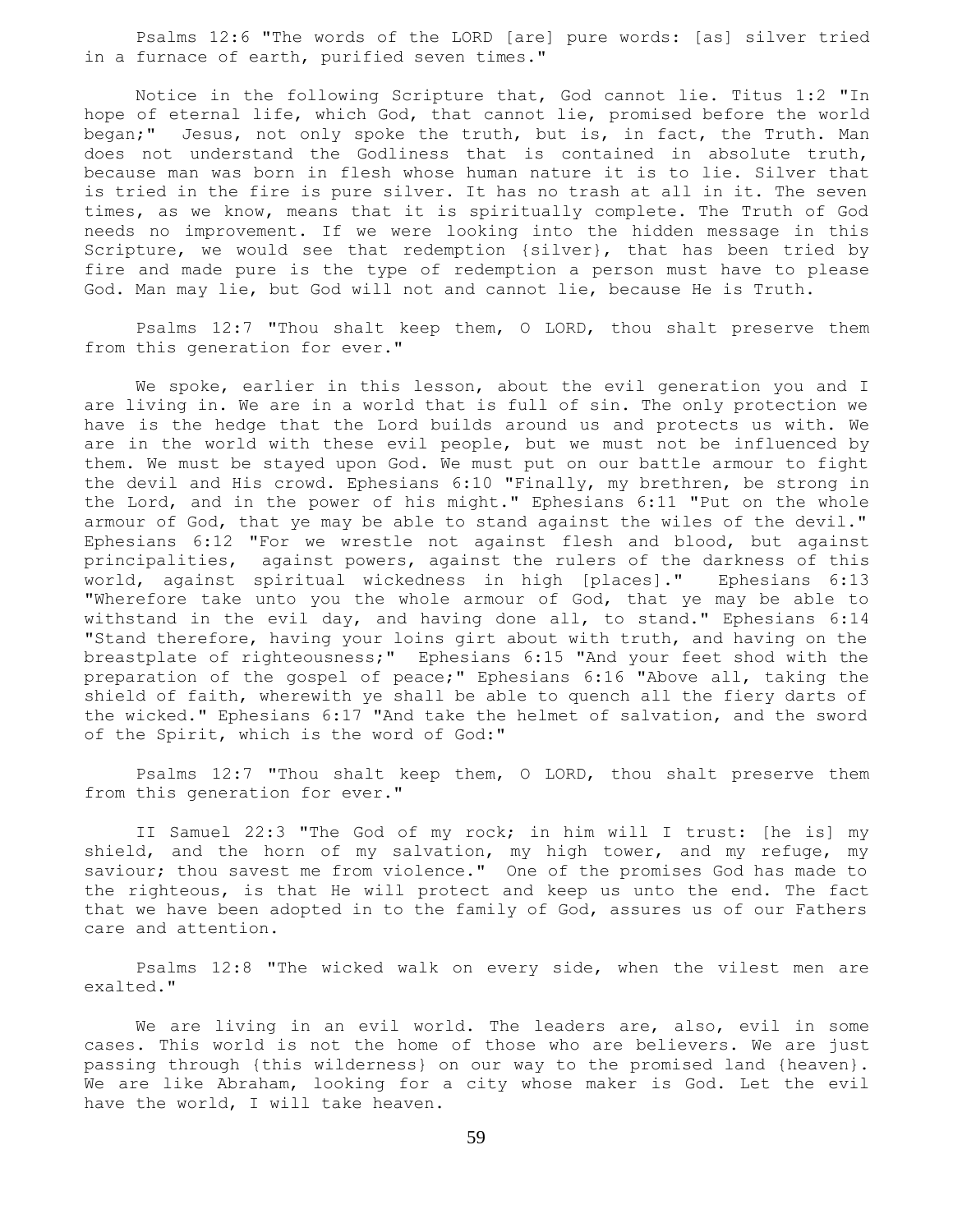Psalms 12:6 "The words of the LORD [are] pure words: [as] silver tried in a furnace of earth, purified seven times."

 Notice in the following Scripture that, God cannot lie. Titus 1:2 "In hope of eternal life, which God, that cannot lie, promised before the world began;" Jesus, not only spoke the truth, but is, in fact, the Truth. Man does not understand the Godliness that is contained in absolute truth, because man was born in flesh whose human nature it is to lie. Silver that is tried in the fire is pure silver. It has no trash at all in it. The seven times, as we know, means that it is spiritually complete. The Truth of God needs no improvement. If we were looking into the hidden message in this Scripture, we would see that redemption {silver}, that has been tried by fire and made pure is the type of redemption a person must have to please God. Man may lie, but God will not and cannot lie, because He is Truth.

 Psalms 12:7 "Thou shalt keep them, O LORD, thou shalt preserve them from this generation for ever."

 We spoke, earlier in this lesson, about the evil generation you and I are living in. We are in a world that is full of sin. The only protection we have is the hedge that the Lord builds around us and protects us with. We are in the world with these evil people, but we must not be influenced by them. We must be stayed upon God. We must put on our battle armour to fight the devil and His crowd. Ephesians 6:10 "Finally, my brethren, be strong in the Lord, and in the power of his might." Ephesians 6:11 "Put on the whole armour of God, that ye may be able to stand against the wiles of the devil." Ephesians 6:12 "For we wrestle not against flesh and blood, but against principalities, against powers, against the rulers of the darkness of this world, against spiritual wickedness in high [places]." Ephesians 6:13 "Wherefore take unto you the whole armour of God, that ye may be able to withstand in the evil day, and having done all, to stand." Ephesians 6:14 "Stand therefore, having your loins girt about with truth, and having on the breastplate of righteousness;" Ephesians 6:15 "And your feet shod with the preparation of the gospel of peace;" Ephesians 6:16 "Above all, taking the shield of faith, wherewith ye shall be able to quench all the fiery darts of the wicked." Ephesians 6:17 "And take the helmet of salvation, and the sword of the Spirit, which is the word of God:"

 Psalms 12:7 "Thou shalt keep them, O LORD, thou shalt preserve them from this generation for ever."

 II Samuel 22:3 "The God of my rock; in him will I trust: [he is] my shield, and the horn of my salvation, my high tower, and my refuge, my saviour; thou savest me from violence." One of the promises God has made to the righteous, is that He will protect and keep us unto the end. The fact that we have been adopted in to the family of God, assures us of our Fathers care and attention.

 Psalms 12:8 "The wicked walk on every side, when the vilest men are exalted."

We are living in an evil world. The leaders are, also, evil in some cases. This world is not the home of those who are believers. We are just passing through {this wilderness} on our way to the promised land {heaven}. We are like Abraham, looking for a city whose maker is God. Let the evil have the world, I will take heaven.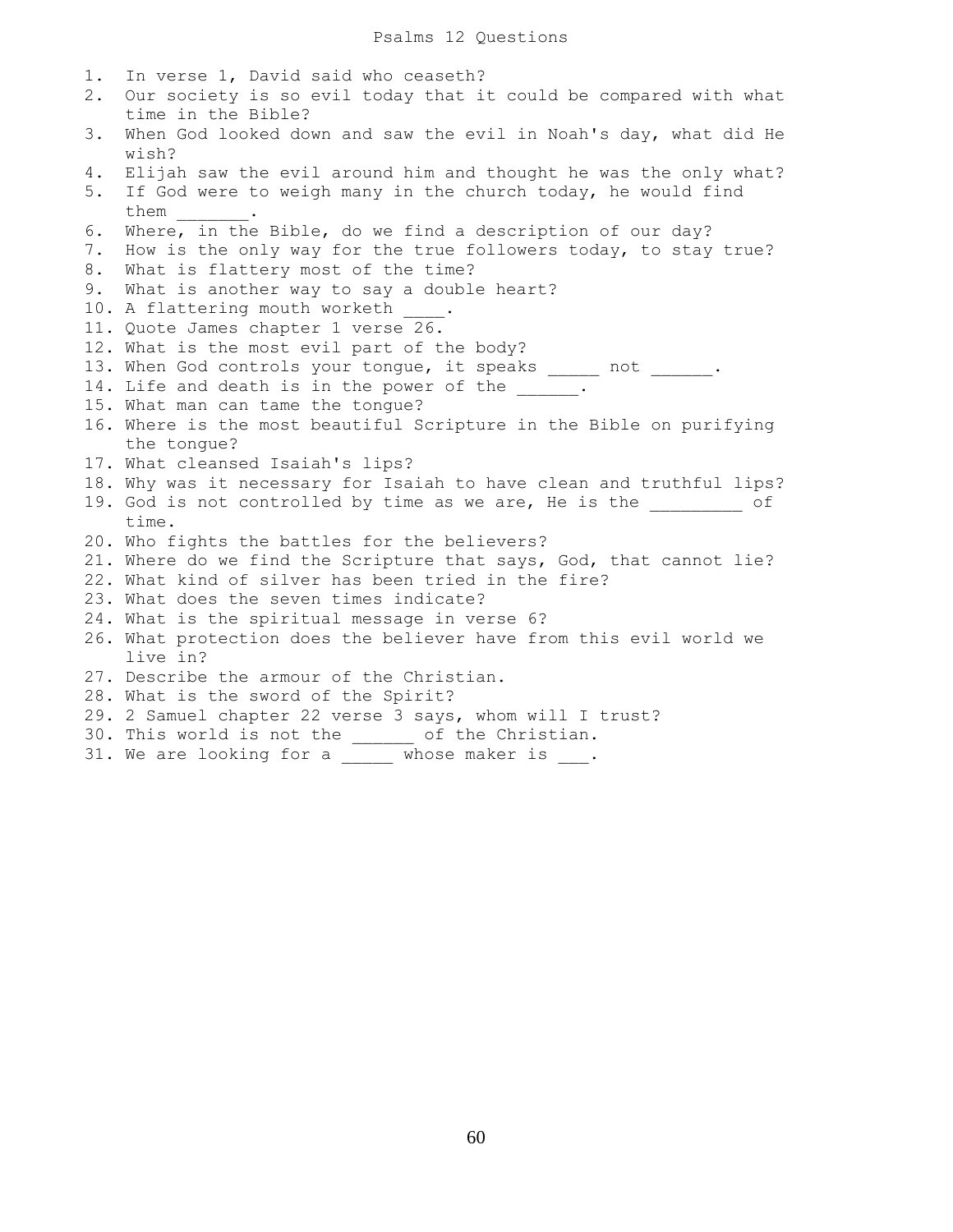1. In verse 1, David said who ceaseth? 2. Our society is so evil today that it could be compared with what time in the Bible? 3. When God looked down and saw the evil in Noah's day, what did He wish? 4. Elijah saw the evil around him and thought he was the only what? 5. If God were to weigh many in the church today, he would find them \_\_\_\_\_\_\_. 6. Where, in the Bible, do we find a description of our day? 7. How is the only way for the true followers today, to stay true? 8. What is flattery most of the time? 9. What is another way to say a double heart? 10. A flattering mouth worketh 11. Quote James chapter 1 verse 26. 12. What is the most evil part of the body? 13. When God controls your tongue, it speaks \_\_\_\_\_ not \_\_\_\_\_\_. 14. Life and death is in the power of the \_\_\_\_\_. 15. What man can tame the tongue? 16. Where is the most beautiful Scripture in the Bible on purifying the tongue? 17. What cleansed Isaiah's lips? 18. Why was it necessary for Isaiah to have clean and truthful lips? 19. God is not controlled by time as we are, He is the  $\qquad \qquad$  of time. 20. Who fights the battles for the believers? 21. Where do we find the Scripture that says, God, that cannot lie? 22. What kind of silver has been tried in the fire? 23. What does the seven times indicate? 24. What is the spiritual message in verse 6? 26. What protection does the believer have from this evil world we live in? 27. Describe the armour of the Christian. 28. What is the sword of the Spirit? 29. 2 Samuel chapter 22 verse 3 says, whom will I trust? 30. This world is not the \_\_\_\_\_\_ of the Christian.

31. We are looking for a  $\frac{1}{\sqrt{1-\frac{1}{n}}}$  whose maker is  $\frac{1}{\sqrt{1-\frac{1}{n}}}$ .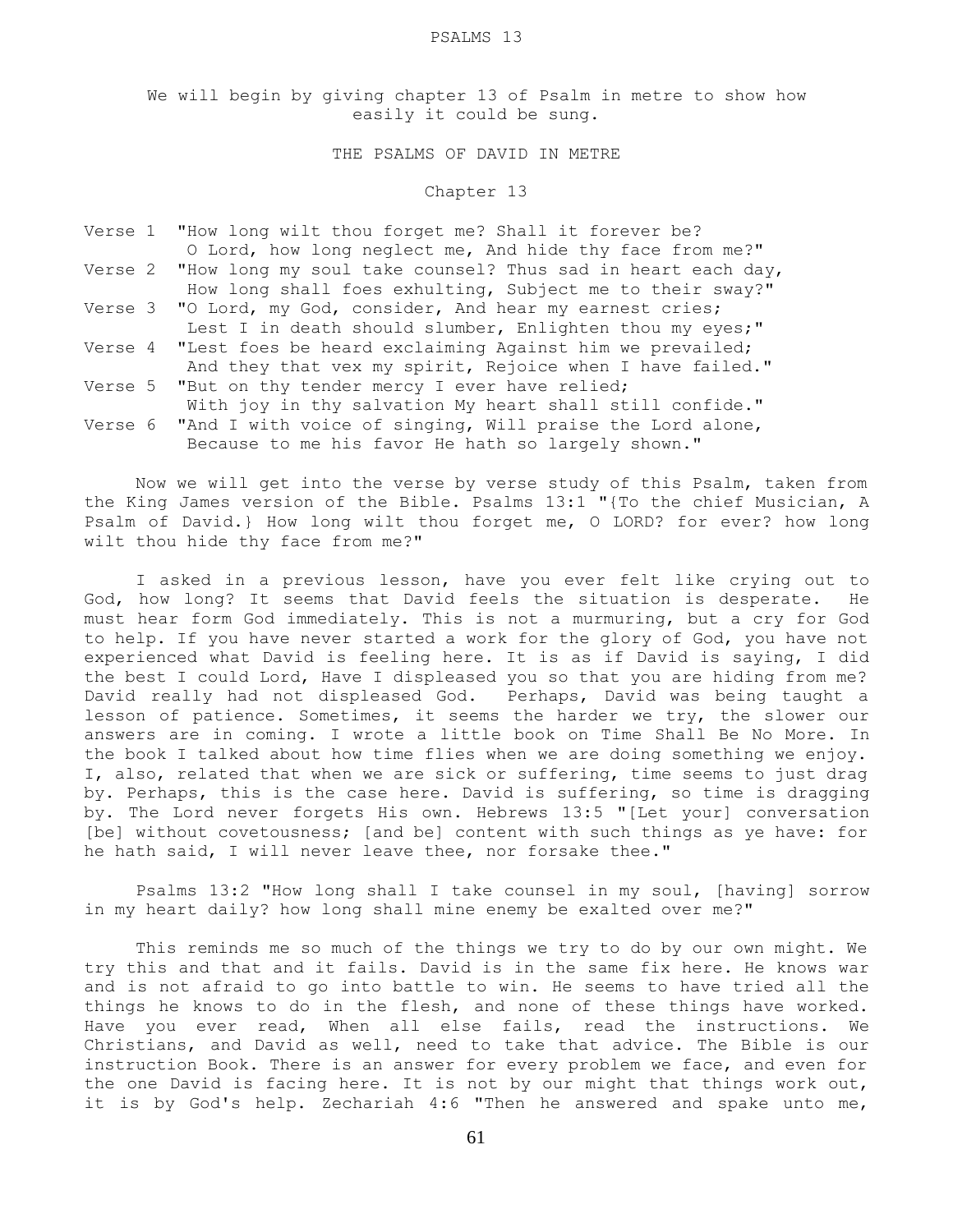#### PSALMS 13

We will begin by giving chapter 13 of Psalm in metre to show how easily it could be sung.

# THE PSALMS OF DAVID IN METRE

#### Chapter 13

|  | Verse 1 "How long wilt thou forget me? Shall it forever be?         |
|--|---------------------------------------------------------------------|
|  | O Lord, how long neglect me, And hide thy face from me?"            |
|  | Verse 2 "How long my soul take counsel? Thus sad in heart each day, |
|  | How long shall foes exhulting, Subject me to their sway?"           |
|  | Verse 3 "O Lord, my God, consider, And hear my earnest cries;       |
|  | Lest I in death should slumber, Enlighten thou my eyes;"            |
|  | Verse 4 "Lest foes be heard exclaiming Against him we prevailed;    |
|  | And they that vex my spirit, Rejoice when I have failed."           |
|  | Verse 5 "But on thy tender mercy I ever have relied;                |
|  | With joy in thy salvation My heart shall still confide."            |
|  | Verse 6 "And I with voice of singing, Will praise the Lord alone,   |
|  | Because to me his favor He hath so largely shown."                  |

 Now we will get into the verse by verse study of this Psalm, taken from the King James version of the Bible. Psalms 13:1 "{To the chief Musician, A Psalm of David.} How long wilt thou forget me, O LORD? for ever? how long wilt thou hide thy face from me?"

 I asked in a previous lesson, have you ever felt like crying out to God, how long? It seems that David feels the situation is desperate. He must hear form God immediately. This is not a murmuring, but a cry for God to help. If you have never started a work for the glory of God, you have not experienced what David is feeling here. It is as if David is saying, I did the best I could Lord, Have I displeased you so that you are hiding from me? David really had not displeased God. Perhaps, David was being taught a lesson of patience. Sometimes, it seems the harder we try, the slower our answers are in coming. I wrote a little book on Time Shall Be No More. In the book I talked about how time flies when we are doing something we enjoy. I, also, related that when we are sick or suffering, time seems to just drag by. Perhaps, this is the case here. David is suffering, so time is dragging by. The Lord never forgets His own. Hebrews 13:5 "[Let your] conversation [be] without covetousness; [and be] content with such things as ye have: for he hath said, I will never leave thee, nor forsake thee."

 Psalms 13:2 "How long shall I take counsel in my soul, [having] sorrow in my heart daily? how long shall mine enemy be exalted over me?"

 This reminds me so much of the things we try to do by our own might. We try this and that and it fails. David is in the same fix here. He knows war and is not afraid to go into battle to win. He seems to have tried all the things he knows to do in the flesh, and none of these things have worked. Have you ever read, When all else fails, read the instructions. We Christians, and David as well, need to take that advice. The Bible is our instruction Book. There is an answer for every problem we face, and even for the one David is facing here. It is not by our might that things work out, it is by God's help. Zechariah 4:6 "Then he answered and spake unto me,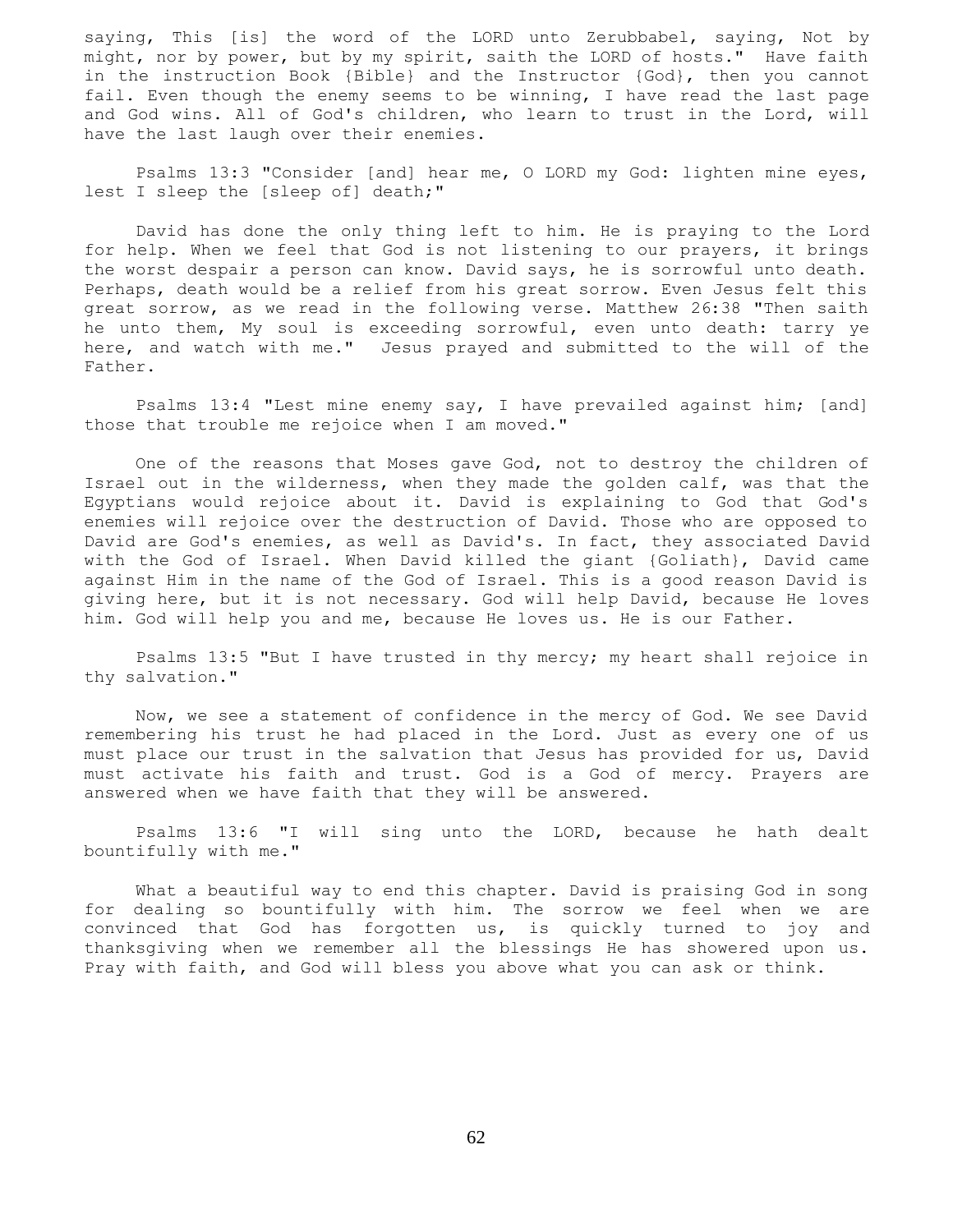saying, This [is] the word of the LORD unto Zerubbabel, saying, Not by might, nor by power, but by my spirit, saith the LORD of hosts." Have faith in the instruction Book {Bible} and the Instructor {God}, then you cannot fail. Even though the enemy seems to be winning, I have read the last page and God wins. All of God's children, who learn to trust in the Lord, will have the last laugh over their enemies.

 Psalms 13:3 "Consider [and] hear me, O LORD my God: lighten mine eyes, lest I sleep the [sleep of] death;"

 David has done the only thing left to him. He is praying to the Lord for help. When we feel that God is not listening to our prayers, it brings the worst despair a person can know. David says, he is sorrowful unto death. Perhaps, death would be a relief from his great sorrow. Even Jesus felt this great sorrow, as we read in the following verse. Matthew 26:38 "Then saith he unto them, My soul is exceeding sorrowful, even unto death: tarry ye here, and watch with me." Jesus prayed and submitted to the will of the Father.

 Psalms 13:4 "Lest mine enemy say, I have prevailed against him; [and] those that trouble me rejoice when I am moved."

 One of the reasons that Moses gave God, not to destroy the children of Israel out in the wilderness, when they made the golden calf, was that the Egyptians would rejoice about it. David is explaining to God that God's enemies will rejoice over the destruction of David. Those who are opposed to David are God's enemies, as well as David's. In fact, they associated David with the God of Israel. When David killed the giant {Goliath}, David came against Him in the name of the God of Israel. This is a good reason David is giving here, but it is not necessary. God will help David, because He loves him. God will help you and me, because He loves us. He is our Father.

 Psalms 13:5 "But I have trusted in thy mercy; my heart shall rejoice in thy salvation."

 Now, we see a statement of confidence in the mercy of God. We see David remembering his trust he had placed in the Lord. Just as every one of us must place our trust in the salvation that Jesus has provided for us, David must activate his faith and trust. God is a God of mercy. Prayers are answered when we have faith that they will be answered.

 Psalms 13:6 "I will sing unto the LORD, because he hath dealt bountifully with me."

 What a beautiful way to end this chapter. David is praising God in song for dealing so bountifully with him. The sorrow we feel when we are convinced that God has forgotten us, is quickly turned to joy and thanksgiving when we remember all the blessings He has showered upon us. Pray with faith, and God will bless you above what you can ask or think.

62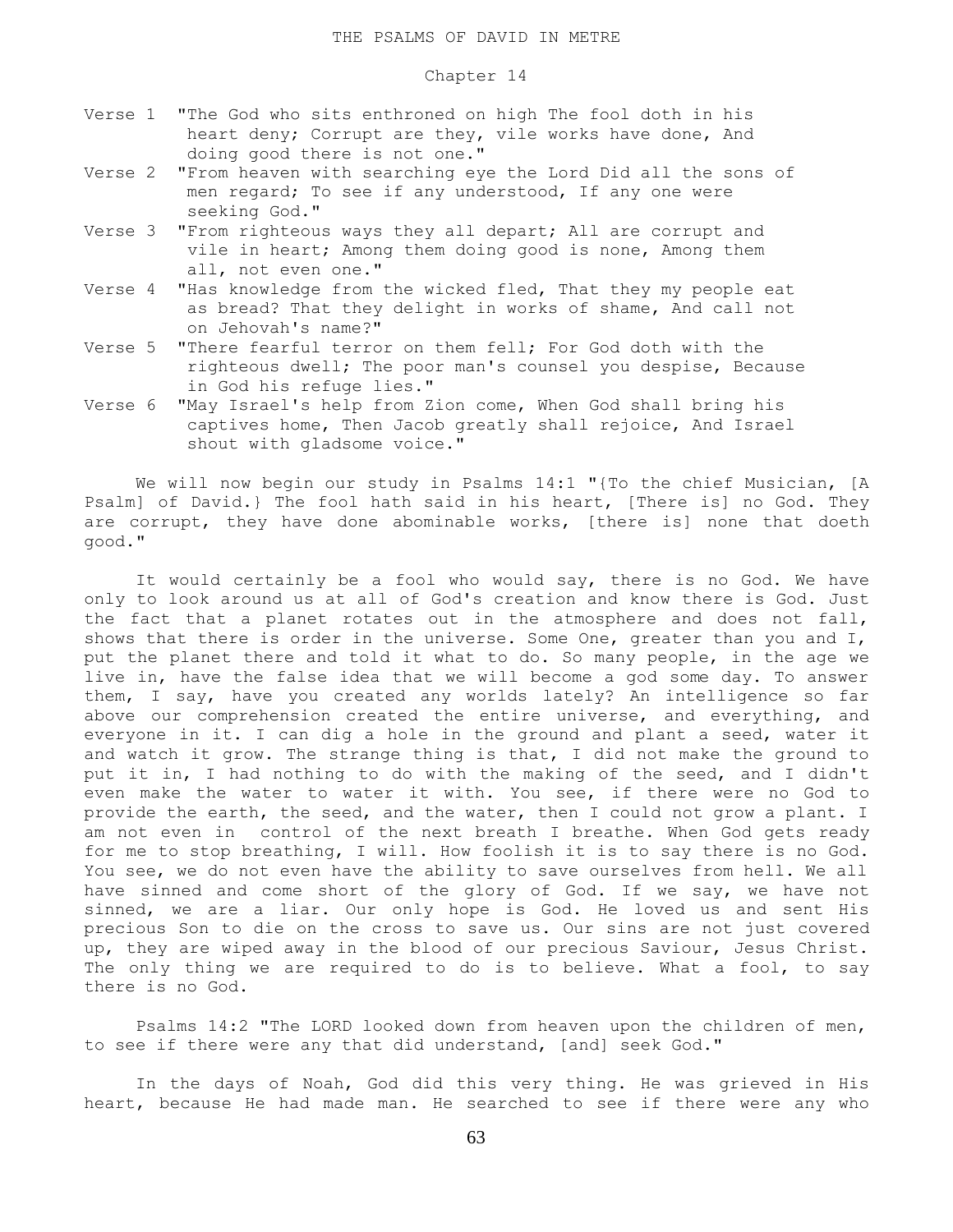### Chapter 14

- Verse 1 "The God who sits enthroned on high The fool doth in his heart deny; Corrupt are they, vile works have done, And doing good there is not one."
- Verse 2 "From heaven with searching eye the Lord Did all the sons of men regard; To see if any understood, If any one were seeking God."
- Verse 3 "From righteous ways they all depart; All are corrupt and vile in heart; Among them doing good is none, Among them all, not even one."
- Verse 4 "Has knowledge from the wicked fled, That they my people eat as bread? That they delight in works of shame, And call not on Jehovah's name?"
- Verse 5 "There fearful terror on them fell; For God doth with the righteous dwell; The poor man's counsel you despise, Because in God his refuge lies."
- Verse 6 "May Israel's help from Zion come, When God shall bring his captives home, Then Jacob greatly shall rejoice, And Israel shout with gladsome voice."

 We will now begin our study in Psalms 14:1 "{To the chief Musician, [A Psalm] of David.} The fool hath said in his heart, [There is] no God. They are corrupt, they have done abominable works, [there is] none that doeth good."

 It would certainly be a fool who would say, there is no God. We have only to look around us at all of God's creation and know there is God. Just the fact that a planet rotates out in the atmosphere and does not fall, shows that there is order in the universe. Some One, greater than you and I, put the planet there and told it what to do. So many people, in the age we live in, have the false idea that we will become a god some day. To answer them, I say, have you created any worlds lately? An intelligence so far above our comprehension created the entire universe, and everything, and everyone in it. I can dig a hole in the ground and plant a seed, water it and watch it grow. The strange thing is that, I did not make the ground to put it in, I had nothing to do with the making of the seed, and I didn't even make the water to water it with. You see, if there were no God to provide the earth, the seed, and the water, then I could not grow a plant. I am not even in control of the next breath I breathe. When God gets ready for me to stop breathing, I will. How foolish it is to say there is no God. You see, we do not even have the ability to save ourselves from hell. We all have sinned and come short of the glory of God. If we say, we have not sinned, we are a liar. Our only hope is God. He loved us and sent His precious Son to die on the cross to save us. Our sins are not just covered up, they are wiped away in the blood of our precious Saviour, Jesus Christ. The only thing we are required to do is to believe. What a fool, to say there is no God.

 Psalms 14:2 "The LORD looked down from heaven upon the children of men, to see if there were any that did understand, [and] seek God."

 In the days of Noah, God did this very thing. He was grieved in His heart, because He had made man. He searched to see if there were any who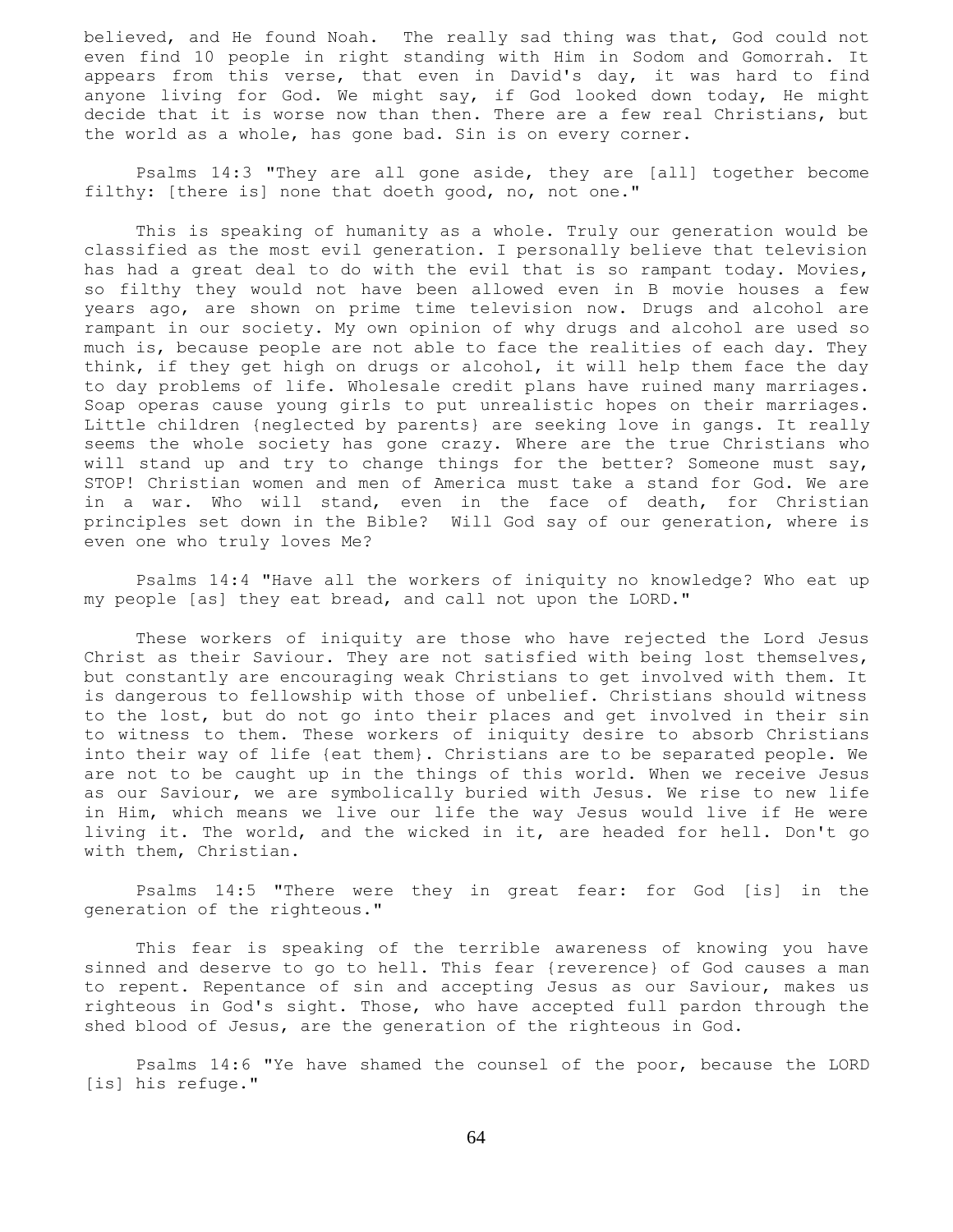believed, and He found Noah. The really sad thing was that, God could not even find 10 people in right standing with Him in Sodom and Gomorrah. It appears from this verse, that even in David's day, it was hard to find anyone living for God. We might say, if God looked down today, He might decide that it is worse now than then. There are a few real Christians, but the world as a whole, has gone bad. Sin is on every corner.

 Psalms 14:3 "They are all gone aside, they are [all] together become filthy: [there is] none that doeth good, no, not one."

 This is speaking of humanity as a whole. Truly our generation would be classified as the most evil generation. I personally believe that television has had a great deal to do with the evil that is so rampant today. Movies, so filthy they would not have been allowed even in B movie houses a few years ago, are shown on prime time television now. Drugs and alcohol are rampant in our society. My own opinion of why drugs and alcohol are used so much is, because people are not able to face the realities of each day. They think, if they get high on drugs or alcohol, it will help them face the day to day problems of life. Wholesale credit plans have ruined many marriages. Soap operas cause young girls to put unrealistic hopes on their marriages. Little children {neglected by parents} are seeking love in gangs. It really seems the whole society has gone crazy. Where are the true Christians who will stand up and try to change things for the better? Someone must say, STOP! Christian women and men of America must take a stand for God. We are in a war. Who will stand, even in the face of death, for Christian principles set down in the Bible? Will God say of our generation, where is even one who truly loves Me?

 Psalms 14:4 "Have all the workers of iniquity no knowledge? Who eat up my people [as] they eat bread, and call not upon the LORD."

 These workers of iniquity are those who have rejected the Lord Jesus Christ as their Saviour. They are not satisfied with being lost themselves, but constantly are encouraging weak Christians to get involved with them. It is dangerous to fellowship with those of unbelief. Christians should witness to the lost, but do not go into their places and get involved in their sin to witness to them. These workers of iniquity desire to absorb Christians into their way of life {eat them}. Christians are to be separated people. We are not to be caught up in the things of this world. When we receive Jesus as our Saviour, we are symbolically buried with Jesus. We rise to new life in Him, which means we live our life the way Jesus would live if He were living it. The world, and the wicked in it, are headed for hell. Don't go with them, Christian.

 Psalms 14:5 "There were they in great fear: for God [is] in the generation of the righteous."

 This fear is speaking of the terrible awareness of knowing you have sinned and deserve to go to hell. This fear {reverence} of God causes a man to repent. Repentance of sin and accepting Jesus as our Saviour, makes us righteous in God's sight. Those, who have accepted full pardon through the shed blood of Jesus, are the generation of the righteous in God.

 Psalms 14:6 "Ye have shamed the counsel of the poor, because the LORD [is] his refuge."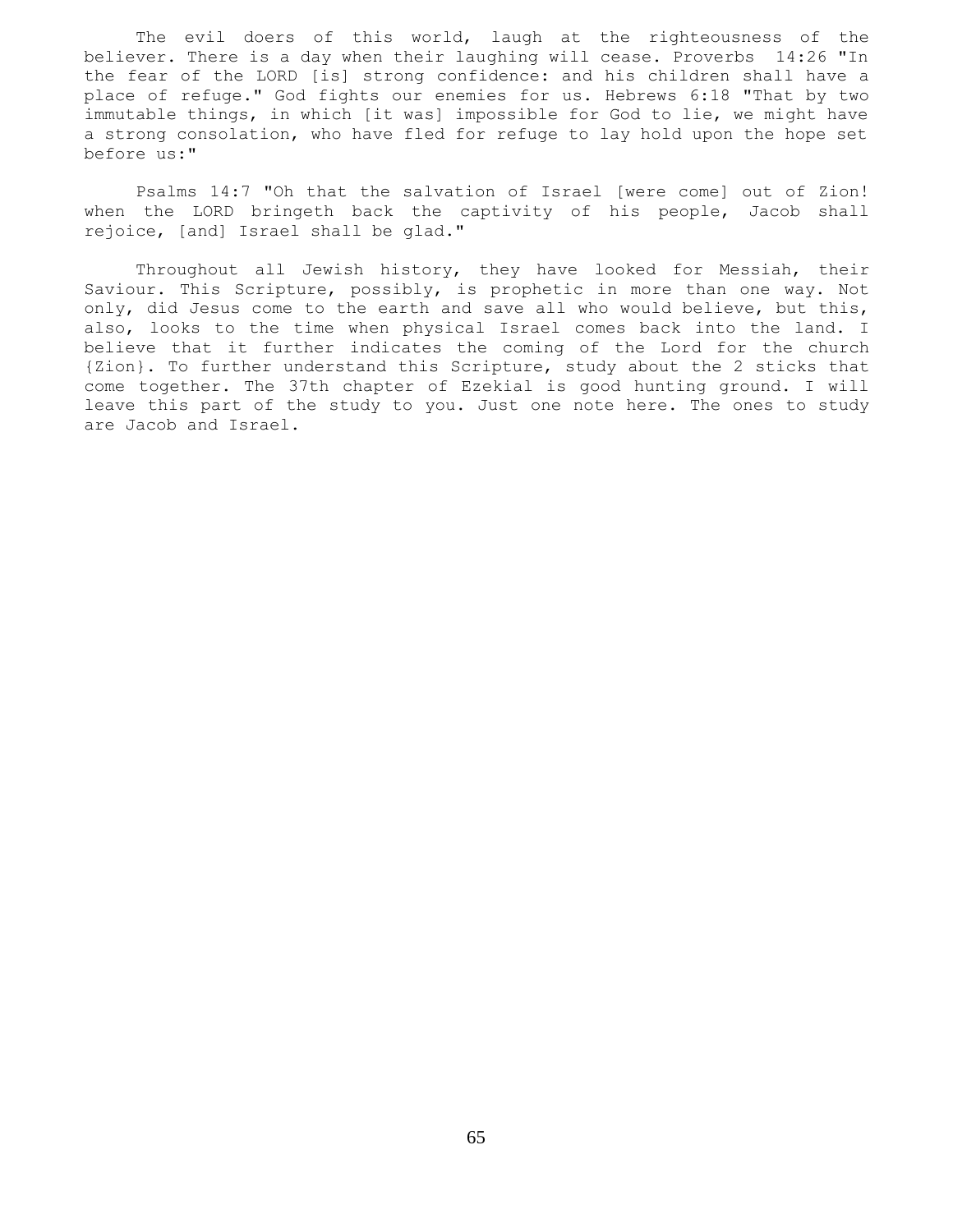The evil doers of this world, laugh at the righteousness of the believer. There is a day when their laughing will cease. Proverbs 14:26 "In the fear of the LORD [is] strong confidence: and his children shall have a place of refuge." God fights our enemies for us. Hebrews 6:18 "That by two immutable things, in which [it was] impossible for God to lie, we might have a strong consolation, who have fled for refuge to lay hold upon the hope set before us:"

 Psalms 14:7 "Oh that the salvation of Israel [were come] out of Zion! when the LORD bringeth back the captivity of his people, Jacob shall rejoice, [and] Israel shall be glad."

 Throughout all Jewish history, they have looked for Messiah, their Saviour. This Scripture, possibly, is prophetic in more than one way. Not only, did Jesus come to the earth and save all who would believe, but this, also, looks to the time when physical Israel comes back into the land. I believe that it further indicates the coming of the Lord for the church {Zion}. To further understand this Scripture, study about the 2 sticks that come together. The 37th chapter of Ezekial is good hunting ground. I will leave this part of the study to you. Just one note here. The ones to study are Jacob and Israel.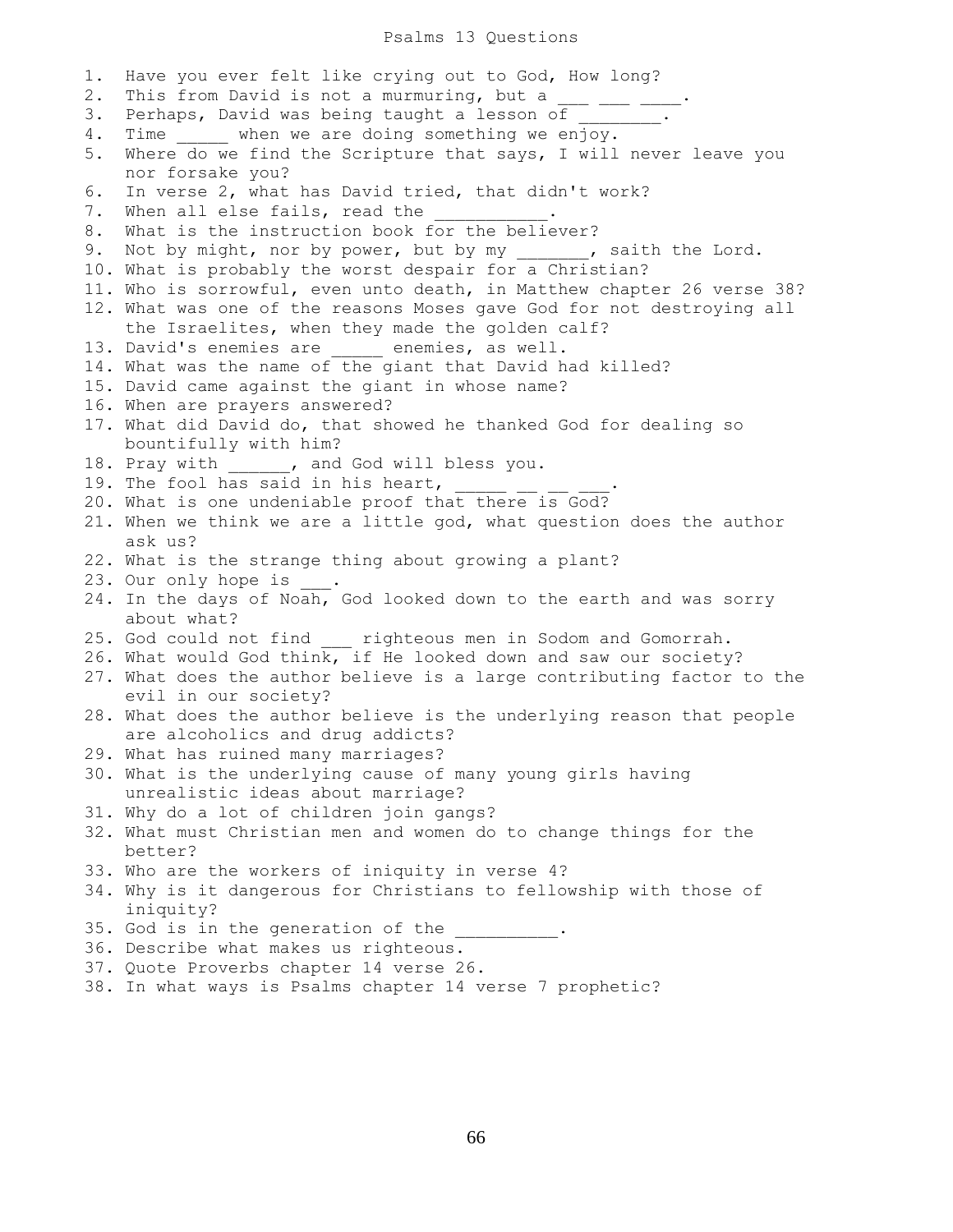#### Psalms 13 Questions

1. Have you ever felt like crying out to God, How long? 2. This from David is not a murmuring, but a  $\frac{1}{\sqrt{2}}$   $\frac{1}{\sqrt{2}}$ 3. Perhaps, David was being taught a lesson of 4. Time when we are doing something we enjoy. 5. Where do we find the Scripture that says, I will never leave you nor forsake you? 6. In verse 2, what has David tried, that didn't work? 7. When all else fails, read the 8. What is the instruction book for the believer? 9. Not by might, nor by power, but by my \_\_\_\_\_\_, saith the Lord. 10. What is probably the worst despair for a Christian? 11. Who is sorrowful, even unto death, in Matthew chapter 26 verse 38? 12. What was one of the reasons Moses gave God for not destroying all the Israelites, when they made the golden calf? 13. David's enemies are \_\_\_\_\_ enemies, as well. 14. What was the name of the giant that David had killed? 15. David came against the giant in whose name? 16. When are prayers answered? 17. What did David do, that showed he thanked God for dealing so bountifully with him? 18. Pray with \_\_\_\_\_\_, and God will bless you. 19. The fool has said in his heart,  $\frac{1}{\sqrt{2}}$  =  $\frac{1}{\sqrt{2}}$ 20. What is one undeniable proof that there is God? 21. When we think we are a little god, what question does the author ask us? 22. What is the strange thing about growing a plant? 23. Our only hope is 24. In the days of Noah, God looked down to the earth and was sorry about what? 25. God could not find \_\_\_ righteous men in Sodom and Gomorrah. 26. What would God think, if He looked down and saw our society? 27. What does the author believe is a large contributing factor to the evil in our society? 28. What does the author believe is the underlying reason that people are alcoholics and drug addicts? 29. What has ruined many marriages? 30. What is the underlying cause of many young girls having unrealistic ideas about marriage? 31. Why do a lot of children join gangs? 32. What must Christian men and women do to change things for the better? 33. Who are the workers of iniquity in verse 4? 34. Why is it dangerous for Christians to fellowship with those of iniquity? 35. God is in the generation of the 36. Describe what makes us righteous. 37. Quote Proverbs chapter 14 verse 26. 38. In what ways is Psalms chapter 14 verse 7 prophetic?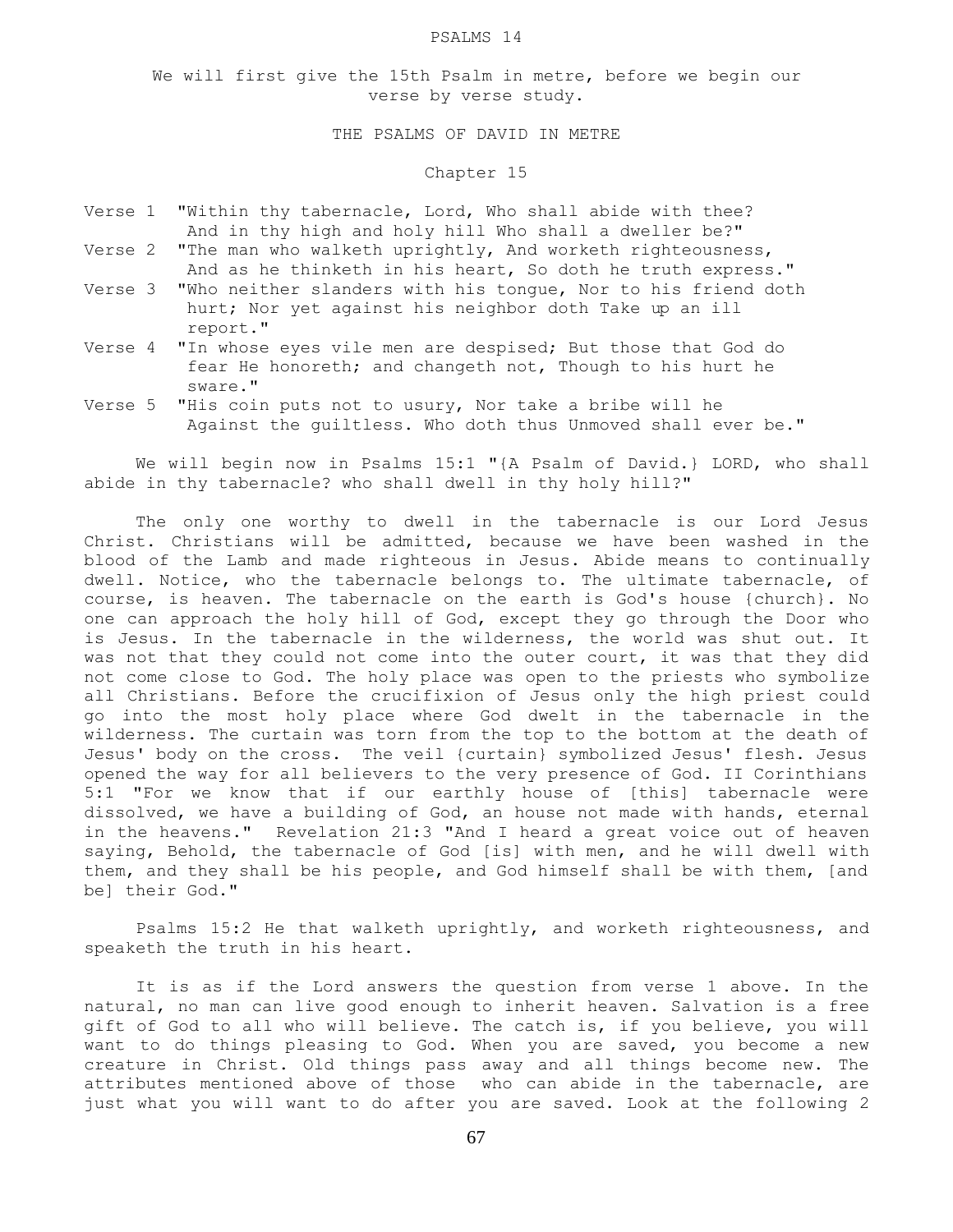#### PSALMS 14

We will first give the 15th Psalm in metre, before we begin our verse by verse study.

### THE PSALMS OF DAVID IN METRE

### Chapter 15

- Verse 1 "Within thy tabernacle, Lord, Who shall abide with thee? And in thy high and holy hill Who shall a dweller be?"
- Verse 2 "The man who walketh uprightly, And worketh righteousness, And as he thinketh in his heart, So doth he truth express."
- Verse 3 "Who neither slanders with his tongue, Nor to his friend doth hurt; Nor yet against his neighbor doth Take up an ill report."
- Verse 4 "In whose eyes vile men are despised; But those that God do fear He honoreth; and changeth not, Though to his hurt he sware."
- Verse 5 "His coin puts not to usury, Nor take a bribe will he Against the guiltless. Who doth thus Unmoved shall ever be."

 We will begin now in Psalms 15:1 "{A Psalm of David.} LORD, who shall abide in thy tabernacle? who shall dwell in thy holy hill?"

 The only one worthy to dwell in the tabernacle is our Lord Jesus Christ. Christians will be admitted, because we have been washed in the blood of the Lamb and made righteous in Jesus. Abide means to continually dwell. Notice, who the tabernacle belongs to. The ultimate tabernacle, of course, is heaven. The tabernacle on the earth is God's house {church}. No one can approach the holy hill of God, except they go through the Door who is Jesus. In the tabernacle in the wilderness, the world was shut out. It was not that they could not come into the outer court, it was that they did not come close to God. The holy place was open to the priests who symbolize all Christians. Before the crucifixion of Jesus only the high priest could go into the most holy place where God dwelt in the tabernacle in the wilderness. The curtain was torn from the top to the bottom at the death of Jesus' body on the cross. The veil {curtain} symbolized Jesus' flesh. Jesus opened the way for all believers to the very presence of God. II Corinthians 5:1 "For we know that if our earthly house of [this] tabernacle were dissolved, we have a building of God, an house not made with hands, eternal in the heavens." Revelation 21:3 "And I heard a great voice out of heaven saying, Behold, the tabernacle of God [is] with men, and he will dwell with them, and they shall be his people, and God himself shall be with them, [and be] their God."

 Psalms 15:2 He that walketh uprightly, and worketh righteousness, and speaketh the truth in his heart.

 It is as if the Lord answers the question from verse 1 above. In the natural, no man can live good enough to inherit heaven. Salvation is a free gift of God to all who will believe. The catch is, if you believe, you will want to do things pleasing to God. When you are saved, you become a new creature in Christ. Old things pass away and all things become new. The attributes mentioned above of those who can abide in the tabernacle, are just what you will want to do after you are saved. Look at the following 2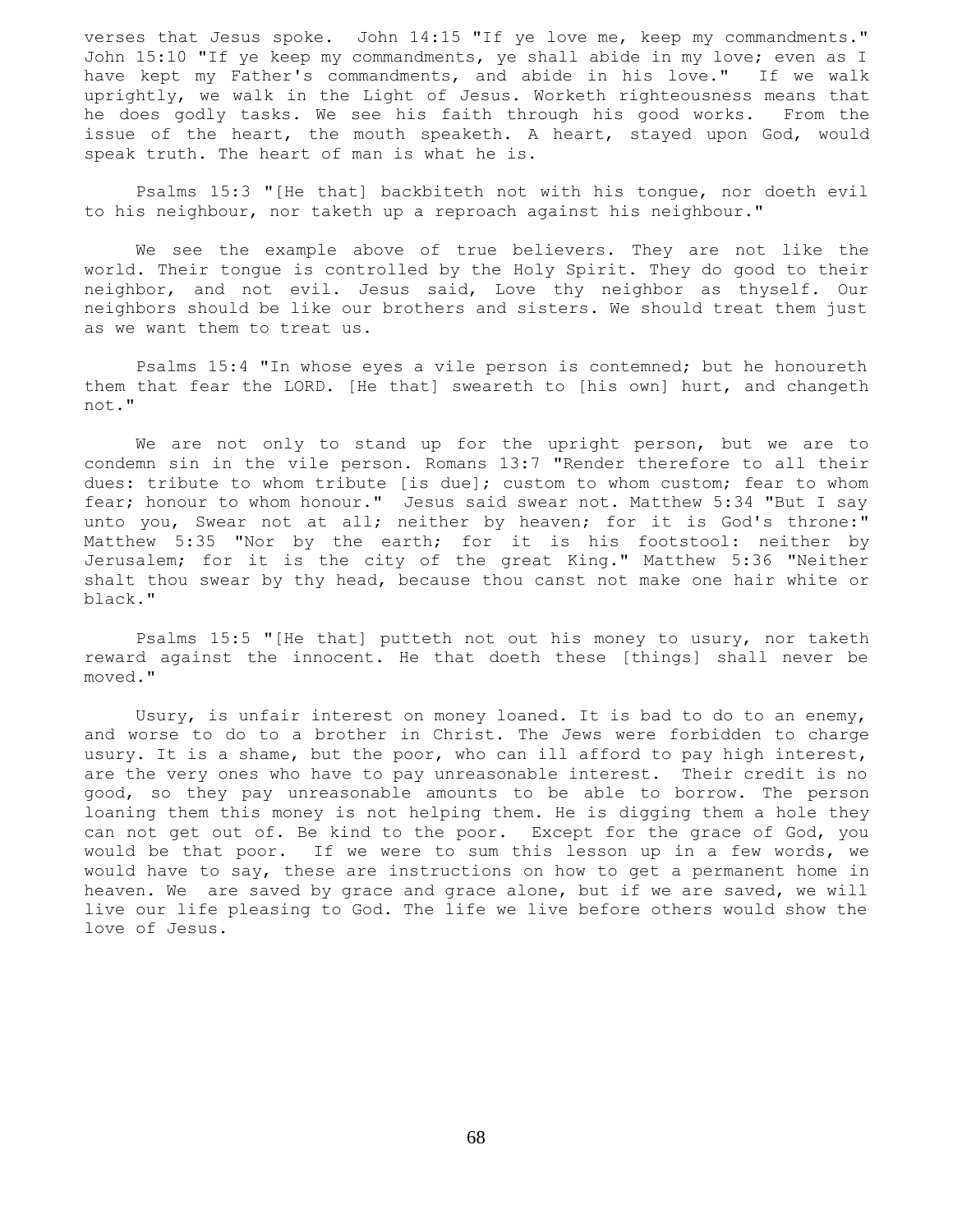verses that Jesus spoke. John 14:15 "If ye love me, keep my commandments." John 15:10 "If ye keep my commandments, ye shall abide in my love; even as I have kept my Father's commandments, and abide in his love." If we walk uprightly, we walk in the Light of Jesus. Worketh righteousness means that he does godly tasks. We see his faith through his good works. From the issue of the heart, the mouth speaketh. A heart, stayed upon God, would speak truth. The heart of man is what he is.

 Psalms 15:3 "[He that] backbiteth not with his tongue, nor doeth evil to his neighbour, nor taketh up a reproach against his neighbour."

 We see the example above of true believers. They are not like the world. Their tongue is controlled by the Holy Spirit. They do good to their neighbor, and not evil. Jesus said, Love thy neighbor as thyself. Our neighbors should be like our brothers and sisters. We should treat them just as we want them to treat us.

 Psalms 15:4 "In whose eyes a vile person is contemned; but he honoureth them that fear the LORD. [He that] sweareth to [his own] hurt, and changeth not."

 We are not only to stand up for the upright person, but we are to condemn sin in the vile person. Romans 13:7 "Render therefore to all their dues: tribute to whom tribute [is due]; custom to whom custom; fear to whom fear; honour to whom honour." Jesus said swear not. Matthew 5:34 "But I say unto you, Swear not at all; neither by heaven; for it is God's throne:" Matthew 5:35 "Nor by the earth; for it is his footstool: neither by Jerusalem; for it is the city of the great King." Matthew 5:36 "Neither shalt thou swear by thy head, because thou canst not make one hair white or black."

 Psalms 15:5 "[He that] putteth not out his money to usury, nor taketh reward against the innocent. He that doeth these [things] shall never be moved."

 Usury, is unfair interest on money loaned. It is bad to do to an enemy, and worse to do to a brother in Christ. The Jews were forbidden to charge usury. It is a shame, but the poor, who can ill afford to pay high interest, are the very ones who have to pay unreasonable interest. Their credit is no good, so they pay unreasonable amounts to be able to borrow. The person loaning them this money is not helping them. He is digging them a hole they can not get out of. Be kind to the poor. Except for the grace of God, you would be that poor. If we were to sum this lesson up in a few words, we would have to say, these are instructions on how to get a permanent home in heaven. We are saved by grace and grace alone, but if we are saved, we will live our life pleasing to God. The life we live before others would show the love of Jesus.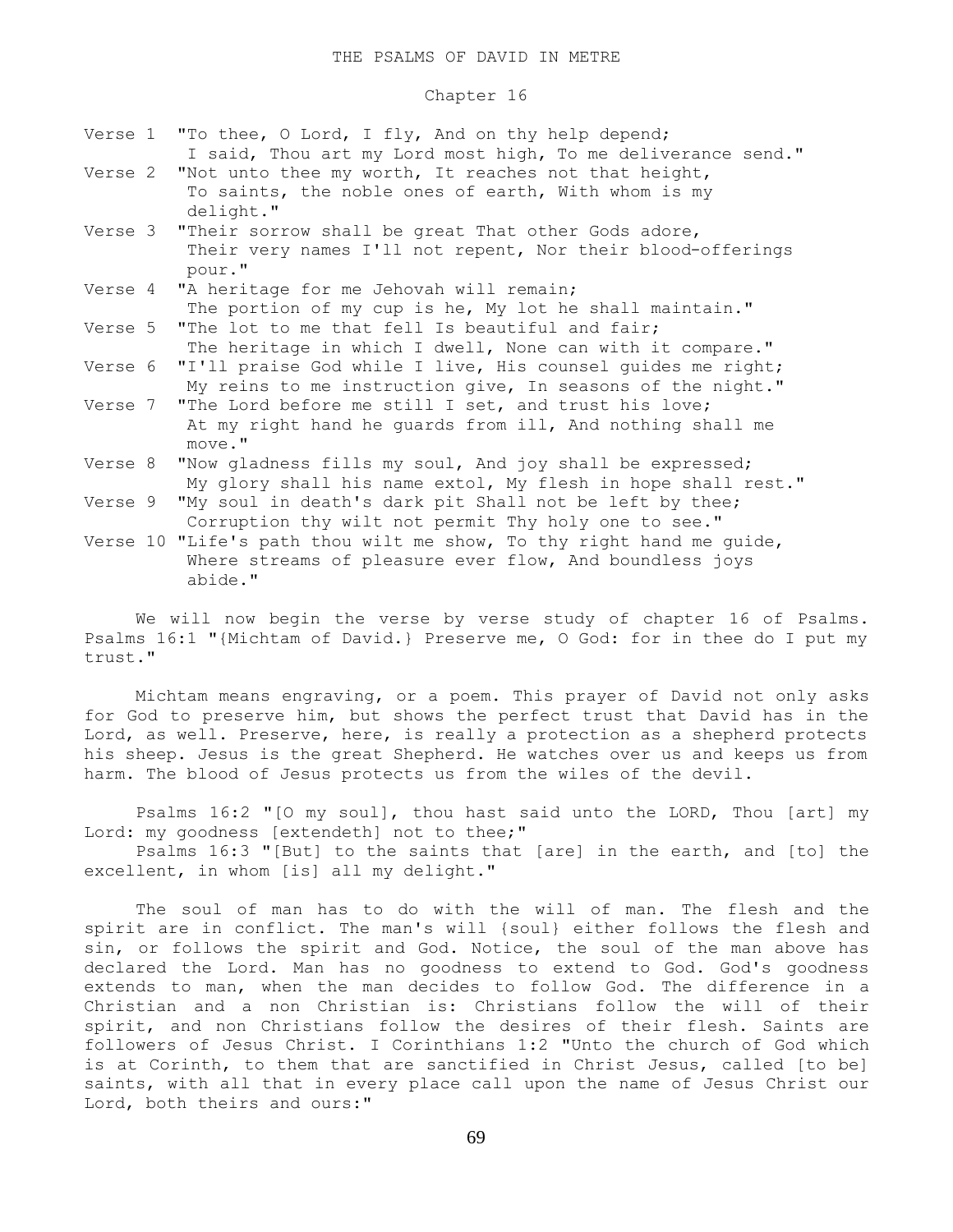## Chapter 16

|  | Verse 1 "To thee, O Lord, I fly, And on thy help depend;<br>I said, Thou art my Lord most high, To me deliverance send."          |
|--|-----------------------------------------------------------------------------------------------------------------------------------|
|  | Verse 2 "Not unto thee my worth, It reaches not that height,<br>To saints, the noble ones of earth, With whom is my<br>delight."  |
|  | Verse 3 "Their sorrow shall be great That other Gods adore,                                                                       |
|  | Their very names I'll not repent, Nor their blood-offerings<br>pour."                                                             |
|  | Verse 4 "A heritage for me Jehovah will remain;                                                                                   |
|  | The portion of my cup is he, My lot he shall maintain."                                                                           |
|  | Verse 5 "The lot to me that fell Is beautiful and fair;                                                                           |
|  | The heritage in which I dwell, None can with it compare."                                                                         |
|  | Verse 6 "I'll praise God while I live, His counsel guides me right;<br>My reins to me instruction give, In seasons of the night." |
|  | Verse 7 "The Lord before me still I set, and trust his love;                                                                      |
|  | At my right hand he quards from ill, And nothing shall me<br>move."                                                               |
|  | Verse 8 "Now gladness fills my soul, And joy shall be expressed;                                                                  |
|  | My glory shall his name extol, My flesh in hope shall rest."                                                                      |
|  | Verse 9 "My soul in death's dark pit Shall not be left by thee;                                                                   |
|  | Corruption thy wilt not permit Thy holy one to see."                                                                              |

Verse 10 "Life's path thou wilt me show, To thy right hand me guide, Where streams of pleasure ever flow, And boundless joys abide."

 We will now begin the verse by verse study of chapter 16 of Psalms. Psalms 16:1 "{Michtam of David.} Preserve me, O God: for in thee do I put my trust."

 Michtam means engraving, or a poem. This prayer of David not only asks for God to preserve him, but shows the perfect trust that David has in the Lord, as well. Preserve, here, is really a protection as a shepherd protects his sheep. Jesus is the great Shepherd. He watches over us and keeps us from harm. The blood of Jesus protects us from the wiles of the devil.

 Psalms 16:2 "[O my soul], thou hast said unto the LORD, Thou [art] my Lord: my goodness [extendeth] not to thee;"

 Psalms 16:3 "[But] to the saints that [are] in the earth, and [to] the excellent, in whom [is] all my delight."

 The soul of man has to do with the will of man. The flesh and the spirit are in conflict. The man's will {soul} either follows the flesh and sin, or follows the spirit and God. Notice, the soul of the man above has declared the Lord. Man has no goodness to extend to God. God's goodness extends to man, when the man decides to follow God. The difference in a Christian and a non Christian is: Christians follow the will of their spirit, and non Christians follow the desires of their flesh. Saints are followers of Jesus Christ. I Corinthians 1:2 "Unto the church of God which is at Corinth, to them that are sanctified in Christ Jesus, called [to be] saints, with all that in every place call upon the name of Jesus Christ our Lord, both theirs and ours:"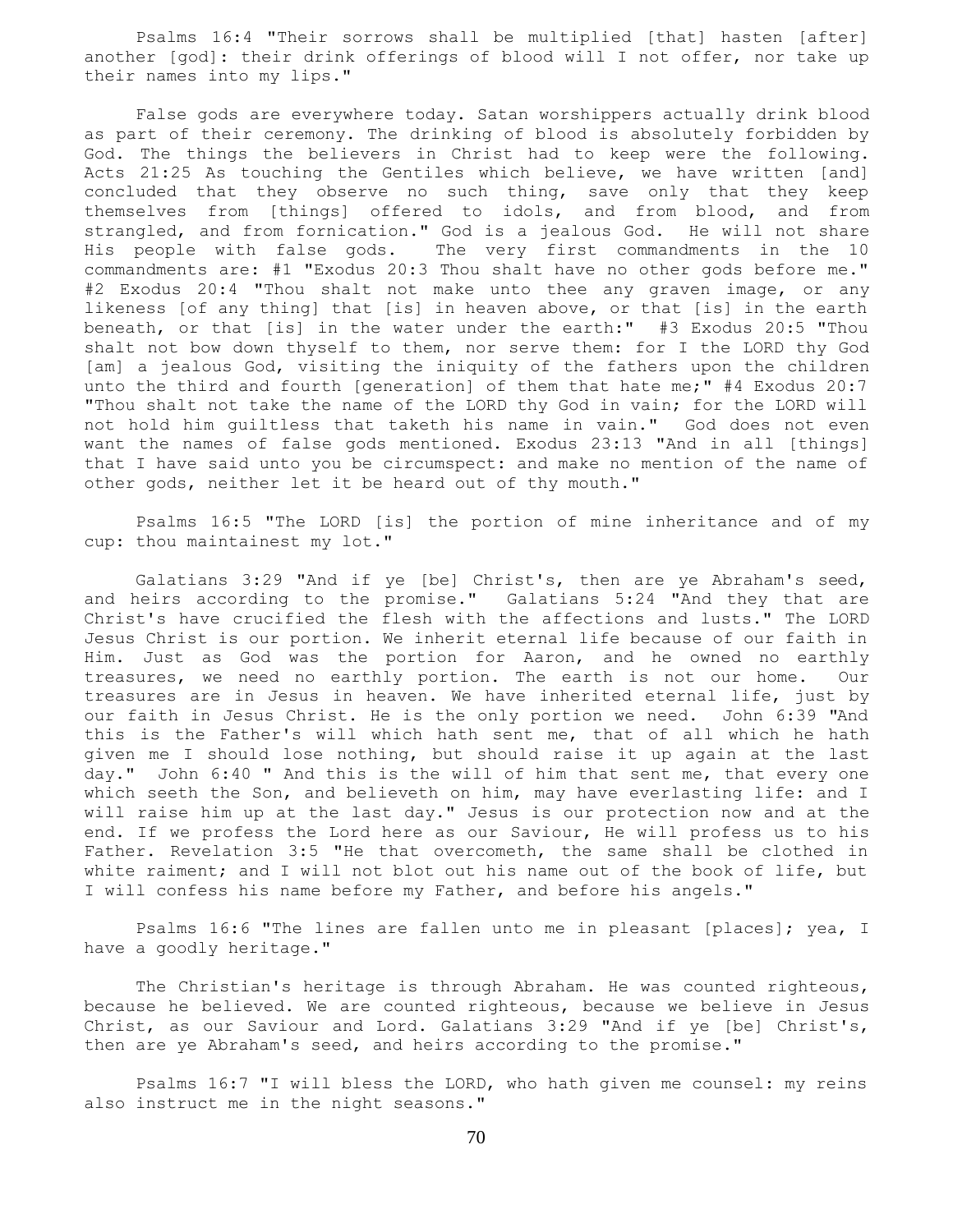Psalms 16:4 "Their sorrows shall be multiplied [that] hasten [after] another [god]: their drink offerings of blood will I not offer, nor take up their names into my lips."

 False gods are everywhere today. Satan worshippers actually drink blood as part of their ceremony. The drinking of blood is absolutely forbidden by God. The things the believers in Christ had to keep were the following. Acts 21:25 As touching the Gentiles which believe, we have written [and] concluded that they observe no such thing, save only that they keep themselves from [things] offered to idols, and from blood, and from strangled, and from fornication." God is a jealous God. He will not share His people with false gods. The very first commandments in the 10 commandments are: #1 "Exodus 20:3 Thou shalt have no other gods before me." #2 Exodus 20:4 "Thou shalt not make unto thee any graven image, or any likeness [of any thing] that [is] in heaven above, or that [is] in the earth beneath, or that [is] in the water under the earth:" #3 Exodus 20:5 "Thou shalt not bow down thyself to them, nor serve them: for I the LORD thy God [am] a jealous God, visiting the iniquity of the fathers upon the children unto the third and fourth [generation] of them that hate me;" #4 Exodus 20:7 "Thou shalt not take the name of the LORD thy God in vain; for the LORD will not hold him guiltless that taketh his name in vain." God does not even want the names of false gods mentioned. Exodus 23:13 "And in all [things] that I have said unto you be circumspect: and make no mention of the name of other gods, neither let it be heard out of thy mouth."

 Psalms 16:5 "The LORD [is] the portion of mine inheritance and of my cup: thou maintainest my lot."

 Galatians 3:29 "And if ye [be] Christ's, then are ye Abraham's seed, and heirs according to the promise." Galatians 5:24 "And they that are Christ's have crucified the flesh with the affections and lusts." The LORD Jesus Christ is our portion. We inherit eternal life because of our faith in Him. Just as God was the portion for Aaron, and he owned no earthly treasures, we need no earthly portion. The earth is not our home. Our treasures are in Jesus in heaven. We have inherited eternal life, just by our faith in Jesus Christ. He is the only portion we need. John 6:39 "And this is the Father's will which hath sent me, that of all which he hath given me I should lose nothing, but should raise it up again at the last day." John 6:40 " And this is the will of him that sent me, that every one which seeth the Son, and believeth on him, may have everlasting life: and I will raise him up at the last day." Jesus is our protection now and at the end. If we profess the Lord here as our Saviour, He will profess us to his Father. Revelation 3:5 "He that overcometh, the same shall be clothed in white raiment; and I will not blot out his name out of the book of life, but I will confess his name before my Father, and before his angels."

 Psalms 16:6 "The lines are fallen unto me in pleasant [places]; yea, I have a goodly heritage."

 The Christian's heritage is through Abraham. He was counted righteous, because he believed. We are counted righteous, because we believe in Jesus Christ, as our Saviour and Lord. Galatians 3:29 "And if ye [be] Christ's, then are ye Abraham's seed, and heirs according to the promise."

 Psalms 16:7 "I will bless the LORD, who hath given me counsel: my reins also instruct me in the night seasons."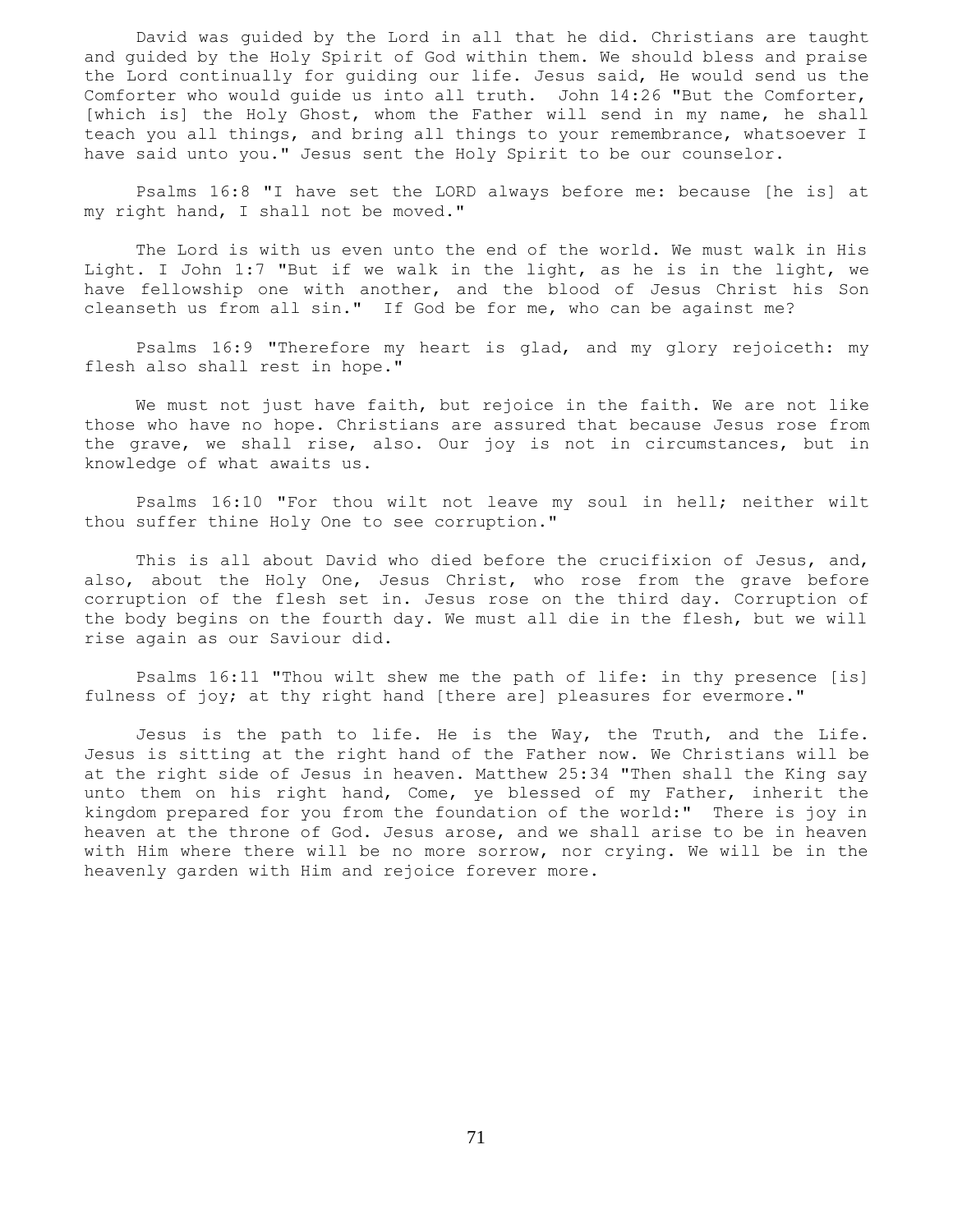David was guided by the Lord in all that he did. Christians are taught and guided by the Holy Spirit of God within them. We should bless and praise the Lord continually for guiding our life. Jesus said, He would send us the Comforter who would guide us into all truth. John 14:26 "But the Comforter, [which is] the Holy Ghost, whom the Father will send in my name, he shall teach you all things, and bring all things to your remembrance, whatsoever I have said unto you." Jesus sent the Holy Spirit to be our counselor.

 Psalms 16:8 "I have set the LORD always before me: because [he is] at my right hand, I shall not be moved."

 The Lord is with us even unto the end of the world. We must walk in His Light. I John 1:7 "But if we walk in the light, as he is in the light, we have fellowship one with another, and the blood of Jesus Christ his Son cleanseth us from all sin." If God be for me, who can be against me?

 Psalms 16:9 "Therefore my heart is glad, and my glory rejoiceth: my flesh also shall rest in hope."

 We must not just have faith, but rejoice in the faith. We are not like those who have no hope. Christians are assured that because Jesus rose from the grave, we shall rise, also. Our joy is not in circumstances, but in knowledge of what awaits us.

 Psalms 16:10 "For thou wilt not leave my soul in hell; neither wilt thou suffer thine Holy One to see corruption."

 This is all about David who died before the crucifixion of Jesus, and, also, about the Holy One, Jesus Christ, who rose from the grave before corruption of the flesh set in. Jesus rose on the third day. Corruption of the body begins on the fourth day. We must all die in the flesh, but we will rise again as our Saviour did.

 Psalms 16:11 "Thou wilt shew me the path of life: in thy presence [is] fulness of joy; at thy right hand [there are] pleasures for evermore."

 Jesus is the path to life. He is the Way, the Truth, and the Life. Jesus is sitting at the right hand of the Father now. We Christians will be at the right side of Jesus in heaven. Matthew 25:34 "Then shall the King say unto them on his right hand, Come, ye blessed of my Father, inherit the kingdom prepared for you from the foundation of the world:" There is joy in heaven at the throne of God. Jesus arose, and we shall arise to be in heaven with Him where there will be no more sorrow, nor crying. We will be in the heavenly garden with Him and rejoice forever more.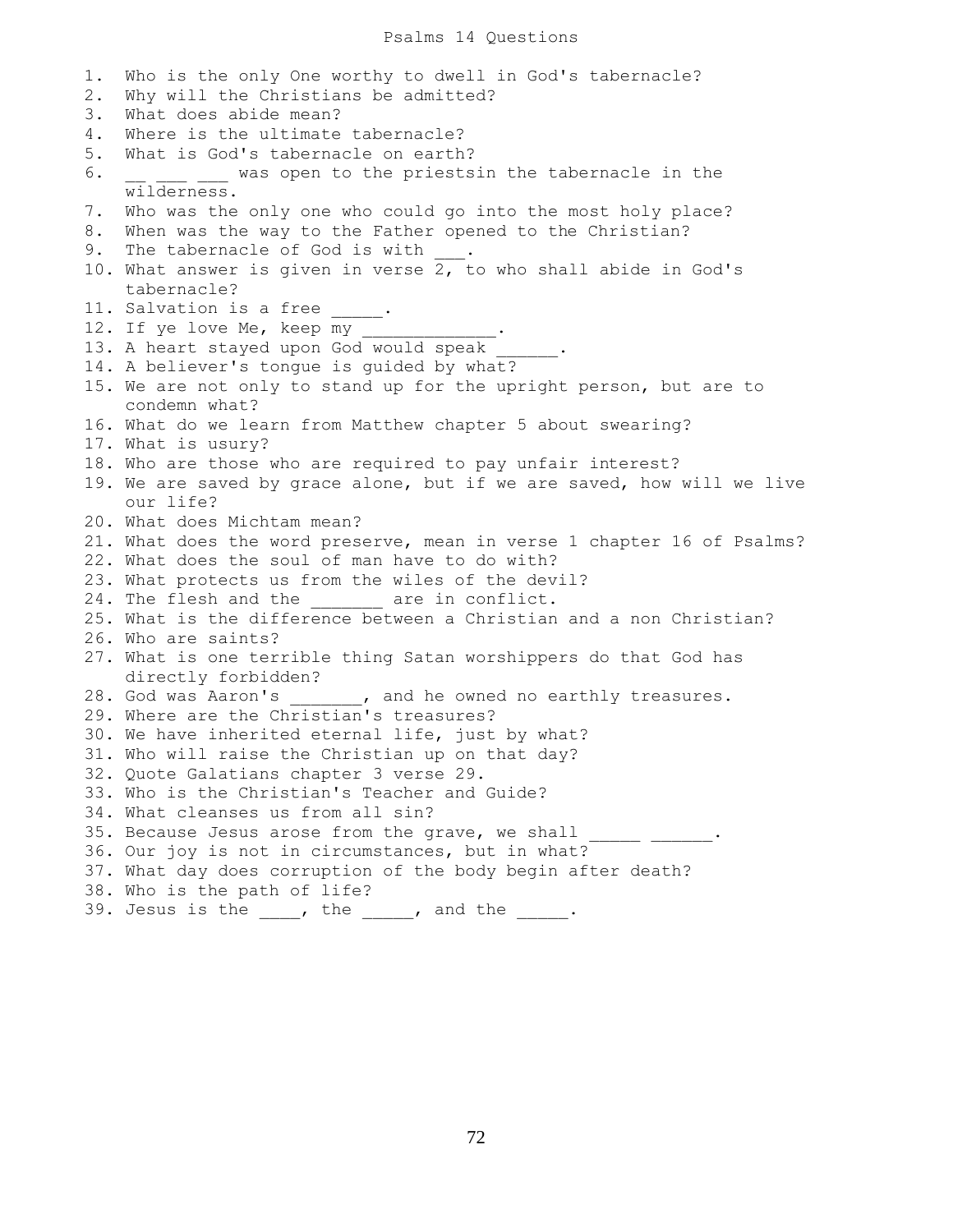1. Who is the only One worthy to dwell in God's tabernacle? 2. Why will the Christians be admitted? 3. What does abide mean? 4. Where is the ultimate tabernacle? 5. What is God's tabernacle on earth? 6.  $\frac{1}{\sqrt{1-\frac{1}{\sqrt{1-\frac{1}{\sqrt{1-\frac{1}{\sqrt{1-\frac{1}{\sqrt{1-\frac{1}{\sqrt{1-\frac{1}{\sqrt{1-\frac{1}{\sqrt{1-\frac{1}{\sqrt{1-\frac{1}{\sqrt{1-\frac{1}{\sqrt{1-\frac{1}{\sqrt{1-\frac{1}{\sqrt{1-\frac{1}{\sqrt{1-\frac{1}{\sqrt{1-\frac{1}{\sqrt{1-\frac{1}{\sqrt{1-\frac{1}{\sqrt{1-\frac{1}{\sqrt{1-\frac{1}{\sqrt{1-\frac{1}{\sqrt{1-\frac{1}{\sqrt{1-\frac{1}{\sqrt{1-\frac{1}{\sqrt{1-\$  wilderness. 7. Who was the only one who could go into the most holy place? 8. When was the way to the Father opened to the Christian? 9. The tabernacle of God is with . 10. What answer is given in verse  $2,$  to who shall abide in God's tabernacle? 11. Salvation is a free 12. If ye love Me, keep my 13. A heart stayed upon God would speak 14. A believer's tongue is guided by what? 15. We are not only to stand up for the upright person, but are to condemn what? 16. What do we learn from Matthew chapter 5 about swearing? 17. What is usury? 18. Who are those who are required to pay unfair interest? 19. We are saved by grace alone, but if we are saved, how will we live our life? 20. What does Michtam mean? 21. What does the word preserve, mean in verse 1 chapter 16 of Psalms? 22. What does the soul of man have to do with? 23. What protects us from the wiles of the devil? 24. The flesh and the are in conflict. 25. What is the difference between a Christian and a non Christian? 26. Who are saints? 27. What is one terrible thing Satan worshippers do that God has directly forbidden? 28. God was Aaron's \_\_\_\_\_\_, and he owned no earthly treasures. 29. Where are the Christian's treasures? 30. We have inherited eternal life, just by what? 31. Who will raise the Christian up on that day? 32. Quote Galatians chapter 3 verse 29. 33. Who is the Christian's Teacher and Guide? 34. What cleanses us from all sin? 35. Because Jesus arose from the grave, we shall 36. Our joy is not in circumstances, but in what? 37. What day does corruption of the body begin after death? 38. Who is the path of life? 39. Jesus is the  $\_\_\_\$ , the  $\_\_\_\_\$ , and the  $\_\_\_\_\$ .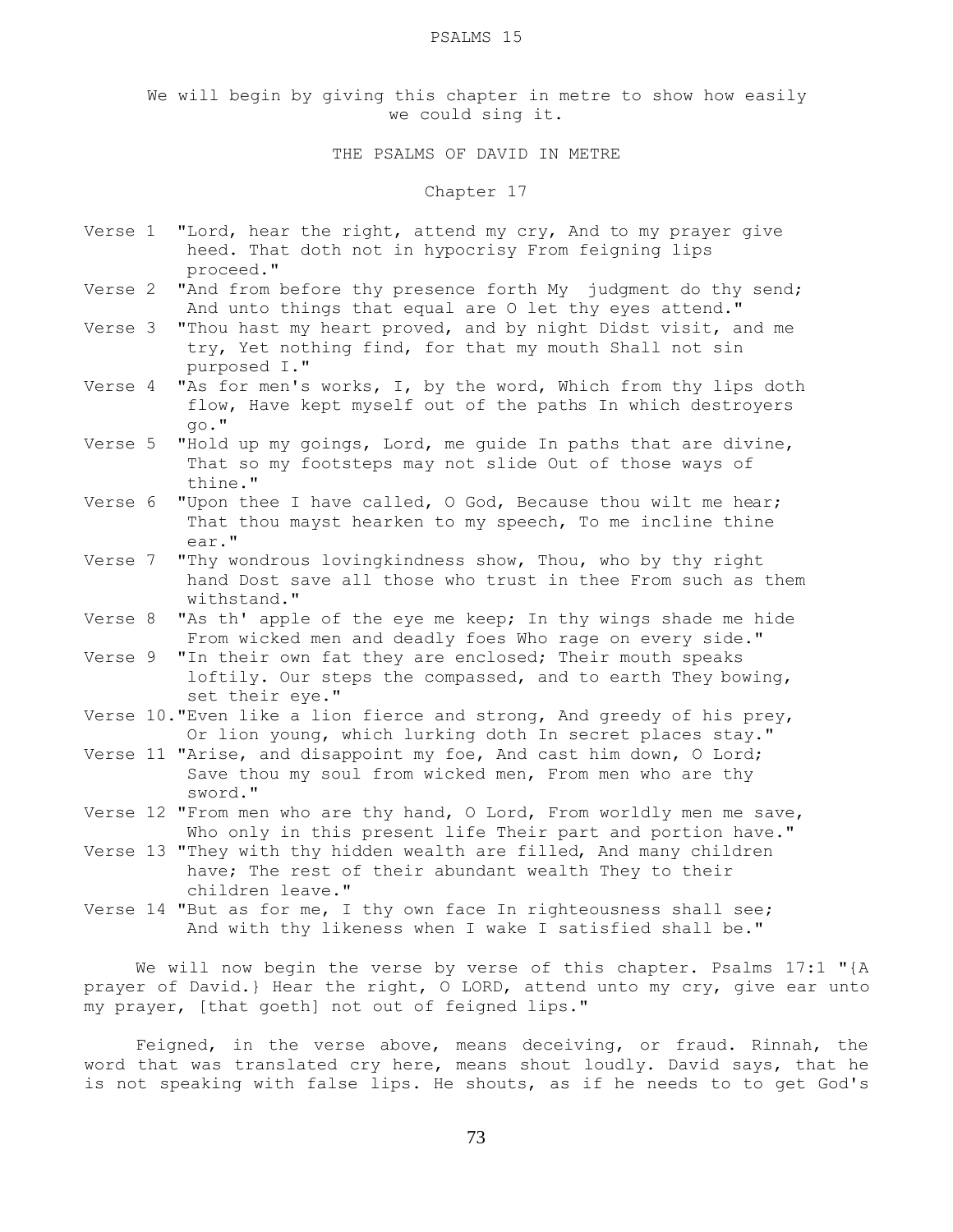#### PSALMS 15

We will begin by giving this chapter in metre to show how easily we could sing it.

## THE PSALMS OF DAVID IN METRE

#### Chapter 17

- Verse 1 "Lord, hear the right, attend my cry, And to my prayer give heed. That doth not in hypocrisy From feigning lips proceed."
- Verse 2 "And from before thy presence forth My judgment do thy send; And unto things that equal are O let thy eyes attend."
- Verse 3 "Thou hast my heart proved, and by night Didst visit, and me try, Yet nothing find, for that my mouth Shall not sin purposed I."
- Verse 4 "As for men's works, I, by the word, Which from thy lips doth flow, Have kept myself out of the paths In which destroyers go."
- Verse 5 "Hold up my goings, Lord, me guide In paths that are divine, That so my footsteps may not slide Out of those ways of thine."
- Verse 6 "Upon thee I have called, O God, Because thou wilt me hear; That thou mayst hearken to my speech, To me incline thine ear."
- Verse 7 "Thy wondrous lovingkindness show, Thou, who by thy right hand Dost save all those who trust in thee From such as them withstand."
- Verse 8 "As th' apple of the eye me keep; In thy wings shade me hide From wicked men and deadly foes Who rage on every side."

Verse 9 "In their own fat they are enclosed; Their mouth speaks loftily. Our steps the compassed, and to earth They bowing, set their eye."

- Verse 10."Even like a lion fierce and strong, And greedy of his prey, Or lion young, which lurking doth In secret places stay."
- Verse 11 "Arise, and disappoint my foe, And cast him down, O Lord; Save thou my soul from wicked men, From men who are thy sword."
- Verse 12 "From men who are thy hand, O Lord, From worldly men me save, Who only in this present life Their part and portion have."
- Verse 13 "They with thy hidden wealth are filled, And many children have; The rest of their abundant wealth They to their children leave."
- Verse 14 "But as for me, I thy own face In righteousness shall see; And with thy likeness when I wake I satisfied shall be."

 We will now begin the verse by verse of this chapter. Psalms 17:1 "{A prayer of David.} Hear the right, O LORD, attend unto my cry, give ear unto my prayer, [that goeth] not out of feigned lips."

 Feigned, in the verse above, means deceiving, or fraud. Rinnah, the word that was translated cry here, means shout loudly. David says, that he is not speaking with false lips. He shouts, as if he needs to to get God's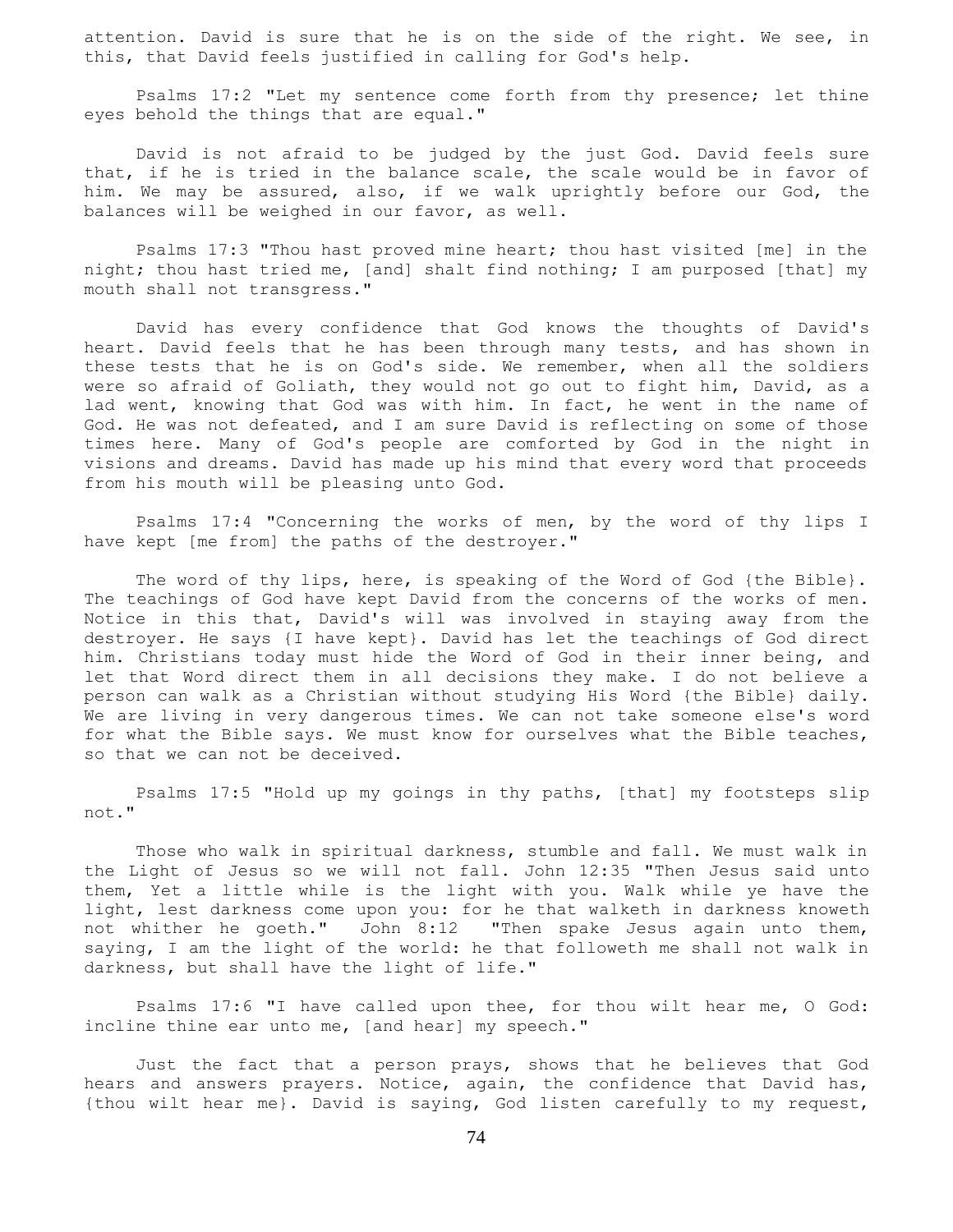attention. David is sure that he is on the side of the right. We see, in this, that David feels justified in calling for God's help.

 Psalms 17:2 "Let my sentence come forth from thy presence; let thine eyes behold the things that are equal."

 David is not afraid to be judged by the just God. David feels sure that, if he is tried in the balance scale, the scale would be in favor of him. We may be assured, also, if we walk uprightly before our God, the balances will be weighed in our favor, as well.

 Psalms 17:3 "Thou hast proved mine heart; thou hast visited [me] in the night; thou hast tried me, [and] shalt find nothing; I am purposed [that] my mouth shall not transgress."

 David has every confidence that God knows the thoughts of David's heart. David feels that he has been through many tests, and has shown in these tests that he is on God's side. We remember, when all the soldiers were so afraid of Goliath, they would not go out to fight him, David, as a lad went, knowing that God was with him. In fact, he went in the name of God. He was not defeated, and I am sure David is reflecting on some of those times here. Many of God's people are comforted by God in the night in visions and dreams. David has made up his mind that every word that proceeds from his mouth will be pleasing unto God.

 Psalms 17:4 "Concerning the works of men, by the word of thy lips I have kept [me from] the paths of the destroyer."

The word of thy lips, here, is speaking of the Word of God {the Bible}. The teachings of God have kept David from the concerns of the works of men. Notice in this that, David's will was involved in staying away from the destroyer. He says {I have kept}. David has let the teachings of God direct him. Christians today must hide the Word of God in their inner being, and let that Word direct them in all decisions they make. I do not believe a person can walk as a Christian without studying His Word {the Bible} daily. We are living in very dangerous times. We can not take someone else's word for what the Bible says. We must know for ourselves what the Bible teaches, so that we can not be deceived.

 Psalms 17:5 "Hold up my goings in thy paths, [that] my footsteps slip not."

 Those who walk in spiritual darkness, stumble and fall. We must walk in the Light of Jesus so we will not fall. John 12:35 "Then Jesus said unto them, Yet a little while is the light with you. Walk while ye have the light, lest darkness come upon you: for he that walketh in darkness knoweth not whither he goeth." John 8:12 "Then spake Jesus again unto them, saying, I am the light of the world: he that followeth me shall not walk in darkness, but shall have the light of life."

 Psalms 17:6 "I have called upon thee, for thou wilt hear me, O God: incline thine ear unto me, [and hear] my speech."

 Just the fact that a person prays, shows that he believes that God hears and answers prayers. Notice, again, the confidence that David has, {thou wilt hear me}. David is saying, God listen carefully to my request,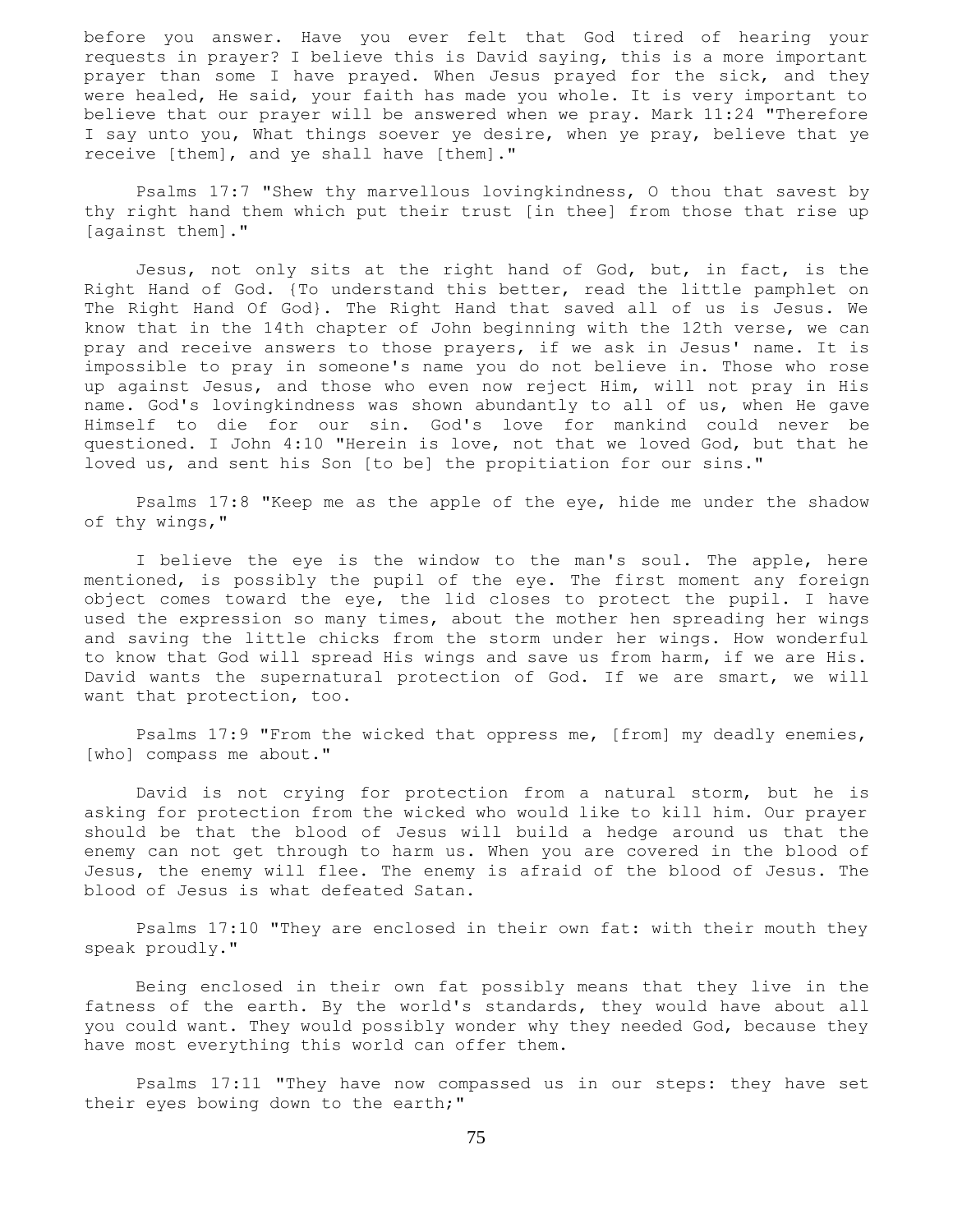before you answer. Have you ever felt that God tired of hearing your requests in prayer? I believe this is David saying, this is a more important prayer than some I have prayed. When Jesus prayed for the sick, and they were healed, He said, your faith has made you whole. It is very important to believe that our prayer will be answered when we pray. Mark 11:24 "Therefore I say unto you, What things soever ye desire, when ye pray, believe that ye receive [them], and ye shall have [them]."

 Psalms 17:7 "Shew thy marvellous lovingkindness, O thou that savest by thy right hand them which put their trust [in thee] from those that rise up [against them]."

 Jesus, not only sits at the right hand of God, but, in fact, is the Right Hand of God. {To understand this better, read the little pamphlet on The Right Hand Of God}. The Right Hand that saved all of us is Jesus. We know that in the 14th chapter of John beginning with the 12th verse, we can pray and receive answers to those prayers, if we ask in Jesus' name. It is impossible to pray in someone's name you do not believe in. Those who rose up against Jesus, and those who even now reject Him, will not pray in His name. God's lovingkindness was shown abundantly to all of us, when He gave Himself to die for our sin. God's love for mankind could never be questioned. I John 4:10 "Herein is love, not that we loved God, but that he loved us, and sent his Son [to be] the propitiation for our sins."

 Psalms 17:8 "Keep me as the apple of the eye, hide me under the shadow of thy wings,"

 I believe the eye is the window to the man's soul. The apple, here mentioned, is possibly the pupil of the eye. The first moment any foreign object comes toward the eye, the lid closes to protect the pupil. I have used the expression so many times, about the mother hen spreading her wings and saving the little chicks from the storm under her wings. How wonderful to know that God will spread His wings and save us from harm, if we are His. David wants the supernatural protection of God. If we are smart, we will want that protection, too.

 Psalms 17:9 "From the wicked that oppress me, [from] my deadly enemies, [who] compass me about."

 David is not crying for protection from a natural storm, but he is asking for protection from the wicked who would like to kill him. Our prayer should be that the blood of Jesus will build a hedge around us that the enemy can not get through to harm us. When you are covered in the blood of Jesus, the enemy will flee. The enemy is afraid of the blood of Jesus. The blood of Jesus is what defeated Satan.

 Psalms 17:10 "They are enclosed in their own fat: with their mouth they speak proudly."

 Being enclosed in their own fat possibly means that they live in the fatness of the earth. By the world's standards, they would have about all you could want. They would possibly wonder why they needed God, because they have most everything this world can offer them.

 Psalms 17:11 "They have now compassed us in our steps: they have set their eyes bowing down to the earth;"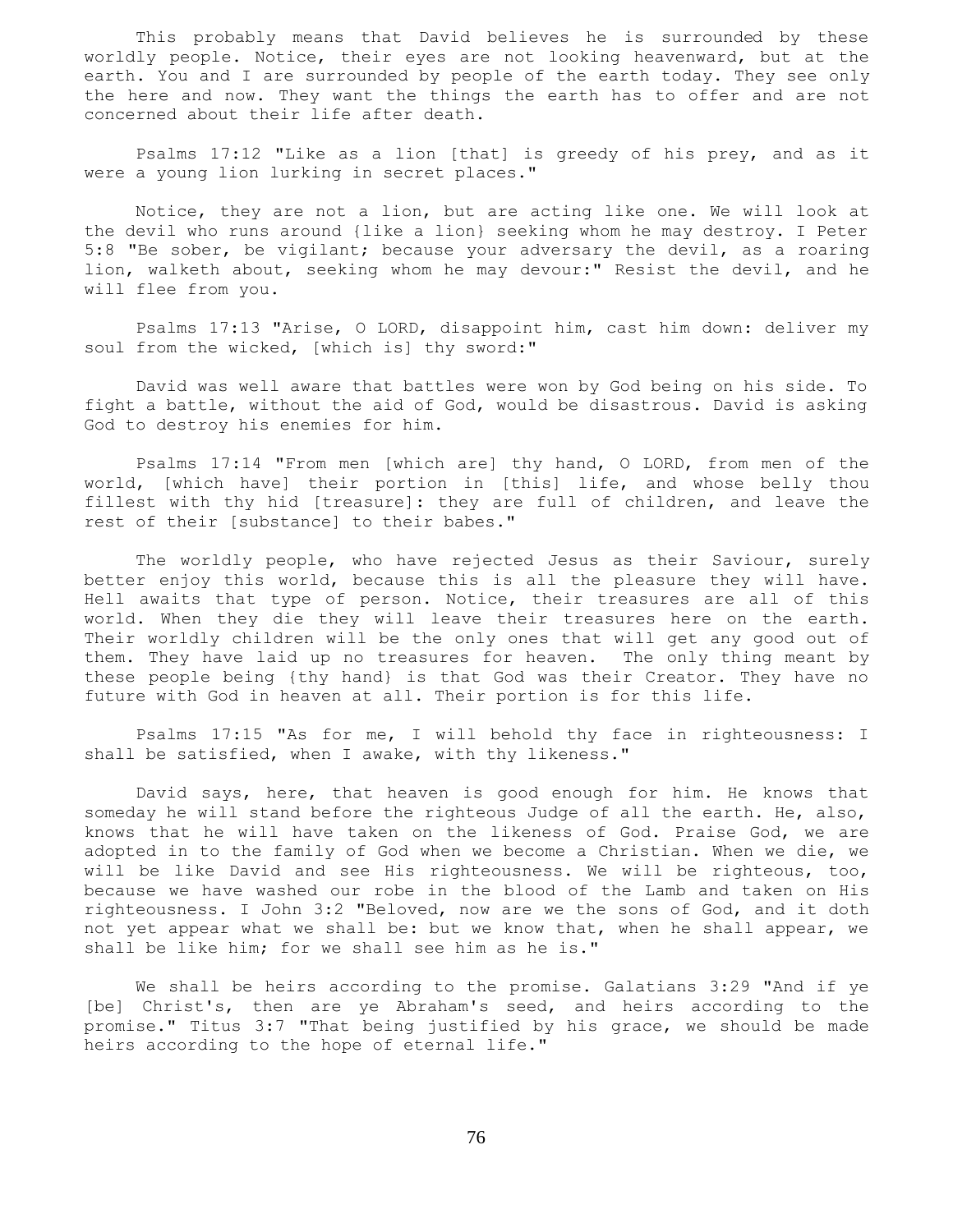This probably means that David believes he is surrounded by these worldly people. Notice, their eyes are not looking heavenward, but at the earth. You and I are surrounded by people of the earth today. They see only the here and now. They want the things the earth has to offer and are not concerned about their life after death.

 Psalms 17:12 "Like as a lion [that] is greedy of his prey, and as it were a young lion lurking in secret places."

 Notice, they are not a lion, but are acting like one. We will look at the devil who runs around {like a lion} seeking whom he may destroy. I Peter 5:8 "Be sober, be vigilant; because your adversary the devil, as a roaring lion, walketh about, seeking whom he may devour:" Resist the devil, and he will flee from you.

 Psalms 17:13 "Arise, O LORD, disappoint him, cast him down: deliver my soul from the wicked, [which is] thy sword:"

 David was well aware that battles were won by God being on his side. To fight a battle, without the aid of God, would be disastrous. David is asking God to destroy his enemies for him.

 Psalms 17:14 "From men [which are] thy hand, O LORD, from men of the world, [which have] their portion in [this] life, and whose belly thou fillest with thy hid [treasure]: they are full of children, and leave the rest of their [substance] to their babes."

 The worldly people, who have rejected Jesus as their Saviour, surely better enjoy this world, because this is all the pleasure they will have. Hell awaits that type of person. Notice, their treasures are all of this world. When they die they will leave their treasures here on the earth. Their worldly children will be the only ones that will get any good out of them. They have laid up no treasures for heaven. The only thing meant by these people being {thy hand} is that God was their Creator. They have no future with God in heaven at all. Their portion is for this life.

 Psalms 17:15 "As for me, I will behold thy face in righteousness: I shall be satisfied, when I awake, with thy likeness."

 David says, here, that heaven is good enough for him. He knows that someday he will stand before the righteous Judge of all the earth. He, also, knows that he will have taken on the likeness of God. Praise God, we are adopted in to the family of God when we become a Christian. When we die, we will be like David and see His righteousness. We will be righteous, too, because we have washed our robe in the blood of the Lamb and taken on His righteousness. I John 3:2 "Beloved, now are we the sons of God, and it doth not yet appear what we shall be: but we know that, when he shall appear, we shall be like him; for we shall see him as he is."

 We shall be heirs according to the promise. Galatians 3:29 "And if ye [be] Christ's, then are ye Abraham's seed, and heirs according to the promise." Titus 3:7 "That being justified by his grace, we should be made heirs according to the hope of eternal life."

76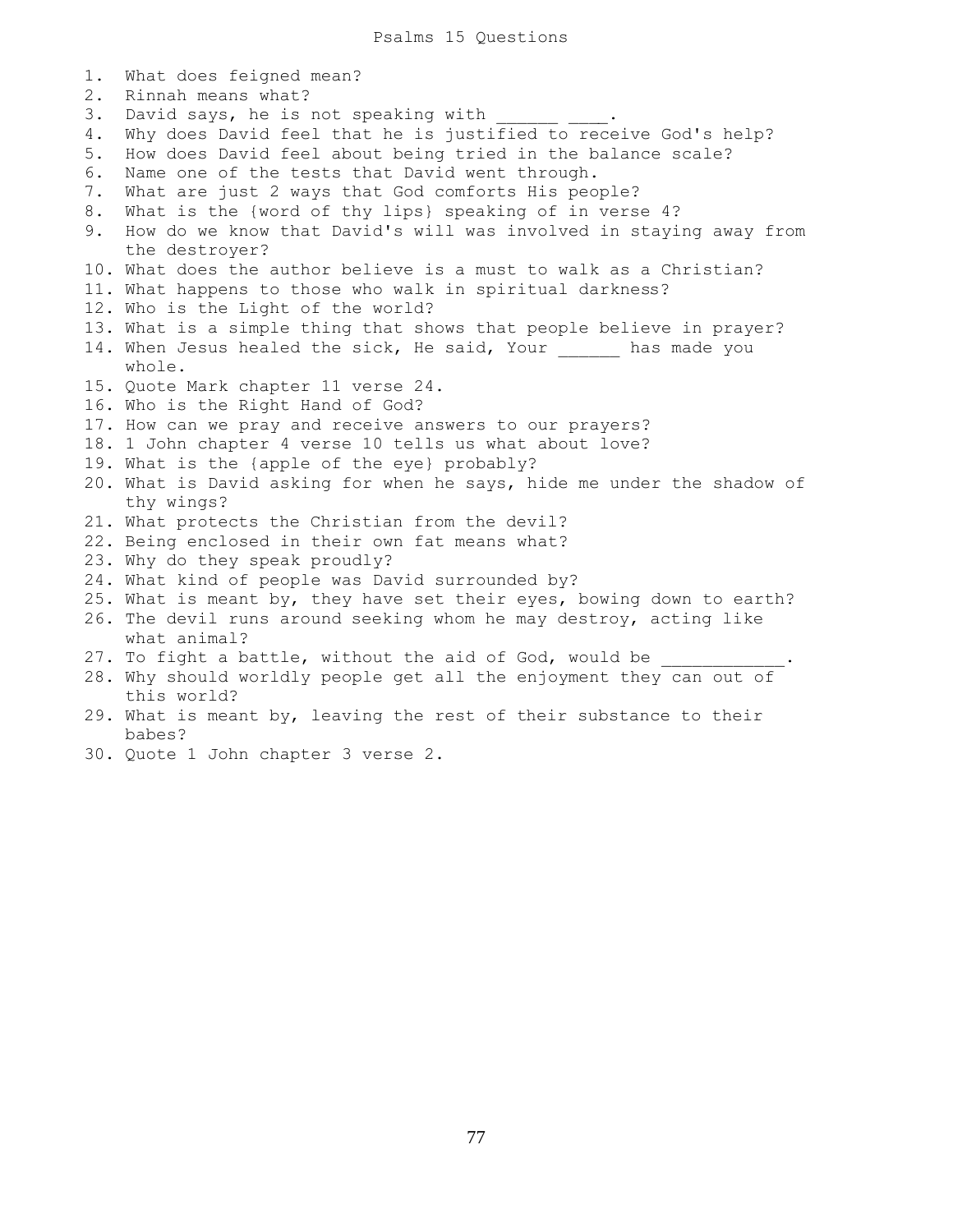1. What does feigned mean? 2. Rinnah means what? 3. David says, he is not speaking with 4. Why does David feel that he is justified to receive God's help? 5. How does David feel about being tried in the balance scale? 6. Name one of the tests that David went through. 7. What are just 2 ways that God comforts His people? 8. What is the {word of thy lips} speaking of in verse 4? 9. How do we know that David's will was involved in staying away from the destroyer? 10. What does the author believe is a must to walk as a Christian? 11. What happens to those who walk in spiritual darkness? 12. Who is the Light of the world? 13. What is a simple thing that shows that people believe in prayer? 14. When Jesus healed the sick, He said, Your \_\_\_\_\_\_ has made you whole. 15. Quote Mark chapter 11 verse 24. 16. Who is the Right Hand of God? 17. How can we pray and receive answers to our prayers? 18. 1 John chapter 4 verse 10 tells us what about love? 19. What is the {apple of the eye} probably? 20. What is David asking for when he says, hide me under the shadow of thy wings? 21. What protects the Christian from the devil? 22. Being enclosed in their own fat means what? 23. Why do they speak proudly? 24. What kind of people was David surrounded by? 25. What is meant by, they have set their eyes, bowing down to earth? 26. The devil runs around seeking whom he may destroy, acting like what animal? 27. To fight a battle, without the aid of God, would be 28. Why should worldly people get all the enjoyment they can out of this world? 29. What is meant by, leaving the rest of their substance to their babes?

30. Quote 1 John chapter 3 verse 2.

77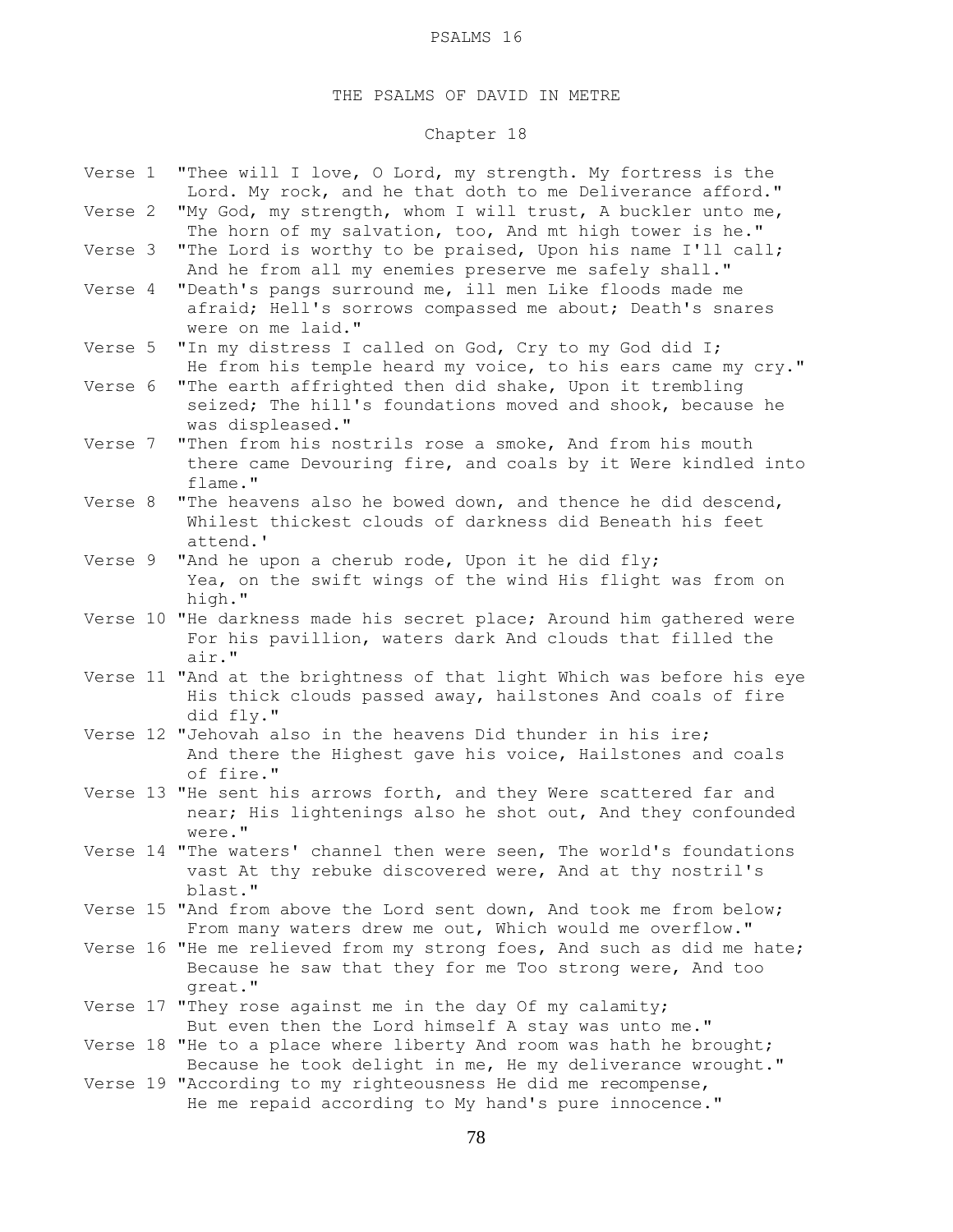## THE PSALMS OF DAVID IN METRE

# Chapter 18

| "My God, my strength, whom I will trust, A buckler unto me,<br>Verse 2<br>The horn of my salvation, too, And mt high tower is he."<br>"The Lord is worthy to be praised, Upon his name I'll call;<br>Verse 3<br>And he from all my enemies preserve me safely shall."<br>"Death's pangs surround me, ill men Like floods made me<br>Verse 4<br>afraid; Hell's sorrows compassed me about; Death's snares<br>were on me laid."<br>"In my distress I called on God, Cry to my God did I;<br>Verse 5<br>He from his temple heard my voice, to his ears came my cry."<br>"The earth affrighted then did shake, Upon it trembling<br>Verse 6<br>seized; The hill's foundations moved and shook, because he<br>was displeased."<br>"Then from his nostrils rose a smoke, And from his mouth<br>Verse 7<br>flame."<br>"The heavens also he bowed down, and thence he did descend,<br>Verse 8<br>Whilest thickest clouds of darkness did Beneath his feet<br>attend.'<br>"And he upon a cherub rode, Upon it he did fly;<br>Verse 9<br>Yea, on the swift wings of the wind His flight was from on<br>high."<br>Verse 10 "He darkness made his secret place; Around him gathered were<br>For his pavillion, waters dark And clouds that filled the<br>air."<br>Verse 11 "And at the brightness of that light Which was before his eye<br>His thick clouds passed away, hailstones And coals of fire<br>did fly."<br>Verse 12 "Jehovah also in the heavens Did thunder in his ire;<br>And there the Highest gave his voice, Hailstones and coals<br>of fire."<br>Verse 13 "He sent his arrows forth, and they Were scattered far and<br>near; His lightenings also he shot out, And they confounded<br>were."<br>Verse 14 "The waters' channel then were seen, The world's foundations<br>vast At thy rebuke discovered were, And at thy nostril's<br>blast."<br>Verse 15 "And from above the Lord sent down, And took me from below;<br>From many waters drew me out, Which would me overflow."<br>Verse 16 "He me relieved from my strong foes, And such as did me hate;<br>Because he saw that they for me Too strong were, And too<br>great."<br>Verse 17 "They rose against me in the day Of my calamity;<br>But even then the Lord himself A stay was unto me."<br>Verse 18 "He to a place where liberty And room was hath he brought;<br>Because he took delight in me, He my deliverance wrought." | Verse 1 | "Thee will I love, O Lord, my strength. My fortress is the<br>Lord. My rock, and he that doth to me Deliverance afford." |
|--------------------------------------------------------------------------------------------------------------------------------------------------------------------------------------------------------------------------------------------------------------------------------------------------------------------------------------------------------------------------------------------------------------------------------------------------------------------------------------------------------------------------------------------------------------------------------------------------------------------------------------------------------------------------------------------------------------------------------------------------------------------------------------------------------------------------------------------------------------------------------------------------------------------------------------------------------------------------------------------------------------------------------------------------------------------------------------------------------------------------------------------------------------------------------------------------------------------------------------------------------------------------------------------------------------------------------------------------------------------------------------------------------------------------------------------------------------------------------------------------------------------------------------------------------------------------------------------------------------------------------------------------------------------------------------------------------------------------------------------------------------------------------------------------------------------------------------------------------------------------------------------------------------------------------------------------------------------------------------------------------------------------------------------------------------------------------------------------------------------------------------------------------------------------------------------------------------------------------------------------------------------------------------------------------------------------------------------------------------------------------------------------|---------|--------------------------------------------------------------------------------------------------------------------------|
|                                                                                                                                                                                                                                                                                                                                                                                                                                                                                                                                                                                                                                                                                                                                                                                                                                                                                                                                                                                                                                                                                                                                                                                                                                                                                                                                                                                                                                                                                                                                                                                                                                                                                                                                                                                                                                                                                                                                                                                                                                                                                                                                                                                                                                                                                                                                                                                                  |         |                                                                                                                          |
|                                                                                                                                                                                                                                                                                                                                                                                                                                                                                                                                                                                                                                                                                                                                                                                                                                                                                                                                                                                                                                                                                                                                                                                                                                                                                                                                                                                                                                                                                                                                                                                                                                                                                                                                                                                                                                                                                                                                                                                                                                                                                                                                                                                                                                                                                                                                                                                                  |         |                                                                                                                          |
|                                                                                                                                                                                                                                                                                                                                                                                                                                                                                                                                                                                                                                                                                                                                                                                                                                                                                                                                                                                                                                                                                                                                                                                                                                                                                                                                                                                                                                                                                                                                                                                                                                                                                                                                                                                                                                                                                                                                                                                                                                                                                                                                                                                                                                                                                                                                                                                                  |         |                                                                                                                          |
|                                                                                                                                                                                                                                                                                                                                                                                                                                                                                                                                                                                                                                                                                                                                                                                                                                                                                                                                                                                                                                                                                                                                                                                                                                                                                                                                                                                                                                                                                                                                                                                                                                                                                                                                                                                                                                                                                                                                                                                                                                                                                                                                                                                                                                                                                                                                                                                                  |         |                                                                                                                          |
|                                                                                                                                                                                                                                                                                                                                                                                                                                                                                                                                                                                                                                                                                                                                                                                                                                                                                                                                                                                                                                                                                                                                                                                                                                                                                                                                                                                                                                                                                                                                                                                                                                                                                                                                                                                                                                                                                                                                                                                                                                                                                                                                                                                                                                                                                                                                                                                                  |         |                                                                                                                          |
|                                                                                                                                                                                                                                                                                                                                                                                                                                                                                                                                                                                                                                                                                                                                                                                                                                                                                                                                                                                                                                                                                                                                                                                                                                                                                                                                                                                                                                                                                                                                                                                                                                                                                                                                                                                                                                                                                                                                                                                                                                                                                                                                                                                                                                                                                                                                                                                                  |         | there came Devouring fire, and coals by it Were kindled into                                                             |
|                                                                                                                                                                                                                                                                                                                                                                                                                                                                                                                                                                                                                                                                                                                                                                                                                                                                                                                                                                                                                                                                                                                                                                                                                                                                                                                                                                                                                                                                                                                                                                                                                                                                                                                                                                                                                                                                                                                                                                                                                                                                                                                                                                                                                                                                                                                                                                                                  |         |                                                                                                                          |
|                                                                                                                                                                                                                                                                                                                                                                                                                                                                                                                                                                                                                                                                                                                                                                                                                                                                                                                                                                                                                                                                                                                                                                                                                                                                                                                                                                                                                                                                                                                                                                                                                                                                                                                                                                                                                                                                                                                                                                                                                                                                                                                                                                                                                                                                                                                                                                                                  |         |                                                                                                                          |
|                                                                                                                                                                                                                                                                                                                                                                                                                                                                                                                                                                                                                                                                                                                                                                                                                                                                                                                                                                                                                                                                                                                                                                                                                                                                                                                                                                                                                                                                                                                                                                                                                                                                                                                                                                                                                                                                                                                                                                                                                                                                                                                                                                                                                                                                                                                                                                                                  |         |                                                                                                                          |
|                                                                                                                                                                                                                                                                                                                                                                                                                                                                                                                                                                                                                                                                                                                                                                                                                                                                                                                                                                                                                                                                                                                                                                                                                                                                                                                                                                                                                                                                                                                                                                                                                                                                                                                                                                                                                                                                                                                                                                                                                                                                                                                                                                                                                                                                                                                                                                                                  |         |                                                                                                                          |
|                                                                                                                                                                                                                                                                                                                                                                                                                                                                                                                                                                                                                                                                                                                                                                                                                                                                                                                                                                                                                                                                                                                                                                                                                                                                                                                                                                                                                                                                                                                                                                                                                                                                                                                                                                                                                                                                                                                                                                                                                                                                                                                                                                                                                                                                                                                                                                                                  |         |                                                                                                                          |
|                                                                                                                                                                                                                                                                                                                                                                                                                                                                                                                                                                                                                                                                                                                                                                                                                                                                                                                                                                                                                                                                                                                                                                                                                                                                                                                                                                                                                                                                                                                                                                                                                                                                                                                                                                                                                                                                                                                                                                                                                                                                                                                                                                                                                                                                                                                                                                                                  |         |                                                                                                                          |
|                                                                                                                                                                                                                                                                                                                                                                                                                                                                                                                                                                                                                                                                                                                                                                                                                                                                                                                                                                                                                                                                                                                                                                                                                                                                                                                                                                                                                                                                                                                                                                                                                                                                                                                                                                                                                                                                                                                                                                                                                                                                                                                                                                                                                                                                                                                                                                                                  |         |                                                                                                                          |
|                                                                                                                                                                                                                                                                                                                                                                                                                                                                                                                                                                                                                                                                                                                                                                                                                                                                                                                                                                                                                                                                                                                                                                                                                                                                                                                                                                                                                                                                                                                                                                                                                                                                                                                                                                                                                                                                                                                                                                                                                                                                                                                                                                                                                                                                                                                                                                                                  |         |                                                                                                                          |
|                                                                                                                                                                                                                                                                                                                                                                                                                                                                                                                                                                                                                                                                                                                                                                                                                                                                                                                                                                                                                                                                                                                                                                                                                                                                                                                                                                                                                                                                                                                                                                                                                                                                                                                                                                                                                                                                                                                                                                                                                                                                                                                                                                                                                                                                                                                                                                                                  |         |                                                                                                                          |
|                                                                                                                                                                                                                                                                                                                                                                                                                                                                                                                                                                                                                                                                                                                                                                                                                                                                                                                                                                                                                                                                                                                                                                                                                                                                                                                                                                                                                                                                                                                                                                                                                                                                                                                                                                                                                                                                                                                                                                                                                                                                                                                                                                                                                                                                                                                                                                                                  |         |                                                                                                                          |
|                                                                                                                                                                                                                                                                                                                                                                                                                                                                                                                                                                                                                                                                                                                                                                                                                                                                                                                                                                                                                                                                                                                                                                                                                                                                                                                                                                                                                                                                                                                                                                                                                                                                                                                                                                                                                                                                                                                                                                                                                                                                                                                                                                                                                                                                                                                                                                                                  |         |                                                                                                                          |
| He me repaid according to My hand's pure innocence."                                                                                                                                                                                                                                                                                                                                                                                                                                                                                                                                                                                                                                                                                                                                                                                                                                                                                                                                                                                                                                                                                                                                                                                                                                                                                                                                                                                                                                                                                                                                                                                                                                                                                                                                                                                                                                                                                                                                                                                                                                                                                                                                                                                                                                                                                                                                             |         | Verse 19 "According to my righteousness He did me recompense,                                                            |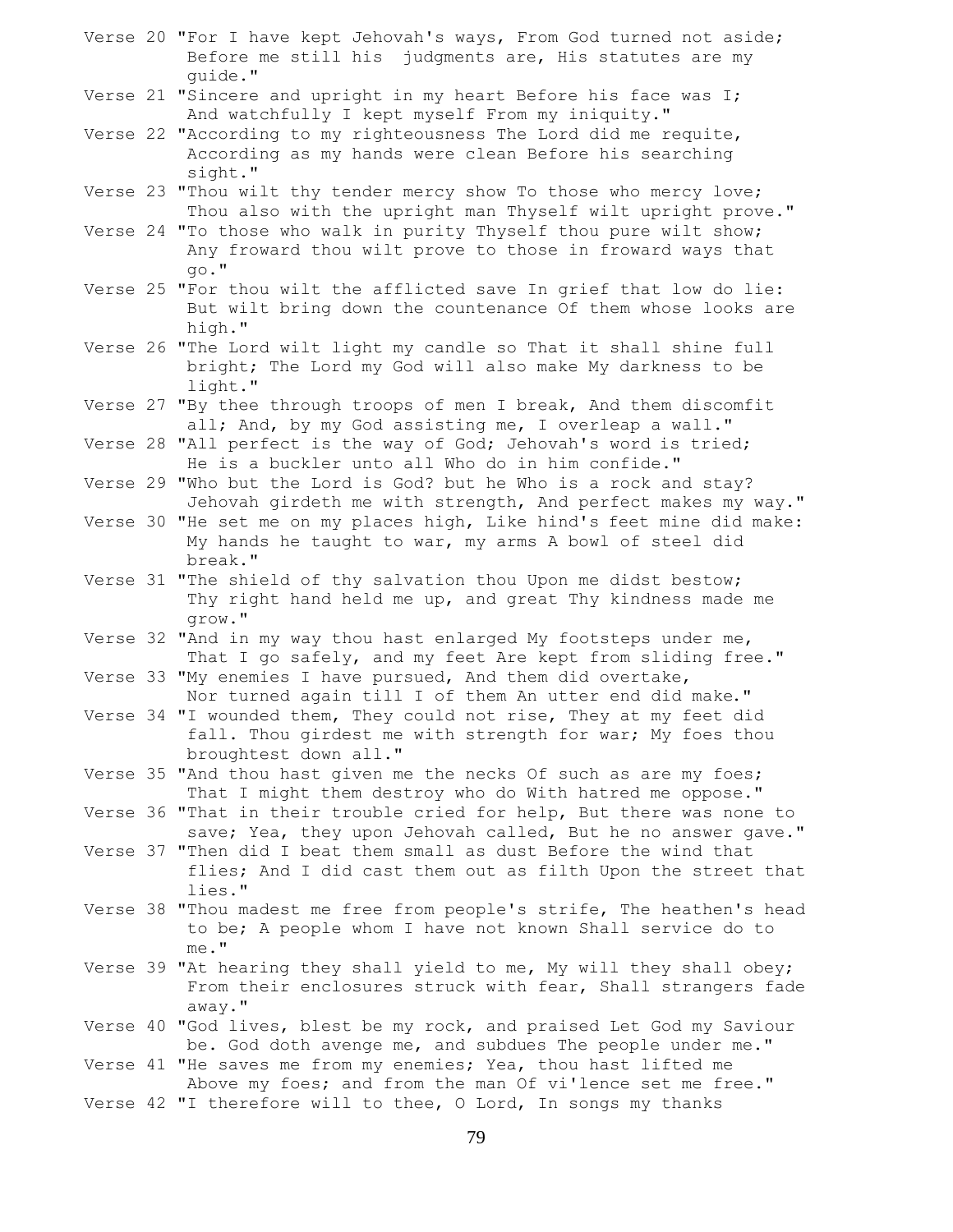- Verse 20 "For I have kept Jehovah's ways, From God turned not aside; Before me still his judgments are, His statutes are my guide."
- Verse 21 "Sincere and upright in my heart Before his face was I; And watchfully I kept myself From my iniquity."
- Verse 22 "According to my righteousness The Lord did me requite, According as my hands were clean Before his searching sight."
- Verse 23 "Thou wilt thy tender mercy show To those who mercy love; Thou also with the upright man Thyself wilt upright prove."
- Verse 24 "To those who walk in purity Thyself thou pure wilt show; Any froward thou wilt prove to those in froward ways that go."
- Verse 25 "For thou wilt the afflicted save In grief that low do lie: But wilt bring down the countenance Of them whose looks are high."
- Verse 26 "The Lord wilt light my candle so That it shall shine full bright; The Lord my God will also make My darkness to be light."
- Verse 27 "By thee through troops of men I break, And them discomfit all; And, by my God assisting me, I overleap a wall."
- Verse 28 "All perfect is the way of God; Jehovah's word is tried; He is a buckler unto all Who do in him confide."
- Verse 29 "Who but the Lord is God? but he Who is a rock and stay? Jehovah girdeth me with strength, And perfect makes my way."
- Verse 30 "He set me on my places high, Like hind's feet mine did make: My hands he taught to war, my arms A bowl of steel did break."
- Verse 31 "The shield of thy salvation thou Upon me didst bestow; Thy right hand held me up, and great Thy kindness made me grow."
- Verse 32 "And in my way thou hast enlarged My footsteps under me, That I go safely, and my feet Are kept from sliding free."
- Verse 33 "My enemies I have pursued, And them did overtake, Nor turned again till I of them An utter end did make."
- Verse 34 "I wounded them, They could not rise, They at my feet did fall. Thou girdest me with strength for war; My foes thou broughtest down all."
- Verse 35 "And thou hast given me the necks Of such as are my foes; That I might them destroy who do With hatred me oppose."
- Verse 36 "That in their trouble cried for help, But there was none to save; Yea, they upon Jehovah called, But he no answer gave."
- Verse 37 "Then did I beat them small as dust Before the wind that flies; And I did cast them out as filth Upon the street that lies."
- Verse 38 "Thou madest me free from people's strife, The heathen's head to be; A people whom I have not known Shall service do to me."
- Verse 39 "At hearing they shall yield to me, My will they shall obey; From their enclosures struck with fear, Shall strangers fade away."
- Verse 40 "God lives, blest be my rock, and praised Let God my Saviour be. God doth avenge me, and subdues The people under me."
- Verse 41 "He saves me from my enemies; Yea, thou hast lifted me Above my foes; and from the man Of vi'lence set me free."
- Verse 42 "I therefore will to thee, O Lord, In songs my thanks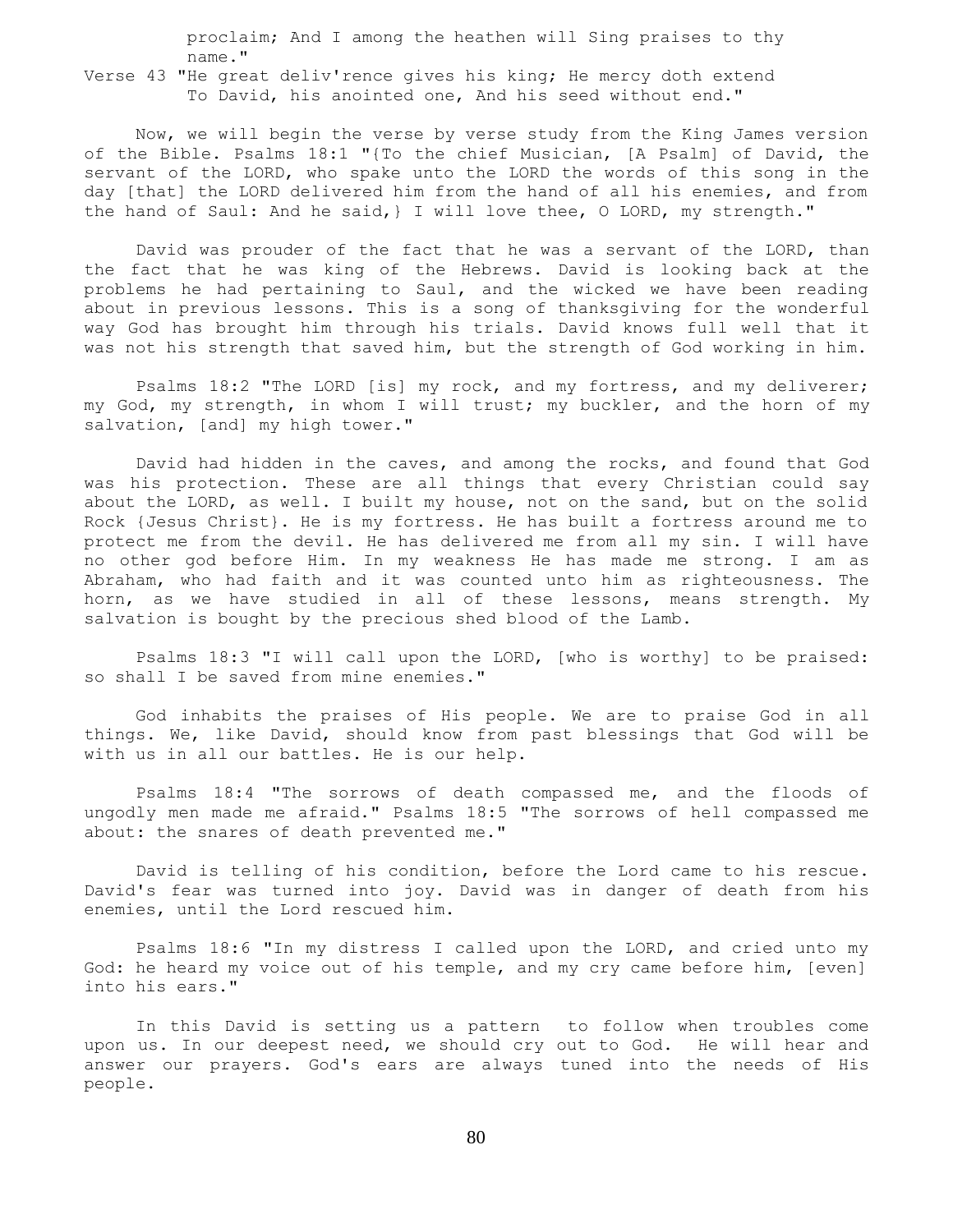proclaim; And I among the heathen will Sing praises to thy name."

Verse 43 "He great deliv'rence gives his king; He mercy doth extend To David, his anointed one, And his seed without end."

 Now, we will begin the verse by verse study from the King James version of the Bible. Psalms 18:1 "{To the chief Musician, [A Psalm] of David, the servant of the LORD, who spake unto the LORD the words of this song in the day [that] the LORD delivered him from the hand of all his enemies, and from the hand of Saul: And he said,} I will love thee, O LORD, my strength."

 David was prouder of the fact that he was a servant of the LORD, than the fact that he was king of the Hebrews. David is looking back at the problems he had pertaining to Saul, and the wicked we have been reading about in previous lessons. This is a song of thanksgiving for the wonderful way God has brought him through his trials. David knows full well that it was not his strength that saved him, but the strength of God working in him.

 Psalms 18:2 "The LORD [is] my rock, and my fortress, and my deliverer; my God, my strength, in whom I will trust; my buckler, and the horn of my salvation, [and] my high tower."

 David had hidden in the caves, and among the rocks, and found that God was his protection. These are all things that every Christian could say about the LORD, as well. I built my house, not on the sand, but on the solid Rock {Jesus Christ}. He is my fortress. He has built a fortress around me to protect me from the devil. He has delivered me from all my sin. I will have no other god before Him. In my weakness He has made me strong. I am as Abraham, who had faith and it was counted unto him as righteousness. The horn, as we have studied in all of these lessons, means strength. My salvation is bought by the precious shed blood of the Lamb.

 Psalms 18:3 "I will call upon the LORD, [who is worthy] to be praised: so shall I be saved from mine enemies."

 God inhabits the praises of His people. We are to praise God in all things. We, like David, should know from past blessings that God will be with us in all our battles. He is our help.

 Psalms 18:4 "The sorrows of death compassed me, and the floods of ungodly men made me afraid." Psalms 18:5 "The sorrows of hell compassed me about: the snares of death prevented me."

 David is telling of his condition, before the Lord came to his rescue. David's fear was turned into joy. David was in danger of death from his enemies, until the Lord rescued him.

 Psalms 18:6 "In my distress I called upon the LORD, and cried unto my God: he heard my voice out of his temple, and my cry came before him, [even] into his ears."

 In this David is setting us a pattern to follow when troubles come upon us. In our deepest need, we should cry out to God. He will hear and answer our prayers. God's ears are always tuned into the needs of His people.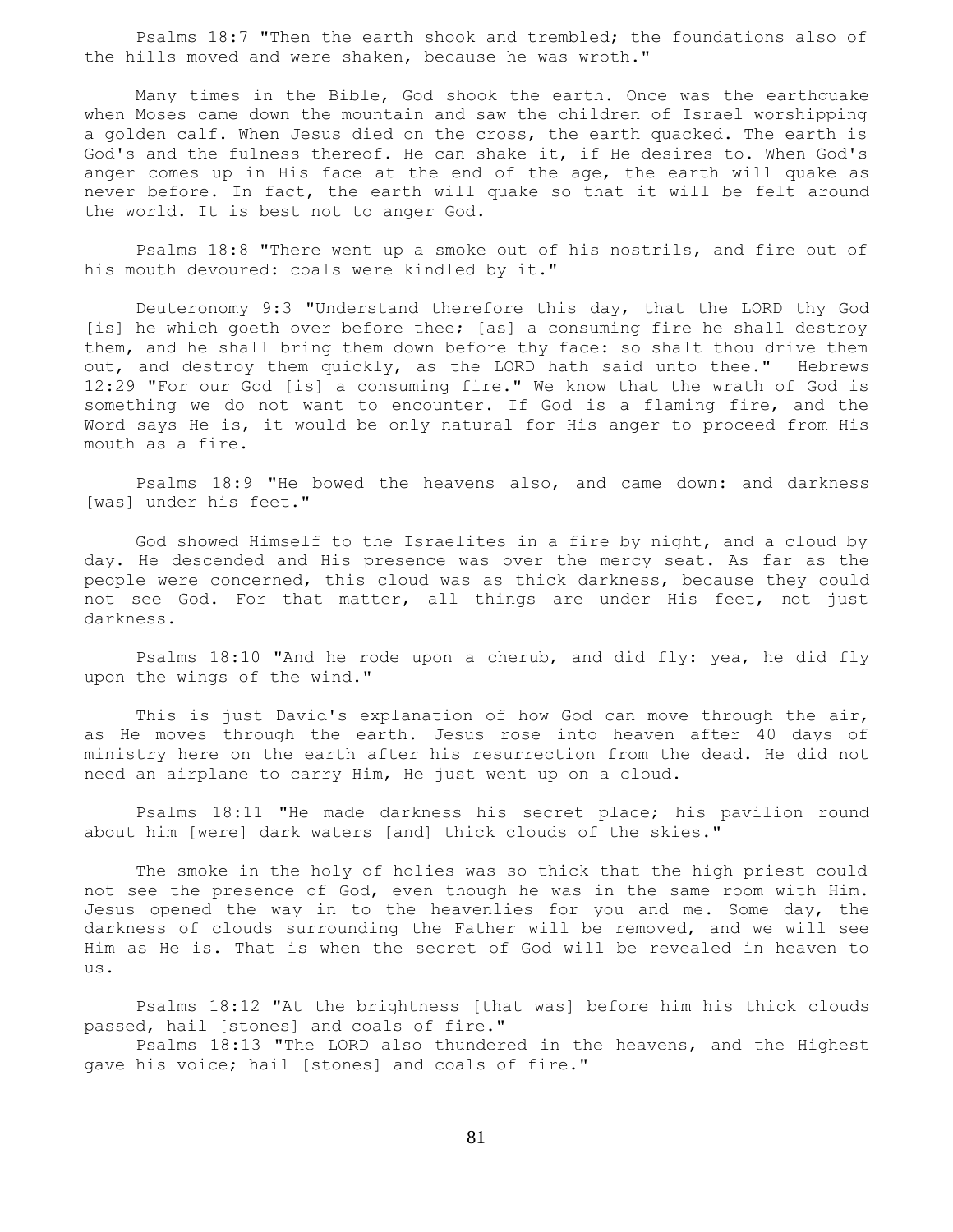Psalms 18:7 "Then the earth shook and trembled; the foundations also of the hills moved and were shaken, because he was wroth."

 Many times in the Bible, God shook the earth. Once was the earthquake when Moses came down the mountain and saw the children of Israel worshipping a golden calf. When Jesus died on the cross, the earth quacked. The earth is God's and the fulness thereof. He can shake it, if He desires to. When God's anger comes up in His face at the end of the age, the earth will quake as never before. In fact, the earth will quake so that it will be felt around the world. It is best not to anger God.

 Psalms 18:8 "There went up a smoke out of his nostrils, and fire out of his mouth devoured: coals were kindled by it."

 Deuteronomy 9:3 "Understand therefore this day, that the LORD thy God [is] he which goeth over before thee; [as] a consuming fire he shall destroy them, and he shall bring them down before thy face: so shalt thou drive them out, and destroy them quickly, as the LORD hath said unto thee." Hebrews 12:29 "For our God [is] a consuming fire." We know that the wrath of God is something we do not want to encounter. If God is a flaming fire, and the Word says He is, it would be only natural for His anger to proceed from His mouth as a fire.

 Psalms 18:9 "He bowed the heavens also, and came down: and darkness [was] under his feet."

 God showed Himself to the Israelites in a fire by night, and a cloud by day. He descended and His presence was over the mercy seat. As far as the people were concerned, this cloud was as thick darkness, because they could not see God. For that matter, all things are under His feet, not just darkness.

 Psalms 18:10 "And he rode upon a cherub, and did fly: yea, he did fly upon the wings of the wind."

This is just David's explanation of how God can move through the air, as He moves through the earth. Jesus rose into heaven after 40 days of ministry here on the earth after his resurrection from the dead. He did not need an airplane to carry Him, He just went up on a cloud.

 Psalms 18:11 "He made darkness his secret place; his pavilion round about him [were] dark waters [and] thick clouds of the skies."

 The smoke in the holy of holies was so thick that the high priest could not see the presence of God, even though he was in the same room with Him. Jesus opened the way in to the heavenlies for you and me. Some day, the darkness of clouds surrounding the Father will be removed, and we will see Him as He is. That is when the secret of God will be revealed in heaven to us.

 Psalms 18:12 "At the brightness [that was] before him his thick clouds passed, hail [stones] and coals of fire."

 Psalms 18:13 "The LORD also thundered in the heavens, and the Highest gave his voice; hail [stones] and coals of fire."

81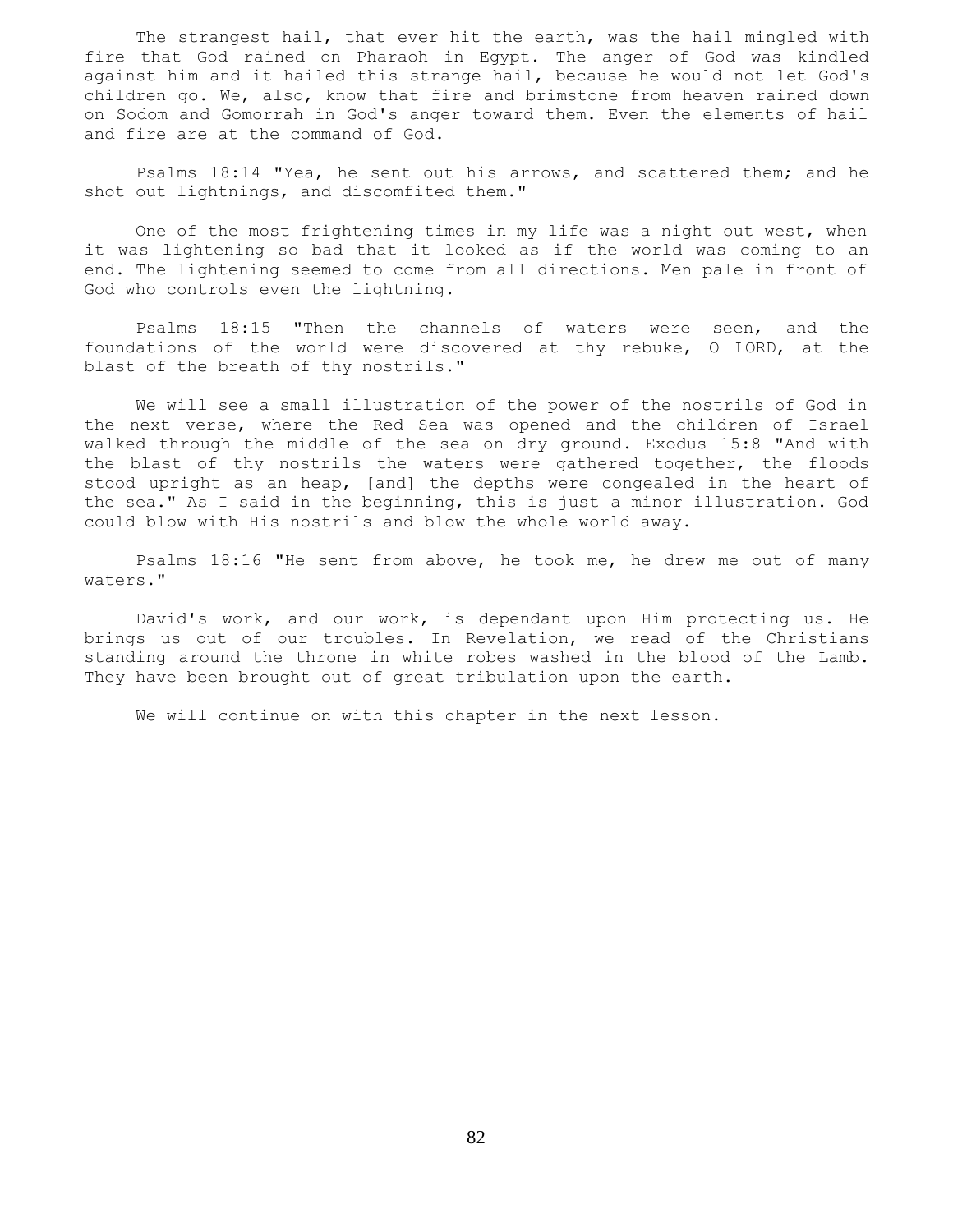The strangest hail, that ever hit the earth, was the hail mingled with fire that God rained on Pharaoh in Egypt. The anger of God was kindled against him and it hailed this strange hail, because he would not let God's children go. We, also, know that fire and brimstone from heaven rained down on Sodom and Gomorrah in God's anger toward them. Even the elements of hail and fire are at the command of God.

 Psalms 18:14 "Yea, he sent out his arrows, and scattered them; and he shot out lightnings, and discomfited them."

 One of the most frightening times in my life was a night out west, when it was lightening so bad that it looked as if the world was coming to an end. The lightening seemed to come from all directions. Men pale in front of God who controls even the lightning.

 Psalms 18:15 "Then the channels of waters were seen, and the foundations of the world were discovered at thy rebuke, O LORD, at the blast of the breath of thy nostrils."

 We will see a small illustration of the power of the nostrils of God in the next verse, where the Red Sea was opened and the children of Israel walked through the middle of the sea on dry ground. Exodus 15:8 "And with the blast of thy nostrils the waters were gathered together, the floods stood upright as an heap, [and] the depths were congealed in the heart of the sea." As I said in the beginning, this is just a minor illustration. God could blow with His nostrils and blow the whole world away.

 Psalms 18:16 "He sent from above, he took me, he drew me out of many waters."

 David's work, and our work, is dependant upon Him protecting us. He brings us out of our troubles. In Revelation, we read of the Christians standing around the throne in white robes washed in the blood of the Lamb. They have been brought out of great tribulation upon the earth.

We will continue on with this chapter in the next lesson.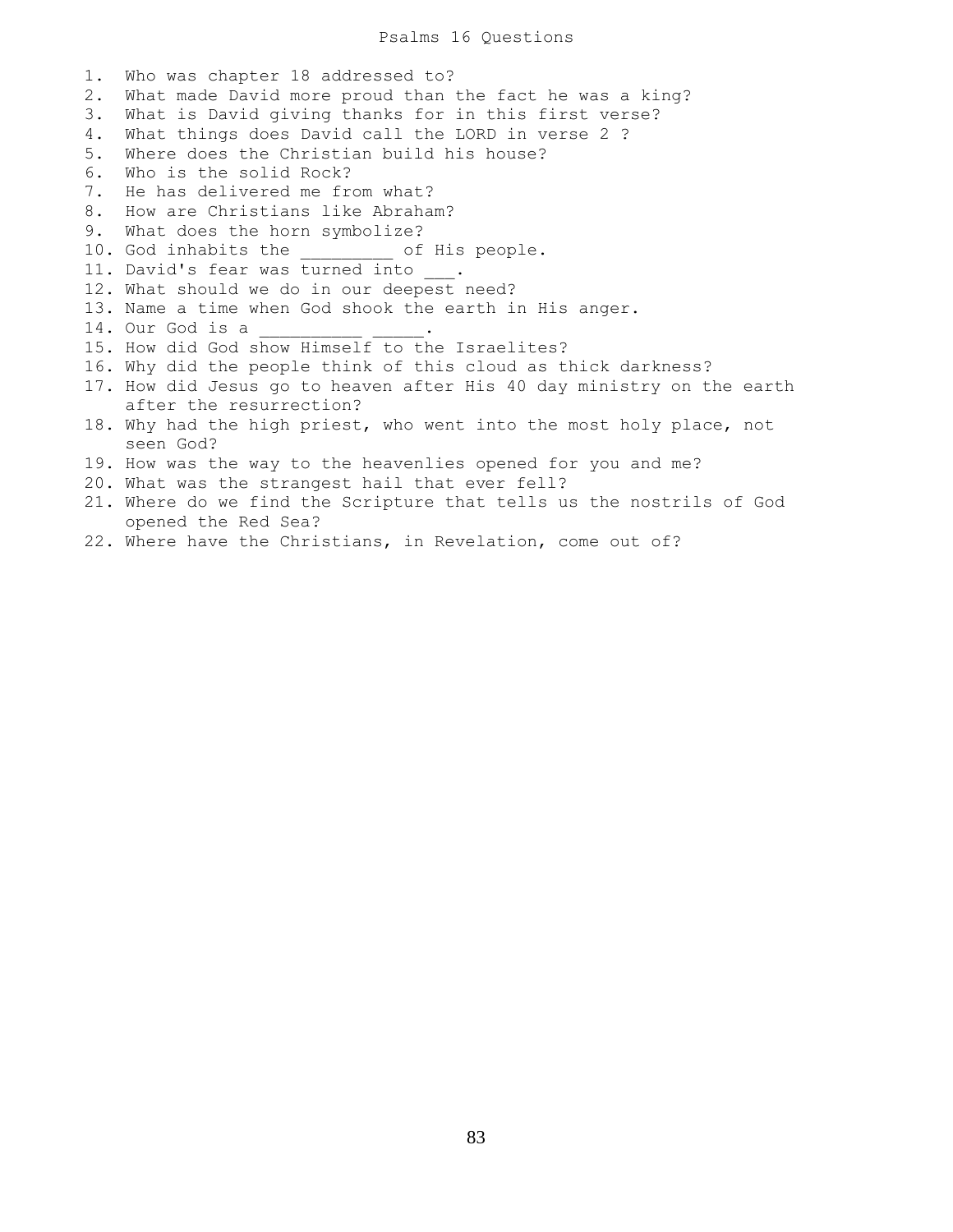#### Psalms 16 Questions

1. Who was chapter 18 addressed to? 2. What made David more proud than the fact he was a king? 3. What is David giving thanks for in this first verse? 4. What things does David call the LORD in verse 2 ? 5. Where does the Christian build his house? 6. Who is the solid Rock? 7. He has delivered me from what? 8. How are Christians like Abraham? 9. What does the horn symbolize? 10. God inhabits the \_\_\_\_\_\_\_\_\_ of His people. 11. David's fear was turned into \_\_\_. 12. What should we do in our deepest need? 13. Name a time when God shook the earth in His anger. 14. Our God is a \_\_\_\_\_\_\_\_\_\_ \_\_\_\_\_. 15. How did God show Himself to the Israelites? 16. Why did the people think of this cloud as thick darkness? 17. How did Jesus go to heaven after His 40 day ministry on the earth after the resurrection? 18. Why had the high priest, who went into the most holy place, not seen God? 19. How was the way to the heavenlies opened for you and me? 20. What was the strangest hail that ever fell? 21. Where do we find the Scripture that tells us the nostrils of God opened the Red Sea?

22. Where have the Christians, in Revelation, come out of?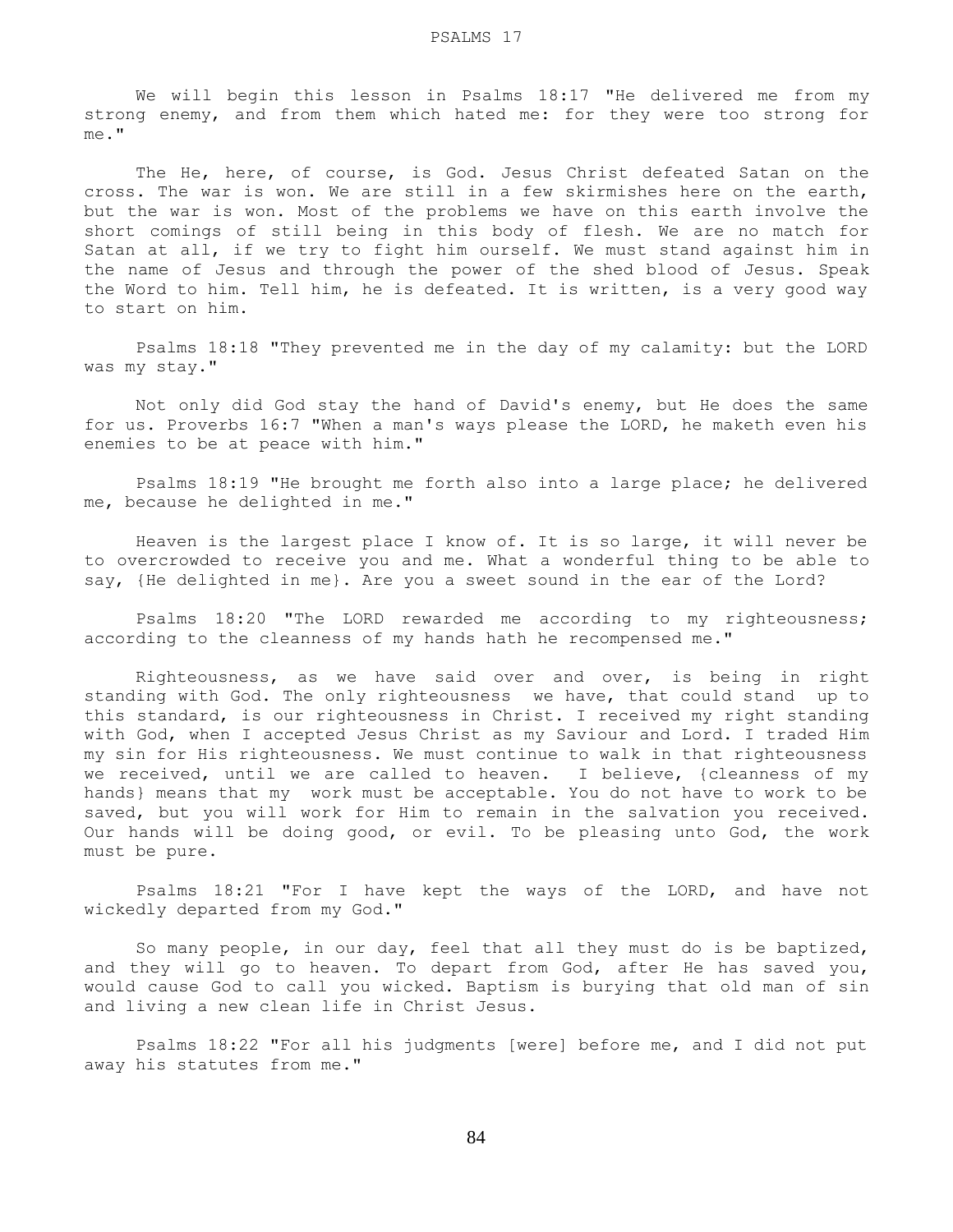We will begin this lesson in Psalms 18:17 "He delivered me from my strong enemy, and from them which hated me: for they were too strong for me."

The He, here, of course, is God. Jesus Christ defeated Satan on the cross. The war is won. We are still in a few skirmishes here on the earth, but the war is won. Most of the problems we have on this earth involve the short comings of still being in this body of flesh. We are no match for Satan at all, if we try to fight him ourself. We must stand against him in the name of Jesus and through the power of the shed blood of Jesus. Speak the Word to him. Tell him, he is defeated. It is written, is a very good way to start on him.

 Psalms 18:18 "They prevented me in the day of my calamity: but the LORD was my stay."

 Not only did God stay the hand of David's enemy, but He does the same for us. Proverbs 16:7 "When a man's ways please the LORD, he maketh even his enemies to be at peace with him."

 Psalms 18:19 "He brought me forth also into a large place; he delivered me, because he delighted in me."

 Heaven is the largest place I know of. It is so large, it will never be to overcrowded to receive you and me. What a wonderful thing to be able to say, {He delighted in me}. Are you a sweet sound in the ear of the Lord?

 Psalms 18:20 "The LORD rewarded me according to my righteousness; according to the cleanness of my hands hath he recompensed me."

 Righteousness, as we have said over and over, is being in right standing with God. The only righteousness we have, that could stand up to this standard, is our righteousness in Christ. I received my right standing with God, when I accepted Jesus Christ as my Saviour and Lord. I traded Him my sin for His righteousness. We must continue to walk in that righteousness we received, until we are called to heaven. I believe, {cleanness of my hands} means that my work must be acceptable. You do not have to work to be saved, but you will work for Him to remain in the salvation you received. Our hands will be doing good, or evil. To be pleasing unto God, the work must be pure.

 Psalms 18:21 "For I have kept the ways of the LORD, and have not wickedly departed from my God."

 So many people, in our day, feel that all they must do is be baptized, and they will go to heaven. To depart from God, after He has saved you, would cause God to call you wicked. Baptism is burying that old man of sin and living a new clean life in Christ Jesus.

 Psalms 18:22 "For all his judgments [were] before me, and I did not put away his statutes from me."

84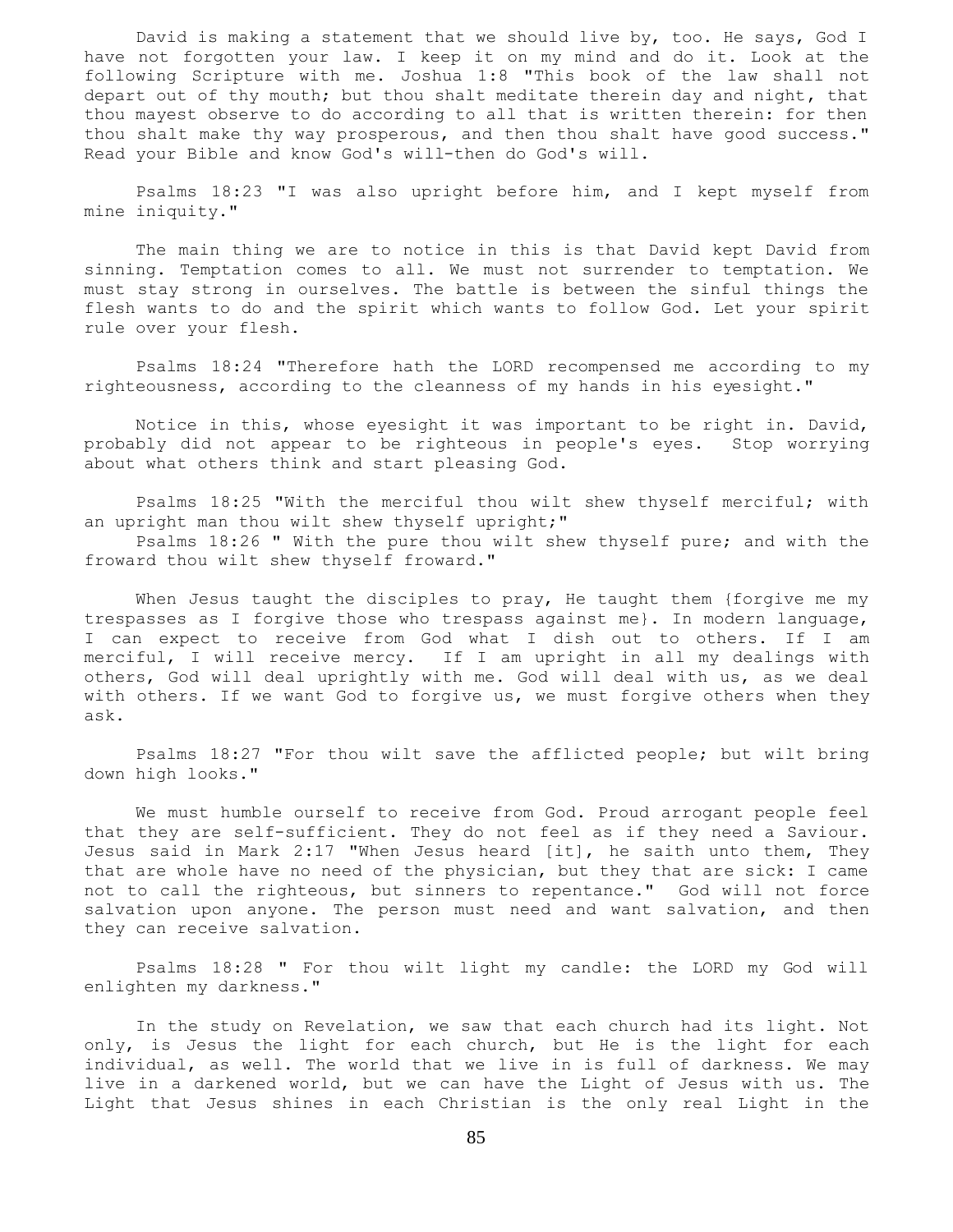David is making a statement that we should live by, too. He says, God I have not forgotten your law. I keep it on my mind and do it. Look at the following Scripture with me. Joshua 1:8 "This book of the law shall not depart out of thy mouth; but thou shalt meditate therein day and night, that thou mayest observe to do according to all that is written therein: for then thou shalt make thy way prosperous, and then thou shalt have good success." Read your Bible and know God's will-then do God's will.

 Psalms 18:23 "I was also upright before him, and I kept myself from mine iniquity."

 The main thing we are to notice in this is that David kept David from sinning. Temptation comes to all. We must not surrender to temptation. We must stay strong in ourselves. The battle is between the sinful things the flesh wants to do and the spirit which wants to follow God. Let your spirit rule over your flesh.

 Psalms 18:24 "Therefore hath the LORD recompensed me according to my righteousness, according to the cleanness of my hands in his eyesight."

 Notice in this, whose eyesight it was important to be right in. David, probably did not appear to be righteous in people's eyes. Stop worrying about what others think and start pleasing God.

 Psalms 18:25 "With the merciful thou wilt shew thyself merciful; with an upright man thou wilt shew thyself upright;"

 Psalms 18:26 " With the pure thou wilt shew thyself pure; and with the froward thou wilt shew thyself froward."

When Jesus taught the disciples to pray, He taught them {forgive me my trespasses as I forgive those who trespass against me}. In modern language, I can expect to receive from God what I dish out to others. If I am merciful, I will receive mercy. If I am upright in all my dealings with others, God will deal uprightly with me. God will deal with us, as we deal with others. If we want God to forgive us, we must forgive others when they ask.

 Psalms 18:27 "For thou wilt save the afflicted people; but wilt bring down high looks."

 We must humble ourself to receive from God. Proud arrogant people feel that they are self-sufficient. They do not feel as if they need a Saviour. Jesus said in Mark 2:17 "When Jesus heard [it], he saith unto them, They that are whole have no need of the physician, but they that are sick: I came not to call the righteous, but sinners to repentance." God will not force salvation upon anyone. The person must need and want salvation, and then they can receive salvation.

 Psalms 18:28 " For thou wilt light my candle: the LORD my God will enlighten my darkness."

 In the study on Revelation, we saw that each church had its light. Not only, is Jesus the light for each church, but He is the light for each individual, as well. The world that we live in is full of darkness. We may live in a darkened world, but we can have the Light of Jesus with us. The Light that Jesus shines in each Christian is the only real Light in the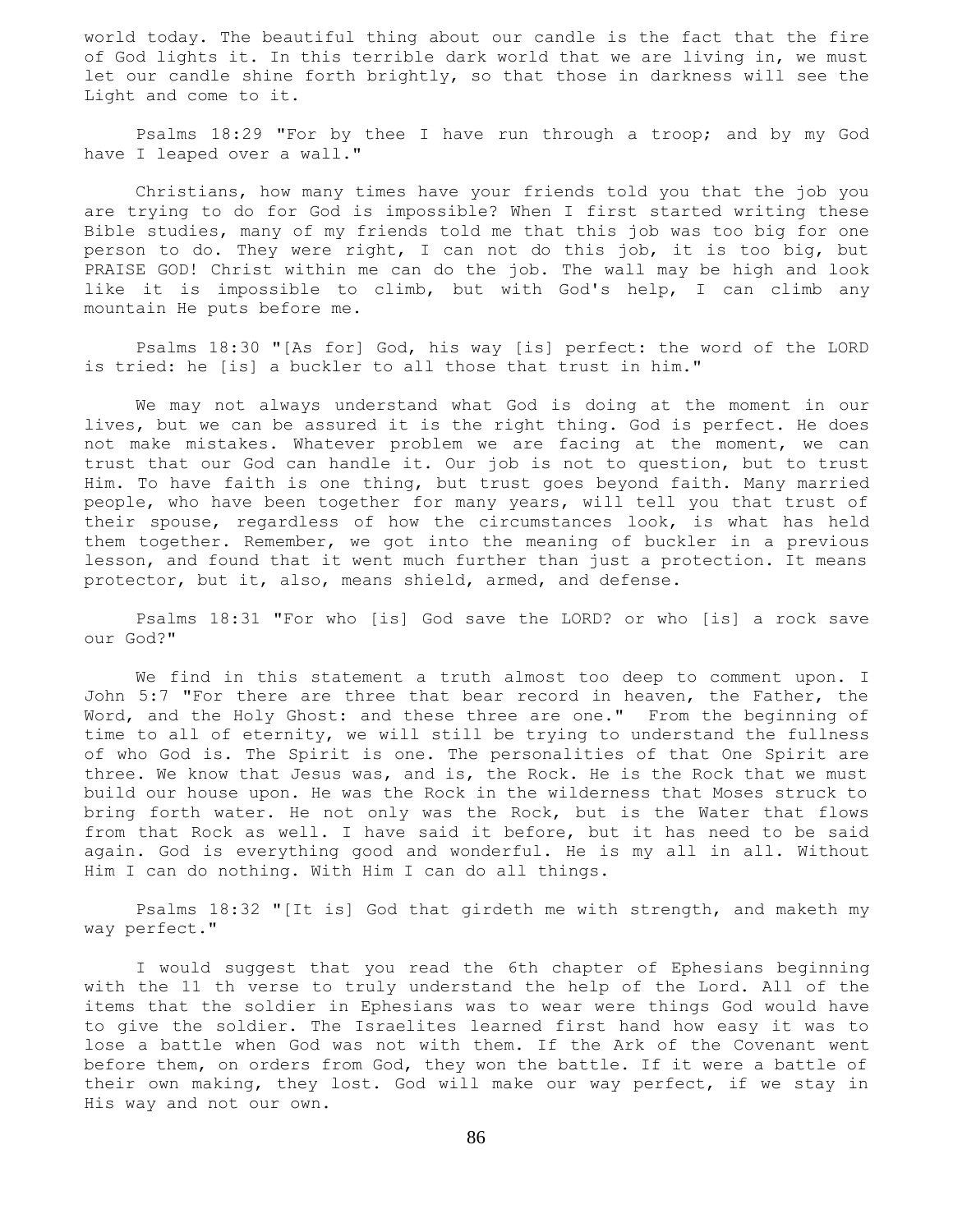world today. The beautiful thing about our candle is the fact that the fire of God lights it. In this terrible dark world that we are living in, we must let our candle shine forth brightly, so that those in darkness will see the Light and come to it.

 Psalms 18:29 "For by thee I have run through a troop; and by my God have I leaped over a wall."

 Christians, how many times have your friends told you that the job you are trying to do for God is impossible? When I first started writing these Bible studies, many of my friends told me that this job was too big for one person to do. They were right, I can not do this job, it is too big, but PRAISE GOD! Christ within me can do the job. The wall may be high and look like it is impossible to climb, but with God's help, I can climb any mountain He puts before me.

 Psalms 18:30 "[As for] God, his way [is] perfect: the word of the LORD is tried: he [is] a buckler to all those that trust in him."

 We may not always understand what God is doing at the moment in our lives, but we can be assured it is the right thing. God is perfect. He does not make mistakes. Whatever problem we are facing at the moment, we can trust that our God can handle it. Our job is not to question, but to trust Him. To have faith is one thing, but trust goes beyond faith. Many married people, who have been together for many years, will tell you that trust of their spouse, regardless of how the circumstances look, is what has held them together. Remember, we got into the meaning of buckler in a previous lesson, and found that it went much further than just a protection. It means protector, but it, also, means shield, armed, and defense.

 Psalms 18:31 "For who [is] God save the LORD? or who [is] a rock save our God?"

 We find in this statement a truth almost too deep to comment upon. I John 5:7 "For there are three that bear record in heaven, the Father, the Word, and the Holy Ghost: and these three are one." From the beginning of time to all of eternity, we will still be trying to understand the fullness of who God is. The Spirit is one. The personalities of that One Spirit are three. We know that Jesus was, and is, the Rock. He is the Rock that we must build our house upon. He was the Rock in the wilderness that Moses struck to bring forth water. He not only was the Rock, but is the Water that flows from that Rock as well. I have said it before, but it has need to be said again. God is everything good and wonderful. He is my all in all. Without Him I can do nothing. With Him I can do all things.

 Psalms 18:32 "[It is] God that girdeth me with strength, and maketh my way perfect."

 I would suggest that you read the 6th chapter of Ephesians beginning with the 11 th verse to truly understand the help of the Lord. All of the items that the soldier in Ephesians was to wear were things God would have to give the soldier. The Israelites learned first hand how easy it was to lose a battle when God was not with them. If the Ark of the Covenant went before them, on orders from God, they won the battle. If it were a battle of their own making, they lost. God will make our way perfect, if we stay in His way and not our own.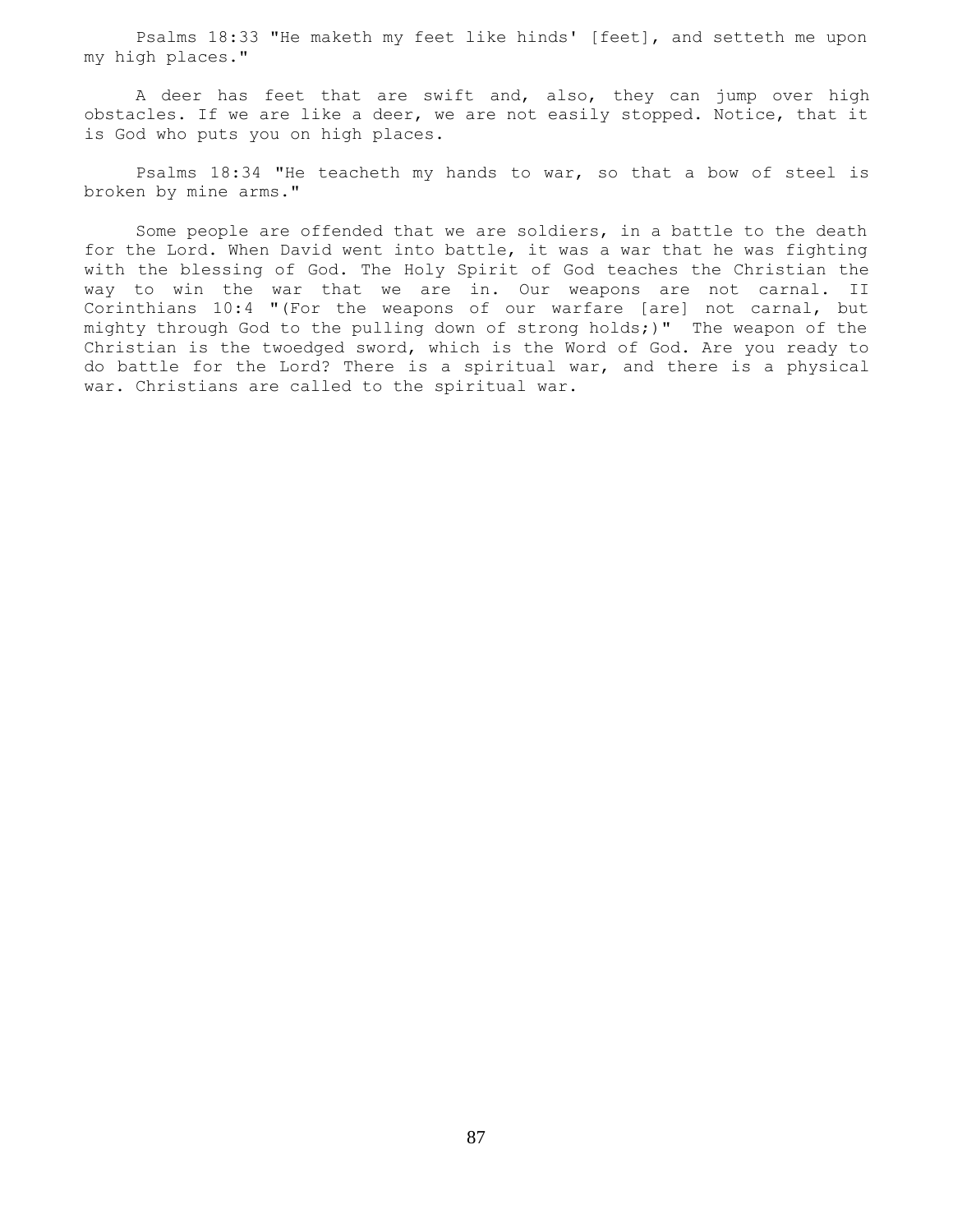Psalms 18:33 "He maketh my feet like hinds' [feet], and setteth me upon my high places."

 A deer has feet that are swift and, also, they can jump over high obstacles. If we are like a deer, we are not easily stopped. Notice, that it is God who puts you on high places.

 Psalms 18:34 "He teacheth my hands to war, so that a bow of steel is broken by mine arms."

 Some people are offended that we are soldiers, in a battle to the death for the Lord. When David went into battle, it was a war that he was fighting with the blessing of God. The Holy Spirit of God teaches the Christian the way to win the war that we are in. Our weapons are not carnal. II Corinthians 10:4 "(For the weapons of our warfare [are] not carnal, but mighty through God to the pulling down of strong holds;)" The weapon of the Christian is the twoedged sword, which is the Word of God. Are you ready to do battle for the Lord? There is a spiritual war, and there is a physical war. Christians are called to the spiritual war.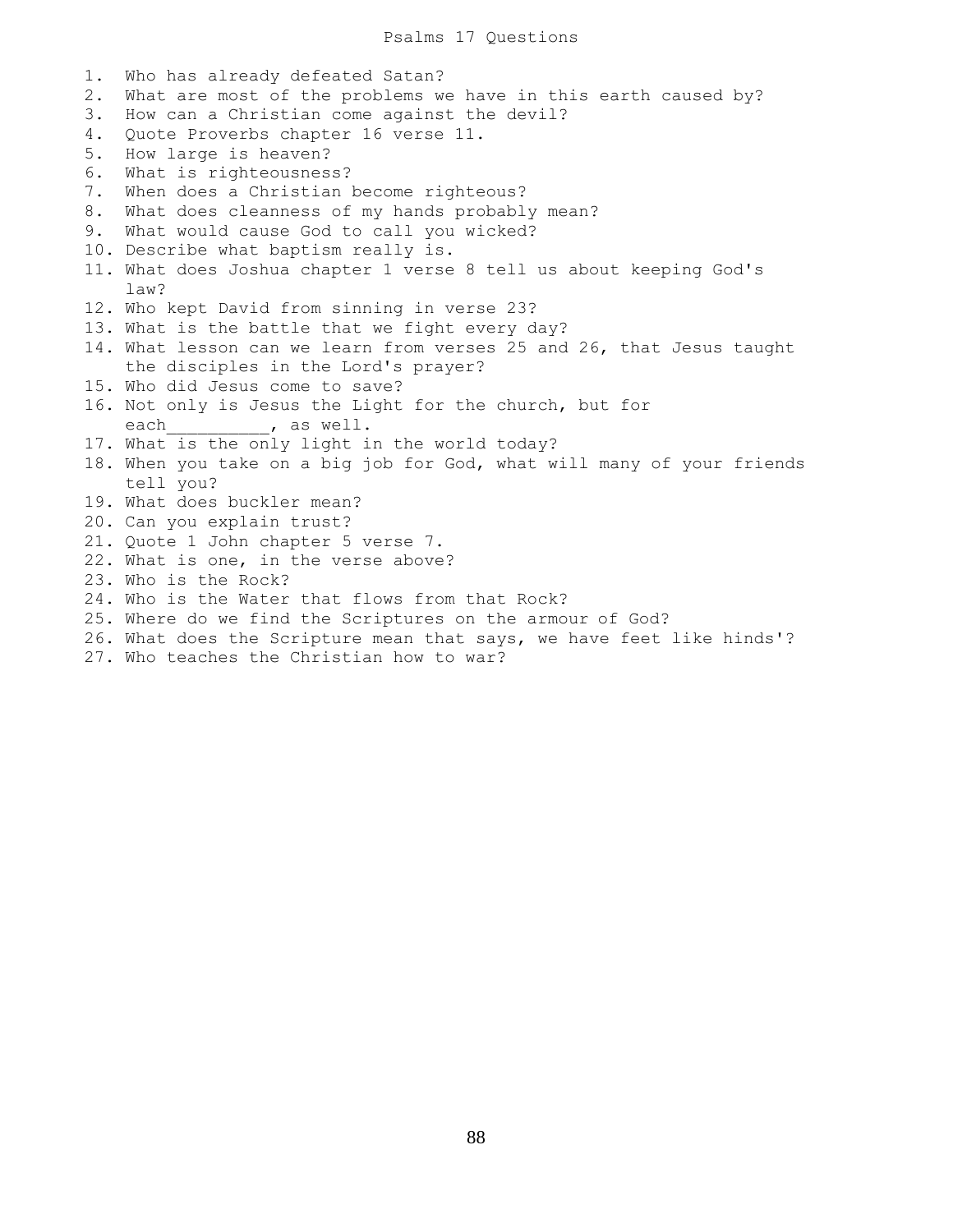1. Who has already defeated Satan? 2. What are most of the problems we have in this earth caused by? 3. How can a Christian come against the devil? 4. Quote Proverbs chapter 16 verse 11. 5. How large is heaven? 6. What is righteousness? 7. When does a Christian become righteous? 8. What does cleanness of my hands probably mean? 9. What would cause God to call you wicked? 10. Describe what baptism really is. 11. What does Joshua chapter 1 verse 8 tell us about keeping God's law? 12. Who kept David from sinning in verse 23? 13. What is the battle that we fight every day? 14. What lesson can we learn from verses 25 and 26, that Jesus taught the disciples in the Lord's prayer? 15. Who did Jesus come to save? 16. Not only is Jesus the Light for the church, but for each  $,$  as well. 17. What is the only light in the world today? 18. When you take on a big job for God, what will many of your friends tell you? 19. What does buckler mean? 20. Can you explain trust? 21. Quote 1 John chapter 5 verse 7. 22. What is one, in the verse above? 23. Who is the Rock? 24. Who is the Water that flows from that Rock? 25. Where do we find the Scriptures on the armour of God? 26. What does the Scripture mean that says, we have feet like hinds'?

27. Who teaches the Christian how to war?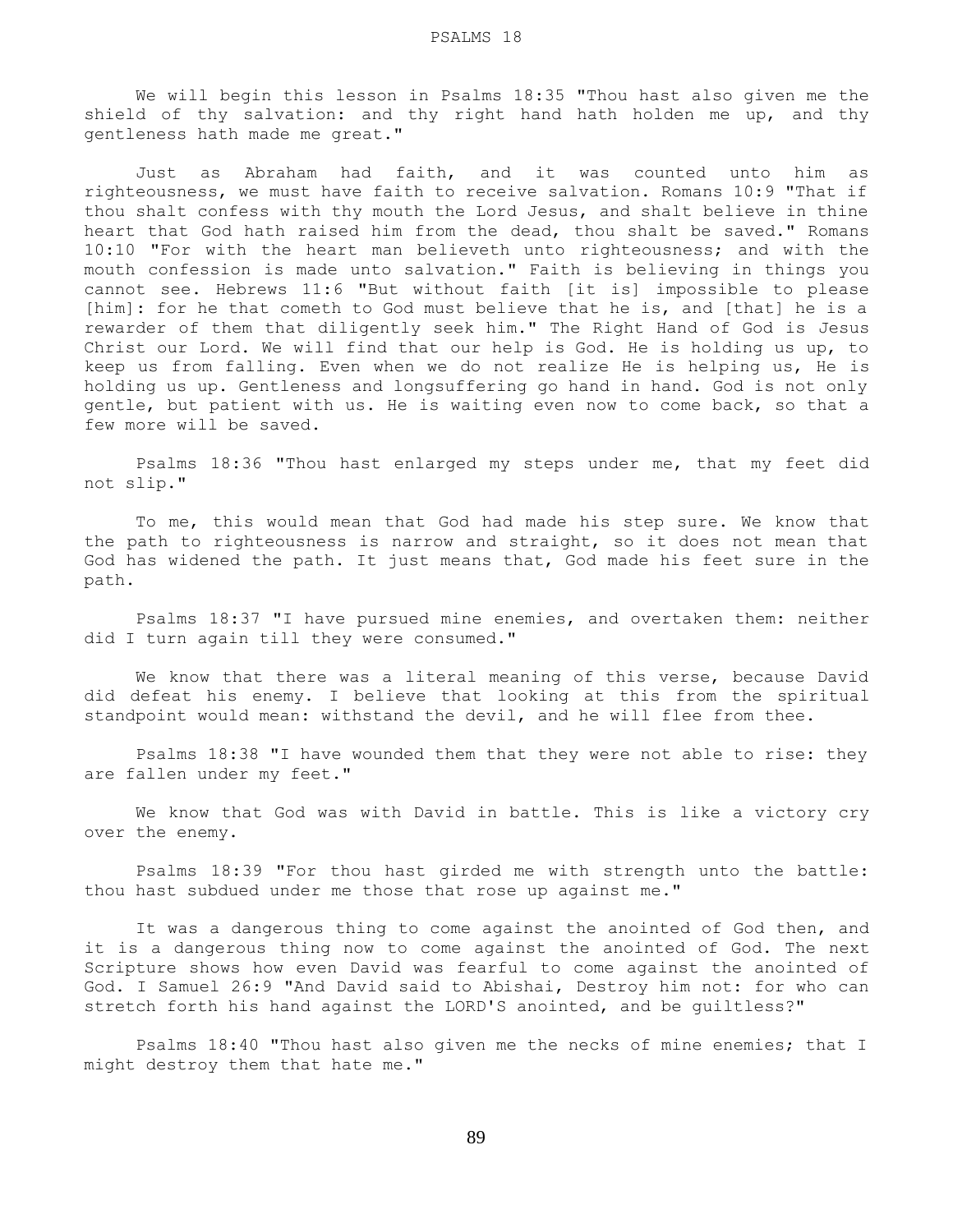We will begin this lesson in Psalms 18:35 "Thou hast also given me the shield of thy salvation: and thy right hand hath holden me up, and thy gentleness hath made me great."

 Just as Abraham had faith, and it was counted unto him as righteousness, we must have faith to receive salvation. Romans 10:9 "That if thou shalt confess with thy mouth the Lord Jesus, and shalt believe in thine heart that God hath raised him from the dead, thou shalt be saved." Romans 10:10 "For with the heart man believeth unto righteousness; and with the mouth confession is made unto salvation." Faith is believing in things you cannot see. Hebrews 11:6 "But without faith [it is] impossible to please [him]: for he that cometh to God must believe that he is, and [that] he is a rewarder of them that diligently seek him." The Right Hand of God is Jesus Christ our Lord. We will find that our help is God. He is holding us up, to keep us from falling. Even when we do not realize He is helping us, He is holding us up. Gentleness and longsuffering go hand in hand. God is not only gentle, but patient with us. He is waiting even now to come back, so that a few more will be saved.

 Psalms 18:36 "Thou hast enlarged my steps under me, that my feet did not slip."

 To me, this would mean that God had made his step sure. We know that the path to righteousness is narrow and straight, so it does not mean that God has widened the path. It just means that, God made his feet sure in the path.

 Psalms 18:37 "I have pursued mine enemies, and overtaken them: neither did I turn again till they were consumed."

 We know that there was a literal meaning of this verse, because David did defeat his enemy. I believe that looking at this from the spiritual standpoint would mean: withstand the devil, and he will flee from thee.

 Psalms 18:38 "I have wounded them that they were not able to rise: they are fallen under my feet."

 We know that God was with David in battle. This is like a victory cry over the enemy.

 Psalms 18:39 "For thou hast girded me with strength unto the battle: thou hast subdued under me those that rose up against me."

 It was a dangerous thing to come against the anointed of God then, and it is a dangerous thing now to come against the anointed of God. The next Scripture shows how even David was fearful to come against the anointed of God. I Samuel 26:9 "And David said to Abishai, Destroy him not: for who can stretch forth his hand against the LORD'S anointed, and be guiltless?"

 Psalms 18:40 "Thou hast also given me the necks of mine enemies; that I might destroy them that hate me."

89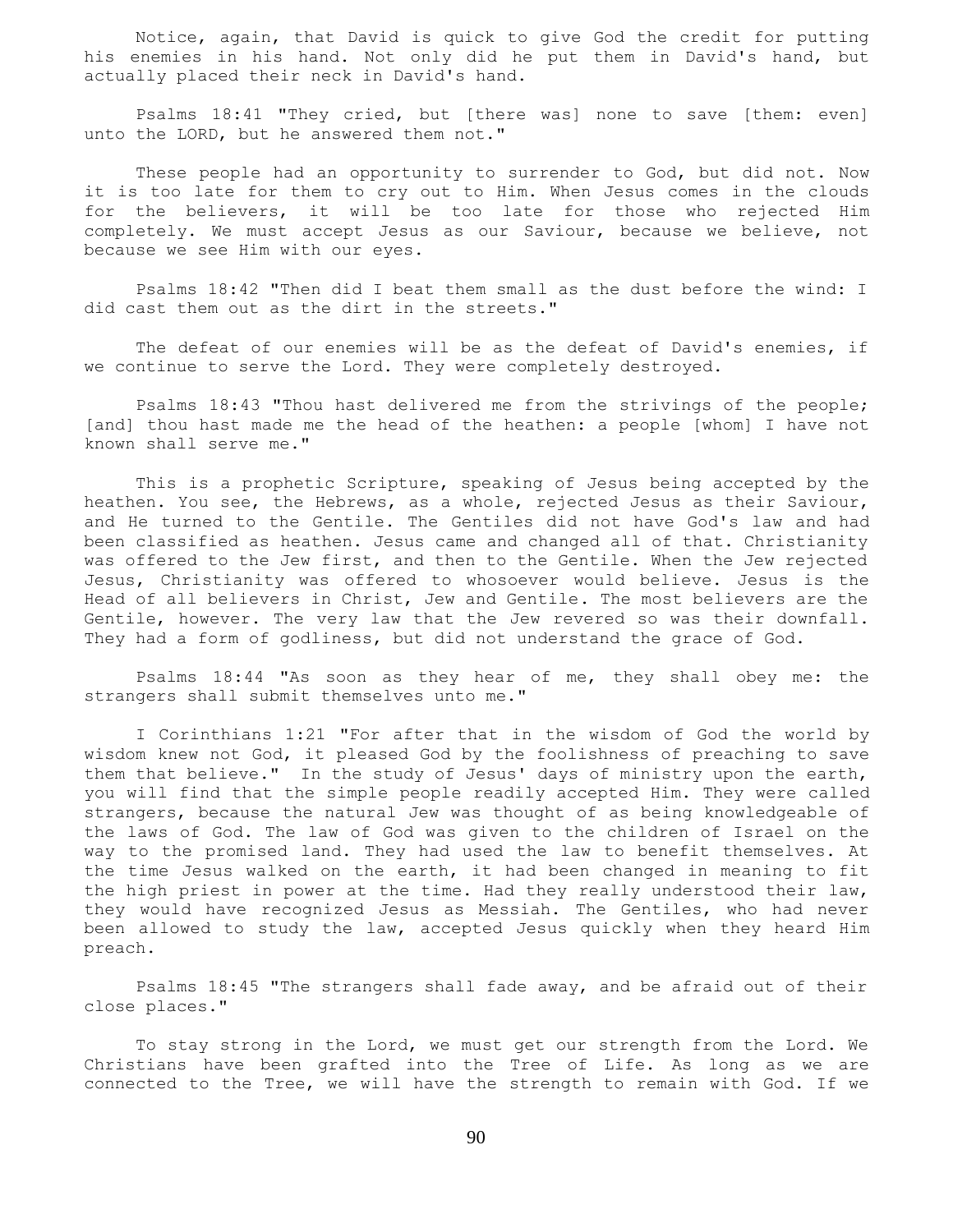Notice, again, that David is quick to give God the credit for putting his enemies in his hand. Not only did he put them in David's hand, but actually placed their neck in David's hand.

 Psalms 18:41 "They cried, but [there was] none to save [them: even] unto the LORD, but he answered them not."

 These people had an opportunity to surrender to God, but did not. Now it is too late for them to cry out to Him. When Jesus comes in the clouds for the believers, it will be too late for those who rejected Him completely. We must accept Jesus as our Saviour, because we believe, not because we see Him with our eyes.

 Psalms 18:42 "Then did I beat them small as the dust before the wind: I did cast them out as the dirt in the streets."

 The defeat of our enemies will be as the defeat of David's enemies, if we continue to serve the Lord. They were completely destroyed.

 Psalms 18:43 "Thou hast delivered me from the strivings of the people; [and] thou hast made me the head of the heathen: a people [whom] I have not known shall serve me."

 This is a prophetic Scripture, speaking of Jesus being accepted by the heathen. You see, the Hebrews, as a whole, rejected Jesus as their Saviour, and He turned to the Gentile. The Gentiles did not have God's law and had been classified as heathen. Jesus came and changed all of that. Christianity was offered to the Jew first, and then to the Gentile. When the Jew rejected Jesus, Christianity was offered to whosoever would believe. Jesus is the Head of all believers in Christ, Jew and Gentile. The most believers are the Gentile, however. The very law that the Jew revered so was their downfall. They had a form of godliness, but did not understand the grace of God.

 Psalms 18:44 "As soon as they hear of me, they shall obey me: the strangers shall submit themselves unto me."

 I Corinthians 1:21 "For after that in the wisdom of God the world by wisdom knew not God, it pleased God by the foolishness of preaching to save them that believe." In the study of Jesus' days of ministry upon the earth, you will find that the simple people readily accepted Him. They were called strangers, because the natural Jew was thought of as being knowledgeable of the laws of God. The law of God was given to the children of Israel on the way to the promised land. They had used the law to benefit themselves. At the time Jesus walked on the earth, it had been changed in meaning to fit the high priest in power at the time. Had they really understood their law, they would have recognized Jesus as Messiah. The Gentiles, who had never been allowed to study the law, accepted Jesus quickly when they heard Him preach.

 Psalms 18:45 "The strangers shall fade away, and be afraid out of their close places."

 To stay strong in the Lord, we must get our strength from the Lord. We Christians have been grafted into the Tree of Life. As long as we are connected to the Tree, we will have the strength to remain with God. If we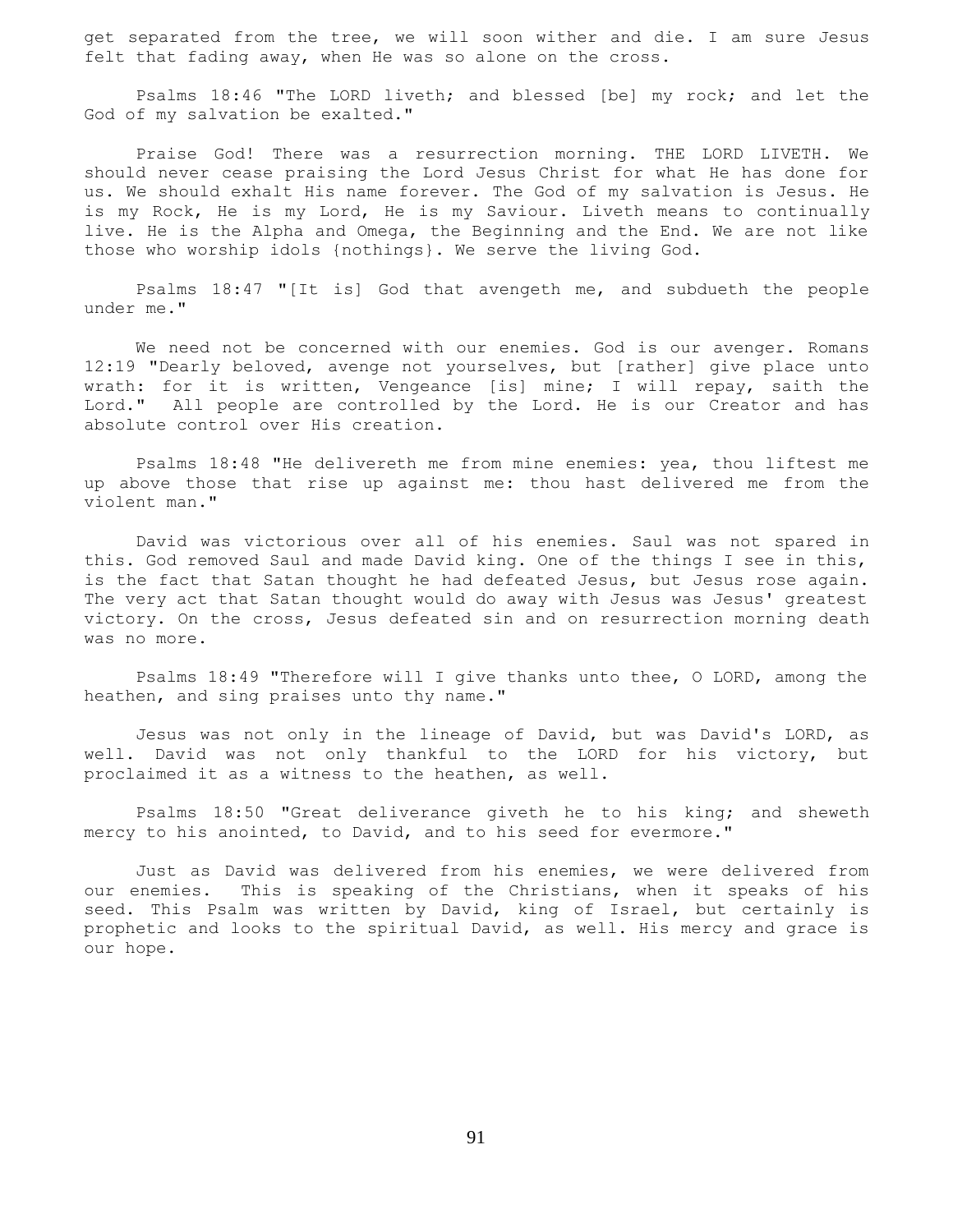get separated from the tree, we will soon wither and die. I am sure Jesus felt that fading away, when He was so alone on the cross.

 Psalms 18:46 "The LORD liveth; and blessed [be] my rock; and let the God of my salvation be exalted."

 Praise God! There was a resurrection morning. THE LORD LIVETH. We should never cease praising the Lord Jesus Christ for what He has done for us. We should exhalt His name forever. The God of my salvation is Jesus. He is my Rock, He is my Lord, He is my Saviour. Liveth means to continually live. He is the Alpha and Omega, the Beginning and the End. We are not like those who worship idols {nothings}. We serve the living God.

 Psalms 18:47 "[It is] God that avengeth me, and subdueth the people under me."

 We need not be concerned with our enemies. God is our avenger. Romans 12:19 "Dearly beloved, avenge not yourselves, but [rather] give place unto wrath: for it is written, Vengeance [is] mine; I will repay, saith the Lord." All people are controlled by the Lord. He is our Creator and has absolute control over His creation.

 Psalms 18:48 "He delivereth me from mine enemies: yea, thou liftest me up above those that rise up against me: thou hast delivered me from the violent man."

 David was victorious over all of his enemies. Saul was not spared in this. God removed Saul and made David king. One of the things I see in this, is the fact that Satan thought he had defeated Jesus, but Jesus rose again. The very act that Satan thought would do away with Jesus was Jesus' greatest victory. On the cross, Jesus defeated sin and on resurrection morning death was no more.

 Psalms 18:49 "Therefore will I give thanks unto thee, O LORD, among the heathen, and sing praises unto thy name."

 Jesus was not only in the lineage of David, but was David's LORD, as well. David was not only thankful to the LORD for his victory, but proclaimed it as a witness to the heathen, as well.

Psalms 18:50 "Great deliverance giveth he to his king; and sheweth mercy to his anointed, to David, and to his seed for evermore."

 Just as David was delivered from his enemies, we were delivered from our enemies. This is speaking of the Christians, when it speaks of his seed. This Psalm was written by David, king of Israel, but certainly is prophetic and looks to the spiritual David, as well. His mercy and grace is our hope.

91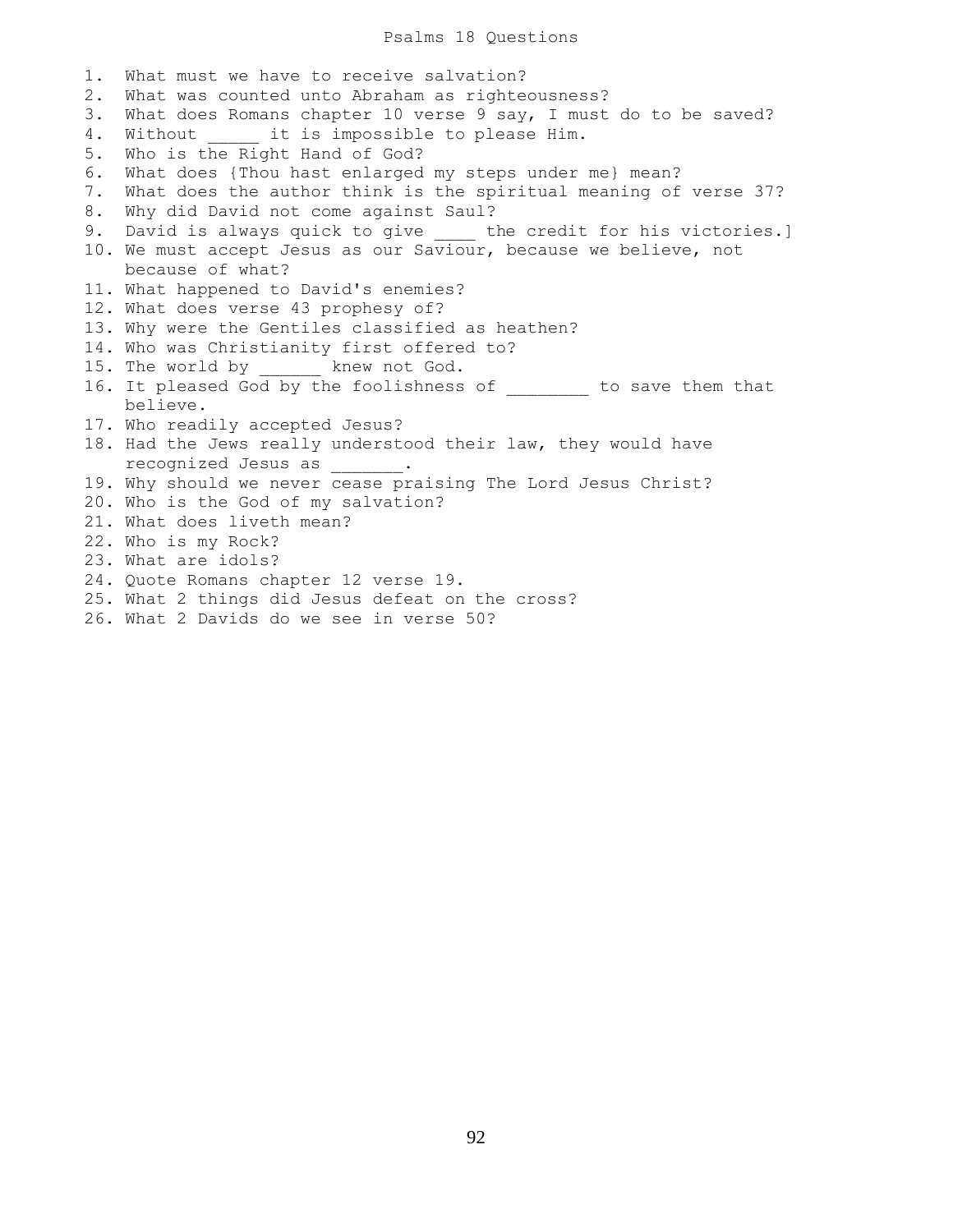#### Psalms 18 Questions

1. What must we have to receive salvation? 2. What was counted unto Abraham as righteousness? 3. What does Romans chapter 10 verse 9 say, I must do to be saved? 4. Without it is impossible to please Him. 5. Who is the Right Hand of God? 6. What does {Thou hast enlarged my steps under me} mean? 7. What does the author think is the spiritual meaning of verse 37? 8. Why did David not come against Saul? 9. David is always quick to give bhe credit for his victories.] 10. We must accept Jesus as our Saviour, because we believe, not because of what? 11. What happened to David's enemies? 12. What does verse 43 prophesy of? 13. Why were the Gentiles classified as heathen? 14. Who was Christianity first offered to? 15. The world by knew not God. 16. It pleased God by the foolishness of the save them that believe. 17. Who readily accepted Jesus? 18. Had the Jews really understood their law, they would have recognized Jesus as \_\_\_\_\_\_\_. 19. Why should we never cease praising The Lord Jesus Christ? 20. Who is the God of my salvation? 21. What does liveth mean? 22. Who is my Rock? 23. What are idols? 24. Quote Romans chapter 12 verse 19. 25. What 2 things did Jesus defeat on the cross? 26. What 2 Davids do we see in verse 50?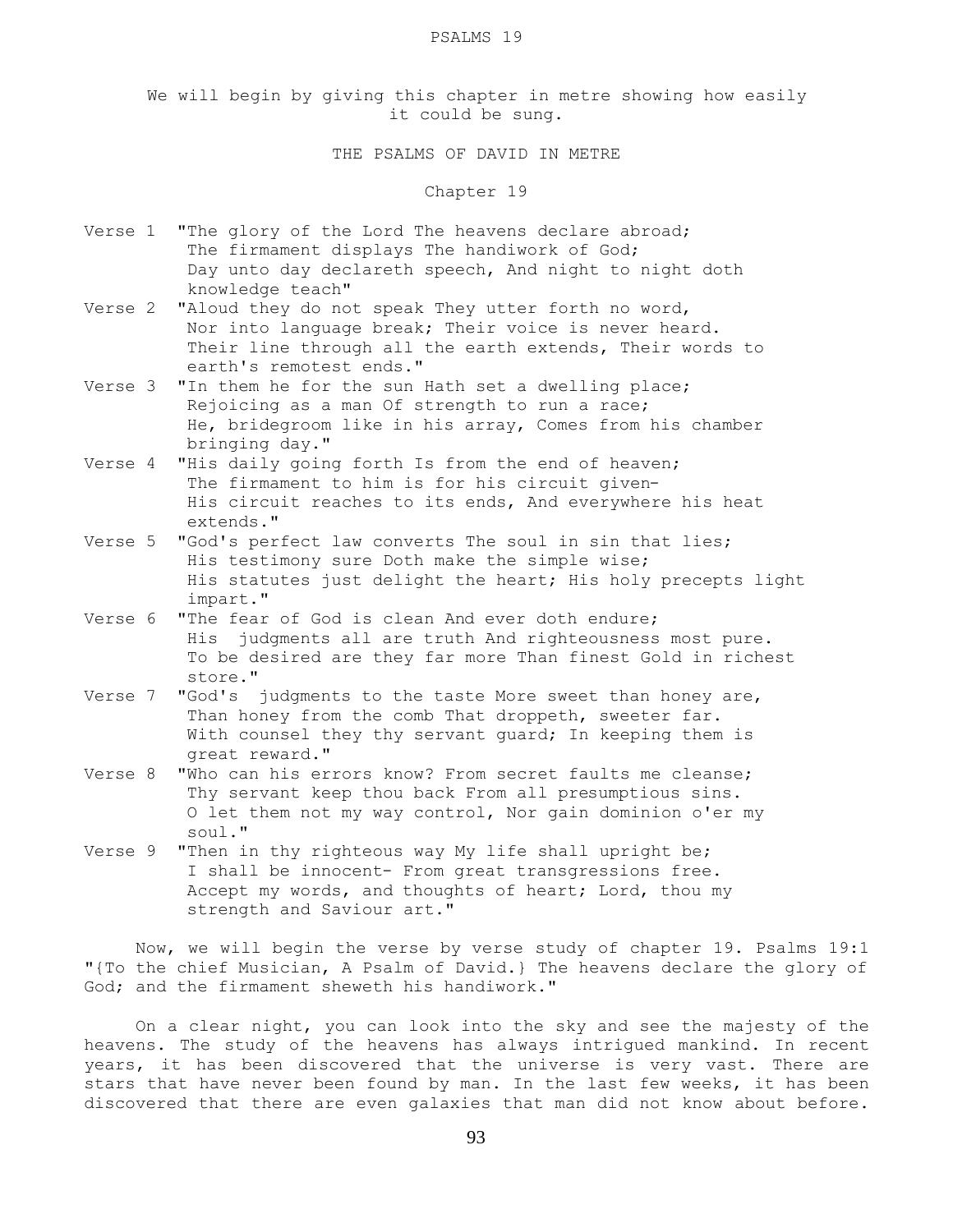#### PSALMS 19

We will begin by giving this chapter in metre showing how easily it could be sung.

THE PSALMS OF DAVID IN METRE

Chapter 19

- Verse 1 "The glory of the Lord The heavens declare abroad; The firmament displays The handiwork of God; Day unto day declareth speech, And night to night doth knowledge teach"
- Verse 2 "Aloud they do not speak They utter forth no word, Nor into language break; Their voice is never heard. Their line through all the earth extends, Their words to earth's remotest ends."
- Verse 3 "In them he for the sun Hath set a dwelling place; Rejoicing as a man Of strength to run a race; He, bridegroom like in his array, Comes from his chamber bringing day."
- Verse 4 "His daily going forth Is from the end of heaven; The firmament to him is for his circuit given- His circuit reaches to its ends, And everywhere his heat extends."
- Verse 5 "God's perfect law converts The soul in sin that lies; His testimony sure Doth make the simple wise; His statutes just delight the heart; His holy precepts light impart."
- Verse 6 "The fear of God is clean And ever doth endure; His judgments all are truth And righteousness most pure. To be desired are they far more Than finest Gold in richest store."
- Verse 7 "God's judgments to the taste More sweet than honey are, Than honey from the comb That droppeth, sweeter far. With counsel they thy servant guard; In keeping them is great reward."
- Verse 8 "Who can his errors know? From secret faults me cleanse; Thy servant keep thou back From all presumptious sins. O let them not my way control, Nor gain dominion o'er my soul."
- Verse 9 "Then in thy righteous way My life shall upright be; I shall be innocent- From great transgressions free. Accept my words, and thoughts of heart; Lord, thou my strength and Saviour art."

 Now, we will begin the verse by verse study of chapter 19. Psalms 19:1 "{To the chief Musician, A Psalm of David.} The heavens declare the glory of God; and the firmament sheweth his handiwork."

 On a clear night, you can look into the sky and see the majesty of the heavens. The study of the heavens has always intrigued mankind. In recent years, it has been discovered that the universe is very vast. There are stars that have never been found by man. In the last few weeks, it has been discovered that there are even galaxies that man did not know about before.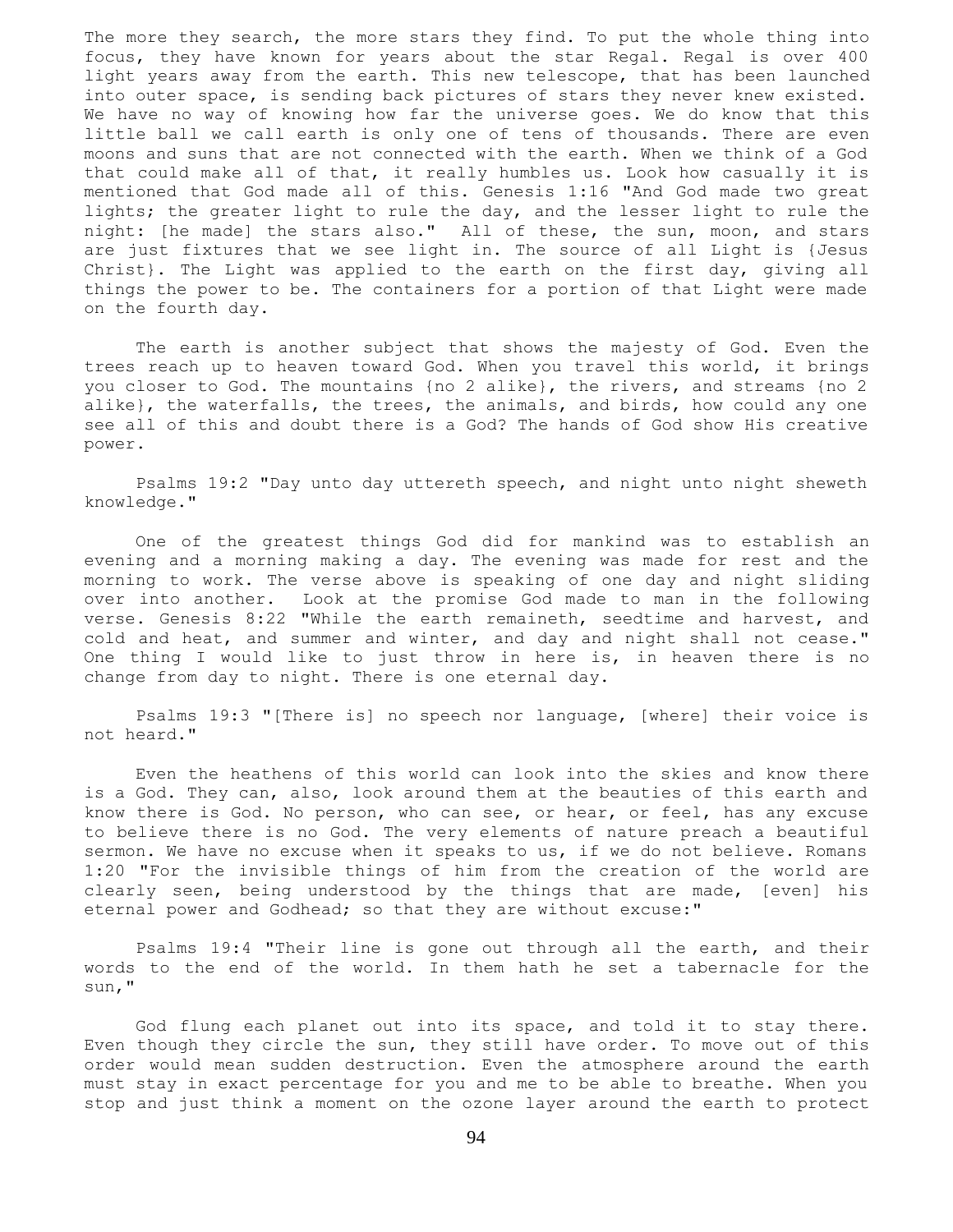The more they search, the more stars they find. To put the whole thing into focus, they have known for years about the star Regal. Regal is over 400 light years away from the earth. This new telescope, that has been launched into outer space, is sending back pictures of stars they never knew existed. We have no way of knowing how far the universe goes. We do know that this little ball we call earth is only one of tens of thousands. There are even moons and suns that are not connected with the earth. When we think of a God that could make all of that, it really humbles us. Look how casually it is mentioned that God made all of this. Genesis 1:16 "And God made two great lights; the greater light to rule the day, and the lesser light to rule the night: [he made] the stars also." All of these, the sun, moon, and stars are just fixtures that we see light in. The source of all Light is {Jesus Christ}. The Light was applied to the earth on the first day, giving all things the power to be. The containers for a portion of that Light were made on the fourth day.

 The earth is another subject that shows the majesty of God. Even the trees reach up to heaven toward God. When you travel this world, it brings you closer to God. The mountains {no 2 alike}, the rivers, and streams {no 2 alike}, the waterfalls, the trees, the animals, and birds, how could any one see all of this and doubt there is a God? The hands of God show His creative power.

 Psalms 19:2 "Day unto day uttereth speech, and night unto night sheweth knowledge."

 One of the greatest things God did for mankind was to establish an evening and a morning making a day. The evening was made for rest and the morning to work. The verse above is speaking of one day and night sliding over into another. Look at the promise God made to man in the following verse. Genesis 8:22 "While the earth remaineth, seedtime and harvest, and cold and heat, and summer and winter, and day and night shall not cease." One thing I would like to just throw in here is, in heaven there is no change from day to night. There is one eternal day.

 Psalms 19:3 "[There is] no speech nor language, [where] their voice is not heard."

 Even the heathens of this world can look into the skies and know there is a God. They can, also, look around them at the beauties of this earth and know there is God. No person, who can see, or hear, or feel, has any excuse to believe there is no God. The very elements of nature preach a beautiful sermon. We have no excuse when it speaks to us, if we do not believe. Romans 1:20 "For the invisible things of him from the creation of the world are clearly seen, being understood by the things that are made, [even] his eternal power and Godhead; so that they are without excuse:"

 Psalms 19:4 "Their line is gone out through all the earth, and their words to the end of the world. In them hath he set a tabernacle for the sun,"

 God flung each planet out into its space, and told it to stay there. Even though they circle the sun, they still have order. To move out of this order would mean sudden destruction. Even the atmosphere around the earth must stay in exact percentage for you and me to be able to breathe. When you stop and just think a moment on the ozone layer around the earth to protect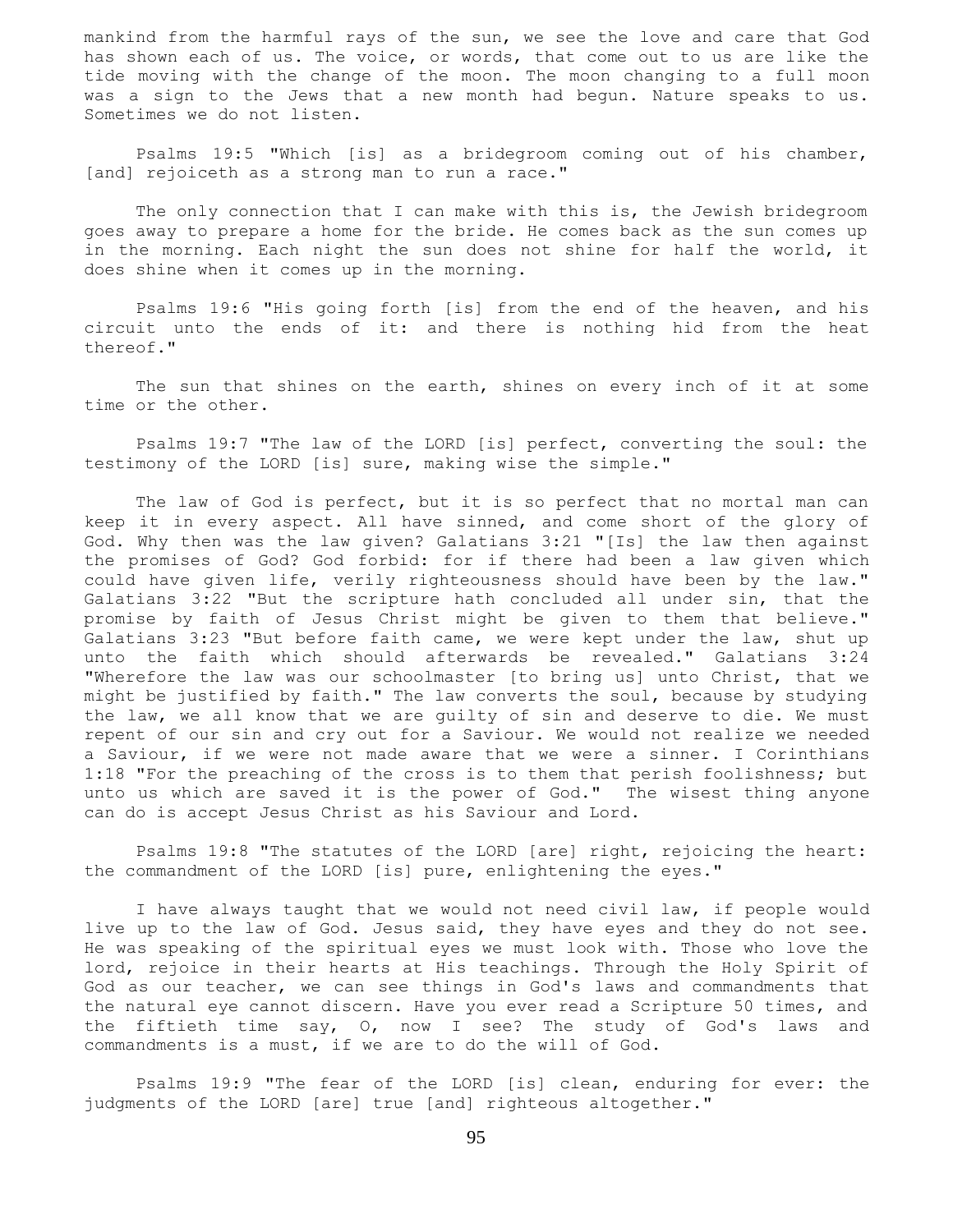mankind from the harmful rays of the sun, we see the love and care that God has shown each of us. The voice, or words, that come out to us are like the tide moving with the change of the moon. The moon changing to a full moon was a sign to the Jews that a new month had begun. Nature speaks to us. Sometimes we do not listen.

 Psalms 19:5 "Which [is] as a bridegroom coming out of his chamber, [and] rejoiceth as a strong man to run a race."

 The only connection that I can make with this is, the Jewish bridegroom goes away to prepare a home for the bride. He comes back as the sun comes up in the morning. Each night the sun does not shine for half the world, it does shine when it comes up in the morning.

 Psalms 19:6 "His going forth [is] from the end of the heaven, and his circuit unto the ends of it: and there is nothing hid from the heat thereof."

The sun that shines on the earth, shines on every inch of it at some time or the other.

 Psalms 19:7 "The law of the LORD [is] perfect, converting the soul: the testimony of the LORD [is] sure, making wise the simple."

 The law of God is perfect, but it is so perfect that no mortal man can keep it in every aspect. All have sinned, and come short of the glory of God. Why then was the law given? Galatians 3:21 "[Is] the law then against the promises of God? God forbid: for if there had been a law given which could have given life, verily righteousness should have been by the law." Galatians 3:22 "But the scripture hath concluded all under sin, that the promise by faith of Jesus Christ might be given to them that believe." Galatians 3:23 "But before faith came, we were kept under the law, shut up unto the faith which should afterwards be revealed." Galatians 3:24 "Wherefore the law was our schoolmaster [to bring us] unto Christ, that we might be justified by faith." The law converts the soul, because by studying the law, we all know that we are guilty of sin and deserve to die. We must repent of our sin and cry out for a Saviour. We would not realize we needed a Saviour, if we were not made aware that we were a sinner. I Corinthians 1:18 "For the preaching of the cross is to them that perish foolishness; but unto us which are saved it is the power of God." The wisest thing anyone can do is accept Jesus Christ as his Saviour and Lord.

 Psalms 19:8 "The statutes of the LORD [are] right, rejoicing the heart: the commandment of the LORD [is] pure, enlightening the eyes."

 I have always taught that we would not need civil law, if people would live up to the law of God. Jesus said, they have eyes and they do not see. He was speaking of the spiritual eyes we must look with. Those who love the lord, rejoice in their hearts at His teachings. Through the Holy Spirit of God as our teacher, we can see things in God's laws and commandments that the natural eye cannot discern. Have you ever read a Scripture 50 times, and the fiftieth time say, O, now I see? The study of God's laws and commandments is a must, if we are to do the will of God.

 Psalms 19:9 "The fear of the LORD [is] clean, enduring for ever: the judgments of the LORD [are] true [and] righteous altogether."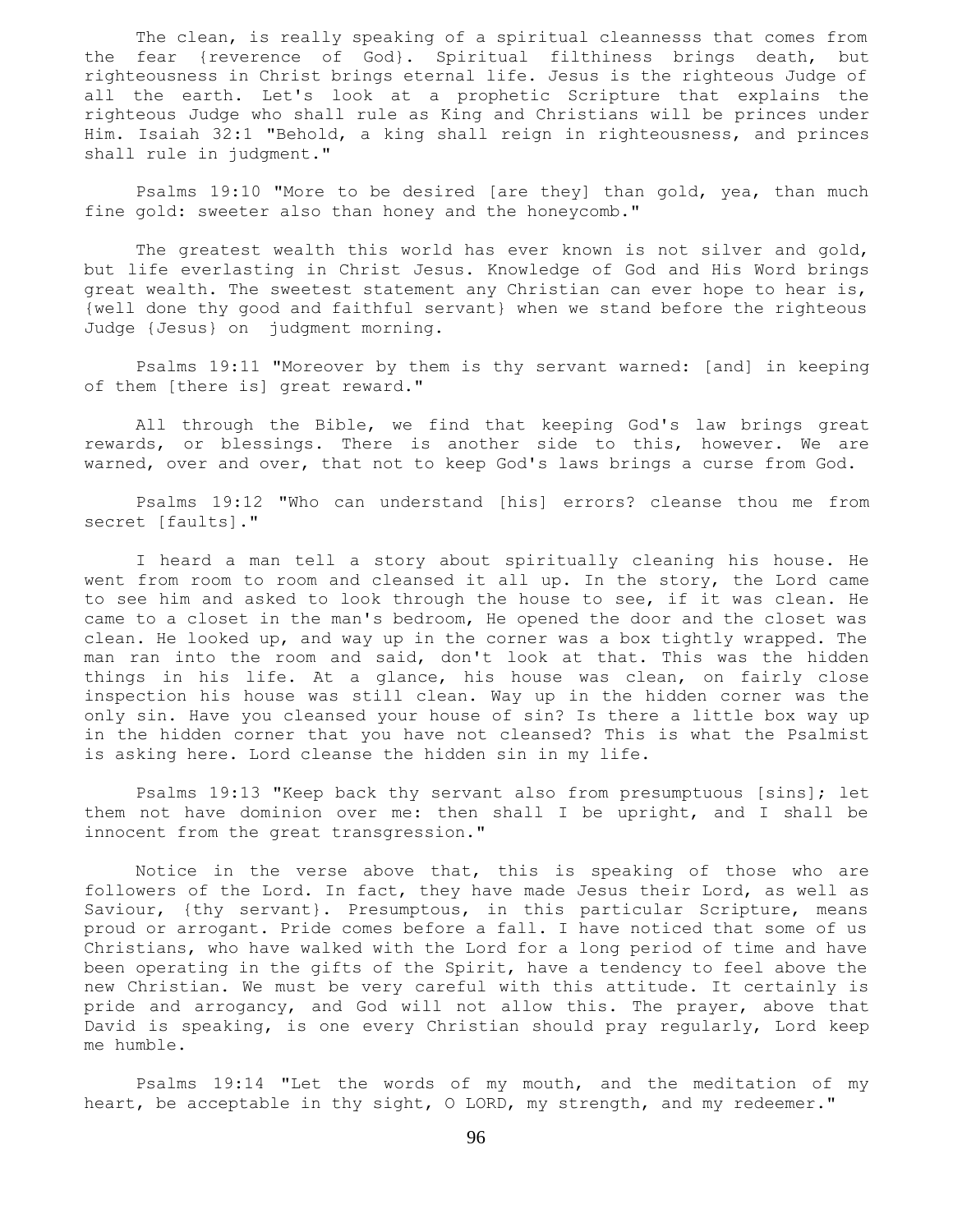The clean, is really speaking of a spiritual cleannesss that comes from the fear {reverence of God}. Spiritual filthiness brings death, but righteousness in Christ brings eternal life. Jesus is the righteous Judge of all the earth. Let's look at a prophetic Scripture that explains the righteous Judge who shall rule as King and Christians will be princes under Him. Isaiah 32:1 "Behold, a king shall reign in righteousness, and princes shall rule in judgment."

 Psalms 19:10 "More to be desired [are they] than gold, yea, than much fine gold: sweeter also than honey and the honeycomb."

The greatest wealth this world has ever known is not silver and gold, but life everlasting in Christ Jesus. Knowledge of God and His Word brings great wealth. The sweetest statement any Christian can ever hope to hear is, {well done thy good and faithful servant} when we stand before the righteous Judge {Jesus} on judgment morning.

 Psalms 19:11 "Moreover by them is thy servant warned: [and] in keeping of them [there is] great reward."

 All through the Bible, we find that keeping God's law brings great rewards, or blessings. There is another side to this, however. We are warned, over and over, that not to keep God's laws brings a curse from God.

 Psalms 19:12 "Who can understand [his] errors? cleanse thou me from secret [faults]."

 I heard a man tell a story about spiritually cleaning his house. He went from room to room and cleansed it all up. In the story, the Lord came to see him and asked to look through the house to see, if it was clean. He came to a closet in the man's bedroom, He opened the door and the closet was clean. He looked up, and way up in the corner was a box tightly wrapped. The man ran into the room and said, don't look at that. This was the hidden things in his life. At a glance, his house was clean, on fairly close inspection his house was still clean. Way up in the hidden corner was the only sin. Have you cleansed your house of sin? Is there a little box way up in the hidden corner that you have not cleansed? This is what the Psalmist is asking here. Lord cleanse the hidden sin in my life.

 Psalms 19:13 "Keep back thy servant also from presumptuous [sins]; let them not have dominion over me: then shall I be upright, and I shall be innocent from the great transgression."

 Notice in the verse above that, this is speaking of those who are followers of the Lord. In fact, they have made Jesus their Lord, as well as Saviour, {thy servant}. Presumptous, in this particular Scripture, means proud or arrogant. Pride comes before a fall. I have noticed that some of us Christians, who have walked with the Lord for a long period of time and have been operating in the gifts of the Spirit, have a tendency to feel above the new Christian. We must be very careful with this attitude. It certainly is pride and arrogancy, and God will not allow this. The prayer, above that David is speaking, is one every Christian should pray regularly, Lord keep me humble.

 Psalms 19:14 "Let the words of my mouth, and the meditation of my heart, be acceptable in thy sight, O LORD, my strength, and my redeemer."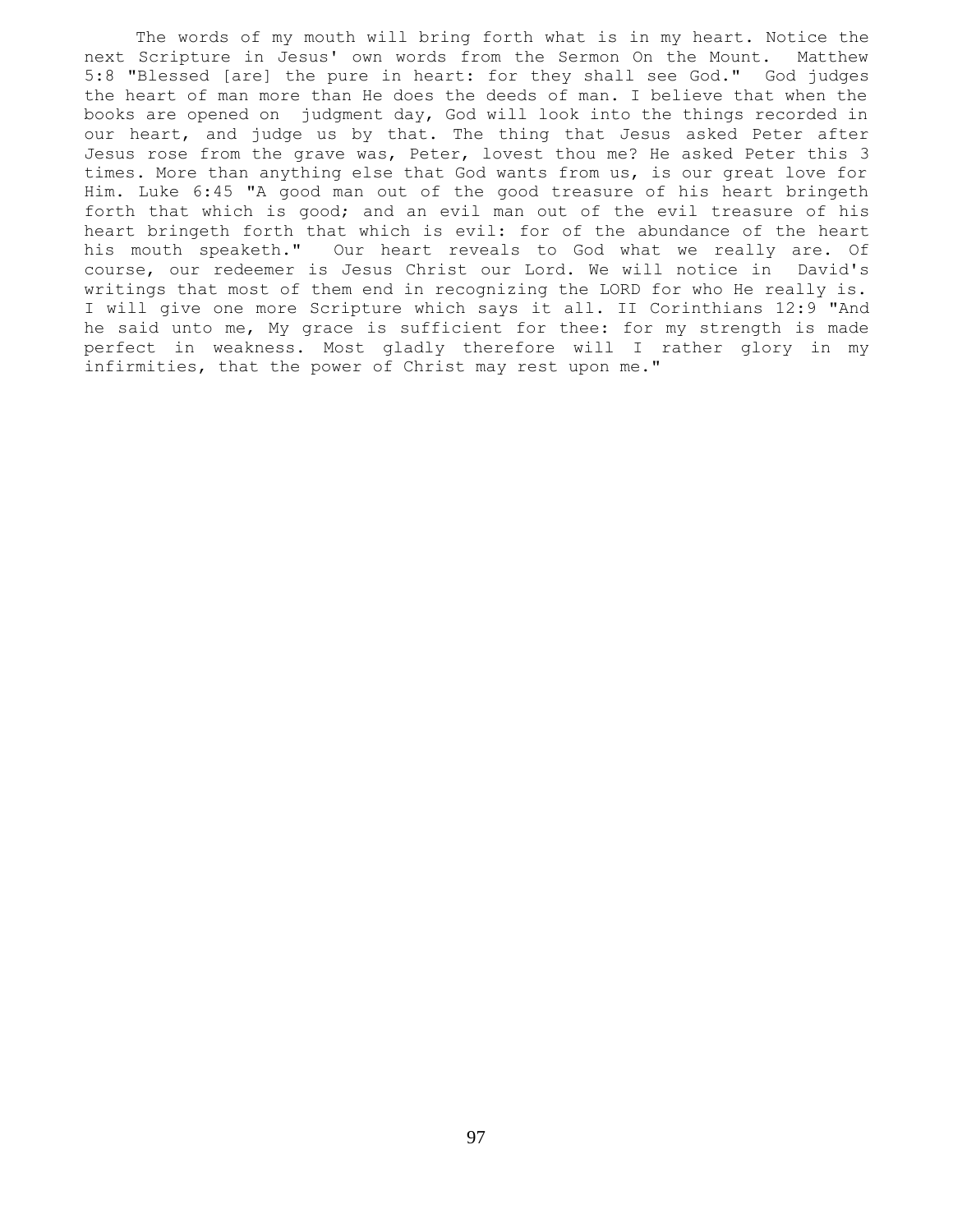The words of my mouth will bring forth what is in my heart. Notice the next Scripture in Jesus' own words from the Sermon On the Mount. Matthew 5:8 "Blessed [are] the pure in heart: for they shall see God." God judges the heart of man more than He does the deeds of man. I believe that when the books are opened on judgment day, God will look into the things recorded in our heart, and judge us by that. The thing that Jesus asked Peter after Jesus rose from the grave was, Peter, lovest thou me? He asked Peter this 3 times. More than anything else that God wants from us, is our great love for Him. Luke 6:45 "A good man out of the good treasure of his heart bringeth forth that which is good; and an evil man out of the evil treasure of his heart bringeth forth that which is evil: for of the abundance of the heart his mouth speaketh." Our heart reveals to God what we really are. Of course, our redeemer is Jesus Christ our Lord. We will notice in David's writings that most of them end in recognizing the LORD for who He really is. I will give one more Scripture which says it all. II Corinthians 12:9 "And he said unto me, My grace is sufficient for thee: for my strength is made perfect in weakness. Most gladly therefore will I rather glory in my infirmities, that the power of Christ may rest upon me."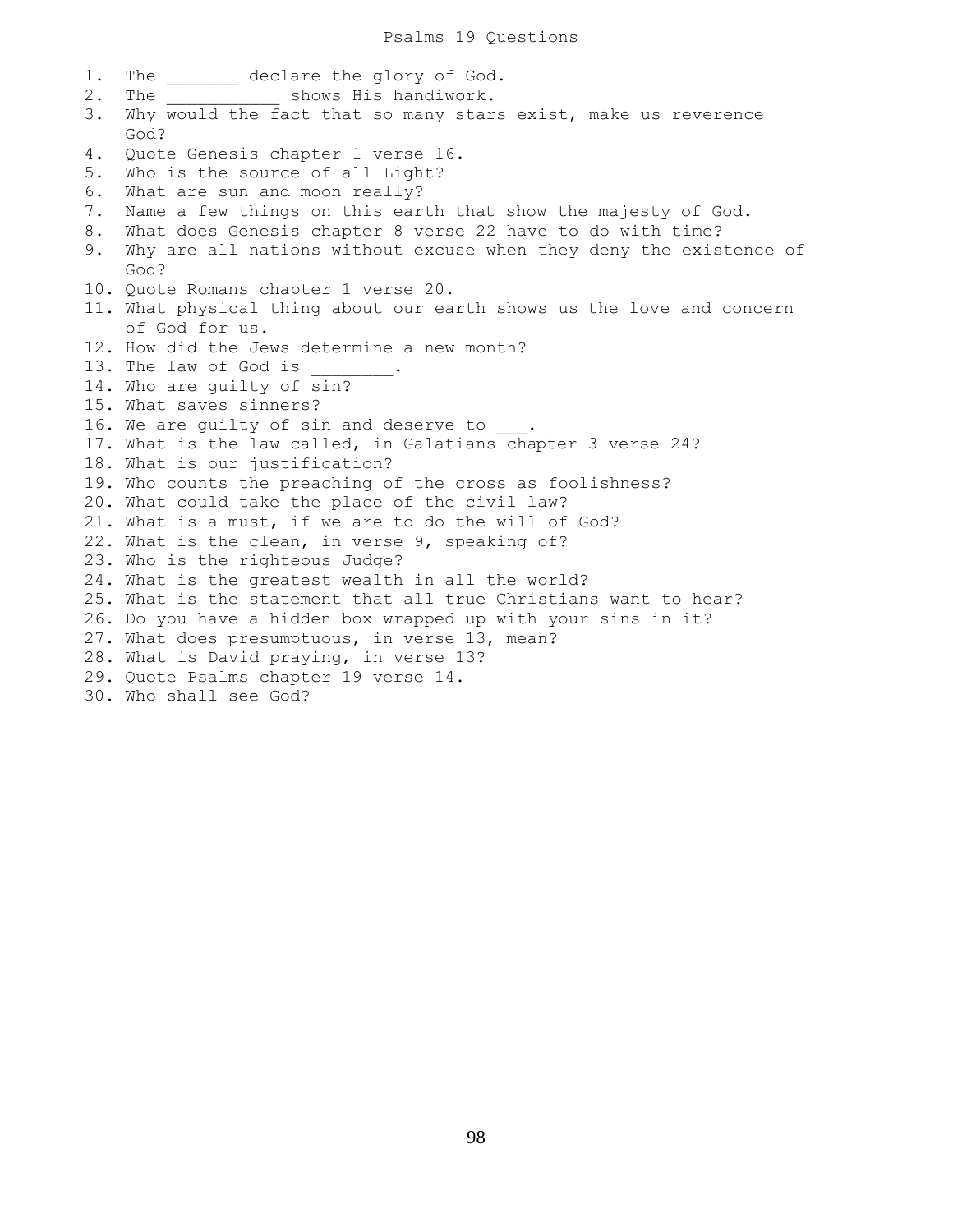1. The \_\_\_\_\_\_\_ declare the glory of God. 2. The  $\qquad \qquad$  shows His handiwork. 3. Why would the fact that so many stars exist, make us reverence God? 4. Quote Genesis chapter 1 verse 16. 5. Who is the source of all Light? 6. What are sun and moon really? 7. Name a few things on this earth that show the majesty of God. 8. What does Genesis chapter 8 verse 22 have to do with time? 9. Why are all nations without excuse when they deny the existence of God? 10. Quote Romans chapter 1 verse 20. 11. What physical thing about our earth shows us the love and concern of God for us. 12. How did the Jews determine a new month? 13. The law of God is 14. Who are guilty of sin? 15. What saves sinners? 16. We are quilty of sin and deserve to 17. What is the law called, in Galatians chapter 3 verse 24? 18. What is our justification? 19. Who counts the preaching of the cross as foolishness? 20. What could take the place of the civil law? 21. What is a must, if we are to do the will of God? 22. What is the clean, in verse 9, speaking of? 23. Who is the righteous Judge? 24. What is the greatest wealth in all the world? 25. What is the statement that all true Christians want to hear? 26. Do you have a hidden box wrapped up with your sins in it? 27. What does presumptuous, in verse 13, mean? 28. What is David praying, in verse 13? 29. Quote Psalms chapter 19 verse 14. 30. Who shall see God?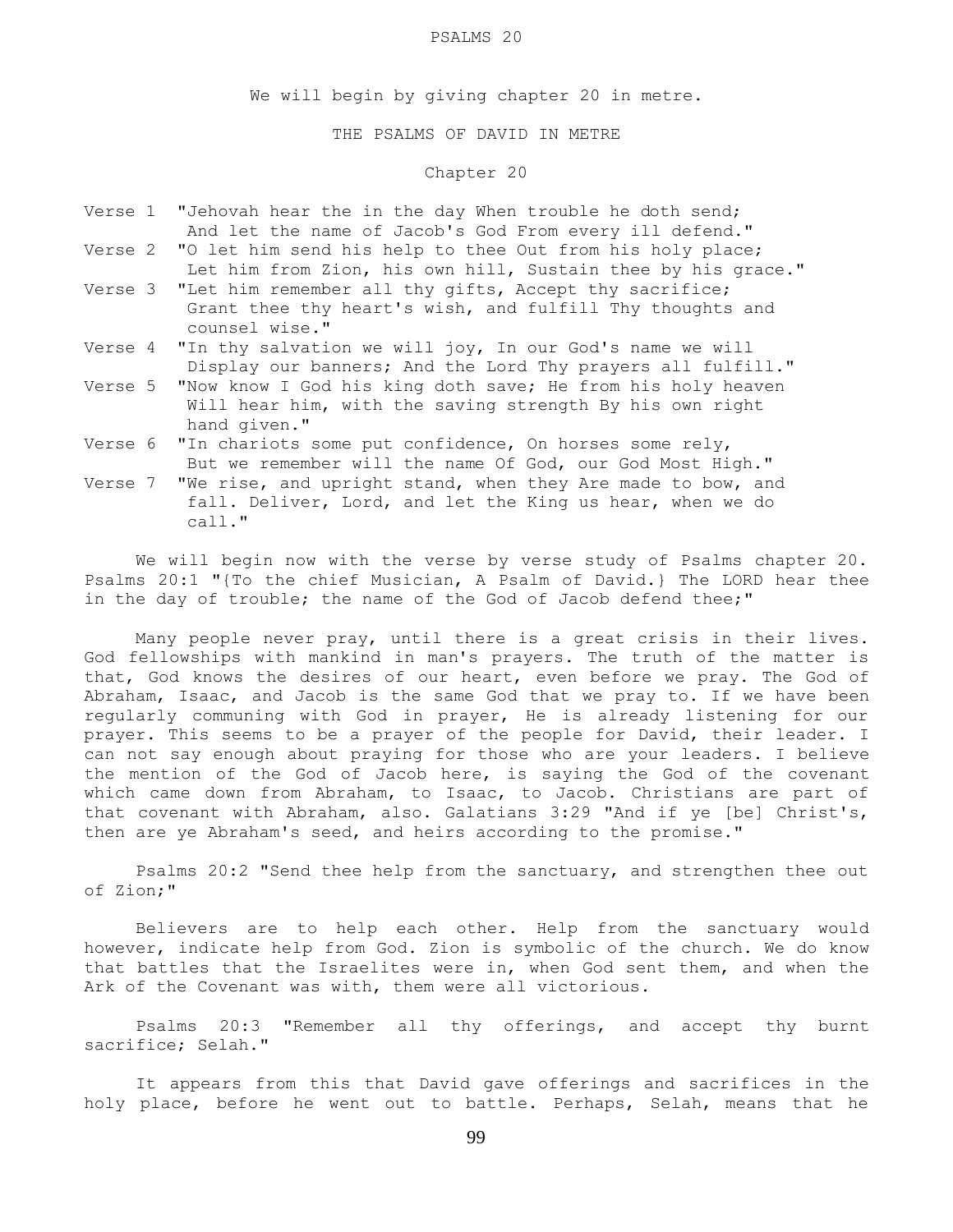#### PSALMS 20

We will begin by giving chapter 20 in metre.

THE PSALMS OF DAVID IN METRE

## Chapter 20

- Verse 1 "Jehovah hear the in the day When trouble he doth send; And let the name of Jacob's God From every ill defend."
- Verse 2 "O let him send his help to thee Out from his holy place; Let him from Zion, his own hill, Sustain thee by his grace."
- Verse 3 "Let him remember all thy gifts, Accept thy sacrifice; Grant thee thy heart's wish, and fulfill Thy thoughts and counsel wise."
- Verse 4 "In thy salvation we will joy, In our God's name we will Display our banners; And the Lord Thy prayers all fulfill."
- Verse 5 "Now know I God his king doth save; He from his holy heaven Will hear him, with the saving strength By his own right hand given."
- Verse 6 "In chariots some put confidence, On horses some rely, But we remember will the name Of God, our God Most High."
- Verse 7 "We rise, and upright stand, when they Are made to bow, and fall. Deliver, Lord, and let the King us hear, when we do call."

 We will begin now with the verse by verse study of Psalms chapter 20. Psalms 20:1 "{To the chief Musician, A Psalm of David.} The LORD hear thee in the day of trouble; the name of the God of Jacob defend thee;"

 Many people never pray, until there is a great crisis in their lives. God fellowships with mankind in man's prayers. The truth of the matter is that, God knows the desires of our heart, even before we pray. The God of Abraham, Isaac, and Jacob is the same God that we pray to. If we have been regularly communing with God in prayer, He is already listening for our prayer. This seems to be a prayer of the people for David, their leader. I can not say enough about praying for those who are your leaders. I believe the mention of the God of Jacob here, is saying the God of the covenant which came down from Abraham, to Isaac, to Jacob. Christians are part of that covenant with Abraham, also. Galatians 3:29 "And if ye [be] Christ's, then are ye Abraham's seed, and heirs according to the promise."

 Psalms 20:2 "Send thee help from the sanctuary, and strengthen thee out of Zion;"

 Believers are to help each other. Help from the sanctuary would however, indicate help from God. Zion is symbolic of the church. We do know that battles that the Israelites were in, when God sent them, and when the Ark of the Covenant was with, them were all victorious.

 Psalms 20:3 "Remember all thy offerings, and accept thy burnt sacrifice; Selah."

 It appears from this that David gave offerings and sacrifices in the holy place, before he went out to battle. Perhaps, Selah, means that he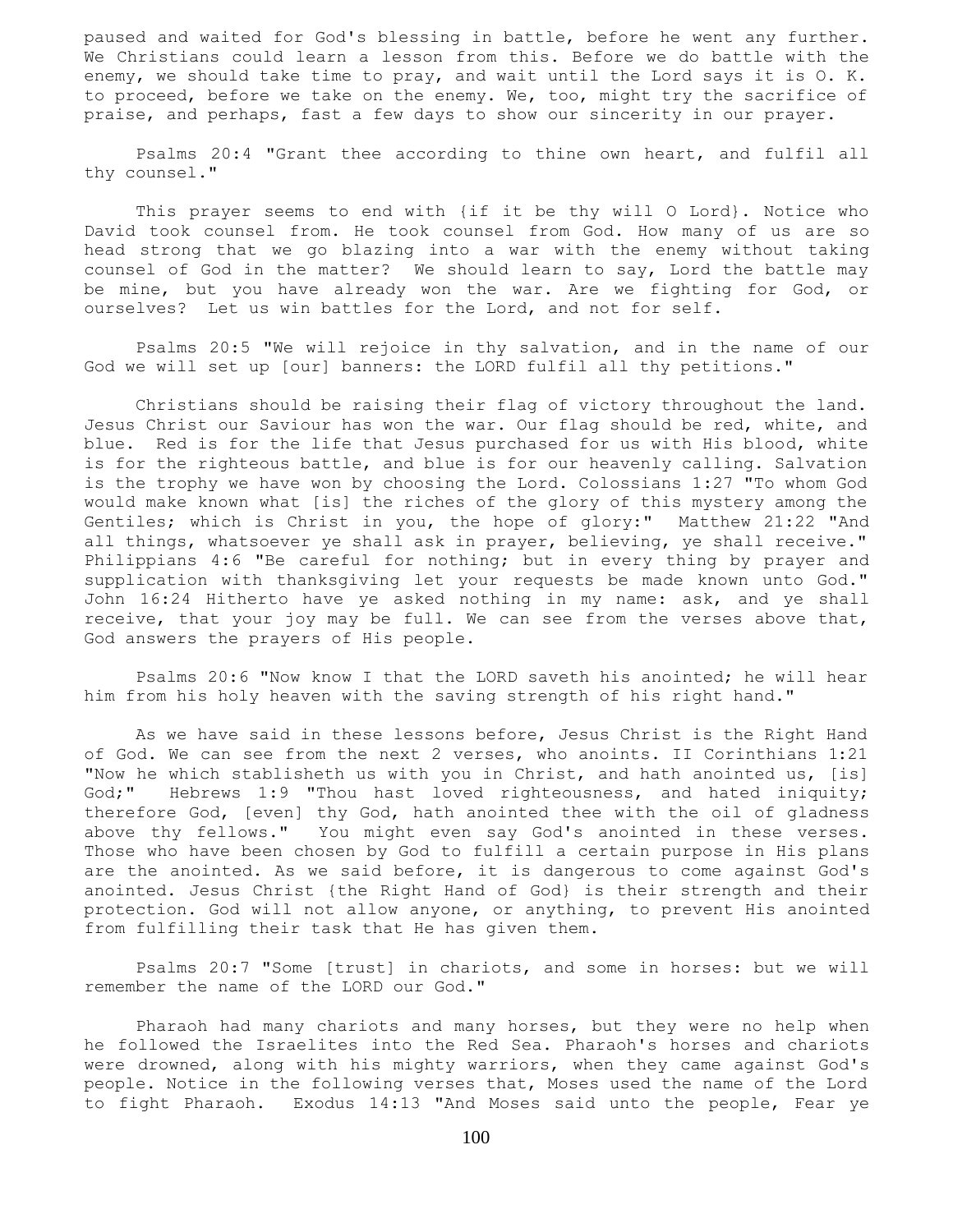paused and waited for God's blessing in battle, before he went any further. We Christians could learn a lesson from this. Before we do battle with the enemy, we should take time to pray, and wait until the Lord says it is O. K. to proceed, before we take on the enemy. We, too, might try the sacrifice of praise, and perhaps, fast a few days to show our sincerity in our prayer.

 Psalms 20:4 "Grant thee according to thine own heart, and fulfil all thy counsel."

 This prayer seems to end with {if it be thy will O Lord}. Notice who David took counsel from. He took counsel from God. How many of us are so head strong that we go blazing into a war with the enemy without taking counsel of God in the matter? We should learn to say, Lord the battle may be mine, but you have already won the war. Are we fighting for God, or ourselves? Let us win battles for the Lord, and not for self.

 Psalms 20:5 "We will rejoice in thy salvation, and in the name of our God we will set up [our] banners: the LORD fulfil all thy petitions."

 Christians should be raising their flag of victory throughout the land. Jesus Christ our Saviour has won the war. Our flag should be red, white, and blue. Red is for the life that Jesus purchased for us with His blood, white is for the righteous battle, and blue is for our heavenly calling. Salvation is the trophy we have won by choosing the Lord. Colossians 1:27 "To whom God would make known what [is] the riches of the glory of this mystery among the Gentiles; which is Christ in you, the hope of glory:" Matthew 21:22 "And all things, whatsoever ye shall ask in prayer, believing, ye shall receive." Philippians 4:6 "Be careful for nothing; but in every thing by prayer and supplication with thanksgiving let your requests be made known unto God." John 16:24 Hitherto have ye asked nothing in my name: ask, and ye shall receive, that your joy may be full. We can see from the verses above that, God answers the prayers of His people.

 Psalms 20:6 "Now know I that the LORD saveth his anointed; he will hear him from his holy heaven with the saving strength of his right hand."

 As we have said in these lessons before, Jesus Christ is the Right Hand of God. We can see from the next 2 verses, who anoints. II Corinthians 1:21 "Now he which stablisheth us with you in Christ, and hath anointed us, [is] God;" Hebrews 1:9 "Thou hast loved righteousness, and hated iniquity; therefore God, [even] thy God, hath anointed thee with the oil of gladness above thy fellows." You might even say God's anointed in these verses. Those who have been chosen by God to fulfill a certain purpose in His plans are the anointed. As we said before, it is dangerous to come against God's anointed. Jesus Christ {the Right Hand of God} is their strength and their protection. God will not allow anyone, or anything, to prevent His anointed from fulfilling their task that He has given them.

 Psalms 20:7 "Some [trust] in chariots, and some in horses: but we will remember the name of the LORD our God."

 Pharaoh had many chariots and many horses, but they were no help when he followed the Israelites into the Red Sea. Pharaoh's horses and chariots were drowned, along with his mighty warriors, when they came against God's people. Notice in the following verses that, Moses used the name of the Lord to fight Pharaoh. Exodus 14:13 "And Moses said unto the people, Fear ye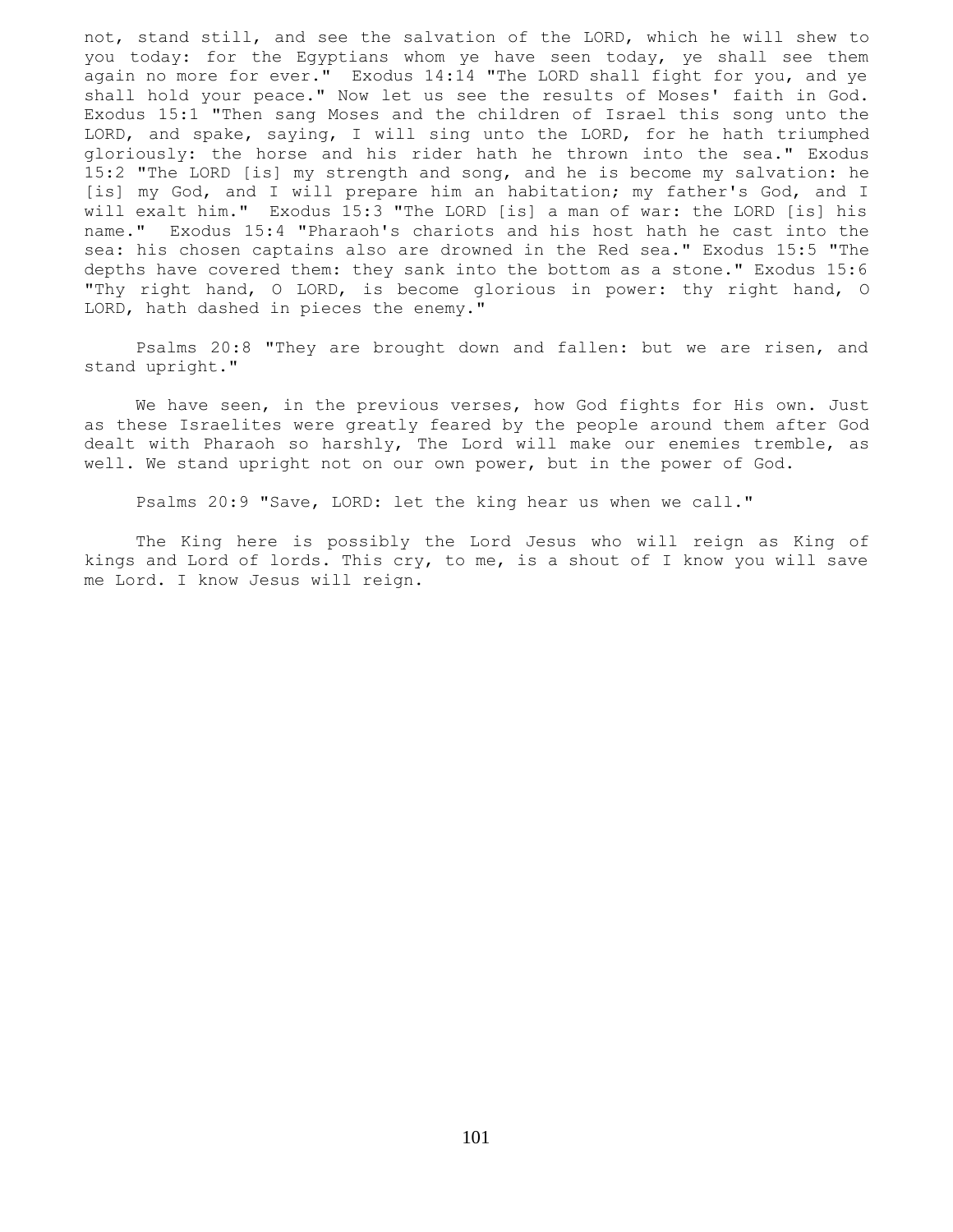not, stand still, and see the salvation of the LORD, which he will shew to you today: for the Egyptians whom ye have seen today, ye shall see them again no more for ever." Exodus 14:14 "The LORD shall fight for you, and ye shall hold your peace." Now let us see the results of Moses' faith in God. Exodus 15:1 "Then sang Moses and the children of Israel this song unto the LORD, and spake, saying, I will sing unto the LORD, for he hath triumphed gloriously: the horse and his rider hath he thrown into the sea." Exodus 15:2 "The LORD [is] my strength and song, and he is become my salvation: he [is] my God, and I will prepare him an habitation; my father's God, and I will exalt him." Exodus 15:3 "The LORD [is] a man of war: the LORD [is] his name." Exodus 15:4 "Pharaoh's chariots and his host hath he cast into the sea: his chosen captains also are drowned in the Red sea." Exodus 15:5 "The depths have covered them: they sank into the bottom as a stone." Exodus 15:6 "Thy right hand, O LORD, is become glorious in power: thy right hand, O LORD, hath dashed in pieces the enemy."

 Psalms 20:8 "They are brought down and fallen: but we are risen, and stand upright."

 We have seen, in the previous verses, how God fights for His own. Just as these Israelites were greatly feared by the people around them after God dealt with Pharaoh so harshly, The Lord will make our enemies tremble, as well. We stand upright not on our own power, but in the power of God.

Psalms 20:9 "Save, LORD: let the king hear us when we call."

 The King here is possibly the Lord Jesus who will reign as King of kings and Lord of lords. This cry, to me, is a shout of I know you will save me Lord. I know Jesus will reign.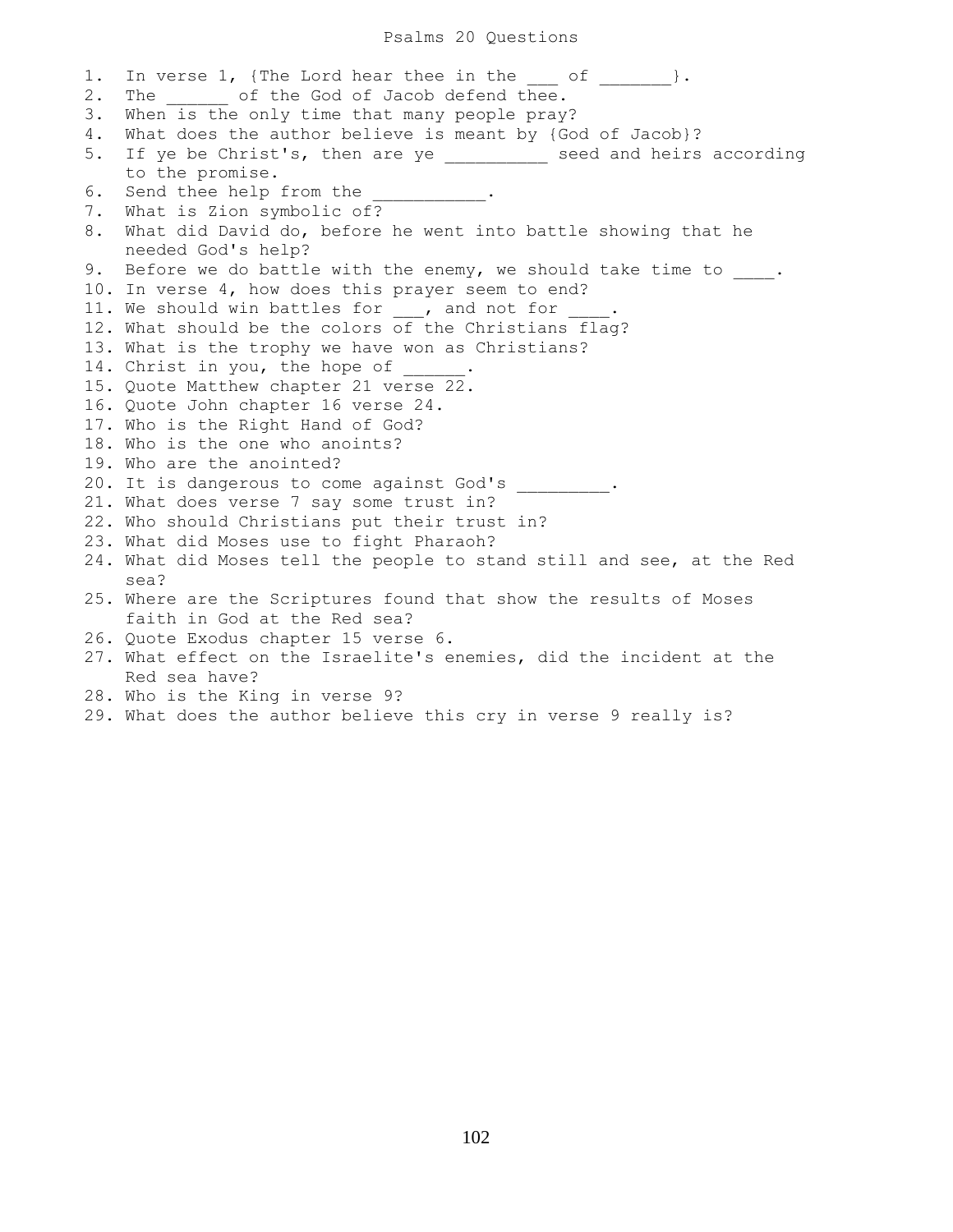#### Psalms 20 Questions

1. In verse 1, {The Lord hear thee in the of  $\vert$ . 2. The of the God of Jacob defend thee. 3. When is the only time that many people pray? 4. What does the author believe is meant by {God of Jacob}? 5. If ye be Christ's, then are ye \_\_\_\_\_\_\_\_\_\_ seed and heirs according to the promise. 6. Send thee help from the 7. What is Zion symbolic of? 8. What did David do, before he went into battle showing that he needed God's help? 9. Before we do battle with the enemy, we should take time to \_\_\_\_. 10. In verse 4, how does this prayer seem to end? 11. We should win battles for , and not for 12. What should be the colors of the Christians flag? 13. What is the trophy we have won as Christians? 14. Christ in you, the hope of 15. Quote Matthew chapter 21 verse 22. 16. Quote John chapter 16 verse 24. 17. Who is the Right Hand of God? 18. Who is the one who anoints? 19. Who are the anointed? 20. It is dangerous to come against God's \_\_\_\_\_\_\_\_\_\_. 21. What does verse 7 say some trust in? 22. Who should Christians put their trust in? 23. What did Moses use to fight Pharaoh? 24. What did Moses tell the people to stand still and see, at the Red sea? 25. Where are the Scriptures found that show the results of Moses faith in God at the Red sea? 26. Quote Exodus chapter 15 verse 6. 27. What effect on the Israelite's enemies, did the incident at the Red sea have? 28. Who is the King in verse 9?

29. What does the author believe this cry in verse 9 really is?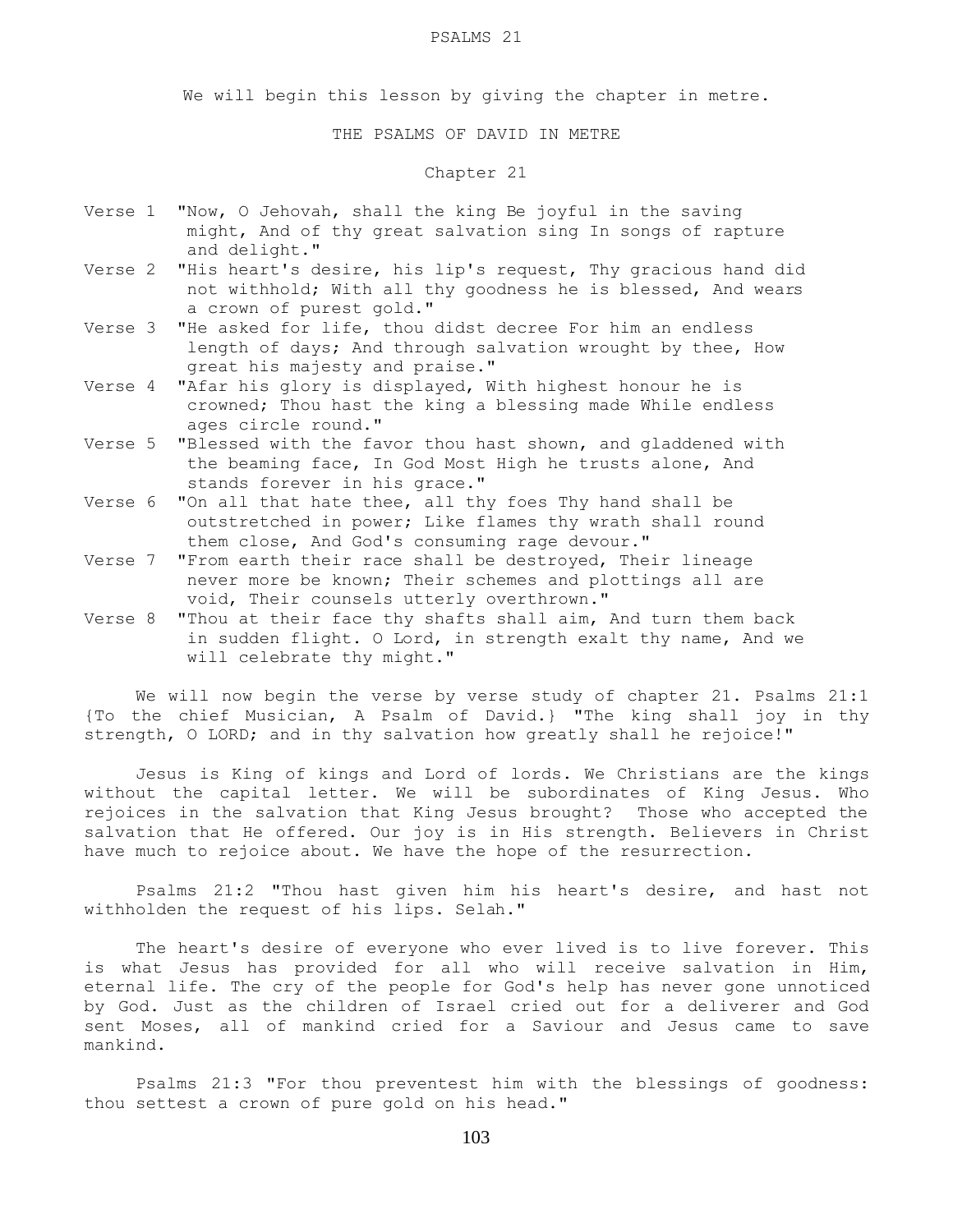#### PSALMS 21

We will begin this lesson by giving the chapter in metre.

THE PSALMS OF DAVID IN METRE

## Chapter 21

- Verse 1 "Now, O Jehovah, shall the king Be joyful in the saving might, And of thy great salvation sing In songs of rapture and delight."
- Verse 2 "His heart's desire, his lip's request, Thy gracious hand did not withhold; With all thy goodness he is blessed, And wears a crown of purest gold."
- Verse 3 "He asked for life, thou didst decree For him an endless length of days; And through salvation wrought by thee, How great his majesty and praise."
- Verse 4 "Afar his glory is displayed, With highest honour he is crowned; Thou hast the king a blessing made While endless ages circle round."
- Verse 5 "Blessed with the favor thou hast shown, and gladdened with the beaming face, In God Most High he trusts alone, And stands forever in his grace."
- Verse 6 "On all that hate thee, all thy foes Thy hand shall be outstretched in power; Like flames thy wrath shall round them close, And God's consuming rage devour."
- Verse 7 "From earth their race shall be destroyed, Their lineage never more be known; Their schemes and plottings all are void, Their counsels utterly overthrown."
- Verse 8 "Thou at their face thy shafts shall aim, And turn them back in sudden flight. O Lord, in strength exalt thy name, And we will celebrate thy might."

We will now begin the verse by verse study of chapter 21. Psalms 21:1 {To the chief Musician, A Psalm of David.} "The king shall joy in thy strength, O LORD; and in thy salvation how greatly shall he rejoice!"

 Jesus is King of kings and Lord of lords. We Christians are the kings without the capital letter. We will be subordinates of King Jesus. Who rejoices in the salvation that King Jesus brought? Those who accepted the salvation that He offered. Our joy is in His strength. Believers in Christ have much to rejoice about. We have the hope of the resurrection.

 Psalms 21:2 "Thou hast given him his heart's desire, and hast not withholden the request of his lips. Selah."

The heart's desire of everyone who ever lived is to live forever. This is what Jesus has provided for all who will receive salvation in Him, eternal life. The cry of the people for God's help has never gone unnoticed by God. Just as the children of Israel cried out for a deliverer and God sent Moses, all of mankind cried for a Saviour and Jesus came to save mankind.

 Psalms 21:3 "For thou preventest him with the blessings of goodness: thou settest a crown of pure gold on his head."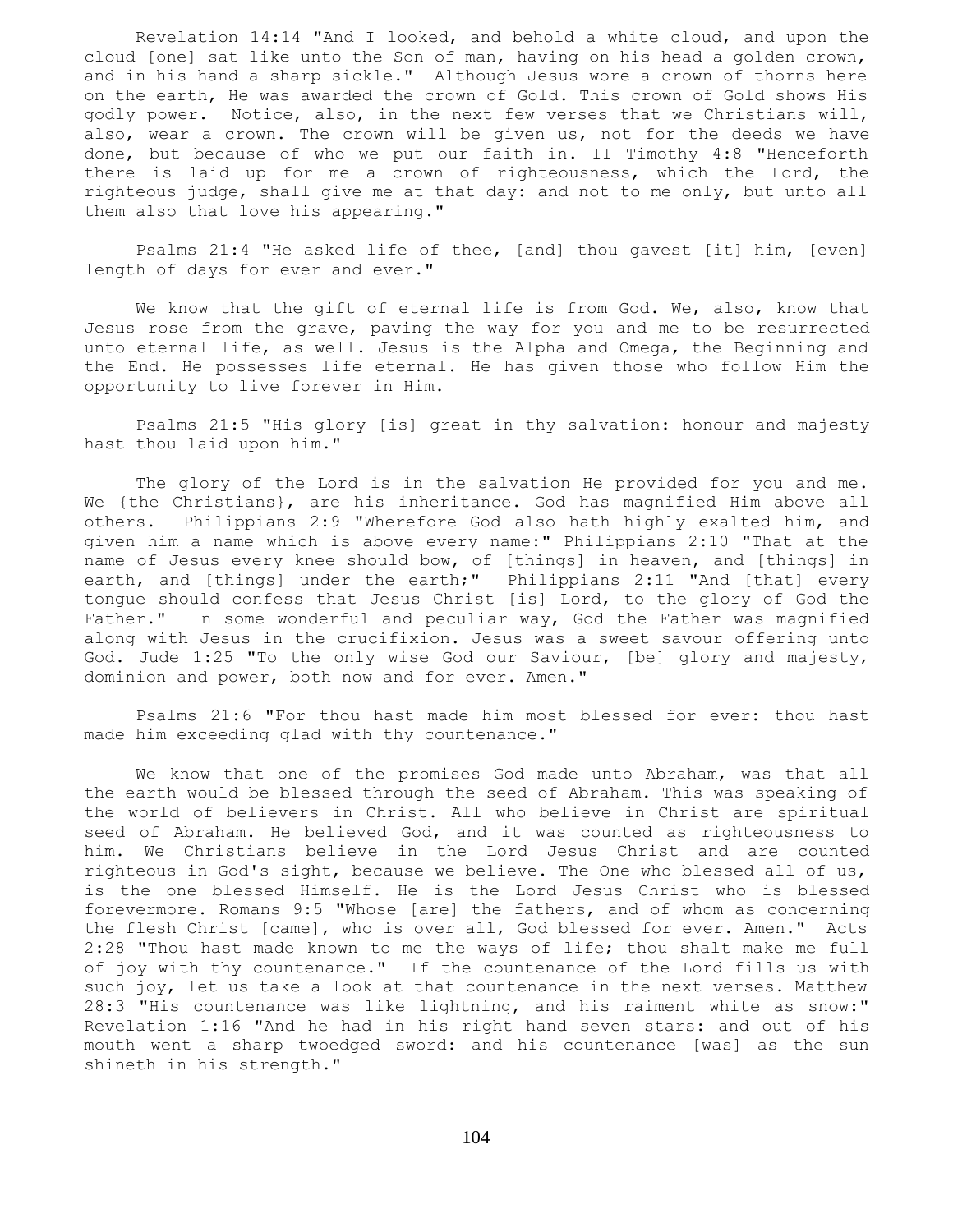Revelation 14:14 "And I looked, and behold a white cloud, and upon the cloud [one] sat like unto the Son of man, having on his head a golden crown, and in his hand a sharp sickle." Although Jesus wore a crown of thorns here on the earth, He was awarded the crown of Gold. This crown of Gold shows His godly power. Notice, also, in the next few verses that we Christians will, also, wear a crown. The crown will be given us, not for the deeds we have done, but because of who we put our faith in. II Timothy 4:8 "Henceforth there is laid up for me a crown of righteousness, which the Lord, the righteous judge, shall give me at that day: and not to me only, but unto all them also that love his appearing."

 Psalms 21:4 "He asked life of thee, [and] thou gavest [it] him, [even] length of days for ever and ever."

We know that the gift of eternal life is from God. We, also, know that Jesus rose from the grave, paving the way for you and me to be resurrected unto eternal life, as well. Jesus is the Alpha and Omega, the Beginning and the End. He possesses life eternal. He has given those who follow Him the opportunity to live forever in Him.

 Psalms 21:5 "His glory [is] great in thy salvation: honour and majesty hast thou laid upon him."

 The glory of the Lord is in the salvation He provided for you and me. We {the Christians}, are his inheritance. God has magnified Him above all others. Philippians 2:9 "Wherefore God also hath highly exalted him, and given him a name which is above every name:" Philippians 2:10 "That at the name of Jesus every knee should bow, of [things] in heaven, and [things] in earth, and [things] under the earth;" Philippians 2:11 "And [that] every tongue should confess that Jesus Christ [is] Lord, to the glory of God the Father." In some wonderful and peculiar way, God the Father was magnified along with Jesus in the crucifixion. Jesus was a sweet savour offering unto God. Jude 1:25 "To the only wise God our Saviour, [be] glory and majesty, dominion and power, both now and for ever. Amen."

 Psalms 21:6 "For thou hast made him most blessed for ever: thou hast made him exceeding glad with thy countenance."

 We know that one of the promises God made unto Abraham, was that all the earth would be blessed through the seed of Abraham. This was speaking of the world of believers in Christ. All who believe in Christ are spiritual seed of Abraham. He believed God, and it was counted as righteousness to him. We Christians believe in the Lord Jesus Christ and are counted righteous in God's sight, because we believe. The One who blessed all of us, is the one blessed Himself. He is the Lord Jesus Christ who is blessed forevermore. Romans 9:5 "Whose [are] the fathers, and of whom as concerning the flesh Christ [came], who is over all, God blessed for ever. Amen." Acts 2:28 "Thou hast made known to me the ways of life; thou shalt make me full of joy with thy countenance." If the countenance of the Lord fills us with such joy, let us take a look at that countenance in the next verses. Matthew 28:3 "His countenance was like lightning, and his raiment white as snow:" Revelation 1:16 "And he had in his right hand seven stars: and out of his mouth went a sharp twoedged sword: and his countenance [was] as the sun shineth in his strength."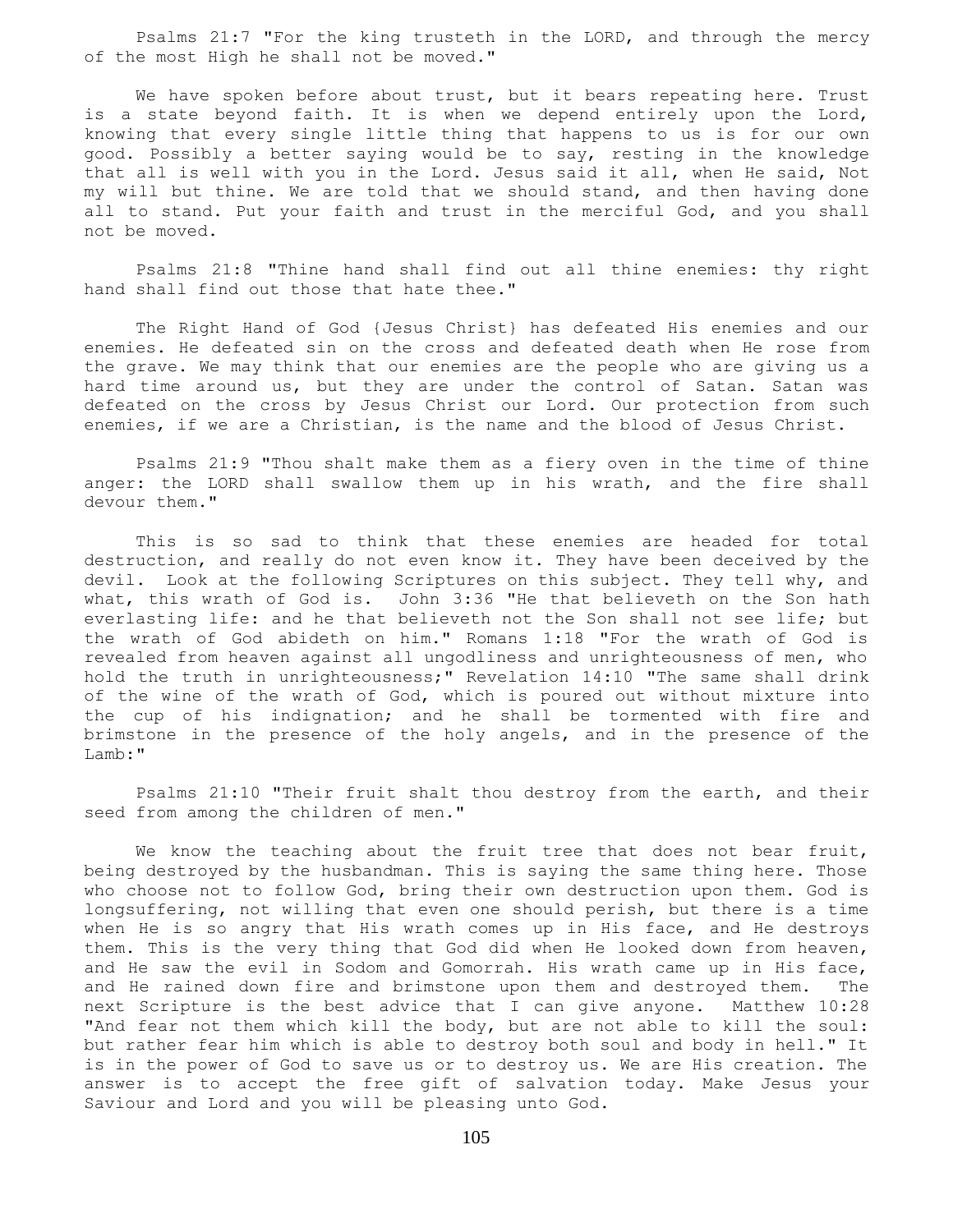Psalms 21:7 "For the king trusteth in the LORD, and through the mercy of the most High he shall not be moved."

We have spoken before about trust, but it bears repeating here. Trust is a state beyond faith. It is when we depend entirely upon the Lord, knowing that every single little thing that happens to us is for our own good. Possibly a better saying would be to say, resting in the knowledge that all is well with you in the Lord. Jesus said it all, when He said, Not my will but thine. We are told that we should stand, and then having done all to stand. Put your faith and trust in the merciful God, and you shall not be moved.

 Psalms 21:8 "Thine hand shall find out all thine enemies: thy right hand shall find out those that hate thee."

 The Right Hand of God {Jesus Christ} has defeated His enemies and our enemies. He defeated sin on the cross and defeated death when He rose from the grave. We may think that our enemies are the people who are giving us a hard time around us, but they are under the control of Satan. Satan was defeated on the cross by Jesus Christ our Lord. Our protection from such enemies, if we are a Christian, is the name and the blood of Jesus Christ.

 Psalms 21:9 "Thou shalt make them as a fiery oven in the time of thine anger: the LORD shall swallow them up in his wrath, and the fire shall devour them."

 This is so sad to think that these enemies are headed for total destruction, and really do not even know it. They have been deceived by the devil. Look at the following Scriptures on this subject. They tell why, and what, this wrath of God is. John 3:36 "He that believeth on the Son hath everlasting life: and he that believeth not the Son shall not see life; but the wrath of God abideth on him." Romans 1:18 "For the wrath of God is revealed from heaven against all ungodliness and unrighteousness of men, who hold the truth in unrighteousness;" Revelation 14:10 "The same shall drink of the wine of the wrath of God, which is poured out without mixture into the cup of his indignation; and he shall be tormented with fire and brimstone in the presence of the holy angels, and in the presence of the Lamb:"

 Psalms 21:10 "Their fruit shalt thou destroy from the earth, and their seed from among the children of men."

We know the teaching about the fruit tree that does not bear fruit, being destroyed by the husbandman. This is saying the same thing here. Those who choose not to follow God, bring their own destruction upon them. God is longsuffering, not willing that even one should perish, but there is a time when He is so angry that His wrath comes up in His face, and He destroys them. This is the very thing that God did when He looked down from heaven, and He saw the evil in Sodom and Gomorrah. His wrath came up in His face, and He rained down fire and brimstone upon them and destroyed them. The next Scripture is the best advice that I can give anyone. Matthew 10:28 "And fear not them which kill the body, but are not able to kill the soul: but rather fear him which is able to destroy both soul and body in hell." It is in the power of God to save us or to destroy us. We are His creation. The answer is to accept the free gift of salvation today. Make Jesus your Saviour and Lord and you will be pleasing unto God.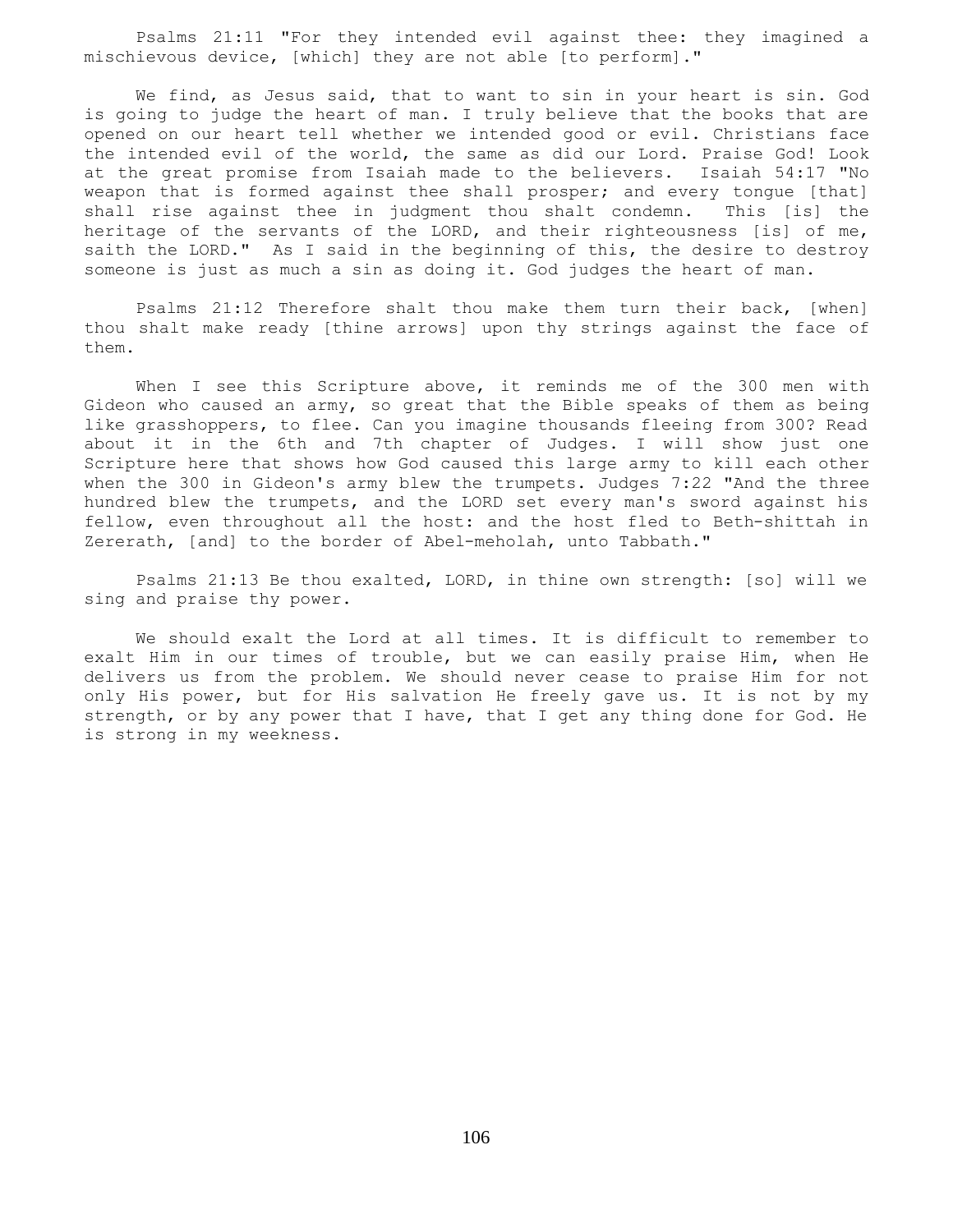Psalms 21:11 "For they intended evil against thee: they imagined a mischievous device, [which] they are not able [to perform]."

 We find, as Jesus said, that to want to sin in your heart is sin. God is going to judge the heart of man. I truly believe that the books that are opened on our heart tell whether we intended good or evil. Christians face the intended evil of the world, the same as did our Lord. Praise God! Look at the great promise from Isaiah made to the believers. Isaiah 54:17 "No weapon that is formed against thee shall prosper; and every tongue [that] shall rise against thee in judgment thou shalt condemn. This [is] the heritage of the servants of the LORD, and their righteousness [is] of me, saith the LORD." As I said in the beginning of this, the desire to destroy someone is just as much a sin as doing it. God judges the heart of man.

 Psalms 21:12 Therefore shalt thou make them turn their back, [when] thou shalt make ready [thine arrows] upon thy strings against the face of them.

When I see this Scripture above, it reminds me of the 300 men with Gideon who caused an army, so great that the Bible speaks of them as being like grasshoppers, to flee. Can you imagine thousands fleeing from 300? Read about it in the 6th and 7th chapter of Judges. I will show just one Scripture here that shows how God caused this large army to kill each other when the 300 in Gideon's army blew the trumpets. Judges 7:22 "And the three hundred blew the trumpets, and the LORD set every man's sword against his fellow, even throughout all the host: and the host fled to Beth-shittah in Zererath, [and] to the border of Abel-meholah, unto Tabbath."

 Psalms 21:13 Be thou exalted, LORD, in thine own strength: [so] will we sing and praise thy power.

 We should exalt the Lord at all times. It is difficult to remember to exalt Him in our times of trouble, but we can easily praise Him, when He delivers us from the problem. We should never cease to praise Him for not only His power, but for His salvation He freely gave us. It is not by my strength, or by any power that I have, that I get any thing done for God. He is strong in my weekness.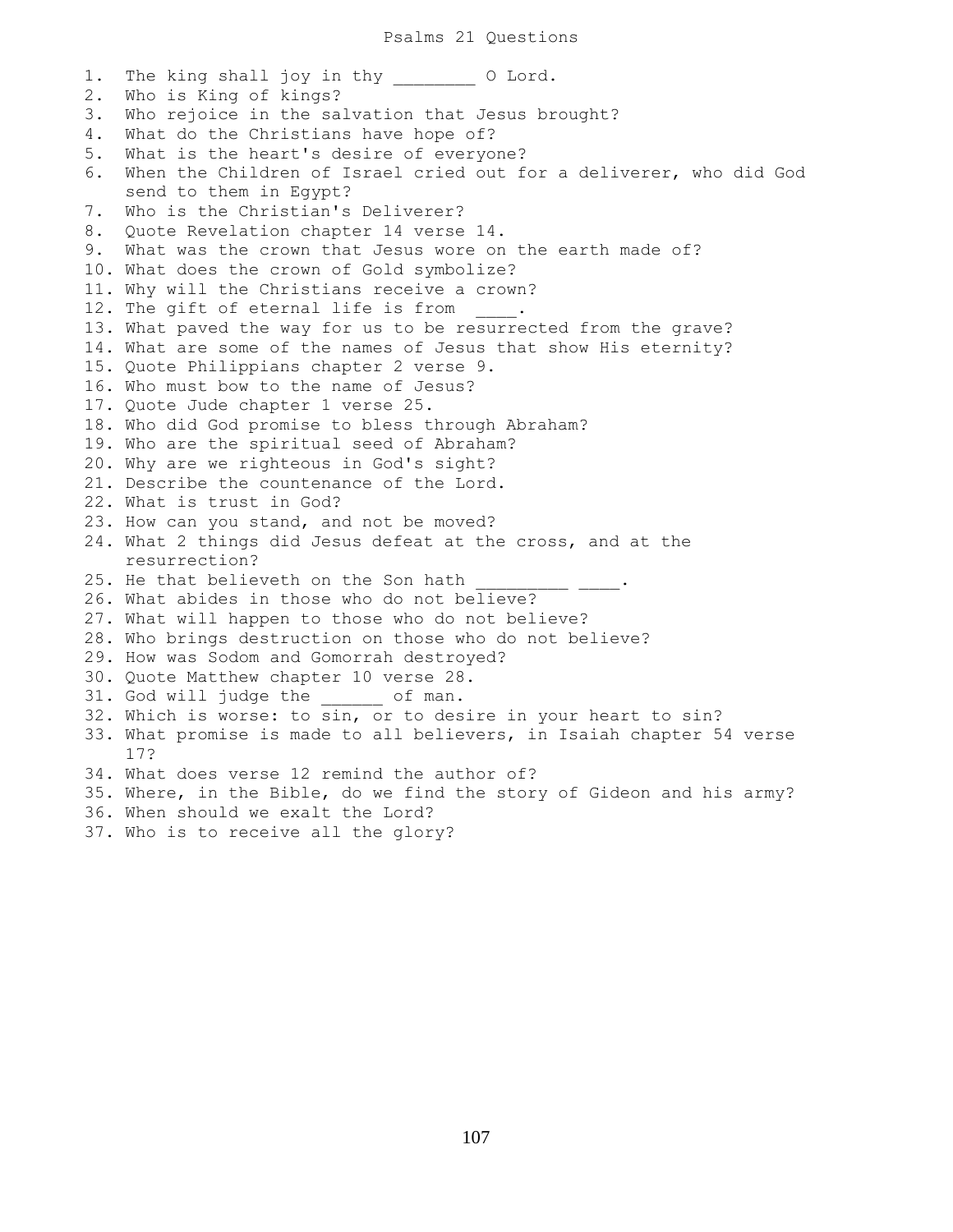1. The king shall joy in thy o Lord. 2. Who is King of kings? 3. Who rejoice in the salvation that Jesus brought? 4. What do the Christians have hope of? 5. What is the heart's desire of everyone? 6. When the Children of Israel cried out for a deliverer, who did God send to them in Egypt? 7. Who is the Christian's Deliverer? 8. Quote Revelation chapter 14 verse 14. 9. What was the crown that Jesus wore on the earth made of? 10. What does the crown of Gold symbolize? 11. Why will the Christians receive a crown? 12. The gift of eternal life is from . 13. What paved the way for us to be resurrected from the grave? 14. What are some of the names of Jesus that show His eternity? 15. Quote Philippians chapter 2 verse 9. 16. Who must bow to the name of Jesus? 17. Quote Jude chapter 1 verse 25. 18. Who did God promise to bless through Abraham? 19. Who are the spiritual seed of Abraham? 20. Why are we righteous in God's sight? 21. Describe the countenance of the Lord. 22. What is trust in God? 23. How can you stand, and not be moved? 24. What 2 things did Jesus defeat at the cross, and at the resurrection? 25. He that believeth on the Son hath 26. What abides in those who do not believe? 27. What will happen to those who do not believe? 28. Who brings destruction on those who do not believe? 29. How was Sodom and Gomorrah destroyed? 30. Quote Matthew chapter 10 verse 28. 31. God will judge the \_\_\_\_\_\_ of man. 32. Which is worse: to sin, or to desire in your heart to sin? 33. What promise is made to all believers, in Isaiah chapter 54 verse 17? 34. What does verse 12 remind the author of? 35. Where, in the Bible, do we find the story of Gideon and his army? 36. When should we exalt the Lord?

37. Who is to receive all the glory?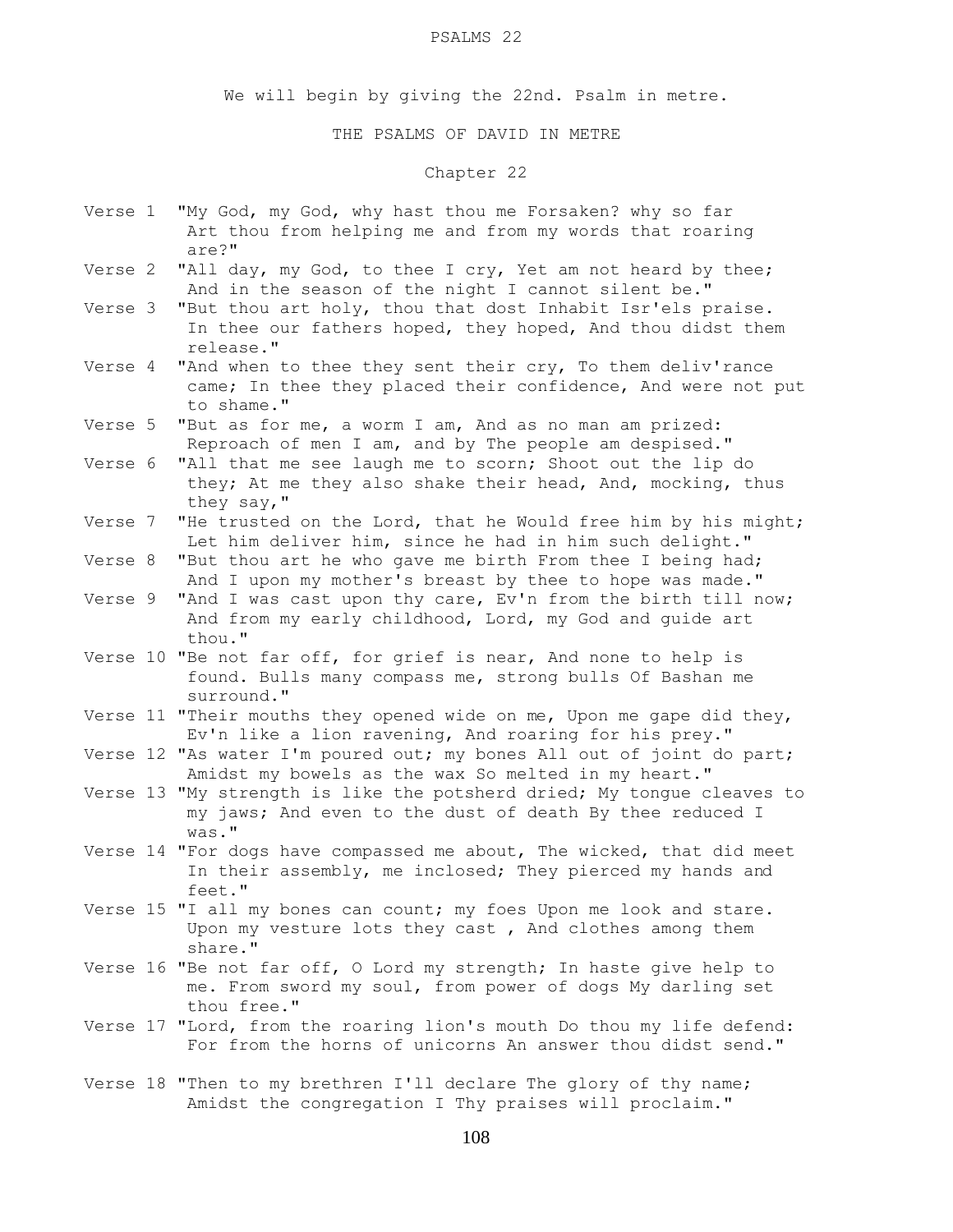#### PSALMS 22

We will begin by giving the 22nd. Psalm in metre.

### THE PSALMS OF DAVID IN METRE

## Chapter 22

- Verse 1 "My God, my God, why hast thou me Forsaken? why so far Art thou from helping me and from my words that roaring are?"
- Verse 2 "All day, my God, to thee I cry, Yet am not heard by thee; And in the season of the night I cannot silent be."
- Verse 3 "But thou art holy, thou that dost Inhabit Isr'els praise. In thee our fathers hoped, they hoped, And thou didst them release."
- Verse 4 "And when to thee they sent their cry, To them deliv'rance came; In thee they placed their confidence, And were not put to shame."
- Verse 5 "But as for me, a worm I am, And as no man am prized: Reproach of men I am, and by The people am despised."
- Verse 6 "All that me see laugh me to scorn; Shoot out the lip do they; At me they also shake their head, And, mocking, thus they say,"
- Verse 7 "He trusted on the Lord, that he Would free him by his might; Let him deliver him, since he had in him such delight."
- Verse 8 "But thou art he who gave me birth From thee I being had; And I upon my mother's breast by thee to hope was made."
- Verse 9 "And I was cast upon thy care, Ev'n from the birth till now; And from my early childhood, Lord, my God and guide art thou."
- Verse 10 "Be not far off, for grief is near, And none to help is found. Bulls many compass me, strong bulls Of Bashan me surround."
- Verse 11 "Their mouths they opened wide on me, Upon me gape did they, Ev'n like a lion ravening, And roaring for his prey."
- Verse 12 "As water I'm poured out; my bones All out of joint do part; Amidst my bowels as the wax So melted in my heart."
- Verse 13 "My strength is like the potsherd dried; My tongue cleaves to my jaws; And even to the dust of death By thee reduced I was."
- Verse 14 "For dogs have compassed me about, The wicked, that did meet In their assembly, me inclosed; They pierced my hands and feet."
- Verse 15 "I all my bones can count; my foes Upon me look and stare. Upon my vesture lots they cast , And clothes among them share."
- Verse 16 "Be not far off, O Lord my strength; In haste give help to me. From sword my soul, from power of dogs My darling set thou free."
- Verse 17 "Lord, from the roaring lion's mouth Do thou my life defend: For from the horns of unicorns An answer thou didst send."
- Verse 18 "Then to my brethren I'll declare The glory of thy name; Amidst the congregation I Thy praises will proclaim."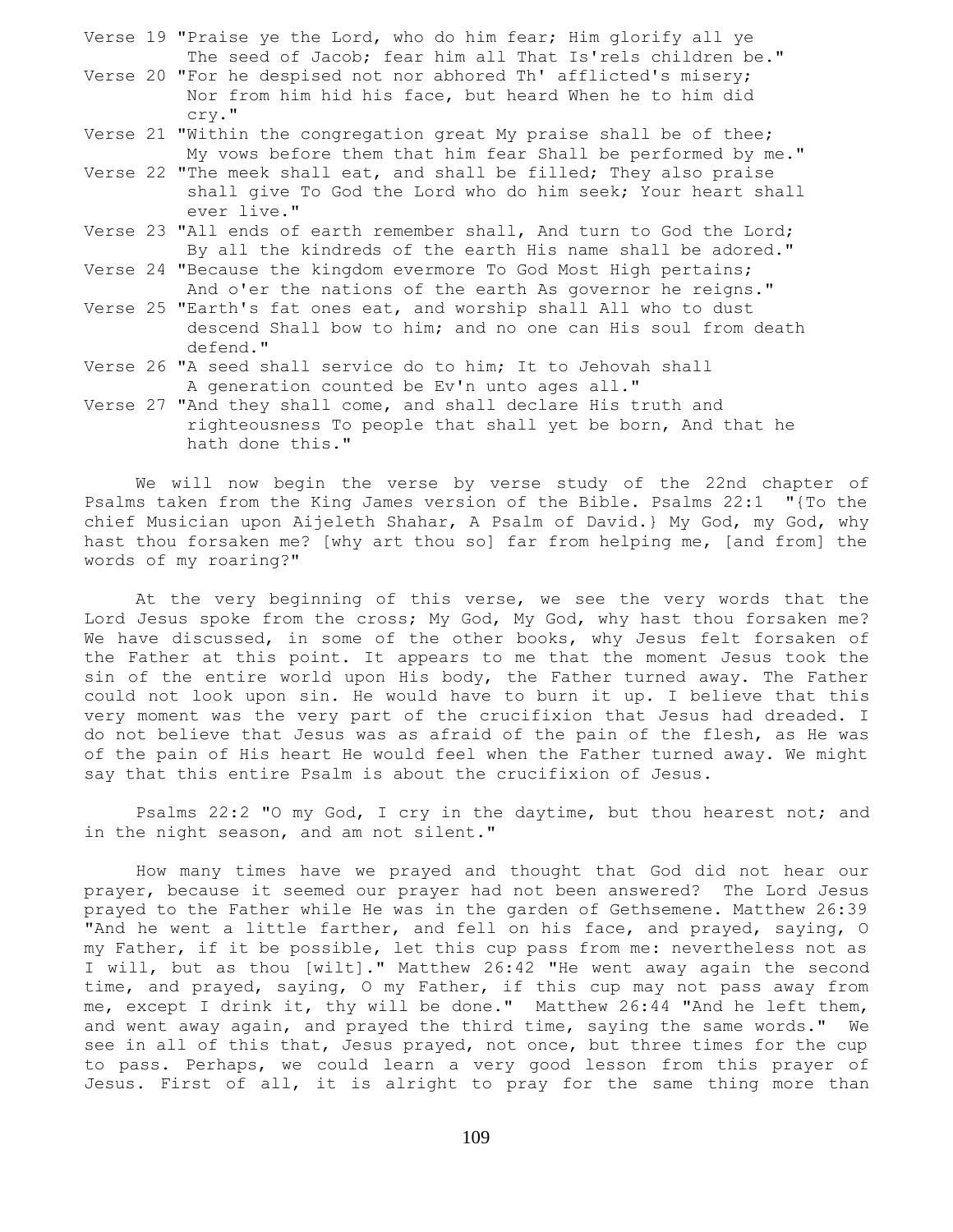- Verse 19 "Praise ye the Lord, who do him fear; Him glorify all ye The seed of Jacob; fear him all That Is'rels children be."
- Verse 20 "For he despised not nor abhored Th' afflicted's misery; Nor from him hid his face, but heard When he to him did cry."
- Verse 21 "Within the congregation great My praise shall be of thee; My vows before them that him fear Shall be performed by me."
- Verse 22 "The meek shall eat, and shall be filled; They also praise shall give To God the Lord who do him seek; Your heart shall ever live."
- Verse 23 "All ends of earth remember shall, And turn to God the Lord; By all the kindreds of the earth His name shall be adored."
- Verse 24 "Because the kingdom evermore To God Most High pertains; And o'er the nations of the earth As governor he reigns."
- Verse 25 "Earth's fat ones eat, and worship shall All who to dust descend Shall bow to him; and no one can His soul from death defend."
- Verse 26 "A seed shall service do to him; It to Jehovah shall A generation counted be Ev'n unto ages all."
- Verse 27 "And they shall come, and shall declare His truth and righteousness To people that shall yet be born, And that he hath done this."

 We will now begin the verse by verse study of the 22nd chapter of Psalms taken from the King James version of the Bible. Psalms 22:1 "{To the chief Musician upon Aijeleth Shahar, A Psalm of David.} My God, my God, why hast thou forsaken me? [why art thou so] far from helping me, [and from] the words of my roaring?"

At the very beginning of this verse, we see the very words that the Lord Jesus spoke from the cross; My God, My God, why hast thou forsaken me? We have discussed, in some of the other books, why Jesus felt forsaken of the Father at this point. It appears to me that the moment Jesus took the sin of the entire world upon His body, the Father turned away. The Father could not look upon sin. He would have to burn it up. I believe that this very moment was the very part of the crucifixion that Jesus had dreaded. I do not believe that Jesus was as afraid of the pain of the flesh, as He was of the pain of His heart He would feel when the Father turned away. We might say that this entire Psalm is about the crucifixion of Jesus.

Psalms 22:2 "O my God, I cry in the daytime, but thou hearest not; and in the night season, and am not silent."

 How many times have we prayed and thought that God did not hear our prayer, because it seemed our prayer had not been answered? The Lord Jesus prayed to the Father while He was in the garden of Gethsemene. Matthew 26:39 "And he went a little farther, and fell on his face, and prayed, saying, O my Father, if it be possible, let this cup pass from me: nevertheless not as I will, but as thou [wilt]." Matthew 26:42 "He went away again the second time, and prayed, saying, O my Father, if this cup may not pass away from me, except I drink it, thy will be done." Matthew 26:44 "And he left them, and went away again, and prayed the third time, saying the same words." We see in all of this that, Jesus prayed, not once, but three times for the cup to pass. Perhaps, we could learn a very good lesson from this prayer of Jesus. First of all, it is alright to pray for the same thing more than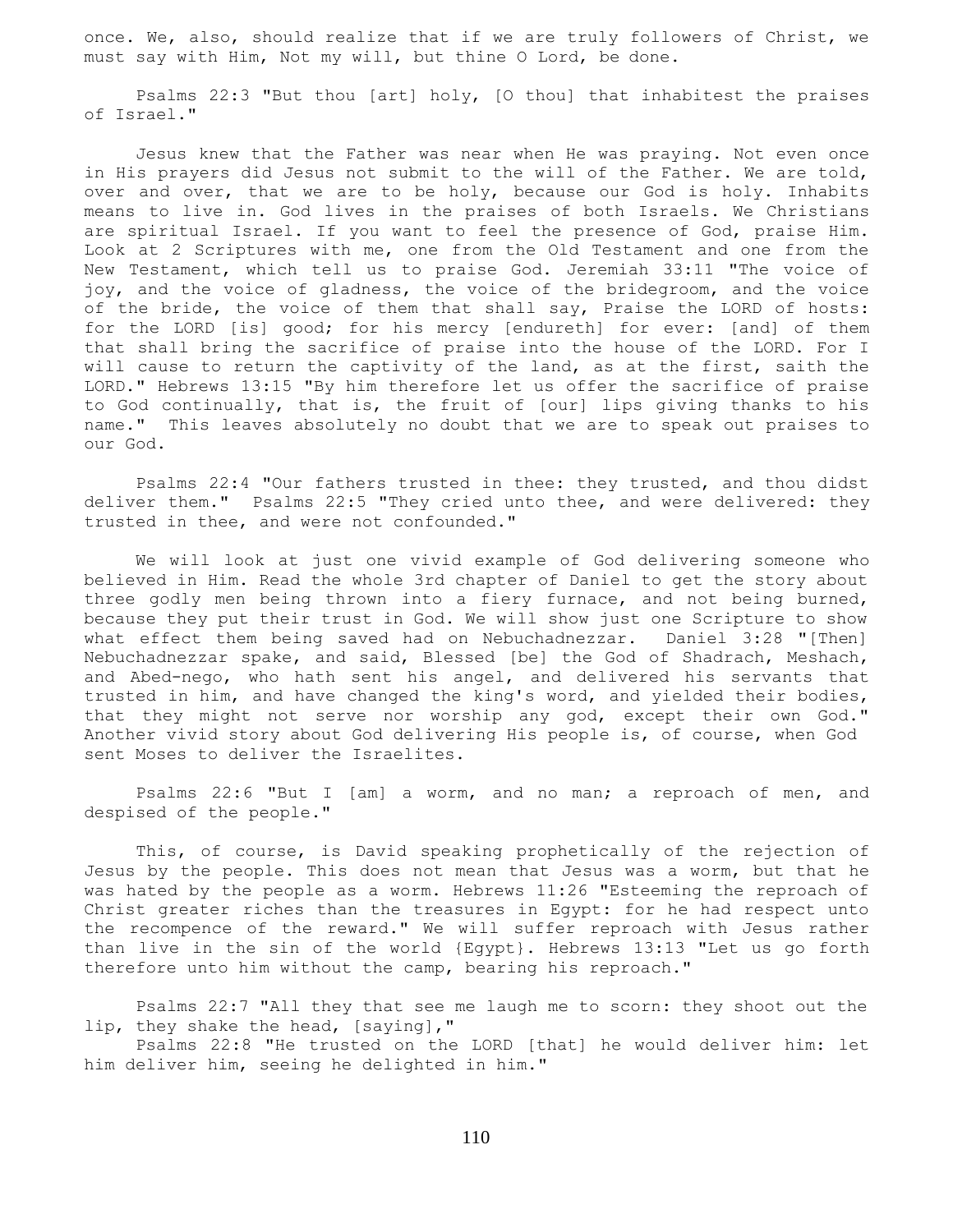once. We, also, should realize that if we are truly followers of Christ, we must say with Him, Not my will, but thine O Lord, be done.

 Psalms 22:3 "But thou [art] holy, [O thou] that inhabitest the praises of Israel."

 Jesus knew that the Father was near when He was praying. Not even once in His prayers did Jesus not submit to the will of the Father. We are told, over and over, that we are to be holy, because our God is holy. Inhabits means to live in. God lives in the praises of both Israels. We Christians are spiritual Israel. If you want to feel the presence of God, praise Him. Look at 2 Scriptures with me, one from the Old Testament and one from the New Testament, which tell us to praise God. Jeremiah 33:11 "The voice of joy, and the voice of gladness, the voice of the bridegroom, and the voice of the bride, the voice of them that shall say, Praise the LORD of hosts: for the LORD [is] good; for his mercy [endureth] for ever: [and] of them that shall bring the sacrifice of praise into the house of the LORD. For I will cause to return the captivity of the land, as at the first, saith the LORD." Hebrews 13:15 "By him therefore let us offer the sacrifice of praise to God continually, that is, the fruit of [our] lips giving thanks to his name." This leaves absolutely no doubt that we are to speak out praises to our God.

 Psalms 22:4 "Our fathers trusted in thee: they trusted, and thou didst deliver them." Psalms 22:5 "They cried unto thee, and were delivered: they trusted in thee, and were not confounded."

 We will look at just one vivid example of God delivering someone who believed in Him. Read the whole 3rd chapter of Daniel to get the story about three godly men being thrown into a fiery furnace, and not being burned, because they put their trust in God. We will show just one Scripture to show what effect them being saved had on Nebuchadnezzar. Daniel 3:28 "[Then] Nebuchadnezzar spake, and said, Blessed [be] the God of Shadrach, Meshach, and Abed-nego, who hath sent his angel, and delivered his servants that trusted in him, and have changed the king's word, and yielded their bodies, that they might not serve nor worship any god, except their own God." Another vivid story about God delivering His people is, of course, when God sent Moses to deliver the Israelites.

 Psalms 22:6 "But I [am] a worm, and no man; a reproach of men, and despised of the people."

 This, of course, is David speaking prophetically of the rejection of Jesus by the people. This does not mean that Jesus was a worm, but that he was hated by the people as a worm. Hebrews 11:26 "Esteeming the reproach of Christ greater riches than the treasures in Egypt: for he had respect unto the recompence of the reward." We will suffer reproach with Jesus rather than live in the sin of the world {Egypt}. Hebrews 13:13 "Let us go forth therefore unto him without the camp, bearing his reproach."

 Psalms 22:7 "All they that see me laugh me to scorn: they shoot out the lip, they shake the head, [saying],"

 Psalms 22:8 "He trusted on the LORD [that] he would deliver him: let him deliver him, seeing he delighted in him."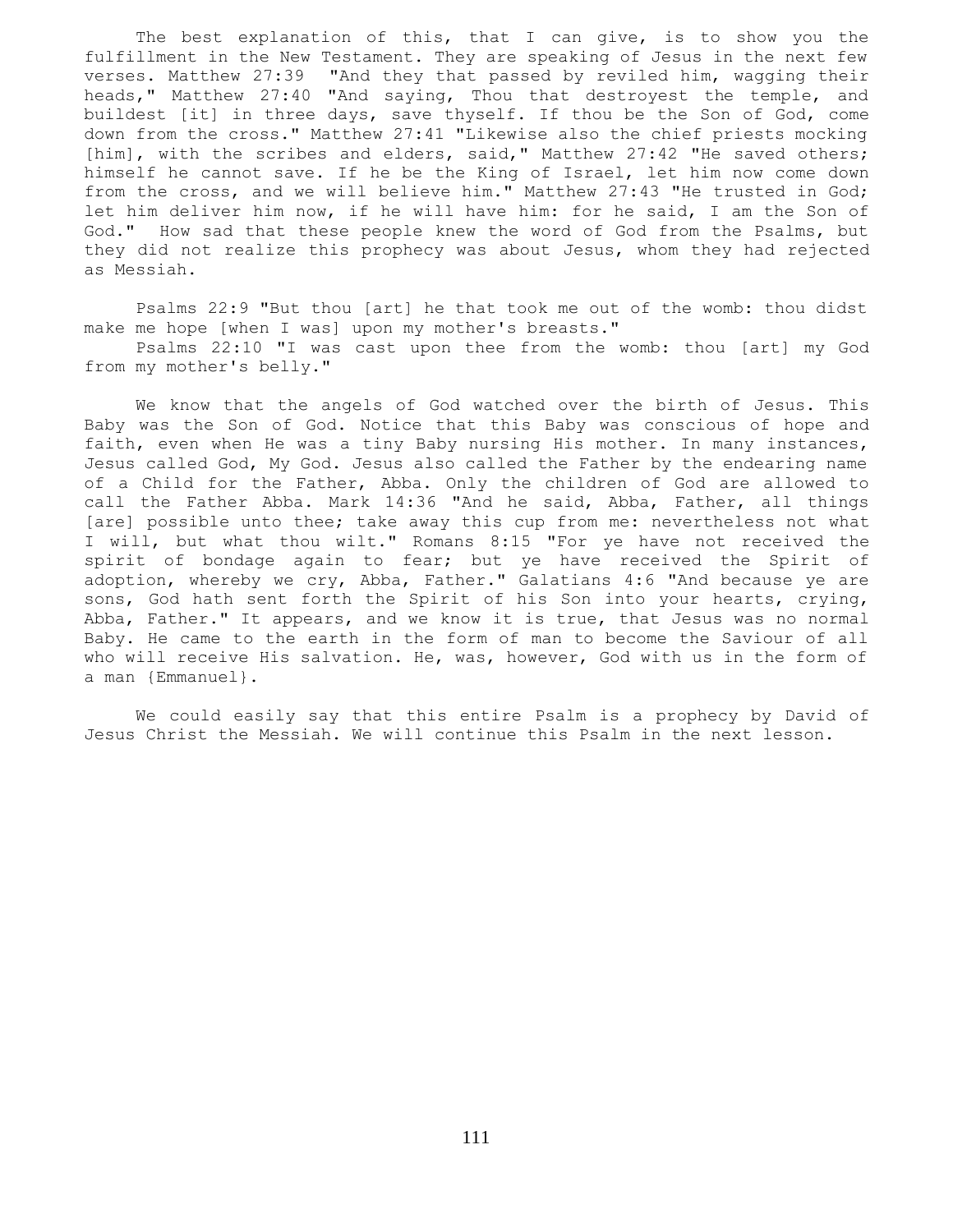The best explanation of this, that I can give, is to show you the fulfillment in the New Testament. They are speaking of Jesus in the next few verses. Matthew 27:39 "And they that passed by reviled him, wagging their heads," Matthew 27:40 "And saying, Thou that destroyest the temple, and buildest [it] in three days, save thyself. If thou be the Son of God, come down from the cross." Matthew 27:41 "Likewise also the chief priests mocking [him], with the scribes and elders, said," Matthew 27:42 "He saved others; himself he cannot save. If he be the King of Israel, let him now come down from the cross, and we will believe him." Matthew 27:43 "He trusted in God; let him deliver him now, if he will have him: for he said, I am the Son of God." How sad that these people knew the word of God from the Psalms, but they did not realize this prophecy was about Jesus, whom they had rejected as Messiah.

 Psalms 22:9 "But thou [art] he that took me out of the womb: thou didst make me hope [when I was] upon my mother's breasts." Psalms 22:10 "I was cast upon thee from the womb: thou [art] my God from my mother's belly."

 We know that the angels of God watched over the birth of Jesus. This Baby was the Son of God. Notice that this Baby was conscious of hope and faith, even when He was a tiny Baby nursing His mother. In many instances, Jesus called God, My God. Jesus also called the Father by the endearing name of a Child for the Father, Abba. Only the children of God are allowed to call the Father Abba. Mark 14:36 "And he said, Abba, Father, all things [are] possible unto thee; take away this cup from me: nevertheless not what I will, but what thou wilt." Romans 8:15 "For ye have not received the spirit of bondage again to fear; but ye have received the Spirit of adoption, whereby we cry, Abba, Father." Galatians 4:6 "And because ye are sons, God hath sent forth the Spirit of his Son into your hearts, crying, Abba, Father." It appears, and we know it is true, that Jesus was no normal Baby. He came to the earth in the form of man to become the Saviour of all who will receive His salvation. He, was, however, God with us in the form of a man {Emmanuel}.

 We could easily say that this entire Psalm is a prophecy by David of Jesus Christ the Messiah. We will continue this Psalm in the next lesson.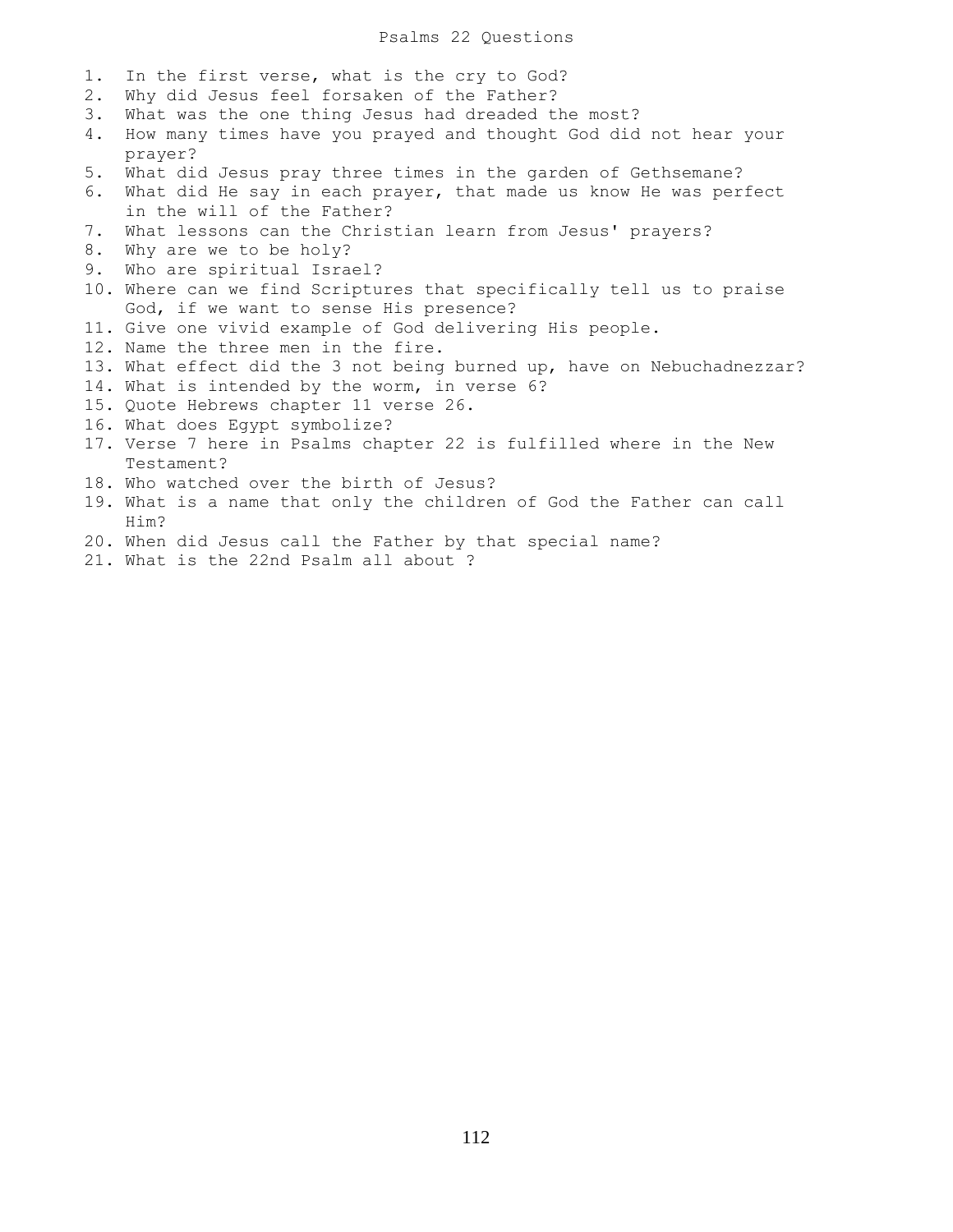### Psalms 22 Questions

- 1. In the first verse, what is the cry to God?
- 2. Why did Jesus feel forsaken of the Father?
- 3. What was the one thing Jesus had dreaded the most?
- 4. How many times have you prayed and thought God did not hear your prayer?
- 5. What did Jesus pray three times in the garden of Gethsemane?
- 6. What did He say in each prayer, that made us know He was perfect in the will of the Father?
- 7. What lessons can the Christian learn from Jesus' prayers?
- 8. Why are we to be holy?
- 9. Who are spiritual Israel?
- 10. Where can we find Scriptures that specifically tell us to praise God, if we want to sense His presence?
- 11. Give one vivid example of God delivering His people.
- 12. Name the three men in the fire.
- 13. What effect did the 3 not being burned up, have on Nebuchadnezzar?
- 14. What is intended by the worm, in verse 6?
- 15. Quote Hebrews chapter 11 verse 26.
- 16. What does Egypt symbolize?
- 17. Verse 7 here in Psalms chapter 22 is fulfilled where in the New Testament?
- 18. Who watched over the birth of Jesus?
- 19. What is a name that only the children of God the Father can call Him?
- 20. When did Jesus call the Father by that special name?
- 21. What is the 22nd Psalm all about ?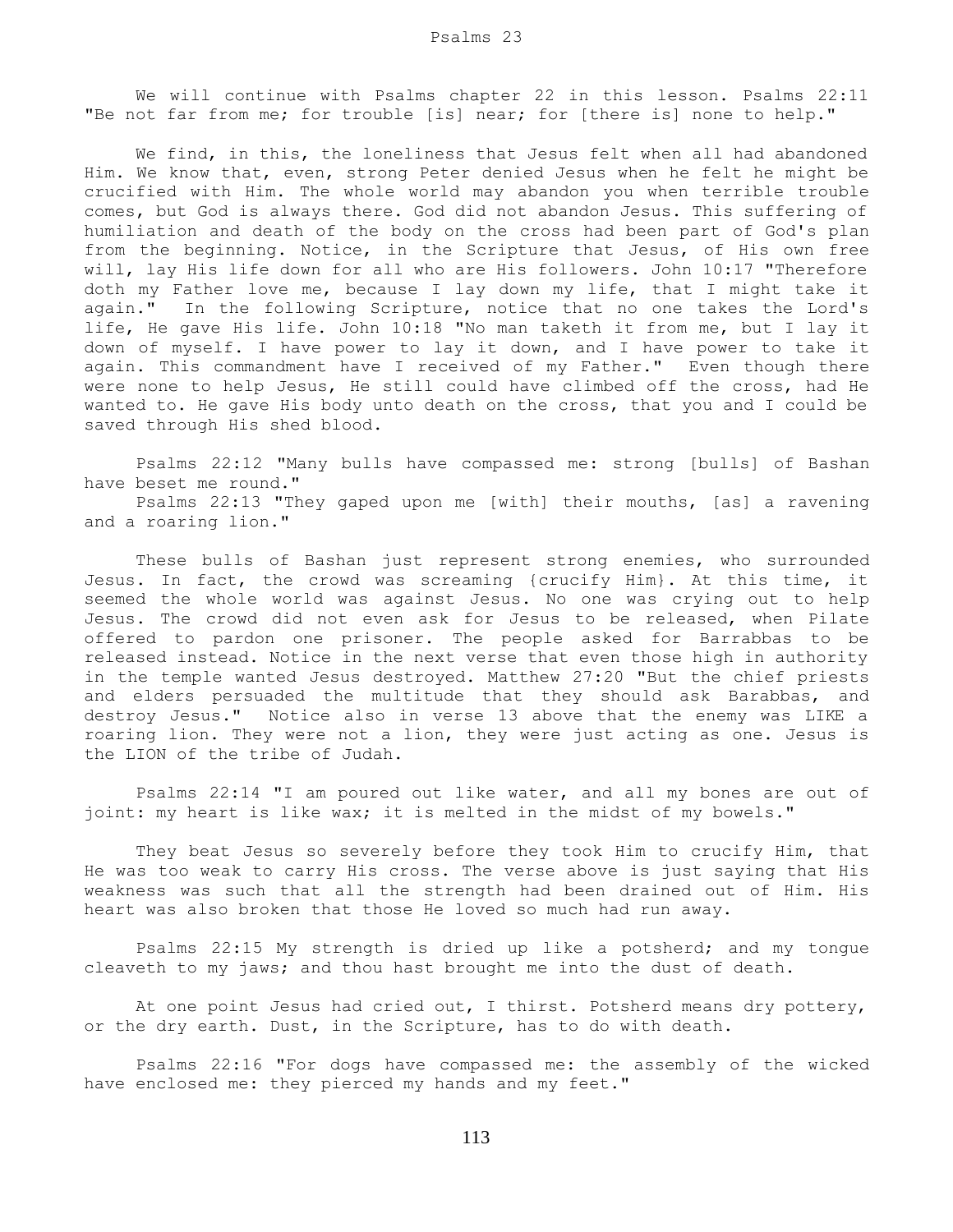We will continue with Psalms chapter 22 in this lesson. Psalms 22:11 "Be not far from me; for trouble [is] near; for [there is] none to help."

 We find, in this, the loneliness that Jesus felt when all had abandoned Him. We know that, even, strong Peter denied Jesus when he felt he might be crucified with Him. The whole world may abandon you when terrible trouble comes, but God is always there. God did not abandon Jesus. This suffering of humiliation and death of the body on the cross had been part of God's plan from the beginning. Notice, in the Scripture that Jesus, of His own free will, lay His life down for all who are His followers. John 10:17 "Therefore doth my Father love me, because I lay down my life, that I might take it again." In the following Scripture, notice that no one takes the Lord's life, He gave His life. John 10:18 "No man taketh it from me, but I lay it down of myself. I have power to lay it down, and I have power to take it again. This commandment have I received of my Father." Even though there were none to help Jesus, He still could have climbed off the cross, had He wanted to. He gave His body unto death on the cross, that you and I could be saved through His shed blood.

 Psalms 22:12 "Many bulls have compassed me: strong [bulls] of Bashan have beset me round."

 Psalms 22:13 "They gaped upon me [with] their mouths, [as] a ravening and a roaring lion."

 These bulls of Bashan just represent strong enemies, who surrounded Jesus. In fact, the crowd was screaming {crucify Him}. At this time, it seemed the whole world was against Jesus. No one was crying out to help Jesus. The crowd did not even ask for Jesus to be released, when Pilate offered to pardon one prisoner. The people asked for Barrabbas to be released instead. Notice in the next verse that even those high in authority in the temple wanted Jesus destroyed. Matthew 27:20 "But the chief priests and elders persuaded the multitude that they should ask Barabbas, and destroy Jesus." Notice also in verse 13 above that the enemy was LIKE a roaring lion. They were not a lion, they were just acting as one. Jesus is the LION of the tribe of Judah.

 Psalms 22:14 "I am poured out like water, and all my bones are out of joint: my heart is like wax; it is melted in the midst of my bowels."

 They beat Jesus so severely before they took Him to crucify Him, that He was too weak to carry His cross. The verse above is just saying that His weakness was such that all the strength had been drained out of Him. His heart was also broken that those He loved so much had run away.

 Psalms 22:15 My strength is dried up like a potsherd; and my tongue cleaveth to my jaws; and thou hast brought me into the dust of death.

 At one point Jesus had cried out, I thirst. Potsherd means dry pottery, or the dry earth. Dust, in the Scripture, has to do with death.

 Psalms 22:16 "For dogs have compassed me: the assembly of the wicked have enclosed me: they pierced my hands and my feet."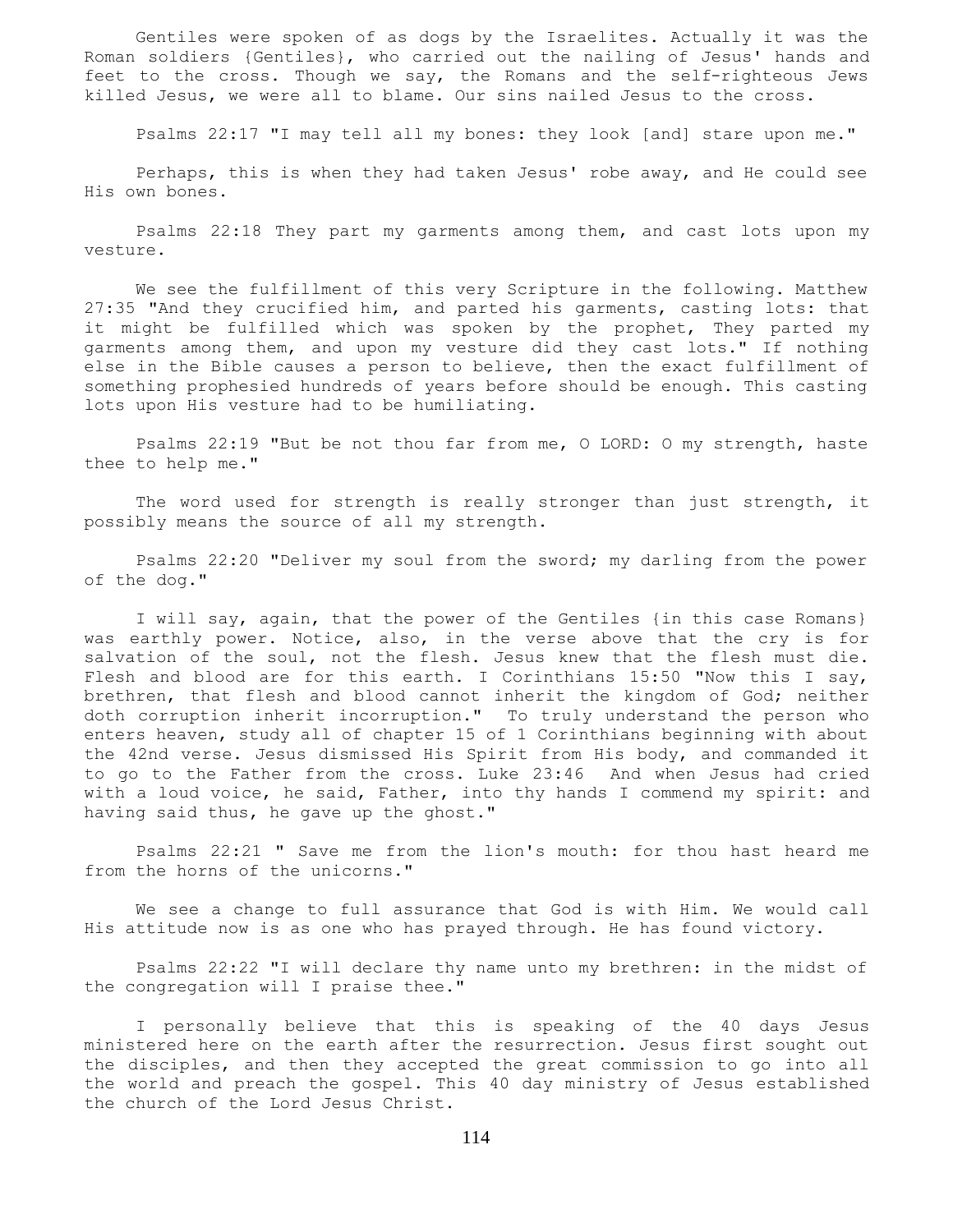Gentiles were spoken of as dogs by the Israelites. Actually it was the Roman soldiers {Gentiles}, who carried out the nailing of Jesus' hands and feet to the cross. Though we say, the Romans and the self-righteous Jews killed Jesus, we were all to blame. Our sins nailed Jesus to the cross.

Psalms 22:17 "I may tell all my bones: they look [and] stare upon me."

 Perhaps, this is when they had taken Jesus' robe away, and He could see His own bones.

 Psalms 22:18 They part my garments among them, and cast lots upon my vesture.

 We see the fulfillment of this very Scripture in the following. Matthew 27:35 "And they crucified him, and parted his garments, casting lots: that it might be fulfilled which was spoken by the prophet, They parted my garments among them, and upon my vesture did they cast lots." If nothing else in the Bible causes a person to believe, then the exact fulfillment of something prophesied hundreds of years before should be enough. This casting lots upon His vesture had to be humiliating.

 Psalms 22:19 "But be not thou far from me, O LORD: O my strength, haste thee to help me."

 The word used for strength is really stronger than just strength, it possibly means the source of all my strength.

 Psalms 22:20 "Deliver my soul from the sword; my darling from the power of the dog."

 I will say, again, that the power of the Gentiles {in this case Romans} was earthly power. Notice, also, in the verse above that the cry is for salvation of the soul, not the flesh. Jesus knew that the flesh must die. Flesh and blood are for this earth. I Corinthians 15:50 "Now this I say, brethren, that flesh and blood cannot inherit the kingdom of God; neither doth corruption inherit incorruption." To truly understand the person who enters heaven, study all of chapter 15 of 1 Corinthians beginning with about the 42nd verse. Jesus dismissed His Spirit from His body, and commanded it to go to the Father from the cross. Luke 23:46 And when Jesus had cried with a loud voice, he said, Father, into thy hands I commend my spirit: and having said thus, he gave up the ghost."

 Psalms 22:21 " Save me from the lion's mouth: for thou hast heard me from the horns of the unicorns."

 We see a change to full assurance that God is with Him. We would call His attitude now is as one who has prayed through. He has found victory.

 Psalms 22:22 "I will declare thy name unto my brethren: in the midst of the congregation will I praise thee."

 I personally believe that this is speaking of the 40 days Jesus ministered here on the earth after the resurrection. Jesus first sought out the disciples, and then they accepted the great commission to go into all the world and preach the gospel. This 40 day ministry of Jesus established the church of the Lord Jesus Christ.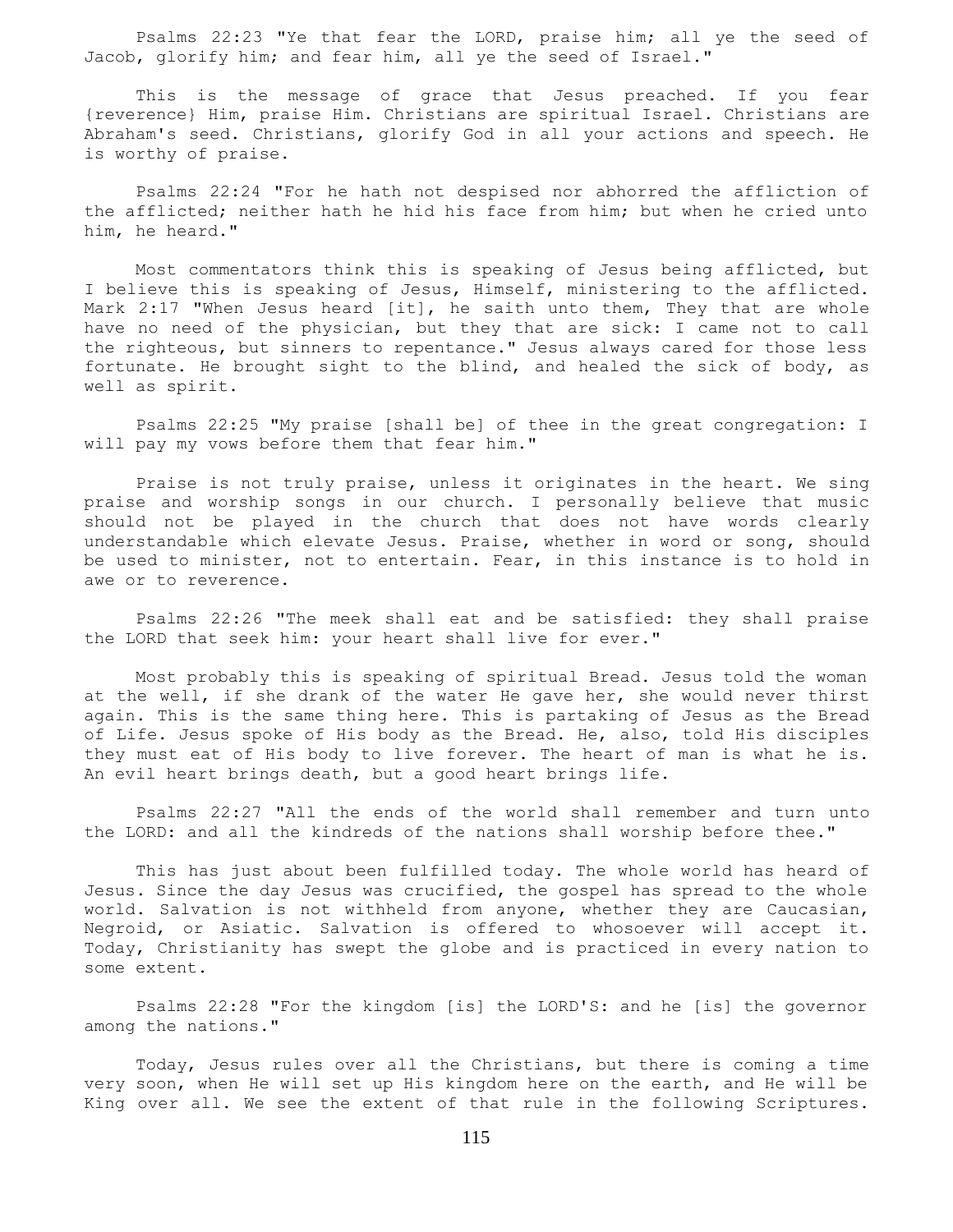Psalms 22:23 "Ye that fear the LORD, praise him; all ye the seed of Jacob, glorify him; and fear him, all ye the seed of Israel."

 This is the message of grace that Jesus preached. If you fear {reverence} Him, praise Him. Christians are spiritual Israel. Christians are Abraham's seed. Christians, glorify God in all your actions and speech. He is worthy of praise.

 Psalms 22:24 "For he hath not despised nor abhorred the affliction of the afflicted; neither hath he hid his face from him; but when he cried unto him, he heard."

 Most commentators think this is speaking of Jesus being afflicted, but I believe this is speaking of Jesus, Himself, ministering to the afflicted. Mark 2:17 "When Jesus heard [it], he saith unto them, They that are whole have no need of the physician, but they that are sick: I came not to call the righteous, but sinners to repentance." Jesus always cared for those less fortunate. He brought sight to the blind, and healed the sick of body, as well as spirit.

 Psalms 22:25 "My praise [shall be] of thee in the great congregation: I will pay my vows before them that fear him."

 Praise is not truly praise, unless it originates in the heart. We sing praise and worship songs in our church. I personally believe that music should not be played in the church that does not have words clearly understandable which elevate Jesus. Praise, whether in word or song, should be used to minister, not to entertain. Fear, in this instance is to hold in awe or to reverence.

 Psalms 22:26 "The meek shall eat and be satisfied: they shall praise the LORD that seek him: your heart shall live for ever."

 Most probably this is speaking of spiritual Bread. Jesus told the woman at the well, if she drank of the water He gave her, she would never thirst again. This is the same thing here. This is partaking of Jesus as the Bread of Life. Jesus spoke of His body as the Bread. He, also, told His disciples they must eat of His body to live forever. The heart of man is what he is. An evil heart brings death, but a good heart brings life.

 Psalms 22:27 "All the ends of the world shall remember and turn unto the LORD: and all the kindreds of the nations shall worship before thee."

 This has just about been fulfilled today. The whole world has heard of Jesus. Since the day Jesus was crucified, the gospel has spread to the whole world. Salvation is not withheld from anyone, whether they are Caucasian, Negroid, or Asiatic. Salvation is offered to whosoever will accept it. Today, Christianity has swept the globe and is practiced in every nation to some extent.

 Psalms 22:28 "For the kingdom [is] the LORD'S: and he [is] the governor among the nations."

 Today, Jesus rules over all the Christians, but there is coming a time very soon, when He will set up His kingdom here on the earth, and He will be King over all. We see the extent of that rule in the following Scriptures.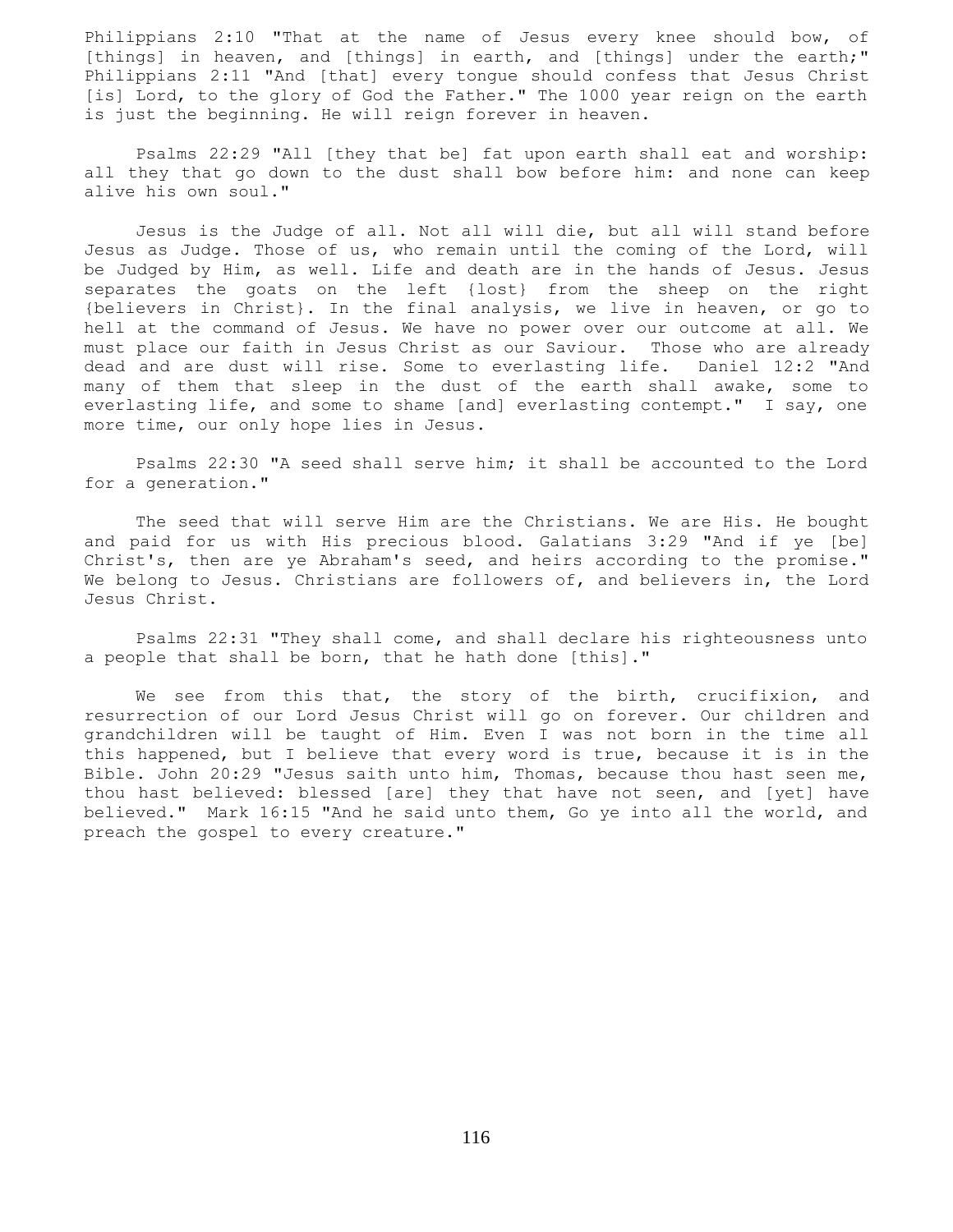Philippians 2:10 "That at the name of Jesus every knee should bow, of [things] in heaven, and [things] in earth, and [things] under the earth;" Philippians 2:11 "And [that] every tongue should confess that Jesus Christ [is] Lord, to the glory of God the Father." The 1000 year reign on the earth is just the beginning. He will reign forever in heaven.

 Psalms 22:29 "All [they that be] fat upon earth shall eat and worship: all they that go down to the dust shall bow before him: and none can keep alive his own soul."

 Jesus is the Judge of all. Not all will die, but all will stand before Jesus as Judge. Those of us, who remain until the coming of the Lord, will be Judged by Him, as well. Life and death are in the hands of Jesus. Jesus separates the goats on the left {lost} from the sheep on the right {believers in Christ}. In the final analysis, we live in heaven, or go to hell at the command of Jesus. We have no power over our outcome at all. We must place our faith in Jesus Christ as our Saviour. Those who are already dead and are dust will rise. Some to everlasting life. Daniel 12:2 "And many of them that sleep in the dust of the earth shall awake, some to everlasting life, and some to shame [and] everlasting contempt." I say, one more time, our only hope lies in Jesus.

 Psalms 22:30 "A seed shall serve him; it shall be accounted to the Lord for a generation."

 The seed that will serve Him are the Christians. We are His. He bought and paid for us with His precious blood. Galatians 3:29 "And if ye [be] Christ's, then are ye Abraham's seed, and heirs according to the promise." We belong to Jesus. Christians are followers of, and believers in, the Lord Jesus Christ.

 Psalms 22:31 "They shall come, and shall declare his righteousness unto a people that shall be born, that he hath done [this]."

We see from this that, the story of the birth, crucifixion, and resurrection of our Lord Jesus Christ will go on forever. Our children and grandchildren will be taught of Him. Even I was not born in the time all this happened, but I believe that every word is true, because it is in the Bible. John 20:29 "Jesus saith unto him, Thomas, because thou hast seen me, thou hast believed: blessed [are] they that have not seen, and [yet] have believed." Mark 16:15 "And he said unto them, Go ye into all the world, and preach the gospel to every creature."

116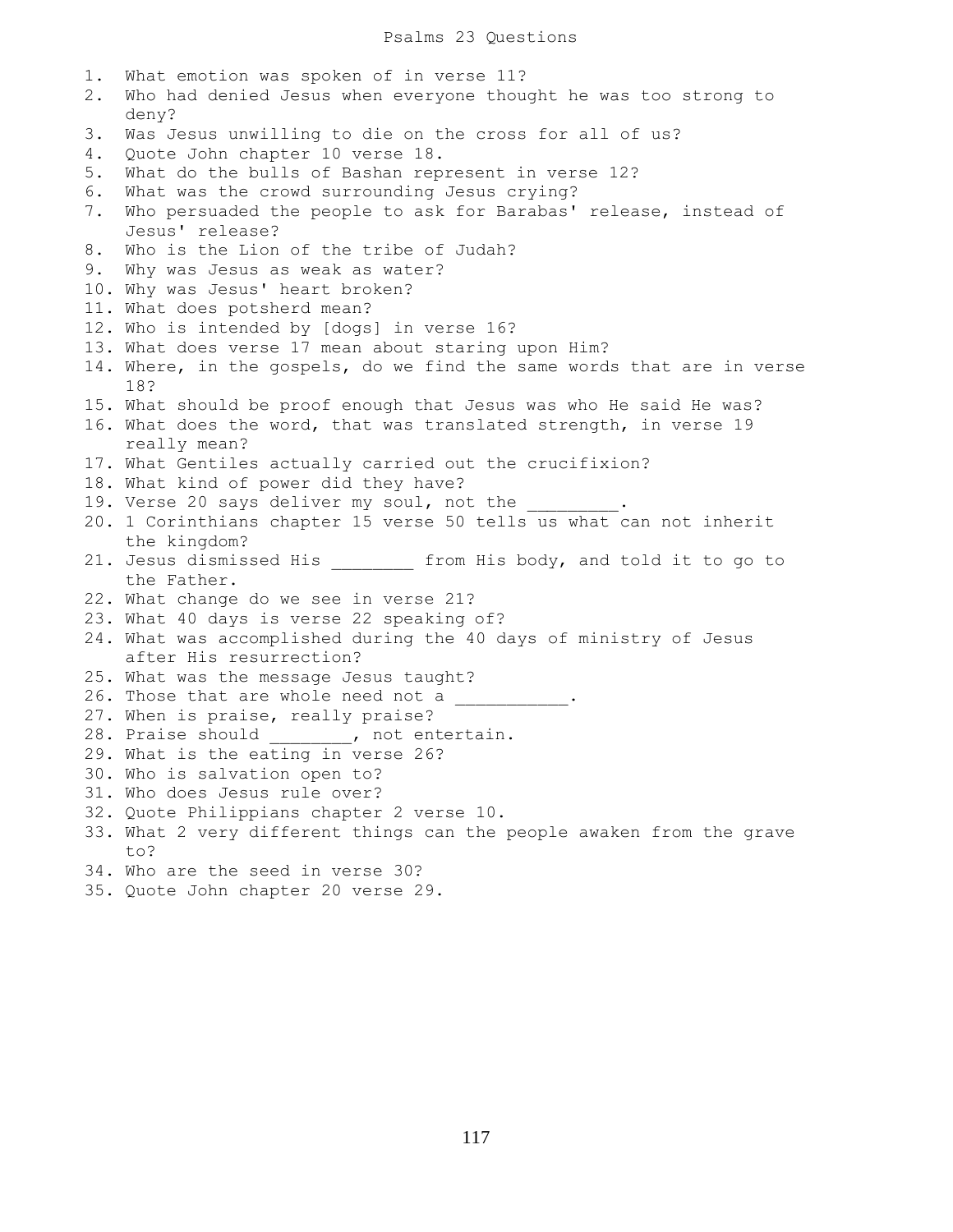1. What emotion was spoken of in verse 11? 2. Who had denied Jesus when everyone thought he was too strong to deny? 3. Was Jesus unwilling to die on the cross for all of us? 4. Quote John chapter 10 verse 18. 5. What do the bulls of Bashan represent in verse 12? 6. What was the crowd surrounding Jesus crying? 7. Who persuaded the people to ask for Barabas' release, instead of Jesus' release? 8. Who is the Lion of the tribe of Judah? 9. Why was Jesus as weak as water? 10. Why was Jesus' heart broken? 11. What does potsherd mean? 12. Who is intended by [dogs] in verse 16? 13. What does verse 17 mean about staring upon Him? 14. Where, in the gospels, do we find the same words that are in verse 18? 15. What should be proof enough that Jesus was who He said He was? 16. What does the word, that was translated strength, in verse 19 really mean? 17. What Gentiles actually carried out the crucifixion? 18. What kind of power did they have? 19. Verse 20 says deliver my soul, not the 20. 1 Corinthians chapter 15 verse 50 tells us what can not inherit the kingdom? 21. Jesus dismissed His \_\_\_\_\_\_\_\_ from His body, and told it to go to the Father. 22. What change do we see in verse 21? 23. What 40 days is verse 22 speaking of? 24. What was accomplished during the 40 days of ministry of Jesus after His resurrection? 25. What was the message Jesus taught? 26. Those that are whole need not a  $\frac{1}{2}$ . 27. When is praise, really praise? 28. Praise should \_\_\_\_\_\_\_, not entertain. 29. What is the eating in verse 26? 30. Who is salvation open to? 31. Who does Jesus rule over? 32. Quote Philippians chapter 2 verse 10. 33. What 2 very different things can the people awaken from the grave to? 34. Who are the seed in verse 30? 35. Quote John chapter 20 verse 29.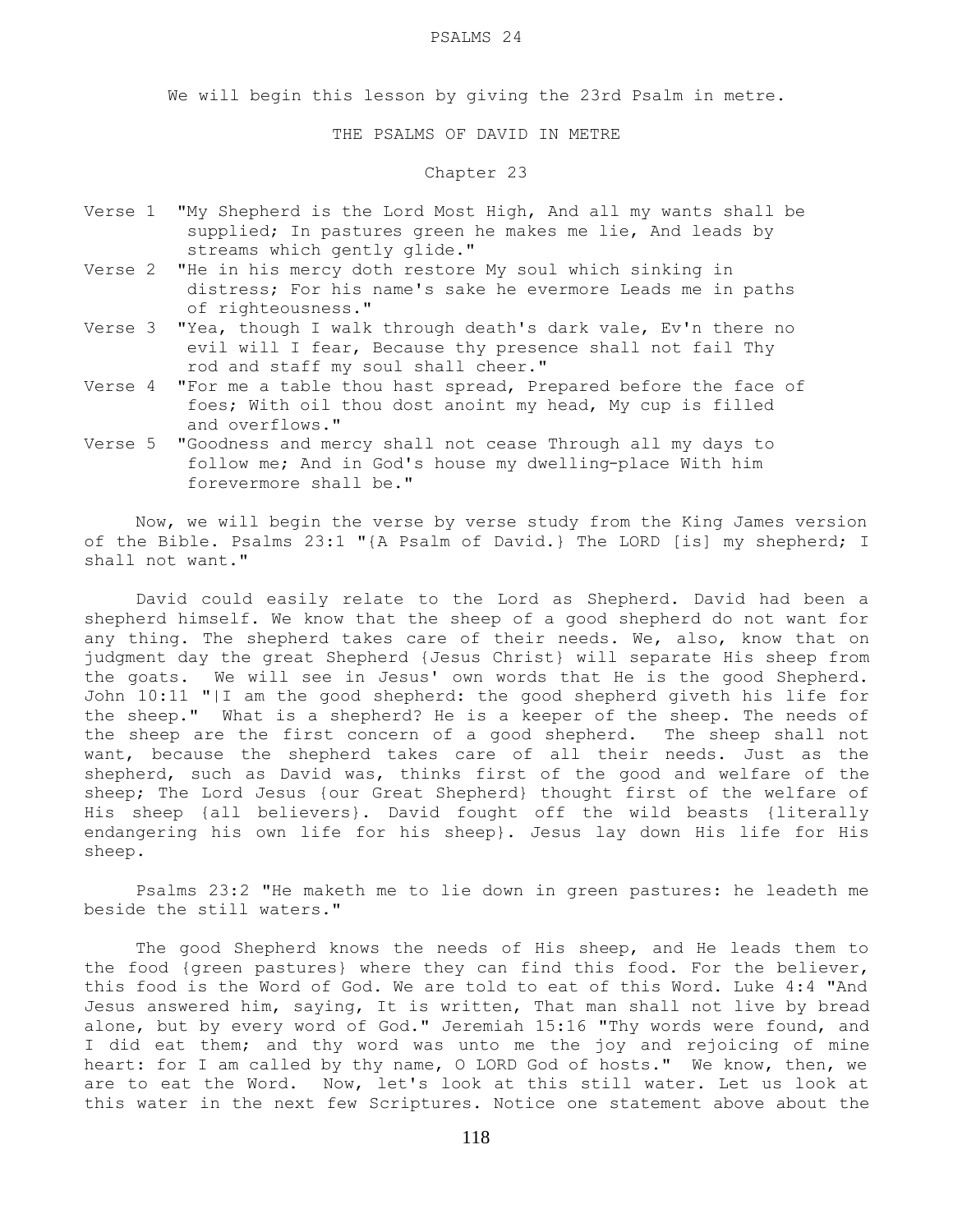#### PSALMS 24

We will begin this lesson by giving the 23rd Psalm in metre.

THE PSALMS OF DAVID IN METRE

# Chapter 23

- Verse 1 "My Shepherd is the Lord Most High, And all my wants shall be supplied; In pastures green he makes me lie, And leads by streams which gently glide."
- Verse 2 "He in his mercy doth restore My soul which sinking in distress; For his name's sake he evermore Leads me in paths of righteousness."
- Verse 3 "Yea, though I walk through death's dark vale, Ev'n there no evil will I fear, Because thy presence shall not fail Thy rod and staff my soul shall cheer."
- Verse 4 "For me a table thou hast spread, Prepared before the face of foes; With oil thou dost anoint my head, My cup is filled and overflows."
- Verse 5 "Goodness and mercy shall not cease Through all my days to follow me; And in God's house my dwelling-place With him forevermore shall be."

 Now, we will begin the verse by verse study from the King James version of the Bible. Psalms 23:1 "{A Psalm of David.} The LORD [is] my shepherd; I shall not want."

 David could easily relate to the Lord as Shepherd. David had been a shepherd himself. We know that the sheep of a good shepherd do not want for any thing. The shepherd takes care of their needs. We, also, know that on judgment day the great Shepherd {Jesus Christ} will separate His sheep from the goats. We will see in Jesus' own words that He is the good Shepherd. John 10:11 "|I am the good shepherd: the good shepherd giveth his life for the sheep." What is a shepherd? He is a keeper of the sheep. The needs of the sheep are the first concern of a good shepherd. The sheep shall not want, because the shepherd takes care of all their needs. Just as the shepherd, such as David was, thinks first of the good and welfare of the sheep; The Lord Jesus {our Great Shepherd} thought first of the welfare of His sheep {all believers}. David fought off the wild beasts {literally endangering his own life for his sheep}. Jesus lay down His life for His sheep.

 Psalms 23:2 "He maketh me to lie down in green pastures: he leadeth me beside the still waters."

 The good Shepherd knows the needs of His sheep, and He leads them to the food {green pastures} where they can find this food. For the believer, this food is the Word of God. We are told to eat of this Word. Luke 4:4 "And Jesus answered him, saying, It is written, That man shall not live by bread alone, but by every word of God." Jeremiah 15:16 "Thy words were found, and I did eat them; and thy word was unto me the joy and rejoicing of mine heart: for I am called by thy name, O LORD God of hosts." We know, then, we are to eat the Word. Now, let's look at this still water. Let us look at this water in the next few Scriptures. Notice one statement above about the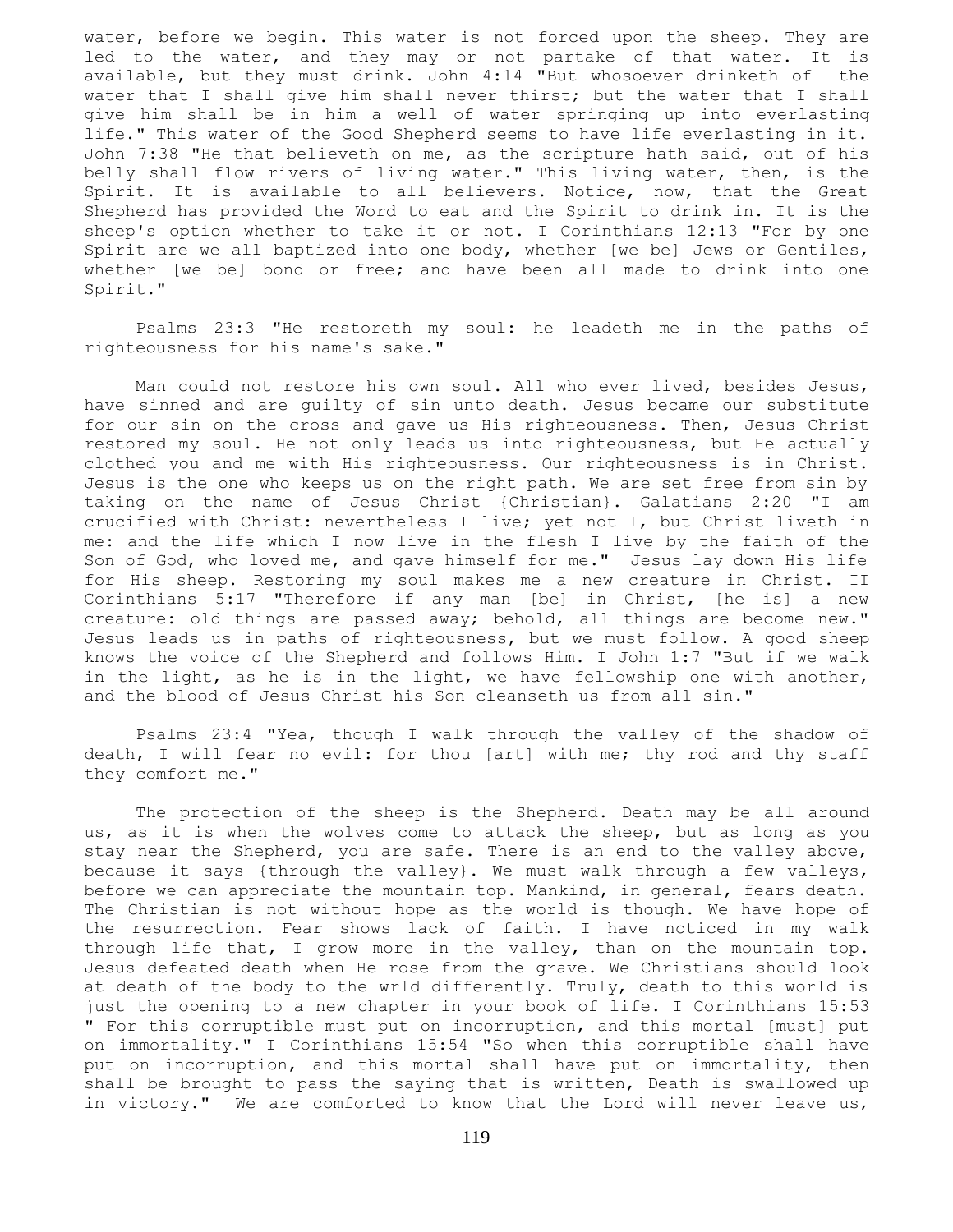water, before we begin. This water is not forced upon the sheep. They are led to the water, and they may or not partake of that water. It is available, but they must drink. John 4:14 "But whosoever drinketh of the water that I shall give him shall never thirst; but the water that I shall give him shall be in him a well of water springing up into everlasting life." This water of the Good Shepherd seems to have life everlasting in it. John 7:38 "He that believeth on me, as the scripture hath said, out of his belly shall flow rivers of living water." This living water, then, is the Spirit. It is available to all believers. Notice, now, that the Great Shepherd has provided the Word to eat and the Spirit to drink in. It is the sheep's option whether to take it or not. I Corinthians 12:13 "For by one Spirit are we all baptized into one body, whether [we be] Jews or Gentiles, whether [we be] bond or free; and have been all made to drink into one Spirit."

 Psalms 23:3 "He restoreth my soul: he leadeth me in the paths of righteousness for his name's sake."

 Man could not restore his own soul. All who ever lived, besides Jesus, have sinned and are guilty of sin unto death. Jesus became our substitute for our sin on the cross and gave us His righteousness. Then, Jesus Christ restored my soul. He not only leads us into righteousness, but He actually clothed you and me with His righteousness. Our righteousness is in Christ. Jesus is the one who keeps us on the right path. We are set free from sin by taking on the name of Jesus Christ {Christian}. Galatians 2:20 "I am crucified with Christ: nevertheless I live; yet not I, but Christ liveth in me: and the life which I now live in the flesh I live by the faith of the Son of God, who loved me, and gave himself for me." Jesus lay down His life for His sheep. Restoring my soul makes me a new creature in Christ. II Corinthians 5:17 "Therefore if any man [be] in Christ, [he is] a new creature: old things are passed away; behold, all things are become new." Jesus leads us in paths of righteousness, but we must follow. A good sheep knows the voice of the Shepherd and follows Him. I John 1:7 "But if we walk in the light, as he is in the light, we have fellowship one with another, and the blood of Jesus Christ his Son cleanseth us from all sin."

 Psalms 23:4 "Yea, though I walk through the valley of the shadow of death, I will fear no evil: for thou [art] with me; thy rod and thy staff they comfort me."

 The protection of the sheep is the Shepherd. Death may be all around us, as it is when the wolves come to attack the sheep, but as long as you stay near the Shepherd, you are safe. There is an end to the valley above, because it says {through the valley}. We must walk through a few valleys, before we can appreciate the mountain top. Mankind, in general, fears death. The Christian is not without hope as the world is though. We have hope of the resurrection. Fear shows lack of faith. I have noticed in my walk through life that, I grow more in the valley, than on the mountain top. Jesus defeated death when He rose from the grave. We Christians should look at death of the body to the wrld differently. Truly, death to this world is just the opening to a new chapter in your book of life. I Corinthians 15:53 " For this corruptible must put on incorruption, and this mortal [must] put on immortality." I Corinthians 15:54 "So when this corruptible shall have put on incorruption, and this mortal shall have put on immortality, then shall be brought to pass the saying that is written, Death is swallowed up in victory." We are comforted to know that the Lord will never leave us,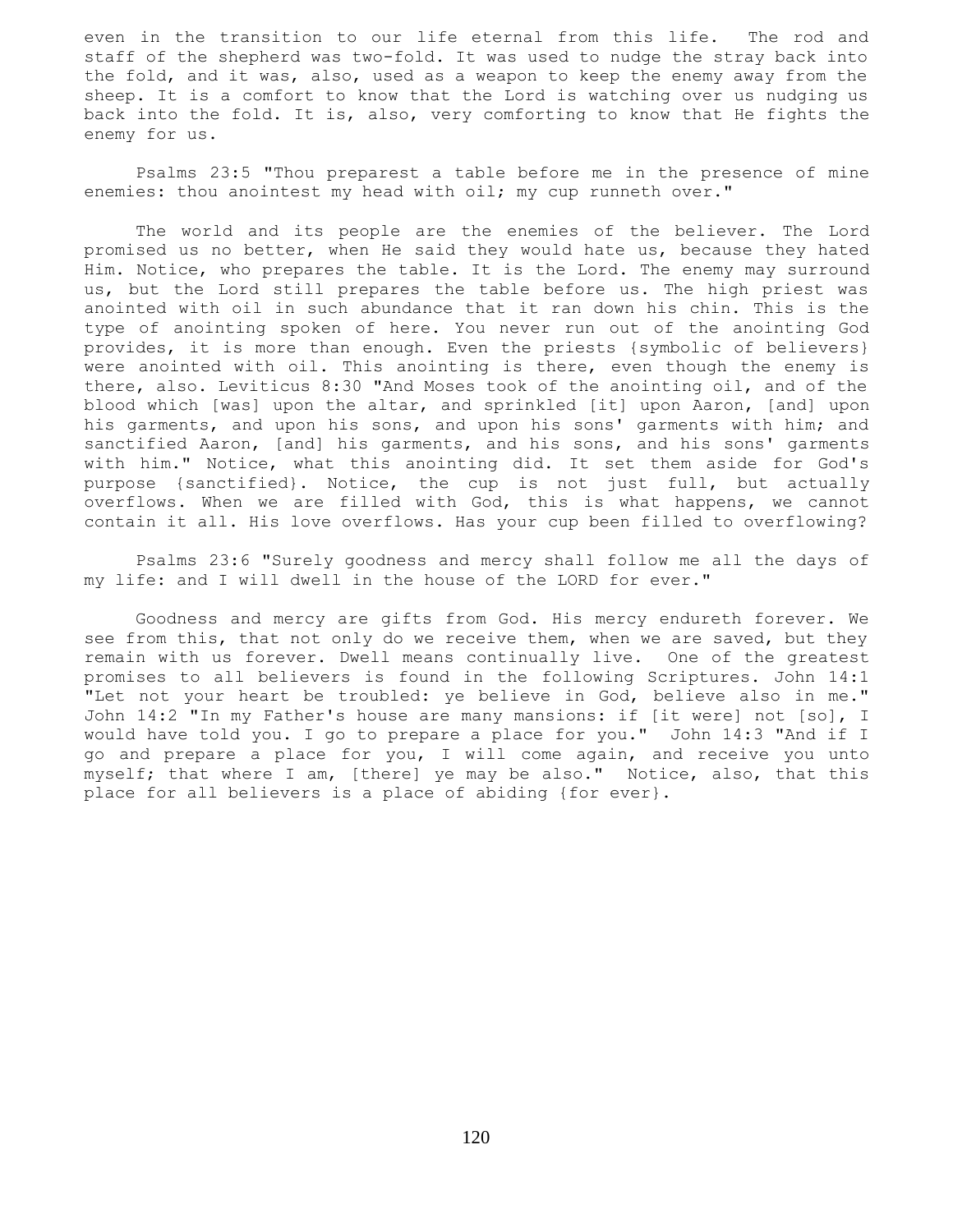even in the transition to our life eternal from this life. The rod and staff of the shepherd was two-fold. It was used to nudge the stray back into the fold, and it was, also, used as a weapon to keep the enemy away from the sheep. It is a comfort to know that the Lord is watching over us nudging us back into the fold. It is, also, very comforting to know that He fights the enemy for us.

 Psalms 23:5 "Thou preparest a table before me in the presence of mine enemies: thou anointest my head with oil; my cup runneth over."

 The world and its people are the enemies of the believer. The Lord promised us no better, when He said they would hate us, because they hated Him. Notice, who prepares the table. It is the Lord. The enemy may surround us, but the Lord still prepares the table before us. The high priest was anointed with oil in such abundance that it ran down his chin. This is the type of anointing spoken of here. You never run out of the anointing God provides, it is more than enough. Even the priests {symbolic of believers} were anointed with oil. This anointing is there, even though the enemy is there, also. Leviticus 8:30 "And Moses took of the anointing oil, and of the blood which [was] upon the altar, and sprinkled [it] upon Aaron, [and] upon his garments, and upon his sons, and upon his sons' garments with him; and sanctified Aaron, [and] his garments, and his sons, and his sons' garments with him." Notice, what this anointing did. It set them aside for God's purpose {sanctified}. Notice, the cup is not just full, but actually overflows. When we are filled with God, this is what happens, we cannot contain it all. His love overflows. Has your cup been filled to overflowing?

 Psalms 23:6 "Surely goodness and mercy shall follow me all the days of my life: and I will dwell in the house of the LORD for ever."

 Goodness and mercy are gifts from God. His mercy endureth forever. We see from this, that not only do we receive them, when we are saved, but they remain with us forever. Dwell means continually live. One of the greatest promises to all believers is found in the following Scriptures. John 14:1 "Let not your heart be troubled: ye believe in God, believe also in me." John 14:2 "In my Father's house are many mansions: if [it were] not [so], I would have told you. I go to prepare a place for you." John 14:3 "And if I go and prepare a place for you, I will come again, and receive you unto myself; that where I am, [there] ye may be also." Notice, also, that this place for all believers is a place of abiding {for ever}.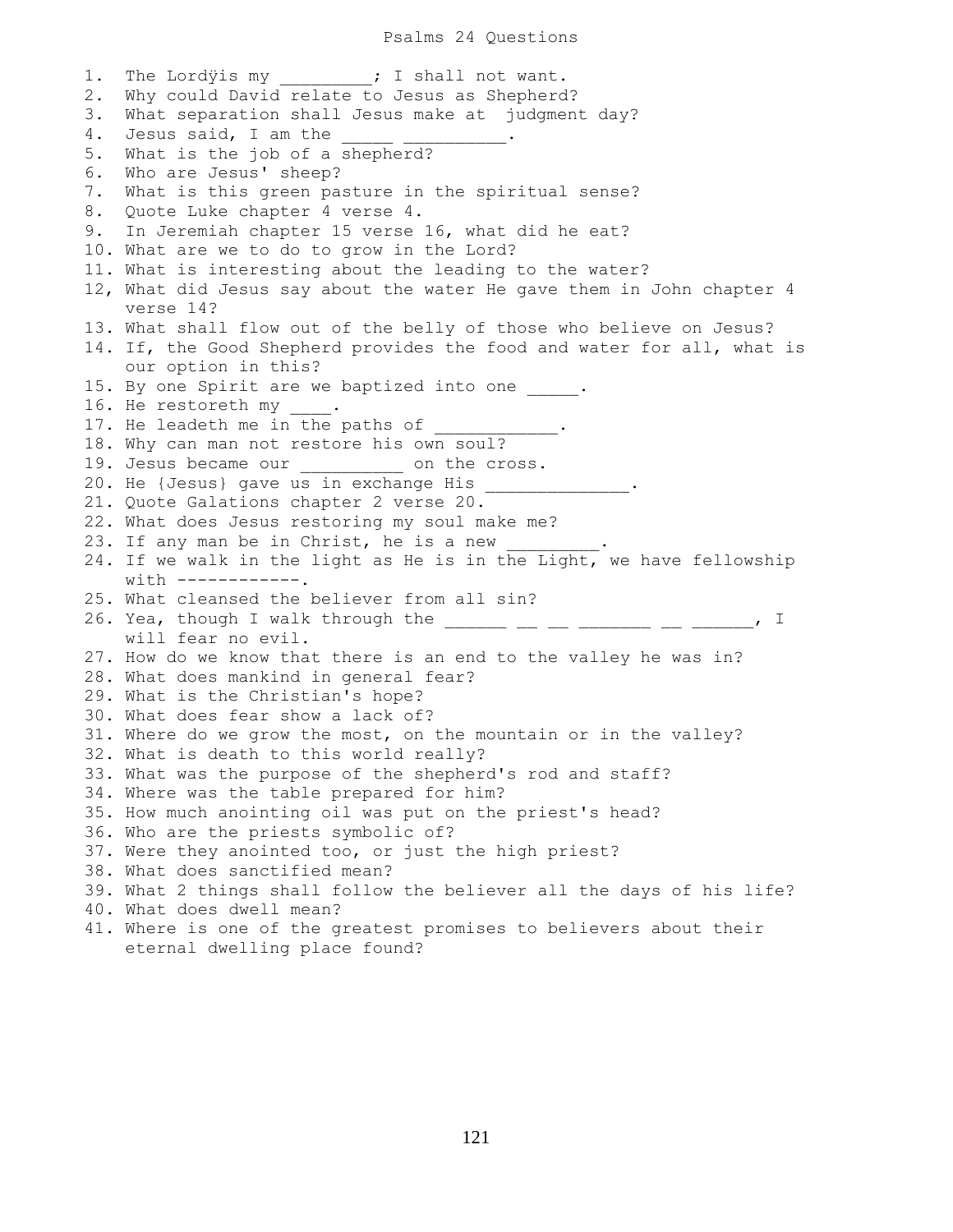Psalms 24 Questions

1. The Lordyis my  $\qquad \qquad ;$  I shall not want. 2. Why could David relate to Jesus as Shepherd? 3. What separation shall Jesus make at judgment day? 4. Jesus said, I am the 5. What is the job of a shepherd? 6. Who are Jesus' sheep? 7. What is this green pasture in the spiritual sense? 8. Quote Luke chapter 4 verse 4. 9. In Jeremiah chapter 15 verse 16, what did he eat? 10. What are we to do to grow in the Lord? 11. What is interesting about the leading to the water? 12, What did Jesus say about the water He gave them in John chapter 4 verse 14? 13. What shall flow out of the belly of those who believe on Jesus? 14. If, the Good Shepherd provides the food and water for all, what is our option in this? 15. By one Spirit are we baptized into one  $\cdots$ 16. He restoreth my 17. He leadeth me in the paths of 18. Why can man not restore his own soul? 19. Jesus became our **come on the cross**. 20. He {Jesus} gave us in exchange His 21. Quote Galations chapter 2 verse 20. 22. What does Jesus restoring my soul make me? 23. If any man be in Christ, he is a new 24. If we walk in the light as He is in the Light, we have fellowship  $with$   $--------$ 25. What cleansed the believer from all sin? 26. Yea, though I walk through the  $\frac{1}{2}$   $\frac{1}{2}$   $\frac{1}{2}$   $\frac{1}{2}$   $\frac{1}{2}$   $\frac{1}{2}$   $\frac{1}{2}$   $\frac{1}{2}$   $\frac{1}{2}$   $\frac{1}{2}$   $\frac{1}{2}$   $\frac{1}{2}$   $\frac{1}{2}$   $\frac{1}{2}$   $\frac{1}{2}$   $\frac{1}{2}$   $\frac{1}{2}$   $\frac{1}{2}$   $\frac{1}{$  will fear no evil. 27. How do we know that there is an end to the valley he was in? 28. What does mankind in general fear? 29. What is the Christian's hope? 30. What does fear show a lack of? 31. Where do we grow the most, on the mountain or in the valley? 32. What is death to this world really? 33. What was the purpose of the shepherd's rod and staff? 34. Where was the table prepared for him? 35. How much anointing oil was put on the priest's head? 36. Who are the priests symbolic of? 37. Were they anointed too, or just the high priest? 38. What does sanctified mean? 39. What 2 things shall follow the believer all the days of his life? 40. What does dwell mean? 41. Where is one of the greatest promises to believers about their eternal dwelling place found?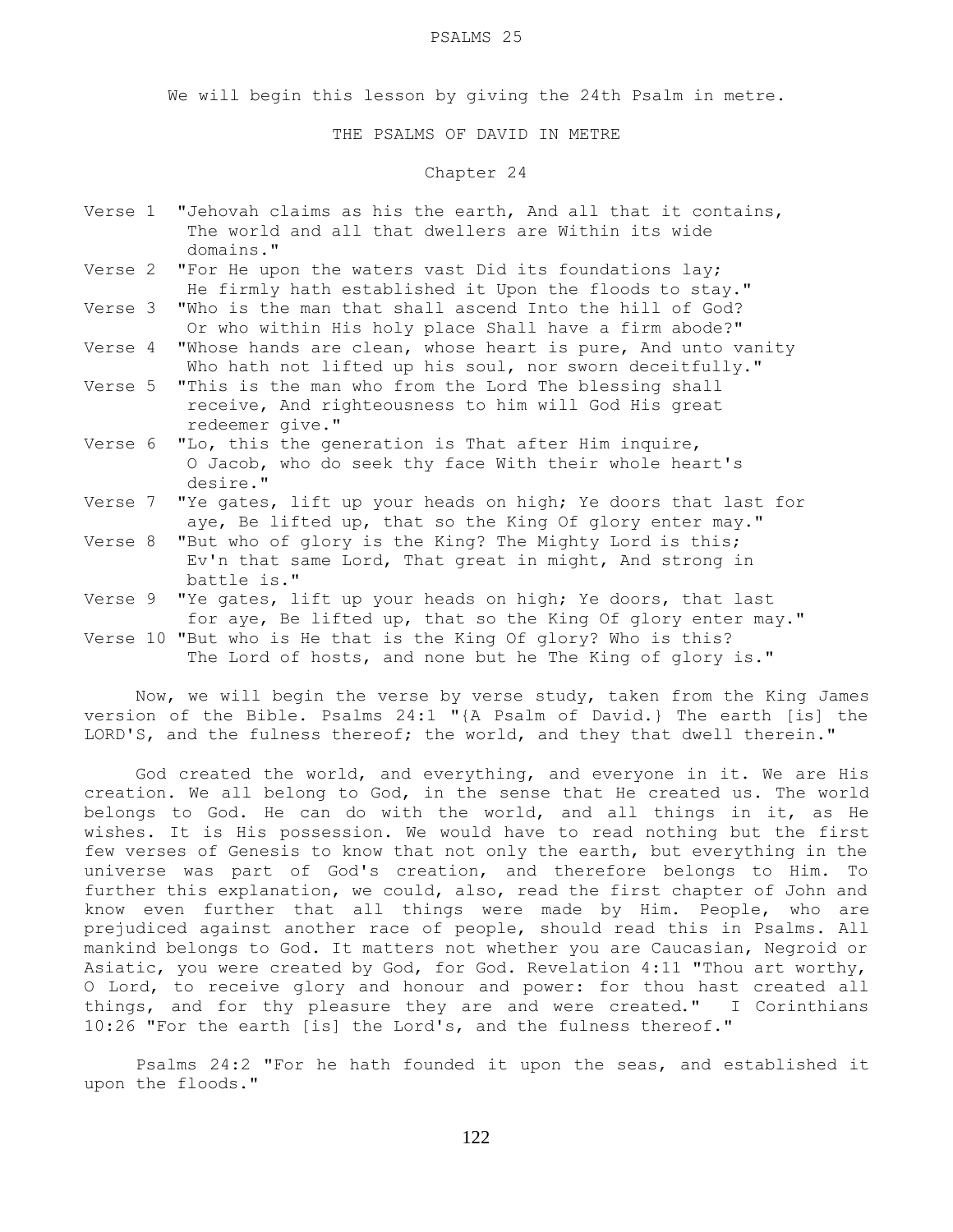#### PSALMS 25

We will begin this lesson by giving the 24th Psalm in metre.

THE PSALMS OF DAVID IN METRE

### Chapter 24

- Verse 1 "Jehovah claims as his the earth, And all that it contains, The world and all that dwellers are Within its wide domains."
- Verse 2 "For He upon the waters vast Did its foundations lay; He firmly hath established it Upon the floods to stay."
- Verse 3 "Who is the man that shall ascend Into the hill of God? Or who within His holy place Shall have a firm abode?"
- Verse 4 "Whose hands are clean, whose heart is pure, And unto vanity Who hath not lifted up his soul, nor sworn deceitfully."
- Verse 5 "This is the man who from the Lord The blessing shall receive, And righteousness to him will God His great redeemer give."
- Verse 6 "Lo, this the generation is That after Him inquire, O Jacob, who do seek thy face With their whole heart's desire."
- Verse 7 "Ye gates, lift up your heads on high; Ye doors that last for aye, Be lifted up, that so the King Of glory enter may."
- Verse 8 "But who of glory is the King? The Mighty Lord is this; Ev'n that same Lord, That great in might, And strong in battle is."
- Verse 9 "Ye gates, lift up your heads on high; Ye doors, that last for aye, Be lifted up, that so the King Of glory enter may." Verse 10 "But who is He that is the King Of glory? Who is this?
	- The Lord of hosts, and none but he The King of glory is."

 Now, we will begin the verse by verse study, taken from the King James version of the Bible. Psalms 24:1 "{A Psalm of David.} The earth [is] the LORD'S, and the fulness thereof; the world, and they that dwell therein."

 God created the world, and everything, and everyone in it. We are His creation. We all belong to God, in the sense that He created us. The world belongs to God. He can do with the world, and all things in it, as He wishes. It is His possession. We would have to read nothing but the first few verses of Genesis to know that not only the earth, but everything in the universe was part of God's creation, and therefore belongs to Him. To further this explanation, we could, also, read the first chapter of John and know even further that all things were made by Him. People, who are prejudiced against another race of people, should read this in Psalms. All mankind belongs to God. It matters not whether you are Caucasian, Negroid or Asiatic, you were created by God, for God. Revelation 4:11 "Thou art worthy, O Lord, to receive glory and honour and power: for thou hast created all things, and for thy pleasure they are and were created." I Corinthians 10:26 "For the earth [is] the Lord's, and the fulness thereof."

 Psalms 24:2 "For he hath founded it upon the seas, and established it upon the floods."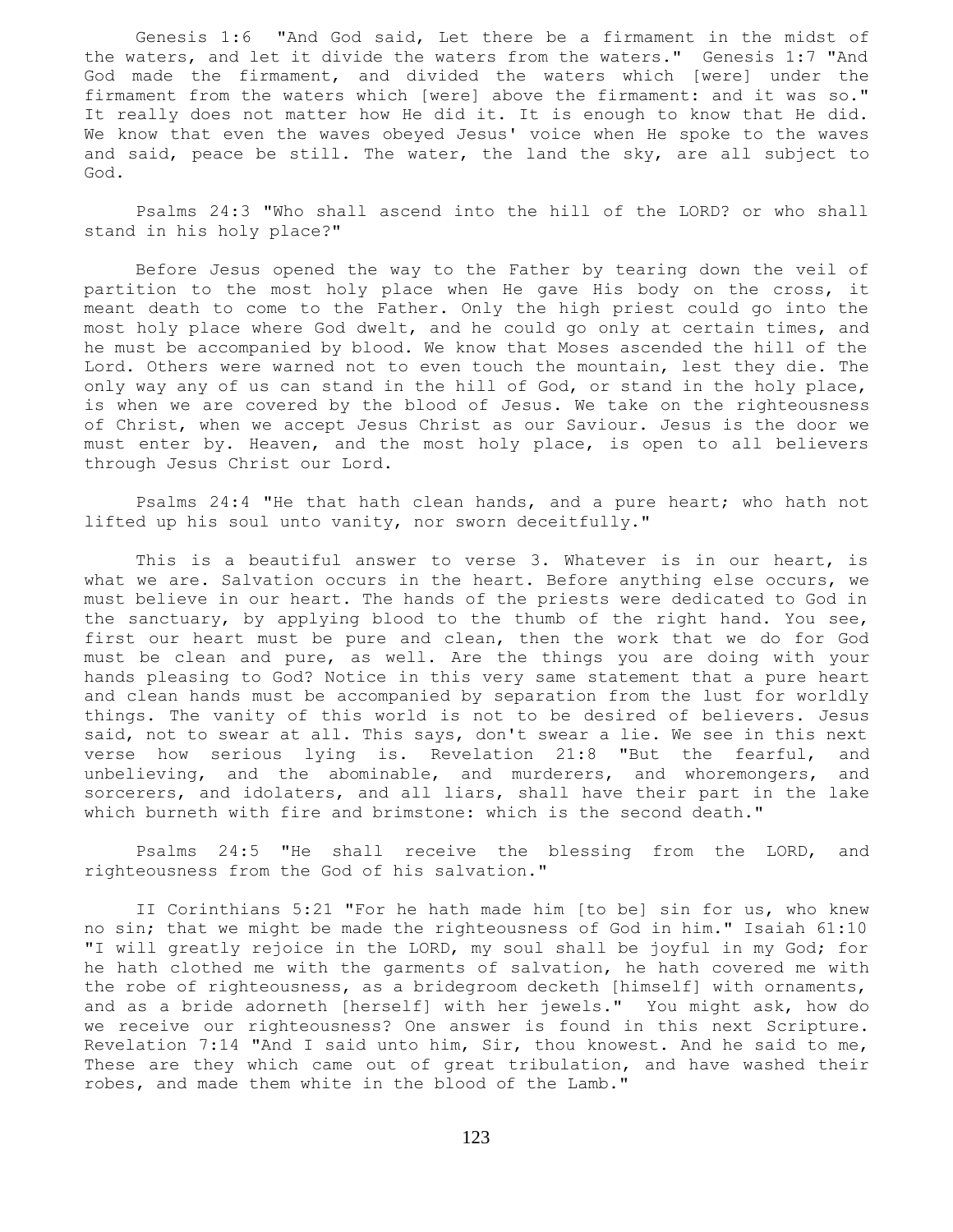Genesis 1:6 "And God said, Let there be a firmament in the midst of the waters, and let it divide the waters from the waters." Genesis 1:7 "And God made the firmament, and divided the waters which [were] under the firmament from the waters which [were] above the firmament: and it was so." It really does not matter how He did it. It is enough to know that He did. We know that even the waves obeyed Jesus' voice when He spoke to the waves and said, peace be still. The water, the land the sky, are all subject to God.

 Psalms 24:3 "Who shall ascend into the hill of the LORD? or who shall stand in his holy place?"

 Before Jesus opened the way to the Father by tearing down the veil of partition to the most holy place when He gave His body on the cross, it meant death to come to the Father. Only the high priest could go into the most holy place where God dwelt, and he could go only at certain times, and he must be accompanied by blood. We know that Moses ascended the hill of the Lord. Others were warned not to even touch the mountain, lest they die. The only way any of us can stand in the hill of God, or stand in the holy place, is when we are covered by the blood of Jesus. We take on the righteousness of Christ, when we accept Jesus Christ as our Saviour. Jesus is the door we must enter by. Heaven, and the most holy place, is open to all believers through Jesus Christ our Lord.

 Psalms 24:4 "He that hath clean hands, and a pure heart; who hath not lifted up his soul unto vanity, nor sworn deceitfully."

 This is a beautiful answer to verse 3. Whatever is in our heart, is what we are. Salvation occurs in the heart. Before anything else occurs, we must believe in our heart. The hands of the priests were dedicated to God in the sanctuary, by applying blood to the thumb of the right hand. You see, first our heart must be pure and clean, then the work that we do for God must be clean and pure, as well. Are the things you are doing with your hands pleasing to God? Notice in this very same statement that a pure heart and clean hands must be accompanied by separation from the lust for worldly things. The vanity of this world is not to be desired of believers. Jesus said, not to swear at all. This says, don't swear a lie. We see in this next verse how serious lying is. Revelation 21:8 "But the fearful, and unbelieving, and the abominable, and murderers, and whoremongers, and sorcerers, and idolaters, and all liars, shall have their part in the lake which burneth with fire and brimstone: which is the second death."

 Psalms 24:5 "He shall receive the blessing from the LORD, and righteousness from the God of his salvation."

 II Corinthians 5:21 "For he hath made him [to be] sin for us, who knew no sin; that we might be made the righteousness of God in him." Isaiah 61:10 "I will greatly rejoice in the LORD, my soul shall be joyful in my God; for he hath clothed me with the garments of salvation, he hath covered me with the robe of righteousness, as a bridegroom decketh [himself] with ornaments, and as a bride adorneth [herself] with her jewels." You might ask, how do we receive our righteousness? One answer is found in this next Scripture. Revelation 7:14 "And I said unto him, Sir, thou knowest. And he said to me, These are they which came out of great tribulation, and have washed their robes, and made them white in the blood of the Lamb."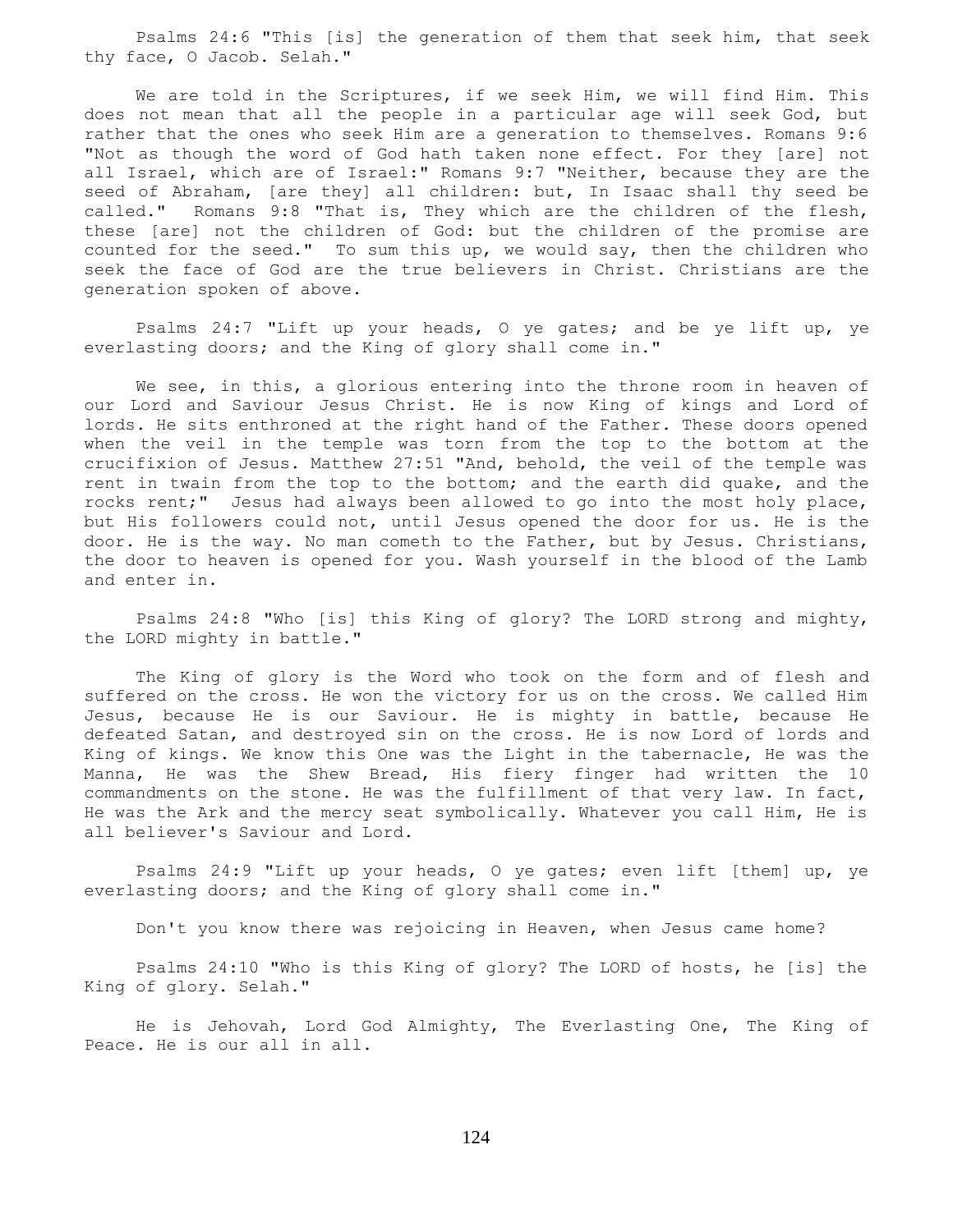Psalms 24:6 "This [is] the generation of them that seek him, that seek thy face, O Jacob. Selah."

 We are told in the Scriptures, if we seek Him, we will find Him. This does not mean that all the people in a particular age will seek God, but rather that the ones who seek Him are a generation to themselves. Romans 9:6 "Not as though the word of God hath taken none effect. For they [are] not all Israel, which are of Israel:" Romans 9:7 "Neither, because they are the seed of Abraham, [are they] all children: but, In Isaac shall thy seed be called." Romans 9:8 "That is, They which are the children of the flesh, these [are] not the children of God: but the children of the promise are counted for the seed." To sum this up, we would say, then the children who seek the face of God are the true believers in Christ. Christians are the generation spoken of above.

 Psalms 24:7 "Lift up your heads, O ye gates; and be ye lift up, ye everlasting doors; and the King of glory shall come in."

We see, in this, a glorious entering into the throne room in heaven of our Lord and Saviour Jesus Christ. He is now King of kings and Lord of lords. He sits enthroned at the right hand of the Father. These doors opened when the veil in the temple was torn from the top to the bottom at the crucifixion of Jesus. Matthew 27:51 "And, behold, the veil of the temple was rent in twain from the top to the bottom; and the earth did quake, and the rocks rent;" Jesus had always been allowed to go into the most holy place, but His followers could not, until Jesus opened the door for us. He is the door. He is the way. No man cometh to the Father, but by Jesus. Christians, the door to heaven is opened for you. Wash yourself in the blood of the Lamb and enter in.

 Psalms 24:8 "Who [is] this King of glory? The LORD strong and mighty, the LORD mighty in battle."

 The King of glory is the Word who took on the form and of flesh and suffered on the cross. He won the victory for us on the cross. We called Him Jesus, because He is our Saviour. He is mighty in battle, because He defeated Satan, and destroyed sin on the cross. He is now Lord of lords and King of kings. We know this One was the Light in the tabernacle, He was the Manna, He was the Shew Bread, His fiery finger had written the 10 commandments on the stone. He was the fulfillment of that very law. In fact, He was the Ark and the mercy seat symbolically. Whatever you call Him, He is all believer's Saviour and Lord.

 Psalms 24:9 "Lift up your heads, O ye gates; even lift [them] up, ye everlasting doors; and the King of glory shall come in."

Don't you know there was rejoicing in Heaven, when Jesus came home?

 Psalms 24:10 "Who is this King of glory? The LORD of hosts, he [is] the King of glory. Selah."

 He is Jehovah, Lord God Almighty, The Everlasting One, The King of Peace. He is our all in all.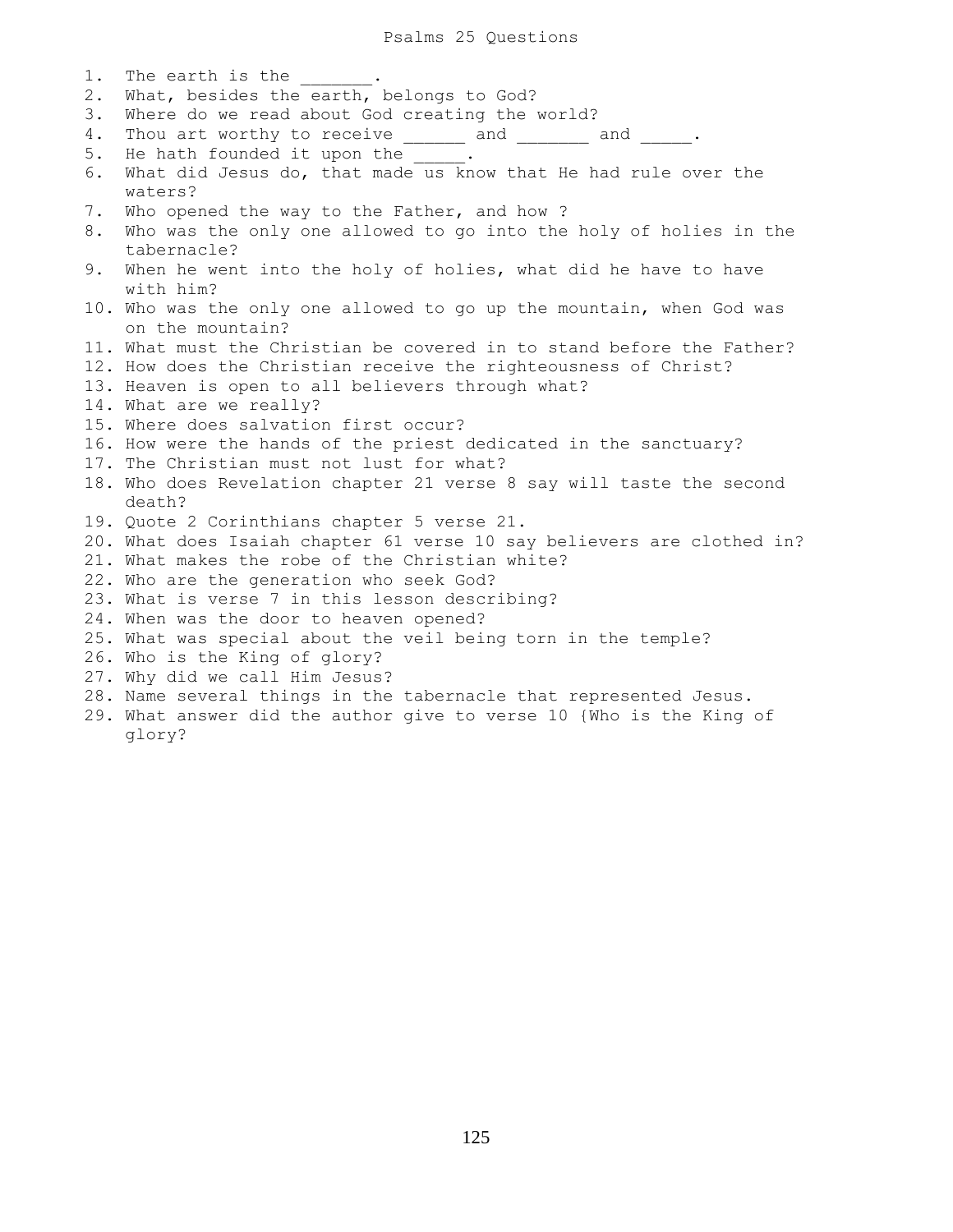1. The earth is the 2. What, besides the earth, belongs to God? 3. Where do we read about God creating the world? 4. Thou art worthy to receive \_\_\_\_\_ and \_\_\_\_\_\_ and \_\_\_\_\_. 5. He hath founded it upon the  $\qquad \qquad$ . 6. What did Jesus do, that made us know that He had rule over the waters? 7. Who opened the way to the Father, and how ? 8. Who was the only one allowed to go into the holy of holies in the tabernacle? 9. When he went into the holy of holies, what did he have to have with him? 10. Who was the only one allowed to go up the mountain, when God was on the mountain? 11. What must the Christian be covered in to stand before the Father? 12. How does the Christian receive the righteousness of Christ? 13. Heaven is open to all believers through what? 14. What are we really? 15. Where does salvation first occur? 16. How were the hands of the priest dedicated in the sanctuary? 17. The Christian must not lust for what? 18. Who does Revelation chapter 21 verse 8 say will taste the second death? 19. Quote 2 Corinthians chapter 5 verse 21. 20. What does Isaiah chapter 61 verse 10 say believers are clothed in? 21. What makes the robe of the Christian white? 22. Who are the generation who seek God? 23. What is verse 7 in this lesson describing? 24. When was the door to heaven opened? 25. What was special about the veil being torn in the temple? 26. Who is the King of glory? 27. Why did we call Him Jesus? 28. Name several things in the tabernacle that represented Jesus. 29. What answer did the author give to verse 10 {Who is the King of

glory?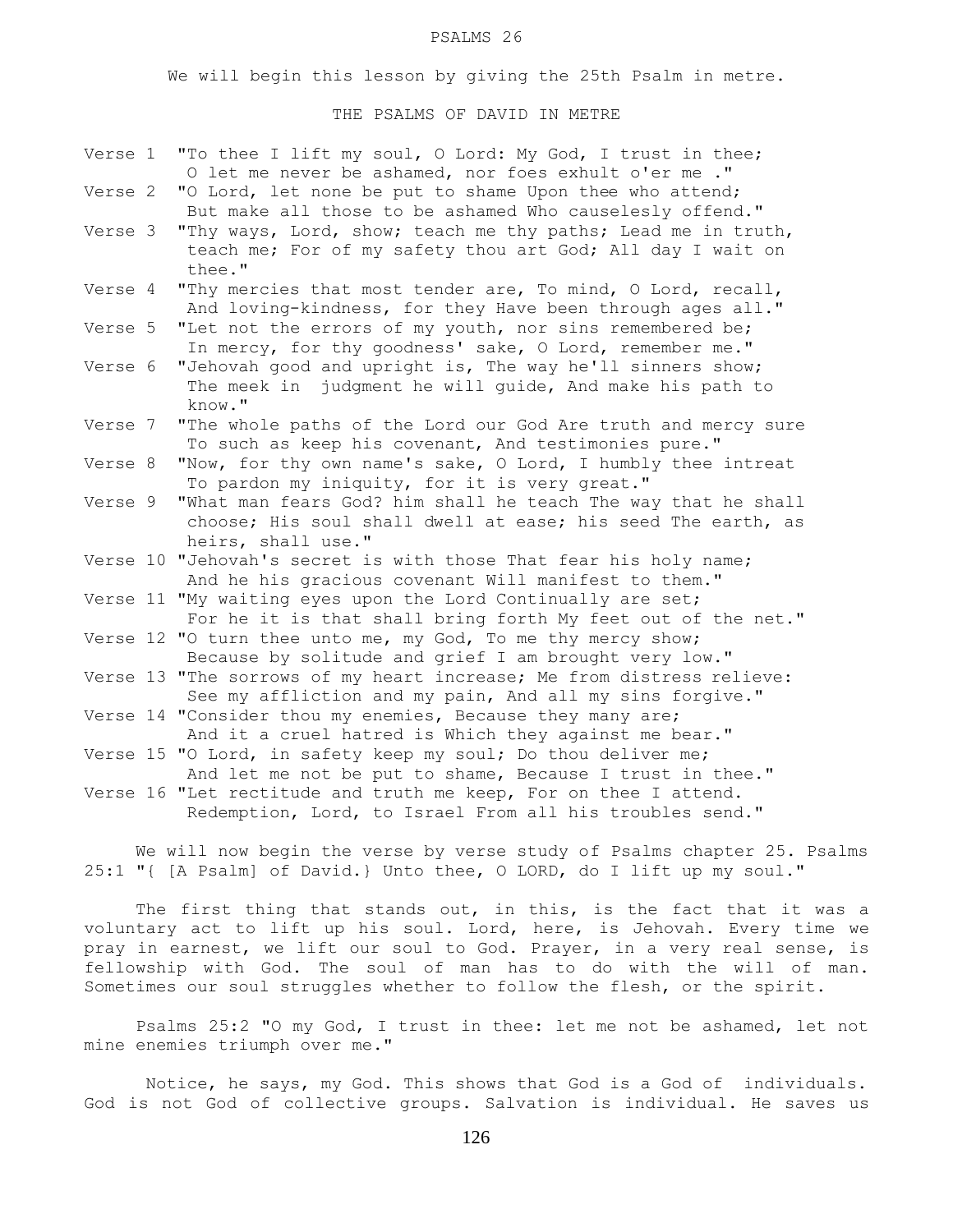#### PSALMS 26

We will begin this lesson by giving the 25th Psalm in metre.

## THE PSALMS OF DAVID IN METRE

| Verse 1 | "To thee I lift my soul, O Lord: My God, I trust in thee;<br>O let me never be ashamed, nor foes exhult o'er me ."                                  |
|---------|-----------------------------------------------------------------------------------------------------------------------------------------------------|
| Verse 2 | "O Lord, let none be put to shame Upon thee who attend;<br>But make all those to be ashamed Who causelesly offend."                                 |
| Verse 3 | "Thy ways, Lord, show; teach me thy paths; Lead me in truth,<br>teach me; For of my safety thou art God; All day I wait on<br>thee."                |
| Verse 4 | "Thy mercies that most tender are, To mind, O Lord, recall,<br>And loving-kindness, for they Have been through ages all."                           |
| Verse 5 | "Let not the errors of my youth, nor sins remembered be;<br>In mercy, for thy goodness' sake, O Lord, remember me."                                 |
| Verse 6 | "Jehovah good and upright is, The way he'll sinners show;<br>judgment he will guide, And make his path to<br>The meek in<br>know."                  |
| Verse 7 | "The whole paths of the Lord our God Are truth and mercy sure<br>To such as keep his covenant, And testimonies pure."                               |
| Verse 8 | "Now, for thy own name's sake, O Lord, I humbly thee intreat<br>To pardon my iniquity, for it is very great."                                       |
| Verse 9 | "What man fears God? him shall he teach The way that he shall<br>choose; His soul shall dwell at ease; his seed The earth, as<br>heirs, shall use." |
|         | Verse 10 "Jehovah's secret is with those That fear his holy name;<br>And he his gracious covenant Will manifest to them."                           |
|         | Verse 11 "My waiting eyes upon the Lord Continually are set;<br>For he it is that shall bring forth My feet out of the net."                        |
|         | Verse 12 "O turn thee unto me, my God, To me thy mercy show;<br>Because by solitude and grief I am brought very low."                               |
|         | Verse 13 "The sorrows of my heart increase; Me from distress relieve:<br>See my affliction and my pain, And all my sins forgive."                   |
|         | Verse 14 "Consider thou my enemies, Because they many are;<br>And it a cruel hatred is Which they against me bear."                                 |
|         | Verse 15 "O Lord, in safety keep my soul; Do thou deliver me;<br>And let me not be put to shame, Because I trust in thee."                          |
|         | Verse 16 "Let rectitude and truth me keep, For on thee I attend.<br>Redemption, Lord, to Israel From all his troubles send."                        |

 We will now begin the verse by verse study of Psalms chapter 25. Psalms 25:1 "{ [A Psalm] of David.} Unto thee, O LORD, do I lift up my soul."

The first thing that stands out, in this, is the fact that it was a voluntary act to lift up his soul. Lord, here, is Jehovah. Every time we pray in earnest, we lift our soul to God. Prayer, in a very real sense, is fellowship with God. The soul of man has to do with the will of man. Sometimes our soul struggles whether to follow the flesh, or the spirit.

 Psalms 25:2 "O my God, I trust in thee: let me not be ashamed, let not mine enemies triumph over me."

 Notice, he says, my God. This shows that God is a God of individuals. God is not God of collective groups. Salvation is individual. He saves us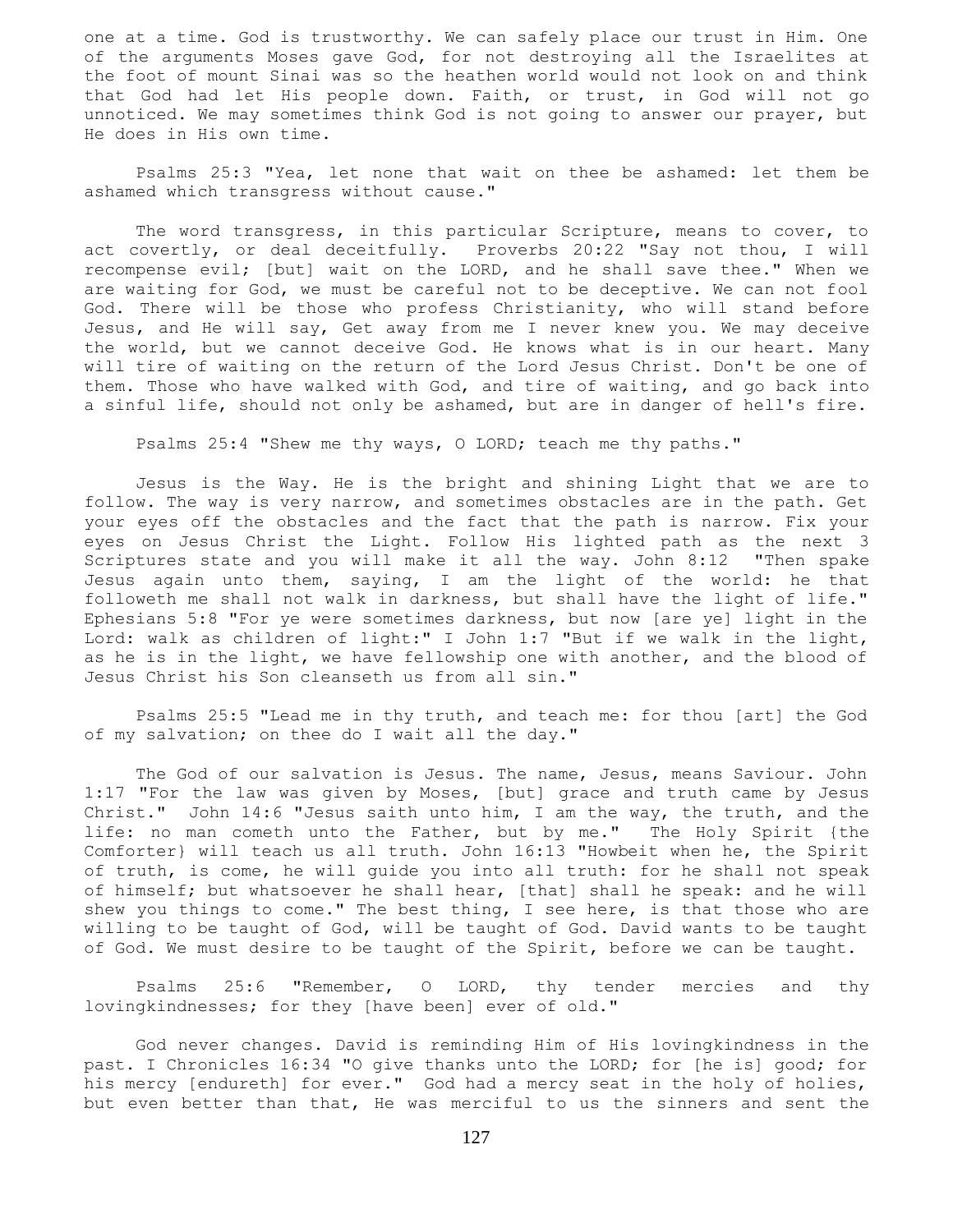one at a time. God is trustworthy. We can safely place our trust in Him. One of the arguments Moses gave God, for not destroying all the Israelites at the foot of mount Sinai was so the heathen world would not look on and think that God had let His people down. Faith, or trust, in God will not go unnoticed. We may sometimes think God is not going to answer our prayer, but He does in His own time.

 Psalms 25:3 "Yea, let none that wait on thee be ashamed: let them be ashamed which transgress without cause."

 The word transgress, in this particular Scripture, means to cover, to act covertly, or deal deceitfully. Proverbs 20:22 "Say not thou, I will recompense evil; [but] wait on the LORD, and he shall save thee." When we are waiting for God, we must be careful not to be deceptive. We can not fool God. There will be those who profess Christianity, who will stand before Jesus, and He will say, Get away from me I never knew you. We may deceive the world, but we cannot deceive God. He knows what is in our heart. Many will tire of waiting on the return of the Lord Jesus Christ. Don't be one of them. Those who have walked with God, and tire of waiting, and go back into a sinful life, should not only be ashamed, but are in danger of hell's fire.

Psalms 25:4 "Shew me thy ways, O LORD; teach me thy paths."

 Jesus is the Way. He is the bright and shining Light that we are to follow. The way is very narrow, and sometimes obstacles are in the path. Get your eyes off the obstacles and the fact that the path is narrow. Fix your eyes on Jesus Christ the Light. Follow His lighted path as the next 3 Scriptures state and you will make it all the way. John 8:12 "Then spake Jesus again unto them, saying, I am the light of the world: he that followeth me shall not walk in darkness, but shall have the light of life." Ephesians 5:8 "For ye were sometimes darkness, but now [are ye] light in the Lord: walk as children of light:" I John 1:7 "But if we walk in the light, as he is in the light, we have fellowship one with another, and the blood of Jesus Christ his Son cleanseth us from all sin."

 Psalms 25:5 "Lead me in thy truth, and teach me: for thou [art] the God of my salvation; on thee do I wait all the day."

 The God of our salvation is Jesus. The name, Jesus, means Saviour. John 1:17 "For the law was given by Moses, [but] grace and truth came by Jesus Christ." John 14:6 "Jesus saith unto him, I am the way, the truth, and the life: no man cometh unto the Father, but by me." The Holy Spirit {the Comforter} will teach us all truth. John 16:13 "Howbeit when he, the Spirit of truth, is come, he will guide you into all truth: for he shall not speak of himself; but whatsoever he shall hear, [that] shall he speak: and he will shew you things to come." The best thing, I see here, is that those who are willing to be taught of God, will be taught of God. David wants to be taught of God. We must desire to be taught of the Spirit, before we can be taught.

 Psalms 25:6 "Remember, O LORD, thy tender mercies and thy lovingkindnesses; for they [have been] ever of old."

 God never changes. David is reminding Him of His lovingkindness in the past. I Chronicles 16:34 "O give thanks unto the LORD; for [he is] good; for his mercy [endureth] for ever." God had a mercy seat in the holy of holies, but even better than that, He was merciful to us the sinners and sent the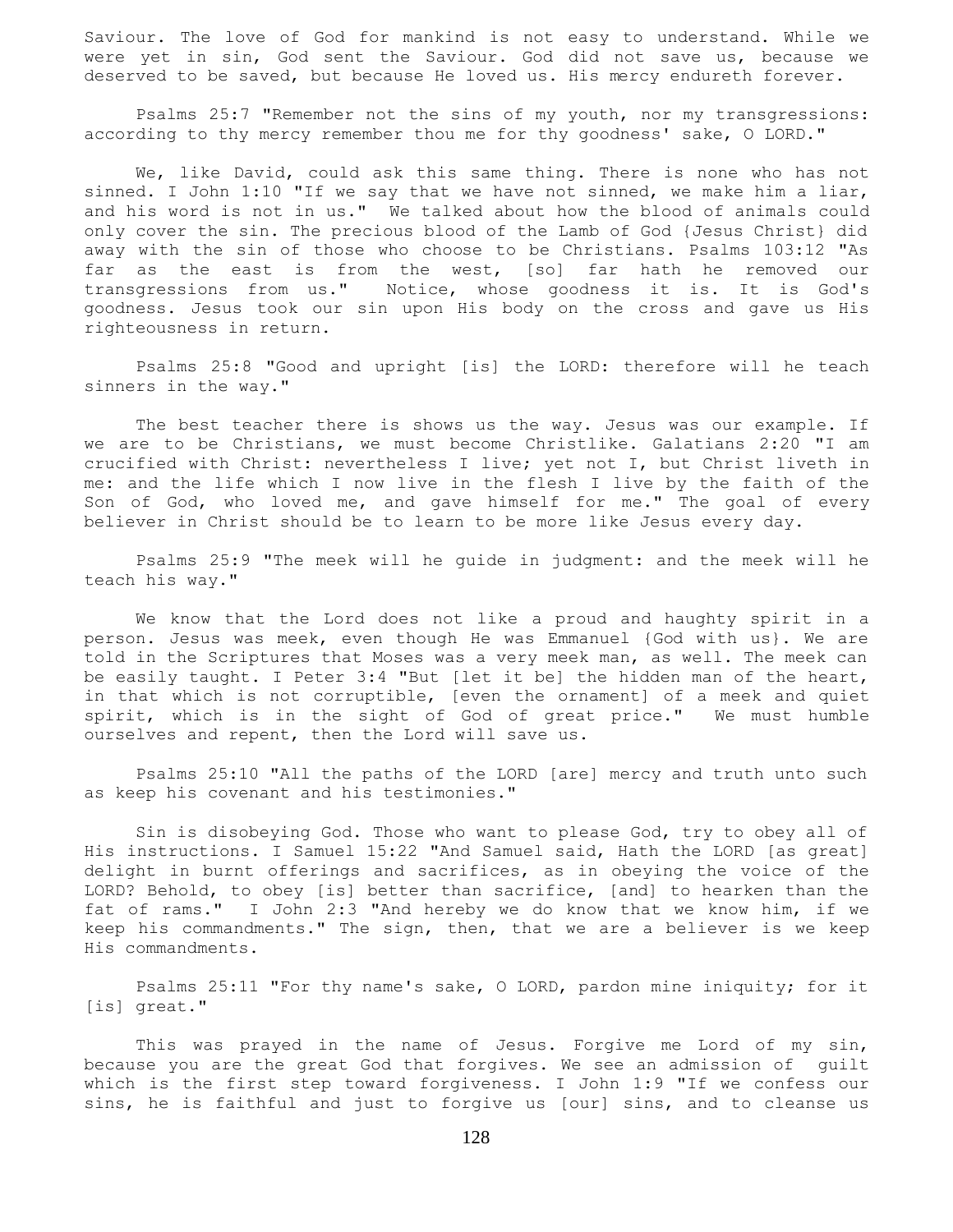Saviour. The love of God for mankind is not easy to understand. While we were yet in sin, God sent the Saviour. God did not save us, because we deserved to be saved, but because He loved us. His mercy endureth forever.

 Psalms 25:7 "Remember not the sins of my youth, nor my transgressions: according to thy mercy remember thou me for thy goodness' sake, O LORD."

 We, like David, could ask this same thing. There is none who has not sinned. I John 1:10 "If we say that we have not sinned, we make him a liar, and his word is not in us." We talked about how the blood of animals could only cover the sin. The precious blood of the Lamb of God {Jesus Christ} did away with the sin of those who choose to be Christians. Psalms 103:12 "As far as the east is from the west, [so] far hath he removed our transgressions from us." Notice, whose goodness it is. It is God's goodness. Jesus took our sin upon His body on the cross and gave us His righteousness in return.

 Psalms 25:8 "Good and upright [is] the LORD: therefore will he teach sinners in the way."

The best teacher there is shows us the way. Jesus was our example. If we are to be Christians, we must become Christlike. Galatians 2:20 "I am crucified with Christ: nevertheless I live; yet not I, but Christ liveth in me: and the life which I now live in the flesh I live by the faith of the Son of God, who loved me, and gave himself for me." The goal of every believer in Christ should be to learn to be more like Jesus every day.

 Psalms 25:9 "The meek will he guide in judgment: and the meek will he teach his way."

 We know that the Lord does not like a proud and haughty spirit in a person. Jesus was meek, even though He was Emmanuel {God with us}. We are told in the Scriptures that Moses was a very meek man, as well. The meek can be easily taught. I Peter 3:4 "But [let it be] the hidden man of the heart, in that which is not corruptible, [even the ornament] of a meek and quiet spirit, which is in the sight of God of great price." We must humble ourselves and repent, then the Lord will save us.

 Psalms 25:10 "All the paths of the LORD [are] mercy and truth unto such as keep his covenant and his testimonies."

 Sin is disobeying God. Those who want to please God, try to obey all of His instructions. I Samuel 15:22 "And Samuel said, Hath the LORD [as great] delight in burnt offerings and sacrifices, as in obeying the voice of the LORD? Behold, to obey [is] better than sacrifice, [and] to hearken than the fat of rams." I John 2:3 "And hereby we do know that we know him, if we keep his commandments." The sign, then, that we are a believer is we keep His commandments.

 Psalms 25:11 "For thy name's sake, O LORD, pardon mine iniquity; for it [is] great."

 This was prayed in the name of Jesus. Forgive me Lord of my sin, because you are the great God that forgives. We see an admission of guilt which is the first step toward forgiveness. I John 1:9 "If we confess our sins, he is faithful and just to forgive us [our] sins, and to cleanse us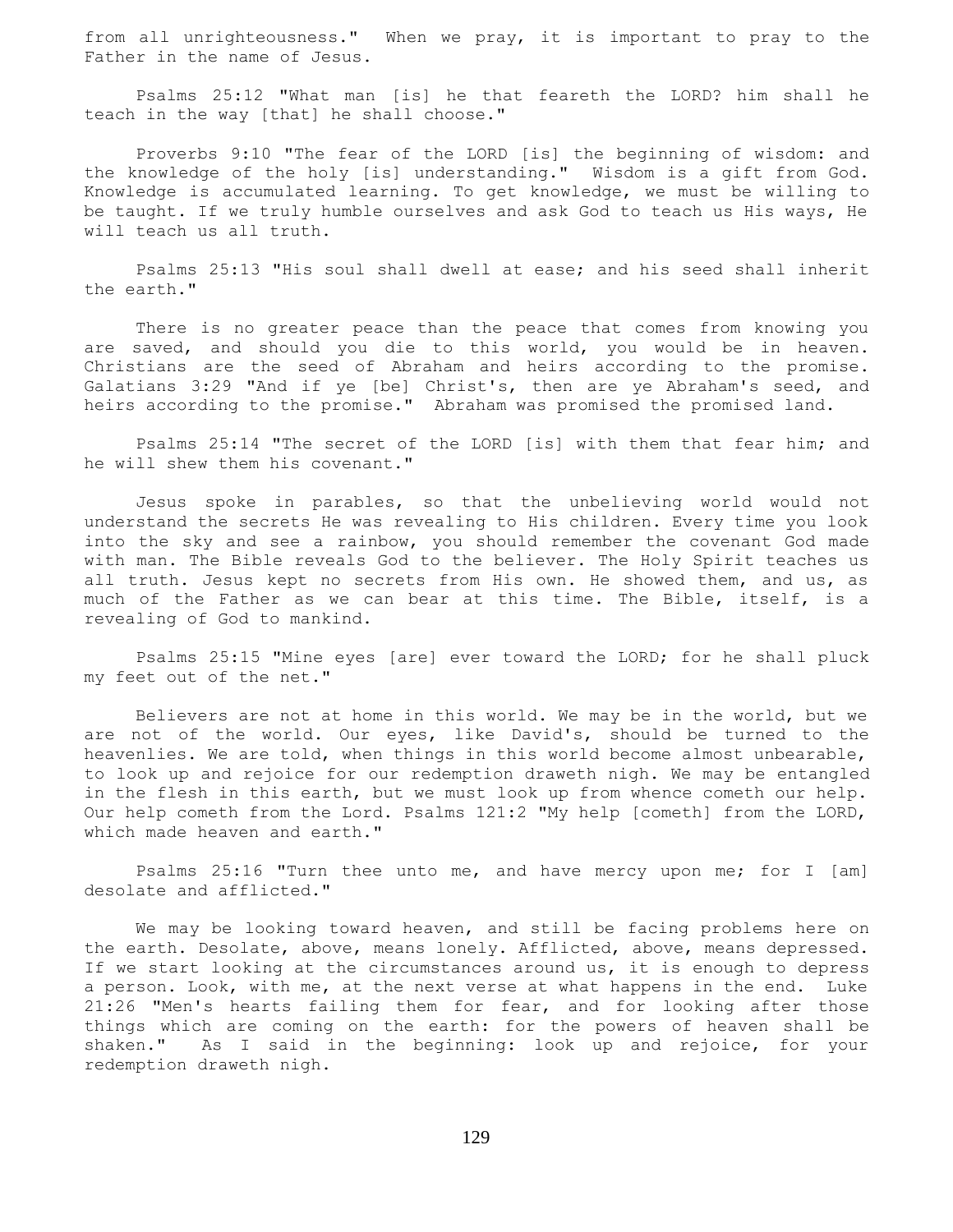from all unrighteousness." When we pray, it is important to pray to the Father in the name of Jesus.

 Psalms 25:12 "What man [is] he that feareth the LORD? him shall he teach in the way [that] he shall choose."

 Proverbs 9:10 "The fear of the LORD [is] the beginning of wisdom: and the knowledge of the holy [is] understanding." Wisdom is a gift from God. Knowledge is accumulated learning. To get knowledge, we must be willing to be taught. If we truly humble ourselves and ask God to teach us His ways, He will teach us all truth.

 Psalms 25:13 "His soul shall dwell at ease; and his seed shall inherit the earth."

 There is no greater peace than the peace that comes from knowing you are saved, and should you die to this world, you would be in heaven. Christians are the seed of Abraham and heirs according to the promise. Galatians 3:29 "And if ye [be] Christ's, then are ye Abraham's seed, and heirs according to the promise." Abraham was promised the promised land.

 Psalms 25:14 "The secret of the LORD [is] with them that fear him; and he will shew them his covenant."

 Jesus spoke in parables, so that the unbelieving world would not understand the secrets He was revealing to His children. Every time you look into the sky and see a rainbow, you should remember the covenant God made with man. The Bible reveals God to the believer. The Holy Spirit teaches us all truth. Jesus kept no secrets from His own. He showed them, and us, as much of the Father as we can bear at this time. The Bible, itself, is a revealing of God to mankind.

 Psalms 25:15 "Mine eyes [are] ever toward the LORD; for he shall pluck my feet out of the net."

 Believers are not at home in this world. We may be in the world, but we are not of the world. Our eyes, like David's, should be turned to the heavenlies. We are told, when things in this world become almost unbearable, to look up and rejoice for our redemption draweth nigh. We may be entangled in the flesh in this earth, but we must look up from whence cometh our help. Our help cometh from the Lord. Psalms 121:2 "My help [cometh] from the LORD, which made heaven and earth."

 Psalms 25:16 "Turn thee unto me, and have mercy upon me; for I [am] desolate and afflicted."

 We may be looking toward heaven, and still be facing problems here on the earth. Desolate, above, means lonely. Afflicted, above, means depressed. If we start looking at the circumstances around us, it is enough to depress a person. Look, with me, at the next verse at what happens in the end. Luke 21:26 "Men's hearts failing them for fear, and for looking after those things which are coming on the earth: for the powers of heaven shall be shaken." As I said in the beginning: look up and rejoice, for your redemption draweth nigh.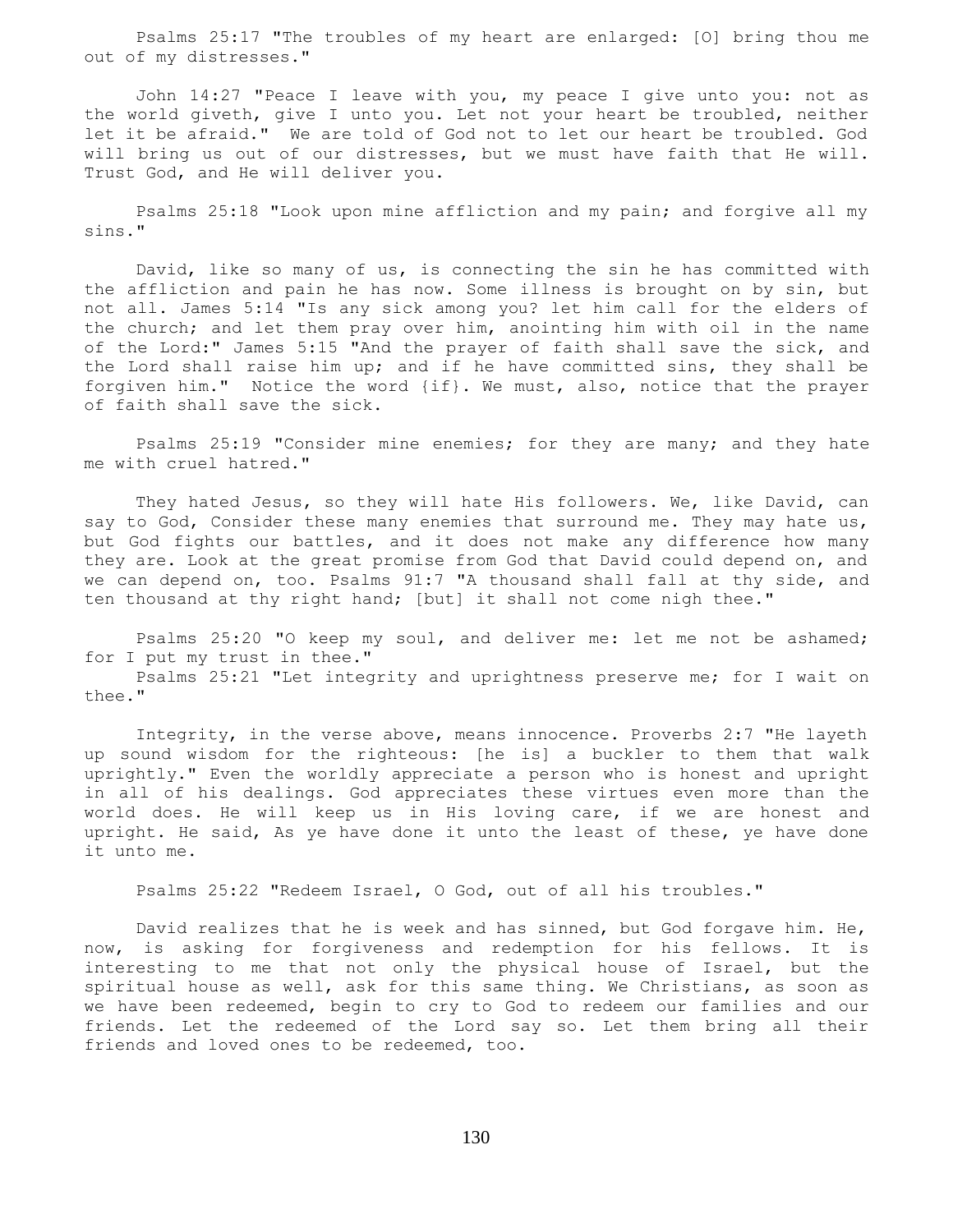Psalms 25:17 "The troubles of my heart are enlarged: [O] bring thou me out of my distresses."

 John 14:27 "Peace I leave with you, my peace I give unto you: not as the world giveth, give I unto you. Let not your heart be troubled, neither let it be afraid." We are told of God not to let our heart be troubled. God will bring us out of our distresses, but we must have faith that He will. Trust God, and He will deliver you.

 Psalms 25:18 "Look upon mine affliction and my pain; and forgive all my sins."

 David, like so many of us, is connecting the sin he has committed with the affliction and pain he has now. Some illness is brought on by sin, but not all. James 5:14 "Is any sick among you? let him call for the elders of the church; and let them pray over him, anointing him with oil in the name of the Lord:" James 5:15 "And the prayer of faith shall save the sick, and the Lord shall raise him up; and if he have committed sins, they shall be forgiven him." Notice the word {if}. We must, also, notice that the prayer of faith shall save the sick.

Psalms 25:19 "Consider mine enemies; for they are many; and they hate me with cruel hatred."

 They hated Jesus, so they will hate His followers. We, like David, can say to God, Consider these many enemies that surround me. They may hate us, but God fights our battles, and it does not make any difference how many they are. Look at the great promise from God that David could depend on, and we can depend on, too. Psalms 91:7 "A thousand shall fall at thy side, and ten thousand at thy right hand; [but] it shall not come nigh thee."

 Psalms 25:20 "O keep my soul, and deliver me: let me not be ashamed; for I put my trust in thee."

 Psalms 25:21 "Let integrity and uprightness preserve me; for I wait on thee."

 Integrity, in the verse above, means innocence. Proverbs 2:7 "He layeth up sound wisdom for the righteous: [he is] a buckler to them that walk uprightly." Even the worldly appreciate a person who is honest and upright in all of his dealings. God appreciates these virtues even more than the world does. He will keep us in His loving care, if we are honest and upright. He said, As ye have done it unto the least of these, ye have done it unto me.

Psalms 25:22 "Redeem Israel, O God, out of all his troubles."

 David realizes that he is week and has sinned, but God forgave him. He, now, is asking for forgiveness and redemption for his fellows. It is interesting to me that not only the physical house of Israel, but the spiritual house as well, ask for this same thing. We Christians, as soon as we have been redeemed, begin to cry to God to redeem our families and our friends. Let the redeemed of the Lord say so. Let them bring all their friends and loved ones to be redeemed, too.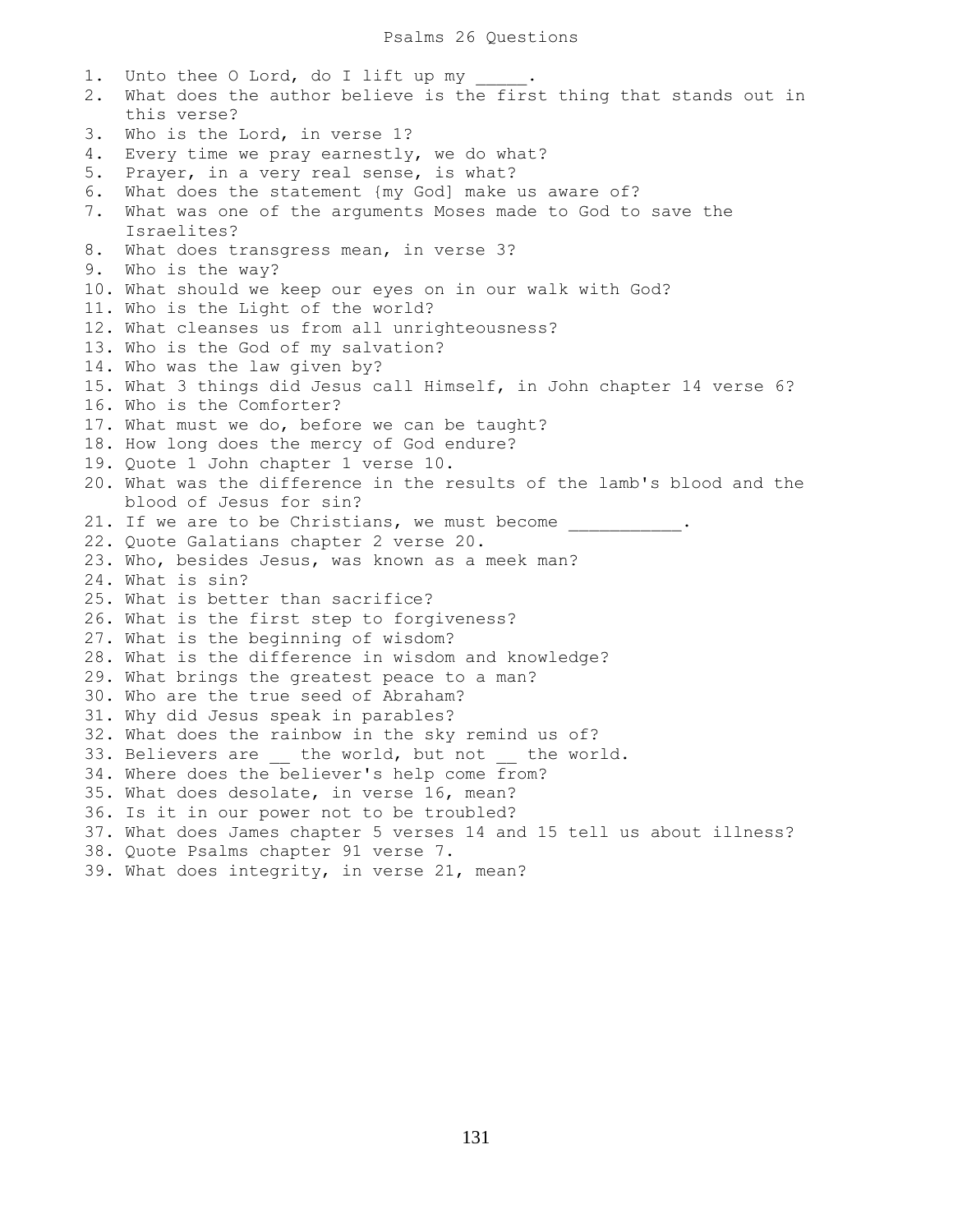1. Unto thee O Lord, do I lift up my 2. What does the author believe is the first thing that stands out in this verse? 3. Who is the Lord, in verse 1? 4. Every time we pray earnestly, we do what? 5. Prayer, in a very real sense, is what? 6. What does the statement {my God] make us aware of? 7. What was one of the arguments Moses made to God to save the Israelites? 8. What does transgress mean, in verse 3? 9. Who is the way? 10. What should we keep our eyes on in our walk with God? 11. Who is the Light of the world? 12. What cleanses us from all unrighteousness? 13. Who is the God of my salvation? 14. Who was the law given by? 15. What 3 things did Jesus call Himself, in John chapter 14 verse 6? 16. Who is the Comforter? 17. What must we do, before we can be taught? 18. How long does the mercy of God endure? 19. Quote 1 John chapter 1 verse 10. 20. What was the difference in the results of the lamb's blood and the blood of Jesus for sin? 21. If we are to be Christians, we must become . 22. Quote Galatians chapter 2 verse 20. 23. Who, besides Jesus, was known as a meek man? 24. What is sin? 25. What is better than sacrifice? 26. What is the first step to forgiveness? 27. What is the beginning of wisdom? 28. What is the difference in wisdom and knowledge? 29. What brings the greatest peace to a man? 30. Who are the true seed of Abraham? 31. Why did Jesus speak in parables? 32. What does the rainbow in the sky remind us of? 33. Believers are \_\_ the world, but not \_\_ the world. 34. Where does the believer's help come from? 35. What does desolate, in verse 16, mean? 36. Is it in our power not to be troubled? 37. What does James chapter 5 verses 14 and 15 tell us about illness? 38. Quote Psalms chapter 91 verse 7. 39. What does integrity, in verse 21, mean?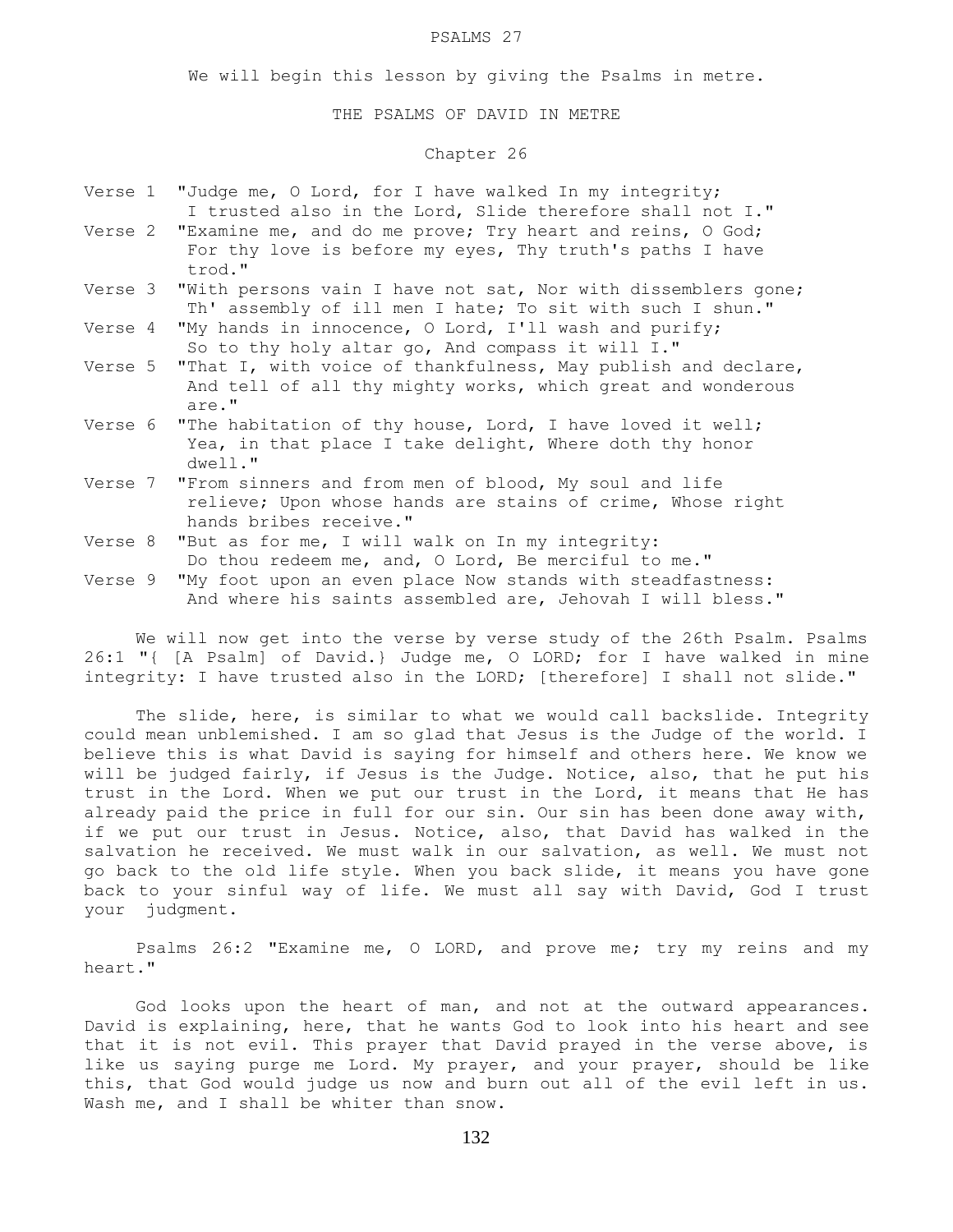#### PSALMS 27

We will begin this lesson by giving the Psalms in metre.

#### THE PSALMS OF DAVID IN METRE

# Chapter 26

|  | Verse 1 "Judge me, O Lord, for I have walked In my integrity;<br>I trusted also in the Lord, Slide therefore shall not I."                            |
|--|-------------------------------------------------------------------------------------------------------------------------------------------------------|
|  | Verse 2 "Examine me, and do me prove; Try heart and reins, O God;<br>For thy love is before my eyes, Thy truth's paths I have<br>trod."               |
|  | Verse 3 "With persons vain I have not sat, Nor with dissemblers gone;<br>Th' assembly of ill men I hate; To sit with such I shun."                    |
|  | Verse 4 "My hands in innocence, O Lord, I'll wash and purify;<br>So to thy holy altar go, And compass it will I."                                     |
|  | Verse 5 "That I, with voice of thankfulness, May publish and declare,<br>And tell of all thy mighty works, which great and wonderous<br>are."         |
|  | Verse 6 "The habitation of thy house, Lord, I have loved it well;<br>Yea, in that place I take delight, Where doth thy honor<br>$dwell.$ "            |
|  | Verse 7 "From sinners and from men of blood, My soul and life<br>relieve; Upon whose hands are stains of crime, Whose right<br>hands bribes receive." |
|  | Verse 8 "But as for me, I will walk on In my integrity:<br>Do thou redeem me, and, O Lord, Be merciful to me."                                        |
|  | Verse 9 "My foot upon an even place Now stands with steadfastness:<br>And where his saints assembled are, Jehovah I will bless."                      |

We will now get into the verse by verse study of the 26th Psalm. Psalms 26:1 "{ [A Psalm] of David.} Judge me, O LORD; for I have walked in mine integrity: I have trusted also in the LORD; [therefore] I shall not slide."

 The slide, here, is similar to what we would call backslide. Integrity could mean unblemished. I am so glad that Jesus is the Judge of the world. I believe this is what David is saying for himself and others here. We know we will be judged fairly, if Jesus is the Judge. Notice, also, that he put his trust in the Lord. When we put our trust in the Lord, it means that He has already paid the price in full for our sin. Our sin has been done away with, if we put our trust in Jesus. Notice, also, that David has walked in the salvation he received. We must walk in our salvation, as well. We must not go back to the old life style. When you back slide, it means you have gone back to your sinful way of life. We must all say with David, God I trust your judgment.

 Psalms 26:2 "Examine me, O LORD, and prove me; try my reins and my heart."

 God looks upon the heart of man, and not at the outward appearances. David is explaining, here, that he wants God to look into his heart and see that it is not evil. This prayer that David prayed in the verse above, is like us saying purge me Lord. My prayer, and your prayer, should be like this, that God would judge us now and burn out all of the evil left in us. Wash me, and I shall be whiter than snow.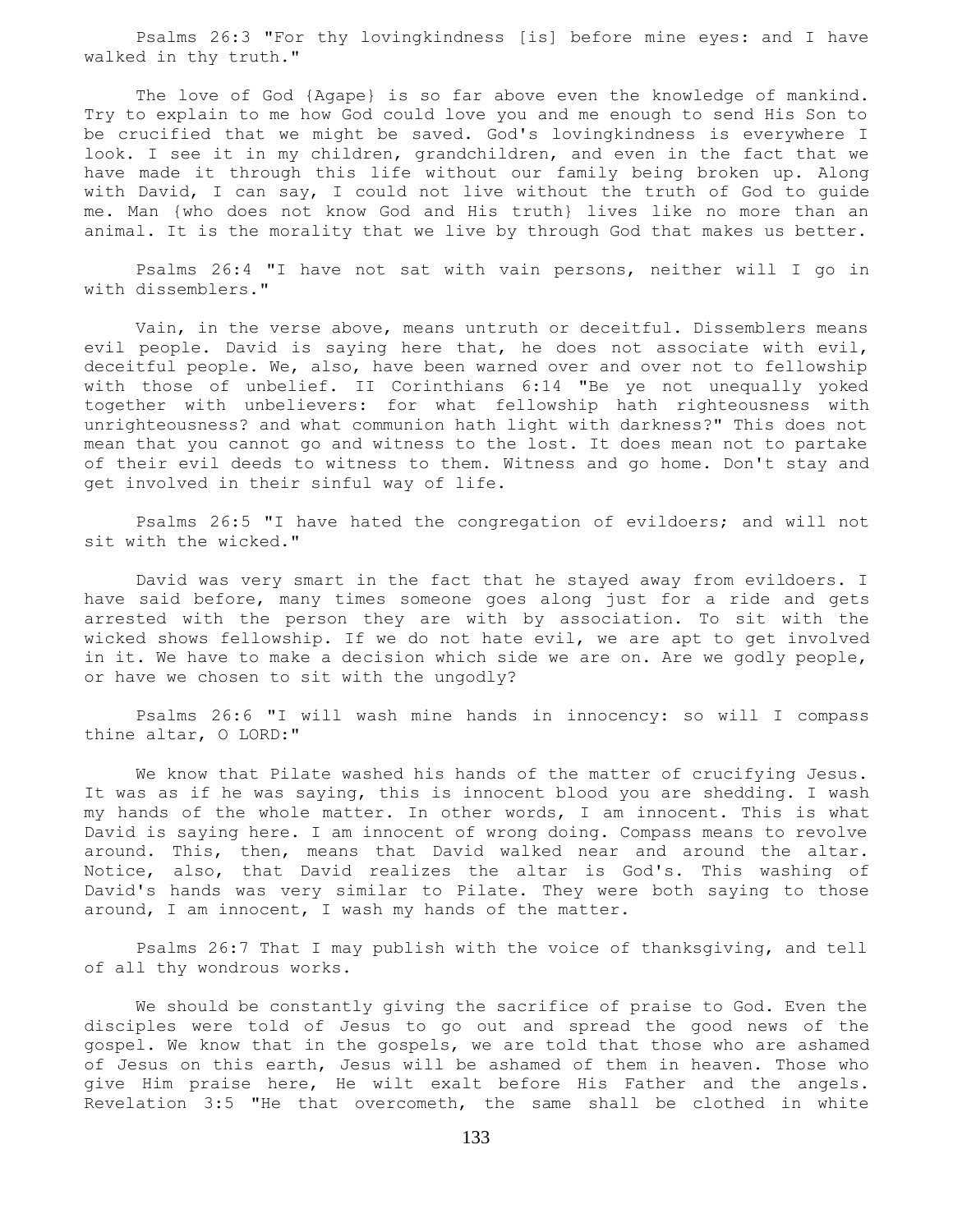Psalms 26:3 "For thy lovingkindness [is] before mine eyes: and I have walked in thy truth."

 The love of God {Agape} is so far above even the knowledge of mankind. Try to explain to me how God could love you and me enough to send His Son to be crucified that we might be saved. God's lovingkindness is everywhere I look. I see it in my children, grandchildren, and even in the fact that we have made it through this life without our family being broken up. Along with David, I can say, I could not live without the truth of God to guide me. Man {who does not know God and His truth} lives like no more than an animal. It is the morality that we live by through God that makes us better.

 Psalms 26:4 "I have not sat with vain persons, neither will I go in with dissemblers."

 Vain, in the verse above, means untruth or deceitful. Dissemblers means evil people. David is saying here that, he does not associate with evil, deceitful people. We, also, have been warned over and over not to fellowship with those of unbelief. II Corinthians 6:14 "Be ye not unequally yoked together with unbelievers: for what fellowship hath righteousness with unrighteousness? and what communion hath light with darkness?" This does not mean that you cannot go and witness to the lost. It does mean not to partake of their evil deeds to witness to them. Witness and go home. Don't stay and get involved in their sinful way of life.

 Psalms 26:5 "I have hated the congregation of evildoers; and will not sit with the wicked."

 David was very smart in the fact that he stayed away from evildoers. I have said before, many times someone goes along just for a ride and gets arrested with the person they are with by association. To sit with the wicked shows fellowship. If we do not hate evil, we are apt to get involved in it. We have to make a decision which side we are on. Are we godly people, or have we chosen to sit with the ungodly?

 Psalms 26:6 "I will wash mine hands in innocency: so will I compass thine altar, O LORD:"

 We know that Pilate washed his hands of the matter of crucifying Jesus. It was as if he was saying, this is innocent blood you are shedding. I wash my hands of the whole matter. In other words, I am innocent. This is what David is saying here. I am innocent of wrong doing. Compass means to revolve around. This, then, means that David walked near and around the altar. Notice, also, that David realizes the altar is God's. This washing of David's hands was very similar to Pilate. They were both saying to those around, I am innocent, I wash my hands of the matter.

 Psalms 26:7 That I may publish with the voice of thanksgiving, and tell of all thy wondrous works.

 We should be constantly giving the sacrifice of praise to God. Even the disciples were told of Jesus to go out and spread the good news of the gospel. We know that in the gospels, we are told that those who are ashamed of Jesus on this earth, Jesus will be ashamed of them in heaven. Those who give Him praise here, He wilt exalt before His Father and the angels. Revelation 3:5 "He that overcometh, the same shall be clothed in white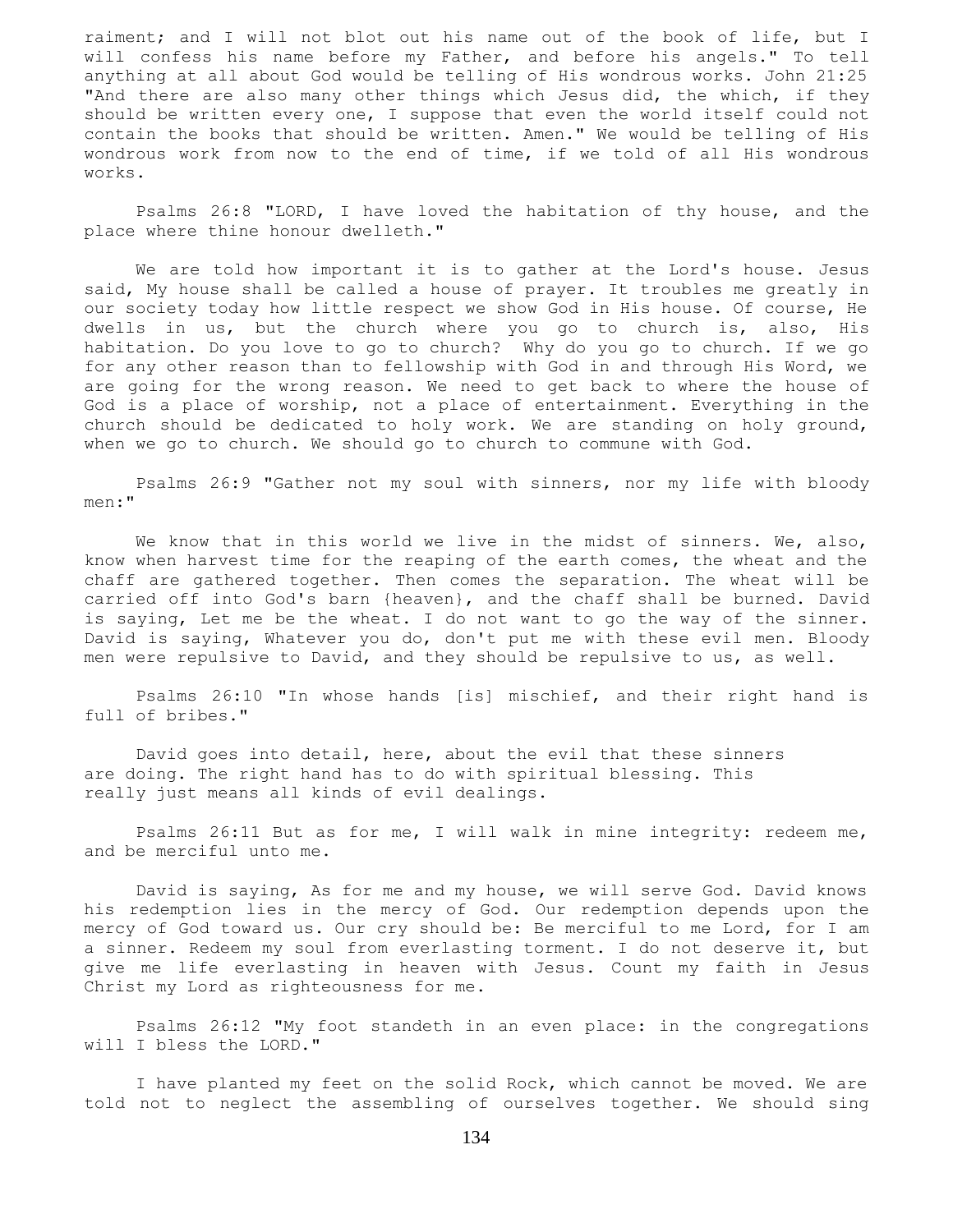raiment; and I will not blot out his name out of the book of life, but I will confess his name before my Father, and before his angels." To tell anything at all about God would be telling of His wondrous works. John 21:25 "And there are also many other things which Jesus did, the which, if they should be written every one, I suppose that even the world itself could not contain the books that should be written. Amen." We would be telling of His wondrous work from now to the end of time, if we told of all His wondrous works.

 Psalms 26:8 "LORD, I have loved the habitation of thy house, and the place where thine honour dwelleth."

 We are told how important it is to gather at the Lord's house. Jesus said, My house shall be called a house of prayer. It troubles me greatly in our society today how little respect we show God in His house. Of course, He dwells in us, but the church where you go to church is, also, His habitation. Do you love to go to church? Why do you go to church. If we go for any other reason than to fellowship with God in and through His Word, we are going for the wrong reason. We need to get back to where the house of God is a place of worship, not a place of entertainment. Everything in the church should be dedicated to holy work. We are standing on holy ground, when we go to church. We should go to church to commune with God.

 Psalms 26:9 "Gather not my soul with sinners, nor my life with bloody men:"

We know that in this world we live in the midst of sinners. We, also, know when harvest time for the reaping of the earth comes, the wheat and the chaff are gathered together. Then comes the separation. The wheat will be carried off into God's barn {heaven}, and the chaff shall be burned. David is saying, Let me be the wheat. I do not want to go the way of the sinner. David is saying, Whatever you do, don't put me with these evil men. Bloody men were repulsive to David, and they should be repulsive to us, as well.

 Psalms 26:10 "In whose hands [is] mischief, and their right hand is full of bribes."

 David goes into detail, here, about the evil that these sinners are doing. The right hand has to do with spiritual blessing. This really just means all kinds of evil dealings.

 Psalms 26:11 But as for me, I will walk in mine integrity: redeem me, and be merciful unto me.

 David is saying, As for me and my house, we will serve God. David knows his redemption lies in the mercy of God. Our redemption depends upon the mercy of God toward us. Our cry should be: Be merciful to me Lord, for I am a sinner. Redeem my soul from everlasting torment. I do not deserve it, but give me life everlasting in heaven with Jesus. Count my faith in Jesus Christ my Lord as righteousness for me.

 Psalms 26:12 "My foot standeth in an even place: in the congregations will I bless the LORD."

 I have planted my feet on the solid Rock, which cannot be moved. We are told not to neglect the assembling of ourselves together. We should sing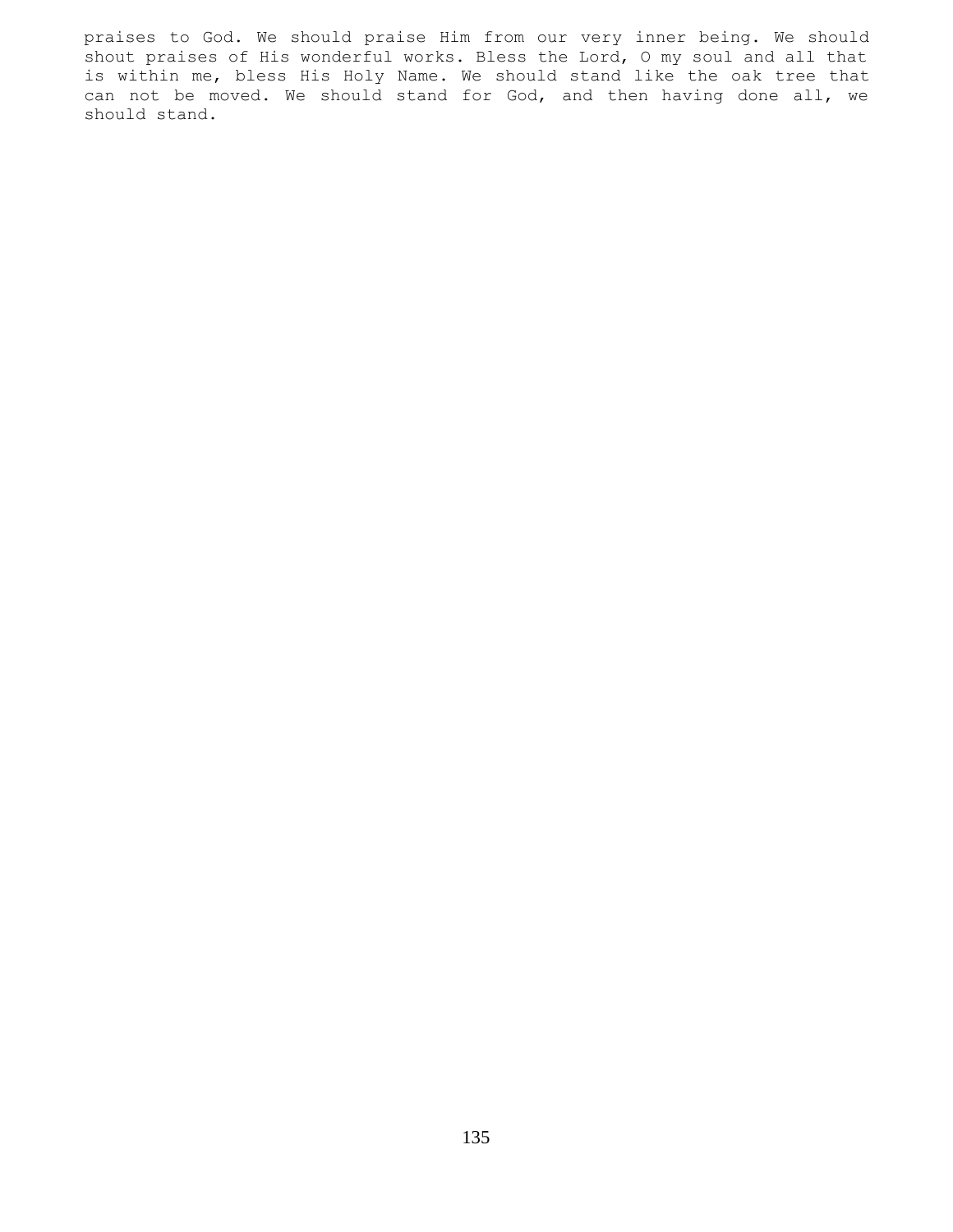praises to God. We should praise Him from our very inner being. We should shout praises of His wonderful works. Bless the Lord, O my soul and all that is within me, bless His Holy Name. We should stand like the oak tree that can not be moved. We should stand for God, and then having done all, we should stand.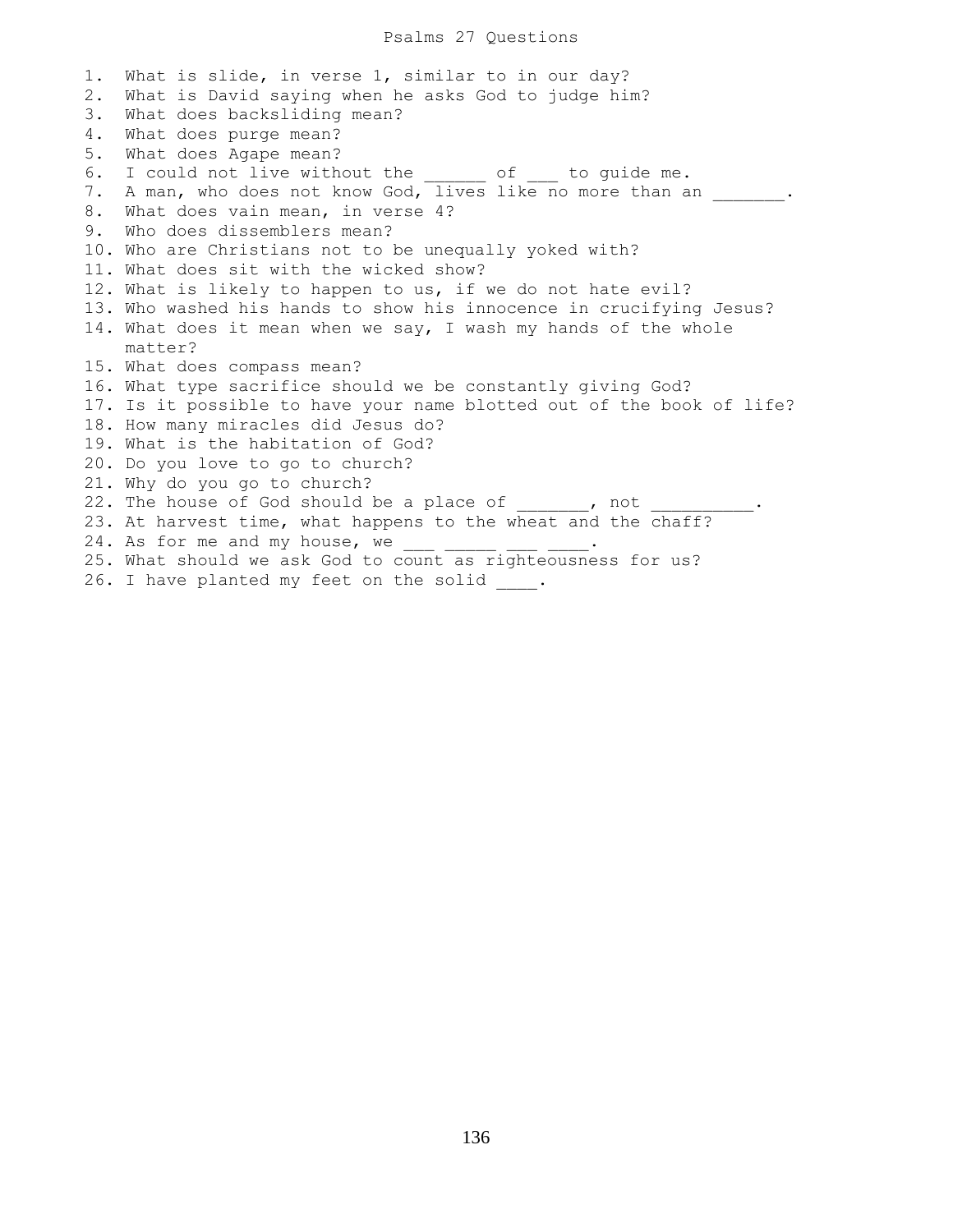### Psalms 27 Questions

1. What is slide, in verse 1, similar to in our day? 2. What is David saying when he asks God to judge him? 3. What does backsliding mean? 4. What does purge mean? 5. What does Agape mean? 6. I could not live without the of to guide me. 7. A man, who does not know God, lives like no more than an . 8. What does vain mean, in verse 4? 9. Who does dissemblers mean? 10. Who are Christians not to be unequally yoked with? 11. What does sit with the wicked show? 12. What is likely to happen to us, if we do not hate evil? 13. Who washed his hands to show his innocence in crucifying Jesus? 14. What does it mean when we say, I wash my hands of the whole matter? 15. What does compass mean? 16. What type sacrifice should we be constantly giving God? 17. Is it possible to have your name blotted out of the book of life? 18. How many miracles did Jesus do? 19. What is the habitation of God? 20. Do you love to go to church? 21. Why do you go to church? 22. The house of God should be a place of  $\qquad \qquad$  , not 23. At harvest time, what happens to the wheat and the chaff? 24. As for me and my house, we  $\frac{1}{\sqrt{2}}$ 25. What should we ask God to count as righteousness for us?

26. I have planted my feet on the solid .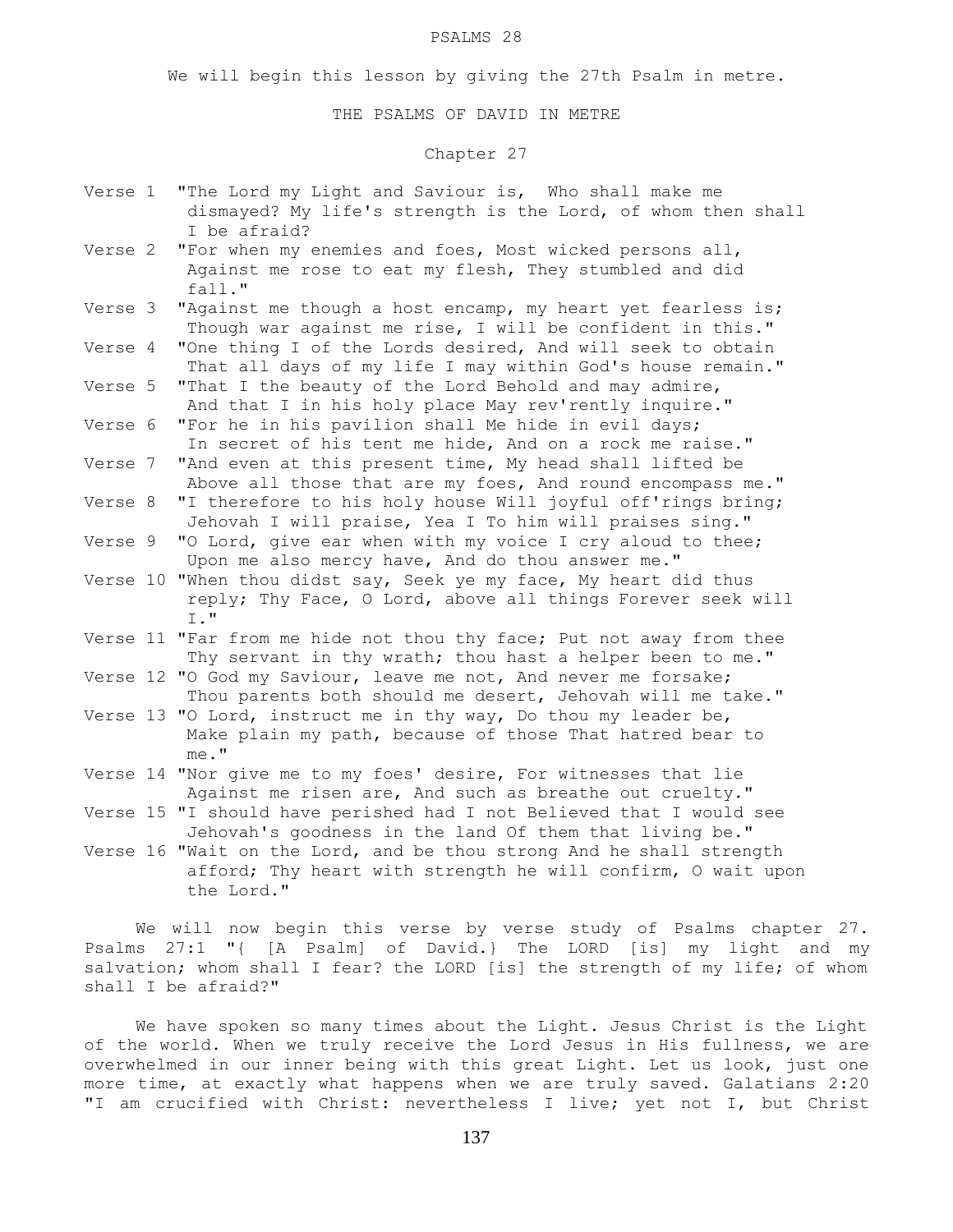#### PSALMS 28

We will begin this lesson by giving the 27th Psalm in metre.

THE PSALMS OF DAVID IN METRE

## Chapter 27

- Verse 1 "The Lord my Light and Saviour is, Who shall make me dismayed? My life's strength is the Lord, of whom then shall I be afraid?
- Verse 2 "For when my enemies and foes, Most wicked persons all, Against me rose to eat my flesh, They stumbled and did fall."<br>Verse 3 "Agains
- "Against me though a host encamp, my heart yet fearless is; Though war against me rise, I will be confident in this."
- Verse 4 "One thing I of the Lords desired, And will seek to obtain That all days of my life I may within God's house remain."
- Verse 5 "That I the beauty of the Lord Behold and may admire, And that I in his holy place May rev'rently inquire."
- Verse 6 "For he in his pavilion shall Me hide in evil days; In secret of his tent me hide, And on a rock me raise."
- Verse 7 "And even at this present time, My head shall lifted be Above all those that are my foes, And round encompass me."
- Verse 8 "I therefore to his holy house Will joyful off'rings bring; Jehovah I will praise, Yea I To him will praises sing."
- Verse 9 "O Lord, give ear when with my voice I cry aloud to thee; Upon me also mercy have, And do thou answer me."
- Verse 10 "When thou didst say, Seek ye my face, My heart did thus reply; Thy Face, O Lord, above all things Forever seek will I."
- Verse 11 "Far from me hide not thou thy face; Put not away from thee Thy servant in thy wrath; thou hast a helper been to me."
- Verse 12 "O God my Saviour, leave me not, And never me forsake; Thou parents both should me desert, Jehovah will me take."
- Verse 13 "O Lord, instruct me in thy way, Do thou my leader be, Make plain my path, because of those That hatred bear to me."
- Verse 14 "Nor give me to my foes' desire, For witnesses that lie Against me risen are, And such as breathe out cruelty."
- Verse 15 "I should have perished had I not Believed that I would see Jehovah's goodness in the land Of them that living be."
- Verse 16 "Wait on the Lord, and be thou strong And he shall strength afford; Thy heart with strength he will confirm, O wait upon the Lord."

 We will now begin this verse by verse study of Psalms chapter 27. Psalms 27:1 "{ [A Psalm] of David.} The LORD [is] my light and my salvation; whom shall I fear? the LORD [is] the strength of my life; of whom shall I be afraid?"

 We have spoken so many times about the Light. Jesus Christ is the Light of the world. When we truly receive the Lord Jesus in His fullness, we are overwhelmed in our inner being with this great Light. Let us look, just one more time, at exactly what happens when we are truly saved. Galatians 2:20 "I am crucified with Christ: nevertheless I live; yet not I, but Christ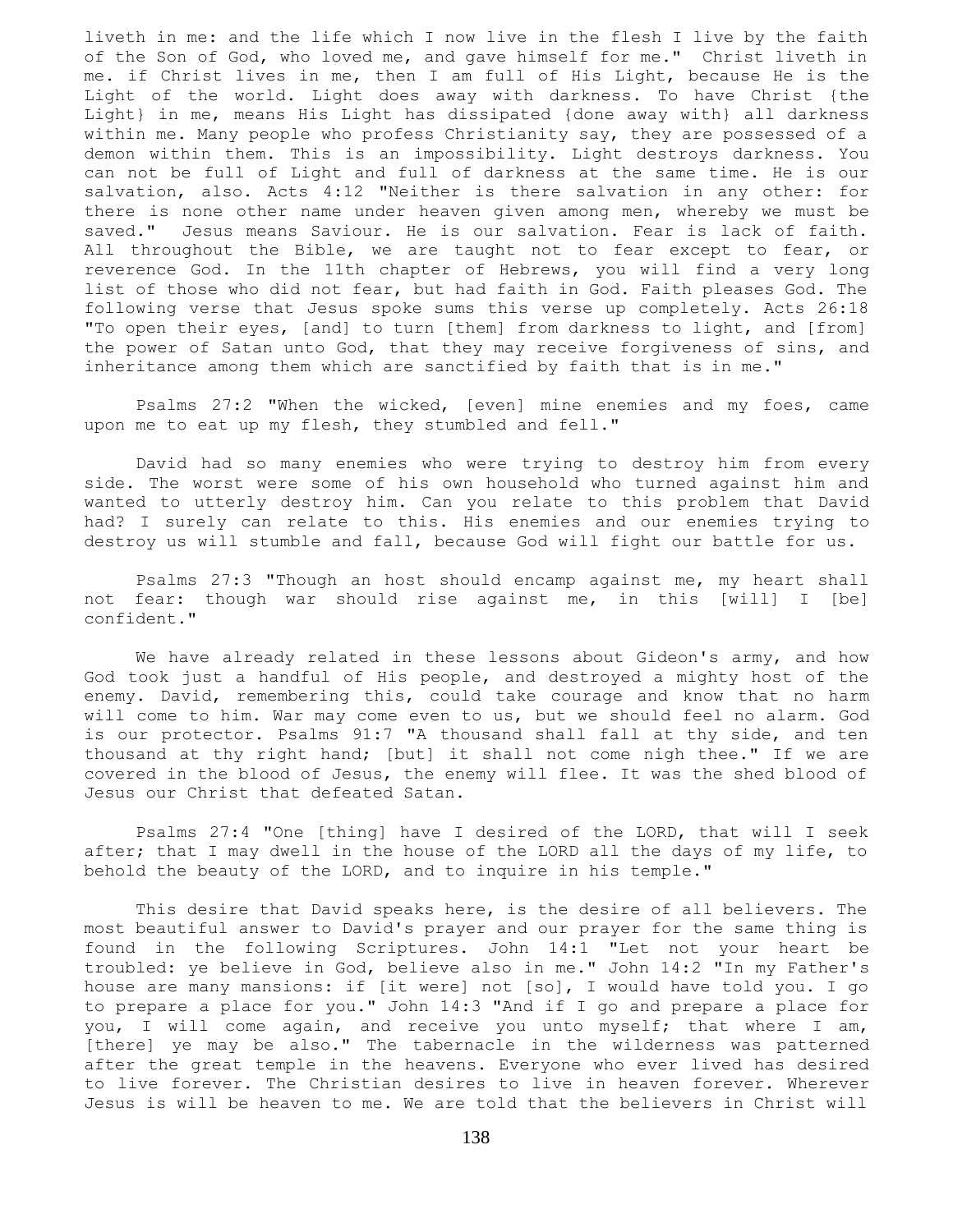liveth in me: and the life which I now live in the flesh I live by the faith of the Son of God, who loved me, and gave himself for me." Christ liveth in me. if Christ lives in me, then I am full of His Light, because He is the Light of the world. Light does away with darkness. To have Christ {the Light} in me, means His Light has dissipated {done away with} all darkness within me. Many people who profess Christianity say, they are possessed of a demon within them. This is an impossibility. Light destroys darkness. You can not be full of Light and full of darkness at the same time. He is our salvation, also. Acts 4:12 "Neither is there salvation in any other: for there is none other name under heaven given among men, whereby we must be saved." Jesus means Saviour. He is our salvation. Fear is lack of faith. All throughout the Bible, we are taught not to fear except to fear, or reverence God. In the 11th chapter of Hebrews, you will find a very long list of those who did not fear, but had faith in God. Faith pleases God. The following verse that Jesus spoke sums this verse up completely. Acts 26:18 "To open their eyes, [and] to turn [them] from darkness to light, and [from] the power of Satan unto God, that they may receive forgiveness of sins, and inheritance among them which are sanctified by faith that is in me."

 Psalms 27:2 "When the wicked, [even] mine enemies and my foes, came upon me to eat up my flesh, they stumbled and fell."

 David had so many enemies who were trying to destroy him from every side. The worst were some of his own household who turned against him and wanted to utterly destroy him. Can you relate to this problem that David had? I surely can relate to this. His enemies and our enemies trying to destroy us will stumble and fall, because God will fight our battle for us.

 Psalms 27:3 "Though an host should encamp against me, my heart shall not fear: though war should rise against me, in this [will] I [be] confident."

We have already related in these lessons about Gideon's army, and how God took just a handful of His people, and destroyed a mighty host of the enemy. David, remembering this, could take courage and know that no harm will come to him. War may come even to us, but we should feel no alarm. God is our protector. Psalms 91:7 "A thousand shall fall at thy side, and ten thousand at thy right hand; [but] it shall not come nigh thee." If we are covered in the blood of Jesus, the enemy will flee. It was the shed blood of Jesus our Christ that defeated Satan.

 Psalms 27:4 "One [thing] have I desired of the LORD, that will I seek after; that I may dwell in the house of the LORD all the days of my life, to behold the beauty of the LORD, and to inquire in his temple."

 This desire that David speaks here, is the desire of all believers. The most beautiful answer to David's prayer and our prayer for the same thing is found in the following Scriptures. John 14:1 "Let not your heart be troubled: ye believe in God, believe also in me." John 14:2 "In my Father's house are many mansions: if [it were] not [so], I would have told you. I go to prepare a place for you." John 14:3 "And if I go and prepare a place for you, I will come again, and receive you unto myself; that where I am, [there] ye may be also." The tabernacle in the wilderness was patterned after the great temple in the heavens. Everyone who ever lived has desired to live forever. The Christian desires to live in heaven forever. Wherever Jesus is will be heaven to me. We are told that the believers in Christ will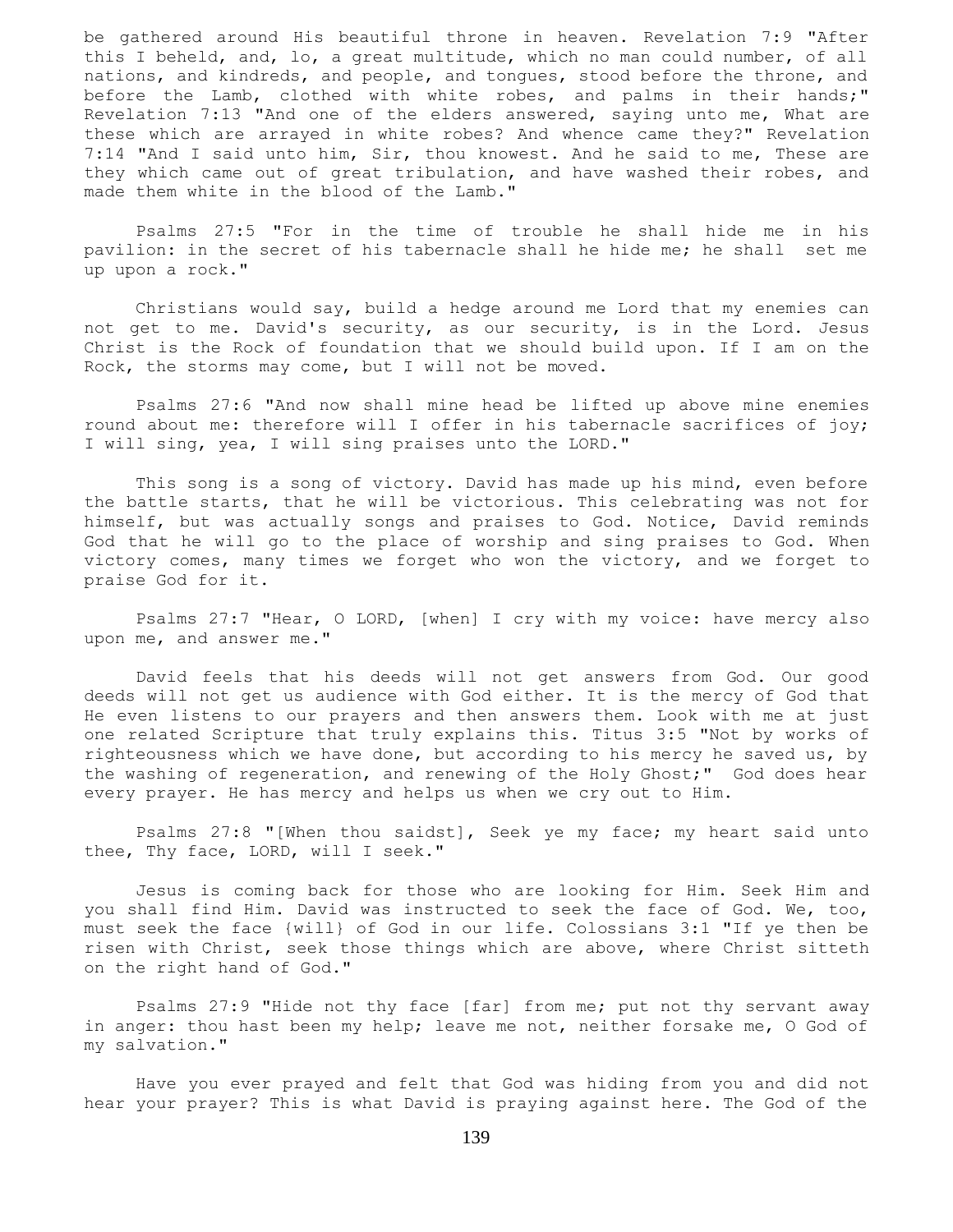be gathered around His beautiful throne in heaven. Revelation 7:9 "After this I beheld, and, lo, a great multitude, which no man could number, of all nations, and kindreds, and people, and tongues, stood before the throne, and before the Lamb, clothed with white robes, and palms in their hands;" Revelation 7:13 "And one of the elders answered, saying unto me, What are these which are arrayed in white robes? And whence came they?" Revelation 7:14 "And I said unto him, Sir, thou knowest. And he said to me, These are they which came out of great tribulation, and have washed their robes, and made them white in the blood of the Lamb."

 Psalms 27:5 "For in the time of trouble he shall hide me in his pavilion: in the secret of his tabernacle shall he hide me; he shall set me up upon a rock."

 Christians would say, build a hedge around me Lord that my enemies can not get to me. David's security, as our security, is in the Lord. Jesus Christ is the Rock of foundation that we should build upon. If I am on the Rock, the storms may come, but I will not be moved.

 Psalms 27:6 "And now shall mine head be lifted up above mine enemies round about me: therefore will I offer in his tabernacle sacrifices of joy; I will sing, yea, I will sing praises unto the LORD."

 This song is a song of victory. David has made up his mind, even before the battle starts, that he will be victorious. This celebrating was not for himself, but was actually songs and praises to God. Notice, David reminds God that he will go to the place of worship and sing praises to God. When victory comes, many times we forget who won the victory, and we forget to praise God for it.

 Psalms 27:7 "Hear, O LORD, [when] I cry with my voice: have mercy also upon me, and answer me."

 David feels that his deeds will not get answers from God. Our good deeds will not get us audience with God either. It is the mercy of God that He even listens to our prayers and then answers them. Look with me at just one related Scripture that truly explains this. Titus 3:5 "Not by works of righteousness which we have done, but according to his mercy he saved us, by the washing of regeneration, and renewing of the Holy Ghost;" God does hear every prayer. He has mercy and helps us when we cry out to Him.

 Psalms 27:8 "[When thou saidst], Seek ye my face; my heart said unto thee, Thy face, LORD, will I seek."

 Jesus is coming back for those who are looking for Him. Seek Him and you shall find Him. David was instructed to seek the face of God. We, too, must seek the face {will} of God in our life. Colossians 3:1 "If ye then be risen with Christ, seek those things which are above, where Christ sitteth on the right hand of God."

 Psalms 27:9 "Hide not thy face [far] from me; put not thy servant away in anger: thou hast been my help; leave me not, neither forsake me, O God of my salvation."

 Have you ever prayed and felt that God was hiding from you and did not hear your prayer? This is what David is praying against here. The God of the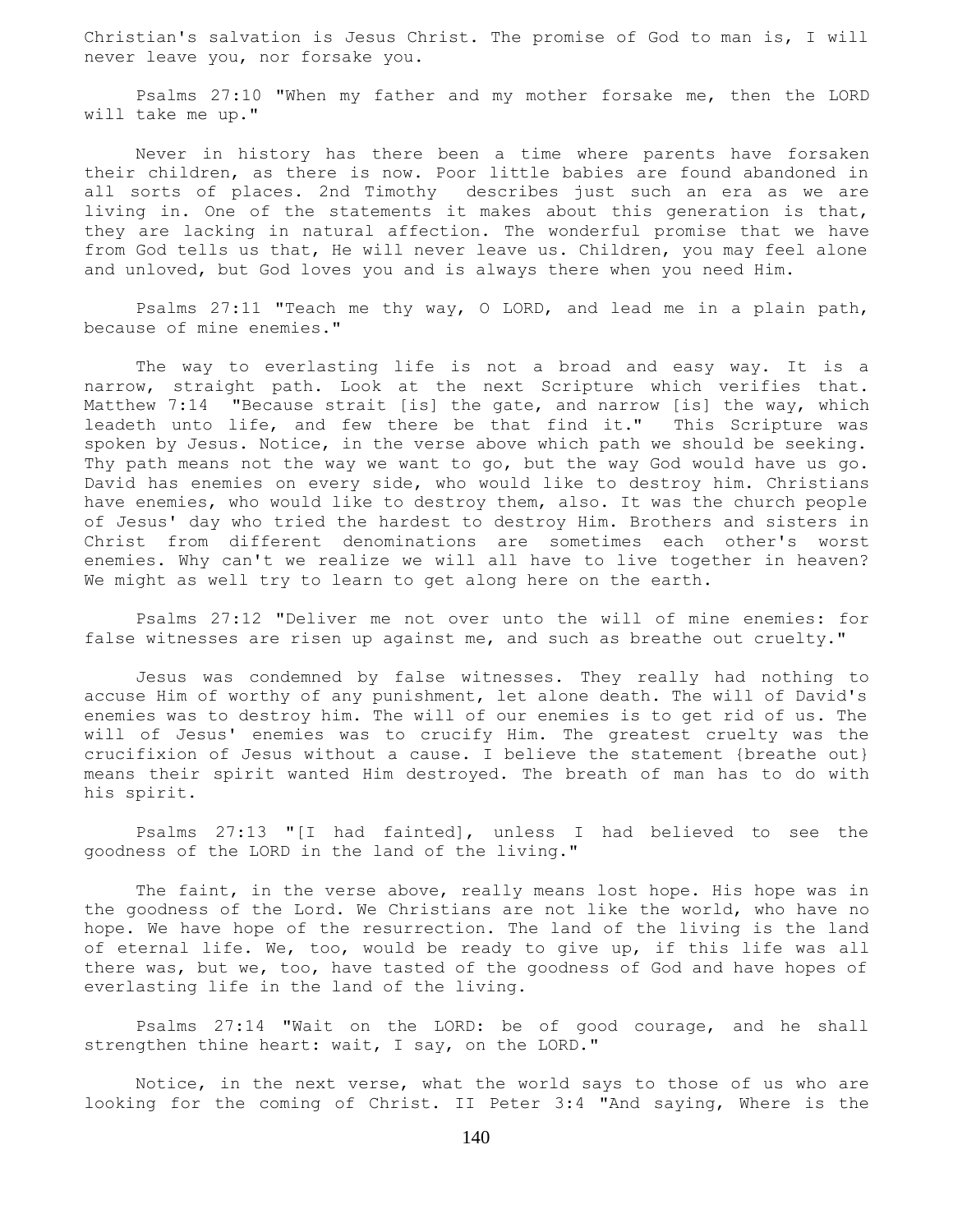Christian's salvation is Jesus Christ. The promise of God to man is, I will never leave you, nor forsake you.

 Psalms 27:10 "When my father and my mother forsake me, then the LORD will take me up."

 Never in history has there been a time where parents have forsaken their children, as there is now. Poor little babies are found abandoned in all sorts of places. 2nd Timothy describes just such an era as we are living in. One of the statements it makes about this generation is that, they are lacking in natural affection. The wonderful promise that we have from God tells us that, He will never leave us. Children, you may feel alone and unloved, but God loves you and is always there when you need Him.

 Psalms 27:11 "Teach me thy way, O LORD, and lead me in a plain path, because of mine enemies."

 The way to everlasting life is not a broad and easy way. It is a narrow, straight path. Look at the next Scripture which verifies that. Matthew 7:14 "Because strait [is] the gate, and narrow [is] the way, which leadeth unto life, and few there be that find it." This Scripture was spoken by Jesus. Notice, in the verse above which path we should be seeking. Thy path means not the way we want to go, but the way God would have us go. David has enemies on every side, who would like to destroy him. Christians have enemies, who would like to destroy them, also. It was the church people of Jesus' day who tried the hardest to destroy Him. Brothers and sisters in Christ from different denominations are sometimes each other's worst enemies. Why can't we realize we will all have to live together in heaven? We might as well try to learn to get along here on the earth.

 Psalms 27:12 "Deliver me not over unto the will of mine enemies: for false witnesses are risen up against me, and such as breathe out cruelty."

 Jesus was condemned by false witnesses. They really had nothing to accuse Him of worthy of any punishment, let alone death. The will of David's enemies was to destroy him. The will of our enemies is to get rid of us. The will of Jesus' enemies was to crucify Him. The greatest cruelty was the crucifixion of Jesus without a cause. I believe the statement {breathe out} means their spirit wanted Him destroyed. The breath of man has to do with his spirit.

 Psalms 27:13 "[I had fainted], unless I had believed to see the goodness of the LORD in the land of the living."

 The faint, in the verse above, really means lost hope. His hope was in the goodness of the Lord. We Christians are not like the world, who have no hope. We have hope of the resurrection. The land of the living is the land of eternal life. We, too, would be ready to give up, if this life was all there was, but we, too, have tasted of the goodness of God and have hopes of everlasting life in the land of the living.

 Psalms 27:14 "Wait on the LORD: be of good courage, and he shall strengthen thine heart: wait, I say, on the LORD."

 Notice, in the next verse, what the world says to those of us who are looking for the coming of Christ. II Peter 3:4 "And saying, Where is the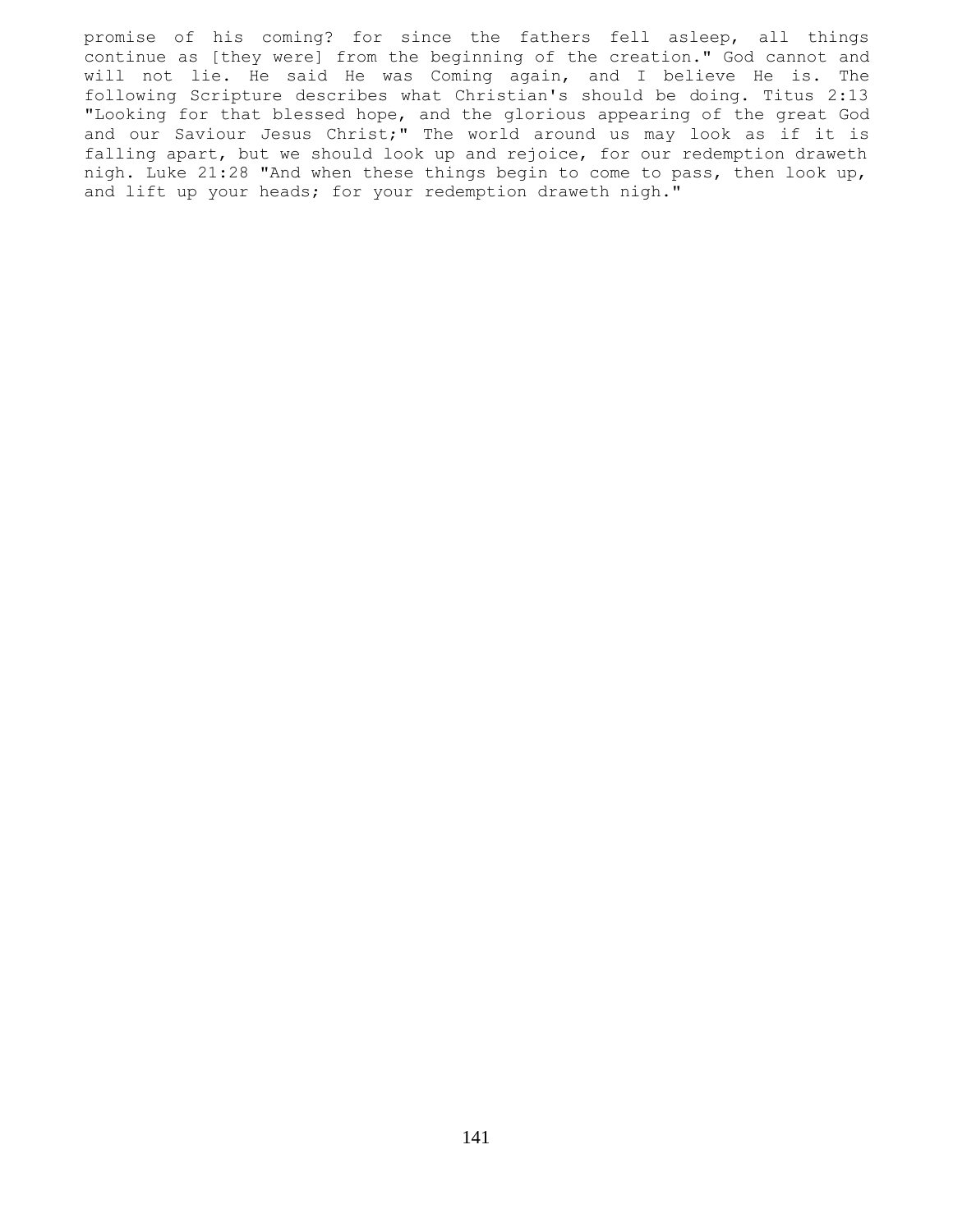promise of his coming? for since the fathers fell asleep, all things continue as [they were] from the beginning of the creation." God cannot and will not lie. He said He was Coming again, and I believe He is. The following Scripture describes what Christian's should be doing. Titus 2:13 "Looking for that blessed hope, and the glorious appearing of the great God and our Saviour Jesus Christ;" The world around us may look as if it is falling apart, but we should look up and rejoice, for our redemption draweth nigh. Luke 21:28 "And when these things begin to come to pass, then look up, and lift up your heads; for your redemption draweth nigh."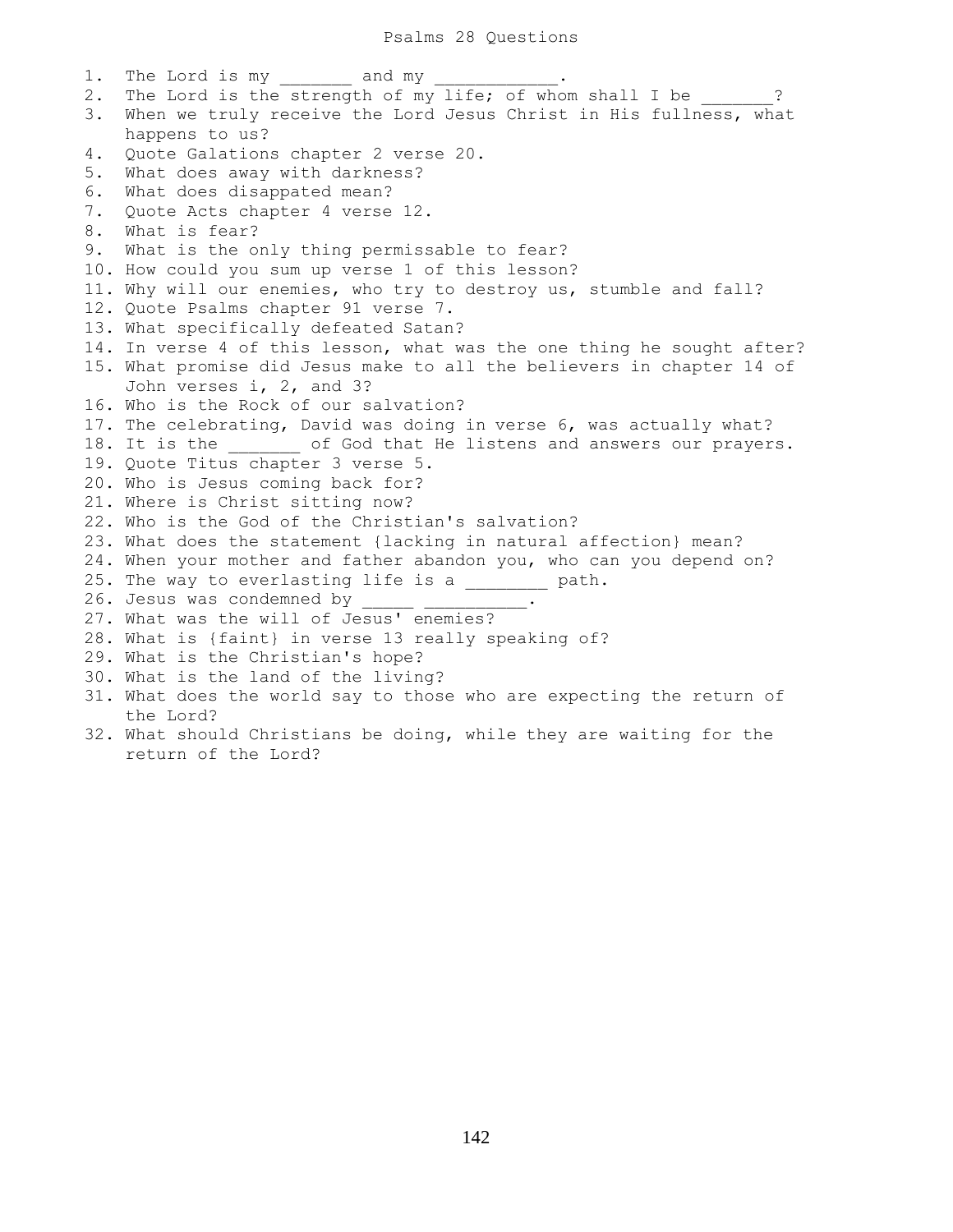1. The Lord is my and my 2. The Lord is the strength of my life; of whom shall I be  $\qquad$  ? 3. When we truly receive the Lord Jesus Christ in His fullness, what happens to us? 4. Quote Galations chapter 2 verse 20. 5. What does away with darkness? 6. What does disappated mean? 7. Quote Acts chapter 4 verse 12. 8. What is fear? 9. What is the only thing permissable to fear? 10. How could you sum up verse 1 of this lesson? 11. Why will our enemies, who try to destroy us, stumble and fall? 12. Quote Psalms chapter 91 verse 7. 13. What specifically defeated Satan? 14. In verse 4 of this lesson, what was the one thing he sought after? 15. What promise did Jesus make to all the believers in chapter 14 of John verses i, 2, and 3? 16. Who is the Rock of our salvation? 17. The celebrating, David was doing in verse 6, was actually what? 18. It is the  $\qquad$  of God that He listens and answers our prayers. 19. Quote Titus chapter 3 verse 5. 20. Who is Jesus coming back for? 21. Where is Christ sitting now? 22. Who is the God of the Christian's salvation? 23. What does the statement {lacking in natural affection} mean? 24. When your mother and father abandon you, who can you depend on? 25. The way to everlasting life is a \_\_\_\_\_\_\_\_ path. 26. Jesus was condemned by \_\_\_\_\_ \_\_\_\_\_\_\_\_\_\_. 27. What was the will of Jesus' enemies? 28. What is {faint} in verse 13 really speaking of? 29. What is the Christian's hope? 30. What is the land of the living? 31. What does the world say to those who are expecting the return of the Lord? 32. What should Christians be doing, while they are waiting for the

return of the Lord?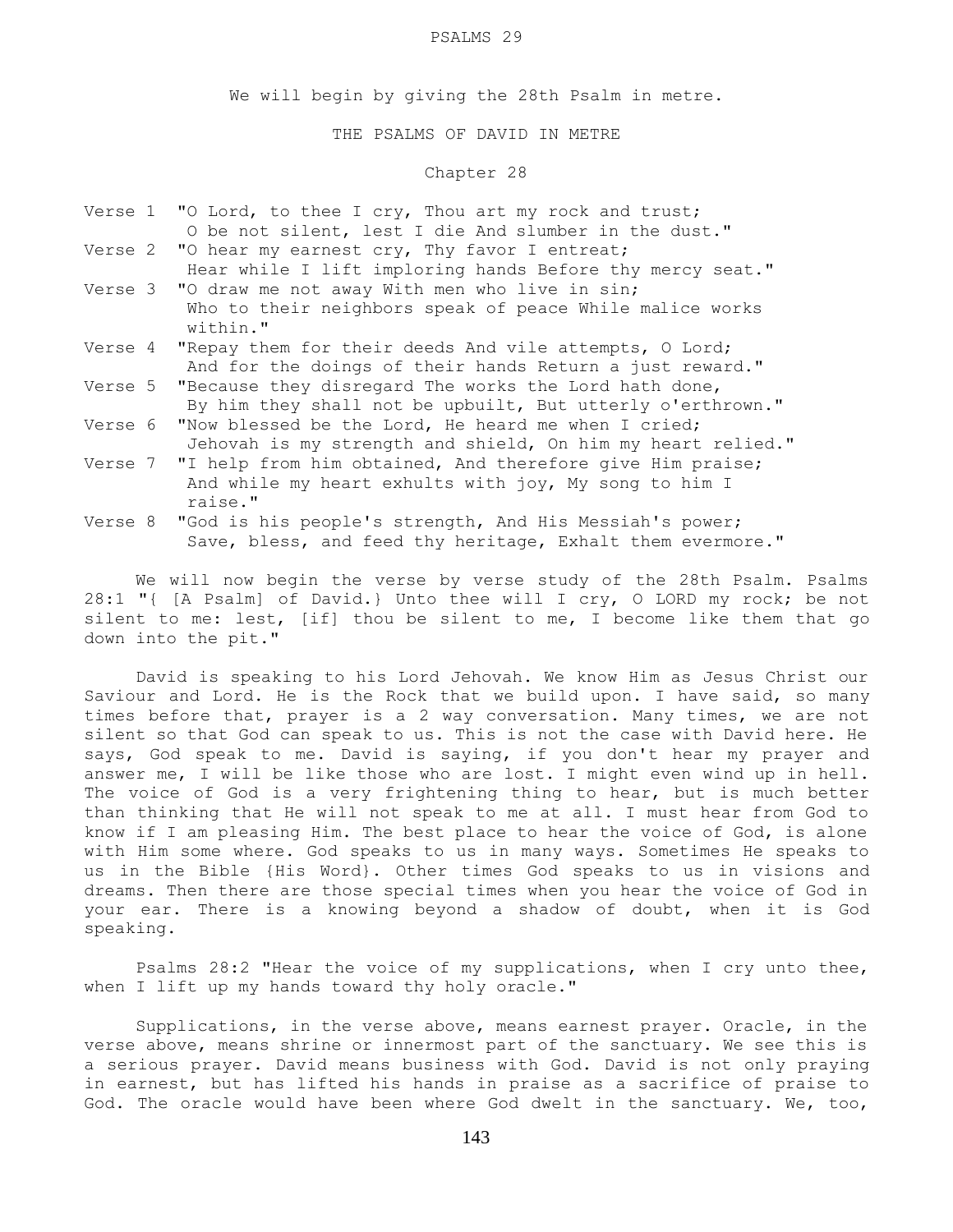#### PSALMS 29

We will begin by giving the 28th Psalm in metre.

THE PSALMS OF DAVID IN METRE

# Chapter 28

- Verse 1 "O Lord, to thee I cry, Thou art my rock and trust; O be not silent, lest I die And slumber in the dust."
- Verse 2 "O hear my earnest cry, Thy favor I entreat; Hear while I lift imploring hands Before thy mercy seat."
- Verse 3 "O draw me not away With men who live in sin; Who to their neighbors speak of peace While malice works within."
- Verse 4 "Repay them for their deeds And vile attempts, O Lord; And for the doings of their hands Return a just reward."
- Verse 5 "Because they disregard The works the Lord hath done, By him they shall not be upbuilt, But utterly o'erthrown."
- Verse 6 "Now blessed be the Lord, He heard me when I cried; Jehovah is my strength and shield, On him my heart relied."
- Verse 7 "I help from him obtained, And therefore give Him praise; And while my heart exhults with joy, My song to him I raise."
- Verse 8 "God is his people's strength, And His Messiah's power; Save, bless, and feed thy heritage, Exhalt them evermore."

 We will now begin the verse by verse study of the 28th Psalm. Psalms 28:1 "{ [A Psalm] of David.} Unto thee will I cry, O LORD my rock; be not silent to me: lest, [if] thou be silent to me, I become like them that go down into the pit."

 David is speaking to his Lord Jehovah. We know Him as Jesus Christ our Saviour and Lord. He is the Rock that we build upon. I have said, so many times before that, prayer is a 2 way conversation. Many times, we are not silent so that God can speak to us. This is not the case with David here. He says, God speak to me. David is saying, if you don't hear my prayer and answer me, I will be like those who are lost. I might even wind up in hell. The voice of God is a very frightening thing to hear, but is much better than thinking that He will not speak to me at all. I must hear from God to know if I am pleasing Him. The best place to hear the voice of God, is alone with Him some where. God speaks to us in many ways. Sometimes He speaks to us in the Bible {His Word}. Other times God speaks to us in visions and dreams. Then there are those special times when you hear the voice of God in your ear. There is a knowing beyond a shadow of doubt, when it is God speaking.

 Psalms 28:2 "Hear the voice of my supplications, when I cry unto thee, when I lift up my hands toward thy holy oracle."

 Supplications, in the verse above, means earnest prayer. Oracle, in the verse above, means shrine or innermost part of the sanctuary. We see this is a serious prayer. David means business with God. David is not only praying in earnest, but has lifted his hands in praise as a sacrifice of praise to God. The oracle would have been where God dwelt in the sanctuary. We, too,

143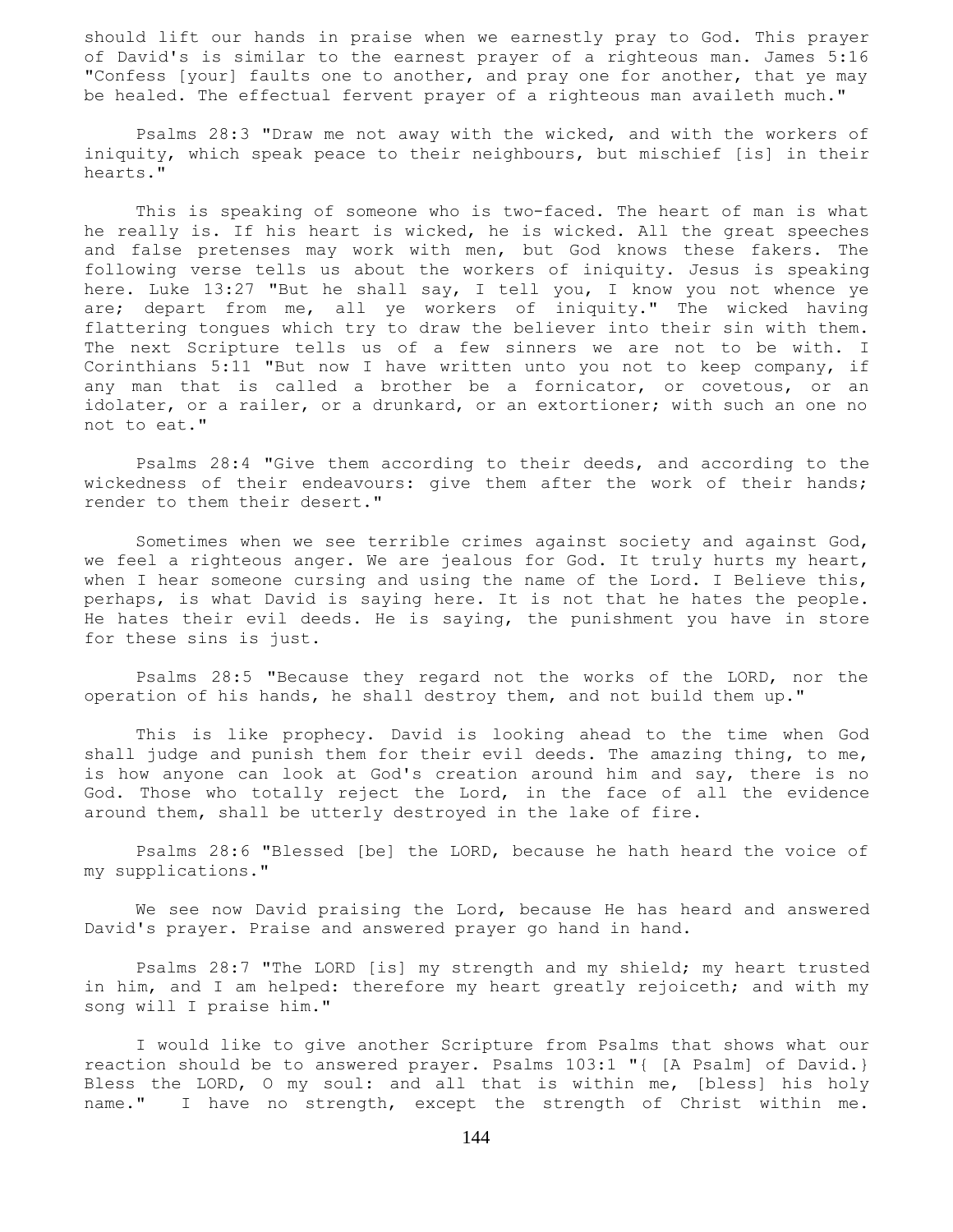should lift our hands in praise when we earnestly pray to God. This prayer of David's is similar to the earnest prayer of a righteous man. James 5:16 "Confess [your] faults one to another, and pray one for another, that ye may be healed. The effectual fervent prayer of a righteous man availeth much."

 Psalms 28:3 "Draw me not away with the wicked, and with the workers of iniquity, which speak peace to their neighbours, but mischief [is] in their hearts."

 This is speaking of someone who is two-faced. The heart of man is what he really is. If his heart is wicked, he is wicked. All the great speeches and false pretenses may work with men, but God knows these fakers. The following verse tells us about the workers of iniquity. Jesus is speaking here. Luke 13:27 "But he shall say, I tell you, I know you not whence ye are; depart from me, all ye workers of iniquity." The wicked having flattering tongues which try to draw the believer into their sin with them. The next Scripture tells us of a few sinners we are not to be with. I Corinthians 5:11 "But now I have written unto you not to keep company, if any man that is called a brother be a fornicator, or covetous, or an idolater, or a railer, or a drunkard, or an extortioner; with such an one no not to eat."

 Psalms 28:4 "Give them according to their deeds, and according to the wickedness of their endeavours: give them after the work of their hands; render to them their desert."

 Sometimes when we see terrible crimes against society and against God, we feel a righteous anger. We are jealous for God. It truly hurts my heart, when I hear someone cursing and using the name of the Lord. I Believe this, perhaps, is what David is saying here. It is not that he hates the people. He hates their evil deeds. He is saying, the punishment you have in store for these sins is just.

 Psalms 28:5 "Because they regard not the works of the LORD, nor the operation of his hands, he shall destroy them, and not build them up."

 This is like prophecy. David is looking ahead to the time when God shall judge and punish them for their evil deeds. The amazing thing, to me, is how anyone can look at God's creation around him and say, there is no God. Those who totally reject the Lord, in the face of all the evidence around them, shall be utterly destroyed in the lake of fire.

 Psalms 28:6 "Blessed [be] the LORD, because he hath heard the voice of my supplications."

 We see now David praising the Lord, because He has heard and answered David's prayer. Praise and answered prayer go hand in hand.

 Psalms 28:7 "The LORD [is] my strength and my shield; my heart trusted in him, and I am helped: therefore my heart greatly rejoiceth; and with my song will I praise him."

 I would like to give another Scripture from Psalms that shows what our reaction should be to answered prayer. Psalms 103:1 "{ [A Psalm] of David.} Bless the LORD, O my soul: and all that is within me, [bless] his holy name." I have no strength, except the strength of Christ within me.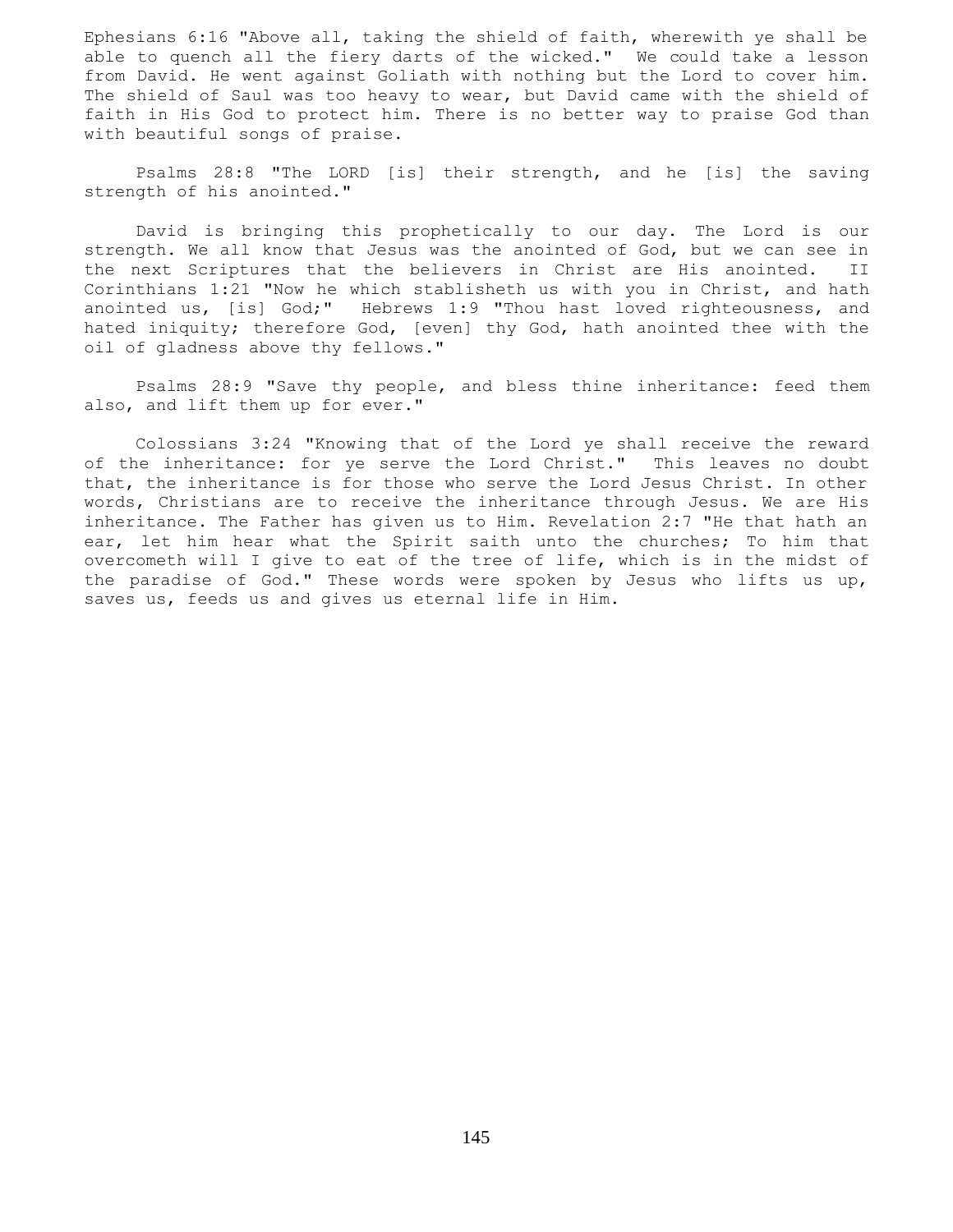Ephesians 6:16 "Above all, taking the shield of faith, wherewith ye shall be able to quench all the fiery darts of the wicked." We could take a lesson from David. He went against Goliath with nothing but the Lord to cover him. The shield of Saul was too heavy to wear, but David came with the shield of faith in His God to protect him. There is no better way to praise God than with beautiful songs of praise.

 Psalms 28:8 "The LORD [is] their strength, and he [is] the saving strength of his anointed."

 David is bringing this prophetically to our day. The Lord is our strength. We all know that Jesus was the anointed of God, but we can see in the next Scriptures that the believers in Christ are His anointed. II Corinthians 1:21 "Now he which stablisheth us with you in Christ, and hath anointed us, [is] God;" Hebrews 1:9 "Thou hast loved righteousness, and hated iniquity; therefore God, [even] thy God, hath anointed thee with the oil of gladness above thy fellows."

 Psalms 28:9 "Save thy people, and bless thine inheritance: feed them also, and lift them up for ever."

 Colossians 3:24 "Knowing that of the Lord ye shall receive the reward of the inheritance: for ye serve the Lord Christ." This leaves no doubt that, the inheritance is for those who serve the Lord Jesus Christ. In other words, Christians are to receive the inheritance through Jesus. We are His inheritance. The Father has given us to Him. Revelation 2:7 "He that hath an ear, let him hear what the Spirit saith unto the churches; To him that overcometh will I give to eat of the tree of life, which is in the midst of the paradise of God." These words were spoken by Jesus who lifts us up, saves us, feeds us and gives us eternal life in Him.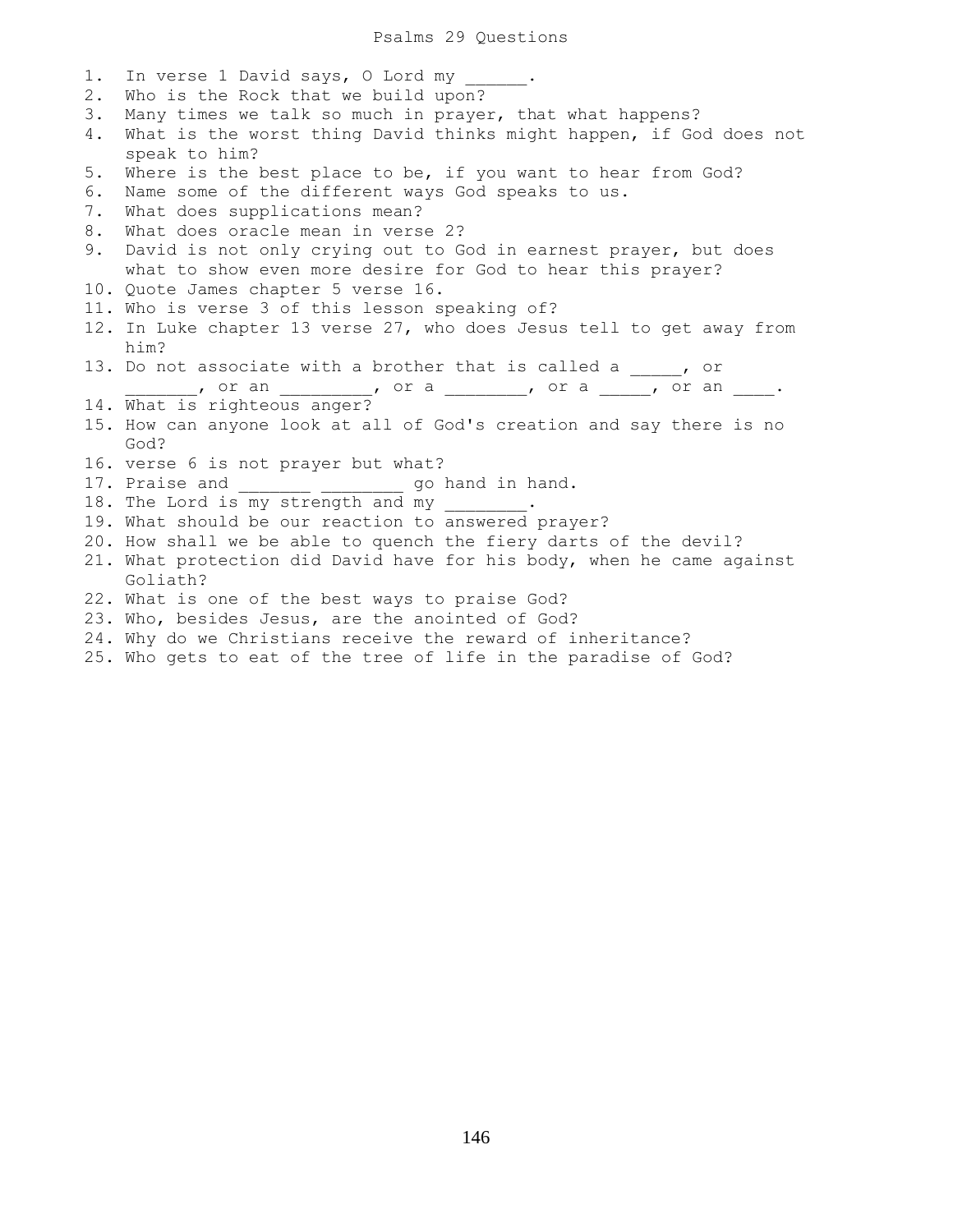1. In verse 1 David says, 0 Lord my 2. Who is the Rock that we build upon? 3. Many times we talk so much in prayer, that what happens? 4. What is the worst thing David thinks might happen, if God does not speak to him? 5. Where is the best place to be, if you want to hear from God? 6. Name some of the different ways God speaks to us. 7. What does supplications mean? 8. What does oracle mean in verse 2? 9. David is not only crying out to God in earnest prayer, but does what to show even more desire for God to hear this prayer? 10. Quote James chapter 5 verse 16. 11. Who is verse 3 of this lesson speaking of? 12. In Luke chapter 13 verse 27, who does Jesus tell to get away from him? 13. Do not associate with a brother that is called a \_\_\_\_, or \_\_\_\_\_\_, or an \_\_\_\_\_\_\_\_\_\_, or a \_\_\_\_\_\_\_, or a \_\_\_\_\_, or an \_\_\_\_. 14. What is righteous anger? 15. How can anyone look at all of God's creation and say there is no God? 16. verse 6 is not prayer but what? 17. Praise and \_\_\_\_\_\_\_\_ \_\_\_\_\_\_\_\_\_ go hand in hand. 18. The Lord is my strength and my 19. What should be our reaction to answered prayer? 20. How shall we be able to quench the fiery darts of the devil? 21. What protection did David have for his body, when he came against Goliath? 22. What is one of the best ways to praise God? 23. Who, besides Jesus, are the anointed of God? 24. Why do we Christians receive the reward of inheritance?

25. Who gets to eat of the tree of life in the paradise of God?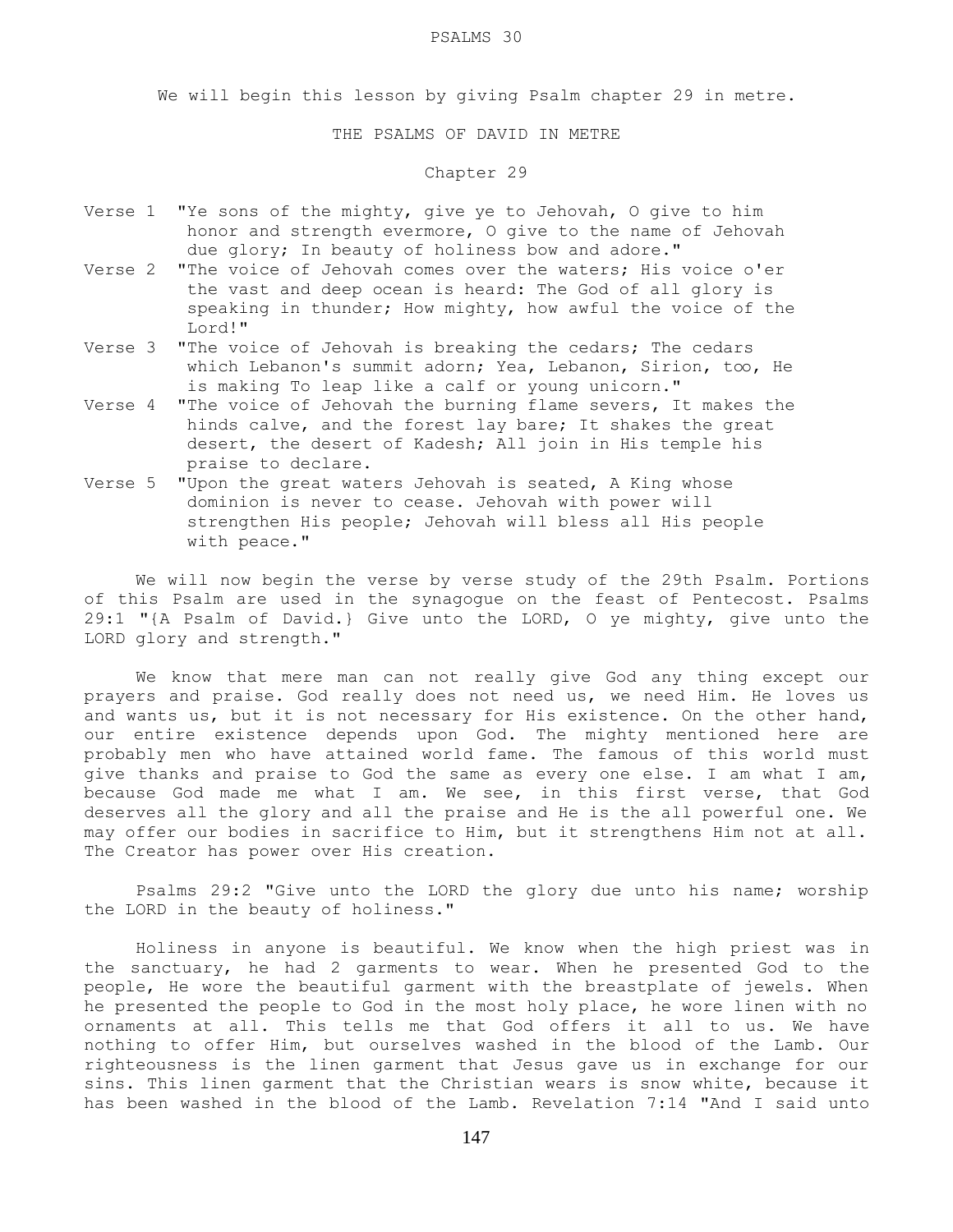#### PSALMS 30

We will begin this lesson by giving Psalm chapter 29 in metre.

THE PSALMS OF DAVID IN METRE

# Chapter 29

- Verse 1 "Ye sons of the mighty, give ye to Jehovah, O give to him honor and strength evermore, O give to the name of Jehovah due glory; In beauty of holiness bow and adore."
- Verse 2 "The voice of Jehovah comes over the waters; His voice o'er the vast and deep ocean is heard: The God of all glory is speaking in thunder; How mighty, how awful the voice of the Lord!"
- Verse 3 "The voice of Jehovah is breaking the cedars; The cedars which Lebanon's summit adorn; Yea, Lebanon, Sirion, too, He is making To leap like a calf or young unicorn."
- Verse 4 "The voice of Jehovah the burning flame severs, It makes the hinds calve, and the forest lay bare; It shakes the great desert, the desert of Kadesh; All join in His temple his praise to declare.
- Verse 5 "Upon the great waters Jehovah is seated, A King whose dominion is never to cease. Jehovah with power will strengthen His people; Jehovah will bless all His people with peace."

 We will now begin the verse by verse study of the 29th Psalm. Portions of this Psalm are used in the synagogue on the feast of Pentecost. Psalms 29:1 "{A Psalm of David.} Give unto the LORD, O ye mighty, give unto the LORD glory and strength."

 We know that mere man can not really give God any thing except our prayers and praise. God really does not need us, we need Him. He loves us and wants us, but it is not necessary for His existence. On the other hand, our entire existence depends upon God. The mighty mentioned here are probably men who have attained world fame. The famous of this world must give thanks and praise to God the same as every one else. I am what I am, because God made me what I am. We see, in this first verse, that God deserves all the glory and all the praise and He is the all powerful one. We may offer our bodies in sacrifice to Him, but it strengthens Him not at all. The Creator has power over His creation.

 Psalms 29:2 "Give unto the LORD the glory due unto his name; worship the LORD in the beauty of holiness."

 Holiness in anyone is beautiful. We know when the high priest was in the sanctuary, he had 2 garments to wear. When he presented God to the people, He wore the beautiful garment with the breastplate of jewels. When he presented the people to God in the most holy place, he wore linen with no ornaments at all. This tells me that God offers it all to us. We have nothing to offer Him, but ourselves washed in the blood of the Lamb. Our righteousness is the linen garment that Jesus gave us in exchange for our sins. This linen garment that the Christian wears is snow white, because it has been washed in the blood of the Lamb. Revelation 7:14 "And I said unto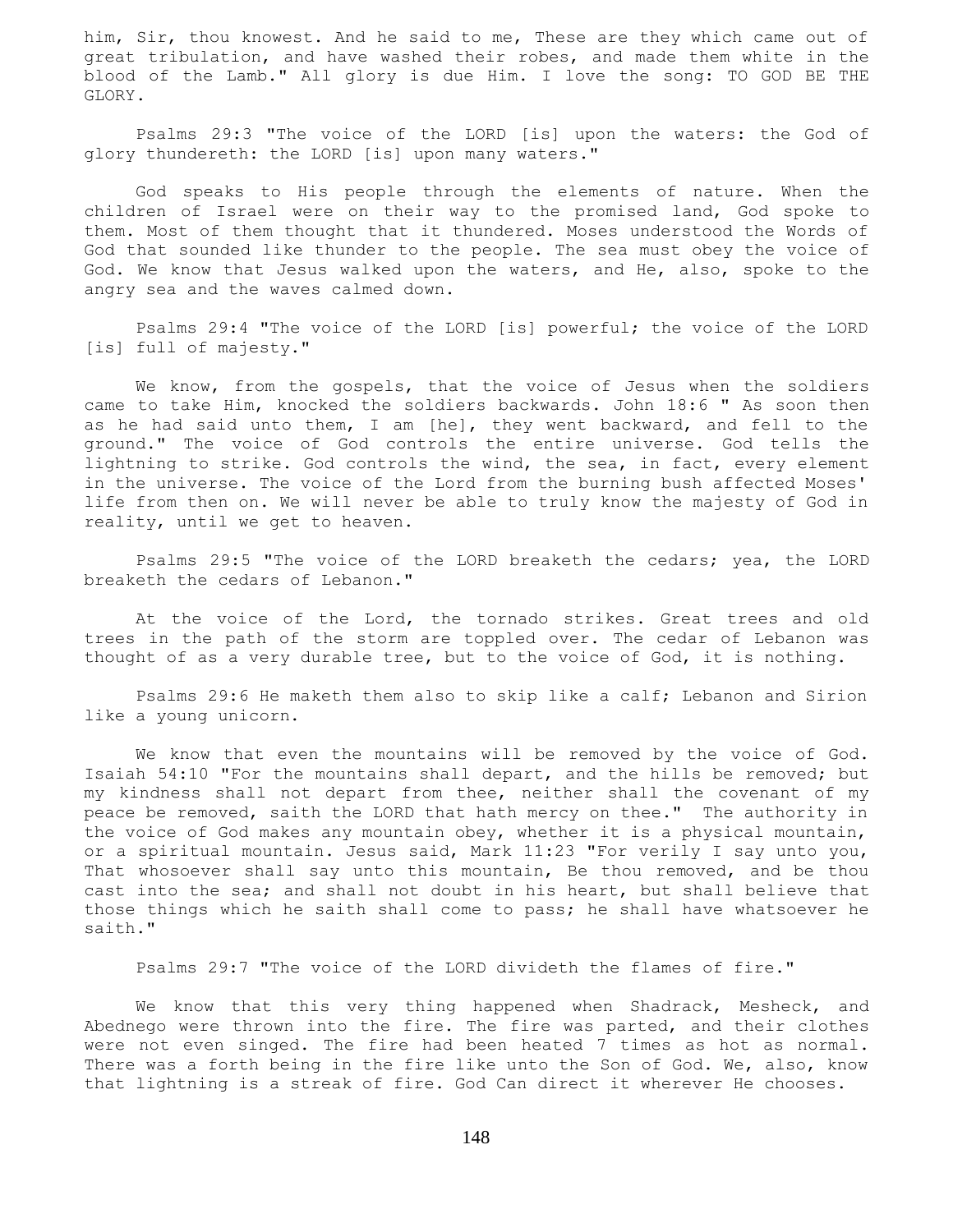him, Sir, thou knowest. And he said to me, These are they which came out of great tribulation, and have washed their robes, and made them white in the blood of the Lamb." All glory is due Him. I love the song: TO GOD BE THE GLORY.

 Psalms 29:3 "The voice of the LORD [is] upon the waters: the God of glory thundereth: the LORD [is] upon many waters."

 God speaks to His people through the elements of nature. When the children of Israel were on their way to the promised land, God spoke to them. Most of them thought that it thundered. Moses understood the Words of God that sounded like thunder to the people. The sea must obey the voice of God. We know that Jesus walked upon the waters, and He, also, spoke to the angry sea and the waves calmed down.

 Psalms 29:4 "The voice of the LORD [is] powerful; the voice of the LORD [is] full of majesty."

We know, from the gospels, that the voice of Jesus when the soldiers came to take Him, knocked the soldiers backwards. John 18:6 " As soon then as he had said unto them, I am [he], they went backward, and fell to the ground." The voice of God controls the entire universe. God tells the lightning to strike. God controls the wind, the sea, in fact, every element in the universe. The voice of the Lord from the burning bush affected Moses' life from then on. We will never be able to truly know the majesty of God in reality, until we get to heaven.

 Psalms 29:5 "The voice of the LORD breaketh the cedars; yea, the LORD breaketh the cedars of Lebanon."

 At the voice of the Lord, the tornado strikes. Great trees and old trees in the path of the storm are toppled over. The cedar of Lebanon was thought of as a very durable tree, but to the voice of God, it is nothing.

 Psalms 29:6 He maketh them also to skip like a calf; Lebanon and Sirion like a young unicorn.

 We know that even the mountains will be removed by the voice of God. Isaiah 54:10 "For the mountains shall depart, and the hills be removed; but my kindness shall not depart from thee, neither shall the covenant of my peace be removed, saith the LORD that hath mercy on thee." The authority in the voice of God makes any mountain obey, whether it is a physical mountain, or a spiritual mountain. Jesus said, Mark 11:23 "For verily I say unto you, That whosoever shall say unto this mountain, Be thou removed, and be thou cast into the sea; and shall not doubt in his heart, but shall believe that those things which he saith shall come to pass; he shall have whatsoever he saith."

Psalms 29:7 "The voice of the LORD divideth the flames of fire."

We know that this very thing happened when Shadrack, Mesheck, and Abednego were thrown into the fire. The fire was parted, and their clothes were not even singed. The fire had been heated 7 times as hot as normal. There was a forth being in the fire like unto the Son of God. We, also, know that lightning is a streak of fire. God Can direct it wherever He chooses.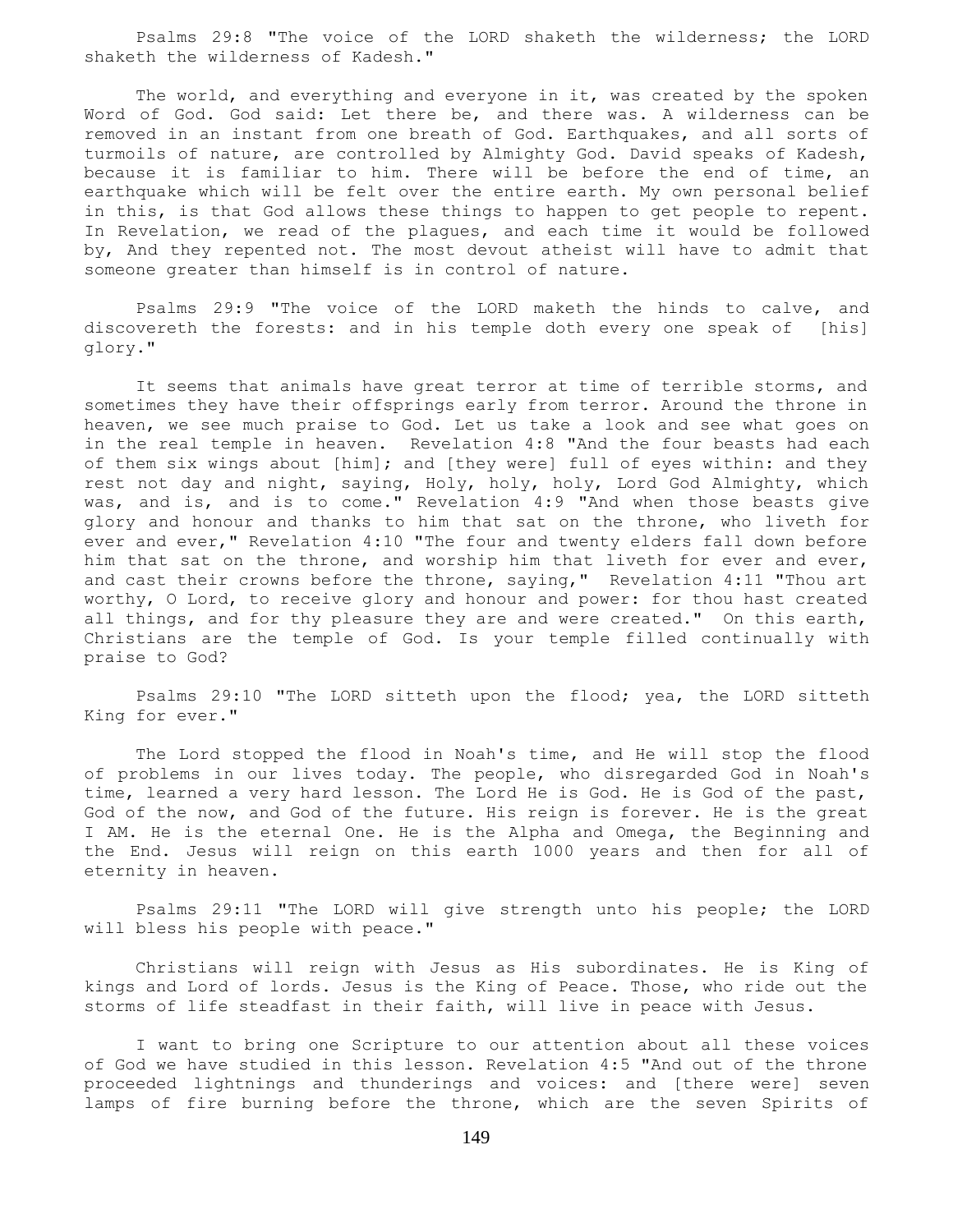Psalms 29:8 "The voice of the LORD shaketh the wilderness; the LORD shaketh the wilderness of Kadesh."

The world, and everything and everyone in it, was created by the spoken Word of God. God said: Let there be, and there was. A wilderness can be removed in an instant from one breath of God. Earthquakes, and all sorts of turmoils of nature, are controlled by Almighty God. David speaks of Kadesh, because it is familiar to him. There will be before the end of time, an earthquake which will be felt over the entire earth. My own personal belief in this, is that God allows these things to happen to get people to repent. In Revelation, we read of the plagues, and each time it would be followed by, And they repented not. The most devout atheist will have to admit that someone greater than himself is in control of nature.

 Psalms 29:9 "The voice of the LORD maketh the hinds to calve, and discovereth the forests: and in his temple doth every one speak of [his] glory."

 It seems that animals have great terror at time of terrible storms, and sometimes they have their offsprings early from terror. Around the throne in heaven, we see much praise to God. Let us take a look and see what goes on in the real temple in heaven. Revelation 4:8 "And the four beasts had each of them six wings about [him]; and [they were] full of eyes within: and they rest not day and night, saying, Holy, holy, holy, Lord God Almighty, which was, and is, and is to come." Revelation 4:9 "And when those beasts give glory and honour and thanks to him that sat on the throne, who liveth for ever and ever," Revelation 4:10 "The four and twenty elders fall down before him that sat on the throne, and worship him that liveth for ever and ever, and cast their crowns before the throne, saying," Revelation 4:11 "Thou art worthy, O Lord, to receive glory and honour and power: for thou hast created all things, and for thy pleasure they are and were created." On this earth, Christians are the temple of God. Is your temple filled continually with praise to God?

 Psalms 29:10 "The LORD sitteth upon the flood; yea, the LORD sitteth King for ever."

 The Lord stopped the flood in Noah's time, and He will stop the flood of problems in our lives today. The people, who disregarded God in Noah's time, learned a very hard lesson. The Lord He is God. He is God of the past, God of the now, and God of the future. His reign is forever. He is the great I AM. He is the eternal One. He is the Alpha and Omega, the Beginning and the End. Jesus will reign on this earth 1000 years and then for all of eternity in heaven.

 Psalms 29:11 "The LORD will give strength unto his people; the LORD will bless his people with peace."

 Christians will reign with Jesus as His subordinates. He is King of kings and Lord of lords. Jesus is the King of Peace. Those, who ride out the storms of life steadfast in their faith, will live in peace with Jesus.

 I want to bring one Scripture to our attention about all these voices of God we have studied in this lesson. Revelation 4:5 "And out of the throne proceeded lightnings and thunderings and voices: and [there were] seven lamps of fire burning before the throne, which are the seven Spirits of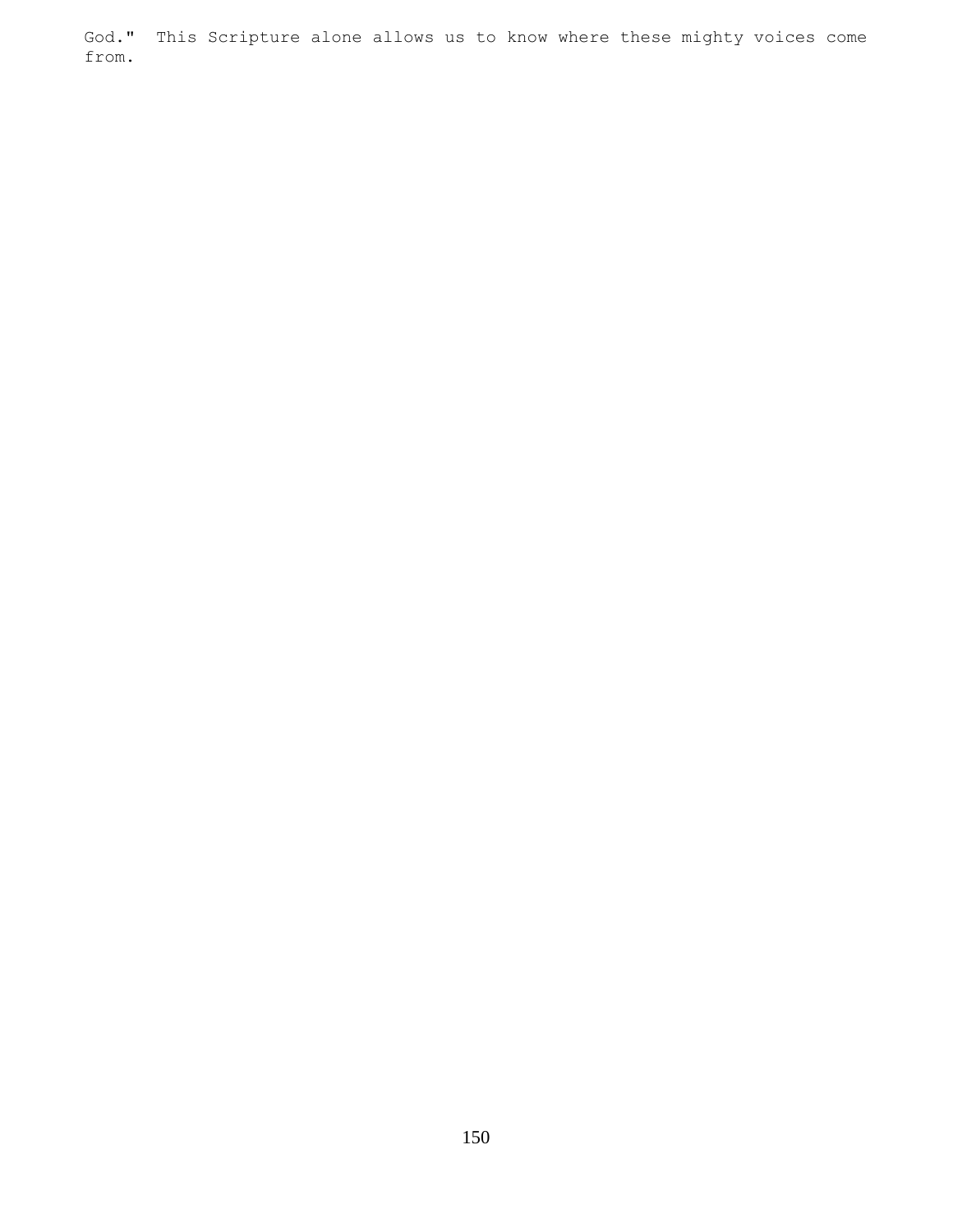God." This Scripture alone allows us to know where these mighty voices come from.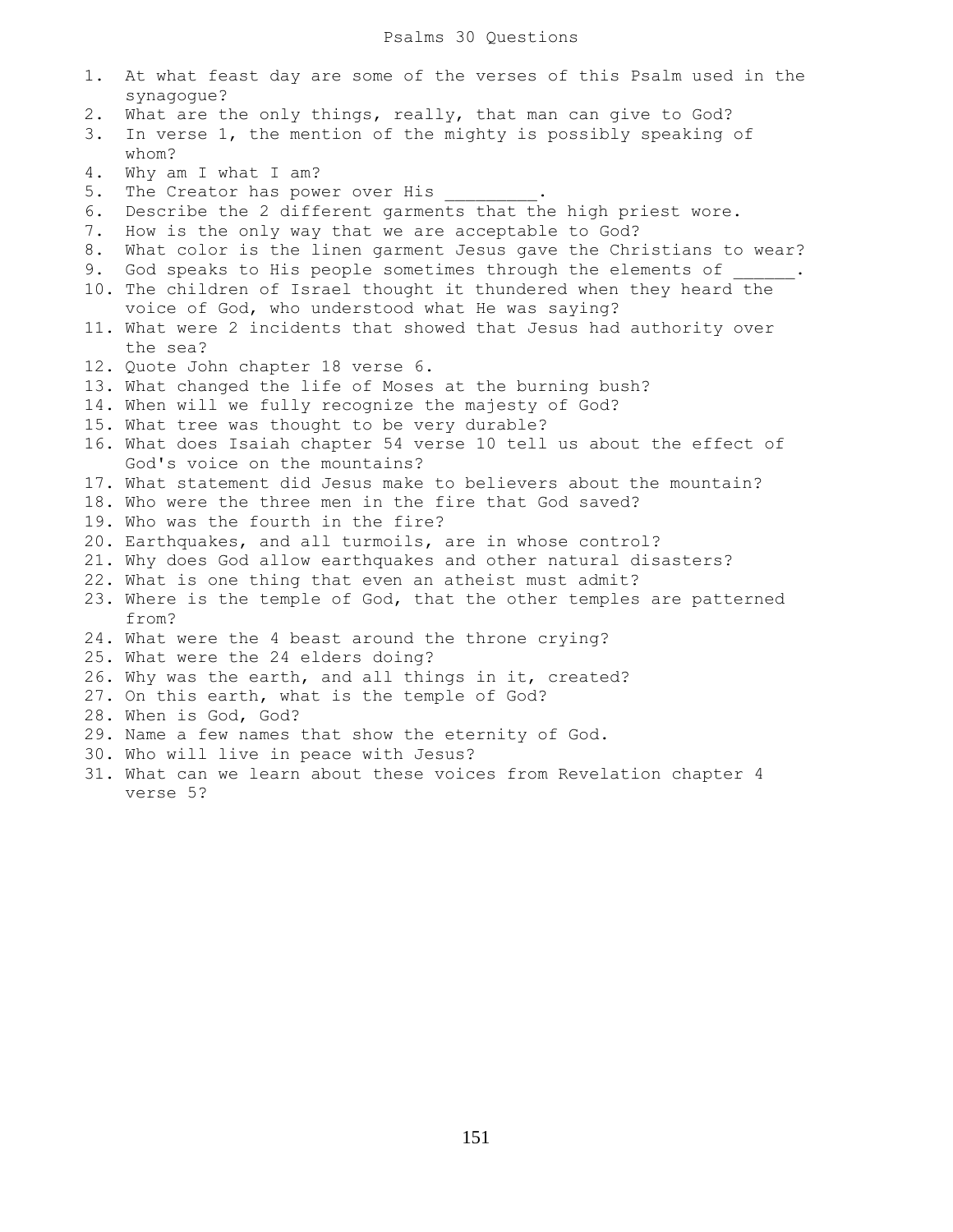| 1. | At what feast day are some of the verses of this Psalm used in the     |
|----|------------------------------------------------------------------------|
|    | synagogue?                                                             |
| 2. | What are the only things, really, that man can give to God?            |
| 3. | In verse 1, the mention of the mighty is possibly speaking of<br>whom? |
| 4. | Why am I what I am?                                                    |
| 5. | The Creator has power over His                                         |
| 6. | Describe the 2 different garments that the high priest wore.           |
| 7. | How is the only way that we are acceptable to God?                     |
| 8. | What color is the linen garment Jesus gave the Christians to wear?     |
| 9. | God speaks to His people sometimes through the elements of .           |
|    | 10. The children of Israel thought it thundered when they heard the    |
|    | voice of God, who understood what He was saying?                       |
|    | 11. What were 2 incidents that showed that Jesus had authority over    |
|    | the sea?                                                               |
|    | 12. Quote John chapter 18 verse 6.                                     |
|    | 13. What changed the life of Moses at the burning bush?                |
|    | 14. When will we fully recognize the majesty of God?                   |
|    | 15. What tree was thought to be very durable?                          |
|    | 16. What does Isaiah chapter 54 verse 10 tell us about the effect of   |
|    | God's voice on the mountains?                                          |
|    | 17. What statement did Jesus make to believers about the mountain?     |
|    | 18. Who were the three men in the fire that God saved?                 |
|    | 19. Who was the fourth in the fire?                                    |
|    | 20. Earthquakes, and all turmoils, are in whose control?               |
|    | 21. Why does God allow earthquakes and other natural disasters?        |
|    | 22. What is one thing that even an atheist must admit?                 |
|    | 23. Where is the temple of God, that the other temples are patterned   |
|    | from?                                                                  |
|    | 24. What were the 4 beast around the throne crying?                    |
|    | 25. What were the 24 elders doing?                                     |
|    | 26. Why was the earth, and all things in it, created?                  |
|    | 27. On this earth, what is the temple of God?                          |
|    | 28. When is God, God?                                                  |
|    | 29. Name a few names that show the eternity of God.                    |
|    | 30. Who will live in peace with Jesus?                                 |
|    | 31. What can we learn about these voices from Revelation chapter 4     |
|    | verse 5?                                                               |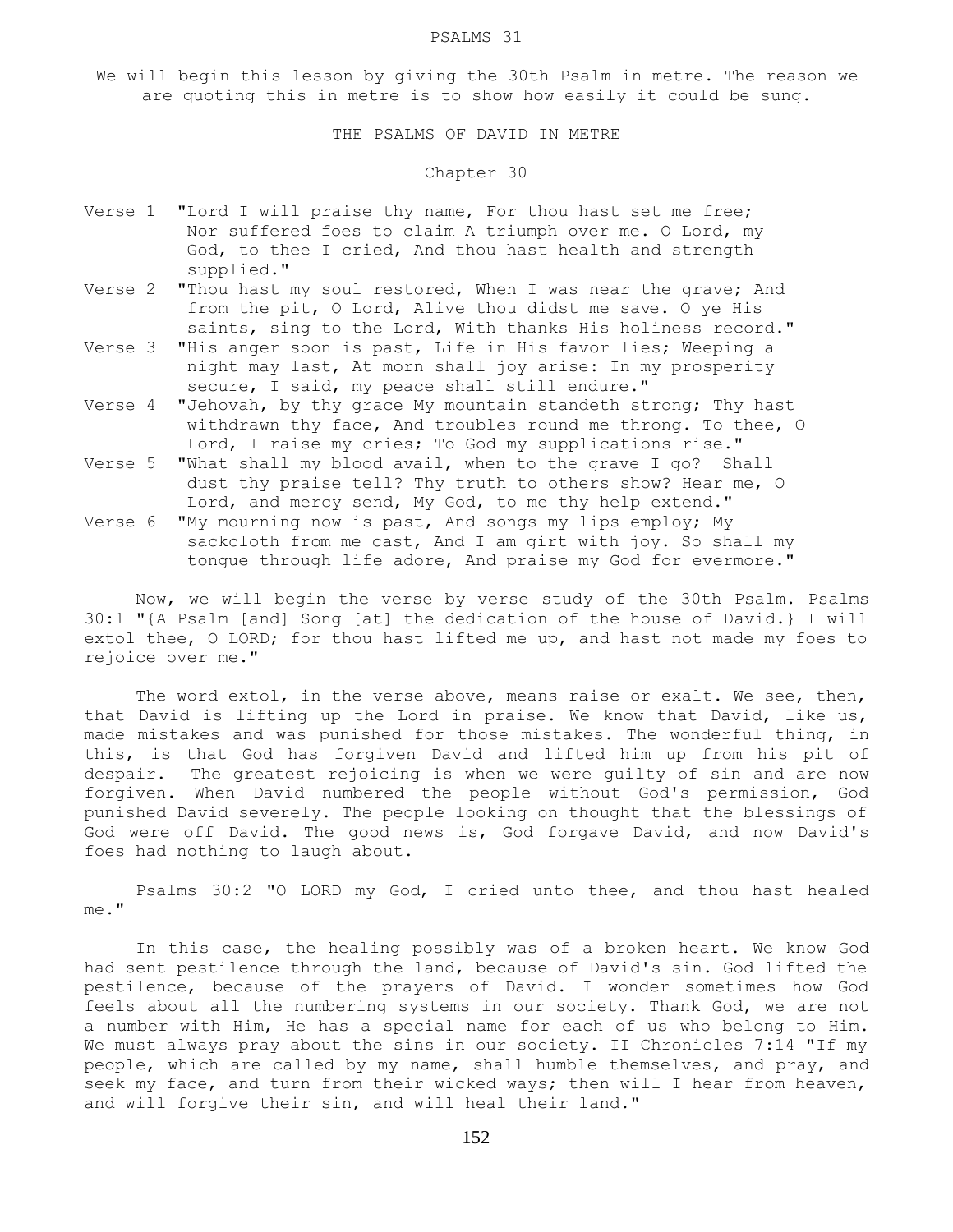#### PSALMS 31

We will begin this lesson by giving the 30th Psalm in metre. The reason we are quoting this in metre is to show how easily it could be sung.

THE PSALMS OF DAVID IN METRE

### Chapter 30

- Verse 1 "Lord I will praise thy name, For thou hast set me free; Nor suffered foes to claim A triumph over me. O Lord, my God, to thee I cried, And thou hast health and strength supplied."
- Verse 2 "Thou hast my soul restored, When I was near the grave; And from the pit, O Lord, Alive thou didst me save. O ye His saints, sing to the Lord, With thanks His holiness record."
- Verse 3 "His anger soon is past, Life in His favor lies; Weeping a night may last, At morn shall joy arise: In my prosperity secure, I said, my peace shall still endure."
- Verse 4 "Jehovah, by thy grace My mountain standeth strong; Thy hast withdrawn thy face, And troubles round me throng. To thee, O Lord, I raise my cries; To God my supplications rise."
- Verse 5 "What shall my blood avail, when to the grave I go? Shall dust thy praise tell? Thy truth to others show? Hear me, O Lord, and mercy send, My God, to me thy help extend."
- Verse 6 "My mourning now is past, And songs my lips employ; My sackcloth from me cast, And I am girt with joy. So shall my tongue through life adore, And praise my God for evermore."

 Now, we will begin the verse by verse study of the 30th Psalm. Psalms 30:1 "{A Psalm [and] Song [at] the dedication of the house of David.} I will extol thee, O LORD; for thou hast lifted me up, and hast not made my foes to rejoice over me."

 The word extol, in the verse above, means raise or exalt. We see, then, that David is lifting up the Lord in praise. We know that David, like us, made mistakes and was punished for those mistakes. The wonderful thing, in this, is that God has forgiven David and lifted him up from his pit of despair. The greatest rejoicing is when we were guilty of sin and are now forgiven. When David numbered the people without God's permission, God punished David severely. The people looking on thought that the blessings of God were off David. The good news is, God forgave David, and now David's foes had nothing to laugh about.

 Psalms 30:2 "O LORD my God, I cried unto thee, and thou hast healed me."

 In this case, the healing possibly was of a broken heart. We know God had sent pestilence through the land, because of David's sin. God lifted the pestilence, because of the prayers of David. I wonder sometimes how God feels about all the numbering systems in our society. Thank God, we are not a number with Him, He has a special name for each of us who belong to Him. We must always pray about the sins in our society. II Chronicles 7:14 "If my people, which are called by my name, shall humble themselves, and pray, and seek my face, and turn from their wicked ways; then will I hear from heaven, and will forgive their sin, and will heal their land."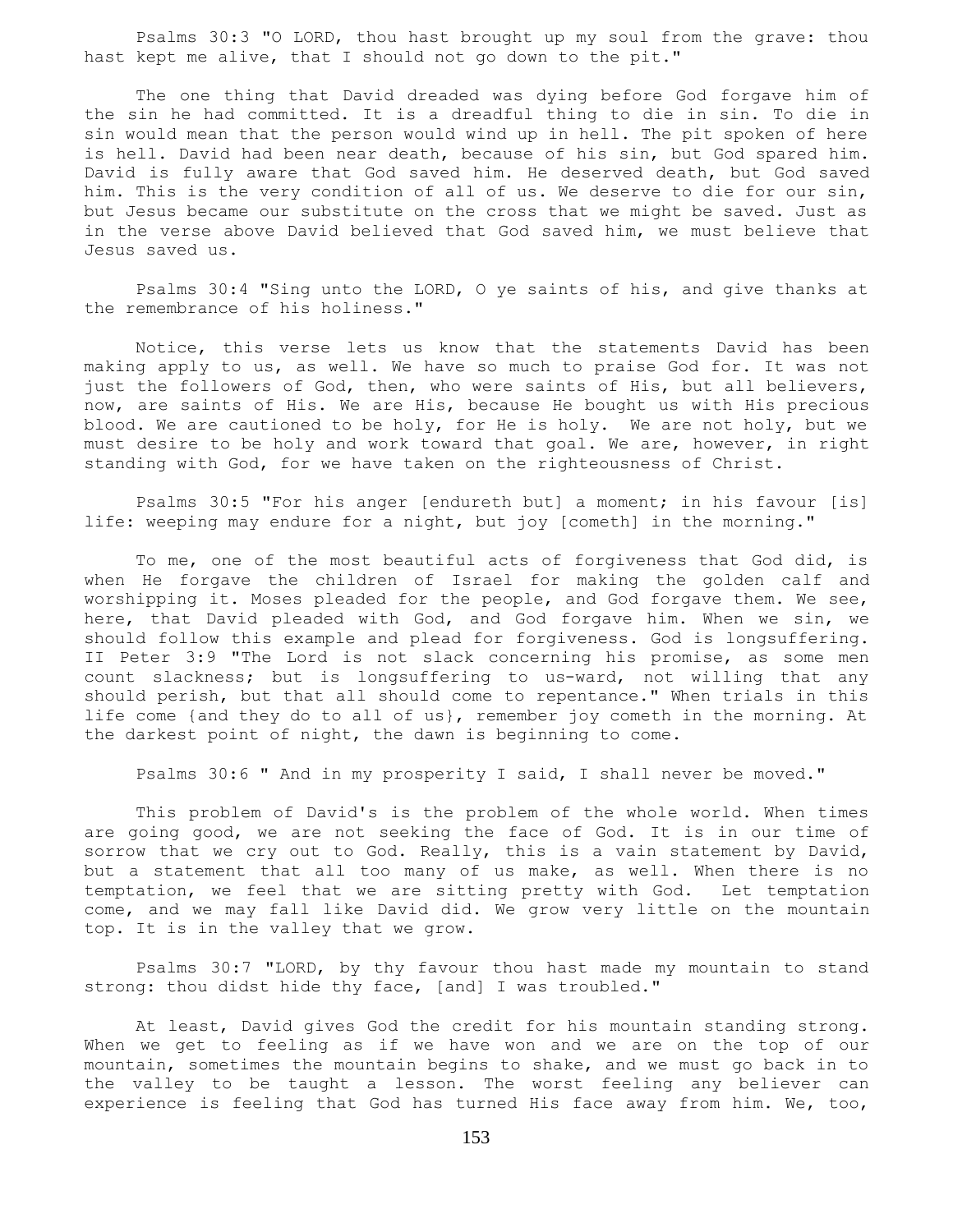Psalms 30:3 "O LORD, thou hast brought up my soul from the grave: thou hast kept me alive, that I should not go down to the pit."

 The one thing that David dreaded was dying before God forgave him of the sin he had committed. It is a dreadful thing to die in sin. To die in sin would mean that the person would wind up in hell. The pit spoken of here is hell. David had been near death, because of his sin, but God spared him. David is fully aware that God saved him. He deserved death, but God saved him. This is the very condition of all of us. We deserve to die for our sin, but Jesus became our substitute on the cross that we might be saved. Just as in the verse above David believed that God saved him, we must believe that Jesus saved us.

 Psalms 30:4 "Sing unto the LORD, O ye saints of his, and give thanks at the remembrance of his holiness."

 Notice, this verse lets us know that the statements David has been making apply to us, as well. We have so much to praise God for. It was not just the followers of God, then, who were saints of His, but all believers, now, are saints of His. We are His, because He bought us with His precious blood. We are cautioned to be holy, for He is holy. We are not holy, but we must desire to be holy and work toward that goal. We are, however, in right standing with God, for we have taken on the righteousness of Christ.

 Psalms 30:5 "For his anger [endureth but] a moment; in his favour [is] life: weeping may endure for a night, but joy [cometh] in the morning."

 To me, one of the most beautiful acts of forgiveness that God did, is when He forgave the children of Israel for making the golden calf and worshipping it. Moses pleaded for the people, and God forgave them. We see, here, that David pleaded with God, and God forgave him. When we sin, we should follow this example and plead for forgiveness. God is longsuffering. II Peter 3:9 "The Lord is not slack concerning his promise, as some men count slackness; but is longsuffering to us-ward, not willing that any should perish, but that all should come to repentance." When trials in this life come {and they do to all of us}, remember joy cometh in the morning. At the darkest point of night, the dawn is beginning to come.

Psalms 30:6 " And in my prosperity I said, I shall never be moved."

 This problem of David's is the problem of the whole world. When times are going good, we are not seeking the face of God. It is in our time of sorrow that we cry out to God. Really, this is a vain statement by David, but a statement that all too many of us make, as well. When there is no temptation, we feel that we are sitting pretty with God. Let temptation come, and we may fall like David did. We grow very little on the mountain top. It is in the valley that we grow.

 Psalms 30:7 "LORD, by thy favour thou hast made my mountain to stand strong: thou didst hide thy face, [and] I was troubled."

 At least, David gives God the credit for his mountain standing strong. When we get to feeling as if we have won and we are on the top of our mountain, sometimes the mountain begins to shake, and we must go back in to the valley to be taught a lesson. The worst feeling any believer can experience is feeling that God has turned His face away from him. We, too,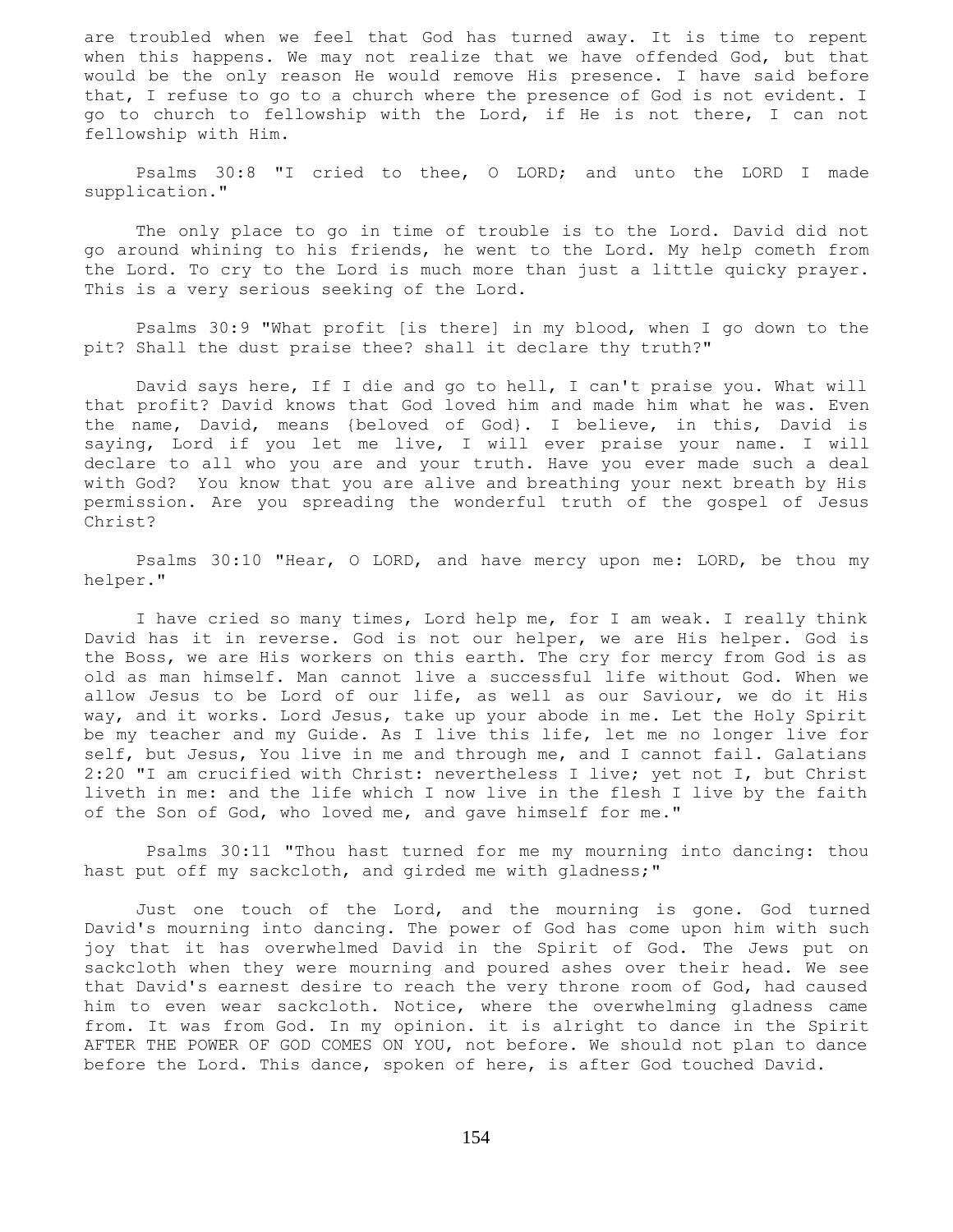are troubled when we feel that God has turned away. It is time to repent when this happens. We may not realize that we have offended God, but that would be the only reason He would remove His presence. I have said before that, I refuse to go to a church where the presence of God is not evident. I go to church to fellowship with the Lord, if He is not there, I can not fellowship with Him.

 Psalms 30:8 "I cried to thee, O LORD; and unto the LORD I made supplication."

 The only place to go in time of trouble is to the Lord. David did not go around whining to his friends, he went to the Lord. My help cometh from the Lord. To cry to the Lord is much more than just a little quicky prayer. This is a very serious seeking of the Lord.

 Psalms 30:9 "What profit [is there] in my blood, when I go down to the pit? Shall the dust praise thee? shall it declare thy truth?"

 David says here, If I die and go to hell, I can't praise you. What will that profit? David knows that God loved him and made him what he was. Even the name, David, means {beloved of God}. I believe, in this, David is saying, Lord if you let me live, I will ever praise your name. I will declare to all who you are and your truth. Have you ever made such a deal with God? You know that you are alive and breathing your next breath by His permission. Are you spreading the wonderful truth of the gospel of Jesus Christ?

 Psalms 30:10 "Hear, O LORD, and have mercy upon me: LORD, be thou my helper."

 I have cried so many times, Lord help me, for I am weak. I really think David has it in reverse. God is not our helper, we are His helper. God is the Boss, we are His workers on this earth. The cry for mercy from God is as old as man himself. Man cannot live a successful life without God. When we allow Jesus to be Lord of our life, as well as our Saviour, we do it His way, and it works. Lord Jesus, take up your abode in me. Let the Holy Spirit be my teacher and my Guide. As I live this life, let me no longer live for self, but Jesus, You live in me and through me, and I cannot fail. Galatians 2:20 "I am crucified with Christ: nevertheless I live; yet not I, but Christ liveth in me: and the life which I now live in the flesh I live by the faith of the Son of God, who loved me, and gave himself for me."

 Psalms 30:11 "Thou hast turned for me my mourning into dancing: thou hast put off my sackcloth, and girded me with gladness;"

 Just one touch of the Lord, and the mourning is gone. God turned David's mourning into dancing. The power of God has come upon him with such joy that it has overwhelmed David in the Spirit of God. The Jews put on sackcloth when they were mourning and poured ashes over their head. We see that David's earnest desire to reach the very throne room of God, had caused him to even wear sackcloth. Notice, where the overwhelming gladness came from. It was from God. In my opinion. it is alright to dance in the Spirit AFTER THE POWER OF GOD COMES ON YOU, not before. We should not plan to dance before the Lord. This dance, spoken of here, is after God touched David.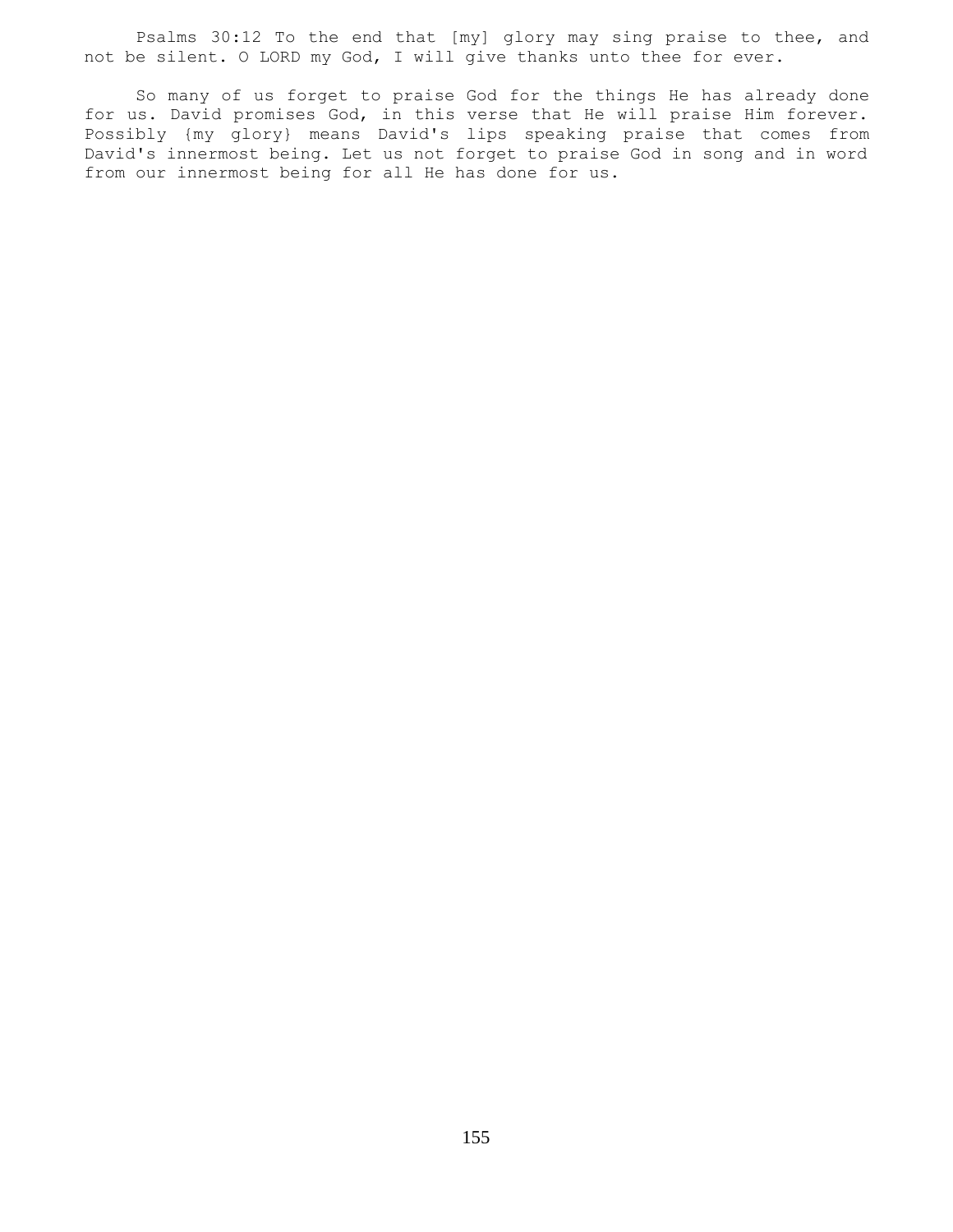Psalms 30:12 To the end that [my] glory may sing praise to thee, and not be silent. O LORD my God, I will give thanks unto thee for ever.

 So many of us forget to praise God for the things He has already done for us. David promises God, in this verse that He will praise Him forever. Possibly {my glory} means David's lips speaking praise that comes from David's innermost being. Let us not forget to praise God in song and in word from our innermost being for all He has done for us.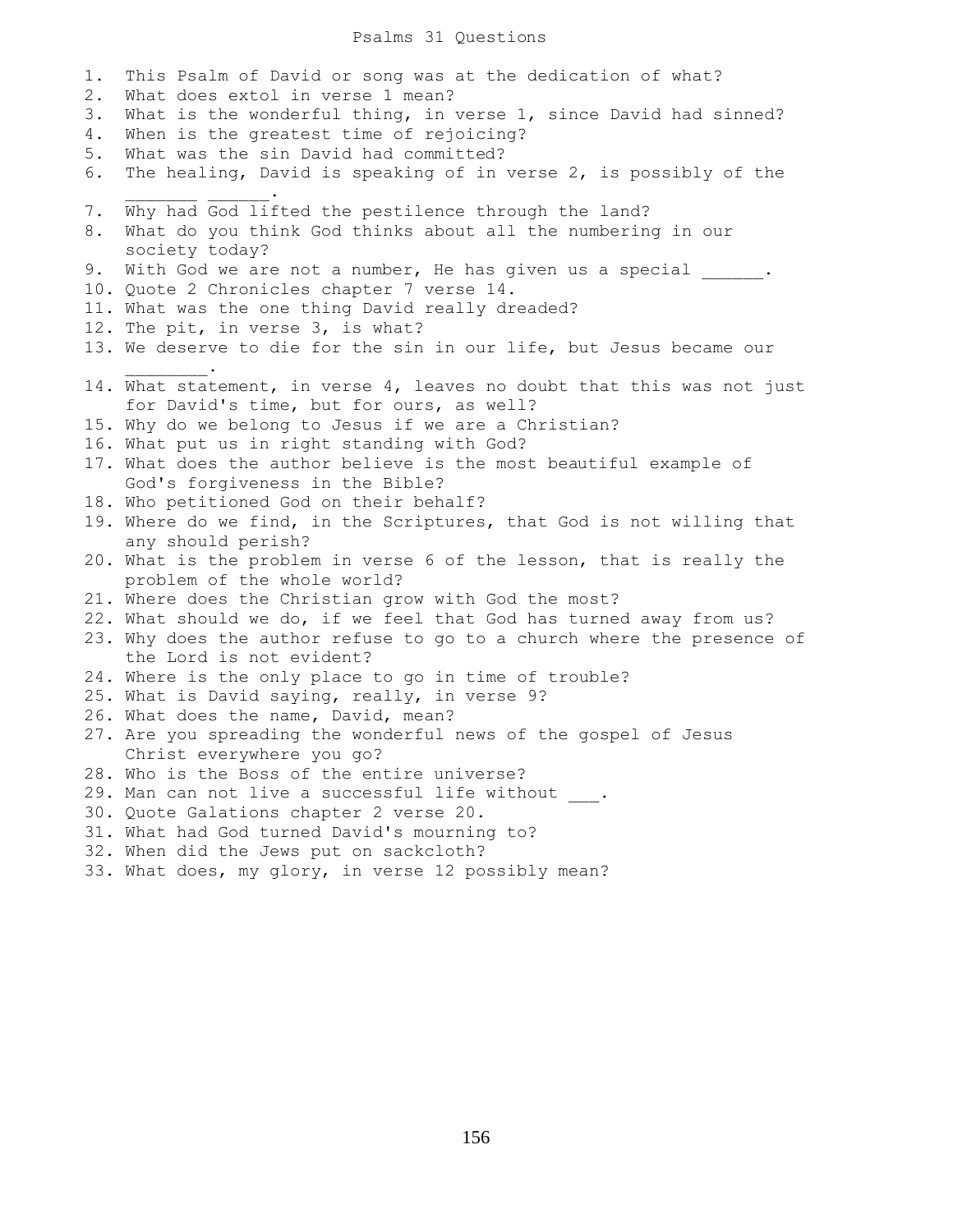#### Psalms 31 Questions

1. This Psalm of David or song was at the dedication of what? 2. What does extol in verse 1 mean? 3. What is the wonderful thing, in verse 1, since David had sinned? 4. When is the greatest time of rejoicing? 5. What was the sin David had committed? 6. The healing, David is speaking of in verse 2, is possibly of the  $\mathcal{L}=\mathcal{L}=\mathcal{L}=\mathcal{L}=\mathcal{L}=\mathcal{L}=\mathcal{L}=\mathcal{L}$ 7. Why had God lifted the pestilence through the land? 8. What do you think God thinks about all the numbering in our society today? 9. With God we are not a number, He has given us a special \_\_\_\_\_\_. 10. Quote 2 Chronicles chapter 7 verse 14. 11. What was the one thing David really dreaded? 12. The pit, in verse 3, is what? 13. We deserve to die for the sin in our life, but Jesus became our  $\frac{1}{2}$  and  $\frac{1}{2}$  and  $\frac{1}{2}$  and  $\frac{1}{2}$ 14. What statement, in verse 4, leaves no doubt that this was not just for David's time, but for ours, as well? 15. Why do we belong to Jesus if we are a Christian? 16. What put us in right standing with God? 17. What does the author believe is the most beautiful example of God's forgiveness in the Bible? 18. Who petitioned God on their behalf? 19. Where do we find, in the Scriptures, that God is not willing that any should perish? 20. What is the problem in verse 6 of the lesson, that is really the problem of the whole world? 21. Where does the Christian grow with God the most? 22. What should we do, if we feel that God has turned away from us? 23. Why does the author refuse to go to a church where the presence of the Lord is not evident? 24. Where is the only place to go in time of trouble? 25. What is David saying, really, in verse 9? 26. What does the name, David, mean? 27. Are you spreading the wonderful news of the gospel of Jesus Christ everywhere you go? 28. Who is the Boss of the entire universe? 29. Man can not live a successful life without \_\_\_. 30. Quote Galations chapter 2 verse 20. 31. What had God turned David's mourning to? 32. When did the Jews put on sackcloth? 33. What does, my glory, in verse 12 possibly mean?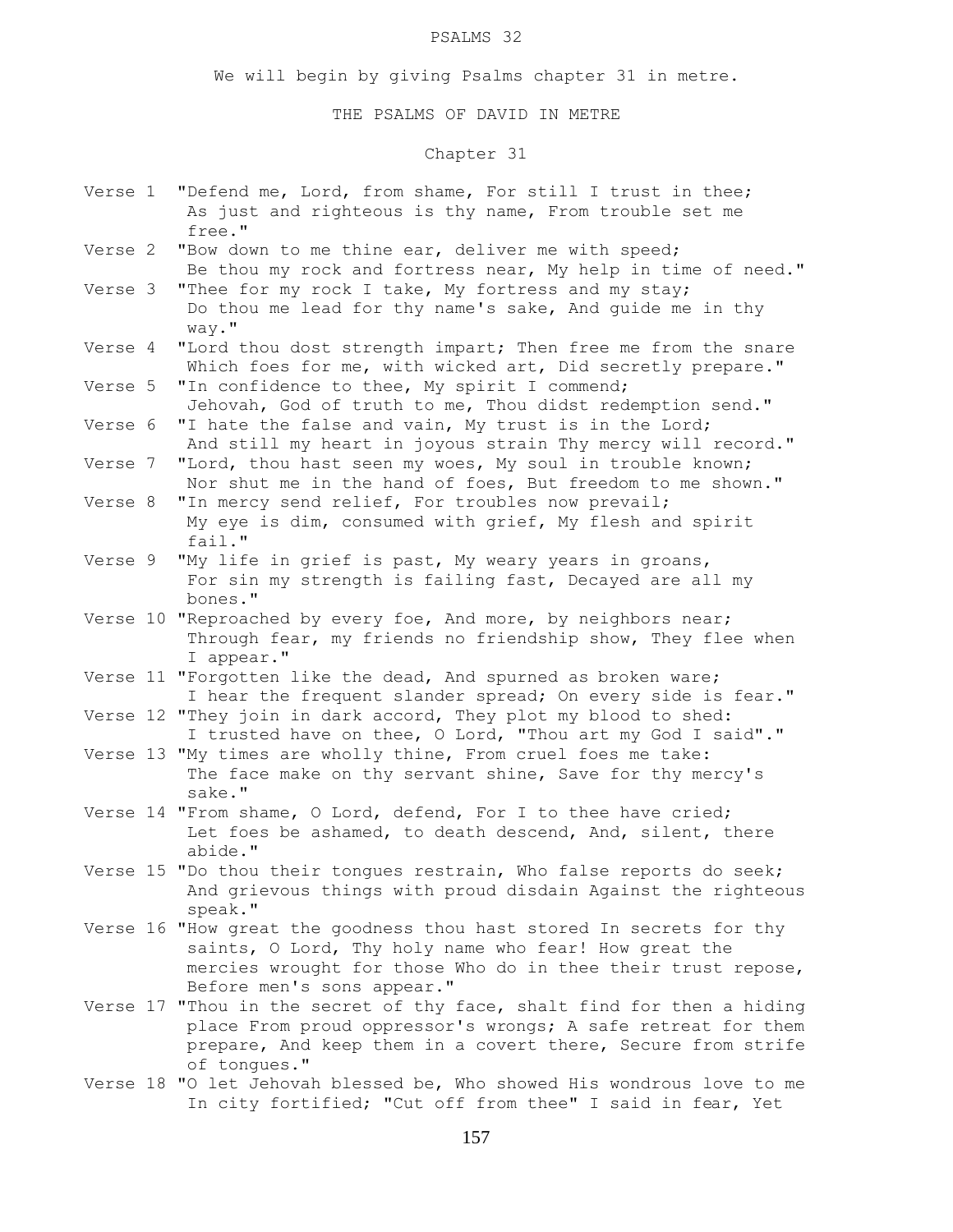# PSALMS 32

We will begin by giving Psalms chapter 31 in metre.

# THE PSALMS OF DAVID IN METRE

# Chapter 31

| Verse 1 | "Defend me, Lord, from shame, For still I trust in thee;<br>As just and righteous is thy name, From trouble set me<br>free."                                                                                                                         |
|---------|------------------------------------------------------------------------------------------------------------------------------------------------------------------------------------------------------------------------------------------------------|
| Verse 2 | "Bow down to me thine ear, deliver me with speed;<br>Be thou my rock and fortress near, My help in time of need."                                                                                                                                    |
| Verse 3 | "Thee for my rock I take, My fortress and my stay;<br>Do thou me lead for thy name's sake, And guide me in thy<br>way."                                                                                                                              |
| Verse 4 | "Lord thou dost strength impart; Then free me from the snare<br>Which foes for me, with wicked art, Did secretly prepare."                                                                                                                           |
| Verse 5 | "In confidence to thee, My spirit I commend;<br>Jehovah, God of truth to me, Thou didst redemption send."                                                                                                                                            |
| Verse 6 | "I hate the false and vain, My trust is in the Lord;<br>And still my heart in joyous strain Thy mercy will record."                                                                                                                                  |
| Verse 7 | "Lord, thou hast seen my woes, My soul in trouble known;<br>Nor shut me in the hand of foes, But freedom to me shown."                                                                                                                               |
| Verse 8 | "In mercy send relief, For troubles now prevail;<br>My eye is dim, consumed with grief, My flesh and spirit<br>fail."                                                                                                                                |
| Verse 9 | "My life in grief is past, My weary years in groans,<br>For sin my strength is failing fast, Decayed are all my<br>bones."                                                                                                                           |
|         | Verse 10 "Reproached by every foe, And more, by neighbors near;<br>Through fear, my friends no friendship show, They flee when<br>I appear."                                                                                                         |
|         | Verse 11 "Forgotten like the dead, And spurned as broken ware;<br>I hear the frequent slander spread; On every side is fear."                                                                                                                        |
|         | Verse 12 "They join in dark accord, They plot my blood to shed:<br>I trusted have on thee, O Lord, "Thou art my God I said"."                                                                                                                        |
|         | Verse 13 "My times are wholly thine, From cruel foes me take:<br>The face make on thy servant shine, Save for thy mercy's<br>sake."                                                                                                                  |
|         | Verse 14 "From shame, O Lord, defend, For I to thee have cried;<br>Let foes be ashamed, to death descend, And, silent, there<br>abide."                                                                                                              |
|         | Verse 15 "Do thou their tongues restrain, Who false reports do seek;<br>And grievous things with proud disdain Against the righteous<br>speak."                                                                                                      |
|         | Verse 16 "How great the goodness thou hast stored In secrets for thy<br>saints, O Lord, Thy holy name who fear! How great the<br>mercies wrought for those Who do in thee their trust repose,                                                        |
|         | Before men's sons appear."<br>Verse 17 "Thou in the secret of thy face, shalt find for then a hiding<br>place From proud oppressor's wrongs; A safe retreat for them<br>prepare, And keep them in a covert there, Secure from strife<br>of tonques." |
|         | Verse 18 "O let Jehovah blessed be, Who showed His wondrous love to me<br>In city fortified; "Cut off from thee" I said in fear, Yet                                                                                                                 |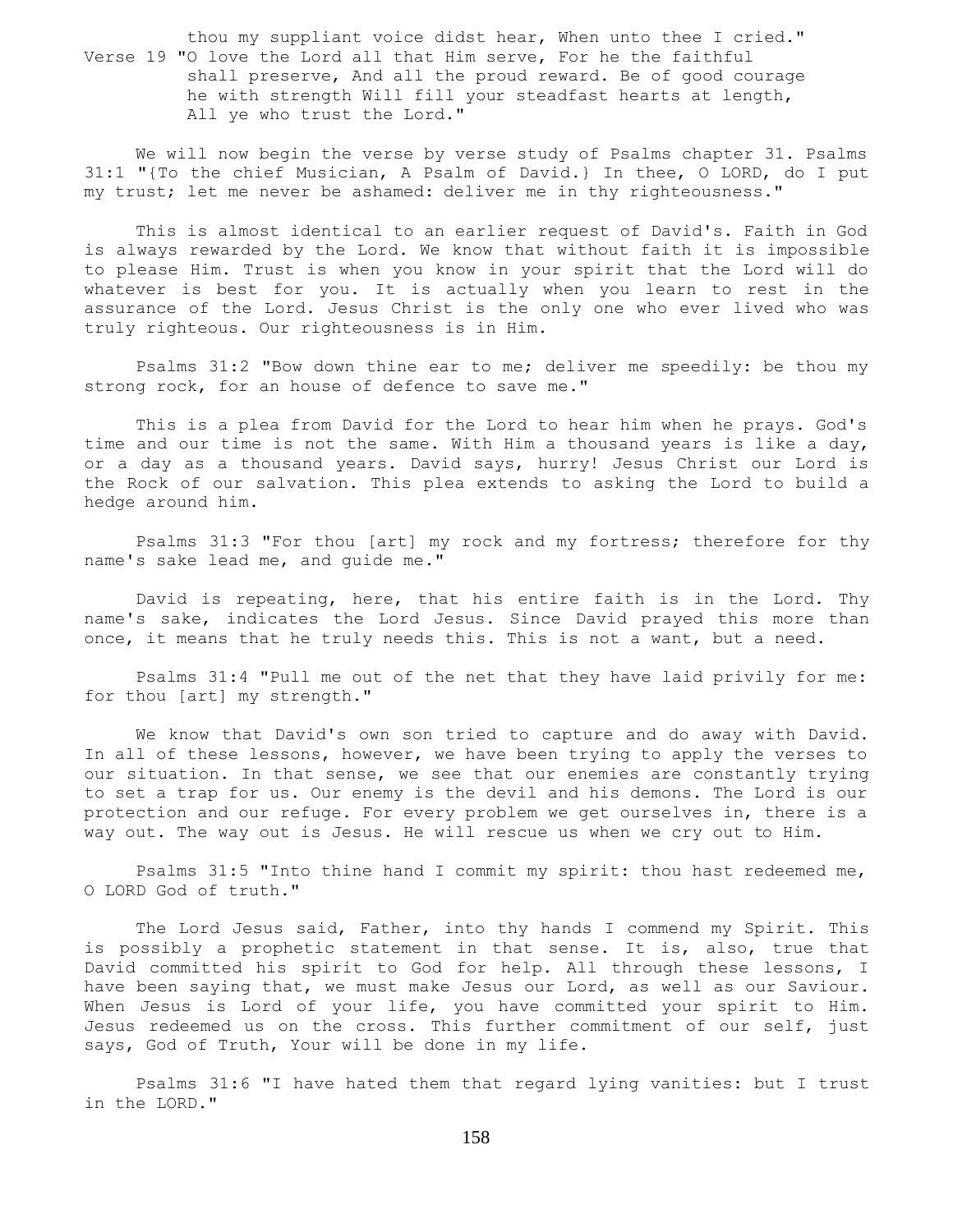thou my suppliant voice didst hear, When unto thee I cried." Verse 19 "O love the Lord all that Him serve, For he the faithful shall preserve, And all the proud reward. Be of good courage he with strength Will fill your steadfast hearts at length, All ye who trust the Lord."

 We will now begin the verse by verse study of Psalms chapter 31. Psalms 31:1 "{To the chief Musician, A Psalm of David.} In thee, O LORD, do I put my trust; let me never be ashamed: deliver me in thy righteousness."

 This is almost identical to an earlier request of David's. Faith in God is always rewarded by the Lord. We know that without faith it is impossible to please Him. Trust is when you know in your spirit that the Lord will do whatever is best for you. It is actually when you learn to rest in the assurance of the Lord. Jesus Christ is the only one who ever lived who was truly righteous. Our righteousness is in Him.

 Psalms 31:2 "Bow down thine ear to me; deliver me speedily: be thou my strong rock, for an house of defence to save me."

 This is a plea from David for the Lord to hear him when he prays. God's time and our time is not the same. With Him a thousand years is like a day, or a day as a thousand years. David says, hurry! Jesus Christ our Lord is the Rock of our salvation. This plea extends to asking the Lord to build a hedge around him.

 Psalms 31:3 "For thou [art] my rock and my fortress; therefore for thy name's sake lead me, and guide me."

 David is repeating, here, that his entire faith is in the Lord. Thy name's sake, indicates the Lord Jesus. Since David prayed this more than once, it means that he truly needs this. This is not a want, but a need.

 Psalms 31:4 "Pull me out of the net that they have laid privily for me: for thou [art] my strength."

 We know that David's own son tried to capture and do away with David. In all of these lessons, however, we have been trying to apply the verses to our situation. In that sense, we see that our enemies are constantly trying to set a trap for us. Our enemy is the devil and his demons. The Lord is our protection and our refuge. For every problem we get ourselves in, there is a way out. The way out is Jesus. He will rescue us when we cry out to Him.

 Psalms 31:5 "Into thine hand I commit my spirit: thou hast redeemed me, O LORD God of truth."

The Lord Jesus said, Father, into thy hands I commend my Spirit. This is possibly a prophetic statement in that sense. It is, also, true that David committed his spirit to God for help. All through these lessons, I have been saying that, we must make Jesus our Lord, as well as our Saviour. When Jesus is Lord of your life, you have committed your spirit to Him. Jesus redeemed us on the cross. This further commitment of our self, just says, God of Truth, Your will be done in my life.

 Psalms 31:6 "I have hated them that regard lying vanities: but I trust in the LORD."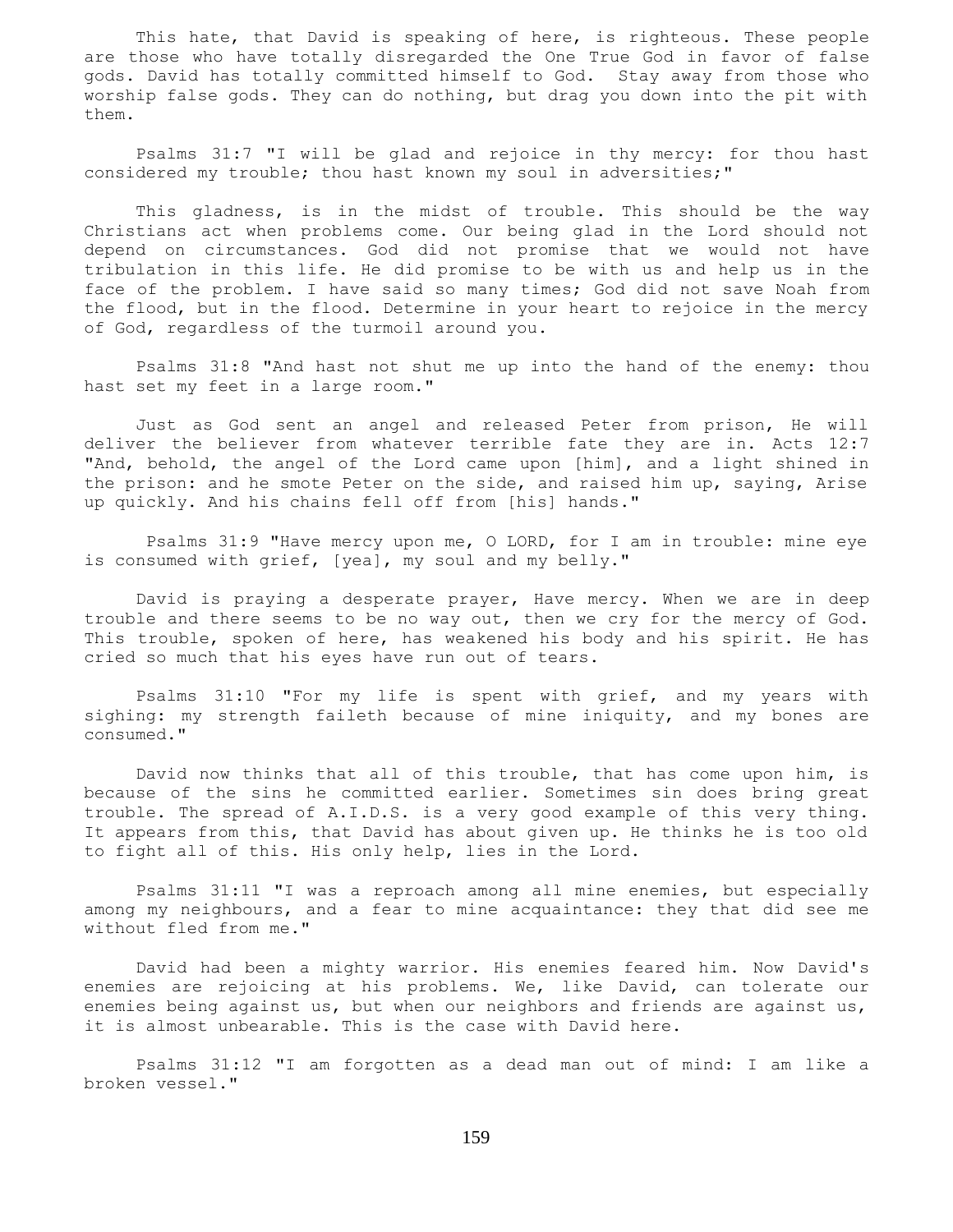This hate, that David is speaking of here, is righteous. These people are those who have totally disregarded the One True God in favor of false gods. David has totally committed himself to God. Stay away from those who worship false gods. They can do nothing, but drag you down into the pit with them.

 Psalms 31:7 "I will be glad and rejoice in thy mercy: for thou hast considered my trouble; thou hast known my soul in adversities;"

 This gladness, is in the midst of trouble. This should be the way Christians act when problems come. Our being glad in the Lord should not depend on circumstances. God did not promise that we would not have tribulation in this life. He did promise to be with us and help us in the face of the problem. I have said so many times; God did not save Noah from the flood, but in the flood. Determine in your heart to rejoice in the mercy of God, regardless of the turmoil around you.

 Psalms 31:8 "And hast not shut me up into the hand of the enemy: thou hast set my feet in a large room."

 Just as God sent an angel and released Peter from prison, He will deliver the believer from whatever terrible fate they are in. Acts 12:7 "And, behold, the angel of the Lord came upon [him], and a light shined in the prison: and he smote Peter on the side, and raised him up, saying, Arise up quickly. And his chains fell off from [his] hands."

 Psalms 31:9 "Have mercy upon me, O LORD, for I am in trouble: mine eye is consumed with grief, [yea], my soul and my belly."

 David is praying a desperate prayer, Have mercy. When we are in deep trouble and there seems to be no way out, then we cry for the mercy of God. This trouble, spoken of here, has weakened his body and his spirit. He has cried so much that his eyes have run out of tears.

 Psalms 31:10 "For my life is spent with grief, and my years with sighing: my strength faileth because of mine iniquity, and my bones are consumed."

 David now thinks that all of this trouble, that has come upon him, is because of the sins he committed earlier. Sometimes sin does bring great trouble. The spread of A.I.D.S. is a very good example of this very thing. It appears from this, that David has about given up. He thinks he is too old to fight all of this. His only help, lies in the Lord.

 Psalms 31:11 "I was a reproach among all mine enemies, but especially among my neighbours, and a fear to mine acquaintance: they that did see me without fled from me."

 David had been a mighty warrior. His enemies feared him. Now David's enemies are rejoicing at his problems. We, like David, can tolerate our enemies being against us, but when our neighbors and friends are against us, it is almost unbearable. This is the case with David here.

 Psalms 31:12 "I am forgotten as a dead man out of mind: I am like a broken vessel."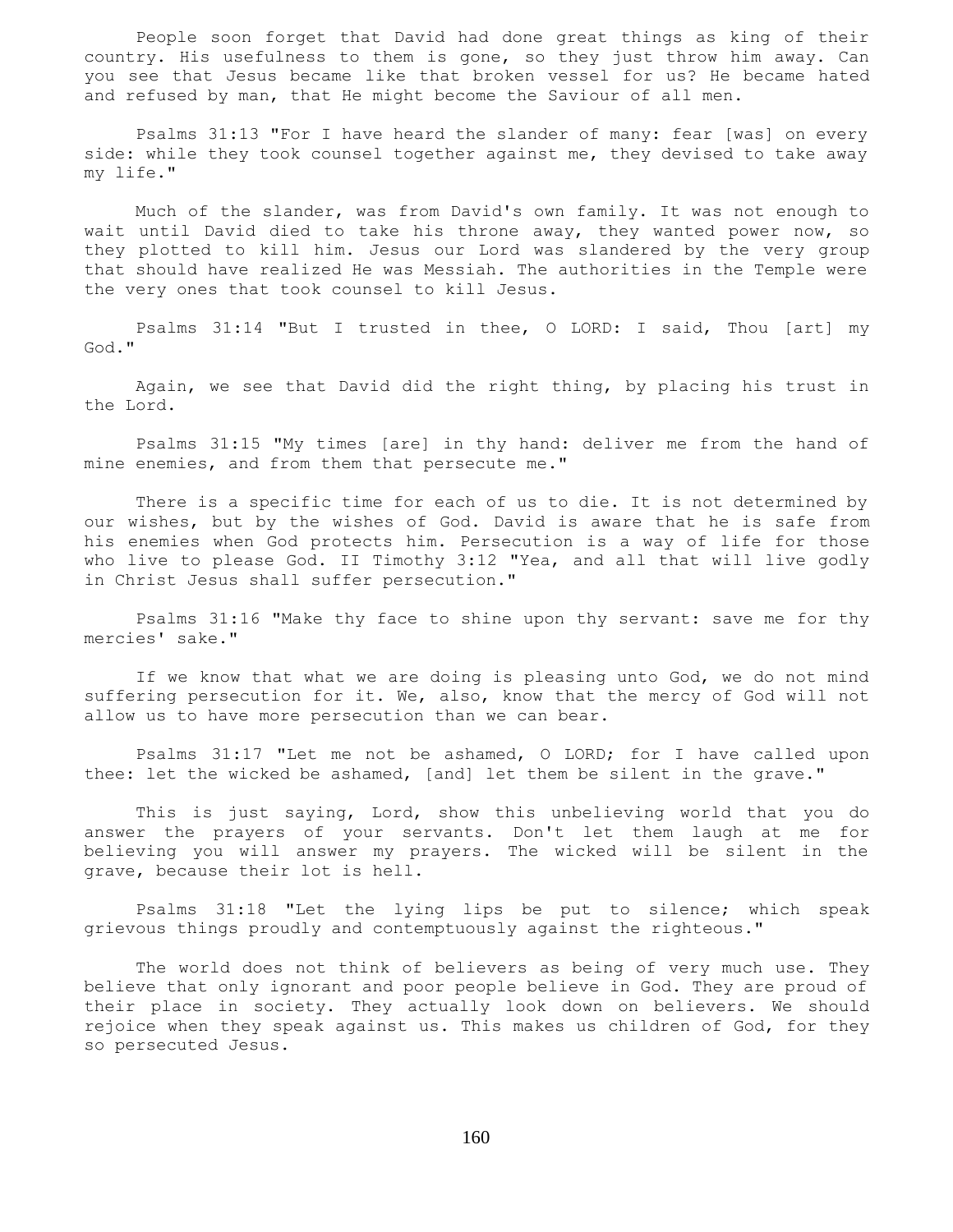People soon forget that David had done great things as king of their country. His usefulness to them is gone, so they just throw him away. Can you see that Jesus became like that broken vessel for us? He became hated and refused by man, that He might become the Saviour of all men.

 Psalms 31:13 "For I have heard the slander of many: fear [was] on every side: while they took counsel together against me, they devised to take away my life."

 Much of the slander, was from David's own family. It was not enough to wait until David died to take his throne away, they wanted power now, so they plotted to kill him. Jesus our Lord was slandered by the very group that should have realized He was Messiah. The authorities in the Temple were the very ones that took counsel to kill Jesus.

 Psalms 31:14 "But I trusted in thee, O LORD: I said, Thou [art] my God."

 Again, we see that David did the right thing, by placing his trust in the Lord.

 Psalms 31:15 "My times [are] in thy hand: deliver me from the hand of mine enemies, and from them that persecute me."

 There is a specific time for each of us to die. It is not determined by our wishes, but by the wishes of God. David is aware that he is safe from his enemies when God protects him. Persecution is a way of life for those who live to please God. II Timothy 3:12 "Yea, and all that will live godly in Christ Jesus shall suffer persecution."

 Psalms 31:16 "Make thy face to shine upon thy servant: save me for thy mercies' sake."

 If we know that what we are doing is pleasing unto God, we do not mind suffering persecution for it. We, also, know that the mercy of God will not allow us to have more persecution than we can bear.

 Psalms 31:17 "Let me not be ashamed, O LORD; for I have called upon thee: let the wicked be ashamed, [and] let them be silent in the grave."

 This is just saying, Lord, show this unbelieving world that you do answer the prayers of your servants. Don't let them laugh at me for believing you will answer my prayers. The wicked will be silent in the grave, because their lot is hell.

 Psalms 31:18 "Let the lying lips be put to silence; which speak grievous things proudly and contemptuously against the righteous."

 The world does not think of believers as being of very much use. They believe that only ignorant and poor people believe in God. They are proud of their place in society. They actually look down on believers. We should rejoice when they speak against us. This makes us children of God, for they so persecuted Jesus.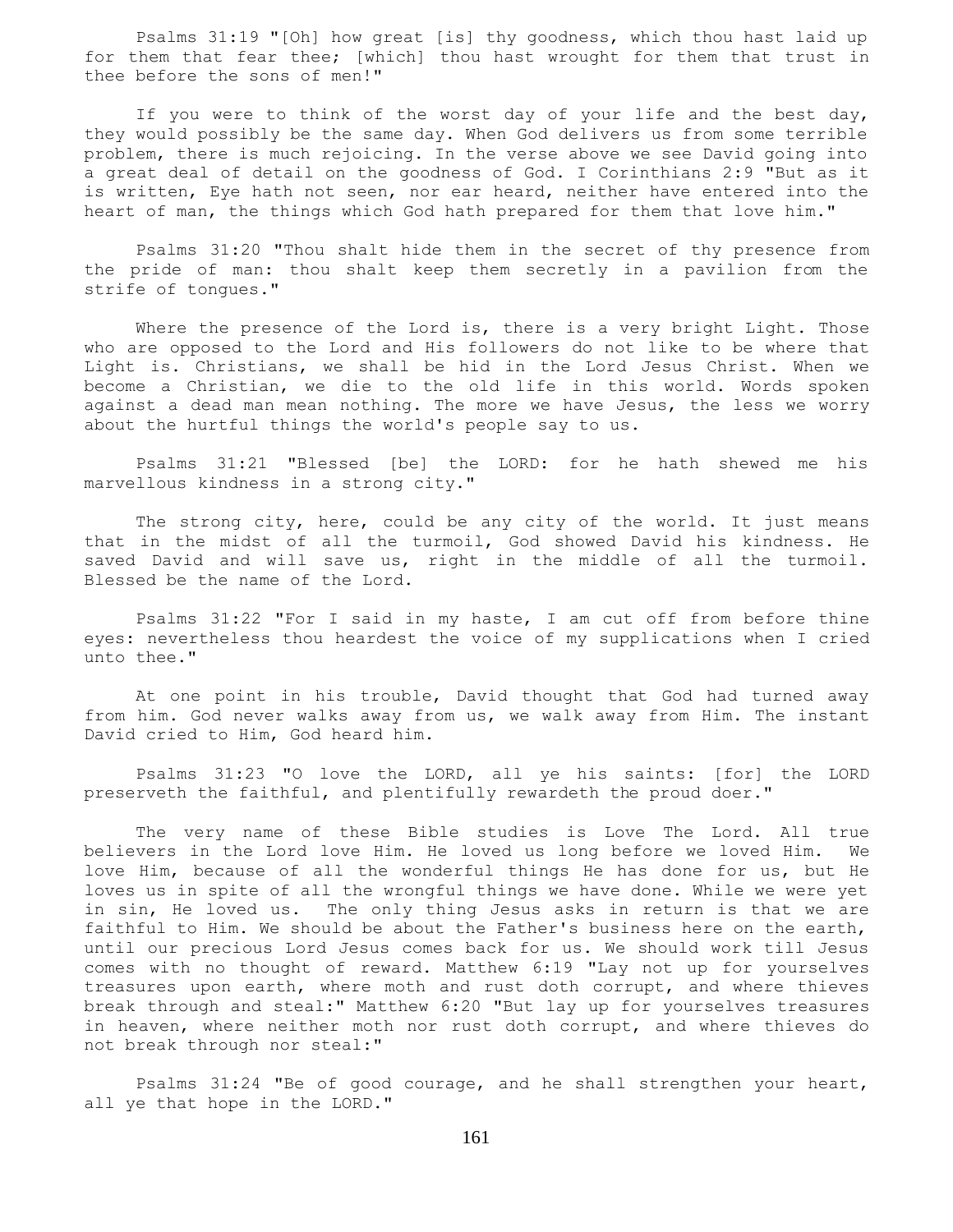Psalms 31:19 "[Oh] how great [is] thy goodness, which thou hast laid up for them that fear thee; [which] thou hast wrought for them that trust in thee before the sons of men!"

 If you were to think of the worst day of your life and the best day, they would possibly be the same day. When God delivers us from some terrible problem, there is much rejoicing. In the verse above we see David going into a great deal of detail on the goodness of God. I Corinthians 2:9 "But as it is written, Eye hath not seen, nor ear heard, neither have entered into the heart of man, the things which God hath prepared for them that love him."

 Psalms 31:20 "Thou shalt hide them in the secret of thy presence from the pride of man: thou shalt keep them secretly in a pavilion from the strife of tongues."

Where the presence of the Lord is, there is a very bright Light. Those who are opposed to the Lord and His followers do not like to be where that Light is. Christians, we shall be hid in the Lord Jesus Christ. When we become a Christian, we die to the old life in this world. Words spoken against a dead man mean nothing. The more we have Jesus, the less we worry about the hurtful things the world's people say to us.

 Psalms 31:21 "Blessed [be] the LORD: for he hath shewed me his marvellous kindness in a strong city."

The strong city, here, could be any city of the world. It just means that in the midst of all the turmoil, God showed David his kindness. He saved David and will save us, right in the middle of all the turmoil. Blessed be the name of the Lord.

 Psalms 31:22 "For I said in my haste, I am cut off from before thine eyes: nevertheless thou heardest the voice of my supplications when I cried unto thee."

 At one point in his trouble, David thought that God had turned away from him. God never walks away from us, we walk away from Him. The instant David cried to Him, God heard him.

 Psalms 31:23 "O love the LORD, all ye his saints: [for] the LORD preserveth the faithful, and plentifully rewardeth the proud doer."

 The very name of these Bible studies is Love The Lord. All true believers in the Lord love Him. He loved us long before we loved Him. We love Him, because of all the wonderful things He has done for us, but He loves us in spite of all the wrongful things we have done. While we were yet in sin, He loved us. The only thing Jesus asks in return is that we are faithful to Him. We should be about the Father's business here on the earth, until our precious Lord Jesus comes back for us. We should work till Jesus comes with no thought of reward. Matthew 6:19 "Lay not up for yourselves treasures upon earth, where moth and rust doth corrupt, and where thieves break through and steal:" Matthew 6:20 "But lay up for yourselves treasures in heaven, where neither moth nor rust doth corrupt, and where thieves do not break through nor steal:"

 Psalms 31:24 "Be of good courage, and he shall strengthen your heart, all ye that hope in the LORD."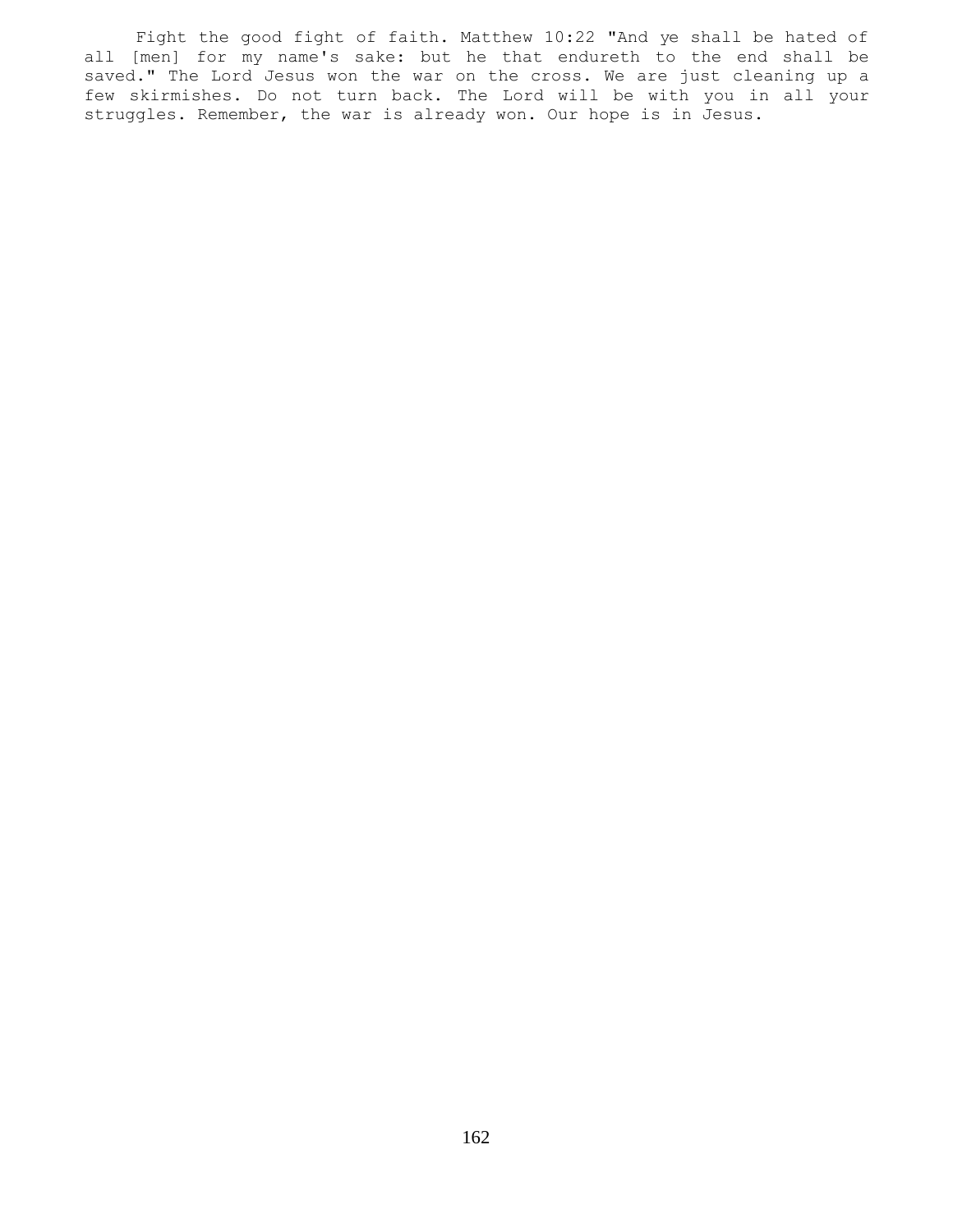Fight the good fight of faith. Matthew 10:22 "And ye shall be hated of all [men] for my name's sake: but he that endureth to the end shall be saved." The Lord Jesus won the war on the cross. We are just cleaning up a few skirmishes. Do not turn back. The Lord will be with you in all your struggles. Remember, the war is already won. Our hope is in Jesus.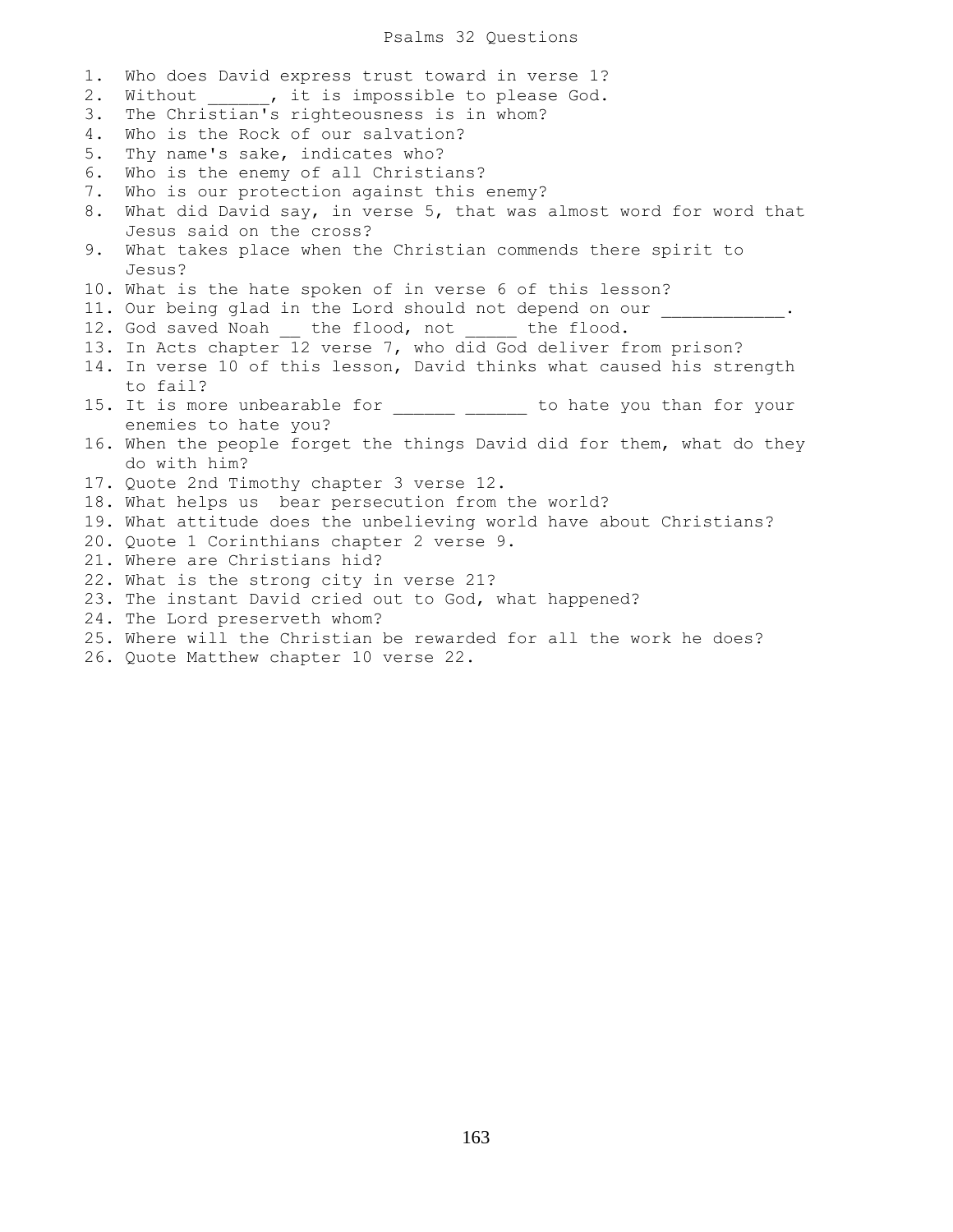## Psalms 32 Questions

1. Who does David express trust toward in verse 1? 2. Without , it is impossible to please God. 3. The Christian's righteousness is in whom? 4. Who is the Rock of our salvation? 5. Thy name's sake, indicates who? 6. Who is the enemy of all Christians? 7. Who is our protection against this enemy? 8. What did David say, in verse 5, that was almost word for word that Jesus said on the cross? 9. What takes place when the Christian commends there spirit to Jesus? 10. What is the hate spoken of in verse 6 of this lesson? 11. Our being glad in the Lord should not depend on our 12. God saved Noah the flood, not the flood. 13. In Acts chapter 12 verse 7, who did God deliver from prison? 14. In verse 10 of this lesson, David thinks what caused his strength to fail? 15. It is more unbearable for \_\_\_\_\_\_\_ \_\_\_\_\_\_ to hate you than for your enemies to hate you? 16. When the people forget the things David did for them, what do they do with him? 17. Quote 2nd Timothy chapter 3 verse 12. 18. What helps us bear persecution from the world? 19. What attitude does the unbelieving world have about Christians? 20. Quote 1 Corinthians chapter 2 verse 9. 21. Where are Christians hid? 22. What is the strong city in verse 21? 23. The instant David cried out to God, what happened? 24. The Lord preserveth whom? 25. Where will the Christian be rewarded for all the work he does?

26. Quote Matthew chapter 10 verse 22.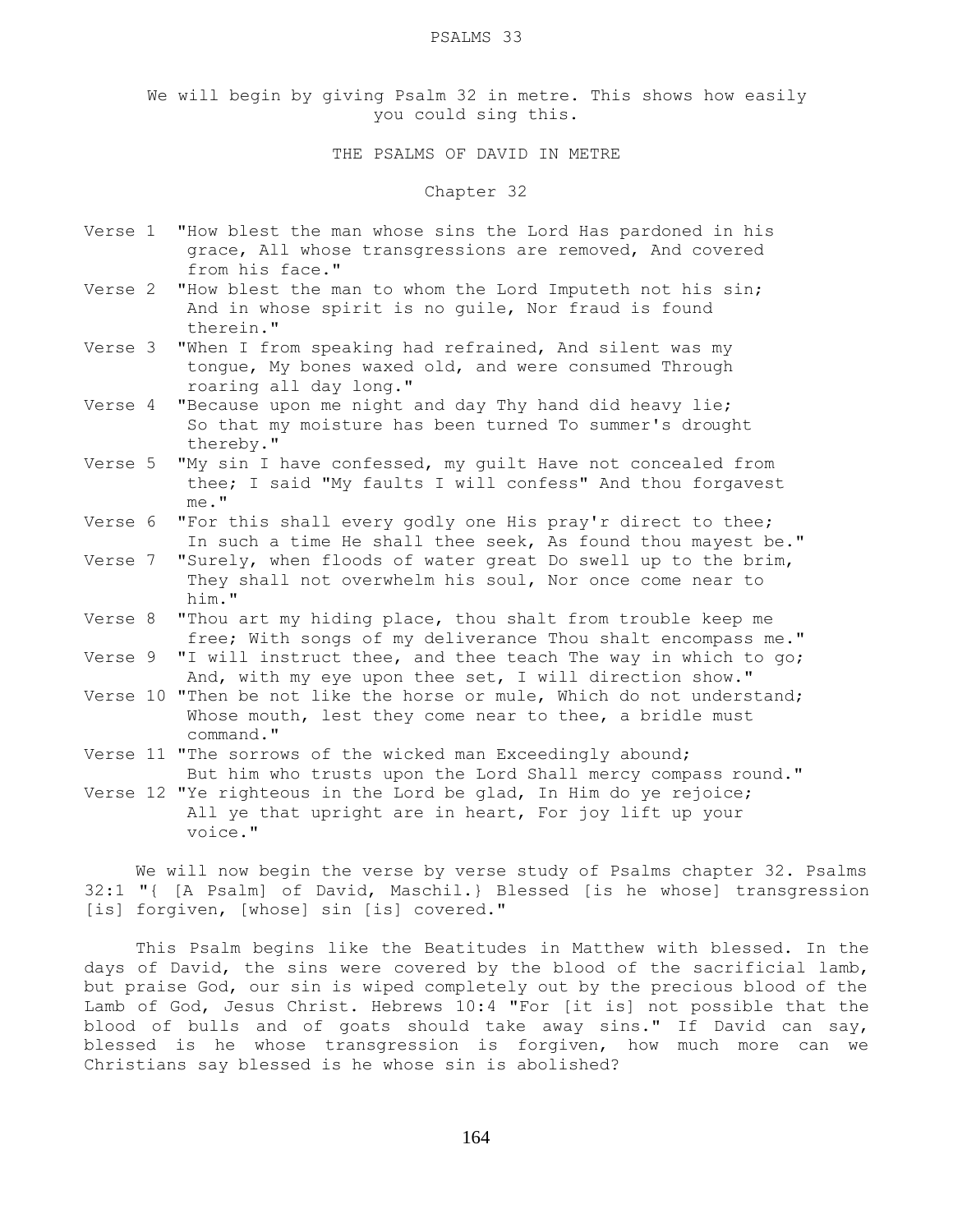PSALMS 33

We will begin by giving Psalm 32 in metre. This shows how easily you could sing this.

THE PSALMS OF DAVID IN METRE

## Chapter 32

- Verse 1 "How blest the man whose sins the Lord Has pardoned in his grace, All whose transgressions are removed, And covered from his face."
- Verse 2 "How blest the man to whom the Lord Imputeth not his sin; And in whose spirit is no guile, Nor fraud is found therein."
- Verse 3 "When I from speaking had refrained, And silent was my tongue, My bones waxed old, and were consumed Through roaring all day long."
- Verse 4 "Because upon me night and day Thy hand did heavy lie; So that my moisture has been turned To summer's drought thereby."
- Verse 5 "My sin I have confessed, my guilt Have not concealed from thee; I said "My faults I will confess" And thou forgavest me."
- Verse 6 "For this shall every godly one His pray'r direct to thee; In such a time He shall thee seek, As found thou mayest be."
- Verse 7 "Surely, when floods of water great Do swell up to the brim, They shall not overwhelm his soul, Nor once come near to him."
- Verse 8 "Thou art my hiding place, thou shalt from trouble keep me free; With songs of my deliverance Thou shalt encompass me."
- Verse 9 "I will instruct thee, and thee teach The way in which to go; And, with my eye upon thee set, I will direction show."
- Verse 10 "Then be not like the horse or mule, Which do not understand; Whose mouth, lest they come near to thee, a bridle must command."
- Verse 11 "The sorrows of the wicked man Exceedingly abound; But him who trusts upon the Lord Shall mercy compass round."
- Verse 12 "Ye righteous in the Lord be glad, In Him do ye rejoice; All ye that upright are in heart, For joy lift up your voice."

 We will now begin the verse by verse study of Psalms chapter 32. Psalms 32:1 "{ [A Psalm] of David, Maschil.} Blessed [is he whose] transgression [is] forgiven, [whose] sin [is] covered."

 This Psalm begins like the Beatitudes in Matthew with blessed. In the days of David, the sins were covered by the blood of the sacrificial lamb, but praise God, our sin is wiped completely out by the precious blood of the Lamb of God, Jesus Christ. Hebrews 10:4 "For [it is] not possible that the blood of bulls and of goats should take away sins." If David can say, blessed is he whose transgression is forgiven, how much more can we Christians say blessed is he whose sin is abolished?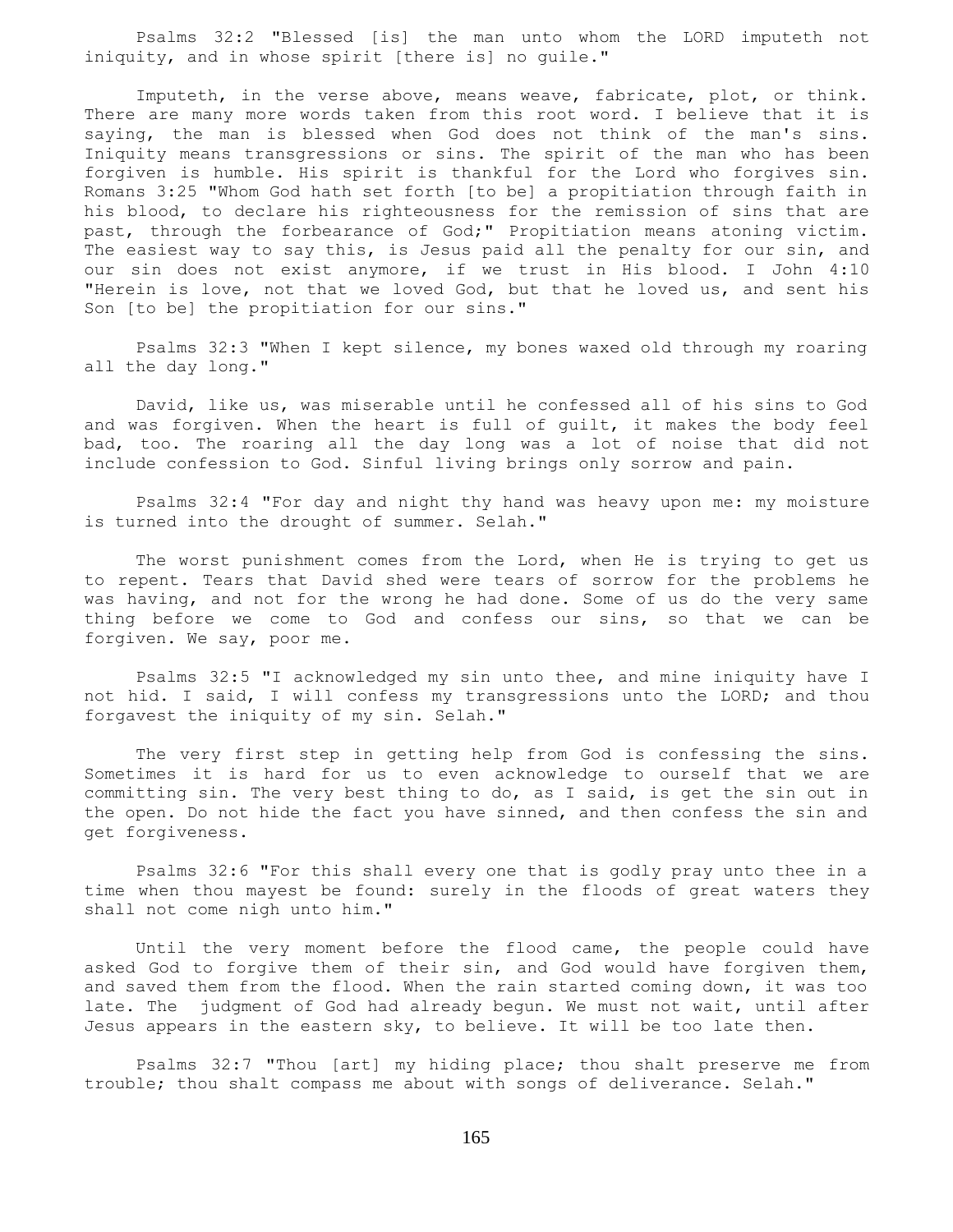Psalms 32:2 "Blessed [is] the man unto whom the LORD imputeth not iniquity, and in whose spirit [there is] no guile."

 Imputeth, in the verse above, means weave, fabricate, plot, or think. There are many more words taken from this root word. I believe that it is saying, the man is blessed when God does not think of the man's sins. Iniquity means transgressions or sins. The spirit of the man who has been forgiven is humble. His spirit is thankful for the Lord who forgives sin. Romans 3:25 "Whom God hath set forth [to be] a propitiation through faith in his blood, to declare his righteousness for the remission of sins that are past, through the forbearance of God;" Propitiation means atoning victim. The easiest way to say this, is Jesus paid all the penalty for our sin, and our sin does not exist anymore, if we trust in His blood. I John 4:10 "Herein is love, not that we loved God, but that he loved us, and sent his Son [to be] the propitiation for our sins."

 Psalms 32:3 "When I kept silence, my bones waxed old through my roaring all the day long."

 David, like us, was miserable until he confessed all of his sins to God and was forgiven. When the heart is full of guilt, it makes the body feel bad, too. The roaring all the day long was a lot of noise that did not include confession to God. Sinful living brings only sorrow and pain.

 Psalms 32:4 "For day and night thy hand was heavy upon me: my moisture is turned into the drought of summer. Selah."

 The worst punishment comes from the Lord, when He is trying to get us to repent. Tears that David shed were tears of sorrow for the problems he was having, and not for the wrong he had done. Some of us do the very same thing before we come to God and confess our sins, so that we can be forgiven. We say, poor me.

 Psalms 32:5 "I acknowledged my sin unto thee, and mine iniquity have I not hid. I said, I will confess my transgressions unto the LORD; and thou forgavest the iniquity of my sin. Selah."

 The very first step in getting help from God is confessing the sins. Sometimes it is hard for us to even acknowledge to ourself that we are committing sin. The very best thing to do, as I said, is get the sin out in the open. Do not hide the fact you have sinned, and then confess the sin and get forgiveness.

 Psalms 32:6 "For this shall every one that is godly pray unto thee in a time when thou mayest be found: surely in the floods of great waters they shall not come nigh unto him."

 Until the very moment before the flood came, the people could have asked God to forgive them of their sin, and God would have forgiven them, and saved them from the flood. When the rain started coming down, it was too late. The judgment of God had already begun. We must not wait, until after Jesus appears in the eastern sky, to believe. It will be too late then.

 Psalms 32:7 "Thou [art] my hiding place; thou shalt preserve me from trouble; thou shalt compass me about with songs of deliverance. Selah."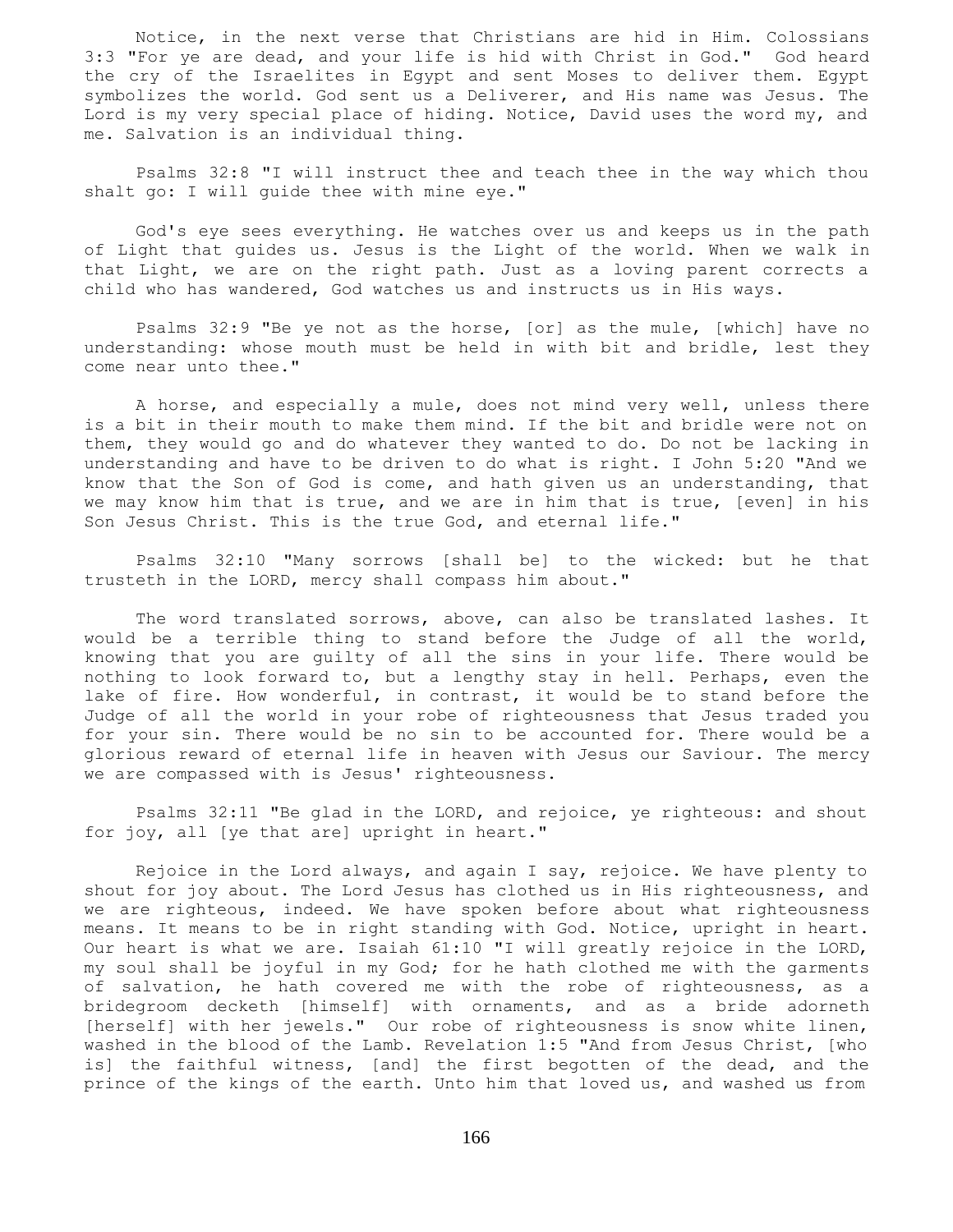Notice, in the next verse that Christians are hid in Him. Colossians 3:3 "For ye are dead, and your life is hid with Christ in God." God heard the cry of the Israelites in Egypt and sent Moses to deliver them. Egypt symbolizes the world. God sent us a Deliverer, and His name was Jesus. The Lord is my very special place of hiding. Notice, David uses the word my, and me. Salvation is an individual thing.

 Psalms 32:8 "I will instruct thee and teach thee in the way which thou shalt go: I will guide thee with mine eye."

 God's eye sees everything. He watches over us and keeps us in the path of Light that guides us. Jesus is the Light of the world. When we walk in that Light, we are on the right path. Just as a loving parent corrects a child who has wandered, God watches us and instructs us in His ways.

 Psalms 32:9 "Be ye not as the horse, [or] as the mule, [which] have no understanding: whose mouth must be held in with bit and bridle, lest they come near unto thee."

 A horse, and especially a mule, does not mind very well, unless there is a bit in their mouth to make them mind. If the bit and bridle were not on them, they would go and do whatever they wanted to do. Do not be lacking in understanding and have to be driven to do what is right. I John 5:20 "And we know that the Son of God is come, and hath given us an understanding, that we may know him that is true, and we are in him that is true, [even] in his Son Jesus Christ. This is the true God, and eternal life."

 Psalms 32:10 "Many sorrows [shall be] to the wicked: but he that trusteth in the LORD, mercy shall compass him about."

 The word translated sorrows, above, can also be translated lashes. It would be a terrible thing to stand before the Judge of all the world, knowing that you are guilty of all the sins in your life. There would be nothing to look forward to, but a lengthy stay in hell. Perhaps, even the lake of fire. How wonderful, in contrast, it would be to stand before the Judge of all the world in your robe of righteousness that Jesus traded you for your sin. There would be no sin to be accounted for. There would be a glorious reward of eternal life in heaven with Jesus our Saviour. The mercy we are compassed with is Jesus' righteousness.

 Psalms 32:11 "Be glad in the LORD, and rejoice, ye righteous: and shout for joy, all [ye that are] upright in heart."

 Rejoice in the Lord always, and again I say, rejoice. We have plenty to shout for joy about. The Lord Jesus has clothed us in His righteousness, and we are righteous, indeed. We have spoken before about what righteousness means. It means to be in right standing with God. Notice, upright in heart. Our heart is what we are. Isaiah 61:10 "I will greatly rejoice in the LORD, my soul shall be joyful in my God; for he hath clothed me with the garments of salvation, he hath covered me with the robe of righteousness, as a bridegroom decketh [himself] with ornaments, and as a bride adorneth [herself] with her jewels." Our robe of righteousness is snow white linen, washed in the blood of the Lamb. Revelation 1:5 "And from Jesus Christ, [who is] the faithful witness, [and] the first begotten of the dead, and the prince of the kings of the earth. Unto him that loved us, and washed us from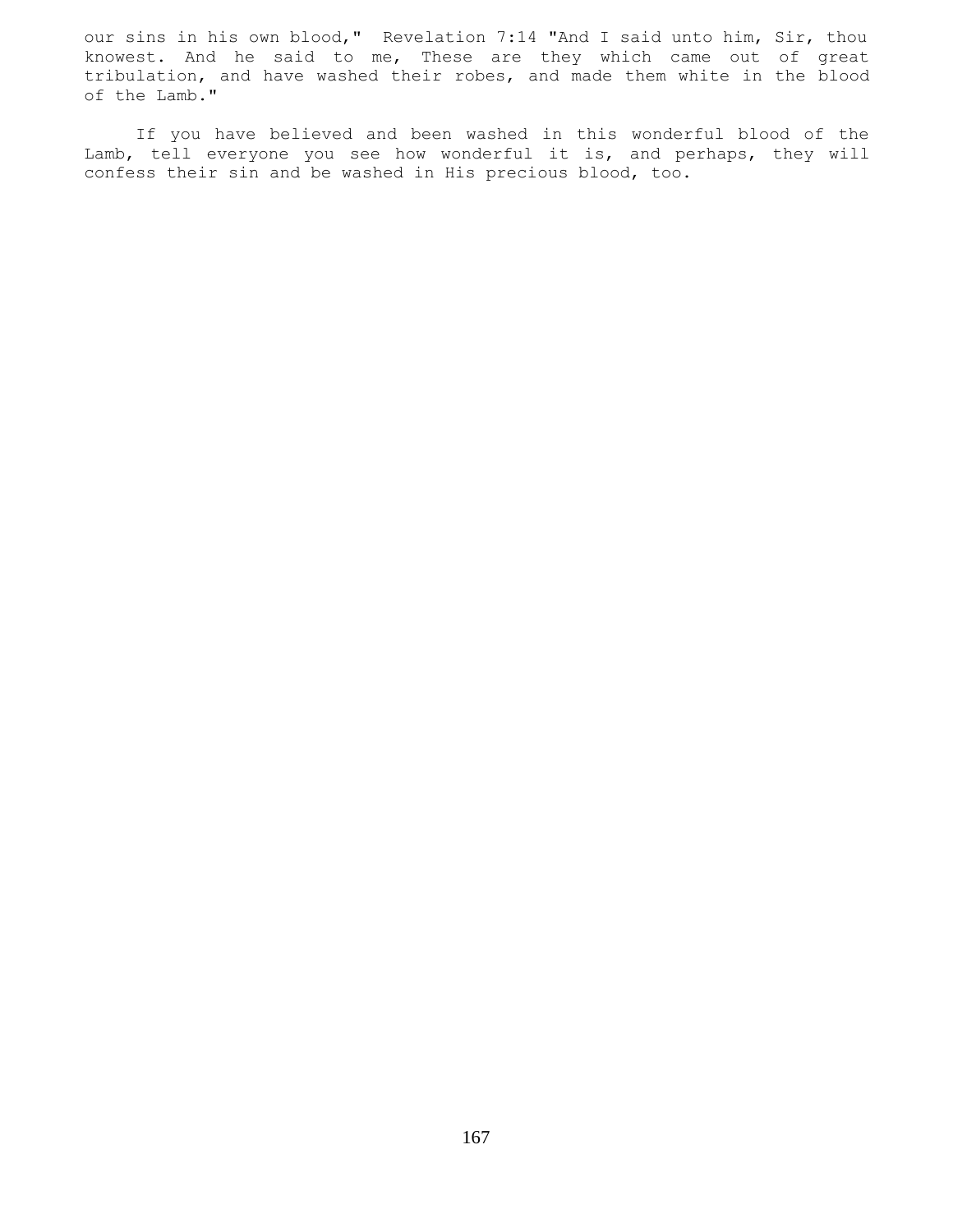our sins in his own blood," Revelation 7:14 "And I said unto him, Sir, thou knowest. And he said to me, These are they which came out of great tribulation, and have washed their robes, and made them white in the blood of the Lamb."

 If you have believed and been washed in this wonderful blood of the Lamb, tell everyone you see how wonderful it is, and perhaps, they will confess their sin and be washed in His precious blood, too.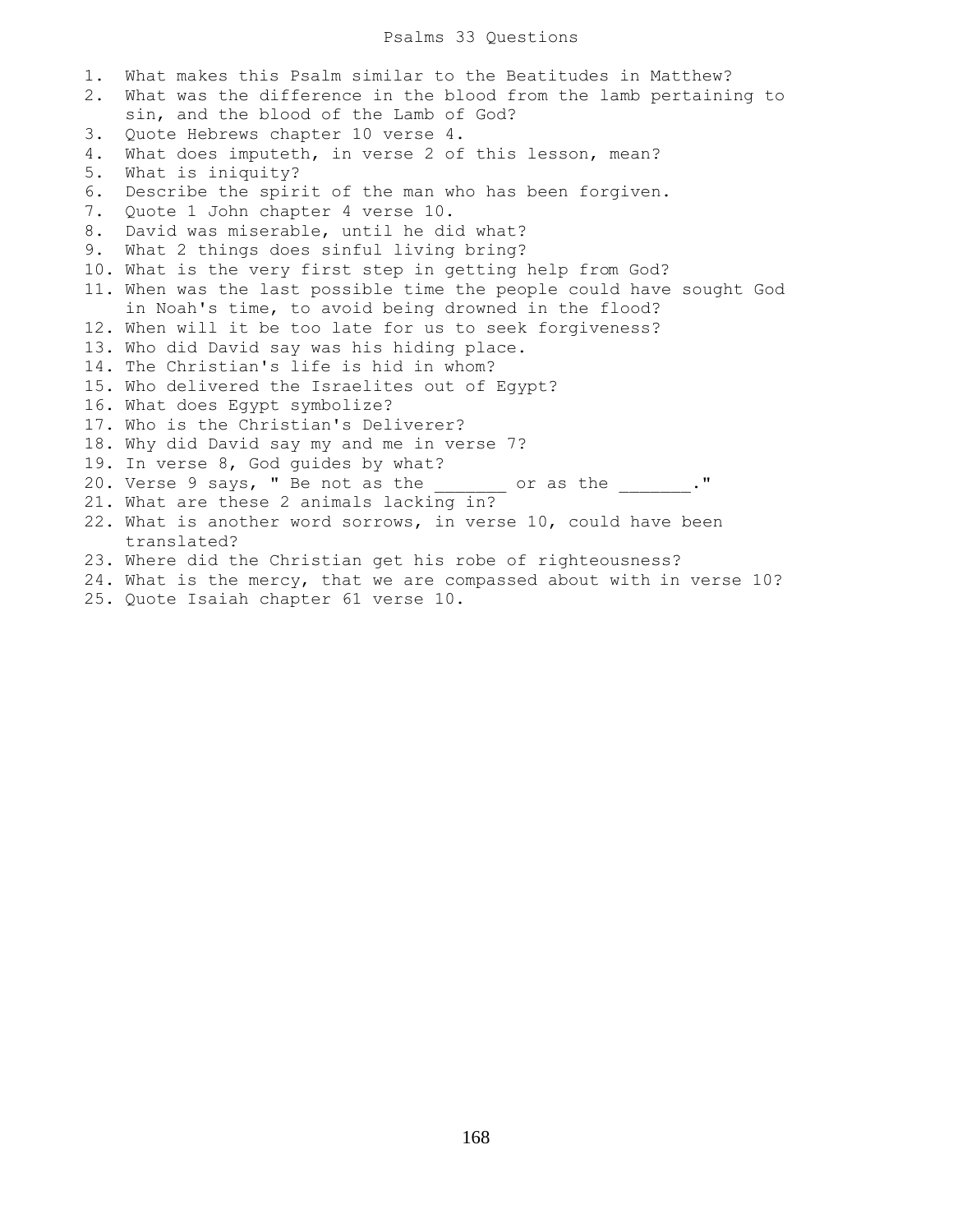## Psalms 33 Questions

1. What makes this Psalm similar to the Beatitudes in Matthew? 2. What was the difference in the blood from the lamb pertaining to sin, and the blood of the Lamb of God? 3. Quote Hebrews chapter 10 verse 4. 4. What does imputeth, in verse 2 of this lesson, mean? 5. What is iniquity? 6. Describe the spirit of the man who has been forgiven. 7. Quote 1 John chapter 4 verse 10. 8. David was miserable, until he did what? 9. What 2 things does sinful living bring? 10. What is the very first step in getting help from God? 11. When was the last possible time the people could have sought God in Noah's time, to avoid being drowned in the flood? 12. When will it be too late for us to seek forgiveness? 13. Who did David say was his hiding place. 14. The Christian's life is hid in whom? 15. Who delivered the Israelites out of Egypt? 16. What does Egypt symbolize? 17. Who is the Christian's Deliverer? 18. Why did David say my and me in verse 7? 19. In verse 8, God guides by what? 20. Verse 9 says, " Be not as the  $\frac{1}{2}$  or as the  $\frac{1}{2}$ ." 21. What are these 2 animals lacking in? 22. What is another word sorrows, in verse 10, could have been translated? 23. Where did the Christian get his robe of righteousness? 24. What is the mercy, that we are compassed about with in verse 10? 25. Quote Isaiah chapter 61 verse 10.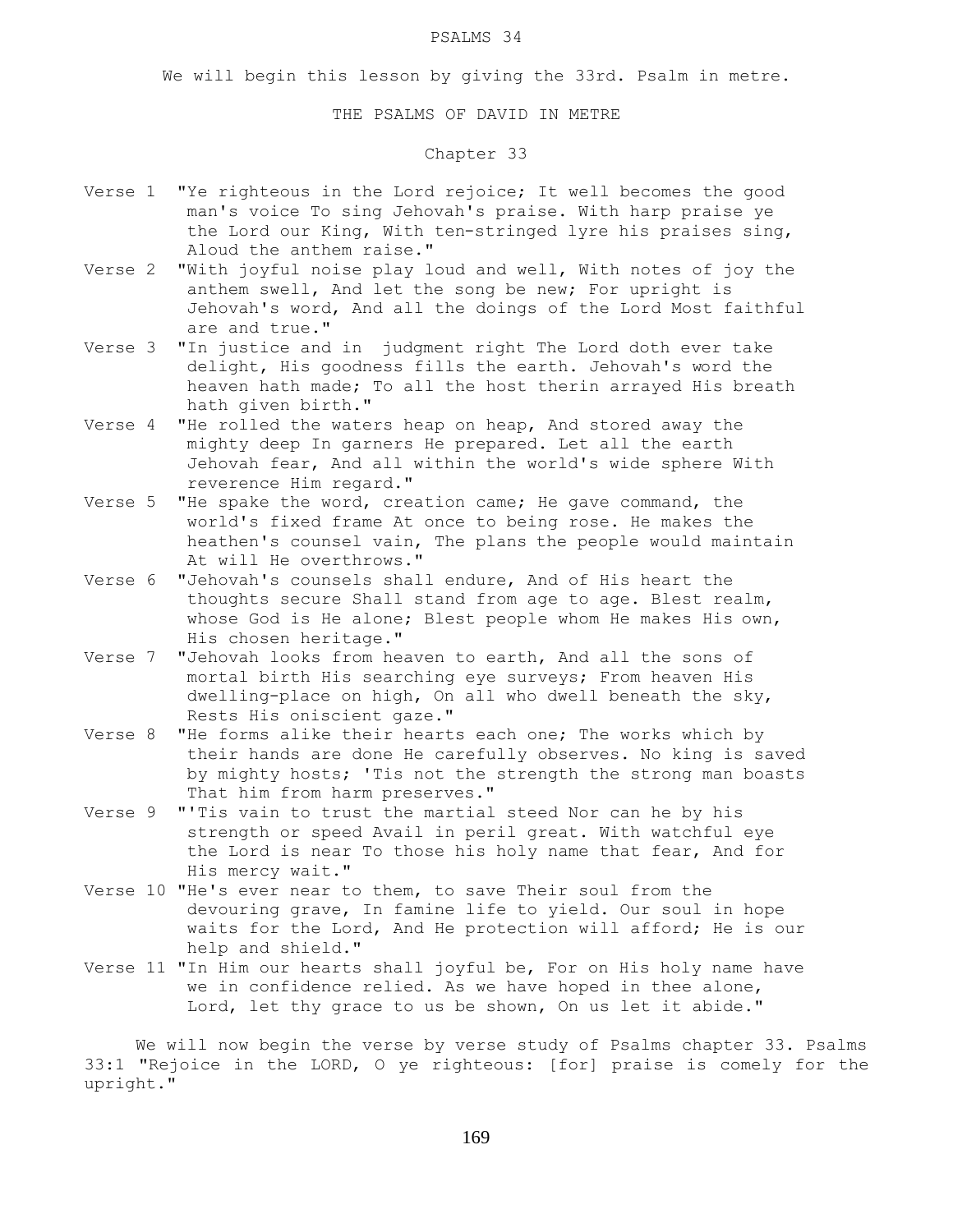#### PSALMS 34

We will begin this lesson by giving the 33rd. Psalm in metre.

## THE PSALMS OF DAVID IN METRE

# Chapter 33

- Verse 1 "Ye righteous in the Lord rejoice; It well becomes the good man's voice To sing Jehovah's praise. With harp praise ye the Lord our King, With ten-stringed lyre his praises sing, Aloud the anthem raise."
- Verse 2 "With joyful noise play loud and well, With notes of joy the anthem swell, And let the song be new; For upright is Jehovah's word, And all the doings of the Lord Most faithful are and true."
- Verse 3 "In justice and in judgment right The Lord doth ever take delight, His goodness fills the earth. Jehovah's word the heaven hath made; To all the host therin arrayed His breath hath given birth."
- Verse 4 "He rolled the waters heap on heap, And stored away the mighty deep In garners He prepared. Let all the earth Jehovah fear, And all within the world's wide sphere With reverence Him regard."
- Verse 5 "He spake the word, creation came; He gave command, the world's fixed frame At once to being rose. He makes the heathen's counsel vain, The plans the people would maintain At will He overthrows."
- Verse 6 "Jehovah's counsels shall endure, And of His heart the thoughts secure Shall stand from age to age. Blest realm, whose God is He alone; Blest people whom He makes His own, His chosen heritage."
- Verse 7 "Jehovah looks from heaven to earth, And all the sons of mortal birth His searching eye surveys; From heaven His dwelling-place on high, On all who dwell beneath the sky, Rests His oniscient gaze."
- Verse 8 "He forms alike their hearts each one; The works which by their hands are done He carefully observes. No king is saved by mighty hosts; 'Tis not the strength the strong man boasts That him from harm preserves."
- Verse 9 "'Tis vain to trust the martial steed Nor can he by his strength or speed Avail in peril great. With watchful eye the Lord is near To those his holy name that fear, And for His mercy wait."
- Verse 10 "He's ever near to them, to save Their soul from the devouring grave, In famine life to yield. Our soul in hope waits for the Lord, And He protection will afford; He is our help and shield."
- Verse 11 "In Him our hearts shall joyful be, For on His holy name have we in confidence relied. As we have hoped in thee alone, Lord, let thy grace to us be shown, On us let it abide."

 We will now begin the verse by verse study of Psalms chapter 33. Psalms 33:1 "Rejoice in the LORD, O ye righteous: [for] praise is comely for the upright."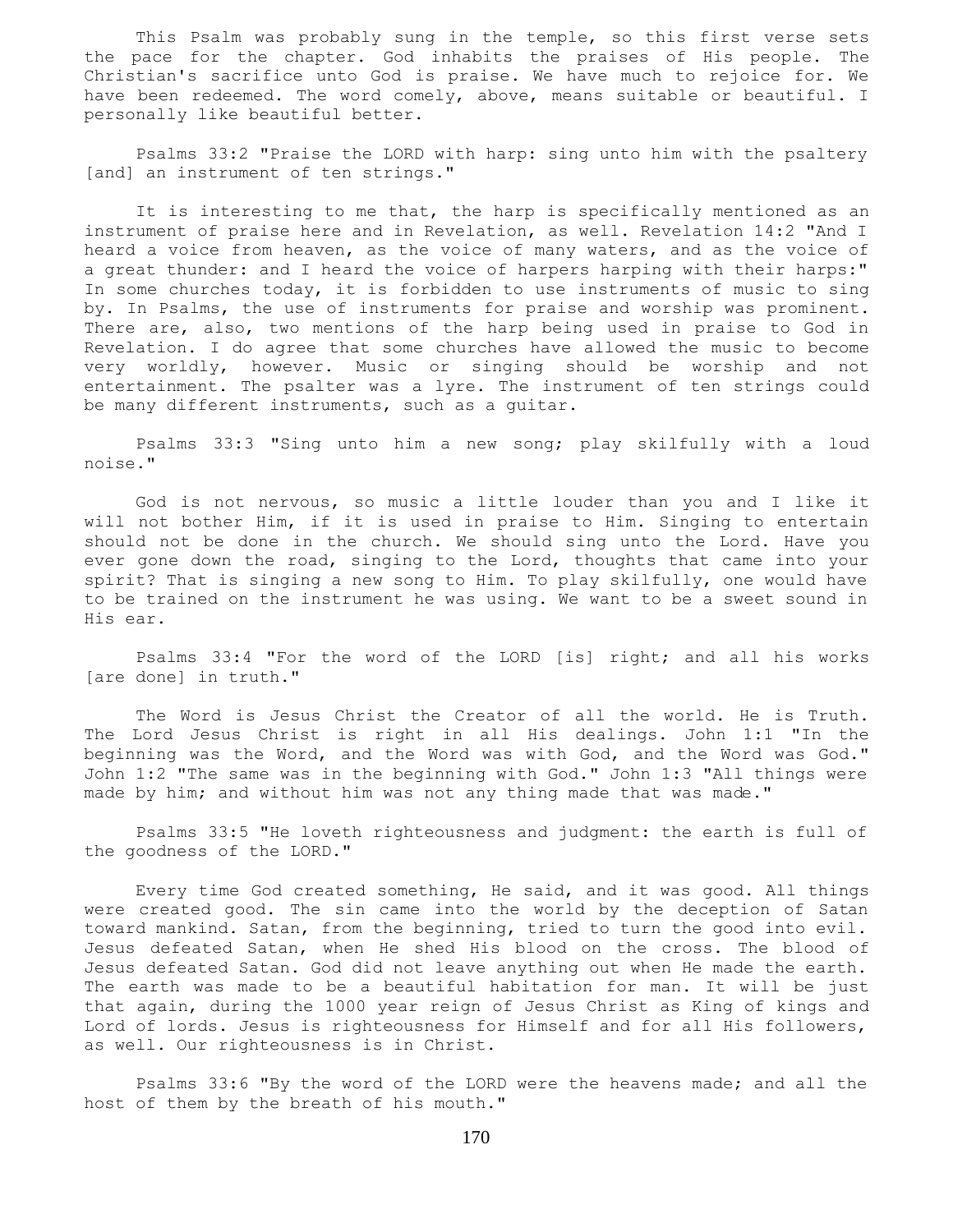This Psalm was probably sung in the temple, so this first verse sets the pace for the chapter. God inhabits the praises of His people. The Christian's sacrifice unto God is praise. We have much to rejoice for. We have been redeemed. The word comely, above, means suitable or beautiful. I personally like beautiful better.

 Psalms 33:2 "Praise the LORD with harp: sing unto him with the psaltery [and] an instrument of ten strings."

It is interesting to me that, the harp is specifically mentioned as an instrument of praise here and in Revelation, as well. Revelation 14:2 "And I heard a voice from heaven, as the voice of many waters, and as the voice of a great thunder: and I heard the voice of harpers harping with their harps:" In some churches today, it is forbidden to use instruments of music to sing by. In Psalms, the use of instruments for praise and worship was prominent. There are, also, two mentions of the harp being used in praise to God in Revelation. I do agree that some churches have allowed the music to become very worldly, however. Music or singing should be worship and not entertainment. The psalter was a lyre. The instrument of ten strings could be many different instruments, such as a guitar.

 Psalms 33:3 "Sing unto him a new song; play skilfully with a loud noise."

 God is not nervous, so music a little louder than you and I like it will not bother Him, if it is used in praise to Him. Singing to entertain should not be done in the church. We should sing unto the Lord. Have you ever gone down the road, singing to the Lord, thoughts that came into your spirit? That is singing a new song to Him. To play skilfully, one would have to be trained on the instrument he was using. We want to be a sweet sound in His ear.

 Psalms 33:4 "For the word of the LORD [is] right; and all his works [are done] in truth."

 The Word is Jesus Christ the Creator of all the world. He is Truth. The Lord Jesus Christ is right in all His dealings. John 1:1 "In the beginning was the Word, and the Word was with God, and the Word was God." John 1:2 "The same was in the beginning with God." John 1:3 "All things were made by him; and without him was not any thing made that was made."

 Psalms 33:5 "He loveth righteousness and judgment: the earth is full of the goodness of the LORD."

 Every time God created something, He said, and it was good. All things were created good. The sin came into the world by the deception of Satan toward mankind. Satan, from the beginning, tried to turn the good into evil. Jesus defeated Satan, when He shed His blood on the cross. The blood of Jesus defeated Satan. God did not leave anything out when He made the earth. The earth was made to be a beautiful habitation for man. It will be just that again, during the 1000 year reign of Jesus Christ as King of kings and Lord of lords. Jesus is righteousness for Himself and for all His followers, as well. Our righteousness is in Christ.

 Psalms 33:6 "By the word of the LORD were the heavens made; and all the host of them by the breath of his mouth."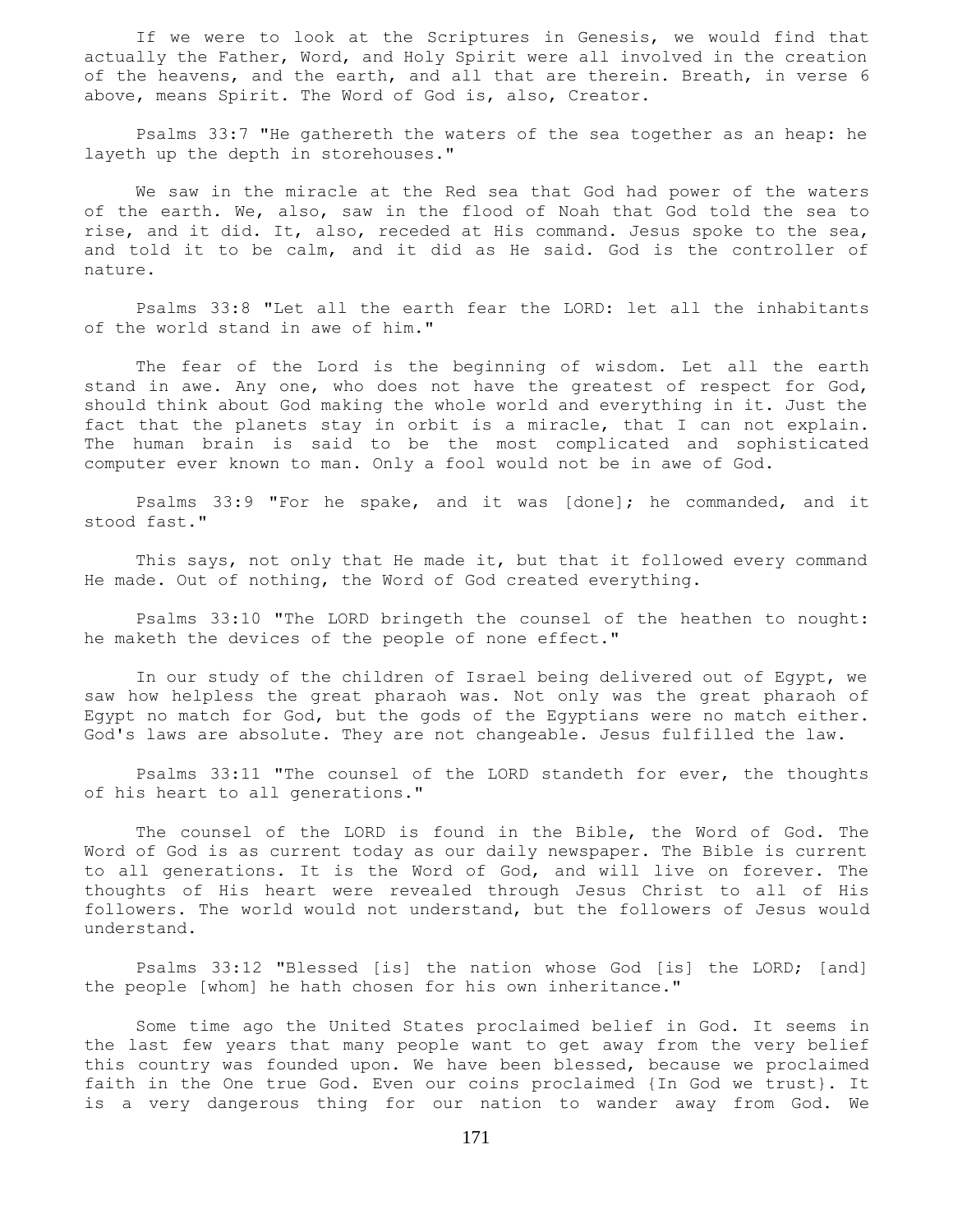If we were to look at the Scriptures in Genesis, we would find that actually the Father, Word, and Holy Spirit were all involved in the creation of the heavens, and the earth, and all that are therein. Breath, in verse 6 above, means Spirit. The Word of God is, also, Creator.

 Psalms 33:7 "He gathereth the waters of the sea together as an heap: he layeth up the depth in storehouses."

 We saw in the miracle at the Red sea that God had power of the waters of the earth. We, also, saw in the flood of Noah that God told the sea to rise, and it did. It, also, receded at His command. Jesus spoke to the sea, and told it to be calm, and it did as He said. God is the controller of nature.

 Psalms 33:8 "Let all the earth fear the LORD: let all the inhabitants of the world stand in awe of him."

 The fear of the Lord is the beginning of wisdom. Let all the earth stand in awe. Any one, who does not have the greatest of respect for God, should think about God making the whole world and everything in it. Just the fact that the planets stay in orbit is a miracle, that I can not explain. The human brain is said to be the most complicated and sophisticated computer ever known to man. Only a fool would not be in awe of God.

 Psalms 33:9 "For he spake, and it was [done]; he commanded, and it stood fast."

 This says, not only that He made it, but that it followed every command He made. Out of nothing, the Word of God created everything.

 Psalms 33:10 "The LORD bringeth the counsel of the heathen to nought: he maketh the devices of the people of none effect."

 In our study of the children of Israel being delivered out of Egypt, we saw how helpless the great pharaoh was. Not only was the great pharaoh of Egypt no match for God, but the gods of the Egyptians were no match either. God's laws are absolute. They are not changeable. Jesus fulfilled the law.

 Psalms 33:11 "The counsel of the LORD standeth for ever, the thoughts of his heart to all generations."

 The counsel of the LORD is found in the Bible, the Word of God. The Word of God is as current today as our daily newspaper. The Bible is current to all generations. It is the Word of God, and will live on forever. The thoughts of His heart were revealed through Jesus Christ to all of His followers. The world would not understand, but the followers of Jesus would understand.

 Psalms 33:12 "Blessed [is] the nation whose God [is] the LORD; [and] the people [whom] he hath chosen for his own inheritance."

 Some time ago the United States proclaimed belief in God. It seems in the last few years that many people want to get away from the very belief this country was founded upon. We have been blessed, because we proclaimed faith in the One true God. Even our coins proclaimed {In God we trust}. It is a very dangerous thing for our nation to wander away from God. We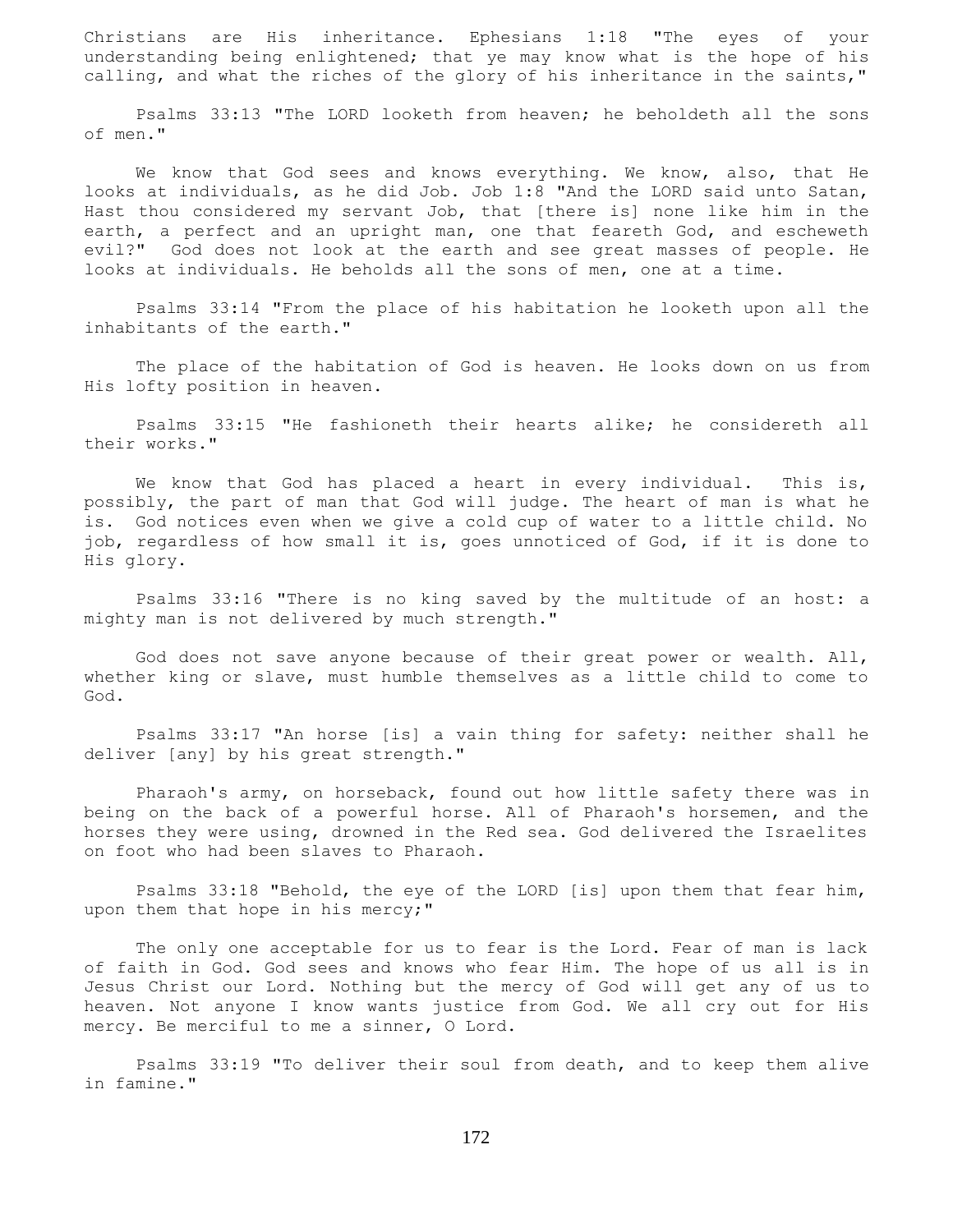Christians are His inheritance. Ephesians 1:18 "The eyes of your understanding being enlightened; that ye may know what is the hope of his calling, and what the riches of the glory of his inheritance in the saints,"

 Psalms 33:13 "The LORD looketh from heaven; he beholdeth all the sons of men."

 We know that God sees and knows everything. We know, also, that He looks at individuals, as he did Job. Job 1:8 "And the LORD said unto Satan, Hast thou considered my servant Job, that [there is] none like him in the earth, a perfect and an upright man, one that feareth God, and escheweth evil?" God does not look at the earth and see great masses of people. He looks at individuals. He beholds all the sons of men, one at a time.

 Psalms 33:14 "From the place of his habitation he looketh upon all the inhabitants of the earth."

 The place of the habitation of God is heaven. He looks down on us from His lofty position in heaven.

 Psalms 33:15 "He fashioneth their hearts alike; he considereth all their works."

We know that God has placed a heart in every individual. This is, possibly, the part of man that God will judge. The heart of man is what he is. God notices even when we give a cold cup of water to a little child. No job, regardless of how small it is, goes unnoticed of God, if it is done to His glory.

 Psalms 33:16 "There is no king saved by the multitude of an host: a mighty man is not delivered by much strength."

 God does not save anyone because of their great power or wealth. All, whether king or slave, must humble themselves as a little child to come to God.

 Psalms 33:17 "An horse [is] a vain thing for safety: neither shall he deliver [any] by his great strength."

 Pharaoh's army, on horseback, found out how little safety there was in being on the back of a powerful horse. All of Pharaoh's horsemen, and the horses they were using, drowned in the Red sea. God delivered the Israelites on foot who had been slaves to Pharaoh.

 Psalms 33:18 "Behold, the eye of the LORD [is] upon them that fear him, upon them that hope in his mercy;"

 The only one acceptable for us to fear is the Lord. Fear of man is lack of faith in God. God sees and knows who fear Him. The hope of us all is in Jesus Christ our Lord. Nothing but the mercy of God will get any of us to heaven. Not anyone I know wants justice from God. We all cry out for His mercy. Be merciful to me a sinner, O Lord.

 Psalms 33:19 "To deliver their soul from death, and to keep them alive in famine."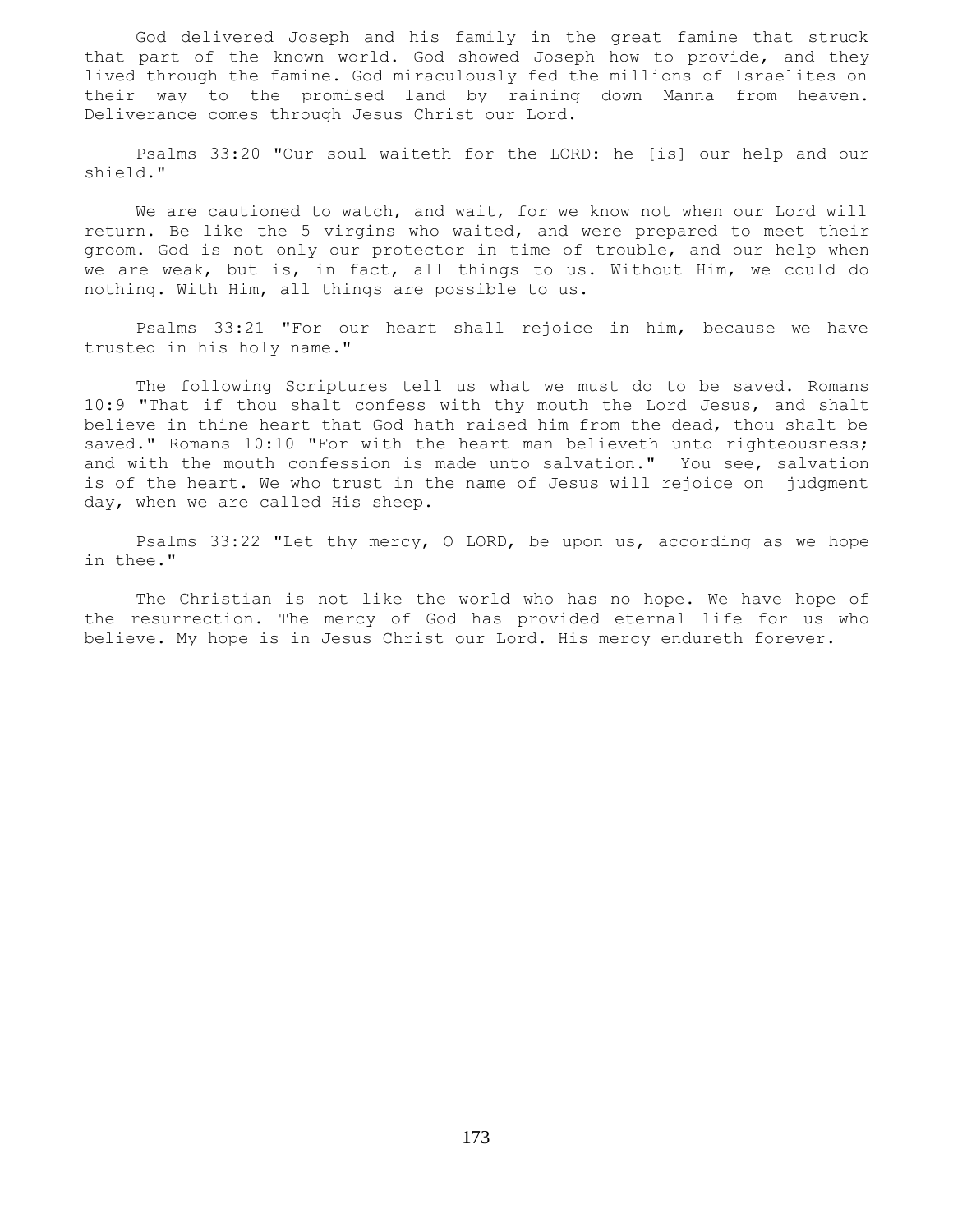God delivered Joseph and his family in the great famine that struck that part of the known world. God showed Joseph how to provide, and they lived through the famine. God miraculously fed the millions of Israelites on their way to the promised land by raining down Manna from heaven. Deliverance comes through Jesus Christ our Lord.

 Psalms 33:20 "Our soul waiteth for the LORD: he [is] our help and our shield."

 We are cautioned to watch, and wait, for we know not when our Lord will return. Be like the 5 virgins who waited, and were prepared to meet their groom. God is not only our protector in time of trouble, and our help when we are weak, but is, in fact, all things to us. Without Him, we could do nothing. With Him, all things are possible to us.

 Psalms 33:21 "For our heart shall rejoice in him, because we have trusted in his holy name."

 The following Scriptures tell us what we must do to be saved. Romans 10:9 "That if thou shalt confess with thy mouth the Lord Jesus, and shalt believe in thine heart that God hath raised him from the dead, thou shalt be saved." Romans 10:10 "For with the heart man believeth unto righteousness; and with the mouth confession is made unto salvation." You see, salvation is of the heart. We who trust in the name of Jesus will rejoice on judgment day, when we are called His sheep.

 Psalms 33:22 "Let thy mercy, O LORD, be upon us, according as we hope in thee."

 The Christian is not like the world who has no hope. We have hope of the resurrection. The mercy of God has provided eternal life for us who believe. My hope is in Jesus Christ our Lord. His mercy endureth forever.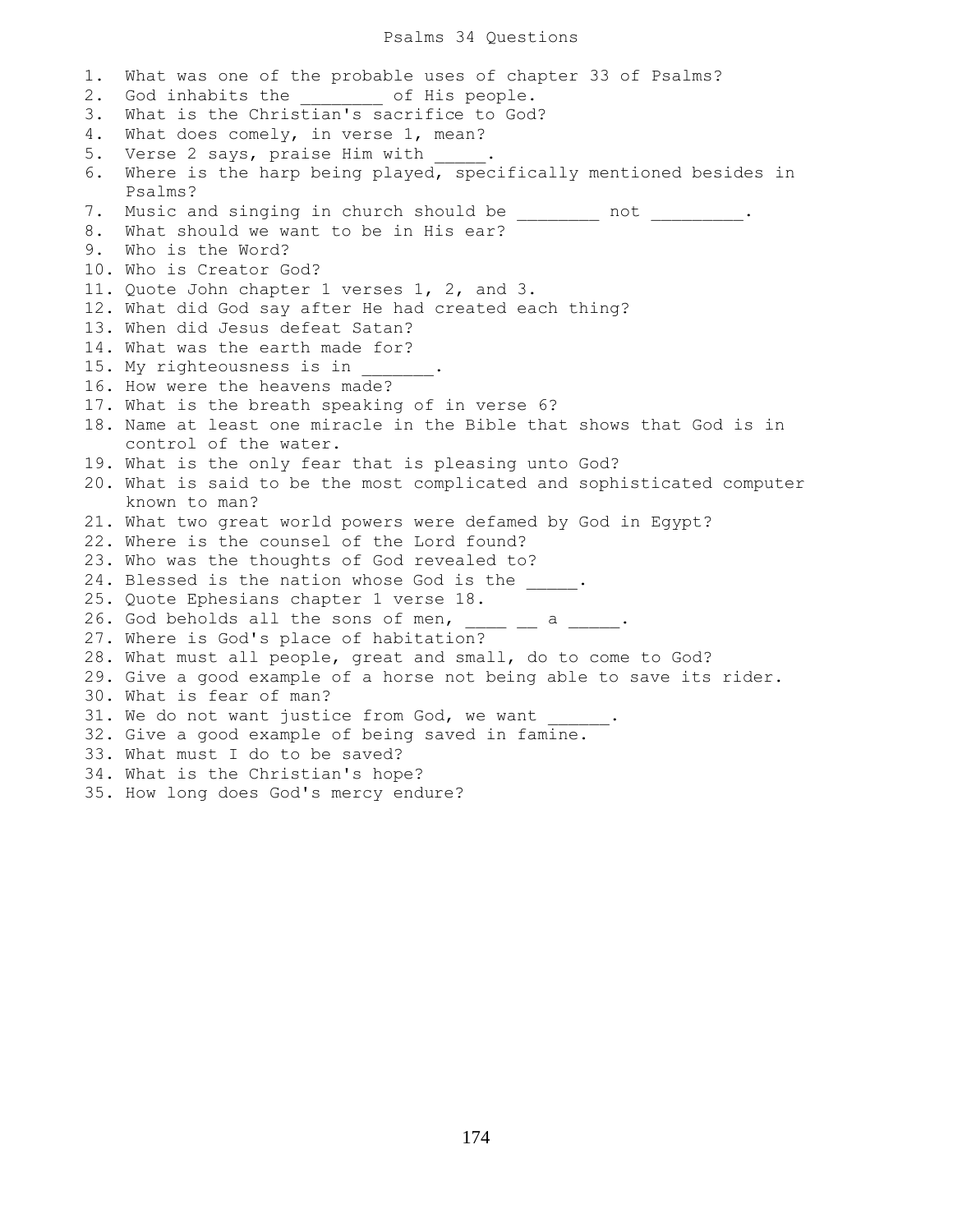### Psalms 34 Questions

1. What was one of the probable uses of chapter 33 of Psalms? 2. God inhabits the of His people. 3. What is the Christian's sacrifice to God? 4. What does comely, in verse 1, mean? 5. Verse 2 says, praise Him with 6. Where is the harp being played, specifically mentioned besides in Psalms? 7. Music and singing in church should be \_\_\_\_\_\_\_\_ not \_\_\_\_\_\_\_\_\_. 8. What should we want to be in His ear? 9. Who is the Word? 10. Who is Creator God? 11. Quote John chapter 1 verses 1, 2, and 3. 12. What did God say after He had created each thing? 13. When did Jesus defeat Satan? 14. What was the earth made for? 15. My righteousness is in 16. How were the heavens made? 17. What is the breath speaking of in verse 6? 18. Name at least one miracle in the Bible that shows that God is in control of the water. 19. What is the only fear that is pleasing unto God? 20. What is said to be the most complicated and sophisticated computer known to man? 21. What two great world powers were defamed by God in Egypt? 22. Where is the counsel of the Lord found? 23. Who was the thoughts of God revealed to? 24. Blessed is the nation whose God is the \_\_\_\_\_. 25. Quote Ephesians chapter 1 verse 18. 26. God beholds all the sons of men,  $\frac{1}{2}$  a  $\frac{1}{2}$ . 27. Where is God's place of habitation? 28. What must all people, great and small, do to come to God? 29. Give a good example of a horse not being able to save its rider. 30. What is fear of man? 31. We do not want justice from God, we want 32. Give a good example of being saved in famine. 33. What must I do to be saved? 34. What is the Christian's hope? 35. How long does God's mercy endure?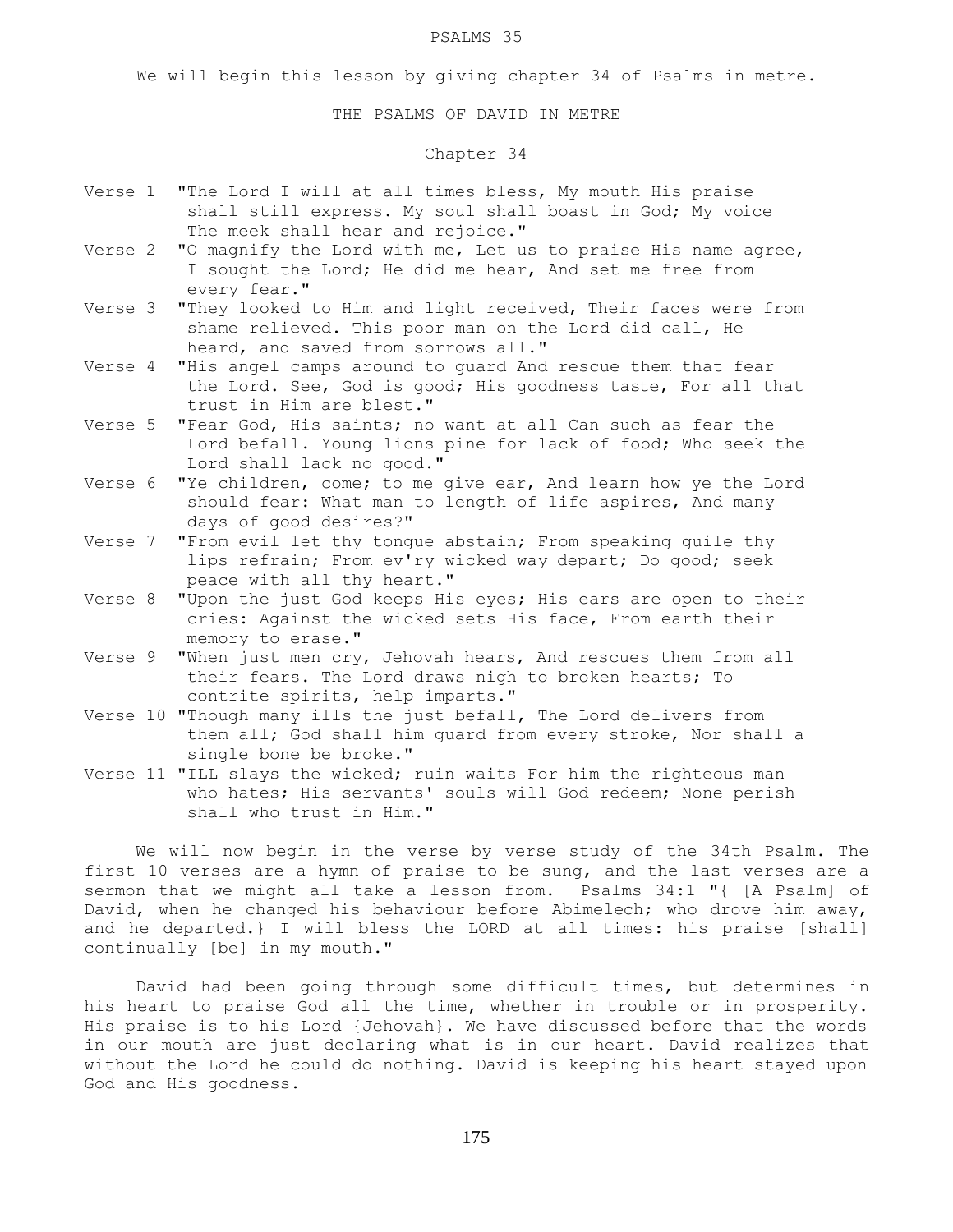#### PSALMS 35

We will begin this lesson by giving chapter 34 of Psalms in metre.

THE PSALMS OF DAVID IN METRE

## Chapter 34

- Verse 1 "The Lord I will at all times bless, My mouth His praise shall still express. My soul shall boast in God; My voice The meek shall hear and rejoice."
- Verse 2 "O magnify the Lord with me, Let us to praise His name agree, I sought the Lord; He did me hear, And set me free from every fear."
- Verse 3 "They looked to Him and light received, Their faces were from shame relieved. This poor man on the Lord did call, He heard, and saved from sorrows all."
- Verse 4 "His angel camps around to guard And rescue them that fear the Lord. See, God is good; His goodness taste, For all that trust in Him are blest."
- Verse 5 "Fear God, His saints; no want at all Can such as fear the Lord befall. Young lions pine for lack of food; Who seek the Lord shall lack no good."
- Verse 6 "Ye children, come; to me give ear, And learn how ye the Lord should fear: What man to length of life aspires, And many days of good desires?"
- Verse 7 "From evil let thy tongue abstain; From speaking guile thy lips refrain; From ev'ry wicked way depart; Do good; seek peace with all thy heart."
- Verse 8 "Upon the just God keeps His eyes; His ears are open to their cries: Against the wicked sets His face, From earth their memory to erase."
- Verse 9 "When just men cry, Jehovah hears, And rescues them from all their fears. The Lord draws nigh to broken hearts; To contrite spirits, help imparts."
- Verse 10 "Though many ills the just befall, The Lord delivers from them all; God shall him guard from every stroke, Nor shall a single bone be broke."
- Verse 11 "ILL slays the wicked; ruin waits For him the righteous man who hates; His servants' souls will God redeem; None perish shall who trust in Him."

 We will now begin in the verse by verse study of the 34th Psalm. The first 10 verses are a hymn of praise to be sung, and the last verses are a sermon that we might all take a lesson from. Psalms 34:1 "{ [A Psalm] of David, when he changed his behaviour before Abimelech; who drove him away, and he departed.} I will bless the LORD at all times: his praise [shall] continually [be] in my mouth."

 David had been going through some difficult times, but determines in his heart to praise God all the time, whether in trouble or in prosperity. His praise is to his Lord {Jehovah}. We have discussed before that the words in our mouth are just declaring what is in our heart. David realizes that without the Lord he could do nothing. David is keeping his heart stayed upon God and His goodness.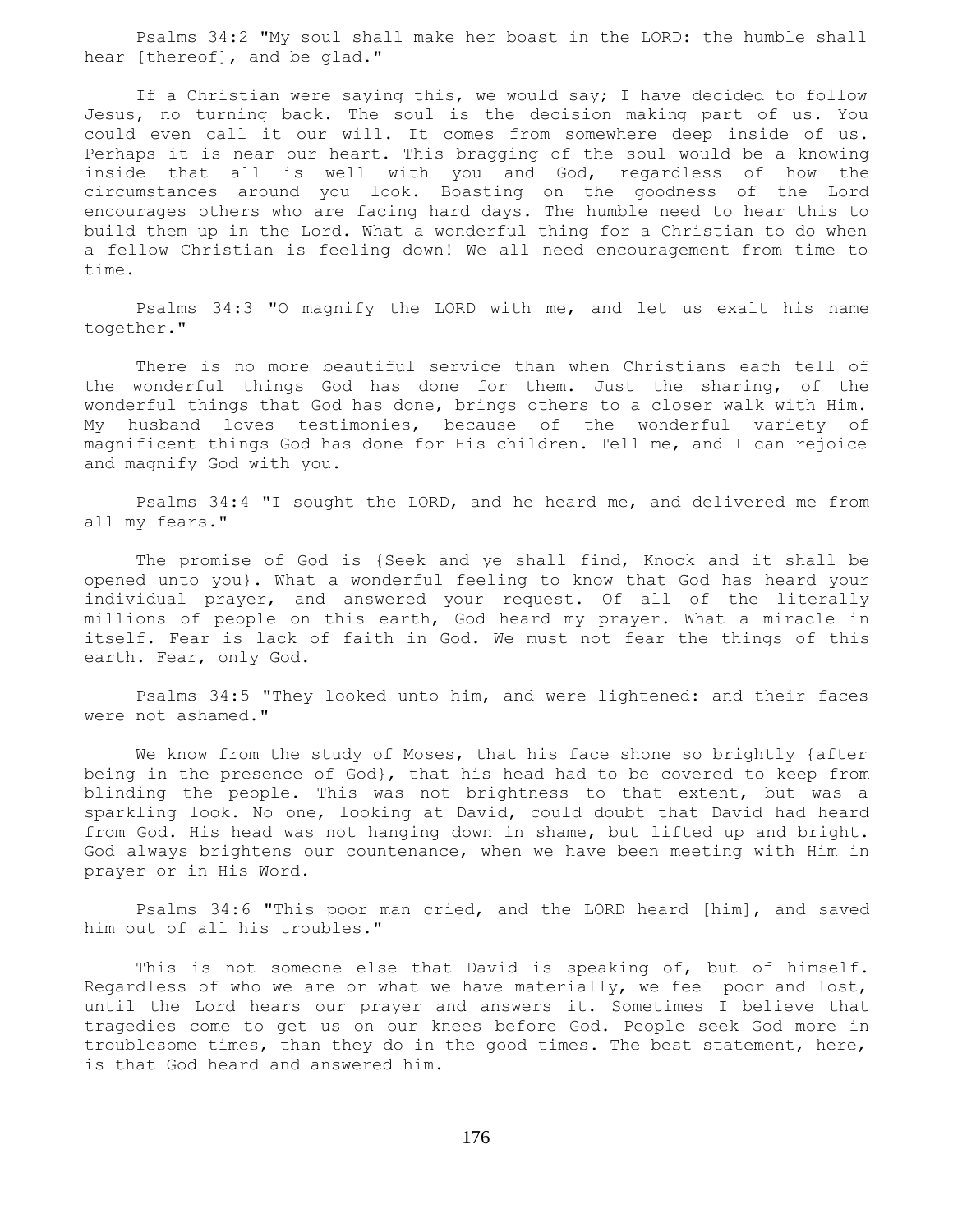Psalms 34:2 "My soul shall make her boast in the LORD: the humble shall hear [thereof], and be glad."

 If a Christian were saying this, we would say; I have decided to follow Jesus, no turning back. The soul is the decision making part of us. You could even call it our will. It comes from somewhere deep inside of us. Perhaps it is near our heart. This bragging of the soul would be a knowing inside that all is well with you and God, regardless of how the circumstances around you look. Boasting on the goodness of the Lord encourages others who are facing hard days. The humble need to hear this to build them up in the Lord. What a wonderful thing for a Christian to do when a fellow Christian is feeling down! We all need encouragement from time to time.

 Psalms 34:3 "O magnify the LORD with me, and let us exalt his name together."

 There is no more beautiful service than when Christians each tell of the wonderful things God has done for them. Just the sharing, of the wonderful things that God has done, brings others to a closer walk with Him. My husband loves testimonies, because of the wonderful variety of magnificent things God has done for His children. Tell me, and I can rejoice and magnify God with you.

 Psalms 34:4 "I sought the LORD, and he heard me, and delivered me from all my fears."

 The promise of God is {Seek and ye shall find, Knock and it shall be opened unto you}. What a wonderful feeling to know that God has heard your individual prayer, and answered your request. Of all of the literally millions of people on this earth, God heard my prayer. What a miracle in itself. Fear is lack of faith in God. We must not fear the things of this earth. Fear, only God.

 Psalms 34:5 "They looked unto him, and were lightened: and their faces were not ashamed."

We know from the study of Moses, that his face shone so brightly {after being in the presence of God}, that his head had to be covered to keep from blinding the people. This was not brightness to that extent, but was a sparkling look. No one, looking at David, could doubt that David had heard from God. His head was not hanging down in shame, but lifted up and bright. God always brightens our countenance, when we have been meeting with Him in prayer or in His Word.

 Psalms 34:6 "This poor man cried, and the LORD heard [him], and saved him out of all his troubles."

 This is not someone else that David is speaking of, but of himself. Regardless of who we are or what we have materially, we feel poor and lost, until the Lord hears our prayer and answers it. Sometimes I believe that tragedies come to get us on our knees before God. People seek God more in troublesome times, than they do in the good times. The best statement, here, is that God heard and answered him.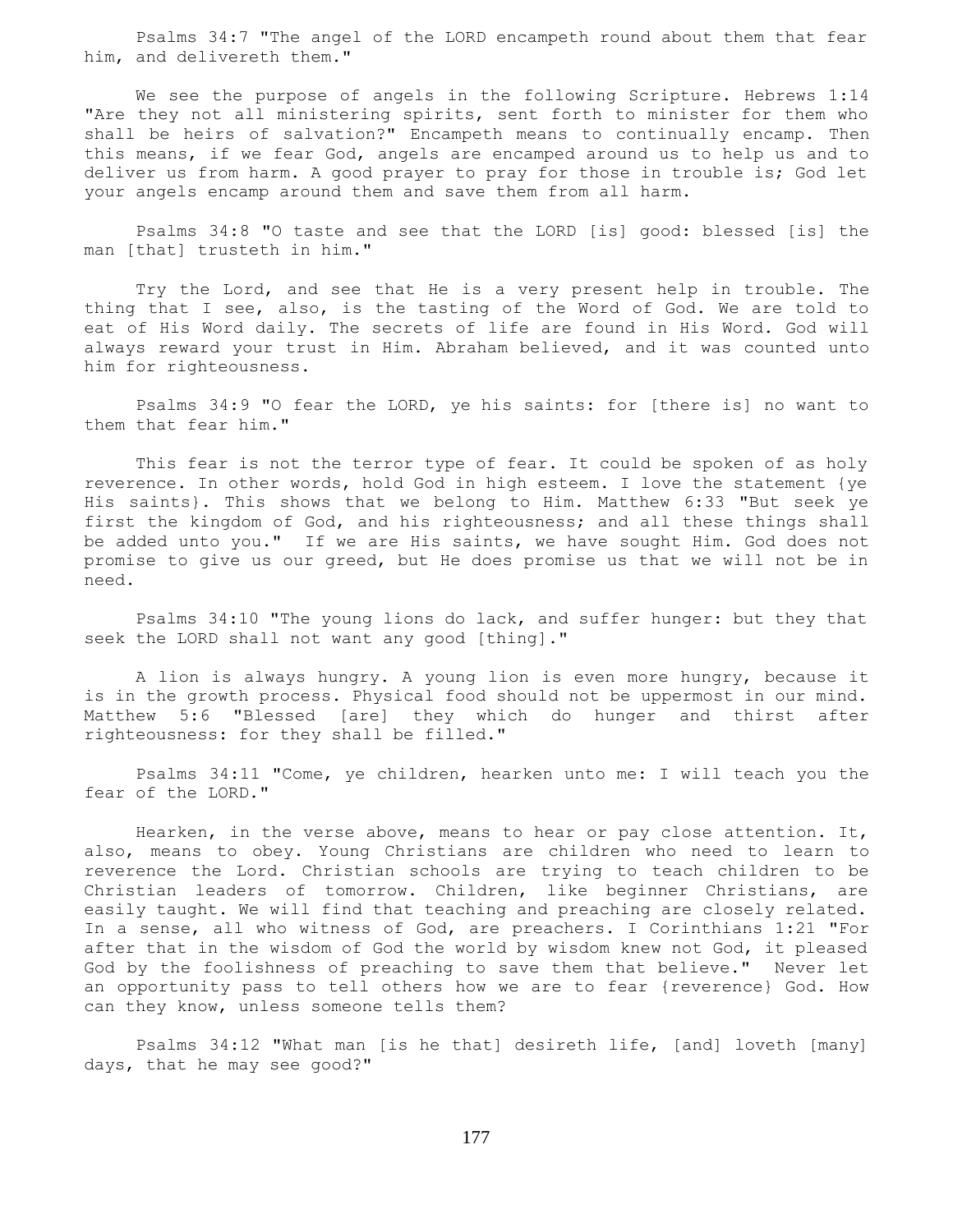Psalms 34:7 "The angel of the LORD encampeth round about them that fear him, and delivereth them."

We see the purpose of angels in the following Scripture. Hebrews 1:14 "Are they not all ministering spirits, sent forth to minister for them who shall be heirs of salvation?" Encampeth means to continually encamp. Then this means, if we fear God, angels are encamped around us to help us and to deliver us from harm. A good prayer to pray for those in trouble is; God let your angels encamp around them and save them from all harm.

 Psalms 34:8 "O taste and see that the LORD [is] good: blessed [is] the man [that] trusteth in him."

 Try the Lord, and see that He is a very present help in trouble. The thing that I see, also, is the tasting of the Word of God. We are told to eat of His Word daily. The secrets of life are found in His Word. God will always reward your trust in Him. Abraham believed, and it was counted unto him for righteousness.

 Psalms 34:9 "O fear the LORD, ye his saints: for [there is] no want to them that fear him."

 This fear is not the terror type of fear. It could be spoken of as holy reverence. In other words, hold God in high esteem. I love the statement {ye His saints}. This shows that we belong to Him. Matthew 6:33 "But seek ye first the kingdom of God, and his righteousness; and all these things shall be added unto you." If we are His saints, we have sought Him. God does not promise to give us our greed, but He does promise us that we will not be in need.

 Psalms 34:10 "The young lions do lack, and suffer hunger: but they that seek the LORD shall not want any good [thing]."

 A lion is always hungry. A young lion is even more hungry, because it is in the growth process. Physical food should not be uppermost in our mind. Matthew 5:6 "Blessed [are] they which do hunger and thirst after righteousness: for they shall be filled."

 Psalms 34:11 "Come, ye children, hearken unto me: I will teach you the fear of the LORD."

 Hearken, in the verse above, means to hear or pay close attention. It, also, means to obey. Young Christians are children who need to learn to reverence the Lord. Christian schools are trying to teach children to be Christian leaders of tomorrow. Children, like beginner Christians, are easily taught. We will find that teaching and preaching are closely related. In a sense, all who witness of God, are preachers. I Corinthians 1:21 "For after that in the wisdom of God the world by wisdom knew not God, it pleased God by the foolishness of preaching to save them that believe." Never let an opportunity pass to tell others how we are to fear {reverence} God. How can they know, unless someone tells them?

 Psalms 34:12 "What man [is he that] desireth life, [and] loveth [many] days, that he may see good?"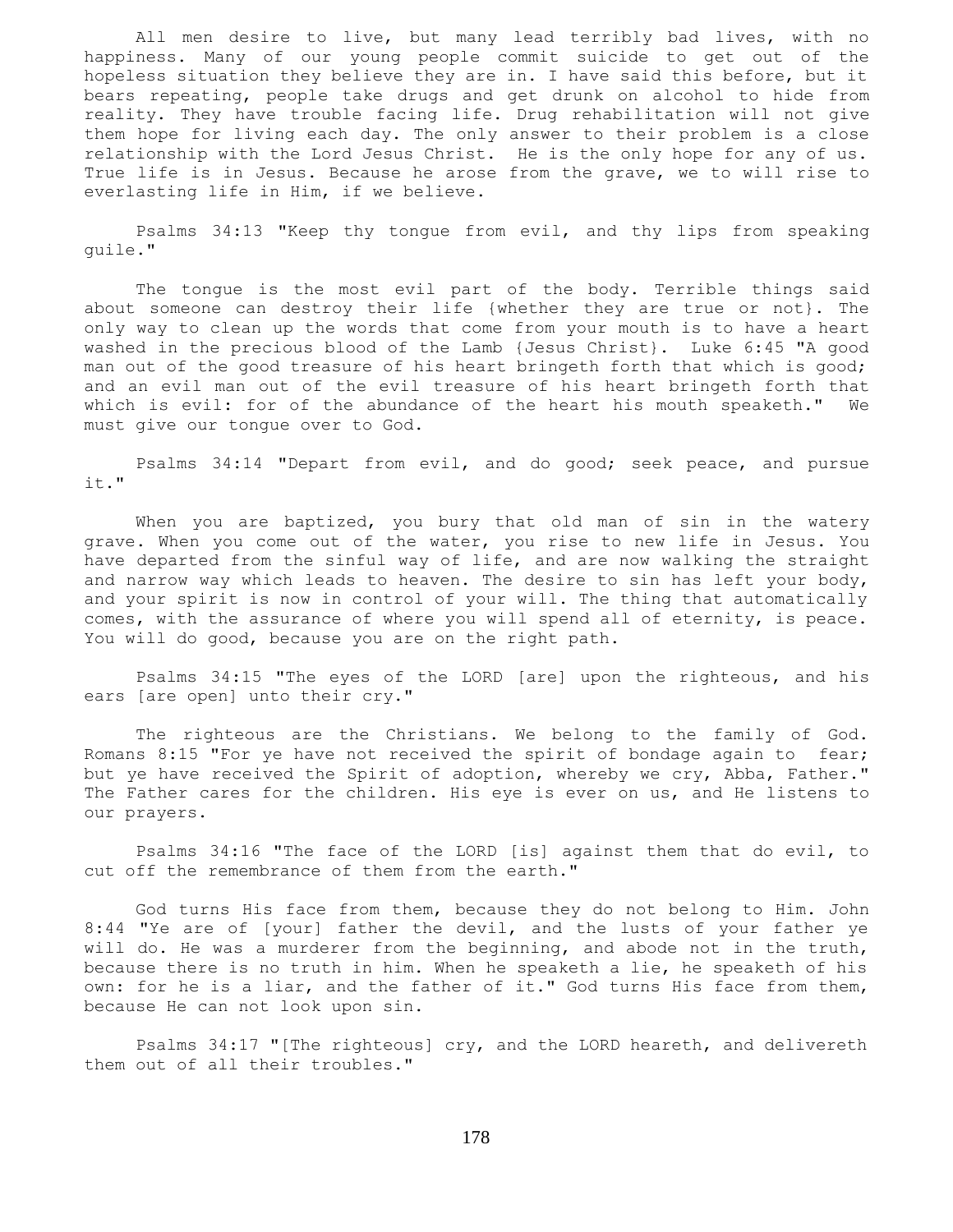All men desire to live, but many lead terribly bad lives, with no happiness. Many of our young people commit suicide to get out of the hopeless situation they believe they are in. I have said this before, but it bears repeating, people take drugs and get drunk on alcohol to hide from reality. They have trouble facing life. Drug rehabilitation will not give them hope for living each day. The only answer to their problem is a close relationship with the Lord Jesus Christ. He is the only hope for any of us. True life is in Jesus. Because he arose from the grave, we to will rise to everlasting life in Him, if we believe.

 Psalms 34:13 "Keep thy tongue from evil, and thy lips from speaking guile."

 The tongue is the most evil part of the body. Terrible things said about someone can destroy their life {whether they are true or not}. The only way to clean up the words that come from your mouth is to have a heart washed in the precious blood of the Lamb {Jesus Christ}. Luke 6:45 "A good man out of the good treasure of his heart bringeth forth that which is good; and an evil man out of the evil treasure of his heart bringeth forth that which is evil: for of the abundance of the heart his mouth speaketh." We must give our tongue over to God.

 Psalms 34:14 "Depart from evil, and do good; seek peace, and pursue it."

 When you are baptized, you bury that old man of sin in the watery grave. When you come out of the water, you rise to new life in Jesus. You have departed from the sinful way of life, and are now walking the straight and narrow way which leads to heaven. The desire to sin has left your body, and your spirit is now in control of your will. The thing that automatically comes, with the assurance of where you will spend all of eternity, is peace. You will do good, because you are on the right path.

 Psalms 34:15 "The eyes of the LORD [are] upon the righteous, and his ears [are open] unto their cry."

 The righteous are the Christians. We belong to the family of God. Romans 8:15 "For ye have not received the spirit of bondage again to fear; but ye have received the Spirit of adoption, whereby we cry, Abba, Father." The Father cares for the children. His eye is ever on us, and He listens to our prayers.

 Psalms 34:16 "The face of the LORD [is] against them that do evil, to cut off the remembrance of them from the earth."

 God turns His face from them, because they do not belong to Him. John 8:44 "Ye are of [your] father the devil, and the lusts of your father ye will do. He was a murderer from the beginning, and abode not in the truth, because there is no truth in him. When he speaketh a lie, he speaketh of his own: for he is a liar, and the father of it." God turns His face from them, because He can not look upon sin.

 Psalms 34:17 "[The righteous] cry, and the LORD heareth, and delivereth them out of all their troubles."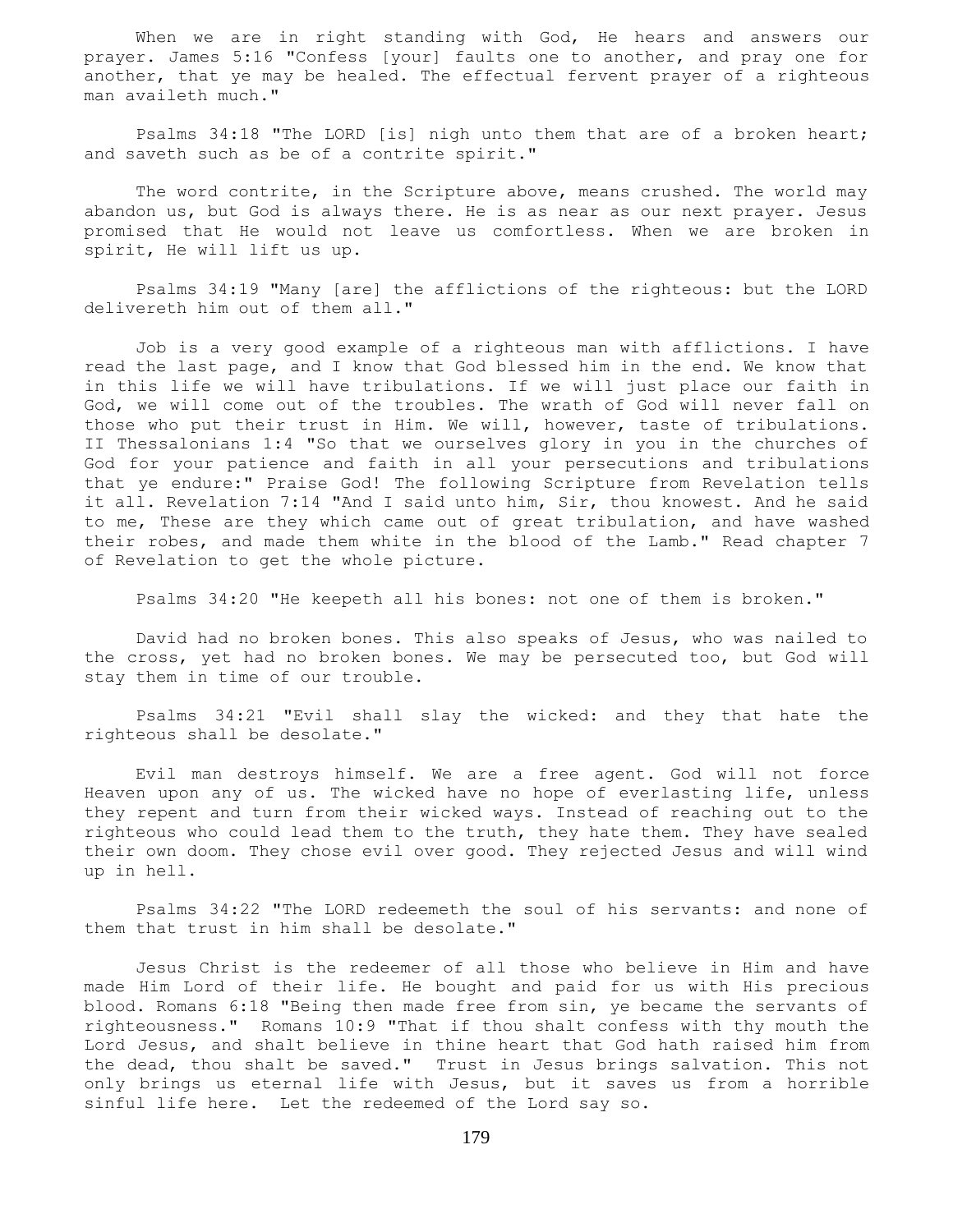When we are in right standing with God, He hears and answers our prayer. James 5:16 "Confess [your] faults one to another, and pray one for another, that ye may be healed. The effectual fervent prayer of a righteous man availeth much."

 Psalms 34:18 "The LORD [is] nigh unto them that are of a broken heart; and saveth such as be of a contrite spirit."

 The word contrite, in the Scripture above, means crushed. The world may abandon us, but God is always there. He is as near as our next prayer. Jesus promised that He would not leave us comfortless. When we are broken in spirit, He will lift us up.

 Psalms 34:19 "Many [are] the afflictions of the righteous: but the LORD delivereth him out of them all."

 Job is a very good example of a righteous man with afflictions. I have read the last page, and I know that God blessed him in the end. We know that in this life we will have tribulations. If we will just place our faith in God, we will come out of the troubles. The wrath of God will never fall on those who put their trust in Him. We will, however, taste of tribulations. II Thessalonians 1:4 "So that we ourselves glory in you in the churches of God for your patience and faith in all your persecutions and tribulations that ye endure:" Praise God! The following Scripture from Revelation tells it all. Revelation 7:14 "And I said unto him, Sir, thou knowest. And he said to me, These are they which came out of great tribulation, and have washed their robes, and made them white in the blood of the Lamb." Read chapter 7 of Revelation to get the whole picture.

Psalms 34:20 "He keepeth all his bones: not one of them is broken."

 David had no broken bones. This also speaks of Jesus, who was nailed to the cross, yet had no broken bones. We may be persecuted too, but God will stay them in time of our trouble.

 Psalms 34:21 "Evil shall slay the wicked: and they that hate the righteous shall be desolate."

 Evil man destroys himself. We are a free agent. God will not force Heaven upon any of us. The wicked have no hope of everlasting life, unless they repent and turn from their wicked ways. Instead of reaching out to the righteous who could lead them to the truth, they hate them. They have sealed their own doom. They chose evil over good. They rejected Jesus and will wind up in hell.

 Psalms 34:22 "The LORD redeemeth the soul of his servants: and none of them that trust in him shall be desolate."

 Jesus Christ is the redeemer of all those who believe in Him and have made Him Lord of their life. He bought and paid for us with His precious blood. Romans 6:18 "Being then made free from sin, ye became the servants of righteousness." Romans 10:9 "That if thou shalt confess with thy mouth the Lord Jesus, and shalt believe in thine heart that God hath raised him from the dead, thou shalt be saved." Trust in Jesus brings salvation. This not only brings us eternal life with Jesus, but it saves us from a horrible sinful life here. Let the redeemed of the Lord say so.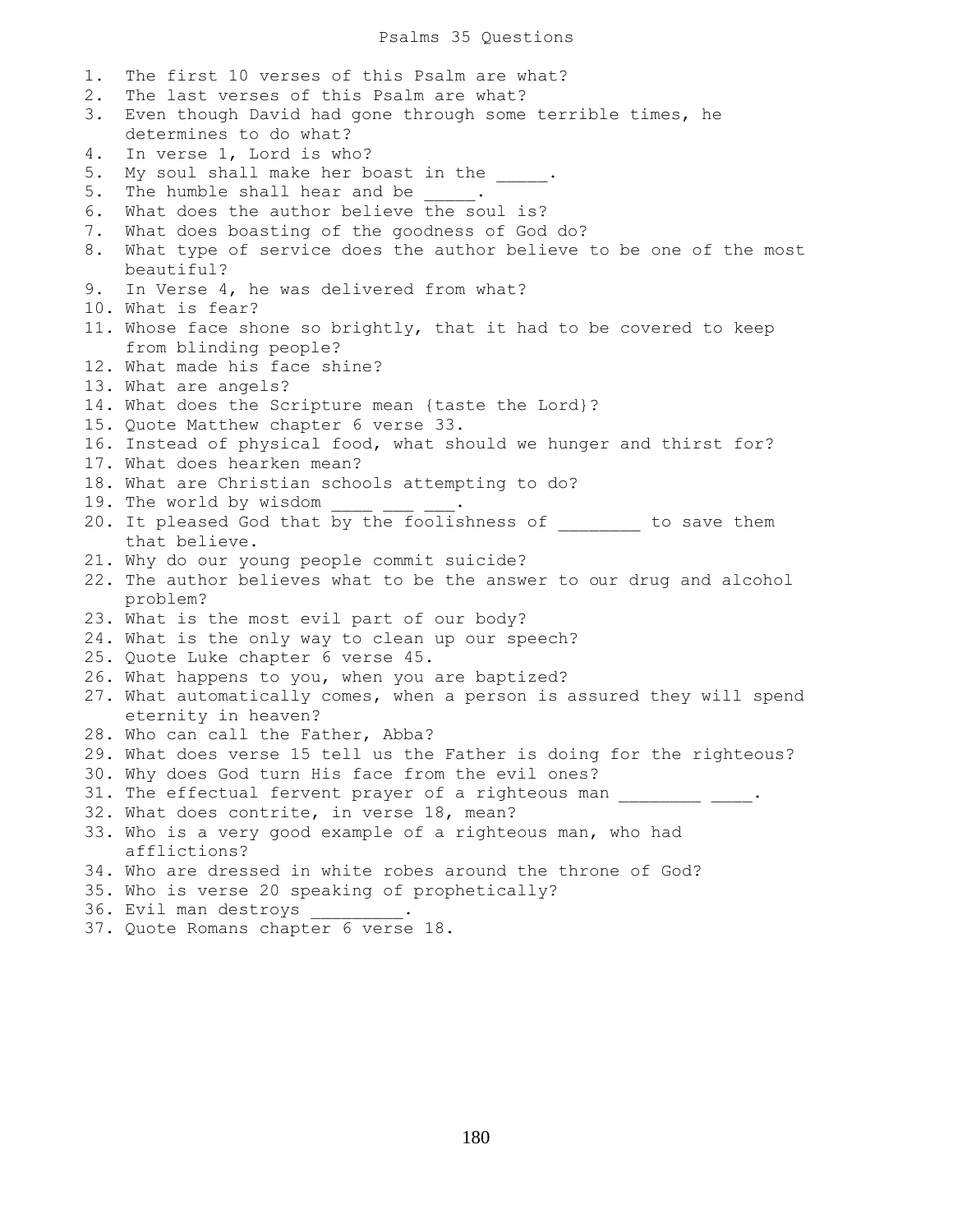1. The first 10 verses of this Psalm are what? 2. The last verses of this Psalm are what? 3. Even though David had gone through some terrible times, he determines to do what? 4. In verse 1, Lord is who? 5. My soul shall make her boast in the  $\qquad \qquad$ 5. The humble shall hear and be  $\qquad \qquad$ 6. What does the author believe the soul is? 7. What does boasting of the goodness of God do? 8. What type of service does the author believe to be one of the most beautiful? 9. In Verse 4, he was delivered from what? 10. What is fear? 11. Whose face shone so brightly, that it had to be covered to keep from blinding people? 12. What made his face shine? 13. What are angels? 14. What does the Scripture mean {taste the Lord}? 15. Quote Matthew chapter 6 verse 33. 16. Instead of physical food, what should we hunger and thirst for? 17. What does hearken mean? 18. What are Christian schools attempting to do? 19. The world by wisdom 20. It pleased God that by the foolishness of to save them that believe. 21. Why do our young people commit suicide? 22. The author believes what to be the answer to our drug and alcohol problem? 23. What is the most evil part of our body? 24. What is the only way to clean up our speech? 25. Quote Luke chapter 6 verse 45. 26. What happens to you, when you are baptized? 27. What automatically comes, when a person is assured they will spend eternity in heaven? 28. Who can call the Father, Abba? 29. What does verse 15 tell us the Father is doing for the righteous? 30. Why does God turn His face from the evil ones? 31. The effectual fervent prayer of a righteous man \_\_\_\_\_\_\_\_ \_\_\_\_. 32. What does contrite, in verse 18, mean? 33. Who is a very good example of a righteous man, who had afflictions? 34. Who are dressed in white robes around the throne of God? 35. Who is verse 20 speaking of prophetically? 36. Evil man destroys \_\_\_\_\_\_\_\_\_. 37. Quote Romans chapter 6 verse 18.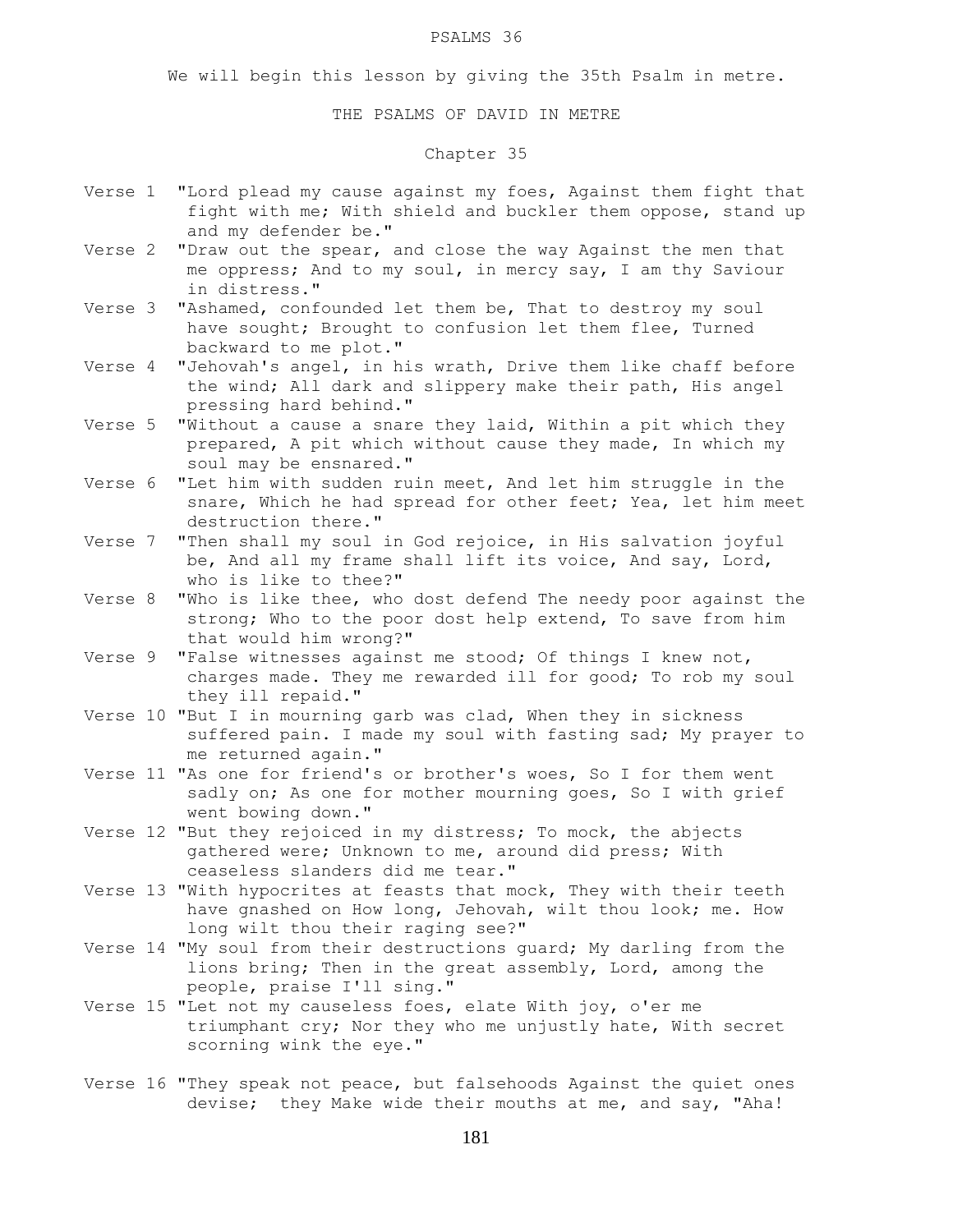#### PSALMS 36

We will begin this lesson by giving the 35th Psalm in metre.

### THE PSALMS OF DAVID IN METRE

# Chapter 35

- Verse 1 "Lord plead my cause against my foes, Against them fight that fight with me; With shield and buckler them oppose, stand up and my defender be."
- Verse 2 "Draw out the spear, and close the way Against the men that me oppress; And to my soul, in mercy say, I am thy Saviour in distress."
- Verse 3 "Ashamed, confounded let them be, That to destroy my soul have sought; Brought to confusion let them flee, Turned backward to me plot."
- Verse 4 "Jehovah's angel, in his wrath, Drive them like chaff before the wind; All dark and slippery make their path, His angel pressing hard behind."
- Verse 5 "Without a cause a snare they laid, Within a pit which they prepared, A pit which without cause they made, In which my soul may be ensnared."
- Verse 6 "Let him with sudden ruin meet, And let him struggle in the snare, Which he had spread for other feet; Yea, let him meet destruction there."
- Verse 7 "Then shall my soul in God rejoice, in His salvation joyful be, And all my frame shall lift its voice, And say, Lord, who is like to thee?"
- Verse 8 "Who is like thee, who dost defend The needy poor against the strong; Who to the poor dost help extend, To save from him that would him wrong?"
- Verse 9 "False witnesses against me stood; Of things I knew not, charges made. They me rewarded ill for good; To rob my soul they ill repaid."
- Verse 10 "But I in mourning garb was clad, When they in sickness suffered pain. I made my soul with fasting sad; My prayer to me returned again."
- Verse 11 "As one for friend's or brother's woes, So I for them went sadly on; As one for mother mourning goes, So I with grief went bowing down."
- Verse 12 "But they rejoiced in my distress; To mock, the abjects gathered were; Unknown to me, around did press; With ceaseless slanders did me tear."
- Verse 13 "With hypocrites at feasts that mock, They with their teeth have gnashed on How long, Jehovah, wilt thou look; me. How long wilt thou their raging see?"
- Verse 14 "My soul from their destructions guard; My darling from the lions bring; Then in the great assembly, Lord, among the people, praise I'll sing."
- Verse 15 "Let not my causeless foes, elate With joy, o'er me triumphant cry; Nor they who me unjustly hate, With secret scorning wink the eye."
- Verse 16 "They speak not peace, but falsehoods Against the quiet ones devise; they Make wide their mouths at me, and say, "Aha!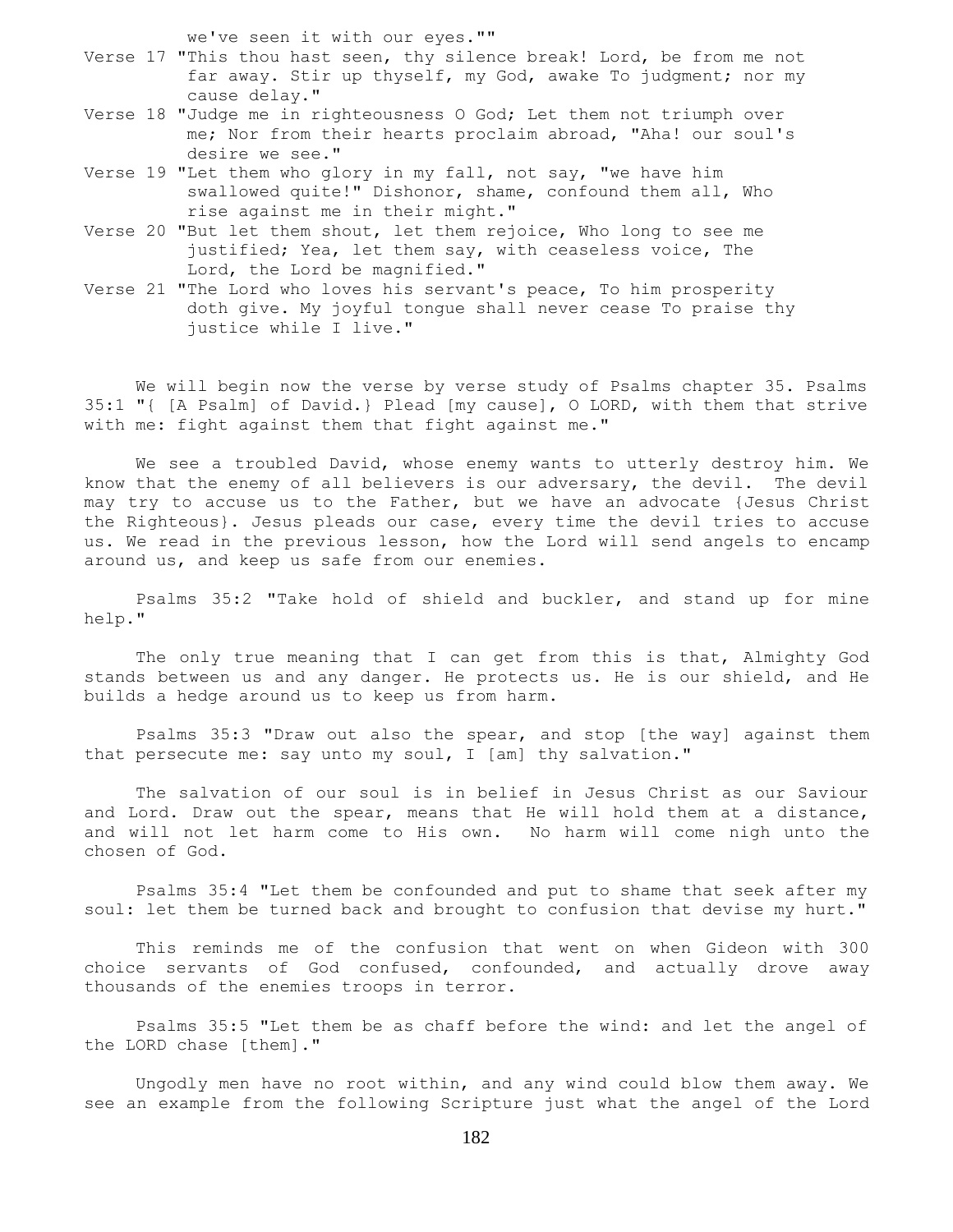we've seen it with our eyes.""

- Verse 17 "This thou hast seen, thy silence break! Lord, be from me not far away. Stir up thyself, my God, awake To judgment; nor my cause delay."
- Verse 18 "Judge me in righteousness O God; Let them not triumph over me; Nor from their hearts proclaim abroad, "Aha! our soul's desire we see."
- Verse 19 "Let them who glory in my fall, not say, "we have him swallowed quite!" Dishonor, shame, confound them all, Who rise against me in their might."
- Verse 20 "But let them shout, let them rejoice, Who long to see me justified; Yea, let them say, with ceaseless voice, The Lord, the Lord be magnified."
- Verse 21 "The Lord who loves his servant's peace, To him prosperity doth give. My joyful tongue shall never cease To praise thy justice while I live."

 We will begin now the verse by verse study of Psalms chapter 35. Psalms 35:1 "{ [A Psalm] of David.} Plead [my cause], O LORD, with them that strive with me: fight against them that fight against me."

 We see a troubled David, whose enemy wants to utterly destroy him. We know that the enemy of all believers is our adversary, the devil. The devil may try to accuse us to the Father, but we have an advocate {Jesus Christ the Righteous}. Jesus pleads our case, every time the devil tries to accuse us. We read in the previous lesson, how the Lord will send angels to encamp around us, and keep us safe from our enemies.

 Psalms 35:2 "Take hold of shield and buckler, and stand up for mine help."

The only true meaning that I can get from this is that, Almighty God stands between us and any danger. He protects us. He is our shield, and He builds a hedge around us to keep us from harm.

 Psalms 35:3 "Draw out also the spear, and stop [the way] against them that persecute me: say unto my soul, I [am] thy salvation."

 The salvation of our soul is in belief in Jesus Christ as our Saviour and Lord. Draw out the spear, means that He will hold them at a distance, and will not let harm come to His own. No harm will come nigh unto the chosen of God.

 Psalms 35:4 "Let them be confounded and put to shame that seek after my soul: let them be turned back and brought to confusion that devise my hurt."

 This reminds me of the confusion that went on when Gideon with 300 choice servants of God confused, confounded, and actually drove away thousands of the enemies troops in terror.

 Psalms 35:5 "Let them be as chaff before the wind: and let the angel of the LORD chase [them]."

 Ungodly men have no root within, and any wind could blow them away. We see an example from the following Scripture just what the angel of the Lord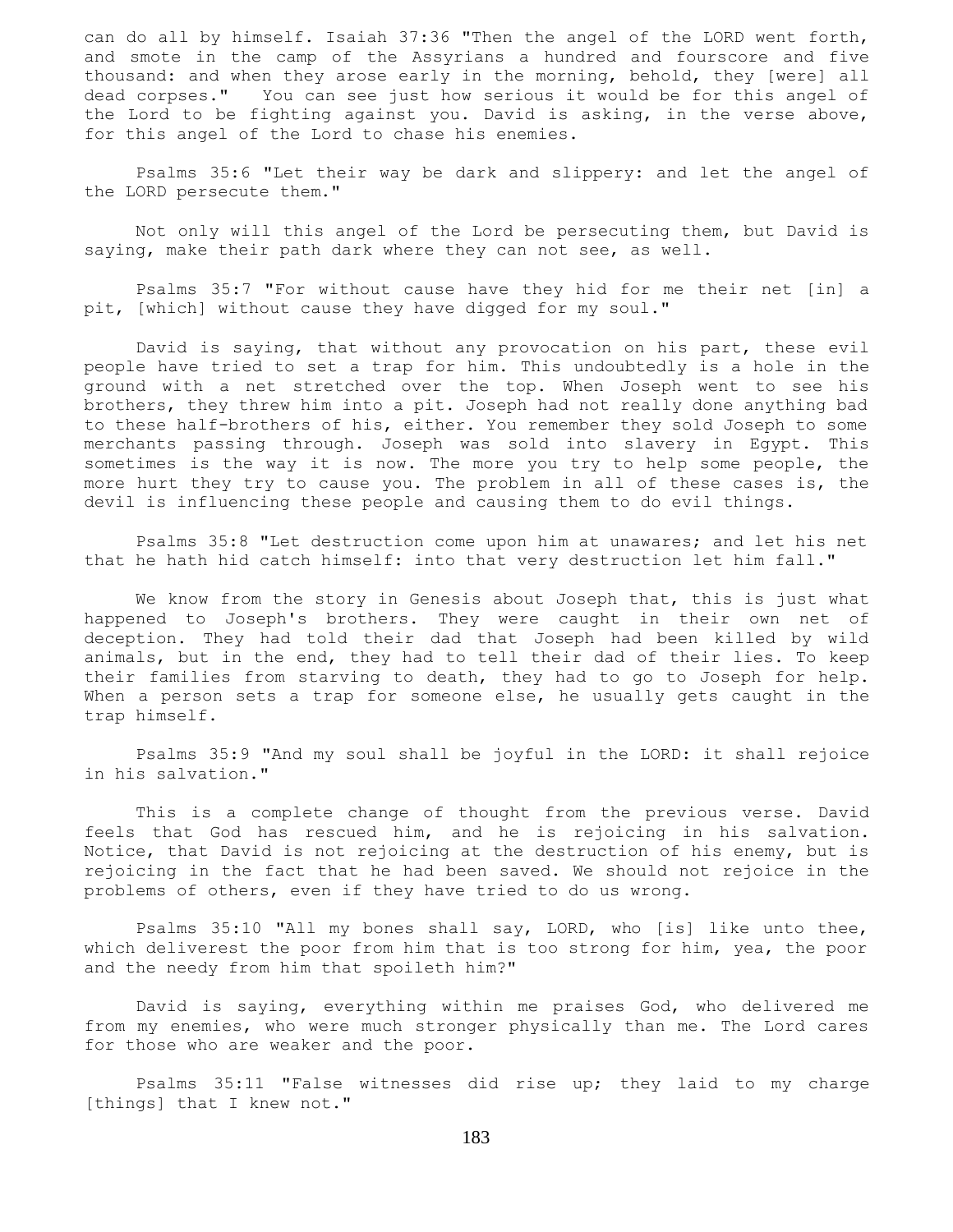can do all by himself. Isaiah 37:36 "Then the angel of the LORD went forth, and smote in the camp of the Assyrians a hundred and fourscore and five thousand: and when they arose early in the morning, behold, they [were] all dead corpses." You can see just how serious it would be for this angel of the Lord to be fighting against you. David is asking, in the verse above, for this angel of the Lord to chase his enemies.

 Psalms 35:6 "Let their way be dark and slippery: and let the angel of the LORD persecute them."

 Not only will this angel of the Lord be persecuting them, but David is saying, make their path dark where they can not see, as well.

 Psalms 35:7 "For without cause have they hid for me their net [in] a pit, [which] without cause they have digged for my soul."

 David is saying, that without any provocation on his part, these evil people have tried to set a trap for him. This undoubtedly is a hole in the ground with a net stretched over the top. When Joseph went to see his brothers, they threw him into a pit. Joseph had not really done anything bad to these half-brothers of his, either. You remember they sold Joseph to some merchants passing through. Joseph was sold into slavery in Egypt. This sometimes is the way it is now. The more you try to help some people, the more hurt they try to cause you. The problem in all of these cases is, the devil is influencing these people and causing them to do evil things.

 Psalms 35:8 "Let destruction come upon him at unawares; and let his net that he hath hid catch himself: into that very destruction let him fall."

We know from the story in Genesis about Joseph that, this is just what happened to Joseph's brothers. They were caught in their own net of deception. They had told their dad that Joseph had been killed by wild animals, but in the end, they had to tell their dad of their lies. To keep their families from starving to death, they had to go to Joseph for help. When a person sets a trap for someone else, he usually gets caught in the trap himself.

 Psalms 35:9 "And my soul shall be joyful in the LORD: it shall rejoice in his salvation."

 This is a complete change of thought from the previous verse. David feels that God has rescued him, and he is rejoicing in his salvation. Notice, that David is not rejoicing at the destruction of his enemy, but is rejoicing in the fact that he had been saved. We should not rejoice in the problems of others, even if they have tried to do us wrong.

 Psalms 35:10 "All my bones shall say, LORD, who [is] like unto thee, which deliverest the poor from him that is too strong for him, yea, the poor and the needy from him that spoileth him?"

 David is saying, everything within me praises God, who delivered me from my enemies, who were much stronger physically than me. The Lord cares for those who are weaker and the poor.

 Psalms 35:11 "False witnesses did rise up; they laid to my charge [things] that I knew not."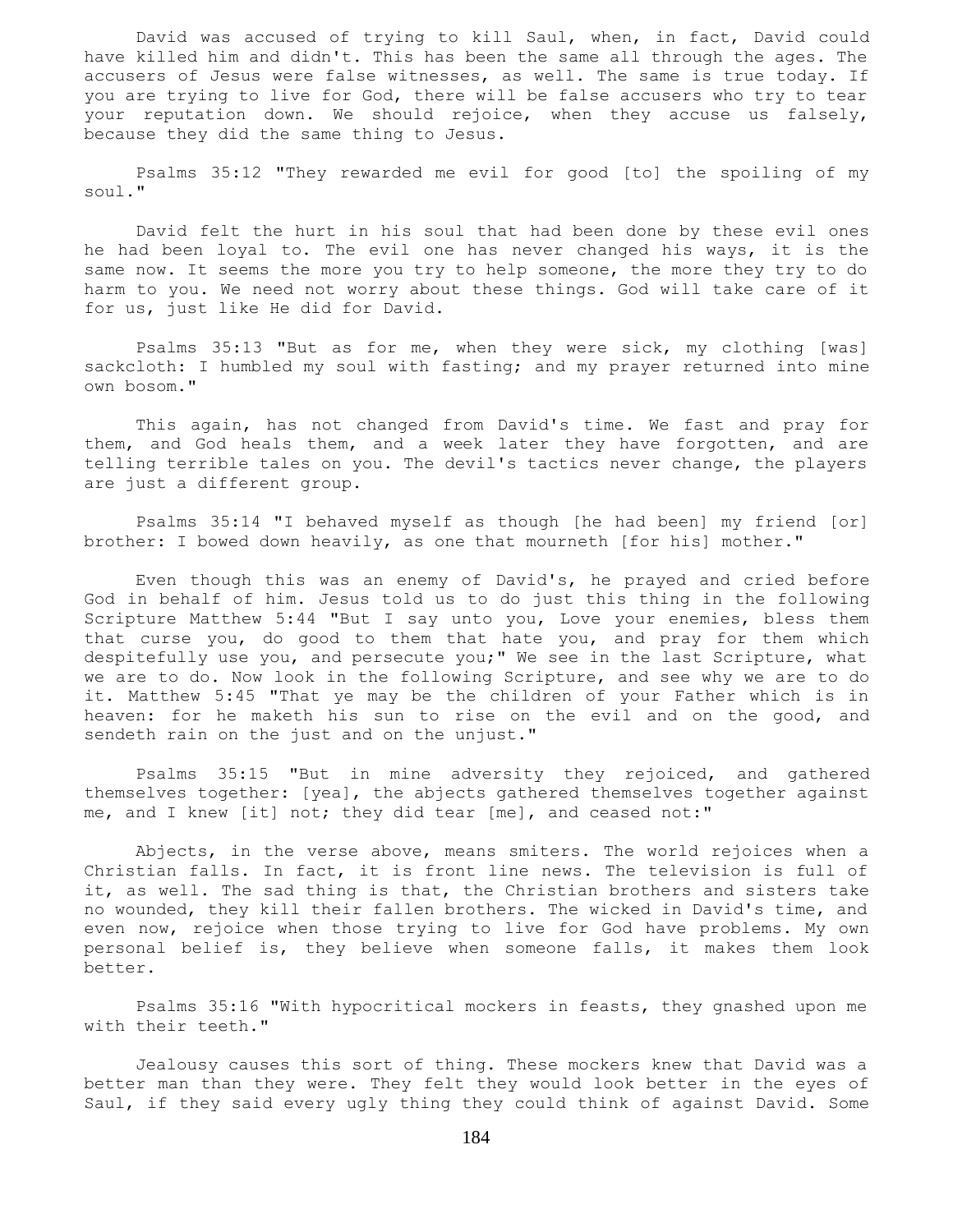David was accused of trying to kill Saul, when, in fact, David could have killed him and didn't. This has been the same all through the ages. The accusers of Jesus were false witnesses, as well. The same is true today. If you are trying to live for God, there will be false accusers who try to tear your reputation down. We should rejoice, when they accuse us falsely, because they did the same thing to Jesus.

 Psalms 35:12 "They rewarded me evil for good [to] the spoiling of my soul."

 David felt the hurt in his soul that had been done by these evil ones he had been loyal to. The evil one has never changed his ways, it is the same now. It seems the more you try to help someone, the more they try to do harm to you. We need not worry about these things. God will take care of it for us, just like He did for David.

 Psalms 35:13 "But as for me, when they were sick, my clothing [was] sackcloth: I humbled my soul with fasting; and my prayer returned into mine own bosom."

 This again, has not changed from David's time. We fast and pray for them, and God heals them, and a week later they have forgotten, and are telling terrible tales on you. The devil's tactics never change, the players are just a different group.

 Psalms 35:14 "I behaved myself as though [he had been] my friend [or] brother: I bowed down heavily, as one that mourneth [for his] mother."

 Even though this was an enemy of David's, he prayed and cried before God in behalf of him. Jesus told us to do just this thing in the following Scripture Matthew 5:44 "But I say unto you, Love your enemies, bless them that curse you, do good to them that hate you, and pray for them which despitefully use you, and persecute you;" We see in the last Scripture, what we are to do. Now look in the following Scripture, and see why we are to do it. Matthew 5:45 "That ye may be the children of your Father which is in heaven: for he maketh his sun to rise on the evil and on the good, and sendeth rain on the just and on the unjust."

 Psalms 35:15 "But in mine adversity they rejoiced, and gathered themselves together: [yea], the abjects gathered themselves together against me, and I knew [it] not; they did tear [me], and ceased not:"

 Abjects, in the verse above, means smiters. The world rejoices when a Christian falls. In fact, it is front line news. The television is full of it, as well. The sad thing is that, the Christian brothers and sisters take no wounded, they kill their fallen brothers. The wicked in David's time, and even now, rejoice when those trying to live for God have problems. My own personal belief is, they believe when someone falls, it makes them look better.

 Psalms 35:16 "With hypocritical mockers in feasts, they gnashed upon me with their teeth."

 Jealousy causes this sort of thing. These mockers knew that David was a better man than they were. They felt they would look better in the eyes of Saul, if they said every ugly thing they could think of against David. Some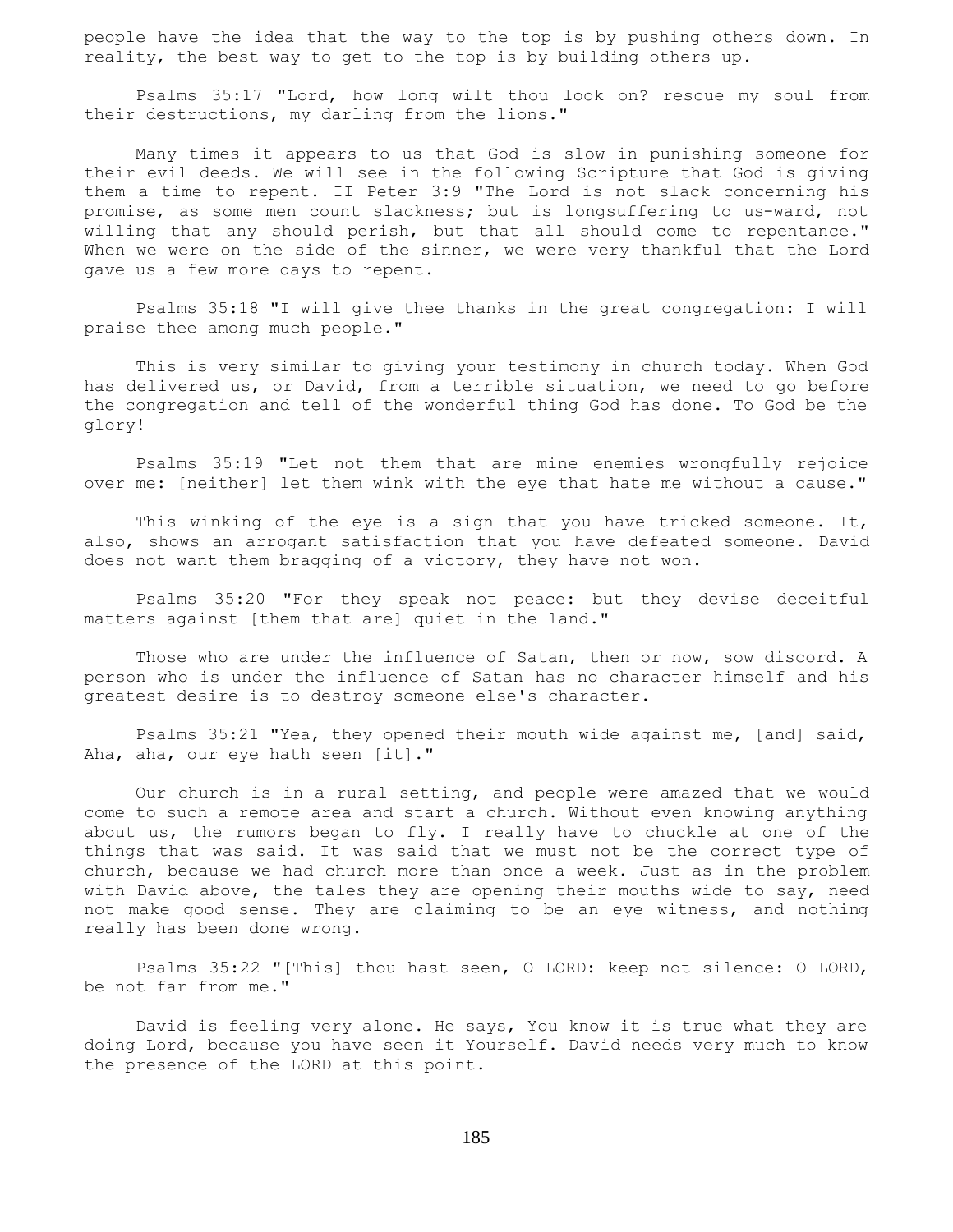people have the idea that the way to the top is by pushing others down. In reality, the best way to get to the top is by building others up.

 Psalms 35:17 "Lord, how long wilt thou look on? rescue my soul from their destructions, my darling from the lions."

 Many times it appears to us that God is slow in punishing someone for their evil deeds. We will see in the following Scripture that God is giving them a time to repent. II Peter 3:9 "The Lord is not slack concerning his promise, as some men count slackness; but is longsuffering to us-ward, not willing that any should perish, but that all should come to repentance." When we were on the side of the sinner, we were very thankful that the Lord gave us a few more days to repent.

 Psalms 35:18 "I will give thee thanks in the great congregation: I will praise thee among much people."

 This is very similar to giving your testimony in church today. When God has delivered us, or David, from a terrible situation, we need to go before the congregation and tell of the wonderful thing God has done. To God be the glory!

 Psalms 35:19 "Let not them that are mine enemies wrongfully rejoice over me: [neither] let them wink with the eye that hate me without a cause."

This winking of the eye is a sign that you have tricked someone. It, also, shows an arrogant satisfaction that you have defeated someone. David does not want them bragging of a victory, they have not won.

 Psalms 35:20 "For they speak not peace: but they devise deceitful matters against [them that are] quiet in the land."

Those who are under the influence of Satan, then or now, sow discord. A person who is under the influence of Satan has no character himself and his greatest desire is to destroy someone else's character.

 Psalms 35:21 "Yea, they opened their mouth wide against me, [and] said, Aha, aha, our eye hath seen [it]."

 Our church is in a rural setting, and people were amazed that we would come to such a remote area and start a church. Without even knowing anything about us, the rumors began to fly. I really have to chuckle at one of the things that was said. It was said that we must not be the correct type of church, because we had church more than once a week. Just as in the problem with David above, the tales they are opening their mouths wide to say, need not make good sense. They are claiming to be an eye witness, and nothing really has been done wrong.

 Psalms 35:22 "[This] thou hast seen, O LORD: keep not silence: O LORD, be not far from me."

 David is feeling very alone. He says, You know it is true what they are doing Lord, because you have seen it Yourself. David needs very much to know the presence of the LORD at this point.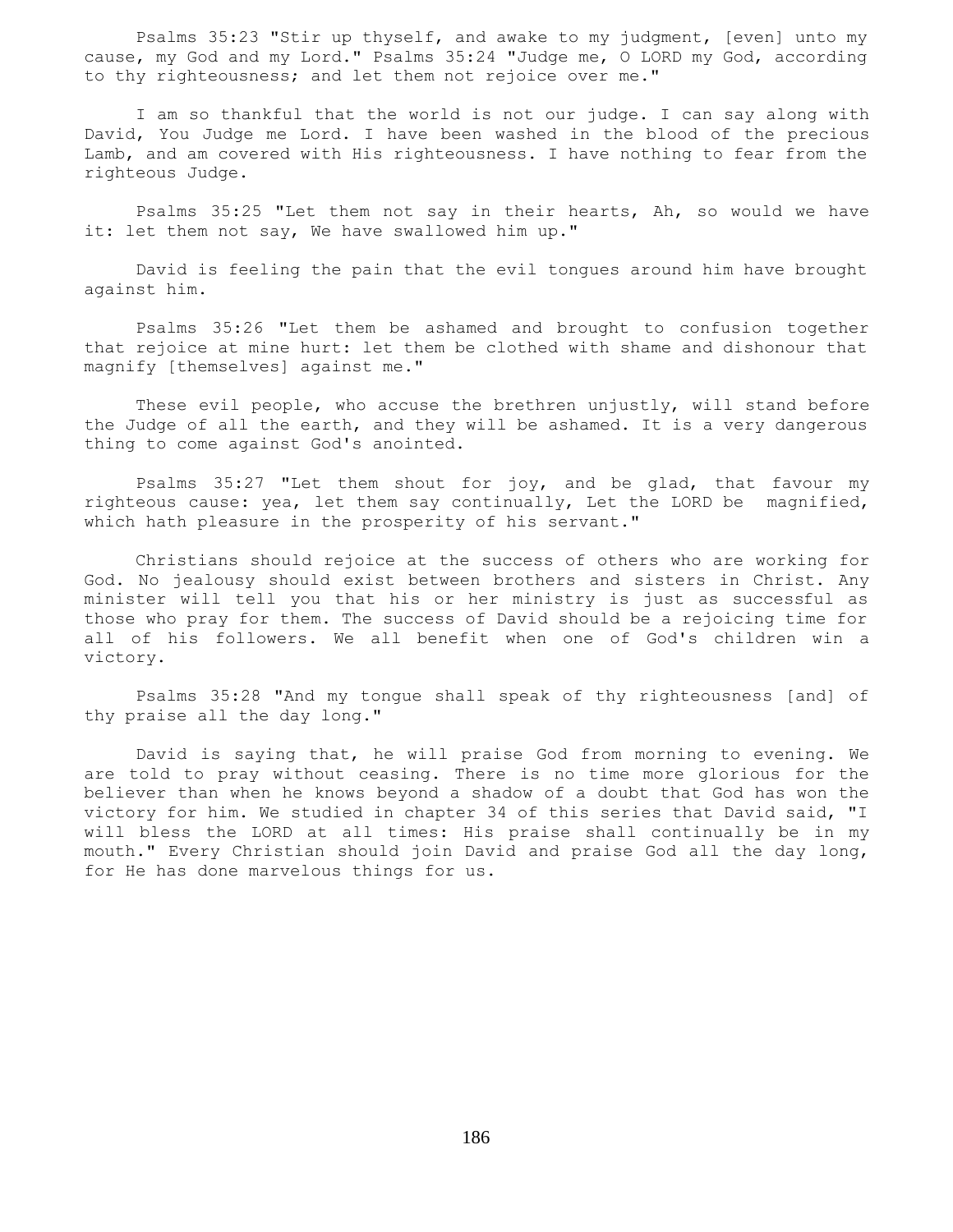Psalms 35:23 "Stir up thyself, and awake to my judgment, [even] unto my cause, my God and my Lord." Psalms 35:24 "Judge me, O LORD my God, according to thy righteousness; and let them not rejoice over me."

 I am so thankful that the world is not our judge. I can say along with David, You Judge me Lord. I have been washed in the blood of the precious Lamb, and am covered with His righteousness. I have nothing to fear from the righteous Judge.

 Psalms 35:25 "Let them not say in their hearts, Ah, so would we have it: let them not say, We have swallowed him up."

 David is feeling the pain that the evil tongues around him have brought against him.

 Psalms 35:26 "Let them be ashamed and brought to confusion together that rejoice at mine hurt: let them be clothed with shame and dishonour that magnify [themselves] against me."

 These evil people, who accuse the brethren unjustly, will stand before the Judge of all the earth, and they will be ashamed. It is a very dangerous thing to come against God's anointed.

 Psalms 35:27 "Let them shout for joy, and be glad, that favour my righteous cause: yea, let them say continually, Let the LORD be magnified, which hath pleasure in the prosperity of his servant."

 Christians should rejoice at the success of others who are working for God. No jealousy should exist between brothers and sisters in Christ. Any minister will tell you that his or her ministry is just as successful as those who pray for them. The success of David should be a rejoicing time for all of his followers. We all benefit when one of God's children win a victory.

 Psalms 35:28 "And my tongue shall speak of thy righteousness [and] of thy praise all the day long."

 David is saying that, he will praise God from morning to evening. We are told to pray without ceasing. There is no time more glorious for the believer than when he knows beyond a shadow of a doubt that God has won the victory for him. We studied in chapter 34 of this series that David said, "I will bless the LORD at all times: His praise shall continually be in my mouth." Every Christian should join David and praise God all the day long, for He has done marvelous things for us.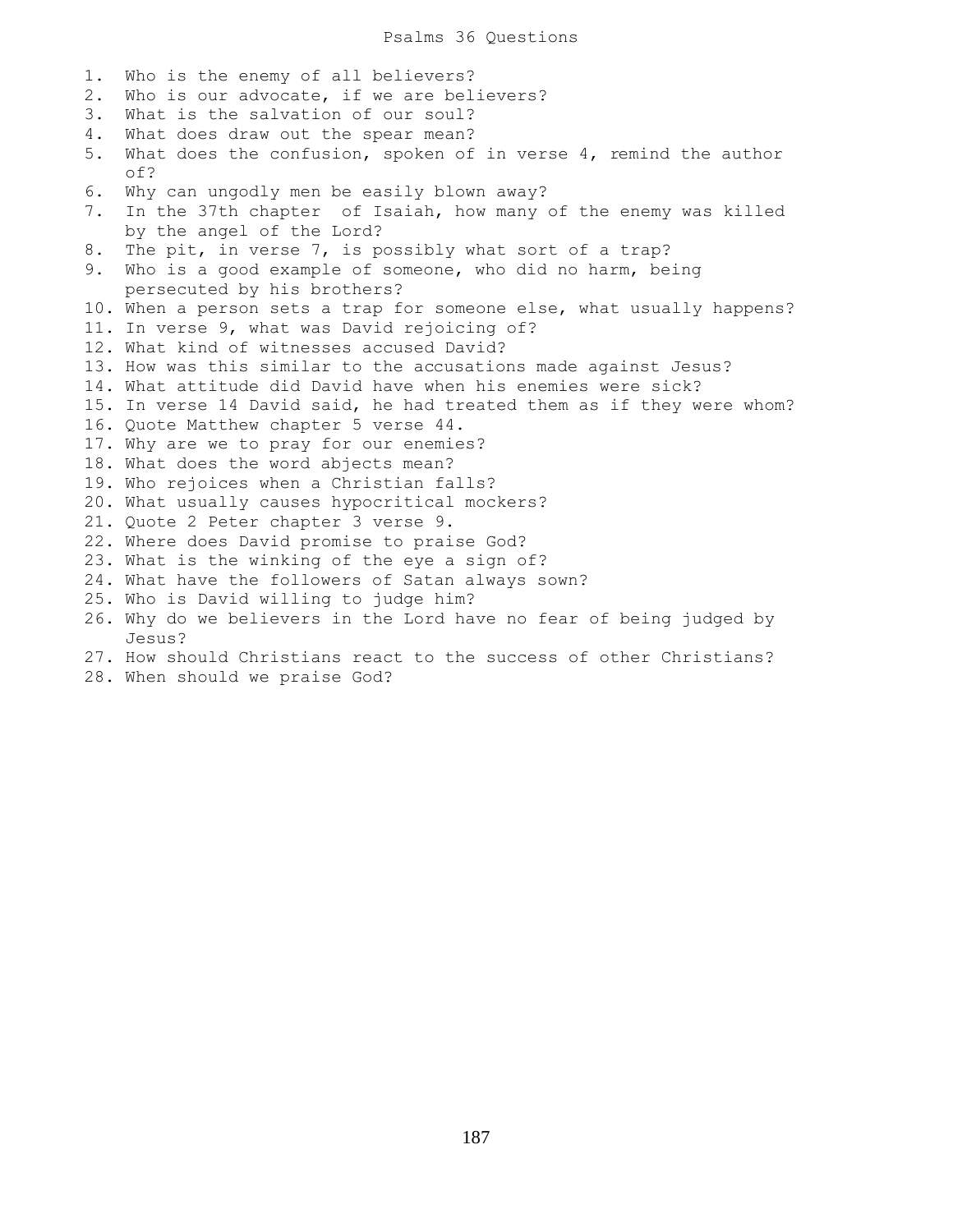Psalms 36 Questions

1. Who is the enemy of all believers? 2. Who is our advocate, if we are believers? 3. What is the salvation of our soul? 4. What does draw out the spear mean? 5. What does the confusion, spoken of in verse 4, remind the author of? 6. Why can ungodly men be easily blown away? 7. In the 37th chapter of Isaiah, how many of the enemy was killed by the angel of the Lord? 8. The pit, in verse 7, is possibly what sort of a trap? 9. Who is a good example of someone, who did no harm, being persecuted by his brothers? 10. When a person sets a trap for someone else, what usually happens? 11. In verse 9, what was David rejoicing of? 12. What kind of witnesses accused David? 13. How was this similar to the accusations made against Jesus? 14. What attitude did David have when his enemies were sick? 15. In verse 14 David said, he had treated them as if they were whom? 16. Quote Matthew chapter 5 verse 44. 17. Why are we to pray for our enemies? 18. What does the word abjects mean? 19. Who rejoices when a Christian falls? 20. What usually causes hypocritical mockers? 21. Quote 2 Peter chapter 3 verse 9. 22. Where does David promise to praise God? 23. What is the winking of the eye a sign of? 24. What have the followers of Satan always sown? 25. Who is David willing to judge him? 26. Why do we believers in the Lord have no fear of being judged by Jesus?

- 27. How should Christians react to the success of other Christians?
- 28. When should we praise God?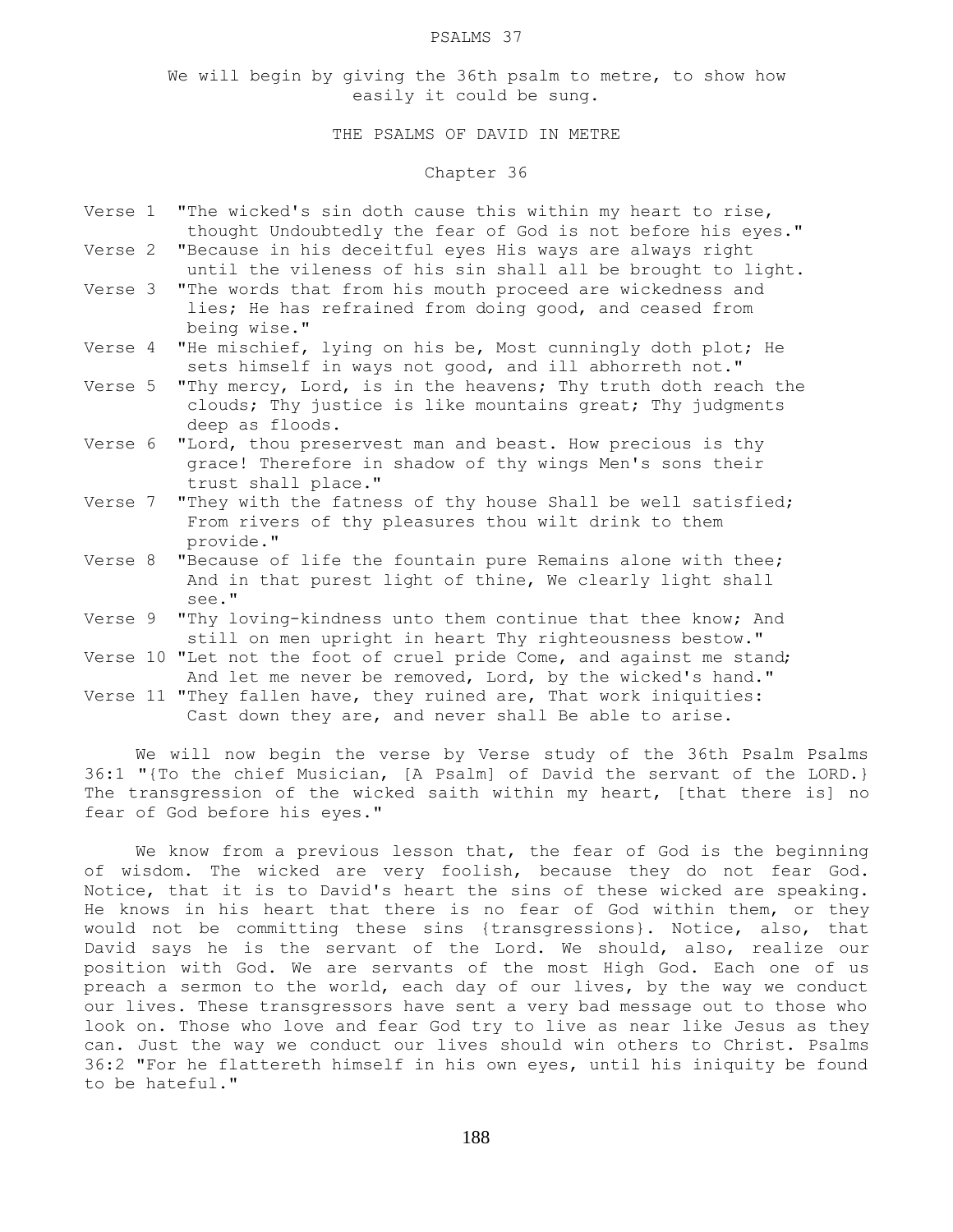#### PSALMS 37

We will begin by giving the 36th psalm to metre, to show how easily it could be sung.

# THE PSALMS OF DAVID IN METRE

# Chapter 36

- Verse 1 "The wicked's sin doth cause this within my heart to rise, thought Undoubtedly the fear of God is not before his eyes."
- Verse 2 "Because in his deceitful eyes His ways are always right until the vileness of his sin shall all be brought to light.
- Verse 3 "The words that from his mouth proceed are wickedness and lies; He has refrained from doing good, and ceased from being wise."
- Verse 4 "He mischief, lying on his be, Most cunningly doth plot; He sets himself in ways not good, and ill abhorreth not."
- Verse 5 "Thy mercy, Lord, is in the heavens; Thy truth doth reach the clouds; Thy justice is like mountains great; Thy judgments deep as floods.
- Verse 6 "Lord, thou preservest man and beast. How precious is thy grace! Therefore in shadow of thy wings Men's sons their trust shall place."
- Verse 7 "They with the fatness of thy house Shall be well satisfied; From rivers of thy pleasures thou wilt drink to them provide."
- Verse 8 "Because of life the fountain pure Remains alone with thee; And in that purest light of thine, We clearly light shall see."
- Verse 9 "Thy loving-kindness unto them continue that thee know; And still on men upright in heart Thy righteousness bestow."
- Verse 10 "Let not the foot of cruel pride Come, and against me stand; And let me never be removed, Lord, by the wicked's hand."
- Verse 11 "They fallen have, they ruined are, That work iniquities: Cast down they are, and never shall Be able to arise.

 We will now begin the verse by Verse study of the 36th Psalm Psalms 36:1 "{To the chief Musician, [A Psalm] of David the servant of the LORD.} The transgression of the wicked saith within my heart, [that there is] no fear of God before his eyes."

 We know from a previous lesson that, the fear of God is the beginning of wisdom. The wicked are very foolish, because they do not fear God. Notice, that it is to David's heart the sins of these wicked are speaking. He knows in his heart that there is no fear of God within them, or they would not be committing these sins {transgressions}. Notice, also, that David says he is the servant of the Lord. We should, also, realize our position with God. We are servants of the most High God. Each one of us preach a sermon to the world, each day of our lives, by the way we conduct our lives. These transgressors have sent a very bad message out to those who look on. Those who love and fear God try to live as near like Jesus as they can. Just the way we conduct our lives should win others to Christ. Psalms 36:2 "For he flattereth himself in his own eyes, until his iniquity be found to be hateful."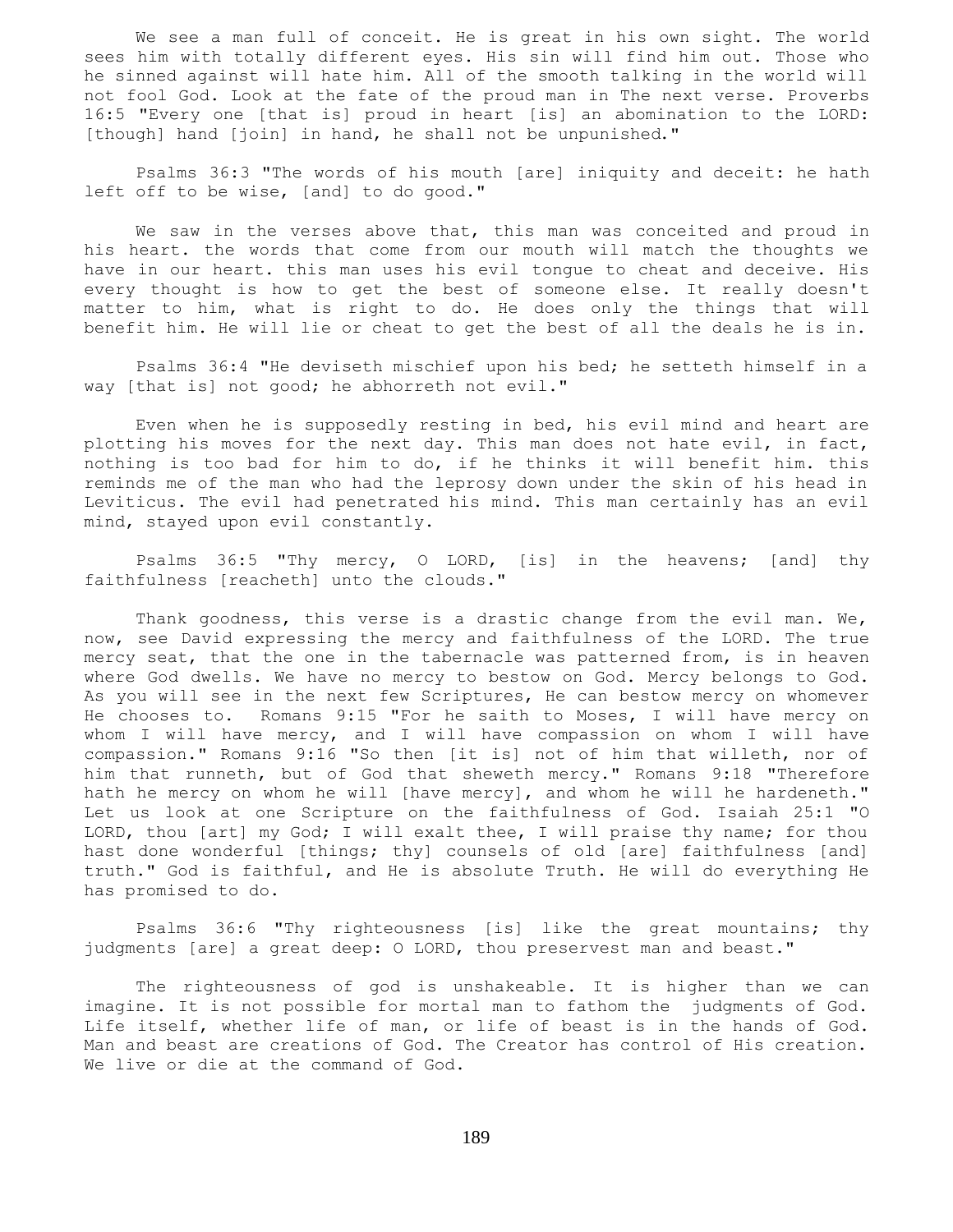We see a man full of conceit. He is great in his own sight. The world sees him with totally different eyes. His sin will find him out. Those who he sinned against will hate him. All of the smooth talking in the world will not fool God. Look at the fate of the proud man in The next verse. Proverbs 16:5 "Every one [that is] proud in heart [is] an abomination to the LORD: [though] hand [join] in hand, he shall not be unpunished."

 Psalms 36:3 "The words of his mouth [are] iniquity and deceit: he hath left off to be wise, [and] to do good."

 We saw in the verses above that, this man was conceited and proud in his heart. the words that come from our mouth will match the thoughts we have in our heart. this man uses his evil tongue to cheat and deceive. His every thought is how to get the best of someone else. It really doesn't matter to him, what is right to do. He does only the things that will benefit him. He will lie or cheat to get the best of all the deals he is in.

 Psalms 36:4 "He deviseth mischief upon his bed; he setteth himself in a way [that is] not good; he abhorreth not evil."

 Even when he is supposedly resting in bed, his evil mind and heart are plotting his moves for the next day. This man does not hate evil, in fact, nothing is too bad for him to do, if he thinks it will benefit him. this reminds me of the man who had the leprosy down under the skin of his head in Leviticus. The evil had penetrated his mind. This man certainly has an evil mind, stayed upon evil constantly.

 Psalms 36:5 "Thy mercy, O LORD, [is] in the heavens; [and] thy faithfulness [reacheth] unto the clouds."

Thank goodness, this verse is a drastic change from the evil man. We, now, see David expressing the mercy and faithfulness of the LORD. The true mercy seat, that the one in the tabernacle was patterned from, is in heaven where God dwells. We have no mercy to bestow on God. Mercy belongs to God. As you will see in the next few Scriptures, He can bestow mercy on whomever He chooses to. Romans 9:15 "For he saith to Moses, I will have mercy on whom I will have mercy, and I will have compassion on whom I will have compassion." Romans 9:16 "So then [it is] not of him that willeth, nor of him that runneth, but of God that sheweth mercy." Romans 9:18 "Therefore hath he mercy on whom he will [have mercy], and whom he will he hardeneth." Let us look at one Scripture on the faithfulness of God. Isaiah 25:1 "O LORD, thou [art] my God; I will exalt thee, I will praise thy name; for thou hast done wonderful [things; thy] counsels of old [are] faithfulness [and] truth." God is faithful, and He is absolute Truth. He will do everything He has promised to do.

 Psalms 36:6 "Thy righteousness [is] like the great mountains; thy judgments [are] a great deep: O LORD, thou preservest man and beast."

 The righteousness of god is unshakeable. It is higher than we can imagine. It is not possible for mortal man to fathom the judgments of God. Life itself, whether life of man, or life of beast is in the hands of God. Man and beast are creations of God. The Creator has control of His creation. We live or die at the command of God.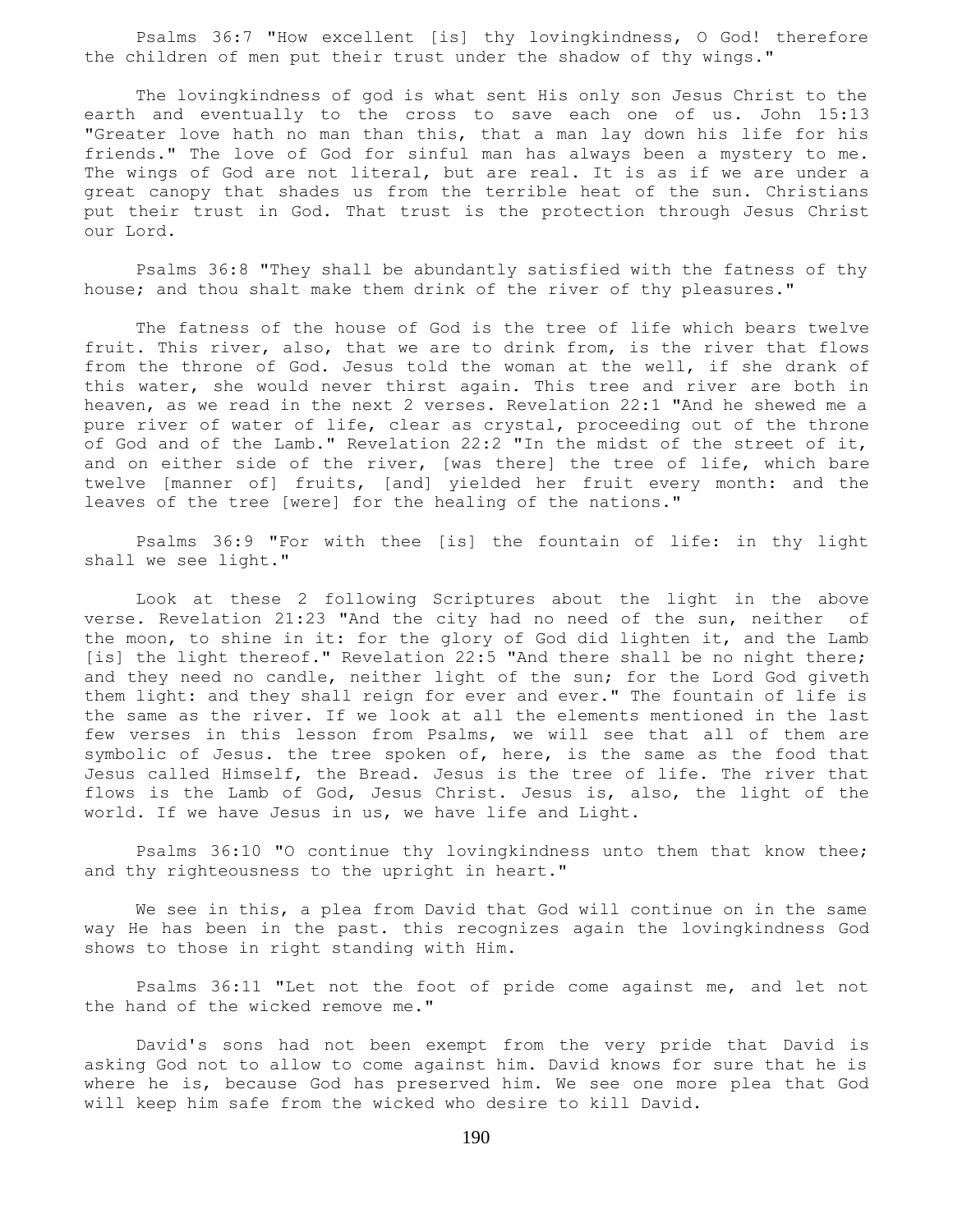Psalms 36:7 "How excellent [is] thy lovingkindness, O God! therefore the children of men put their trust under the shadow of thy wings."

 The lovingkindness of god is what sent His only son Jesus Christ to the earth and eventually to the cross to save each one of us. John 15:13 "Greater love hath no man than this, that a man lay down his life for his friends." The love of God for sinful man has always been a mystery to me. The wings of God are not literal, but are real. It is as if we are under a great canopy that shades us from the terrible heat of the sun. Christians put their trust in God. That trust is the protection through Jesus Christ our Lord.

 Psalms 36:8 "They shall be abundantly satisfied with the fatness of thy house; and thou shalt make them drink of the river of thy pleasures."

 The fatness of the house of God is the tree of life which bears twelve fruit. This river, also, that we are to drink from, is the river that flows from the throne of God. Jesus told the woman at the well, if she drank of this water, she would never thirst again. This tree and river are both in heaven, as we read in the next 2 verses. Revelation 22:1 "And he shewed me a pure river of water of life, clear as crystal, proceeding out of the throne of God and of the Lamb." Revelation 22:2 "In the midst of the street of it, and on either side of the river, [was there] the tree of life, which bare twelve [manner of] fruits, [and] yielded her fruit every month: and the leaves of the tree [were] for the healing of the nations."

 Psalms 36:9 "For with thee [is] the fountain of life: in thy light shall we see light."

 Look at these 2 following Scriptures about the light in the above verse. Revelation 21:23 "And the city had no need of the sun, neither of the moon, to shine in it: for the glory of God did lighten it, and the Lamb [is] the light thereof." Revelation 22:5 "And there shall be no night there; and they need no candle, neither light of the sun; for the Lord God giveth them light: and they shall reign for ever and ever." The fountain of life is the same as the river. If we look at all the elements mentioned in the last few verses in this lesson from Psalms, we will see that all of them are symbolic of Jesus. the tree spoken of, here, is the same as the food that Jesus called Himself, the Bread. Jesus is the tree of life. The river that flows is the Lamb of God, Jesus Christ. Jesus is, also, the light of the world. If we have Jesus in us, we have life and Light.

 Psalms 36:10 "O continue thy lovingkindness unto them that know thee; and thy righteousness to the upright in heart."

 We see in this, a plea from David that God will continue on in the same way He has been in the past. this recognizes again the lovingkindness God shows to those in right standing with Him.

 Psalms 36:11 "Let not the foot of pride come against me, and let not the hand of the wicked remove me."

 David's sons had not been exempt from the very pride that David is asking God not to allow to come against him. David knows for sure that he is where he is, because God has preserved him. We see one more plea that God will keep him safe from the wicked who desire to kill David.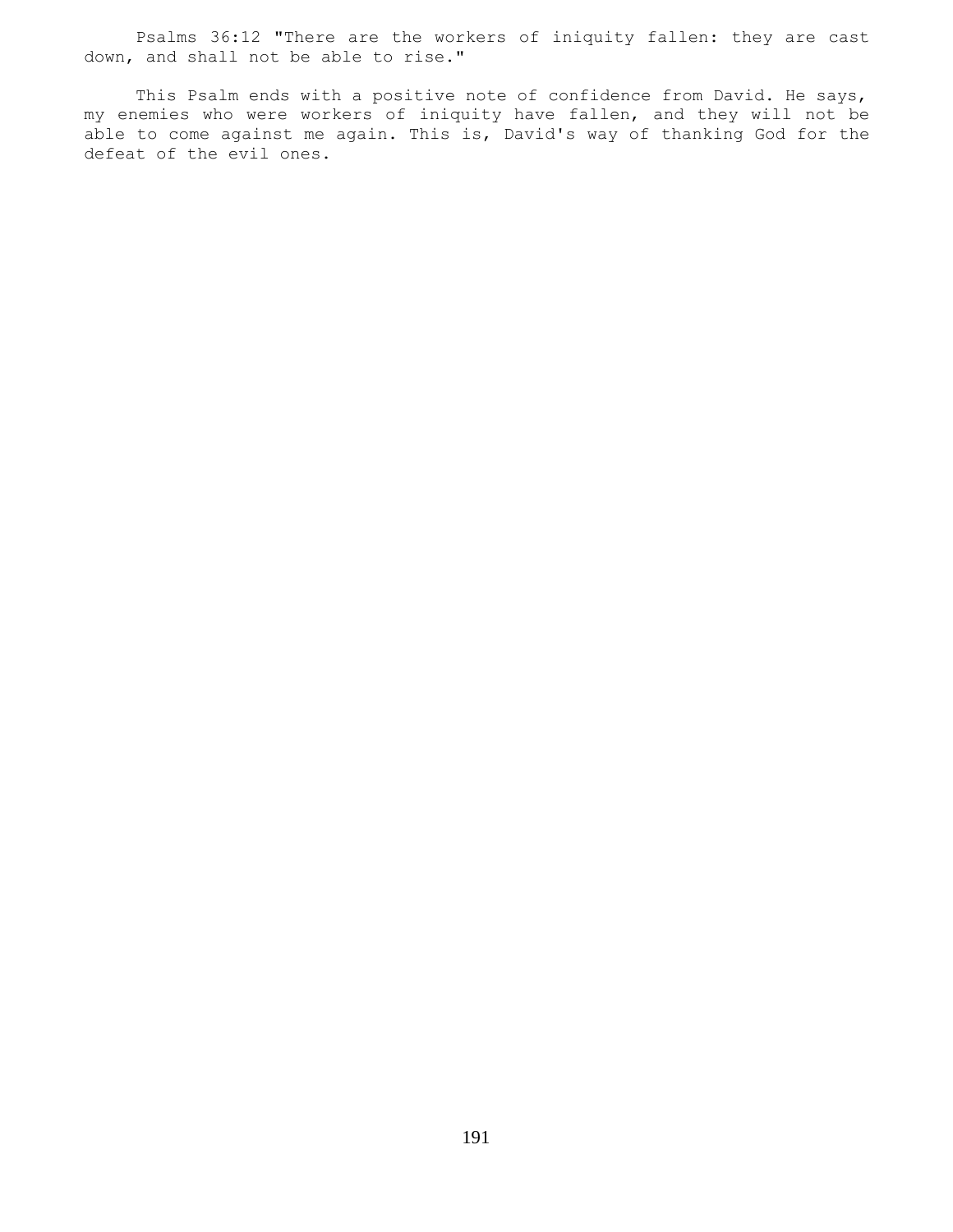Psalms 36:12 "There are the workers of iniquity fallen: they are cast down, and shall not be able to rise."

 This Psalm ends with a positive note of confidence from David. He says, my enemies who were workers of iniquity have fallen, and they will not be able to come against me again. This is, David's way of thanking God for the defeat of the evil ones.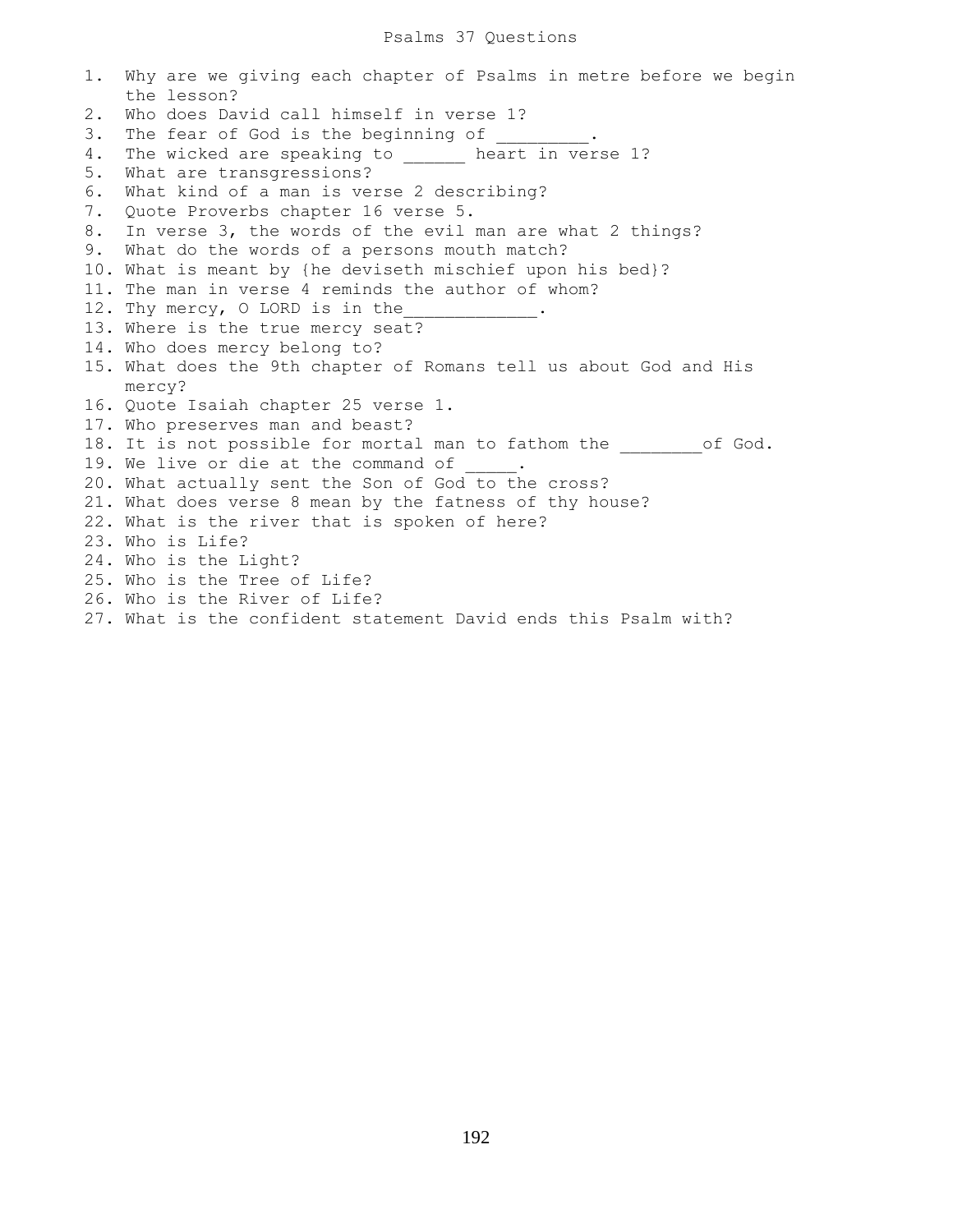#### Psalms 37 Questions

1. Why are we giving each chapter of Psalms in metre before we begin the lesson? 2. Who does David call himself in verse 1? 3. The fear of God is the beginning of 4. The wicked are speaking to \_\_\_\_\_\_ heart in verse 1? 5. What are transgressions? 6. What kind of a man is verse 2 describing? 7. Quote Proverbs chapter 16 verse 5. 8. In verse 3, the words of the evil man are what 2 things? 9. What do the words of a persons mouth match? 10. What is meant by {he deviseth mischief upon his bed}? 11. The man in verse 4 reminds the author of whom? 12. Thy mercy, O LORD is in the 13. Where is the true mercy seat? 14. Who does mercy belong to? 15. What does the 9th chapter of Romans tell us about God and His mercy? 16. Quote Isaiah chapter 25 verse 1. 17. Who preserves man and beast? 18. It is not possible for mortal man to fathom the of God. 19. We live or die at the command of 20. What actually sent the Son of God to the cross? 21. What does verse 8 mean by the fatness of thy house? 22. What is the river that is spoken of here? 23. Who is Life? 24. Who is the Light? 25. Who is the Tree of Life? 26. Who is the River of Life? 27. What is the confident statement David ends this Psalm with?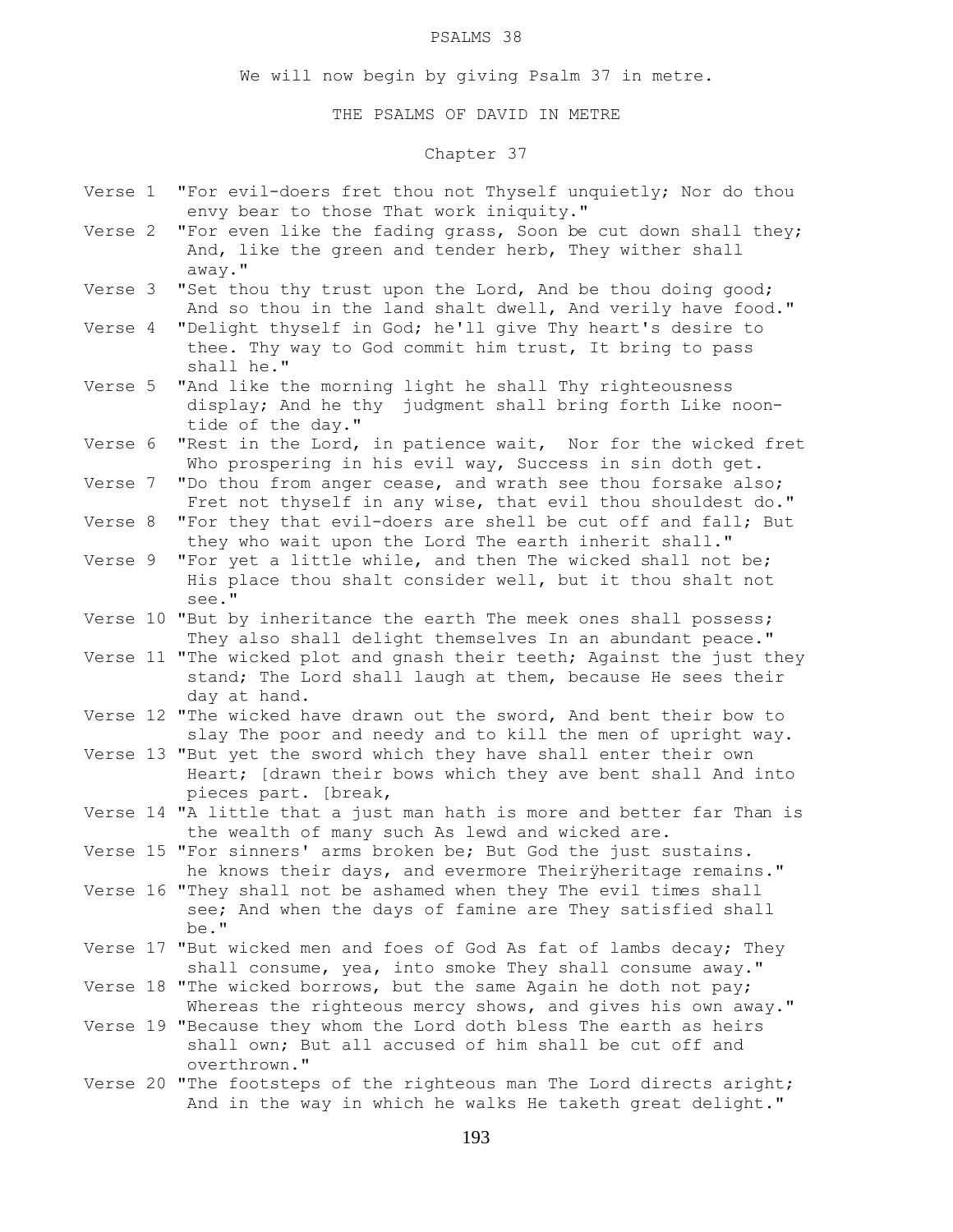#### PSALMS 38

We will now begin by giving Psalm 37 in metre.

THE PSALMS OF DAVID IN METRE

# Chapter 37

- Verse 1 "For evil-doers fret thou not Thyself unquietly; Nor do thou envy bear to those That work iniquity."
- Verse 2 "For even like the fading grass, Soon be cut down shall they; And, like the green and tender herb, They wither shall away."
- Verse 3 "Set thou thy trust upon the Lord, And be thou doing good; And so thou in the land shalt dwell, And verily have food."
- Verse 4 "Delight thyself in God; he'll give Thy heart's desire to thee. Thy way to God commit him trust, It bring to pass shall he."
- Verse 5 "And like the morning light he shall Thy righteousness display; And he thy judgment shall bring forth Like noon tide of the day."
- Verse 6 "Rest in the Lord, in patience wait, Nor for the wicked fret Who prospering in his evil way, Success in sin doth get.
- Verse 7 "Do thou from anger cease, and wrath see thou forsake also; Fret not thyself in any wise, that evil thou shouldest do."
- Verse 8 "For they that evil-doers are shell be cut off and fall; But they who wait upon the Lord The earth inherit shall."
- Verse 9 "For yet a little while, and then The wicked shall not be; His place thou shalt consider well, but it thou shalt not see."
- Verse 10 "But by inheritance the earth The meek ones shall possess; They also shall delight themselves In an abundant peace."
- Verse 11 "The wicked plot and gnash their teeth; Against the just they stand; The Lord shall laugh at them, because He sees their day at hand.
- Verse 12 "The wicked have drawn out the sword, And bent their bow to slay The poor and needy and to kill the men of upright way.
- Verse 13 "But yet the sword which they have shall enter their own Heart; [drawn their bows which they ave bent shall And into pieces part. [break,
- Verse 14 "A little that a just man hath is more and better far Than is the wealth of many such As lewd and wicked are.
- Verse 15 "For sinners' arms broken be; But God the just sustains. he knows their days, and evermore Theiryheritage remains."
- Verse 16 "They shall not be ashamed when they The evil times shall see; And when the days of famine are They satisfied shall be."
- Verse 17 "But wicked men and foes of God As fat of lambs decay; They shall consume, yea, into smoke They shall consume away."
- Verse 18 "The wicked borrows, but the same Again he doth not pay; Whereas the righteous mercy shows, and gives his own away."
- Verse 19 "Because they whom the Lord doth bless The earth as heirs shall own; But all accused of him shall be cut off and overthrown."
- Verse 20 "The footsteps of the righteous man The Lord directs aright; And in the way in which he walks He taketh great delight."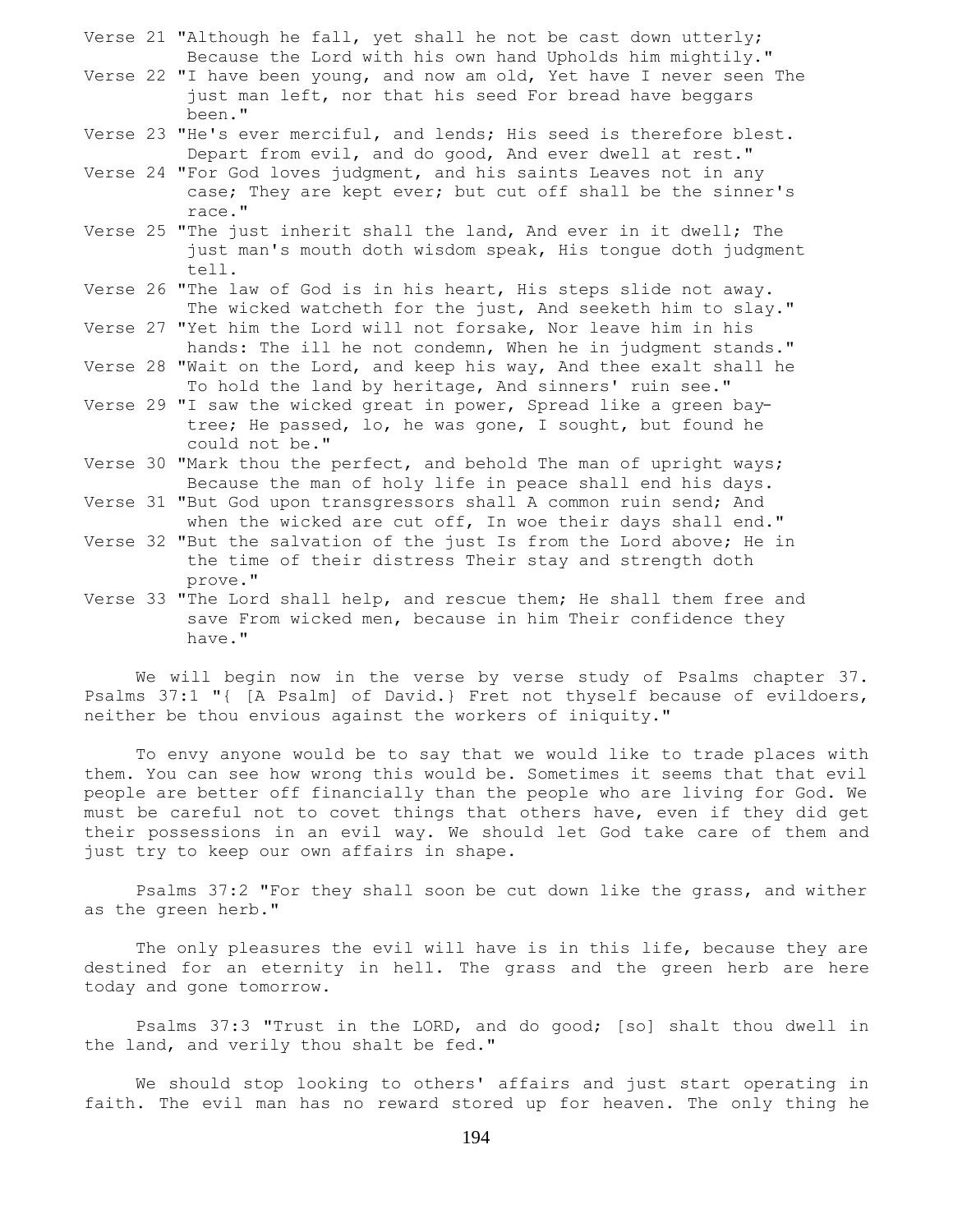- Verse 21 "Although he fall, yet shall he not be cast down utterly; Because the Lord with his own hand Upholds him mightily."
- Verse 22 "I have been young, and now am old, Yet have I never seen The just man left, nor that his seed For bread have beggars been."
- Verse 23 "He's ever merciful, and lends; His seed is therefore blest. Depart from evil, and do good, And ever dwell at rest."
- Verse 24 "For God loves judgment, and his saints Leaves not in any case; They are kept ever; but cut off shall be the sinner's race."
- Verse 25 "The just inherit shall the land, And ever in it dwell; The just man's mouth doth wisdom speak, His tongue doth judgment tell.
- Verse 26 "The law of God is in his heart, His steps slide not away. The wicked watcheth for the just, And seeketh him to slay."
- Verse 27 "Yet him the Lord will not forsake, Nor leave him in his hands: The ill he not condemn, When he in judgment stands."
- Verse 28 "Wait on the Lord, and keep his way, And thee exalt shall he To hold the land by heritage, And sinners' ruin see."
- Verse 29 "I saw the wicked great in power, Spread like a green bay tree; He passed, lo, he was gone, I sought, but found he could not be."
- Verse 30 "Mark thou the perfect, and behold The man of upright ways; Because the man of holy life in peace shall end his days.
- Verse 31 "But God upon transgressors shall A common ruin send; And when the wicked are cut off, In woe their days shall end."
- Verse 32 "But the salvation of the just Is from the Lord above; He in the time of their distress Their stay and strength doth prove."
- Verse 33 "The Lord shall help, and rescue them; He shall them free and save From wicked men, because in him Their confidence they have."

 We will begin now in the verse by verse study of Psalms chapter 37. Psalms 37:1 "{ [A Psalm] of David.} Fret not thyself because of evildoers, neither be thou envious against the workers of iniquity."

 To envy anyone would be to say that we would like to trade places with them. You can see how wrong this would be. Sometimes it seems that that evil people are better off financially than the people who are living for God. We must be careful not to covet things that others have, even if they did get their possessions in an evil way. We should let God take care of them and just try to keep our own affairs in shape.

 Psalms 37:2 "For they shall soon be cut down like the grass, and wither as the green herb."

 The only pleasures the evil will have is in this life, because they are destined for an eternity in hell. The grass and the green herb are here today and gone tomorrow.

 Psalms 37:3 "Trust in the LORD, and do good; [so] shalt thou dwell in the land, and verily thou shalt be fed."

 We should stop looking to others' affairs and just start operating in faith. The evil man has no reward stored up for heaven. The only thing he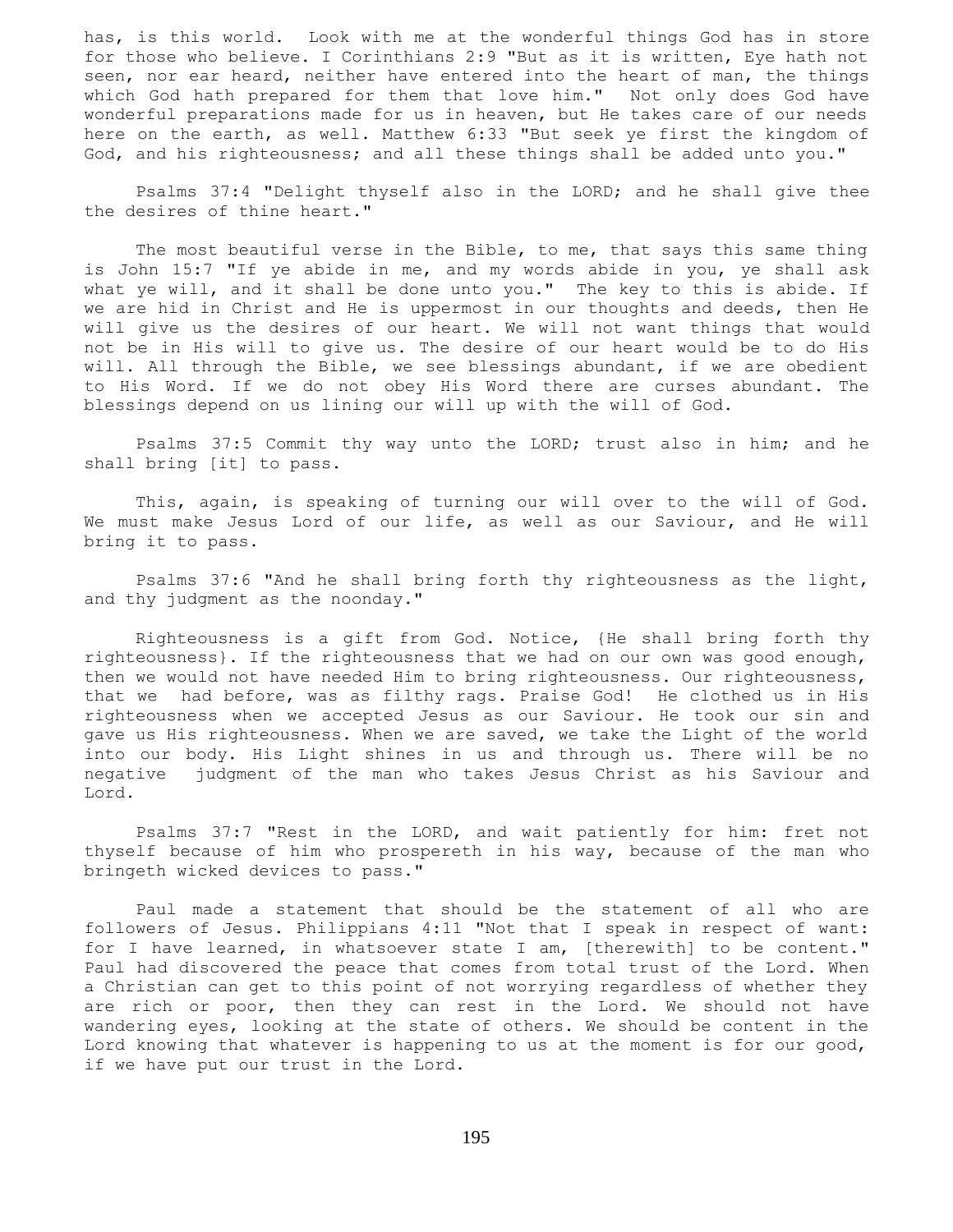has, is this world. Look with me at the wonderful things God has in store for those who believe. I Corinthians 2:9 "But as it is written, Eye hath not seen, nor ear heard, neither have entered into the heart of man, the things which God hath prepared for them that love him." Not only does God have wonderful preparations made for us in heaven, but He takes care of our needs here on the earth, as well. Matthew 6:33 "But seek ye first the kingdom of God, and his righteousness; and all these things shall be added unto you."

 Psalms 37:4 "Delight thyself also in the LORD; and he shall give thee the desires of thine heart."

 The most beautiful verse in the Bible, to me, that says this same thing is John 15:7 "If ye abide in me, and my words abide in you, ye shall ask what ye will, and it shall be done unto you." The key to this is abide. If we are hid in Christ and He is uppermost in our thoughts and deeds, then He will give us the desires of our heart. We will not want things that would not be in His will to give us. The desire of our heart would be to do His will. All through the Bible, we see blessings abundant, if we are obedient to His Word. If we do not obey His Word there are curses abundant. The blessings depend on us lining our will up with the will of God.

 Psalms 37:5 Commit thy way unto the LORD; trust also in him; and he shall bring [it] to pass.

 This, again, is speaking of turning our will over to the will of God. We must make Jesus Lord of our life, as well as our Saviour, and He will bring it to pass.

 Psalms 37:6 "And he shall bring forth thy righteousness as the light, and thy judgment as the noonday."

 Righteousness is a gift from God. Notice, {He shall bring forth thy righteousness}. If the righteousness that we had on our own was good enough, then we would not have needed Him to bring righteousness. Our righteousness, that we had before, was as filthy rags. Praise God! He clothed us in His righteousness when we accepted Jesus as our Saviour. He took our sin and gave us His righteousness. When we are saved, we take the Light of the world into our body. His Light shines in us and through us. There will be no negative judgment of the man who takes Jesus Christ as his Saviour and Lord.

 Psalms 37:7 "Rest in the LORD, and wait patiently for him: fret not thyself because of him who prospereth in his way, because of the man who bringeth wicked devices to pass."

 Paul made a statement that should be the statement of all who are followers of Jesus. Philippians 4:11 "Not that I speak in respect of want: for I have learned, in whatsoever state I am, [therewith] to be content." Paul had discovered the peace that comes from total trust of the Lord. When a Christian can get to this point of not worrying regardless of whether they are rich or poor, then they can rest in the Lord. We should not have wandering eyes, looking at the state of others. We should be content in the Lord knowing that whatever is happening to us at the moment is for our good, if we have put our trust in the Lord.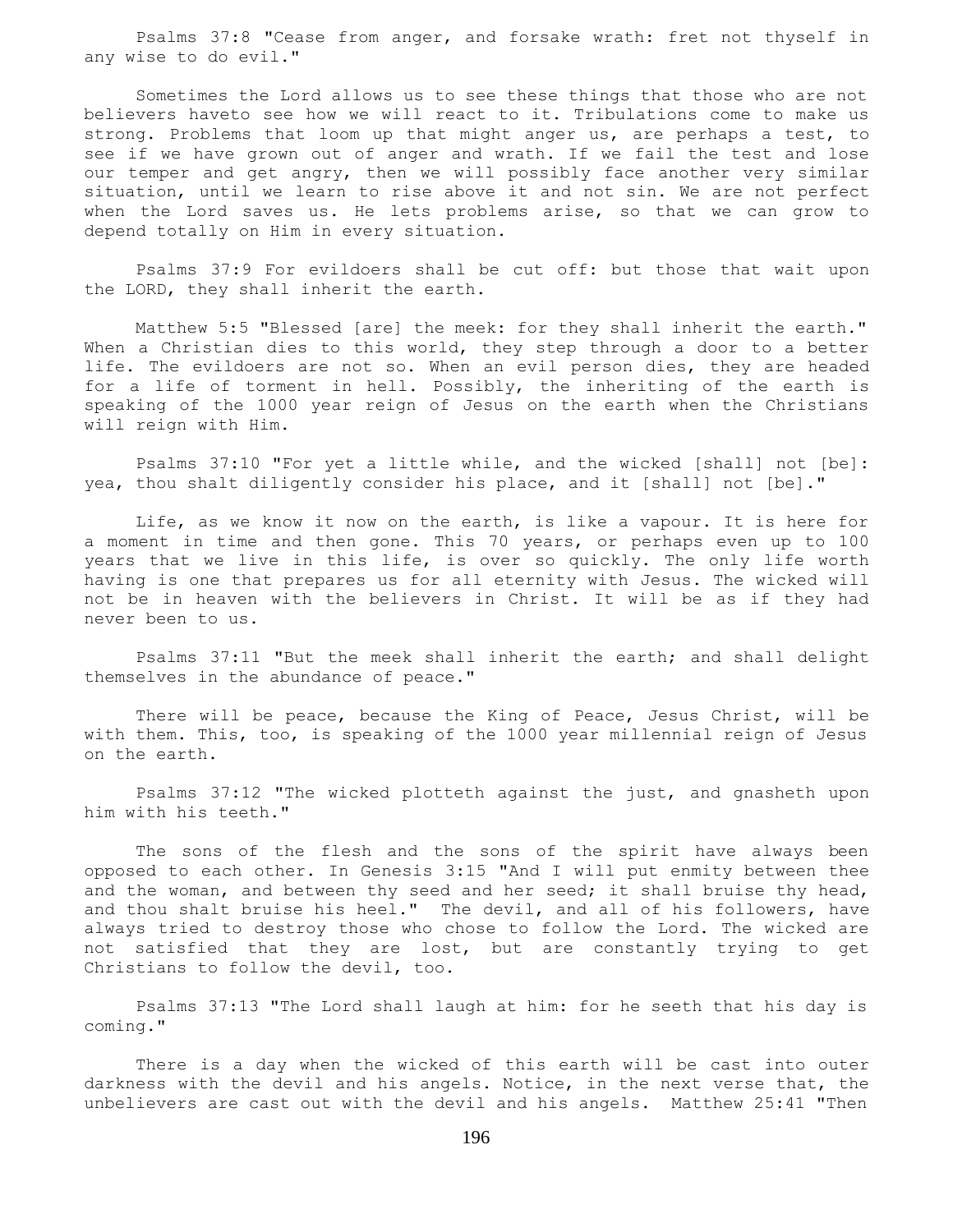Psalms 37:8 "Cease from anger, and forsake wrath: fret not thyself in any wise to do evil."

 Sometimes the Lord allows us to see these things that those who are not believers haveto see how we will react to it. Tribulations come to make us strong. Problems that loom up that might anger us, are perhaps a test, to see if we have grown out of anger and wrath. If we fail the test and lose our temper and get angry, then we will possibly face another very similar situation, until we learn to rise above it and not sin. We are not perfect when the Lord saves us. He lets problems arise, so that we can grow to depend totally on Him in every situation.

 Psalms 37:9 For evildoers shall be cut off: but those that wait upon the LORD, they shall inherit the earth.

 Matthew 5:5 "Blessed [are] the meek: for they shall inherit the earth." When a Christian dies to this world, they step through a door to a better life. The evildoers are not so. When an evil person dies, they are headed for a life of torment in hell. Possibly, the inheriting of the earth is speaking of the 1000 year reign of Jesus on the earth when the Christians will reign with Him.

 Psalms 37:10 "For yet a little while, and the wicked [shall] not [be]: yea, thou shalt diligently consider his place, and it [shall] not [be]."

 Life, as we know it now on the earth, is like a vapour. It is here for a moment in time and then gone. This 70 years, or perhaps even up to 100 years that we live in this life, is over so quickly. The only life worth having is one that prepares us for all eternity with Jesus. The wicked will not be in heaven with the believers in Christ. It will be as if they had never been to us.

 Psalms 37:11 "But the meek shall inherit the earth; and shall delight themselves in the abundance of peace."

 There will be peace, because the King of Peace, Jesus Christ, will be with them. This, too, is speaking of the 1000 year millennial reign of Jesus on the earth.

 Psalms 37:12 "The wicked plotteth against the just, and gnasheth upon him with his teeth."

 The sons of the flesh and the sons of the spirit have always been opposed to each other. In Genesis 3:15 "And I will put enmity between thee and the woman, and between thy seed and her seed; it shall bruise thy head, and thou shalt bruise his heel." The devil, and all of his followers, have always tried to destroy those who chose to follow the Lord. The wicked are not satisfied that they are lost, but are constantly trying to get Christians to follow the devil, too.

 Psalms 37:13 "The Lord shall laugh at him: for he seeth that his day is coming."

 There is a day when the wicked of this earth will be cast into outer darkness with the devil and his angels. Notice, in the next verse that, the unbelievers are cast out with the devil and his angels. Matthew 25:41 "Then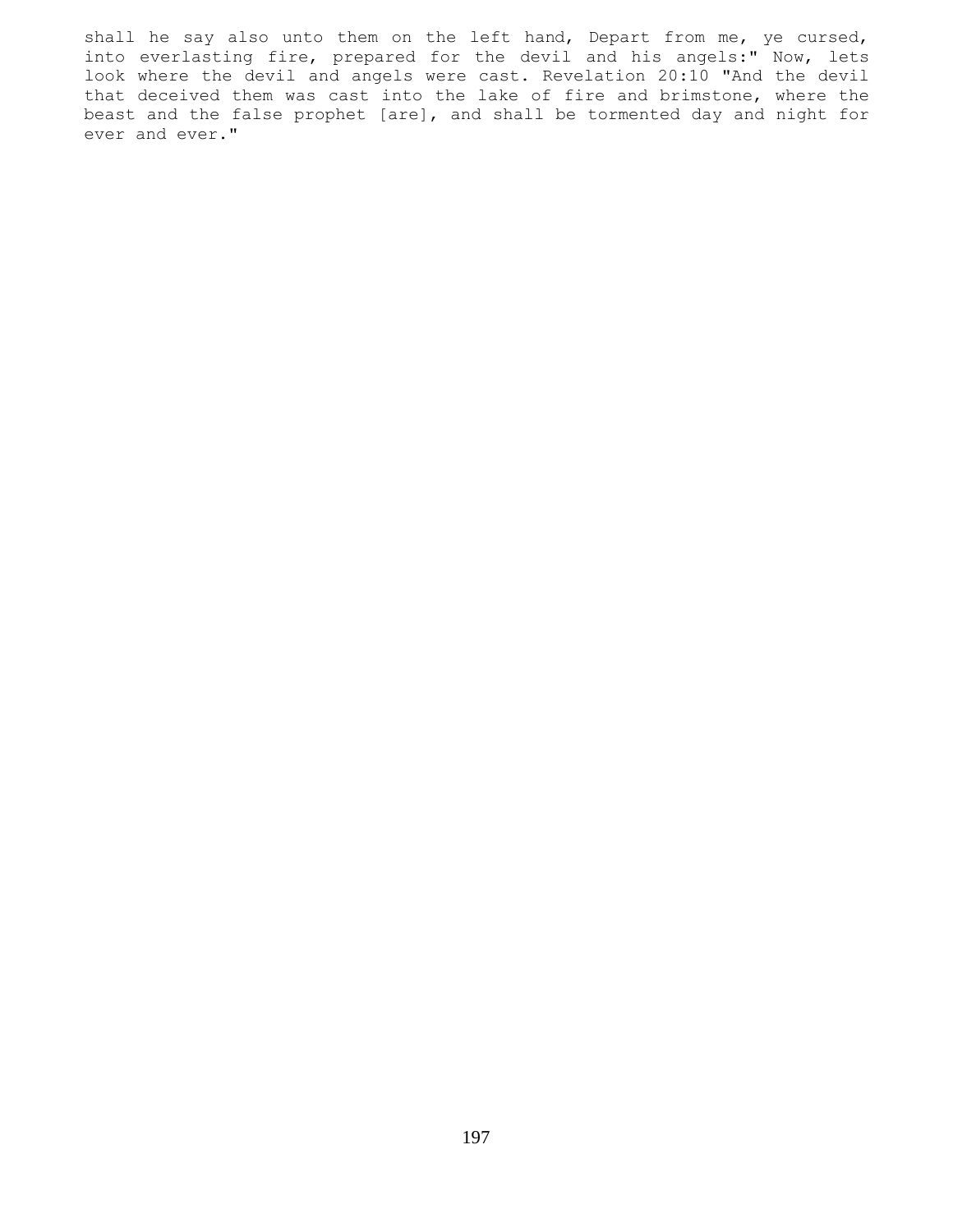shall he say also unto them on the left hand, Depart from me, ye cursed, into everlasting fire, prepared for the devil and his angels:" Now, lets look where the devil and angels were cast. Revelation 20:10 "And the devil that deceived them was cast into the lake of fire and brimstone, where the beast and the false prophet [are], and shall be tormented day and night for ever and ever."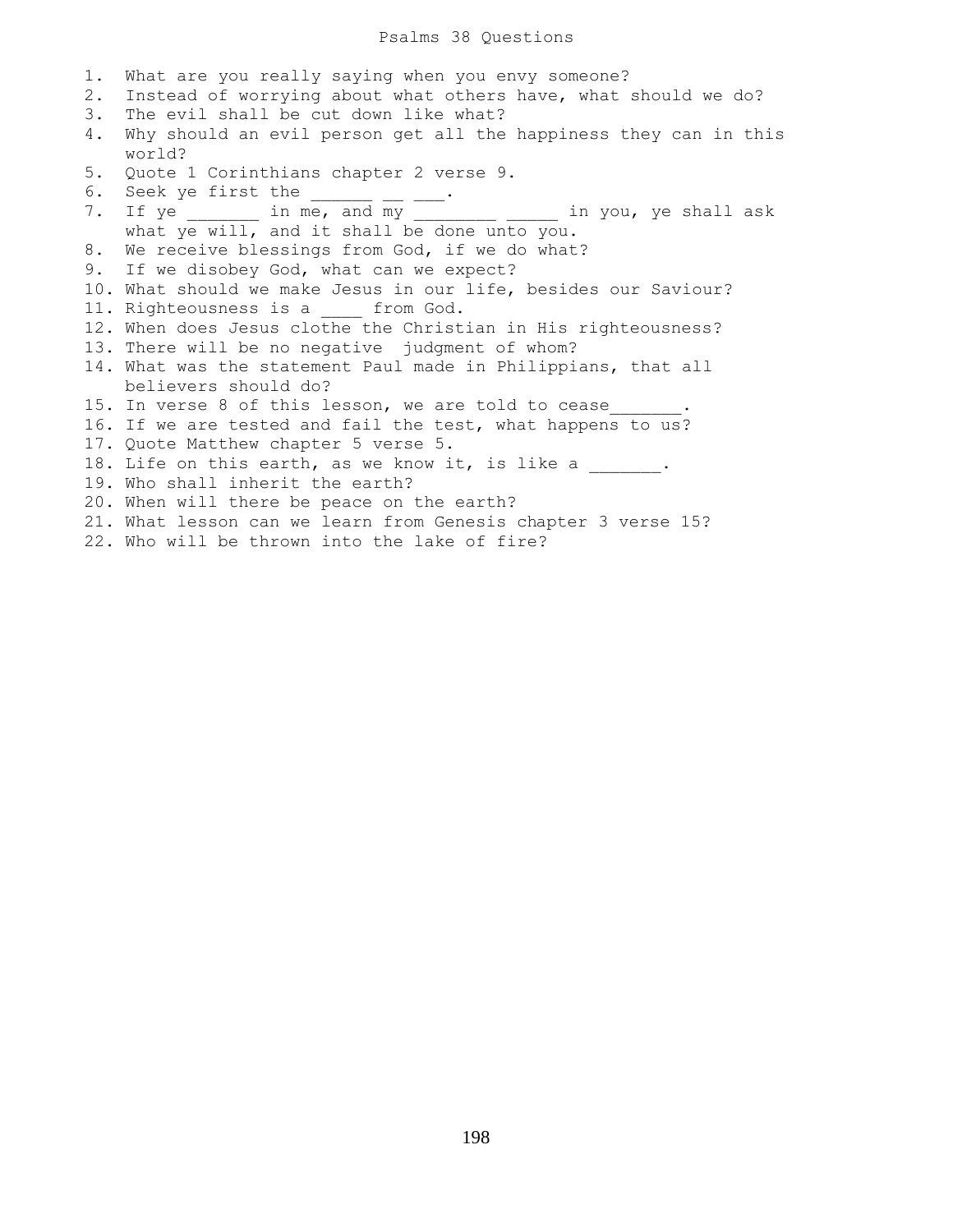| 1.<br>2.<br>3.<br>4. | What are you really saying when you envy someone?<br>Instead of worrying about what others have, what should we do?<br>The evil shall be cut down like what?<br>Why should an evil person get all the happiness they can in this |
|----------------------|----------------------------------------------------------------------------------------------------------------------------------------------------------------------------------------------------------------------------------|
|                      | world?                                                                                                                                                                                                                           |
| 5.                   | Quote 1 Corinthians chapter 2 verse 9.                                                                                                                                                                                           |
|                      | 6. Seek ye first the $\_\_$ $\_\_$                                                                                                                                                                                               |
|                      | 7. If ye ________ in me, and my __________ _____ in you, ye shall ask                                                                                                                                                            |
|                      | what ye will, and it shall be done unto you.                                                                                                                                                                                     |
| 8.                   | We receive blessings from God, if we do what?                                                                                                                                                                                    |
|                      | 9. If we disobey God, what can we expect?                                                                                                                                                                                        |
|                      | 10. What should we make Jesus in our life, besides our Saviour?                                                                                                                                                                  |
|                      | 11. Righteousness is a from God.                                                                                                                                                                                                 |
|                      | 12. When does Jesus clothe the Christian in His righteousness?                                                                                                                                                                   |
|                      | 13. There will be no negative judgment of whom?                                                                                                                                                                                  |
|                      | 14. What was the statement Paul made in Philippians, that all                                                                                                                                                                    |
|                      | believers should do?                                                                                                                                                                                                             |
|                      | 15. In verse 8 of this lesson, we are told to cease .                                                                                                                                                                            |
|                      | 16. If we are tested and fail the test, what happens to us?                                                                                                                                                                      |
|                      | 17. Quote Matthew chapter 5 verse 5.                                                                                                                                                                                             |
|                      | 18. Life on this earth, as we know it, is like a ______.                                                                                                                                                                         |
|                      | 19. Who shall inherit the earth?                                                                                                                                                                                                 |
|                      | 20. When will there be peace on the earth?                                                                                                                                                                                       |
|                      | 21. What lesson can we learn from Genesis chapter 3 verse 15?                                                                                                                                                                    |
|                      | 22. Who will be thrown into the lake of fire?                                                                                                                                                                                    |
|                      |                                                                                                                                                                                                                                  |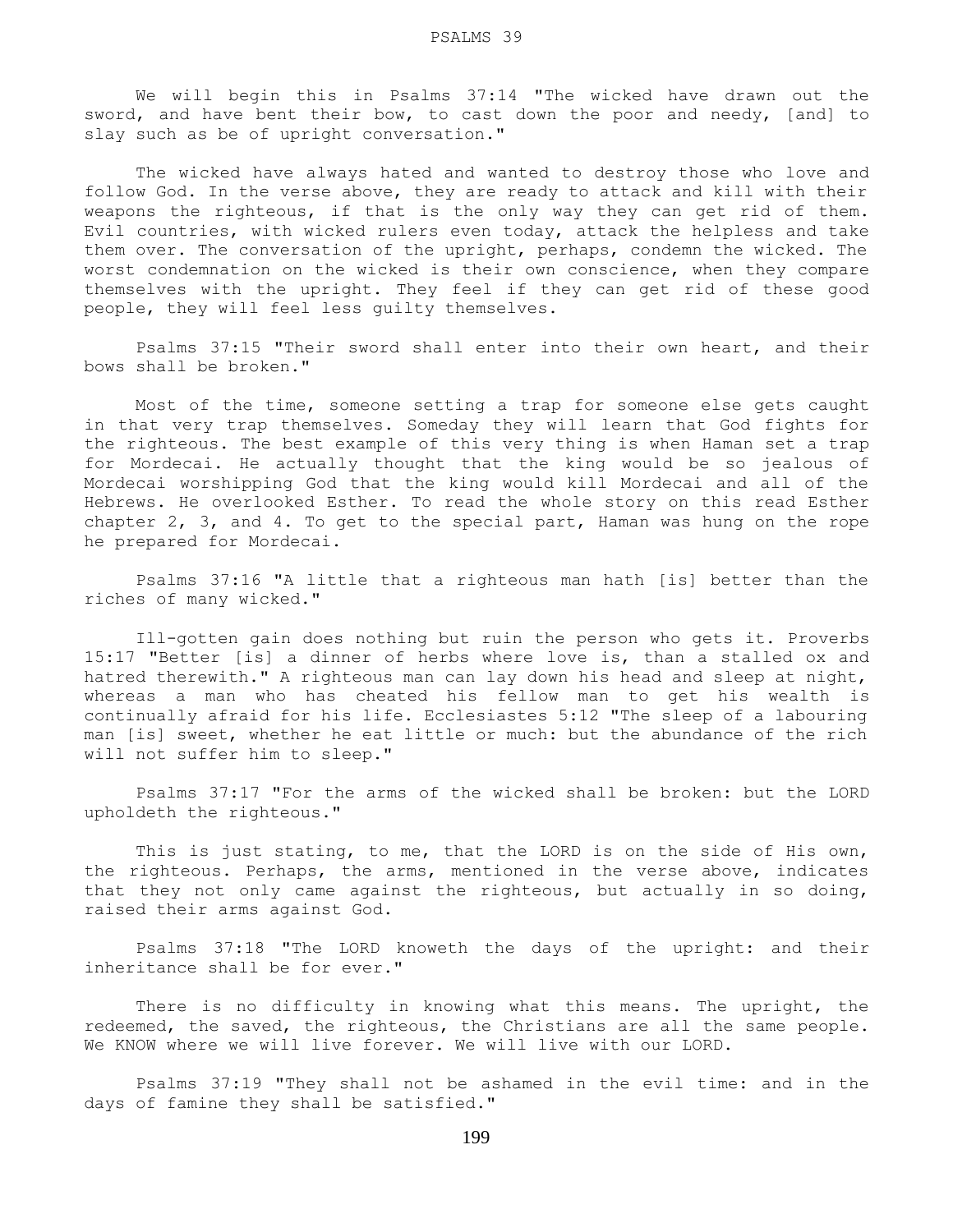We will begin this in Psalms 37:14 "The wicked have drawn out the sword, and have bent their bow, to cast down the poor and needy, [and] to slay such as be of upright conversation."

 The wicked have always hated and wanted to destroy those who love and follow God. In the verse above, they are ready to attack and kill with their weapons the righteous, if that is the only way they can get rid of them. Evil countries, with wicked rulers even today, attack the helpless and take them over. The conversation of the upright, perhaps, condemn the wicked. The worst condemnation on the wicked is their own conscience, when they compare themselves with the upright. They feel if they can get rid of these good people, they will feel less guilty themselves.

 Psalms 37:15 "Their sword shall enter into their own heart, and their bows shall be broken."

 Most of the time, someone setting a trap for someone else gets caught in that very trap themselves. Someday they will learn that God fights for the righteous. The best example of this very thing is when Haman set a trap for Mordecai. He actually thought that the king would be so jealous of Mordecai worshipping God that the king would kill Mordecai and all of the Hebrews. He overlooked Esther. To read the whole story on this read Esther chapter 2, 3, and 4. To get to the special part, Haman was hung on the rope he prepared for Mordecai.

 Psalms 37:16 "A little that a righteous man hath [is] better than the riches of many wicked."

 Ill-gotten gain does nothing but ruin the person who gets it. Proverbs 15:17 "Better [is] a dinner of herbs where love is, than a stalled ox and hatred therewith." A righteous man can lay down his head and sleep at night, whereas a man who has cheated his fellow man to get his wealth is continually afraid for his life. Ecclesiastes 5:12 "The sleep of a labouring man [is] sweet, whether he eat little or much: but the abundance of the rich will not suffer him to sleep."

 Psalms 37:17 "For the arms of the wicked shall be broken: but the LORD upholdeth the righteous."

This is just stating, to me, that the LORD is on the side of His own, the righteous. Perhaps, the arms, mentioned in the verse above, indicates that they not only came against the righteous, but actually in so doing, raised their arms against God.

 Psalms 37:18 "The LORD knoweth the days of the upright: and their inheritance shall be for ever."

 There is no difficulty in knowing what this means. The upright, the redeemed, the saved, the righteous, the Christians are all the same people. We KNOW where we will live forever. We will live with our LORD.

 Psalms 37:19 "They shall not be ashamed in the evil time: and in the days of famine they shall be satisfied."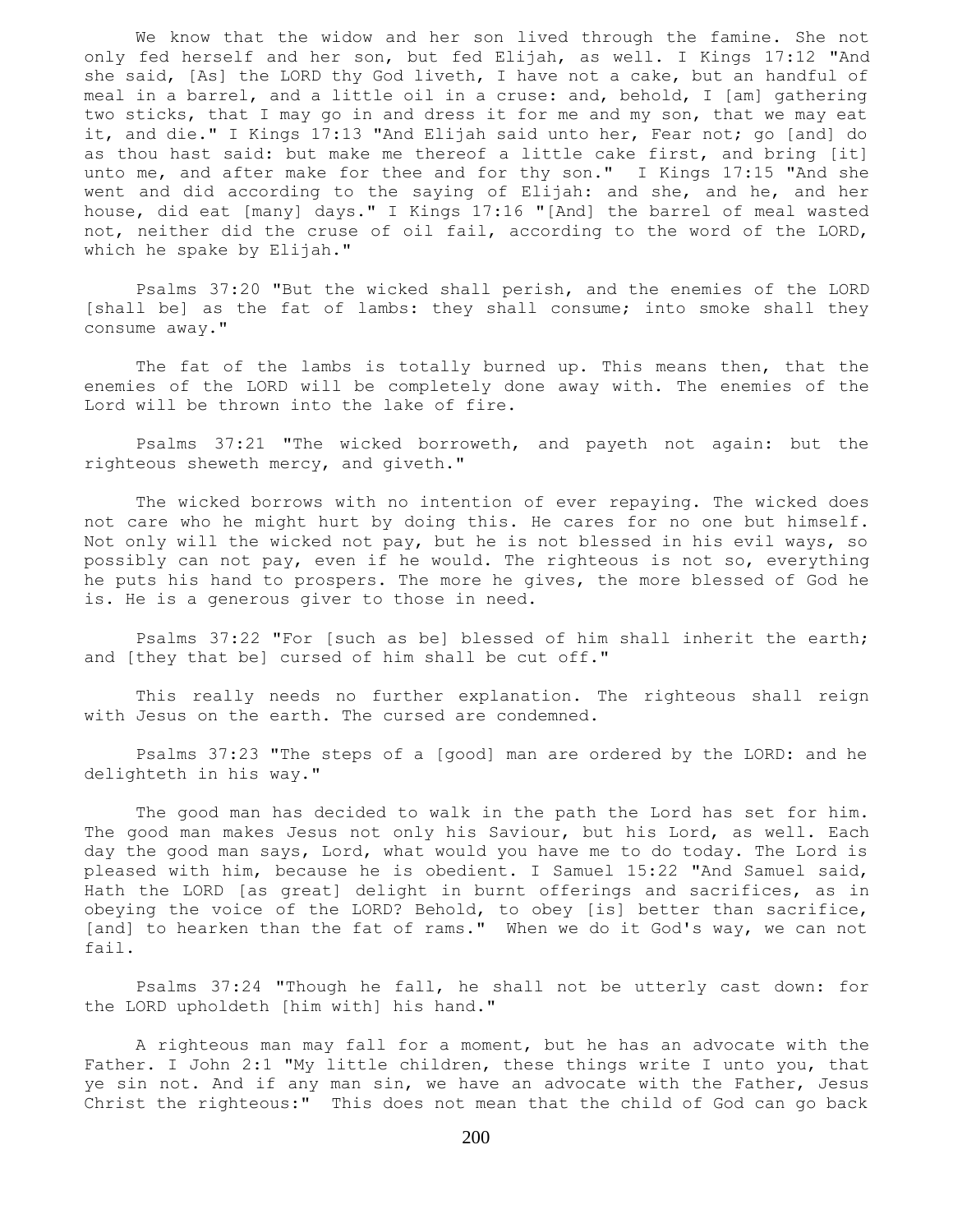We know that the widow and her son lived through the famine. She not only fed herself and her son, but fed Elijah, as well. I Kings 17:12 "And she said, [As] the LORD thy God liveth, I have not a cake, but an handful of meal in a barrel, and a little oil in a cruse: and, behold, I [am] gathering two sticks, that I may go in and dress it for me and my son, that we may eat it, and die." I Kings 17:13 "And Elijah said unto her, Fear not; go [and] do as thou hast said: but make me thereof a little cake first, and bring [it] unto me, and after make for thee and for thy son." I Kings 17:15 "And she went and did according to the saying of Elijah: and she, and he, and her house, did eat [many] days." I Kings 17:16 "[And] the barrel of meal wasted not, neither did the cruse of oil fail, according to the word of the LORD, which he spake by Elijah."

 Psalms 37:20 "But the wicked shall perish, and the enemies of the LORD [shall be] as the fat of lambs: they shall consume; into smoke shall they consume away."

 The fat of the lambs is totally burned up. This means then, that the enemies of the LORD will be completely done away with. The enemies of the Lord will be thrown into the lake of fire.

 Psalms 37:21 "The wicked borroweth, and payeth not again: but the righteous sheweth mercy, and giveth."

 The wicked borrows with no intention of ever repaying. The wicked does not care who he might hurt by doing this. He cares for no one but himself. Not only will the wicked not pay, but he is not blessed in his evil ways, so possibly can not pay, even if he would. The righteous is not so, everything he puts his hand to prospers. The more he gives, the more blessed of God he is. He is a generous giver to those in need.

 Psalms 37:22 "For [such as be] blessed of him shall inherit the earth; and [they that be] cursed of him shall be cut off."

 This really needs no further explanation. The righteous shall reign with Jesus on the earth. The cursed are condemned.

 Psalms 37:23 "The steps of a [good] man are ordered by the LORD: and he delighteth in his way."

 The good man has decided to walk in the path the Lord has set for him. The good man makes Jesus not only his Saviour, but his Lord, as well. Each day the good man says, Lord, what would you have me to do today. The Lord is pleased with him, because he is obedient. I Samuel 15:22 "And Samuel said, Hath the LORD [as great] delight in burnt offerings and sacrifices, as in obeying the voice of the LORD? Behold, to obey [is] better than sacrifice, [and] to hearken than the fat of rams." When we do it God's way, we can not fail.

 Psalms 37:24 "Though he fall, he shall not be utterly cast down: for the LORD upholdeth [him with] his hand."

 A righteous man may fall for a moment, but he has an advocate with the Father. I John 2:1 "My little children, these things write I unto you, that ye sin not. And if any man sin, we have an advocate with the Father, Jesus Christ the righteous:" This does not mean that the child of God can go back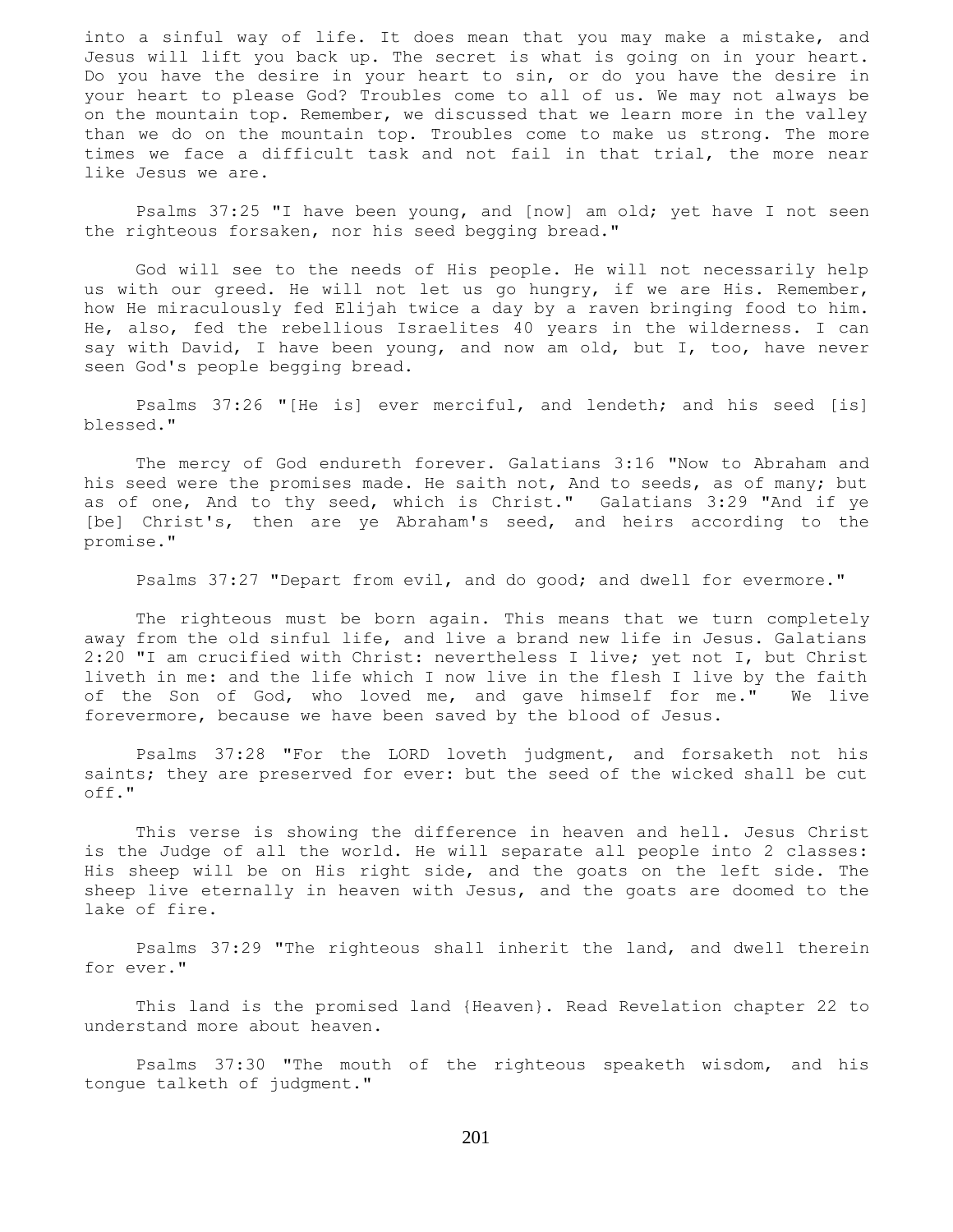into a sinful way of life. It does mean that you may make a mistake, and Jesus will lift you back up. The secret is what is going on in your heart. Do you have the desire in your heart to sin, or do you have the desire in your heart to please God? Troubles come to all of us. We may not always be on the mountain top. Remember, we discussed that we learn more in the valley than we do on the mountain top. Troubles come to make us strong. The more times we face a difficult task and not fail in that trial, the more near like Jesus we are.

 Psalms 37:25 "I have been young, and [now] am old; yet have I not seen the righteous forsaken, nor his seed begging bread."

 God will see to the needs of His people. He will not necessarily help us with our greed. He will not let us go hungry, if we are His. Remember, how He miraculously fed Elijah twice a day by a raven bringing food to him. He, also, fed the rebellious Israelites 40 years in the wilderness. I can say with David, I have been young, and now am old, but I, too, have never seen God's people begging bread.

 Psalms 37:26 "[He is] ever merciful, and lendeth; and his seed [is] blessed."

 The mercy of God endureth forever. Galatians 3:16 "Now to Abraham and his seed were the promises made. He saith not, And to seeds, as of many; but as of one, And to thy seed, which is Christ." Galatians 3:29 "And if ye [be] Christ's, then are ye Abraham's seed, and heirs according to the promise."

Psalms 37:27 "Depart from evil, and do good; and dwell for evermore."

 The righteous must be born again. This means that we turn completely away from the old sinful life, and live a brand new life in Jesus. Galatians 2:20 "I am crucified with Christ: nevertheless I live; yet not I, but Christ liveth in me: and the life which I now live in the flesh I live by the faith of the Son of God, who loved me, and gave himself for me." We live forevermore, because we have been saved by the blood of Jesus.

 Psalms 37:28 "For the LORD loveth judgment, and forsaketh not his saints; they are preserved for ever: but the seed of the wicked shall be cut off."

 This verse is showing the difference in heaven and hell. Jesus Christ is the Judge of all the world. He will separate all people into 2 classes: His sheep will be on His right side, and the goats on the left side. The sheep live eternally in heaven with Jesus, and the goats are doomed to the lake of fire.

 Psalms 37:29 "The righteous shall inherit the land, and dwell therein for ever."

 This land is the promised land {Heaven}. Read Revelation chapter 22 to understand more about heaven.

 Psalms 37:30 "The mouth of the righteous speaketh wisdom, and his tongue talketh of judgment."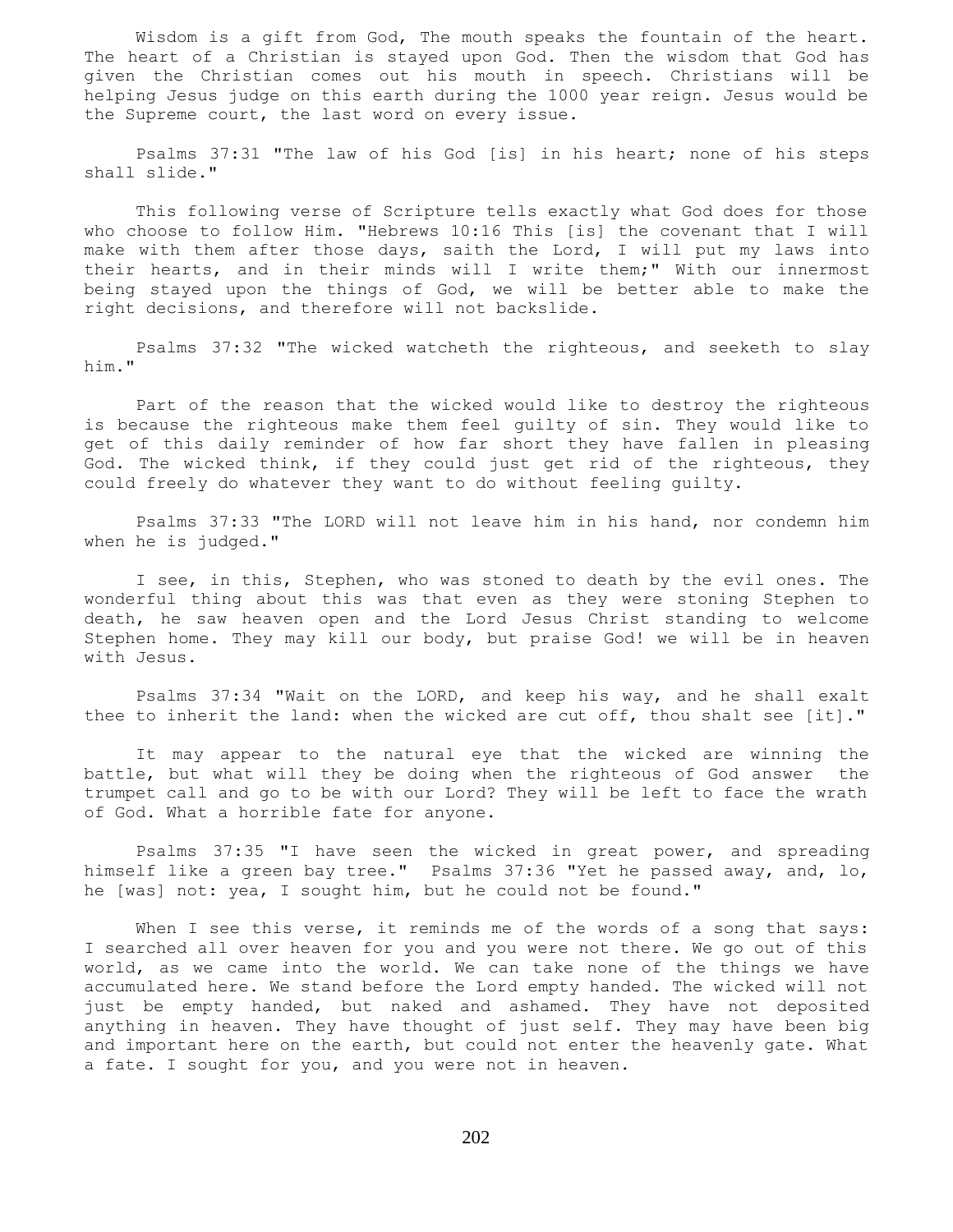Wisdom is a gift from God, The mouth speaks the fountain of the heart. The heart of a Christian is stayed upon God. Then the wisdom that God has given the Christian comes out his mouth in speech. Christians will be helping Jesus judge on this earth during the 1000 year reign. Jesus would be the Supreme court, the last word on every issue.

 Psalms 37:31 "The law of his God [is] in his heart; none of his steps shall slide."

 This following verse of Scripture tells exactly what God does for those who choose to follow Him. "Hebrews 10:16 This [is] the covenant that I will make with them after those days, saith the Lord, I will put my laws into their hearts, and in their minds will I write them;" With our innermost being stayed upon the things of God, we will be better able to make the right decisions, and therefore will not backslide.

 Psalms 37:32 "The wicked watcheth the righteous, and seeketh to slay him."

 Part of the reason that the wicked would like to destroy the righteous is because the righteous make them feel guilty of sin. They would like to get of this daily reminder of how far short they have fallen in pleasing God. The wicked think, if they could just get rid of the righteous, they could freely do whatever they want to do without feeling guilty.

 Psalms 37:33 "The LORD will not leave him in his hand, nor condemn him when he is judged."

 I see, in this, Stephen, who was stoned to death by the evil ones. The wonderful thing about this was that even as they were stoning Stephen to death, he saw heaven open and the Lord Jesus Christ standing to welcome Stephen home. They may kill our body, but praise God! we will be in heaven with Jesus.

 Psalms 37:34 "Wait on the LORD, and keep his way, and he shall exalt thee to inherit the land: when the wicked are cut off, thou shalt see [it]."

 It may appear to the natural eye that the wicked are winning the battle, but what will they be doing when the righteous of God answer the trumpet call and go to be with our Lord? They will be left to face the wrath of God. What a horrible fate for anyone.

 Psalms 37:35 "I have seen the wicked in great power, and spreading himself like a green bay tree." Psalms 37:36 "Yet he passed away, and, lo, he [was] not: yea, I sought him, but he could not be found."

When I see this verse, it reminds me of the words of a song that says: I searched all over heaven for you and you were not there. We go out of this world, as we came into the world. We can take none of the things we have accumulated here. We stand before the Lord empty handed. The wicked will not just be empty handed, but naked and ashamed. They have not deposited anything in heaven. They have thought of just self. They may have been big and important here on the earth, but could not enter the heavenly gate. What a fate. I sought for you, and you were not in heaven.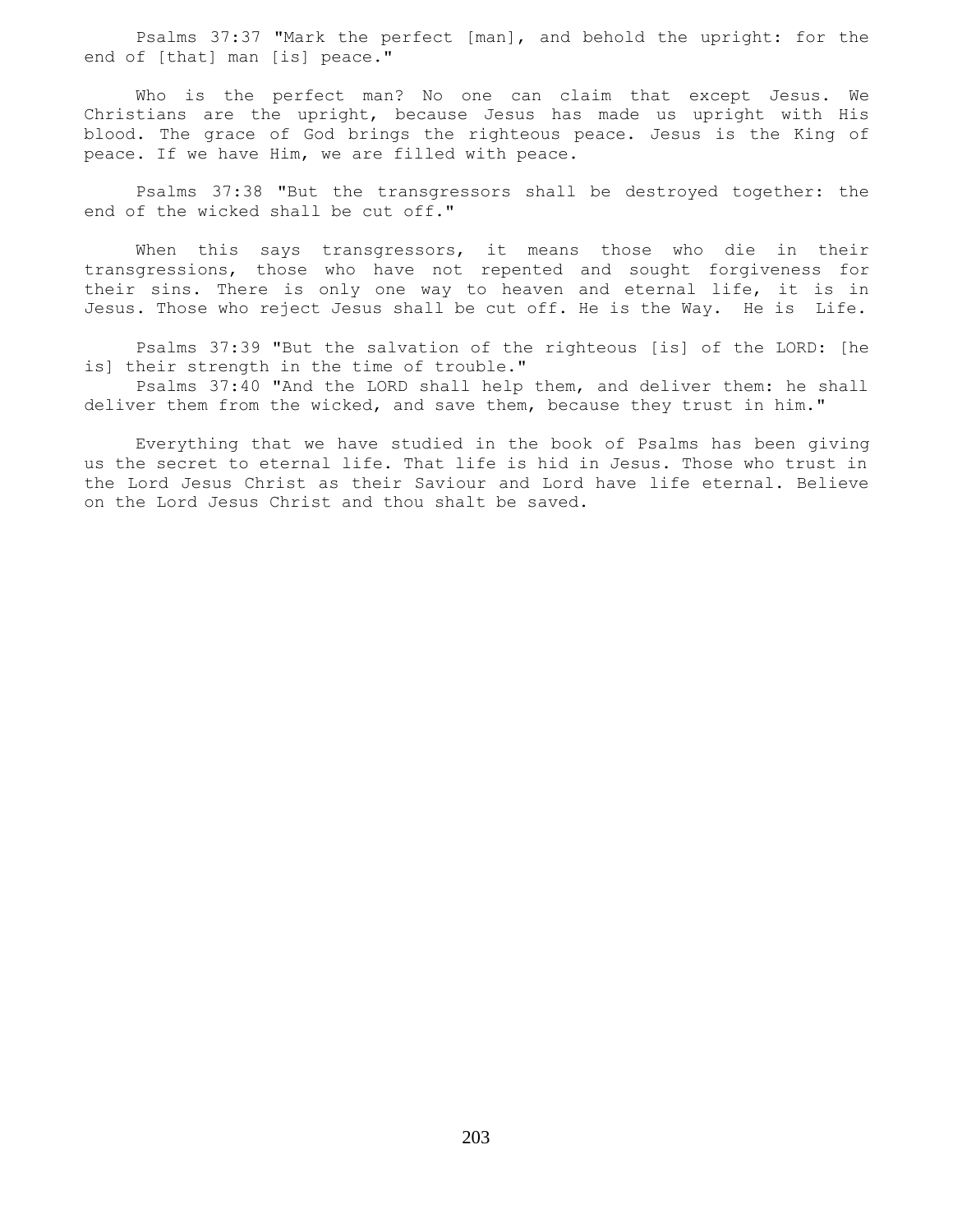Psalms 37:37 "Mark the perfect [man], and behold the upright: for the end of [that] man [is] peace."

 Who is the perfect man? No one can claim that except Jesus. We Christians are the upright, because Jesus has made us upright with His blood. The grace of God brings the righteous peace. Jesus is the King of peace. If we have Him, we are filled with peace.

 Psalms 37:38 "But the transgressors shall be destroyed together: the end of the wicked shall be cut off."

When this says transgressors, it means those who die in their transgressions, those who have not repented and sought forgiveness for their sins. There is only one way to heaven and eternal life, it is in Jesus. Those who reject Jesus shall be cut off. He is the Way. He is Life.

 Psalms 37:39 "But the salvation of the righteous [is] of the LORD: [he is] their strength in the time of trouble."

 Psalms 37:40 "And the LORD shall help them, and deliver them: he shall deliver them from the wicked, and save them, because they trust in him."

 Everything that we have studied in the book of Psalms has been giving us the secret to eternal life. That life is hid in Jesus. Those who trust in the Lord Jesus Christ as their Saviour and Lord have life eternal. Believe on the Lord Jesus Christ and thou shalt be saved.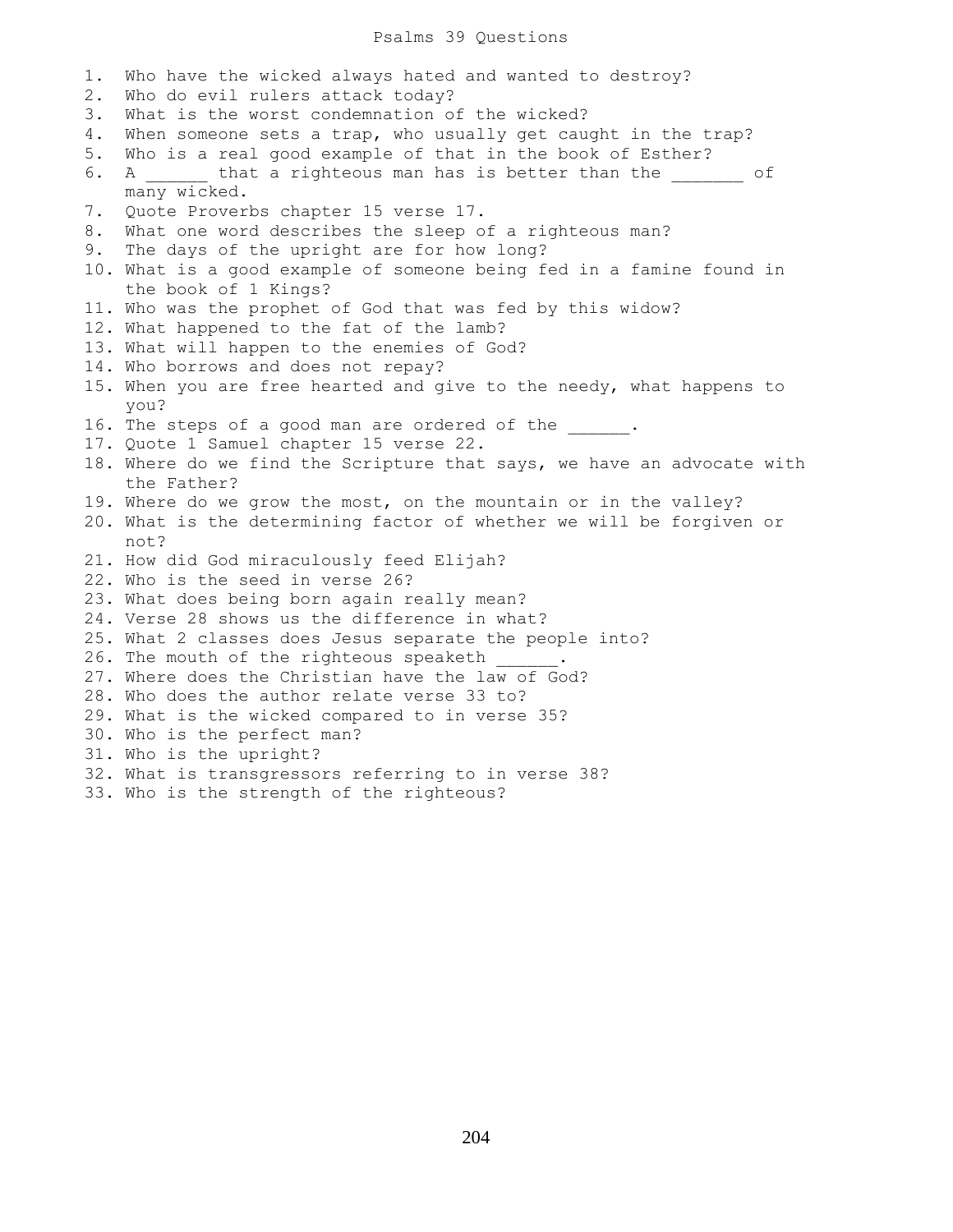#### Psalms 39 Questions

1. Who have the wicked always hated and wanted to destroy? 2. Who do evil rulers attack today? 3. What is the worst condemnation of the wicked? 4. When someone sets a trap, who usually get caught in the trap? 5. Who is a real good example of that in the book of Esther? 6. A \_\_\_\_\_\_ that a righteous man has is better than the  $\qquad \qquad$  of many wicked. 7. Quote Proverbs chapter 15 verse 17. 8. What one word describes the sleep of a righteous man? 9. The days of the upright are for how long? 10. What is a good example of someone being fed in a famine found in the book of 1 Kings? 11. Who was the prophet of God that was fed by this widow? 12. What happened to the fat of the lamb? 13. What will happen to the enemies of God? 14. Who borrows and does not repay? 15. When you are free hearted and give to the needy, what happens to you? 16. The steps of a good man are ordered of the  $\cdots$ 17. Quote 1 Samuel chapter 15 verse 22. 18. Where do we find the Scripture that says, we have an advocate with the Father? 19. Where do we grow the most, on the mountain or in the valley? 20. What is the determining factor of whether we will be forgiven or not? 21. How did God miraculously feed Elijah? 22. Who is the seed in verse 26? 23. What does being born again really mean? 24. Verse 28 shows us the difference in what? 25. What 2 classes does Jesus separate the people into? 26. The mouth of the righteous speaketh 27. Where does the Christian have the law of God? 28. Who does the author relate verse 33 to? 29. What is the wicked compared to in verse 35? 30. Who is the perfect man? 31. Who is the upright? 32. What is transgressors referring to in verse 38? 33. Who is the strength of the righteous?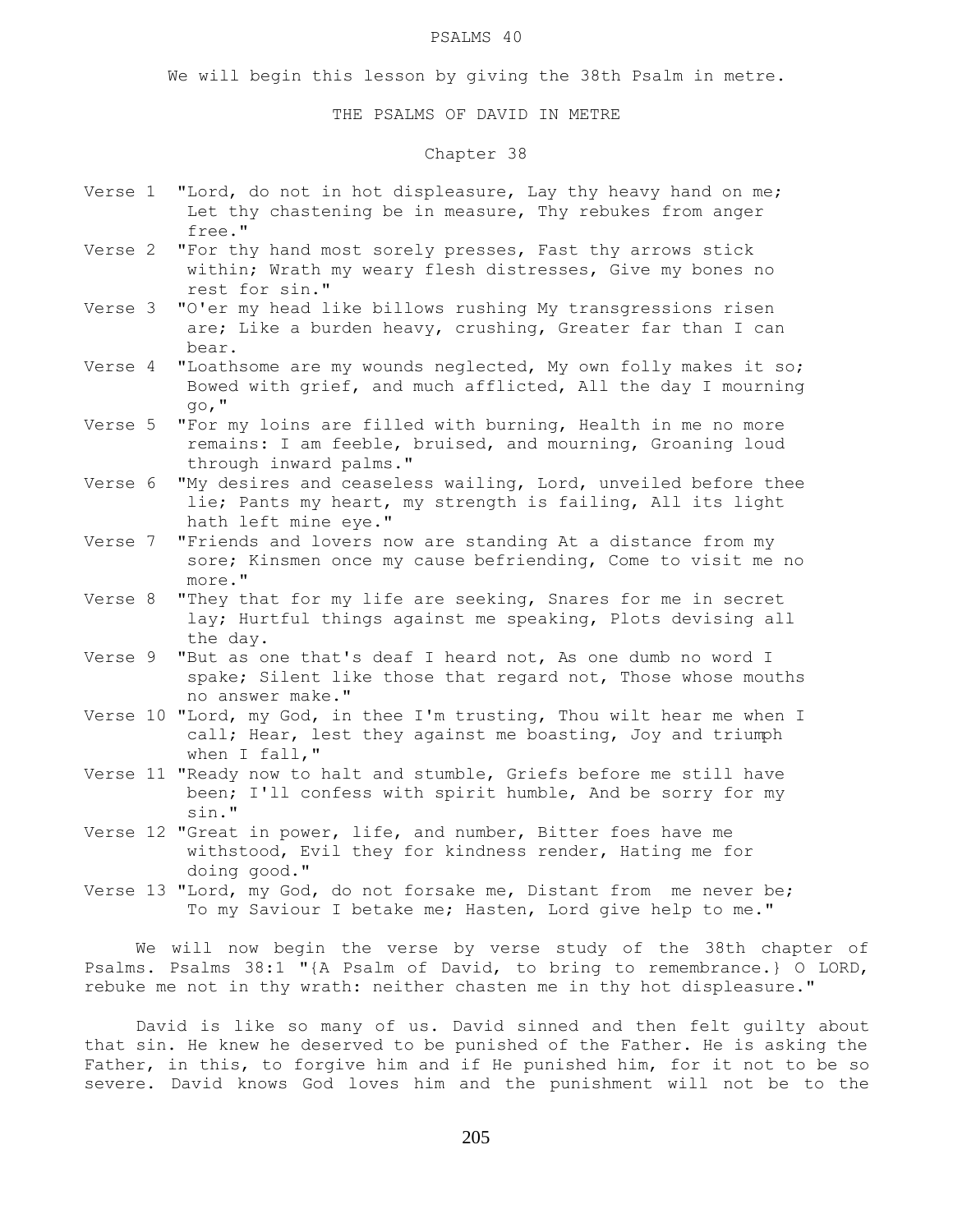#### PSALMS 40

We will begin this lesson by giving the 38th Psalm in metre.

### THE PSALMS OF DAVID IN METRE

# Chapter 38

- Verse 1 "Lord, do not in hot displeasure, Lay thy heavy hand on me; Let thy chastening be in measure, Thy rebukes from anger free."
- Verse 2 "For thy hand most sorely presses, Fast thy arrows stick within; Wrath my weary flesh distresses, Give my bones no rest for sin."
- Verse 3 "O'er my head like billows rushing My transgressions risen are; Like a burden heavy, crushing, Greater far than I can bear.
- Verse 4 "Loathsome are my wounds neglected, My own folly makes it so; Bowed with grief, and much afflicted, All the day I mourning go,"
- Verse 5 "For my loins are filled with burning, Health in me no more remains: I am feeble, bruised, and mourning, Groaning loud through inward palms."
- Verse 6 "My desires and ceaseless wailing, Lord, unveiled before thee lie; Pants my heart, my strength is failing, All its light hath left mine eye."
- Verse 7 "Friends and lovers now are standing At a distance from my sore; Kinsmen once my cause befriending, Come to visit me no more."
- Verse 8 "They that for my life are seeking, Snares for me in secret lay; Hurtful things against me speaking, Plots devising all the day.
- Verse 9 "But as one that's deaf I heard not, As one dumb no word I spake; Silent like those that regard not, Those whose mouths no answer make."
- Verse 10 "Lord, my God, in thee I'm trusting, Thou wilt hear me when I call; Hear, lest they against me boasting, Joy and triumph when I fall,"
- Verse 11 "Ready now to halt and stumble, Griefs before me still have been; I'll confess with spirit humble, And be sorry for my sin."
- Verse 12 "Great in power, life, and number, Bitter foes have me withstood, Evil they for kindness render, Hating me for doing good."
- Verse 13 "Lord, my God, do not forsake me, Distant from me never be; To my Saviour I betake me; Hasten, Lord give help to me."

 We will now begin the verse by verse study of the 38th chapter of Psalms. Psalms 38:1 "{A Psalm of David, to bring to remembrance.} O LORD, rebuke me not in thy wrath: neither chasten me in thy hot displeasure."

 David is like so many of us. David sinned and then felt guilty about that sin. He knew he deserved to be punished of the Father. He is asking the Father, in this, to forgive him and if He punished him, for it not to be so severe. David knows God loves him and the punishment will not be to the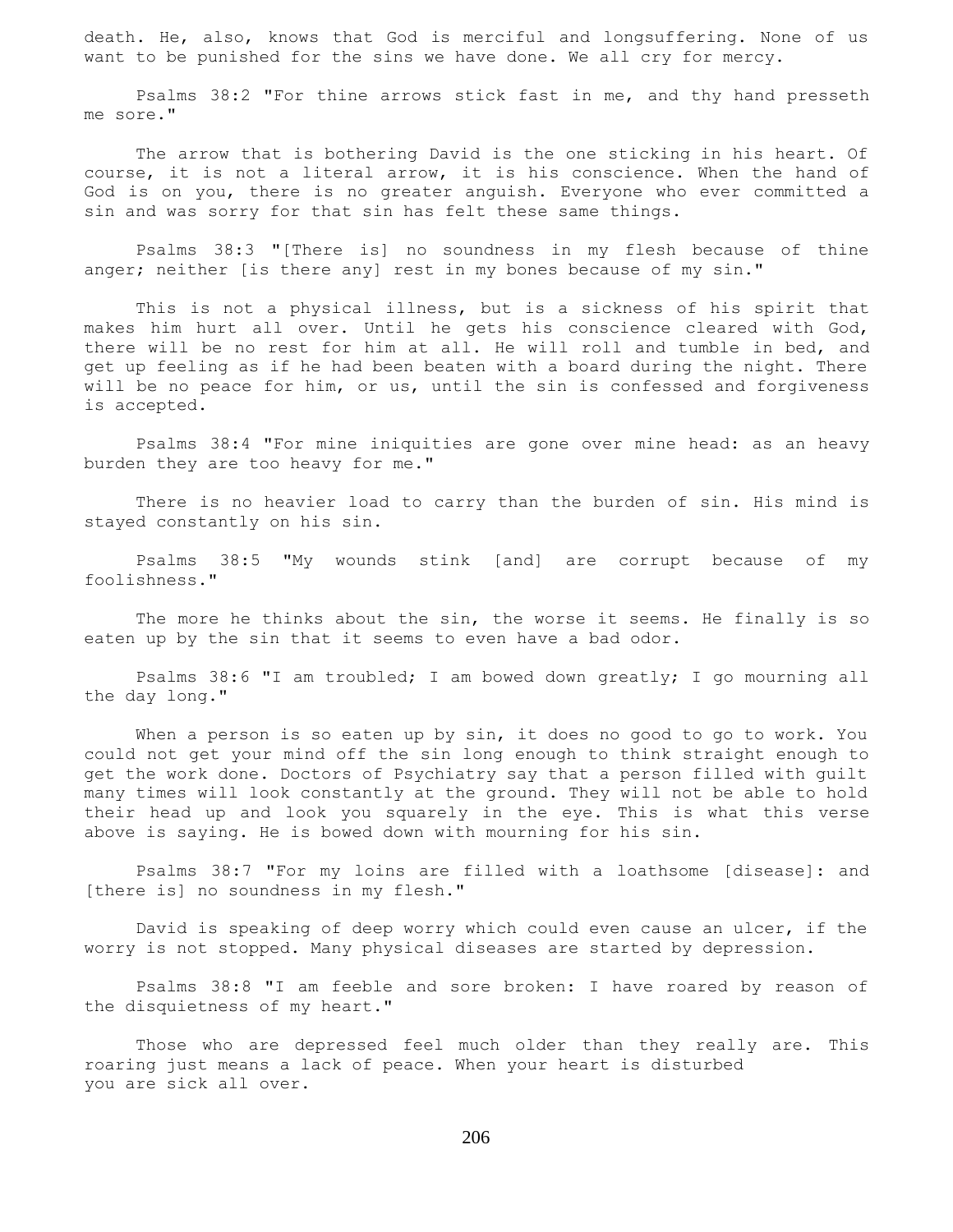death. He, also, knows that God is merciful and longsuffering. None of us want to be punished for the sins we have done. We all cry for mercy.

 Psalms 38:2 "For thine arrows stick fast in me, and thy hand presseth me sore."

 The arrow that is bothering David is the one sticking in his heart. Of course, it is not a literal arrow, it is his conscience. When the hand of God is on you, there is no greater anguish. Everyone who ever committed a sin and was sorry for that sin has felt these same things.

 Psalms 38:3 "[There is] no soundness in my flesh because of thine anger; neither [is there any] rest in my bones because of my sin."

 This is not a physical illness, but is a sickness of his spirit that makes him hurt all over. Until he gets his conscience cleared with God, there will be no rest for him at all. He will roll and tumble in bed, and get up feeling as if he had been beaten with a board during the night. There will be no peace for him, or us, until the sin is confessed and forgiveness is accepted.

 Psalms 38:4 "For mine iniquities are gone over mine head: as an heavy burden they are too heavy for me."

 There is no heavier load to carry than the burden of sin. His mind is stayed constantly on his sin.

 Psalms 38:5 "My wounds stink [and] are corrupt because of my foolishness."

 The more he thinks about the sin, the worse it seems. He finally is so eaten up by the sin that it seems to even have a bad odor.

 Psalms 38:6 "I am troubled; I am bowed down greatly; I go mourning all the day long."

When a person is so eaten up by sin, it does no good to go to work. You could not get your mind off the sin long enough to think straight enough to get the work done. Doctors of Psychiatry say that a person filled with guilt many times will look constantly at the ground. They will not be able to hold their head up and look you squarely in the eye. This is what this verse above is saying. He is bowed down with mourning for his sin.

 Psalms 38:7 "For my loins are filled with a loathsome [disease]: and [there is] no soundness in my flesh."

 David is speaking of deep worry which could even cause an ulcer, if the worry is not stopped. Many physical diseases are started by depression.

 Psalms 38:8 "I am feeble and sore broken: I have roared by reason of the disquietness of my heart."

 Those who are depressed feel much older than they really are. This roaring just means a lack of peace. When your heart is disturbed you are sick all over.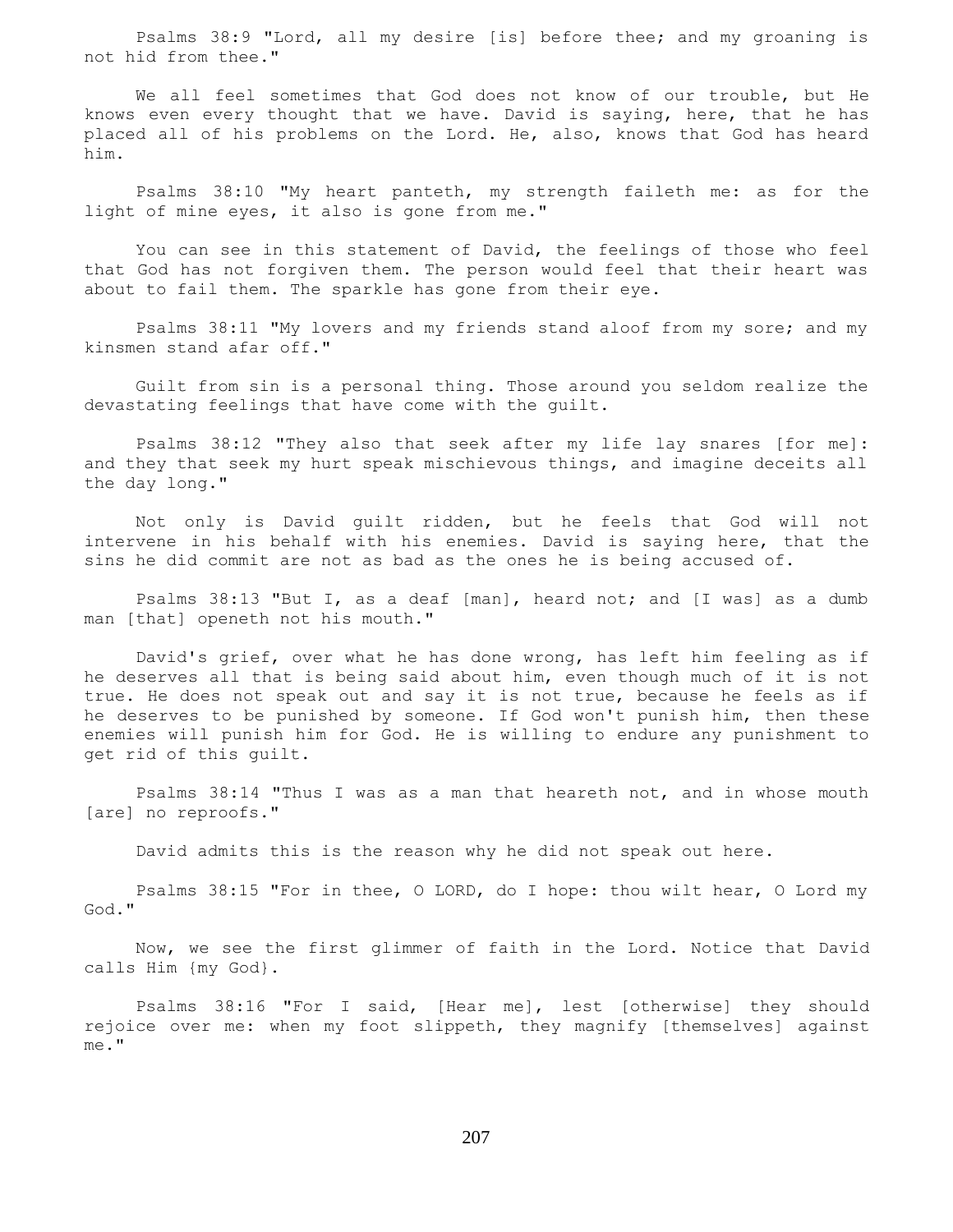Psalms 38:9 "Lord, all my desire [is] before thee; and my groaning is not hid from thee."

 We all feel sometimes that God does not know of our trouble, but He knows even every thought that we have. David is saying, here, that he has placed all of his problems on the Lord. He, also, knows that God has heard him.

 Psalms 38:10 "My heart panteth, my strength faileth me: as for the light of mine eyes, it also is gone from me."

 You can see in this statement of David, the feelings of those who feel that God has not forgiven them. The person would feel that their heart was about to fail them. The sparkle has gone from their eye.

 Psalms 38:11 "My lovers and my friends stand aloof from my sore; and my kinsmen stand afar off."

 Guilt from sin is a personal thing. Those around you seldom realize the devastating feelings that have come with the guilt.

 Psalms 38:12 "They also that seek after my life lay snares [for me]: and they that seek my hurt speak mischievous things, and imagine deceits all the day long."

 Not only is David guilt ridden, but he feels that God will not intervene in his behalf with his enemies. David is saying here, that the sins he did commit are not as bad as the ones he is being accused of.

 Psalms 38:13 "But I, as a deaf [man], heard not; and [I was] as a dumb man [that] openeth not his mouth."

 David's grief, over what he has done wrong, has left him feeling as if he deserves all that is being said about him, even though much of it is not true. He does not speak out and say it is not true, because he feels as if he deserves to be punished by someone. If God won't punish him, then these enemies will punish him for God. He is willing to endure any punishment to get rid of this guilt.

 Psalms 38:14 "Thus I was as a man that heareth not, and in whose mouth [are] no reproofs."

David admits this is the reason why he did not speak out here.

 Psalms 38:15 "For in thee, O LORD, do I hope: thou wilt hear, O Lord my God."

 Now, we see the first glimmer of faith in the Lord. Notice that David calls Him {my God}.

 Psalms 38:16 "For I said, [Hear me], lest [otherwise] they should rejoice over me: when my foot slippeth, they magnify [themselves] against me."

207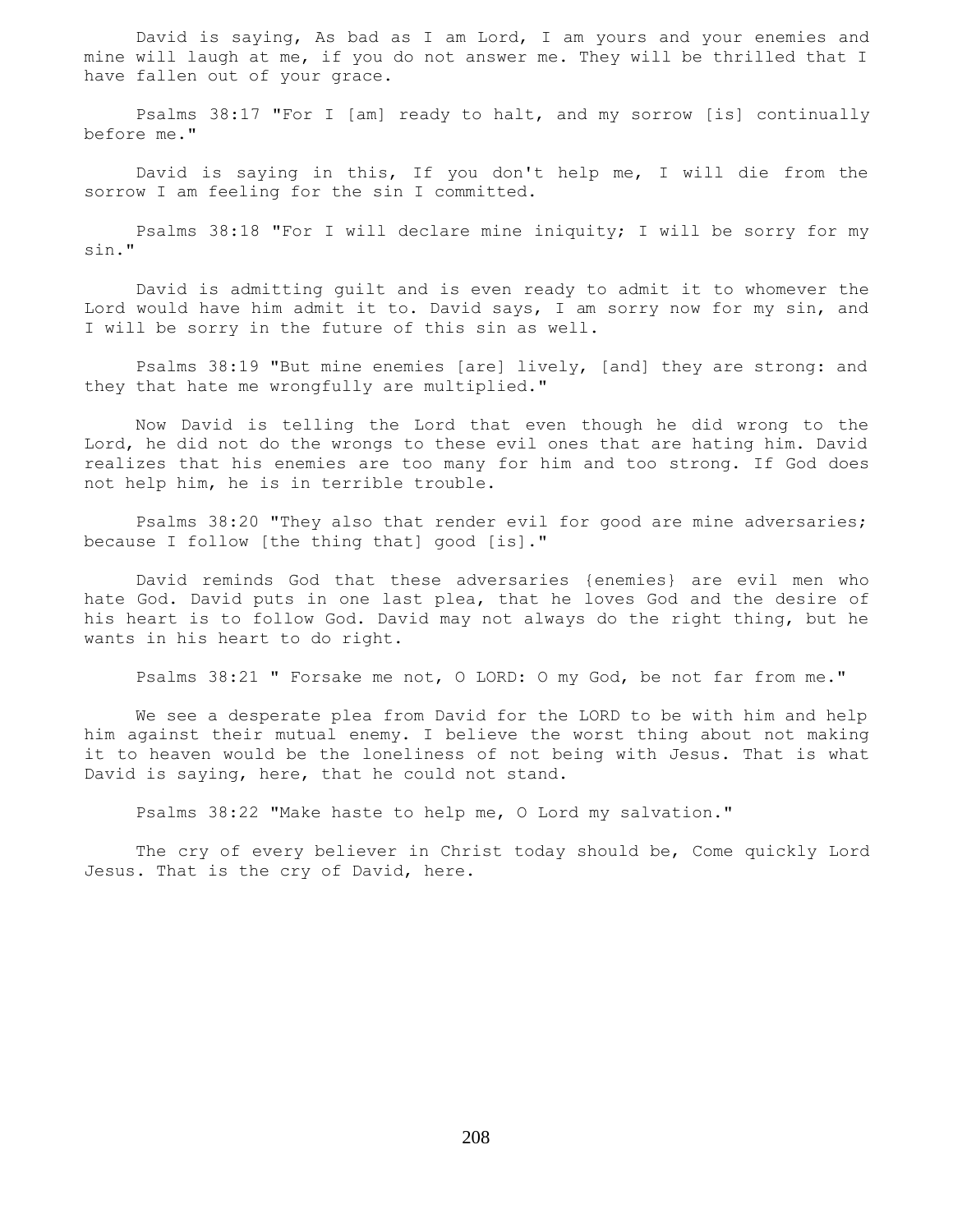David is saying, As bad as I am Lord, I am yours and your enemies and mine will laugh at me, if you do not answer me. They will be thrilled that I have fallen out of your grace.

 Psalms 38:17 "For I [am] ready to halt, and my sorrow [is] continually before me."

 David is saying in this, If you don't help me, I will die from the sorrow I am feeling for the sin I committed.

 Psalms 38:18 "For I will declare mine iniquity; I will be sorry for my sin."

 David is admitting guilt and is even ready to admit it to whomever the Lord would have him admit it to. David says, I am sorry now for my sin, and I will be sorry in the future of this sin as well.

 Psalms 38:19 "But mine enemies [are] lively, [and] they are strong: and they that hate me wrongfully are multiplied."

 Now David is telling the Lord that even though he did wrong to the Lord, he did not do the wrongs to these evil ones that are hating him. David realizes that his enemies are too many for him and too strong. If God does not help him, he is in terrible trouble.

 Psalms 38:20 "They also that render evil for good are mine adversaries; because I follow [the thing that] good [is]."

 David reminds God that these adversaries {enemies} are evil men who hate God. David puts in one last plea, that he loves God and the desire of his heart is to follow God. David may not always do the right thing, but he wants in his heart to do right.

Psalms 38:21 " Forsake me not, O LORD: O my God, be not far from me."

 We see a desperate plea from David for the LORD to be with him and help him against their mutual enemy. I believe the worst thing about not making it to heaven would be the loneliness of not being with Jesus. That is what David is saying, here, that he could not stand.

Psalms 38:22 "Make haste to help me, O Lord my salvation."

 The cry of every believer in Christ today should be, Come quickly Lord Jesus. That is the cry of David, here.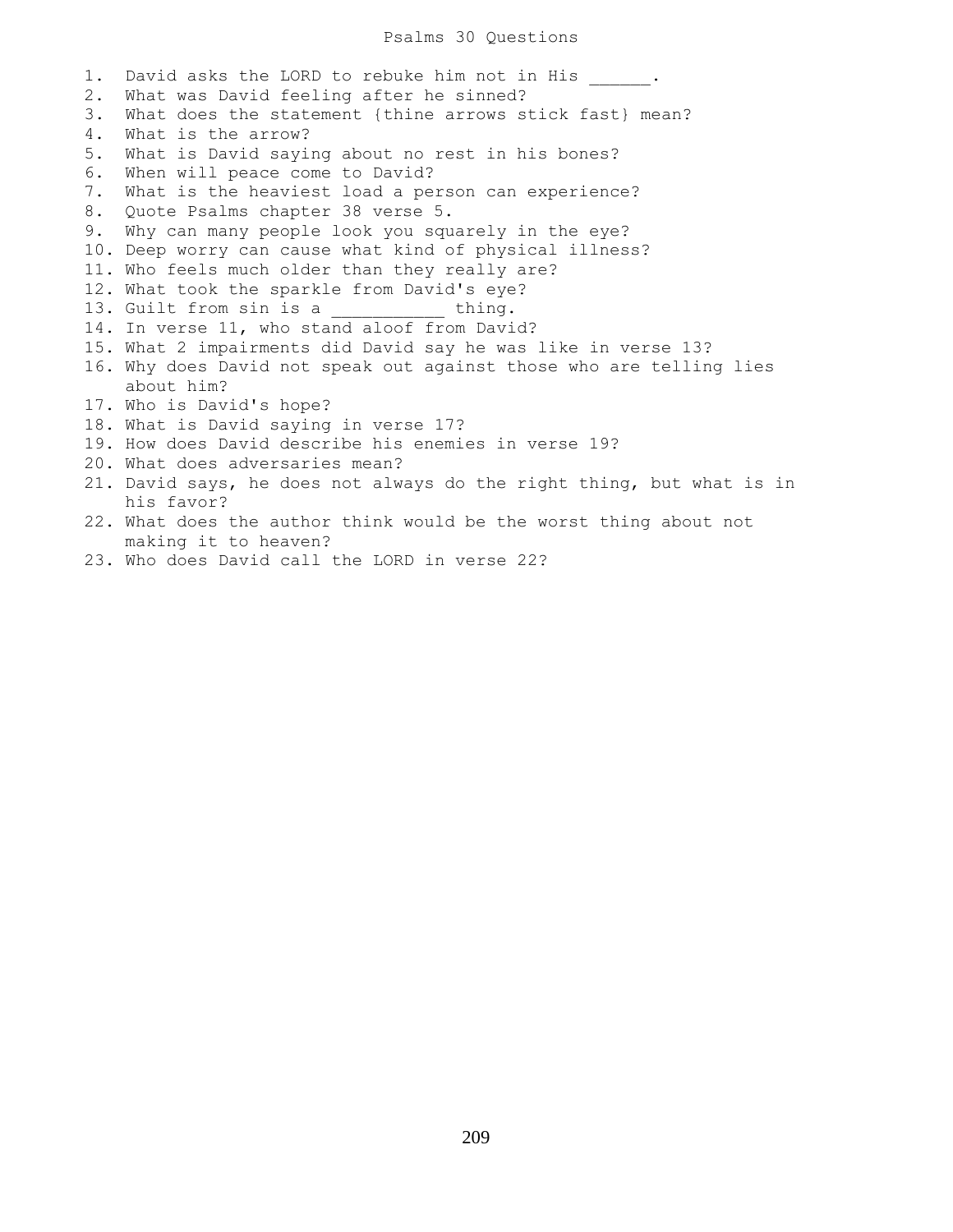### Psalms 30 Questions

1. David asks the LORD to rebuke him not in His . 2. What was David feeling after he sinned? 3. What does the statement {thine arrows stick fast} mean? 4. What is the arrow? 5. What is David saying about no rest in his bones? 6. When will peace come to David? 7. What is the heaviest load a person can experience? 8. Quote Psalms chapter 38 verse 5. 9. Why can many people look you squarely in the eye? 10. Deep worry can cause what kind of physical illness? 11. Who feels much older than they really are? 12. What took the sparkle from David's eye? 13. Guilt from sin is a thing. 14. In verse 11, who stand aloof from David? 15. What 2 impairments did David say he was like in verse 13? 16. Why does David not speak out against those who are telling lies about him? 17. Who is David's hope? 18. What is David saying in verse 17? 19. How does David describe his enemies in verse 19? 20. What does adversaries mean? 21. David says, he does not always do the right thing, but what is in his favor? 22. What does the author think would be the worst thing about not making it to heaven? 23. Who does David call the LORD in verse 22?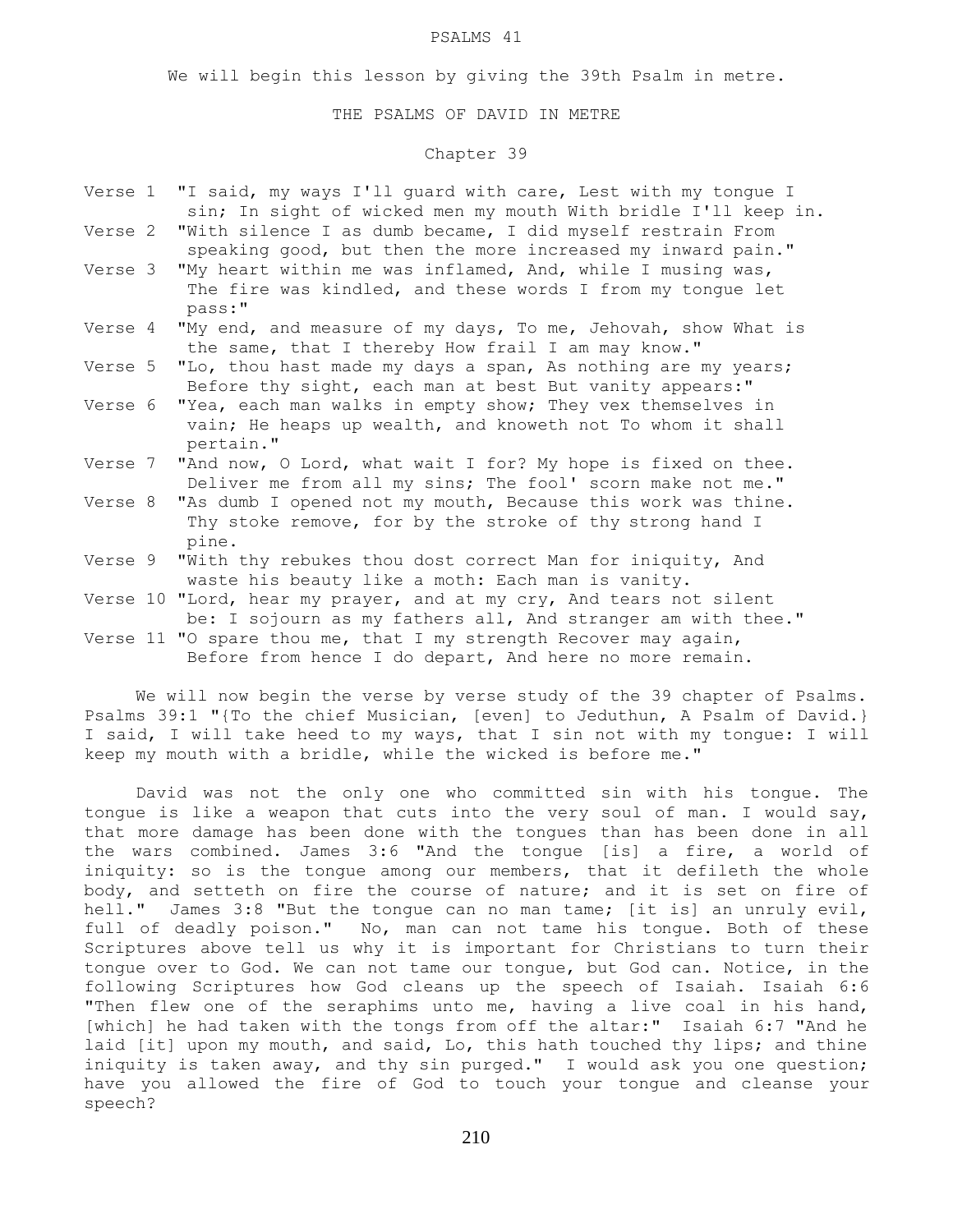#### PSALMS 41

We will begin this lesson by giving the 39th Psalm in metre.

#### THE PSALMS OF DAVID IN METRE

# Chapter 39

|         | Verse 1 "I said, my ways I'll guard with care, Lest with my tongue I<br>sin; In sight of wicked men my mouth With bridle I'll keep in.        |
|---------|-----------------------------------------------------------------------------------------------------------------------------------------------|
|         | Verse 2 "With silence I as dumb became, I did myself restrain From<br>speaking good, but then the more increased my inward pain."             |
|         | Verse 3 "My heart within me was inflamed, And, while I musing was,<br>The fire was kindled, and these words I from my tongue let<br>pass:"    |
| Verse 4 | "My end, and measure of my days, To me, Jehovah, show What is<br>the same, that I thereby How frail I am may know."                           |
|         | Verse 5 "Lo, thou hast made my days a span, As nothing are my years;<br>Before thy sight, each man at best But vanity appears:"               |
|         | Verse 6 "Yea, each man walks in empty show; They vex themselves in<br>vain; He heaps up wealth, and knoweth not To whom it shall<br>pertain." |
|         | Verse 7 "And now, O Lord, what wait I for? My hope is fixed on thee.<br>Deliver me from all my sins; The fool' scorn make not me."            |
|         | Verse 8 "As dumb I opened not my mouth, Because this work was thine.<br>Thy stoke remove, for by the stroke of thy strong hand I<br>pine.     |
|         | Verse 9 "With thy rebukes thou dost correct Man for iniquity, And<br>waste his beauty like a moth: Each man is vanity.                        |
|         | Verse 10 "Lord, hear my prayer, and at my cry, And tears not silent<br>be: I sojourn as my fathers all, And stranger am with thee."           |
|         | Verse 11 "O spare thou me, that I my strength Recover may again,<br>Before from hence I do depart, And here no more remain.                   |

 We will now begin the verse by verse study of the 39 chapter of Psalms. Psalms 39:1 "{To the chief Musician, [even] to Jeduthun, A Psalm of David.} I said, I will take heed to my ways, that I sin not with my tongue: I will keep my mouth with a bridle, while the wicked is before me."

 David was not the only one who committed sin with his tongue. The tongue is like a weapon that cuts into the very soul of man. I would say, that more damage has been done with the tongues than has been done in all the wars combined. James 3:6 "And the tongue [is] a fire, a world of iniquity: so is the tongue among our members, that it defileth the whole body, and setteth on fire the course of nature; and it is set on fire of hell." James 3:8 "But the tongue can no man tame; [it is] an unruly evil, full of deadly poison." No, man can not tame his tongue. Both of these Scriptures above tell us why it is important for Christians to turn their tongue over to God. We can not tame our tongue, but God can. Notice, in the following Scriptures how God cleans up the speech of Isaiah. Isaiah 6:6 "Then flew one of the seraphims unto me, having a live coal in his hand, [which] he had taken with the tongs from off the altar:" Isaiah 6:7 "And he laid [it] upon my mouth, and said, Lo, this hath touched thy lips; and thine iniquity is taken away, and thy sin purged." I would ask you one question; have you allowed the fire of God to touch your tongue and cleanse your speech?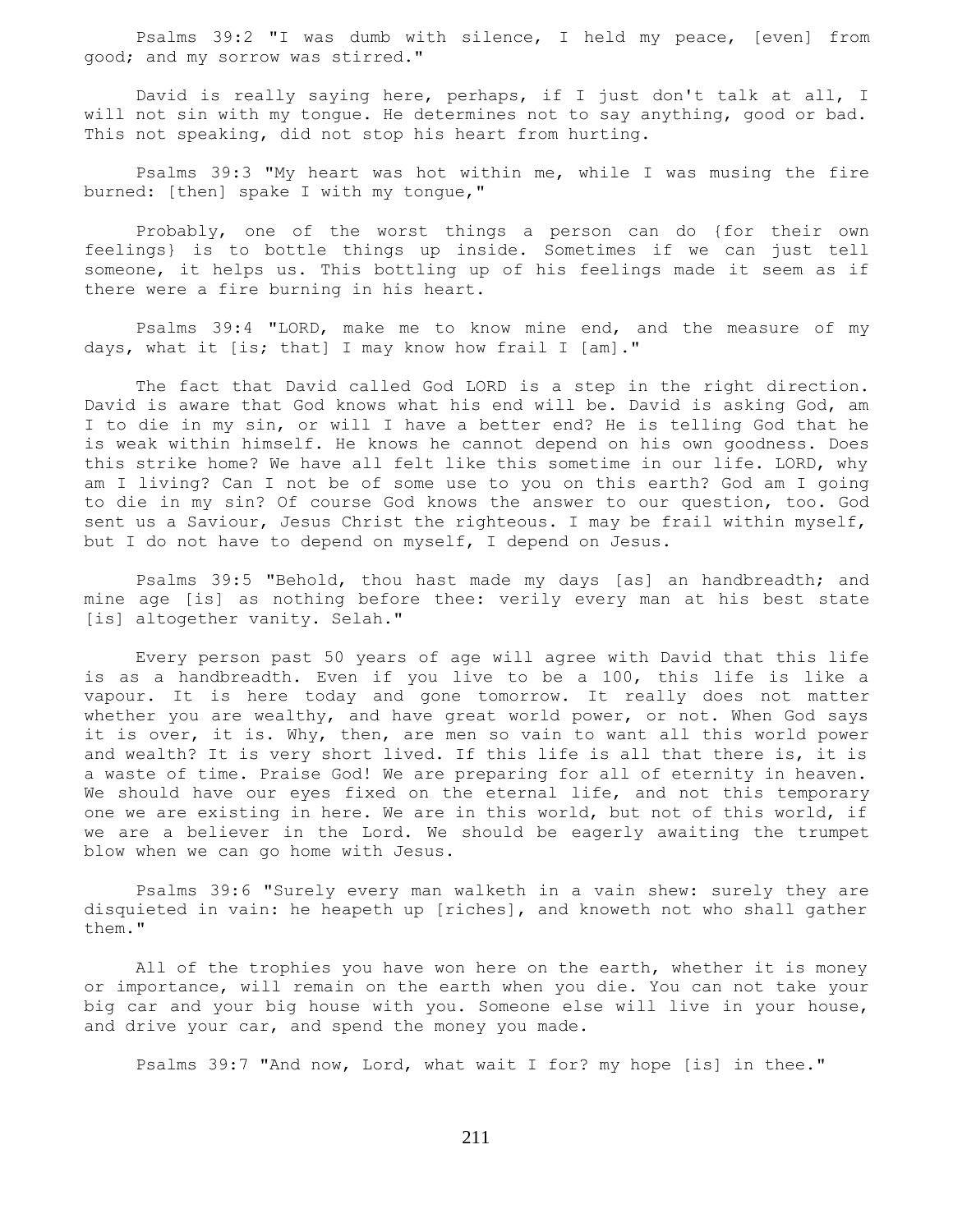Psalms 39:2 "I was dumb with silence, I held my peace, [even] from good; and my sorrow was stirred."

 David is really saying here, perhaps, if I just don't talk at all, I will not sin with my tongue. He determines not to say anything, good or bad. This not speaking, did not stop his heart from hurting.

 Psalms 39:3 "My heart was hot within me, while I was musing the fire burned: [then] spake I with my tongue,"

 Probably, one of the worst things a person can do {for their own feelings} is to bottle things up inside. Sometimes if we can just tell someone, it helps us. This bottling up of his feelings made it seem as if there were a fire burning in his heart.

 Psalms 39:4 "LORD, make me to know mine end, and the measure of my days, what it [is; that] I may know how frail I [am]."

 The fact that David called God LORD is a step in the right direction. David is aware that God knows what his end will be. David is asking God, am I to die in my sin, or will I have a better end? He is telling God that he is weak within himself. He knows he cannot depend on his own goodness. Does this strike home? We have all felt like this sometime in our life. LORD, why am I living? Can I not be of some use to you on this earth? God am I going to die in my sin? Of course God knows the answer to our question, too. God sent us a Saviour, Jesus Christ the righteous. I may be frail within myself, but I do not have to depend on myself, I depend on Jesus.

 Psalms 39:5 "Behold, thou hast made my days [as] an handbreadth; and mine age [is] as nothing before thee: verily every man at his best state [is] altogether vanity. Selah."

 Every person past 50 years of age will agree with David that this life is as a handbreadth. Even if you live to be a 100, this life is like a vapour. It is here today and gone tomorrow. It really does not matter whether you are wealthy, and have great world power, or not. When God says it is over, it is. Why, then, are men so vain to want all this world power and wealth? It is very short lived. If this life is all that there is, it is a waste of time. Praise God! We are preparing for all of eternity in heaven. We should have our eyes fixed on the eternal life, and not this temporary one we are existing in here. We are in this world, but not of this world, if we are a believer in the Lord. We should be eagerly awaiting the trumpet blow when we can go home with Jesus.

 Psalms 39:6 "Surely every man walketh in a vain shew: surely they are disquieted in vain: he heapeth up [riches], and knoweth not who shall gather them."

All of the trophies you have won here on the earth, whether it is money or importance, will remain on the earth when you die. You can not take your big car and your big house with you. Someone else will live in your house, and drive your car, and spend the money you made.

Psalms 39:7 "And now, Lord, what wait I for? my hope [is] in thee."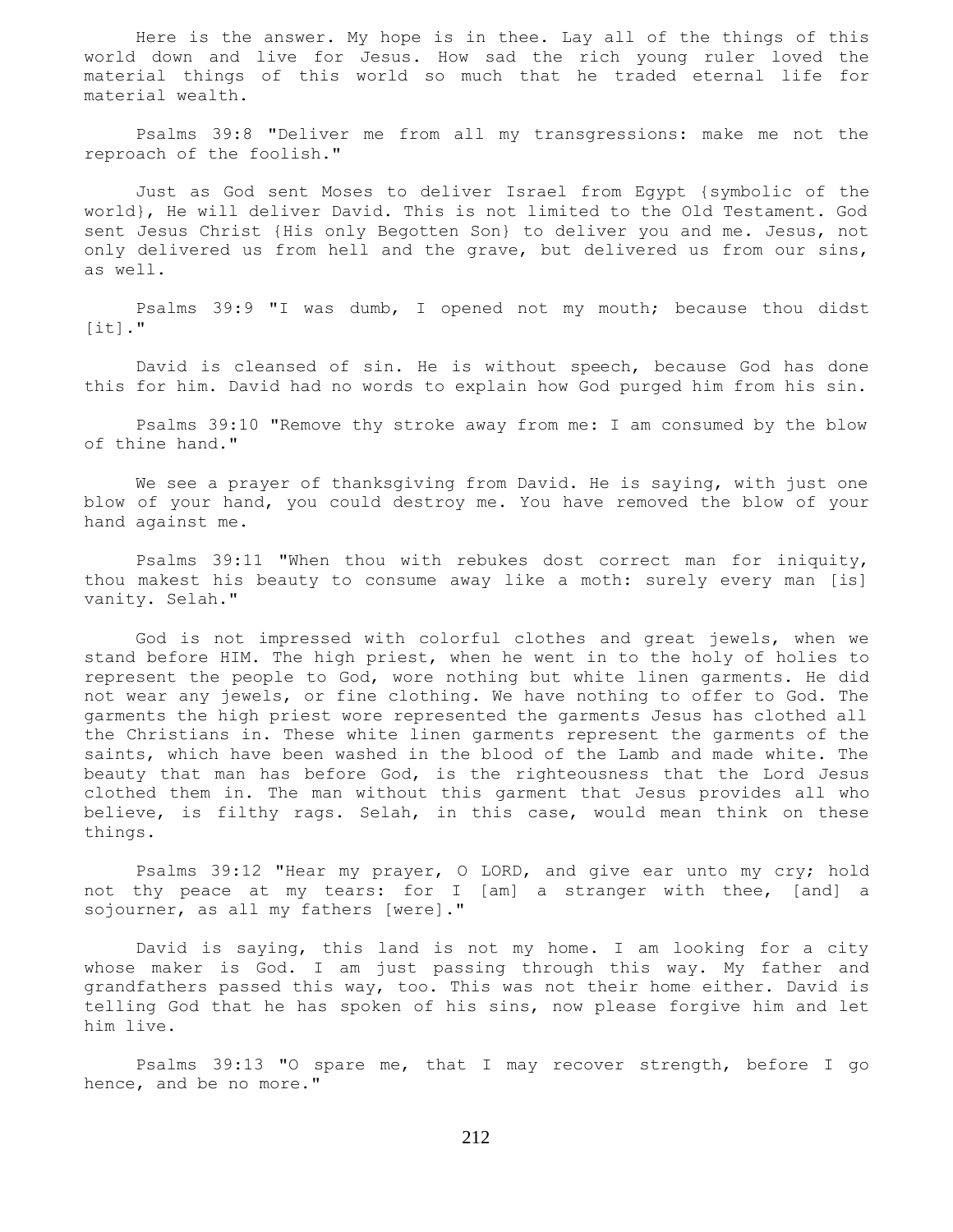Here is the answer. My hope is in thee. Lay all of the things of this world down and live for Jesus. How sad the rich young ruler loved the material things of this world so much that he traded eternal life for material wealth.

 Psalms 39:8 "Deliver me from all my transgressions: make me not the reproach of the foolish."

 Just as God sent Moses to deliver Israel from Egypt {symbolic of the world}, He will deliver David. This is not limited to the Old Testament. God sent Jesus Christ {His only Begotten Son} to deliver you and me. Jesus, not only delivered us from hell and the grave, but delivered us from our sins, as well.

 Psalms 39:9 "I was dumb, I opened not my mouth; because thou didst  $[it]$ ."

 David is cleansed of sin. He is without speech, because God has done this for him. David had no words to explain how God purged him from his sin.

 Psalms 39:10 "Remove thy stroke away from me: I am consumed by the blow of thine hand."

 We see a prayer of thanksgiving from David. He is saying, with just one blow of your hand, you could destroy me. You have removed the blow of your hand against me.

 Psalms 39:11 "When thou with rebukes dost correct man for iniquity, thou makest his beauty to consume away like a moth: surely every man [is] vanity. Selah."

 God is not impressed with colorful clothes and great jewels, when we stand before HIM. The high priest, when he went in to the holy of holies to represent the people to God, wore nothing but white linen garments. He did not wear any jewels, or fine clothing. We have nothing to offer to God. The garments the high priest wore represented the garments Jesus has clothed all the Christians in. These white linen garments represent the garments of the saints, which have been washed in the blood of the Lamb and made white. The beauty that man has before God, is the righteousness that the Lord Jesus clothed them in. The man without this garment that Jesus provides all who believe, is filthy rags. Selah, in this case, would mean think on these things.

 Psalms 39:12 "Hear my prayer, O LORD, and give ear unto my cry; hold not thy peace at my tears: for I [am] a stranger with thee, [and] a sojourner, as all my fathers [were]."

 David is saying, this land is not my home. I am looking for a city whose maker is God. I am just passing through this way. My father and grandfathers passed this way, too. This was not their home either. David is telling God that he has spoken of his sins, now please forgive him and let him live.

 Psalms 39:13 "O spare me, that I may recover strength, before I go hence, and be no more."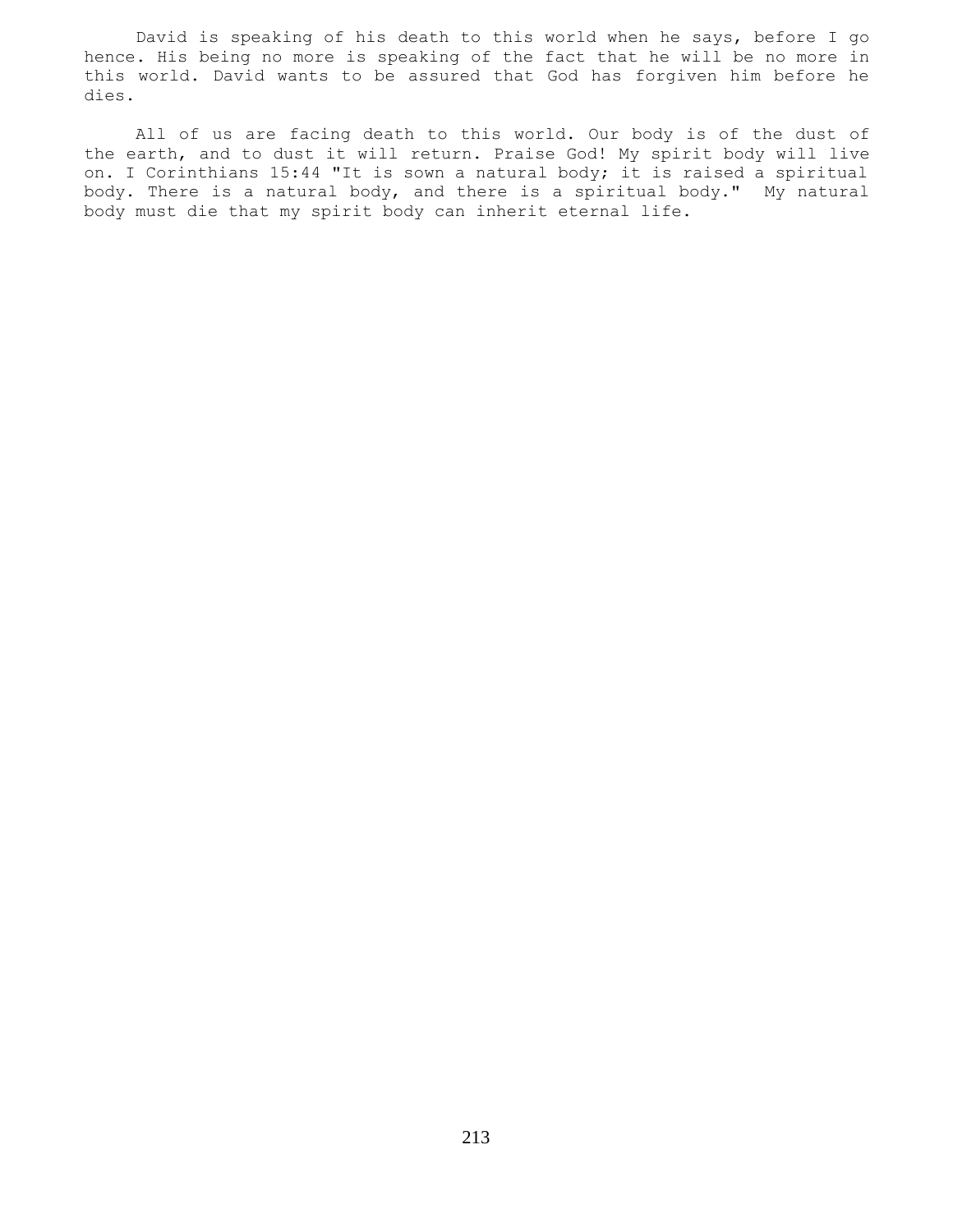David is speaking of his death to this world when he says, before I go hence. His being no more is speaking of the fact that he will be no more in this world. David wants to be assured that God has forgiven him before he dies.

 All of us are facing death to this world. Our body is of the dust of the earth, and to dust it will return. Praise God! My spirit body will live on. I Corinthians 15:44 "It is sown a natural body; it is raised a spiritual body. There is a natural body, and there is a spiritual body." My natural body must die that my spirit body can inherit eternal life.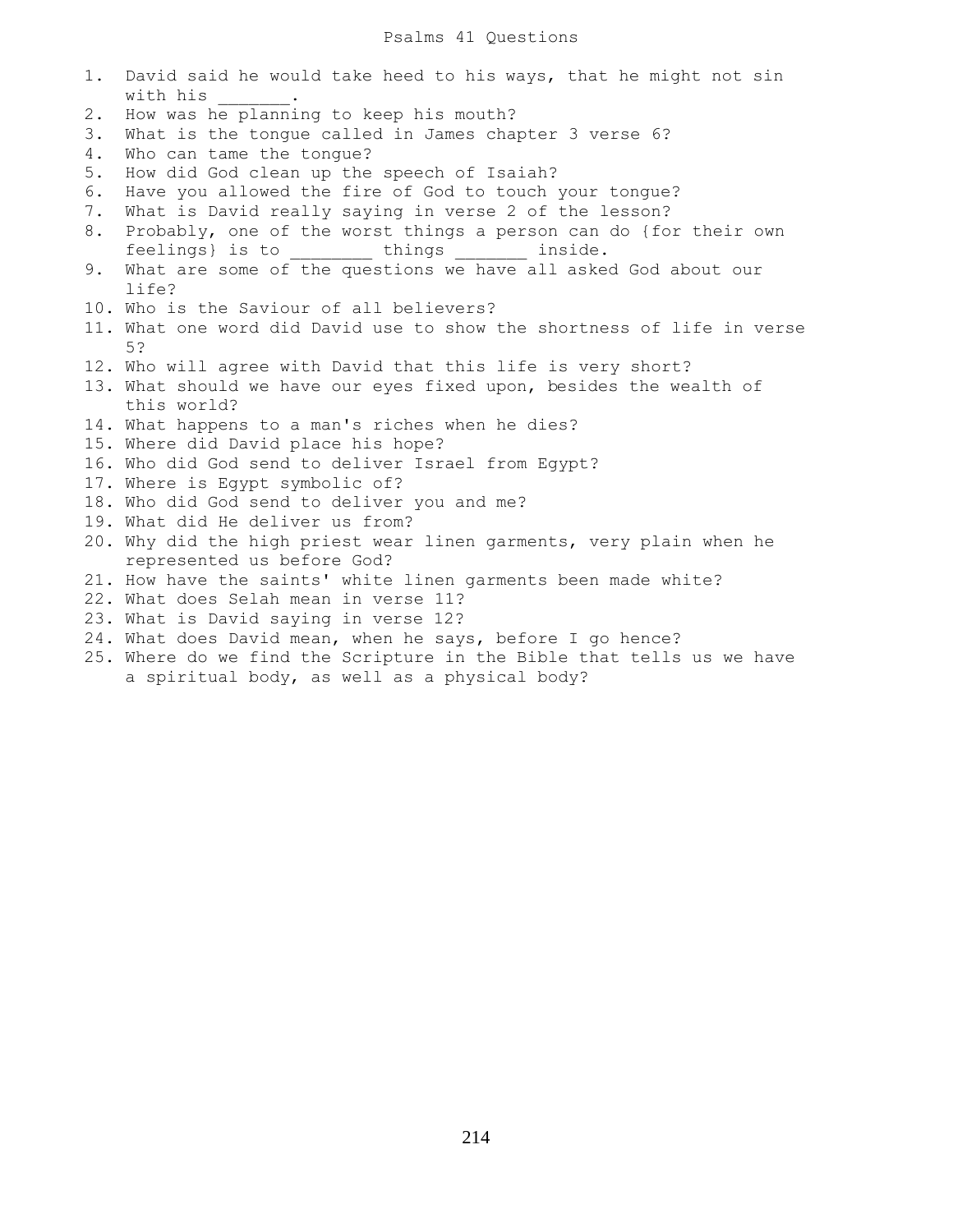1. David said he would take heed to his ways, that he might not sin with his 2. How was he planning to keep his mouth? 3. What is the tongue called in James chapter 3 verse 6? 4. Who can tame the tongue? 5. How did God clean up the speech of Isaiah? 6. Have you allowed the fire of God to touch your tongue? 7. What is David really saying in verse 2 of the lesson? 8. Probably, one of the worst things a person can do {for their own feelings} is to things inside. 9. What are some of the questions we have all asked God about our life? 10. Who is the Saviour of all believers? 11. What one word did David use to show the shortness of life in verse 5? 12. Who will agree with David that this life is very short? 13. What should we have our eyes fixed upon, besides the wealth of this world? 14. What happens to a man's riches when he dies? 15. Where did David place his hope? 16. Who did God send to deliver Israel from Egypt? 17. Where is Egypt symbolic of? 18. Who did God send to deliver you and me? 19. What did He deliver us from? 20. Why did the high priest wear linen garments, very plain when he represented us before God? 21. How have the saints' white linen garments been made white? 22. What does Selah mean in verse 11? 23. What is David saying in verse 12? 24. What does David mean, when he says, before I go hence? 25. Where do we find the Scripture in the Bible that tells us we have a spiritual body, as well as a physical body?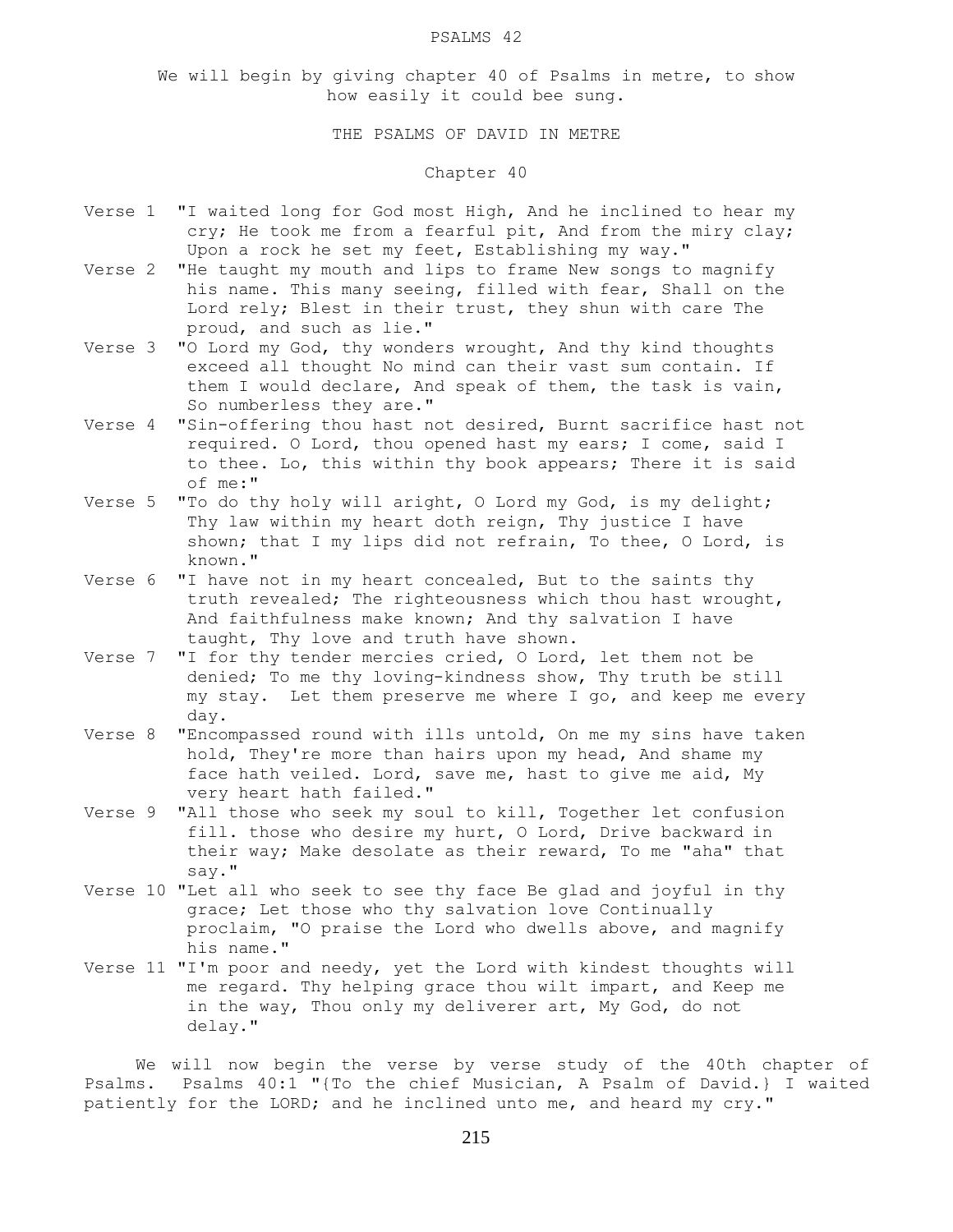#### PSALMS 42

We will begin by giving chapter 40 of Psalms in metre, to show how easily it could bee sung.

THE PSALMS OF DAVID IN METRE

# Chapter 40

- Verse 1 "I waited long for God most High, And he inclined to hear my cry; He took me from a fearful pit, And from the miry clay; Upon a rock he set my feet, Establishing my way."
- Verse 2 "He taught my mouth and lips to frame New songs to magnify his name. This many seeing, filled with fear, Shall on the Lord rely; Blest in their trust, they shun with care The proud, and such as lie."
- Verse 3 "O Lord my God, thy wonders wrought, And thy kind thoughts exceed all thought No mind can their vast sum contain. If them I would declare, And speak of them, the task is vain, So numberless they are."
- Verse 4 "Sin-offering thou hast not desired, Burnt sacrifice hast not required. O Lord, thou opened hast my ears; I come, said I to thee. Lo, this within thy book appears; There it is said of me:"
- Verse 5 "To do thy holy will aright, O Lord my God, is my delight; Thy law within my heart doth reign, Thy justice I have shown; that I my lips did not refrain, To thee, O Lord, is known."
- Verse 6 "I have not in my heart concealed, But to the saints thy truth revealed; The righteousness which thou hast wrought, And faithfulness make known; And thy salvation I have taught, Thy love and truth have shown.
- Verse 7 "I for thy tender mercies cried, O Lord, let them not be denied; To me thy loving-kindness show, Thy truth be still my stay. Let them preserve me where I go, and keep me every day.
- Verse 8 "Encompassed round with ills untold, On me my sins have taken hold, They're more than hairs upon my head, And shame my face hath veiled. Lord, save me, hast to give me aid, My very heart hath failed."
- Verse 9 "All those who seek my soul to kill, Together let confusion fill. those who desire my hurt, O Lord, Drive backward in their way; Make desolate as their reward, To me "aha" that say."
- Verse 10 "Let all who seek to see thy face Be glad and joyful in thy grace; Let those who thy salvation love Continually proclaim, "O praise the Lord who dwells above, and magnify his name."
- Verse 11 "I'm poor and needy, yet the Lord with kindest thoughts will me regard. Thy helping grace thou wilt impart, and Keep me in the way, Thou only my deliverer art, My God, do not delay."

 We will now begin the verse by verse study of the 40th chapter of Psalms. Psalms 40:1 "{To the chief Musician, A Psalm of David.} I waited patiently for the LORD; and he inclined unto me, and heard my cry."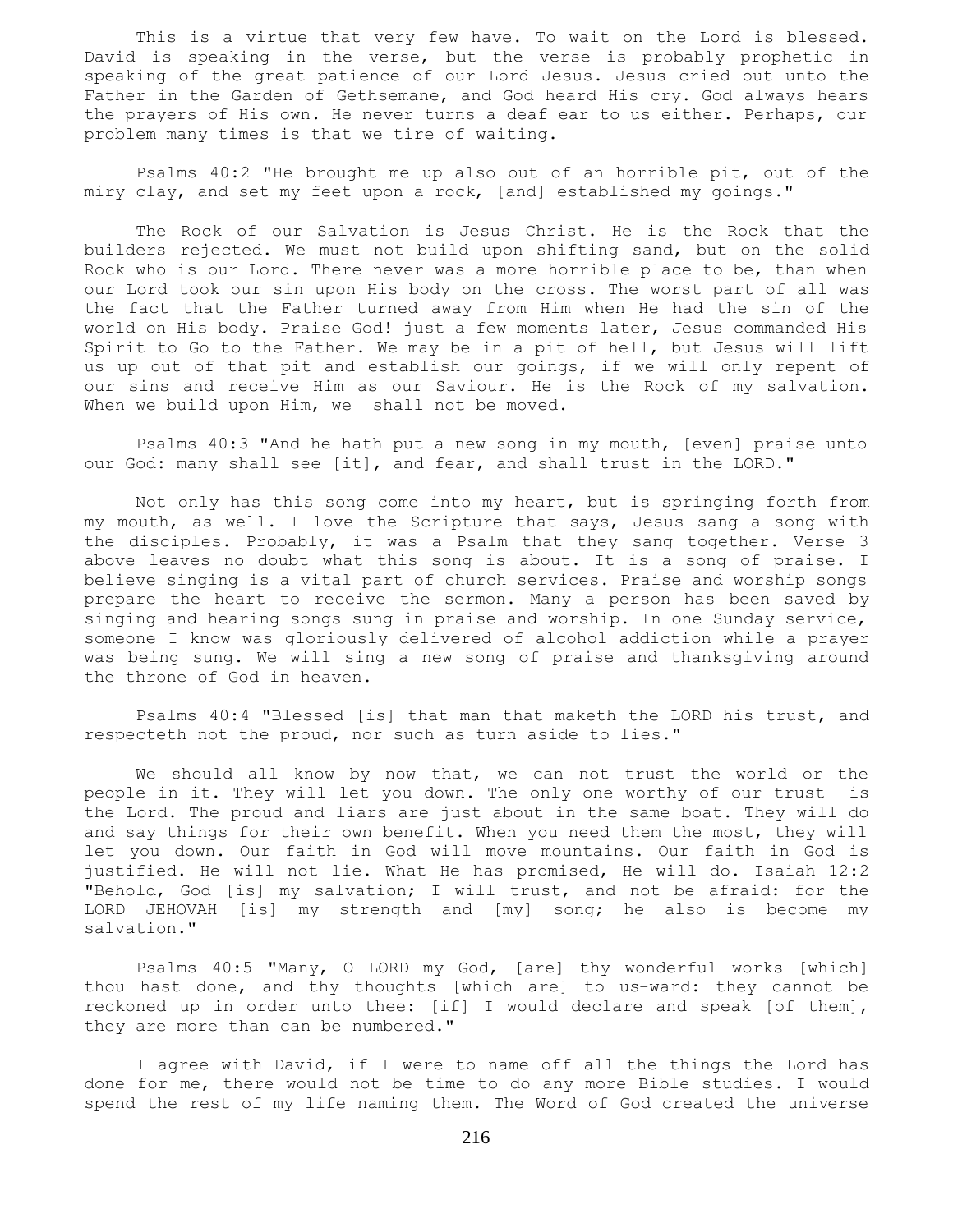This is a virtue that very few have. To wait on the Lord is blessed. David is speaking in the verse, but the verse is probably prophetic in speaking of the great patience of our Lord Jesus. Jesus cried out unto the Father in the Garden of Gethsemane, and God heard His cry. God always hears the prayers of His own. He never turns a deaf ear to us either. Perhaps, our problem many times is that we tire of waiting.

 Psalms 40:2 "He brought me up also out of an horrible pit, out of the miry clay, and set my feet upon a rock, [and] established my goings."

 The Rock of our Salvation is Jesus Christ. He is the Rock that the builders rejected. We must not build upon shifting sand, but on the solid Rock who is our Lord. There never was a more horrible place to be, than when our Lord took our sin upon His body on the cross. The worst part of all was the fact that the Father turned away from Him when He had the sin of the world on His body. Praise God! just a few moments later, Jesus commanded His Spirit to Go to the Father. We may be in a pit of hell, but Jesus will lift us up out of that pit and establish our goings, if we will only repent of our sins and receive Him as our Saviour. He is the Rock of my salvation. When we build upon Him, we shall not be moved.

 Psalms 40:3 "And he hath put a new song in my mouth, [even] praise unto our God: many shall see [it], and fear, and shall trust in the LORD."

 Not only has this song come into my heart, but is springing forth from my mouth, as well. I love the Scripture that says, Jesus sang a song with the disciples. Probably, it was a Psalm that they sang together. Verse 3 above leaves no doubt what this song is about. It is a song of praise. I believe singing is a vital part of church services. Praise and worship songs prepare the heart to receive the sermon. Many a person has been saved by singing and hearing songs sung in praise and worship. In one Sunday service, someone I know was gloriously delivered of alcohol addiction while a prayer was being sung. We will sing a new song of praise and thanksgiving around the throne of God in heaven.

 Psalms 40:4 "Blessed [is] that man that maketh the LORD his trust, and respecteth not the proud, nor such as turn aside to lies."

 We should all know by now that, we can not trust the world or the people in it. They will let you down. The only one worthy of our trust is the Lord. The proud and liars are just about in the same boat. They will do and say things for their own benefit. When you need them the most, they will let you down. Our faith in God will move mountains. Our faith in God is justified. He will not lie. What He has promised, He will do. Isaiah 12:2 "Behold, God [is] my salvation; I will trust, and not be afraid: for the LORD JEHOVAH [is] my strength and [my] song; he also is become my salvation."

 Psalms 40:5 "Many, O LORD my God, [are] thy wonderful works [which] thou hast done, and thy thoughts [which are] to us-ward: they cannot be reckoned up in order unto thee: [if] I would declare and speak [of them], they are more than can be numbered."

 I agree with David, if I were to name off all the things the Lord has done for me, there would not be time to do any more Bible studies. I would spend the rest of my life naming them. The Word of God created the universe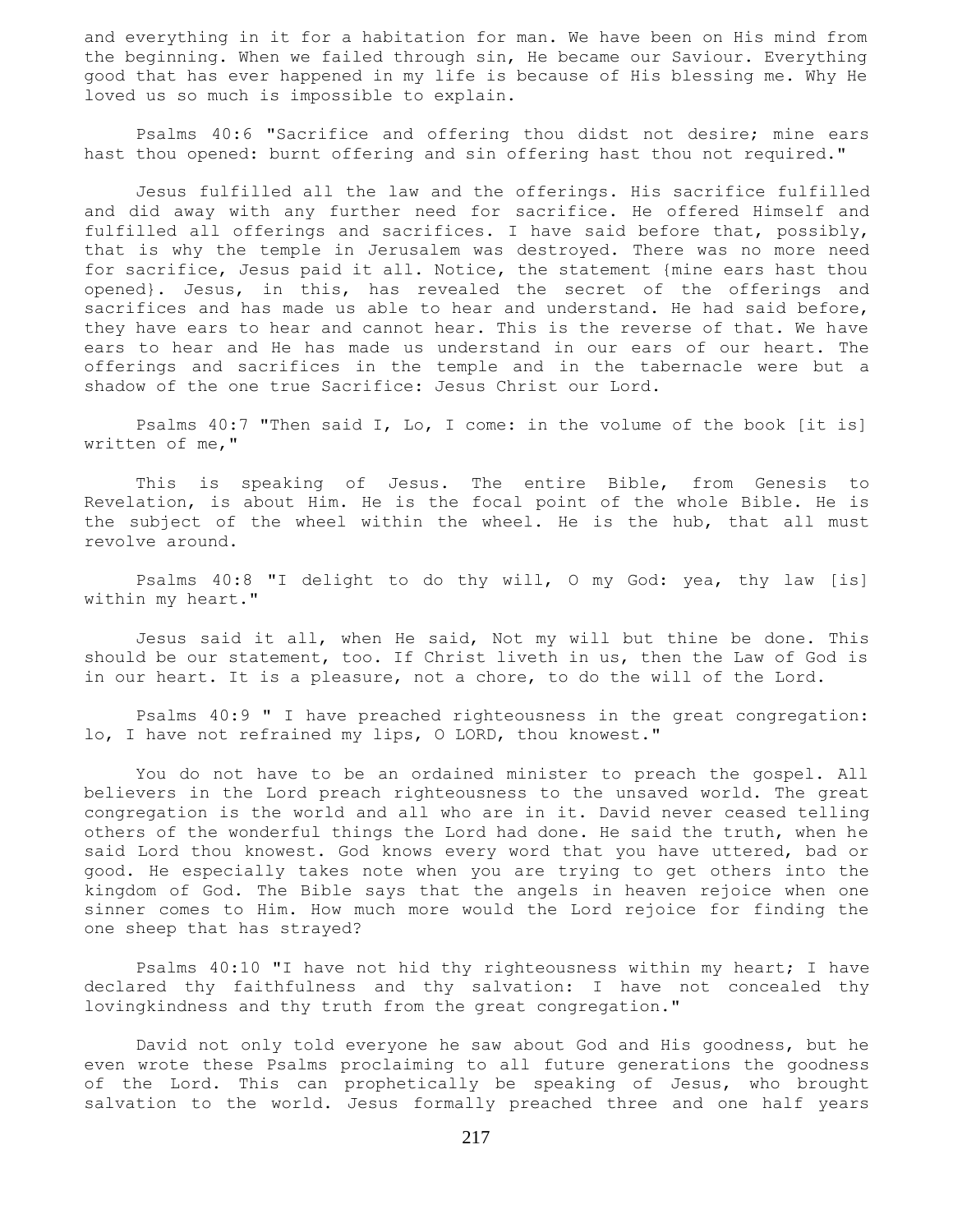and everything in it for a habitation for man. We have been on His mind from the beginning. When we failed through sin, He became our Saviour. Everything good that has ever happened in my life is because of His blessing me. Why He loved us so much is impossible to explain.

 Psalms 40:6 "Sacrifice and offering thou didst not desire; mine ears hast thou opened: burnt offering and sin offering hast thou not required."

 Jesus fulfilled all the law and the offerings. His sacrifice fulfilled and did away with any further need for sacrifice. He offered Himself and fulfilled all offerings and sacrifices. I have said before that, possibly, that is why the temple in Jerusalem was destroyed. There was no more need for sacrifice, Jesus paid it all. Notice, the statement {mine ears hast thou opened}. Jesus, in this, has revealed the secret of the offerings and sacrifices and has made us able to hear and understand. He had said before, they have ears to hear and cannot hear. This is the reverse of that. We have ears to hear and He has made us understand in our ears of our heart. The offerings and sacrifices in the temple and in the tabernacle were but a shadow of the one true Sacrifice: Jesus Christ our Lord.

 Psalms 40:7 "Then said I, Lo, I come: in the volume of the book [it is] written of me,"

 This is speaking of Jesus. The entire Bible, from Genesis to Revelation, is about Him. He is the focal point of the whole Bible. He is the subject of the wheel within the wheel. He is the hub, that all must revolve around.

 Psalms 40:8 "I delight to do thy will, O my God: yea, thy law [is] within my heart."

 Jesus said it all, when He said, Not my will but thine be done. This should be our statement, too. If Christ liveth in us, then the Law of God is in our heart. It is a pleasure, not a chore, to do the will of the Lord.

 Psalms 40:9 " I have preached righteousness in the great congregation: lo, I have not refrained my lips, O LORD, thou knowest."

 You do not have to be an ordained minister to preach the gospel. All believers in the Lord preach righteousness to the unsaved world. The great congregation is the world and all who are in it. David never ceased telling others of the wonderful things the Lord had done. He said the truth, when he said Lord thou knowest. God knows every word that you have uttered, bad or good. He especially takes note when you are trying to get others into the kingdom of God. The Bible says that the angels in heaven rejoice when one sinner comes to Him. How much more would the Lord rejoice for finding the one sheep that has strayed?

 Psalms 40:10 "I have not hid thy righteousness within my heart; I have declared thy faithfulness and thy salvation: I have not concealed thy lovingkindness and thy truth from the great congregation."

 David not only told everyone he saw about God and His goodness, but he even wrote these Psalms proclaiming to all future generations the goodness of the Lord. This can prophetically be speaking of Jesus, who brought salvation to the world. Jesus formally preached three and one half years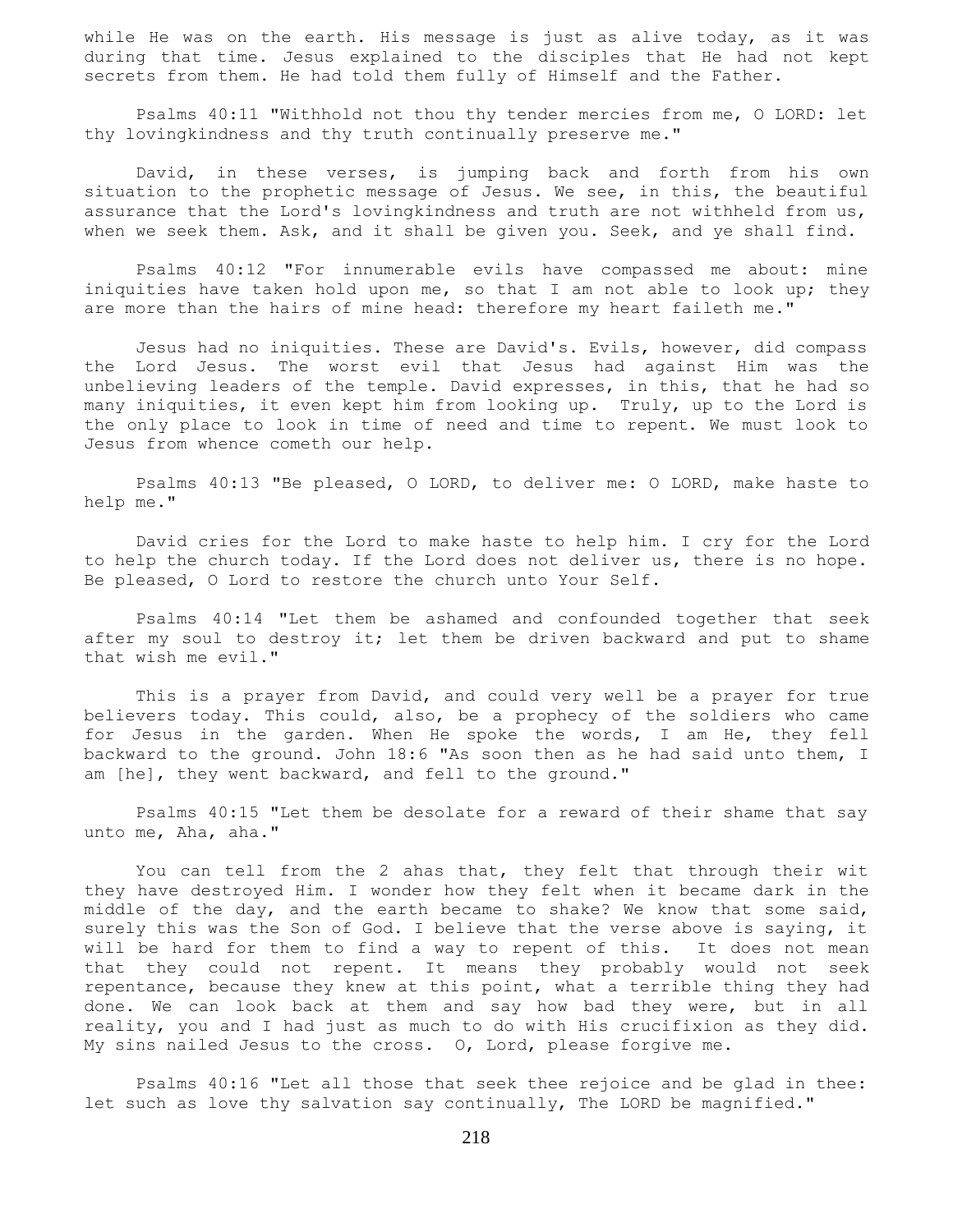while He was on the earth. His message is just as alive today, as it was during that time. Jesus explained to the disciples that He had not kept secrets from them. He had told them fully of Himself and the Father.

 Psalms 40:11 "Withhold not thou thy tender mercies from me, O LORD: let thy lovingkindness and thy truth continually preserve me."

 David, in these verses, is jumping back and forth from his own situation to the prophetic message of Jesus. We see, in this, the beautiful assurance that the Lord's lovingkindness and truth are not withheld from us, when we seek them. Ask, and it shall be given you. Seek, and ye shall find.

 Psalms 40:12 "For innumerable evils have compassed me about: mine iniquities have taken hold upon me, so that I am not able to look up; they are more than the hairs of mine head: therefore my heart faileth me."

 Jesus had no iniquities. These are David's. Evils, however, did compass the Lord Jesus. The worst evil that Jesus had against Him was the unbelieving leaders of the temple. David expresses, in this, that he had so many iniquities, it even kept him from looking up. Truly, up to the Lord is the only place to look in time of need and time to repent. We must look to Jesus from whence cometh our help.

 Psalms 40:13 "Be pleased, O LORD, to deliver me: O LORD, make haste to help me."

 David cries for the Lord to make haste to help him. I cry for the Lord to help the church today. If the Lord does not deliver us, there is no hope. Be pleased, O Lord to restore the church unto Your Self.

 Psalms 40:14 "Let them be ashamed and confounded together that seek after my soul to destroy it; let them be driven backward and put to shame that wish me evil."

 This is a prayer from David, and could very well be a prayer for true believers today. This could, also, be a prophecy of the soldiers who came for Jesus in the garden. When He spoke the words, I am He, they fell backward to the ground. John 18:6 "As soon then as he had said unto them, I am [he], they went backward, and fell to the ground."

 Psalms 40:15 "Let them be desolate for a reward of their shame that say unto me, Aha, aha."

 You can tell from the 2 ahas that, they felt that through their wit they have destroyed Him. I wonder how they felt when it became dark in the middle of the day, and the earth became to shake? We know that some said, surely this was the Son of God. I believe that the verse above is saying, it will be hard for them to find a way to repent of this. It does not mean that they could not repent. It means they probably would not seek repentance, because they knew at this point, what a terrible thing they had done. We can look back at them and say how bad they were, but in all reality, you and I had just as much to do with His crucifixion as they did. My sins nailed Jesus to the cross. O, Lord, please forgive me.

 Psalms 40:16 "Let all those that seek thee rejoice and be glad in thee: let such as love thy salvation say continually, The LORD be magnified."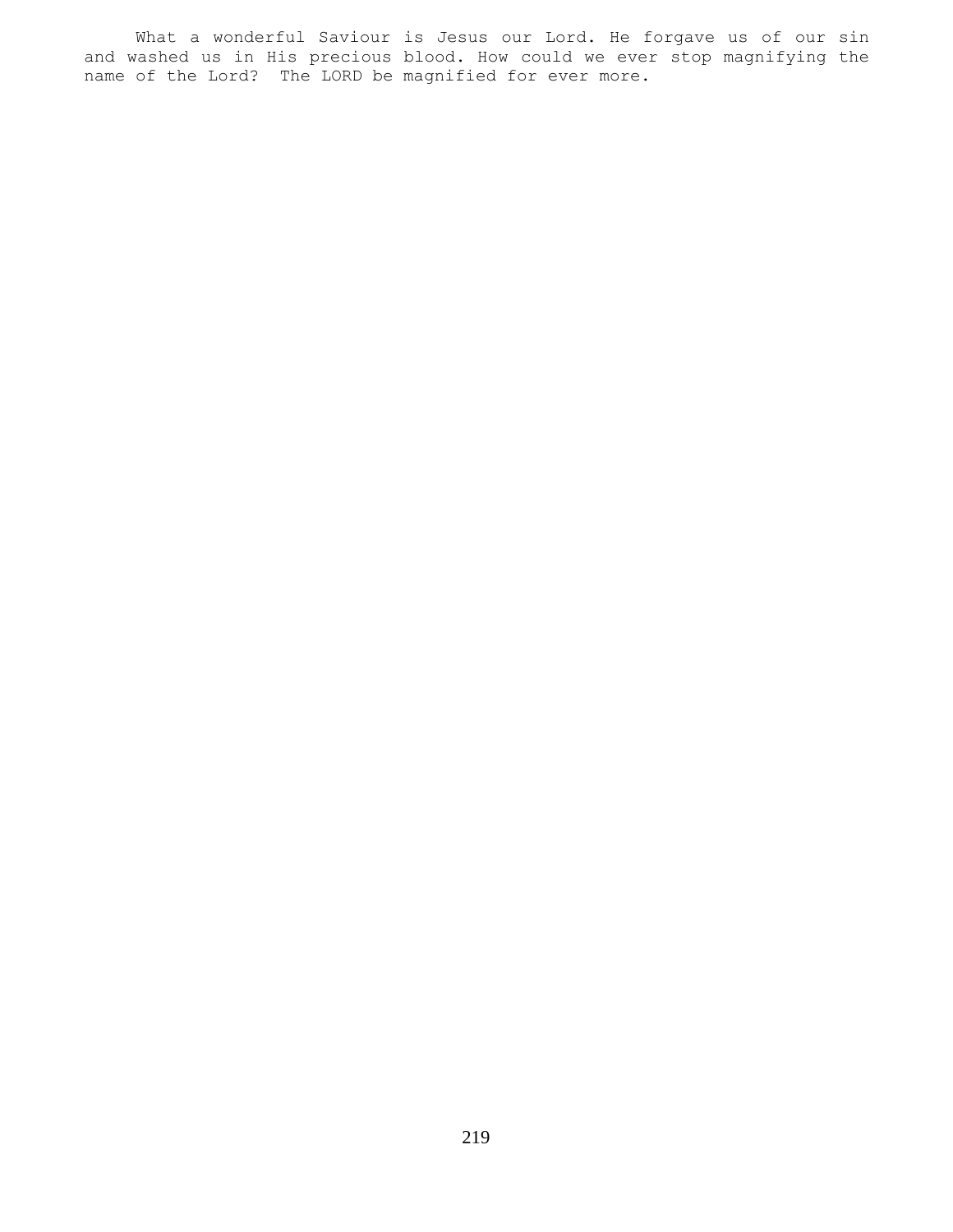What a wonderful Saviour is Jesus our Lord. He forgave us of our sin and washed us in His precious blood. How could we ever stop magnifying the name of the Lord? The LORD be magnified for ever more.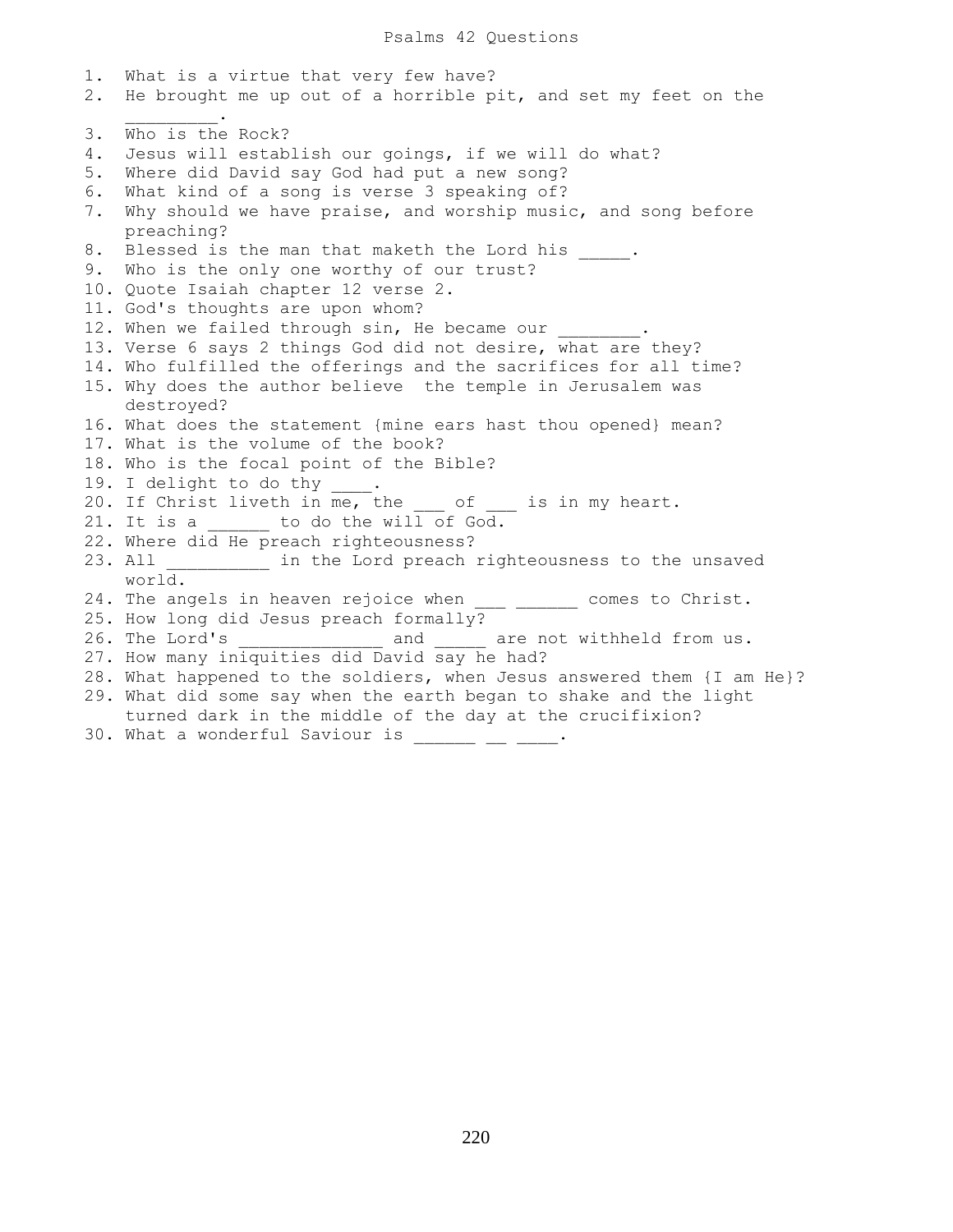1. What is a virtue that very few have? 2. He brought me up out of a horrible pit, and set my feet on the  $\frac{1}{2}$  ,  $\frac{1}{2}$  ,  $\frac{1}{2}$  ,  $\frac{1}{2}$  ,  $\frac{1}{2}$ 3. Who is the Rock? 4. Jesus will establish our goings, if we will do what? 5. Where did David say God had put a new song? 6. What kind of a song is verse 3 speaking of? 7. Why should we have praise, and worship music, and song before preaching? 8. Blessed is the man that maketh the Lord his . 9. Who is the only one worthy of our trust? 10. Quote Isaiah chapter 12 verse 2. 11. God's thoughts are upon whom? 12. When we failed through sin, He became our 13. Verse 6 says 2 things God did not desire, what are they? 14. Who fulfilled the offerings and the sacrifices for all time? 15. Why does the author believe the temple in Jerusalem was destroyed? 16. What does the statement {mine ears hast thou opened} mean? 17. What is the volume of the book? 18. Who is the focal point of the Bible? 19. I delight to do thy \_\_\_\_. 20. If Christ liveth in me, the  $\overline{C}$  of is in my heart. 21. It is a  $\qquad \qquad$  to do the will of God. 22. Where did He preach righteousness? 23. All \_\_\_\_\_\_\_\_\_\_ in the Lord preach righteousness to the unsaved world. 24. The angels in heaven rejoice when \_\_\_ \_\_\_\_\_\_ comes to Christ. 25. How long did Jesus preach formally? 26. The Lord's \_\_\_\_\_\_\_\_\_\_\_\_\_\_\_ and \_\_\_\_\_ are not withheld from us. 27. How many iniquities did David say he had? 28. What happened to the soldiers, when Jesus answered them {I am He}? 29. What did some say when the earth began to shake and the light turned dark in the middle of the day at the crucifixion?  $30.$  What a wonderful Saviour is  $\frac{1}{\sqrt{2}}$   $\frac{1}{\sqrt{2}}$ .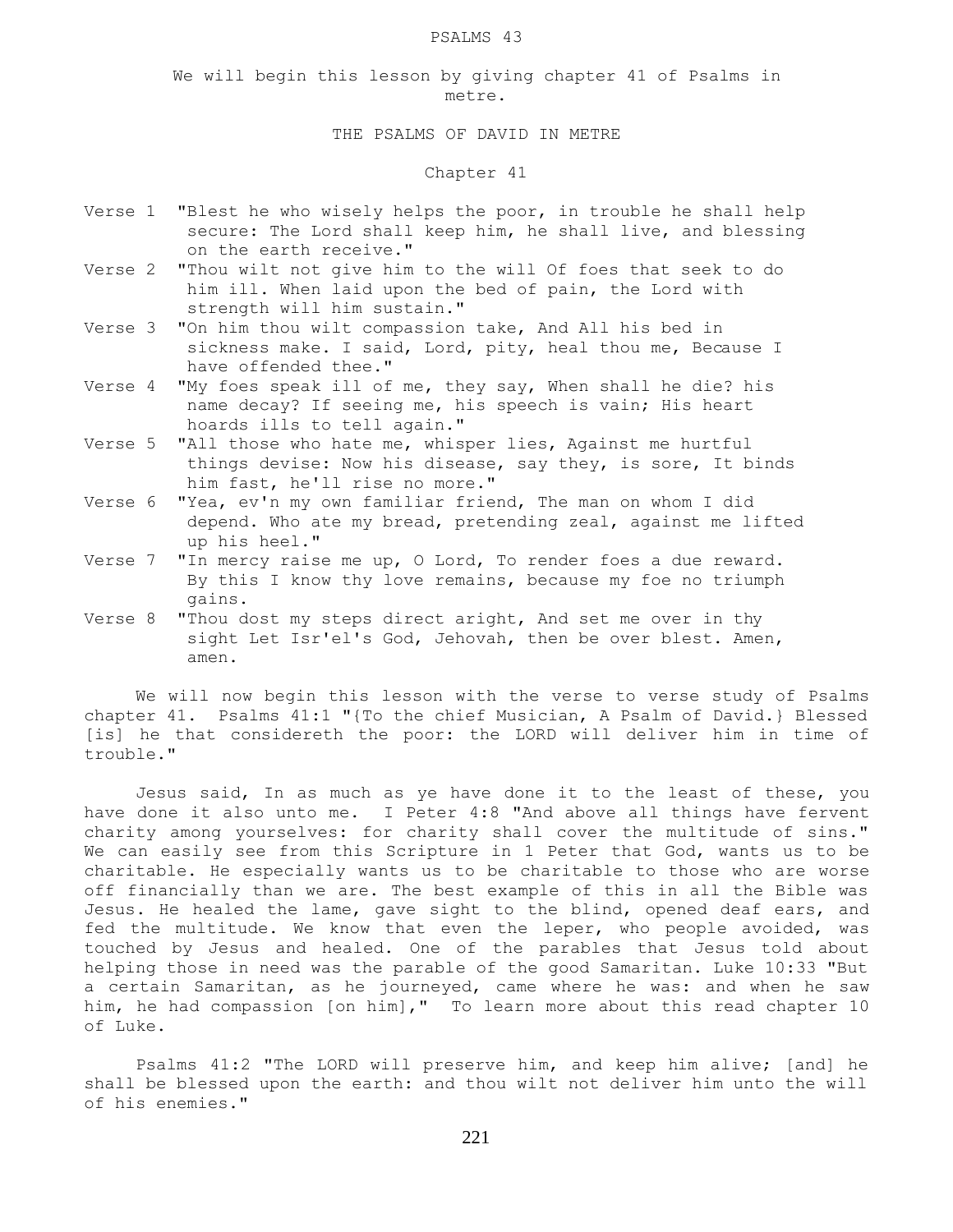#### PSALMS 43

We will begin this lesson by giving chapter 41 of Psalms in metre.

### THE PSALMS OF DAVID IN METRE

### Chapter 41

- Verse 1 "Blest he who wisely helps the poor, in trouble he shall help secure: The Lord shall keep him, he shall live, and blessing on the earth receive."
- Verse 2 "Thou wilt not give him to the will Of foes that seek to do him ill. When laid upon the bed of pain, the Lord with strength will him sustain."
- Verse 3 "On him thou wilt compassion take, And All his bed in sickness make. I said, Lord, pity, heal thou me, Because I have offended thee."
- Verse 4 "My foes speak ill of me, they say, When shall he die? his name decay? If seeing me, his speech is vain; His heart hoards ills to tell again."
- Verse 5 "All those who hate me, whisper lies, Against me hurtful things devise: Now his disease, say they, is sore, It binds him fast, he'll rise no more."
- Verse 6 "Yea, ev'n my own familiar friend, The man on whom I did depend. Who ate my bread, pretending zeal, against me lifted up his heel."
- Verse 7 "In mercy raise me up, O Lord, To render foes a due reward. By this I know thy love remains, because my foe no triumph gains.
- Verse 8 "Thou dost my steps direct aright, And set me over in thy sight Let Isr'el's God, Jehovah, then be over blest. Amen, amen.

 We will now begin this lesson with the verse to verse study of Psalms chapter 41. Psalms 41:1 "{To the chief Musician, A Psalm of David.} Blessed [is] he that considereth the poor: the LORD will deliver him in time of trouble."

 Jesus said, In as much as ye have done it to the least of these, you have done it also unto me. I Peter 4:8 "And above all things have fervent charity among yourselves: for charity shall cover the multitude of sins." We can easily see from this Scripture in 1 Peter that God, wants us to be charitable. He especially wants us to be charitable to those who are worse off financially than we are. The best example of this in all the Bible was Jesus. He healed the lame, gave sight to the blind, opened deaf ears, and fed the multitude. We know that even the leper, who people avoided, was touched by Jesus and healed. One of the parables that Jesus told about helping those in need was the parable of the good Samaritan. Luke 10:33 "But a certain Samaritan, as he journeyed, came where he was: and when he saw him, he had compassion [on him]," To learn more about this read chapter 10 of Luke.

 Psalms 41:2 "The LORD will preserve him, and keep him alive; [and] he shall be blessed upon the earth: and thou wilt not deliver him unto the will of his enemies."

221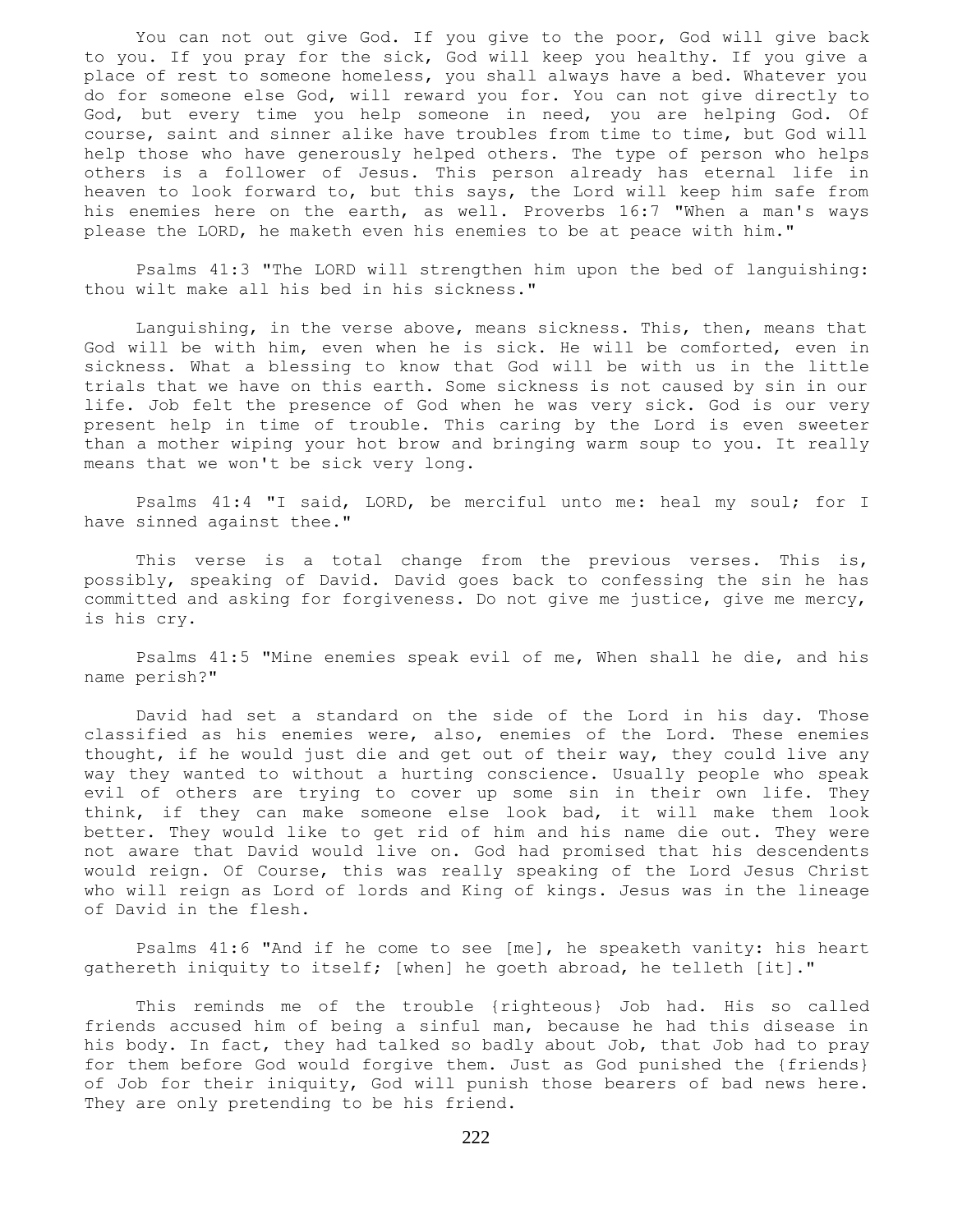You can not out give God. If you give to the poor, God will give back to you. If you pray for the sick, God will keep you healthy. If you give a place of rest to someone homeless, you shall always have a bed. Whatever you do for someone else God, will reward you for. You can not give directly to God, but every time you help someone in need, you are helping God. Of course, saint and sinner alike have troubles from time to time, but God will help those who have generously helped others. The type of person who helps others is a follower of Jesus. This person already has eternal life in heaven to look forward to, but this says, the Lord will keep him safe from his enemies here on the earth, as well. Proverbs 16:7 "When a man's ways please the LORD, he maketh even his enemies to be at peace with him."

 Psalms 41:3 "The LORD will strengthen him upon the bed of languishing: thou wilt make all his bed in his sickness."

 Languishing, in the verse above, means sickness. This, then, means that God will be with him, even when he is sick. He will be comforted, even in sickness. What a blessing to know that God will be with us in the little trials that we have on this earth. Some sickness is not caused by sin in our life. Job felt the presence of God when he was very sick. God is our very present help in time of trouble. This caring by the Lord is even sweeter than a mother wiping your hot brow and bringing warm soup to you. It really means that we won't be sick very long.

 Psalms 41:4 "I said, LORD, be merciful unto me: heal my soul; for I have sinned against thee."

This verse is a total change from the previous verses. This is, possibly, speaking of David. David goes back to confessing the sin he has committed and asking for forgiveness. Do not give me justice, give me mercy, is his cry.

 Psalms 41:5 "Mine enemies speak evil of me, When shall he die, and his name perish?"

 David had set a standard on the side of the Lord in his day. Those classified as his enemies were, also, enemies of the Lord. These enemies thought, if he would just die and get out of their way, they could live any way they wanted to without a hurting conscience. Usually people who speak evil of others are trying to cover up some sin in their own life. They think, if they can make someone else look bad, it will make them look better. They would like to get rid of him and his name die out. They were not aware that David would live on. God had promised that his descendents would reign. Of Course, this was really speaking of the Lord Jesus Christ who will reign as Lord of lords and King of kings. Jesus was in the lineage of David in the flesh.

 Psalms 41:6 "And if he come to see [me], he speaketh vanity: his heart gathereth iniquity to itself; [when] he goeth abroad, he telleth [it]."

 This reminds me of the trouble {righteous} Job had. His so called friends accused him of being a sinful man, because he had this disease in his body. In fact, they had talked so badly about Job, that Job had to pray for them before God would forgive them. Just as God punished the {friends} of Job for their iniquity, God will punish those bearers of bad news here. They are only pretending to be his friend.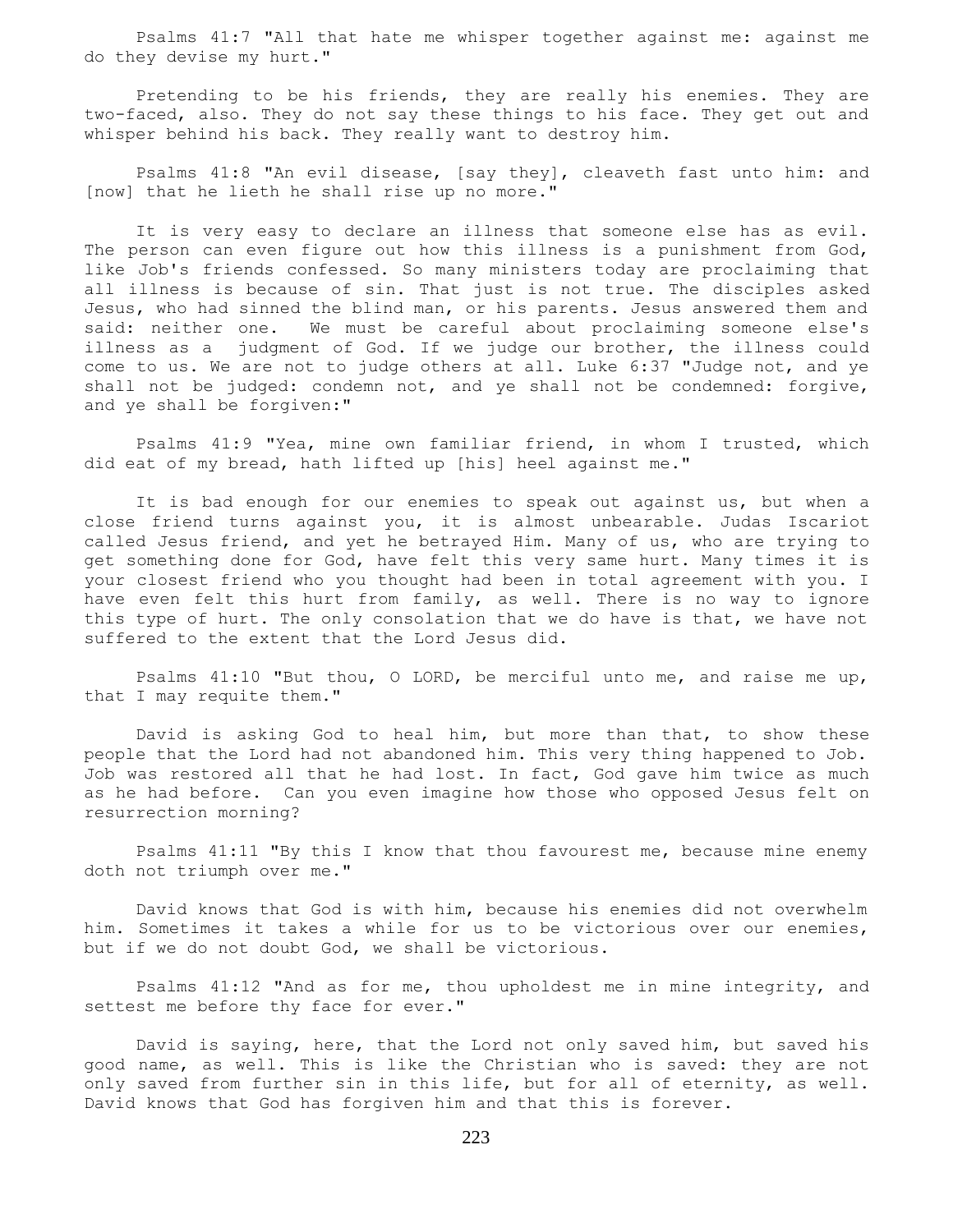Psalms 41:7 "All that hate me whisper together against me: against me do they devise my hurt."

 Pretending to be his friends, they are really his enemies. They are two-faced, also. They do not say these things to his face. They get out and whisper behind his back. They really want to destroy him.

 Psalms 41:8 "An evil disease, [say they], cleaveth fast unto him: and [now] that he lieth he shall rise up no more."

 It is very easy to declare an illness that someone else has as evil. The person can even figure out how this illness is a punishment from God, like Job's friends confessed. So many ministers today are proclaiming that all illness is because of sin. That just is not true. The disciples asked Jesus, who had sinned the blind man, or his parents. Jesus answered them and said: neither one. We must be careful about proclaiming someone else's illness as a judgment of God. If we judge our brother, the illness could come to us. We are not to judge others at all. Luke 6:37 "Judge not, and ye shall not be judged: condemn not, and ye shall not be condemned: forgive, and ye shall be forgiven:"

 Psalms 41:9 "Yea, mine own familiar friend, in whom I trusted, which did eat of my bread, hath lifted up [his] heel against me."

 It is bad enough for our enemies to speak out against us, but when a close friend turns against you, it is almost unbearable. Judas Iscariot called Jesus friend, and yet he betrayed Him. Many of us, who are trying to get something done for God, have felt this very same hurt. Many times it is your closest friend who you thought had been in total agreement with you. I have even felt this hurt from family, as well. There is no way to ignore this type of hurt. The only consolation that we do have is that, we have not suffered to the extent that the Lord Jesus did.

 Psalms 41:10 "But thou, O LORD, be merciful unto me, and raise me up, that I may requite them."

 David is asking God to heal him, but more than that, to show these people that the Lord had not abandoned him. This very thing happened to Job. Job was restored all that he had lost. In fact, God gave him twice as much as he had before. Can you even imagine how those who opposed Jesus felt on resurrection morning?

 Psalms 41:11 "By this I know that thou favourest me, because mine enemy doth not triumph over me."

 David knows that God is with him, because his enemies did not overwhelm him. Sometimes it takes a while for us to be victorious over our enemies, but if we do not doubt God, we shall be victorious.

 Psalms 41:12 "And as for me, thou upholdest me in mine integrity, and settest me before thy face for ever."

 David is saying, here, that the Lord not only saved him, but saved his good name, as well. This is like the Christian who is saved: they are not only saved from further sin in this life, but for all of eternity, as well. David knows that God has forgiven him and that this is forever.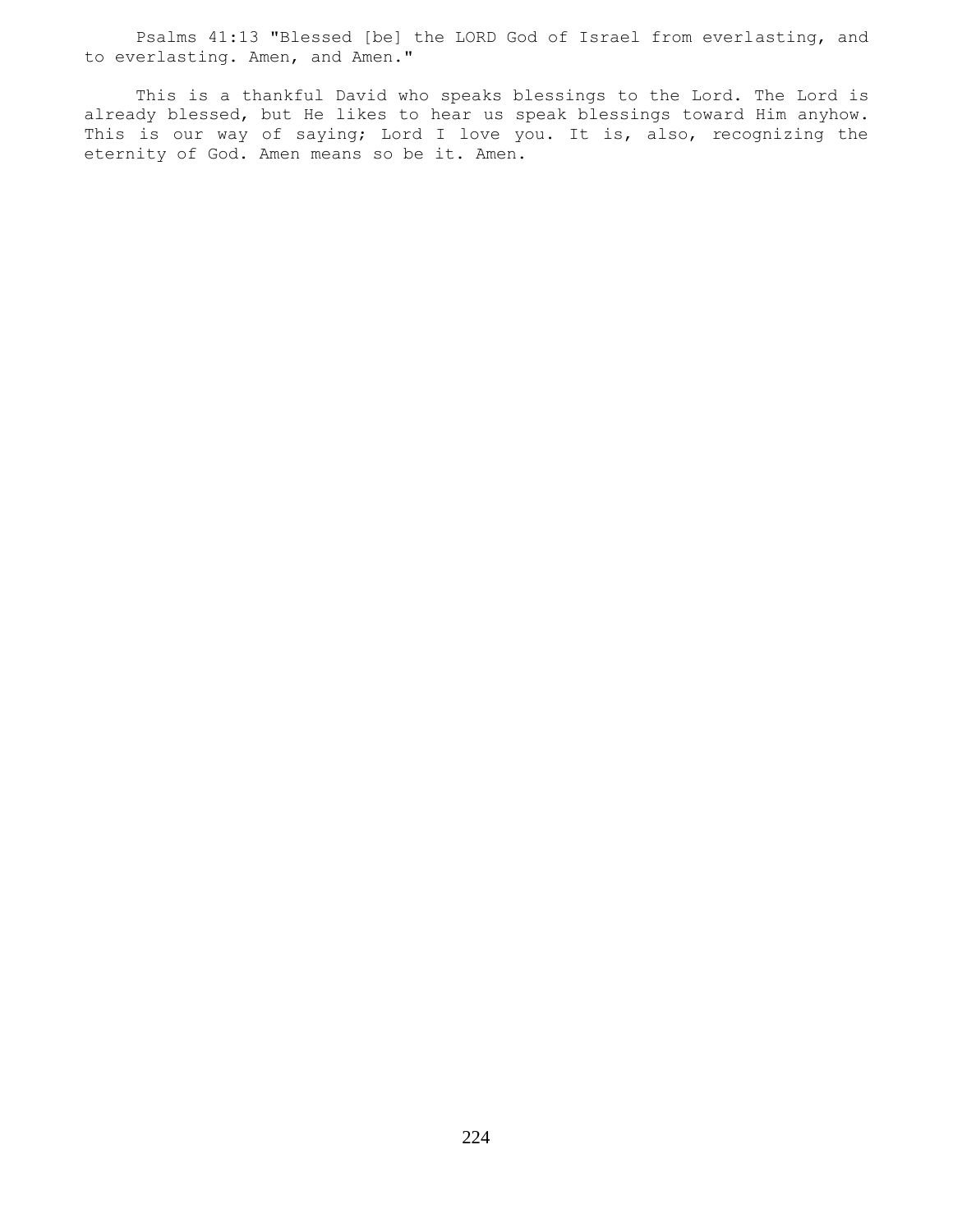Psalms 41:13 "Blessed [be] the LORD God of Israel from everlasting, and to everlasting. Amen, and Amen."

 This is a thankful David who speaks blessings to the Lord. The Lord is already blessed, but He likes to hear us speak blessings toward Him anyhow. This is our way of saying; Lord I love you. It is, also, recognizing the eternity of God. Amen means so be it. Amen.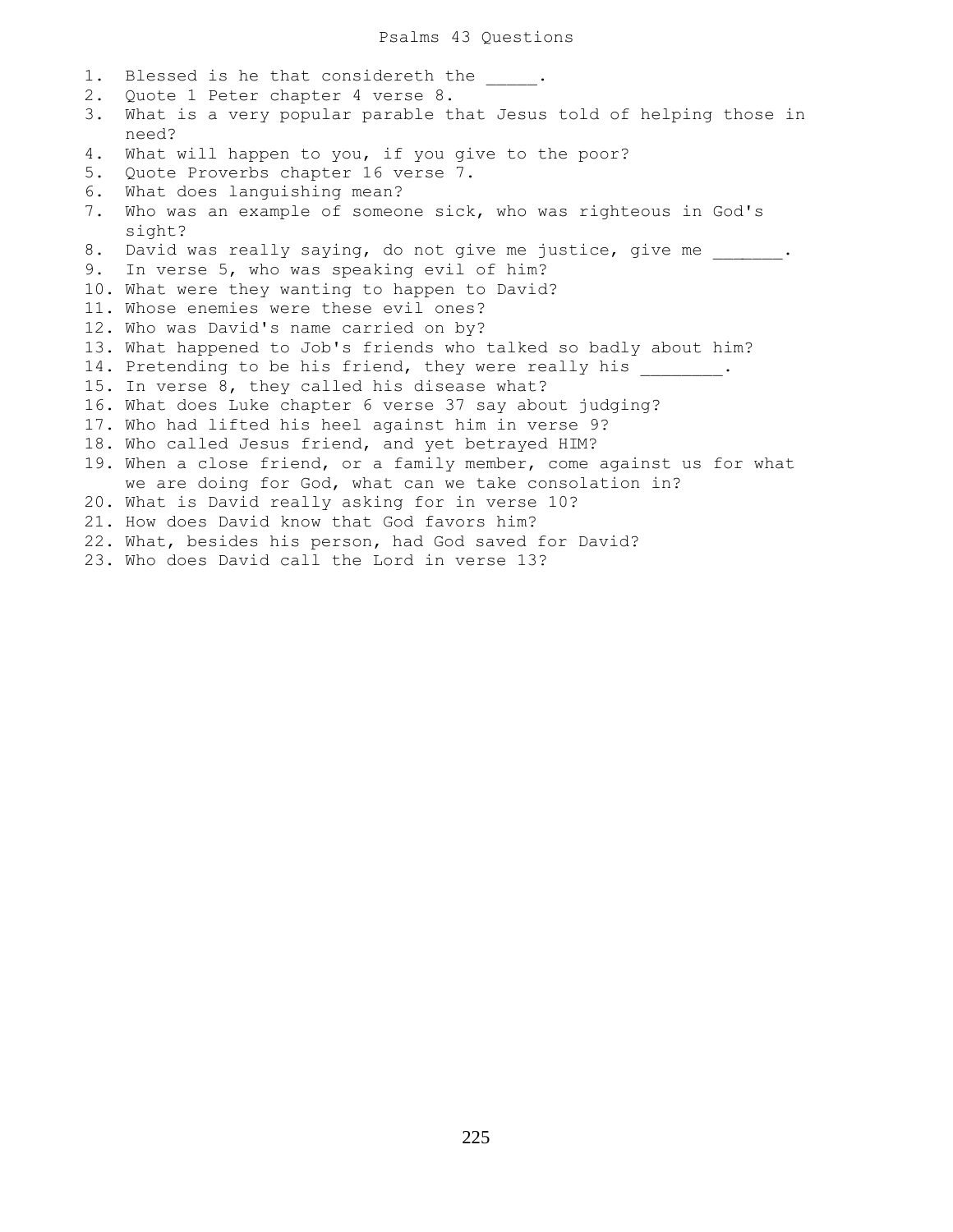1. Blessed is he that considereth the  $\qquad$ . 2. Quote 1 Peter chapter 4 verse 8. 3. What is a very popular parable that Jesus told of helping those in need? 4. What will happen to you, if you give to the poor? 5. Quote Proverbs chapter 16 verse 7. 6. What does languishing mean? 7. Who was an example of someone sick, who was righteous in God's sight? 8. David was really saying, do not give me justice, give me . 9. In verse 5, who was speaking evil of him? 10. What were they wanting to happen to David? 11. Whose enemies were these evil ones? 12. Who was David's name carried on by? 13. What happened to Job's friends who talked so badly about him? 14. Pretending to be his friend, they were really his . 15. In verse 8, they called his disease what? 16. What does Luke chapter 6 verse 37 say about judging? 17. Who had lifted his heel against him in verse 9? 18. Who called Jesus friend, and yet betrayed HIM? 19. When a close friend, or a family member, come against us for what we are doing for God, what can we take consolation in? 20. What is David really asking for in verse 10? 21. How does David know that God favors him? 22. What, besides his person, had God saved for David? 23. Who does David call the Lord in verse 13?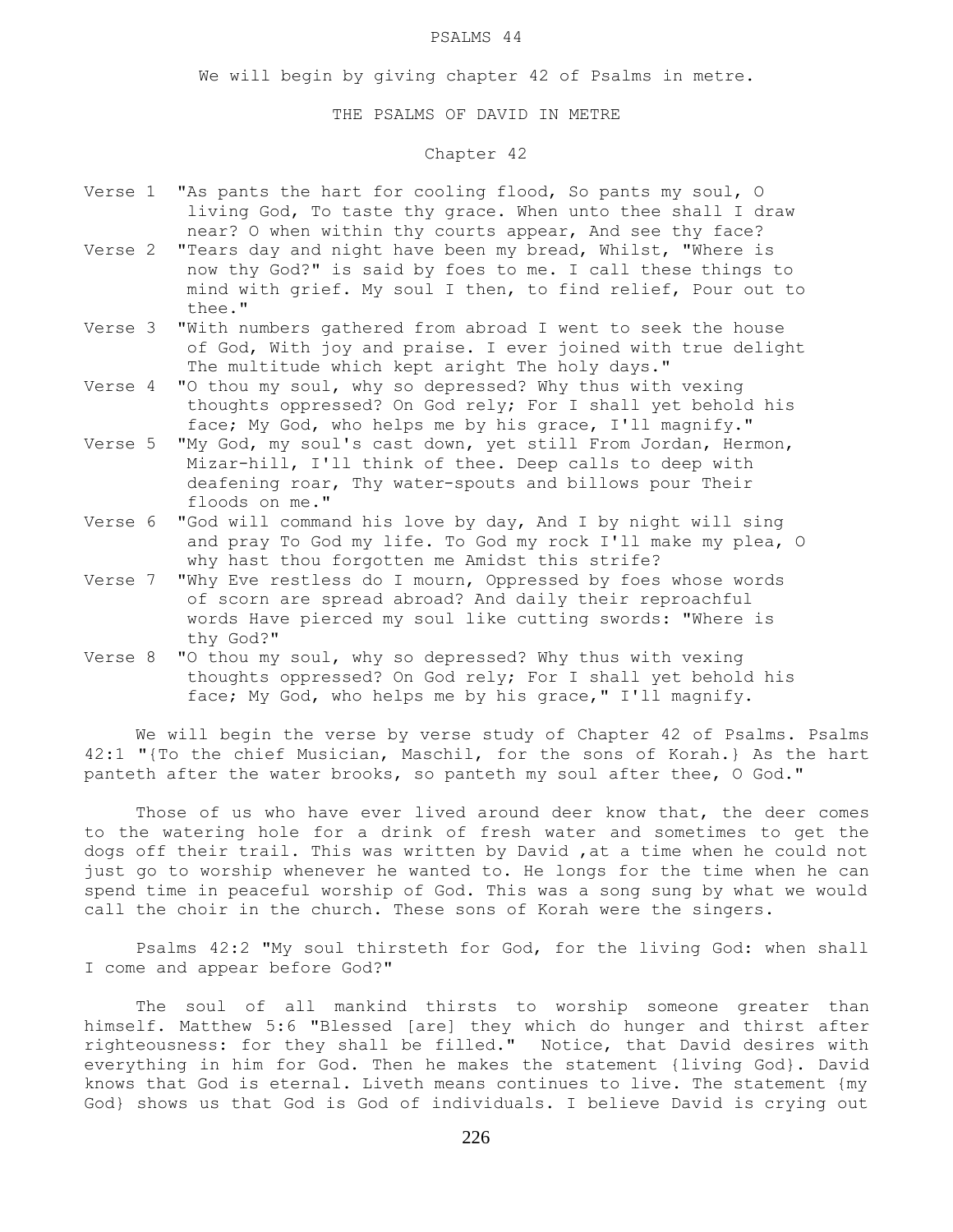#### PSALMS 44

We will begin by giving chapter 42 of Psalms in metre.

#### THE PSALMS OF DAVID IN METRE

# Chapter 42

- Verse 1 "As pants the hart for cooling flood, So pants my soul, O living God, To taste thy grace. When unto thee shall I draw near? O when within thy courts appear, And see thy face?
- Verse 2 "Tears day and night have been my bread, Whilst, "Where is now thy God?" is said by foes to me. I call these things to mind with grief. My soul I then, to find relief, Pour out to thee."
- Verse 3 "With numbers gathered from abroad I went to seek the house of God, With joy and praise. I ever joined with true delight The multitude which kept aright The holy days."
- Verse 4 "O thou my soul, why so depressed? Why thus with vexing thoughts oppressed? On God rely; For I shall yet behold his face; My God, who helps me by his grace, I'll magnify."
- Verse 5 "My God, my soul's cast down, yet still From Jordan, Hermon, Mizar-hill, I'll think of thee. Deep calls to deep with deafening roar, Thy water-spouts and billows pour Their floods on me."
- Verse 6 "God will command his love by day, And I by night will sing and pray To God my life. To God my rock I'll make my plea, O why hast thou forgotten me Amidst this strife?
- Verse 7 "Why Eve restless do I mourn, Oppressed by foes whose words of scorn are spread abroad? And daily their reproachful words Have pierced my soul like cutting swords: "Where is thy God?"
- Verse 8 "O thou my soul, why so depressed? Why thus with vexing thoughts oppressed? On God rely; For I shall yet behold his face; My God, who helps me by his grace," I'll magnify.

 We will begin the verse by verse study of Chapter 42 of Psalms. Psalms 42:1 "{To the chief Musician, Maschil, for the sons of Korah.} As the hart panteth after the water brooks, so panteth my soul after thee, O God."

Those of us who have ever lived around deer know that, the deer comes to the watering hole for a drink of fresh water and sometimes to get the dogs off their trail. This was written by David ,at a time when he could not just go to worship whenever he wanted to. He longs for the time when he can spend time in peaceful worship of God. This was a song sung by what we would call the choir in the church. These sons of Korah were the singers.

 Psalms 42:2 "My soul thirsteth for God, for the living God: when shall I come and appear before God?"

 The soul of all mankind thirsts to worship someone greater than himself. Matthew 5:6 "Blessed [are] they which do hunger and thirst after righteousness: for they shall be filled." Notice, that David desires with everything in him for God. Then he makes the statement {living God}. David knows that God is eternal. Liveth means continues to live. The statement {my God} shows us that God is God of individuals. I believe David is crying out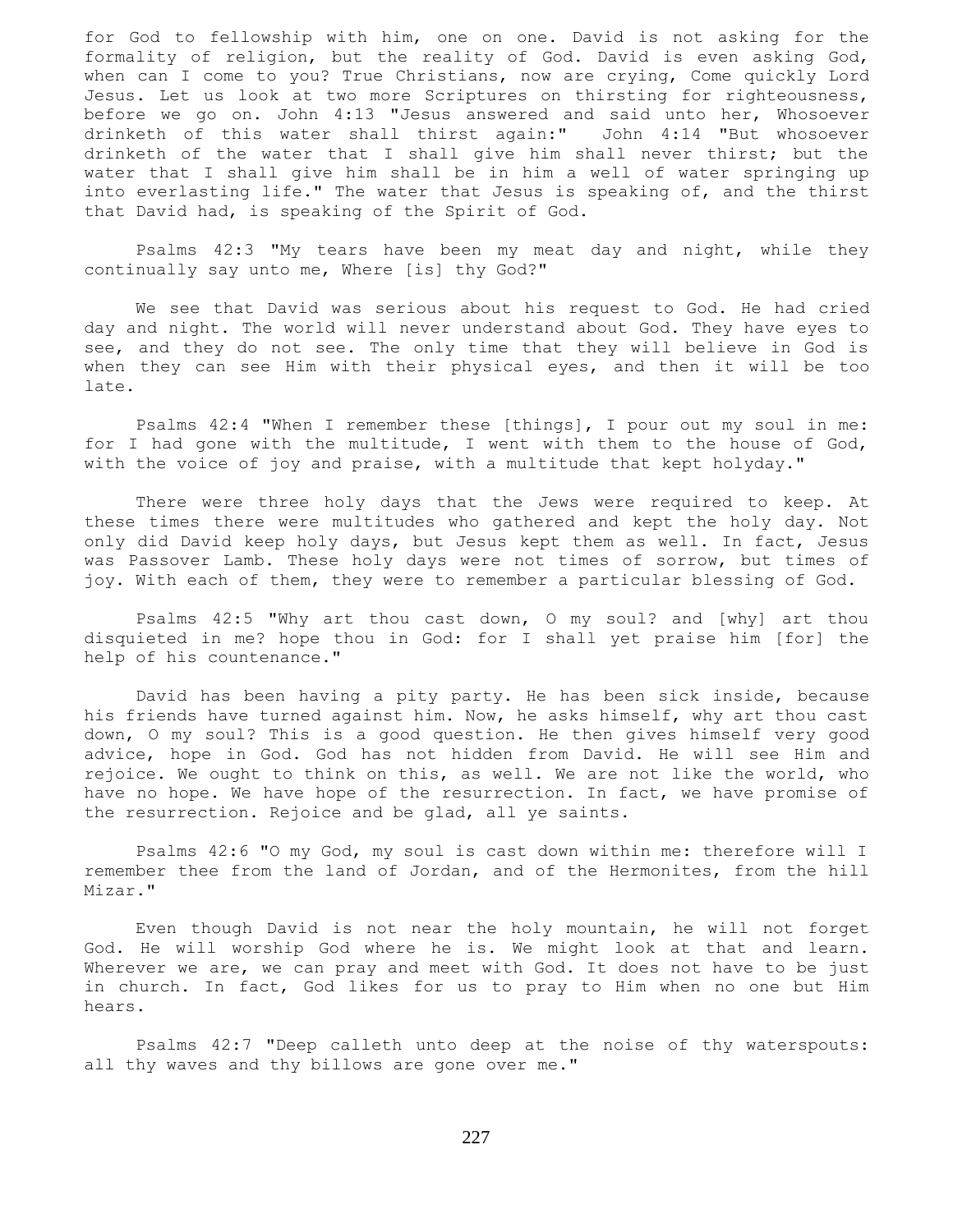for God to fellowship with him, one on one. David is not asking for the formality of religion, but the reality of God. David is even asking God, when can I come to you? True Christians, now are crying, Come quickly Lord Jesus. Let us look at two more Scriptures on thirsting for righteousness, before we go on. John 4:13 "Jesus answered and said unto her, Whosoever drinketh of this water shall thirst again:" John 4:14 "But whosoever drinketh of the water that I shall give him shall never thirst; but the water that I shall give him shall be in him a well of water springing up into everlasting life." The water that Jesus is speaking of, and the thirst that David had, is speaking of the Spirit of God.

 Psalms 42:3 "My tears have been my meat day and night, while they continually say unto me, Where [is] thy God?"

 We see that David was serious about his request to God. He had cried day and night. The world will never understand about God. They have eyes to see, and they do not see. The only time that they will believe in God is when they can see Him with their physical eyes, and then it will be too late.

 Psalms 42:4 "When I remember these [things], I pour out my soul in me: for I had gone with the multitude, I went with them to the house of God, with the voice of joy and praise, with a multitude that kept holyday."

 There were three holy days that the Jews were required to keep. At these times there were multitudes who gathered and kept the holy day. Not only did David keep holy days, but Jesus kept them as well. In fact, Jesus was Passover Lamb. These holy days were not times of sorrow, but times of joy. With each of them, they were to remember a particular blessing of God.

 Psalms 42:5 "Why art thou cast down, O my soul? and [why] art thou disquieted in me? hope thou in God: for I shall yet praise him [for] the help of his countenance."

 David has been having a pity party. He has been sick inside, because his friends have turned against him. Now, he asks himself, why art thou cast down, O my soul? This is a good question. He then gives himself very good advice, hope in God. God has not hidden from David. He will see Him and rejoice. We ought to think on this, as well. We are not like the world, who have no hope. We have hope of the resurrection. In fact, we have promise of the resurrection. Rejoice and be glad, all ye saints.

 Psalms 42:6 "O my God, my soul is cast down within me: therefore will I remember thee from the land of Jordan, and of the Hermonites, from the hill Mizar."

 Even though David is not near the holy mountain, he will not forget God. He will worship God where he is. We might look at that and learn. Wherever we are, we can pray and meet with God. It does not have to be just in church. In fact, God likes for us to pray to Him when no one but Him hears.

 Psalms 42:7 "Deep calleth unto deep at the noise of thy waterspouts: all thy waves and thy billows are gone over me."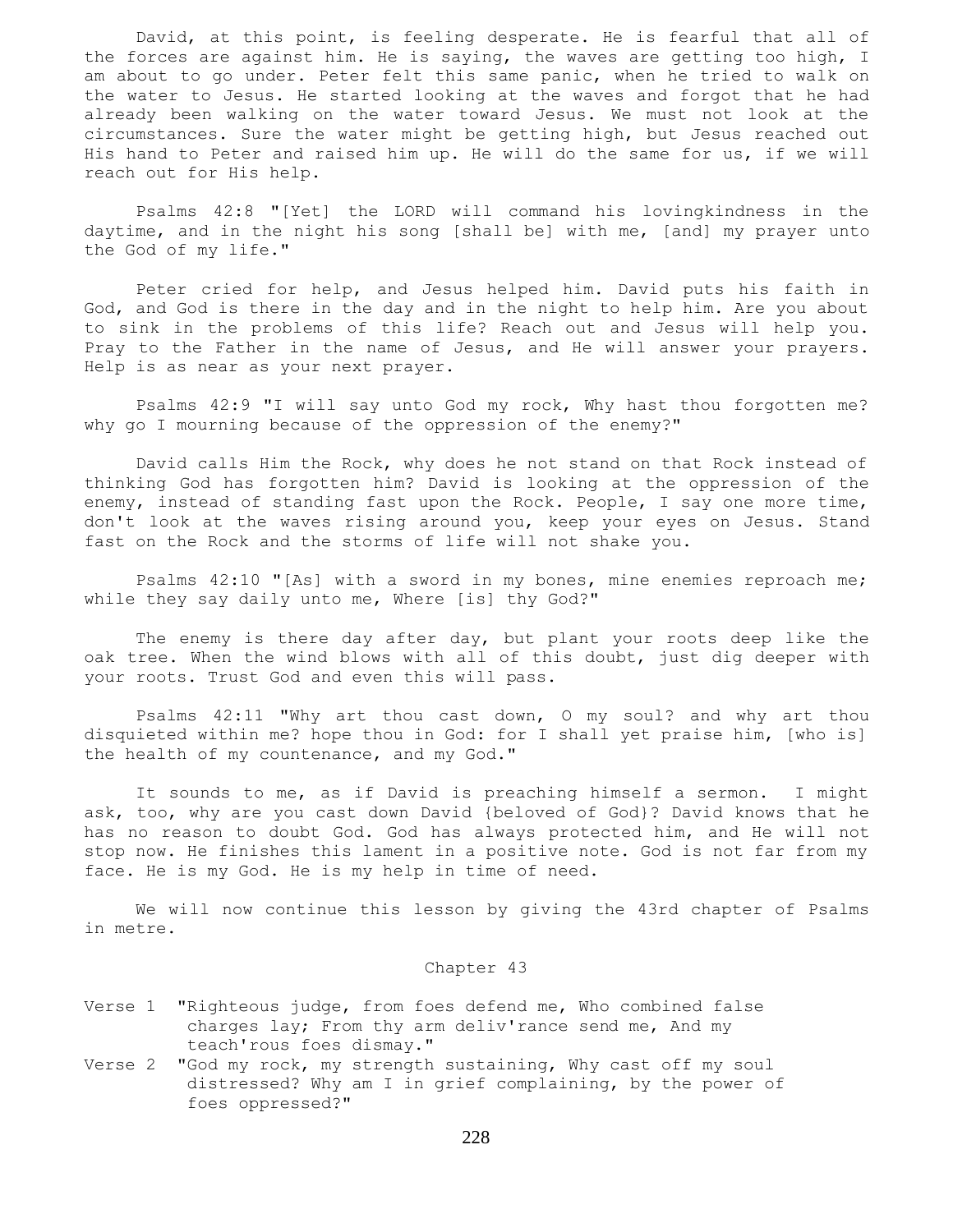David, at this point, is feeling desperate. He is fearful that all of the forces are against him. He is saying, the waves are getting too high, I am about to go under. Peter felt this same panic, when he tried to walk on the water to Jesus. He started looking at the waves and forgot that he had already been walking on the water toward Jesus. We must not look at the circumstances. Sure the water might be getting high, but Jesus reached out His hand to Peter and raised him up. He will do the same for us, if we will reach out for His help.

 Psalms 42:8 "[Yet] the LORD will command his lovingkindness in the daytime, and in the night his song [shall be] with me, [and] my prayer unto the God of my life."

 Peter cried for help, and Jesus helped him. David puts his faith in God, and God is there in the day and in the night to help him. Are you about to sink in the problems of this life? Reach out and Jesus will help you. Pray to the Father in the name of Jesus, and He will answer your prayers. Help is as near as your next prayer.

 Psalms 42:9 "I will say unto God my rock, Why hast thou forgotten me? why go I mourning because of the oppression of the enemy?"

 David calls Him the Rock, why does he not stand on that Rock instead of thinking God has forgotten him? David is looking at the oppression of the enemy, instead of standing fast upon the Rock. People, I say one more time, don't look at the waves rising around you, keep your eyes on Jesus. Stand fast on the Rock and the storms of life will not shake you.

 Psalms 42:10 "[As] with a sword in my bones, mine enemies reproach me; while they say daily unto me, Where [is] thy God?"

 The enemy is there day after day, but plant your roots deep like the oak tree. When the wind blows with all of this doubt, just dig deeper with your roots. Trust God and even this will pass.

 Psalms 42:11 "Why art thou cast down, O my soul? and why art thou disquieted within me? hope thou in God: for I shall yet praise him, [who is] the health of my countenance, and my God."

 It sounds to me, as if David is preaching himself a sermon. I might ask, too, why are you cast down David {beloved of God}? David knows that he has no reason to doubt God. God has always protected him, and He will not stop now. He finishes this lament in a positive note. God is not far from my face. He is my God. He is my help in time of need.

 We will now continue this lesson by giving the 43rd chapter of Psalms in metre.

# Chapter 43

- Verse 1 "Righteous judge, from foes defend me, Who combined false charges lay; From thy arm deliv'rance send me, And my teach'rous foes dismay."
- Verse 2 "God my rock, my strength sustaining, Why cast off my soul distressed? Why am I in grief complaining, by the power of foes oppressed?"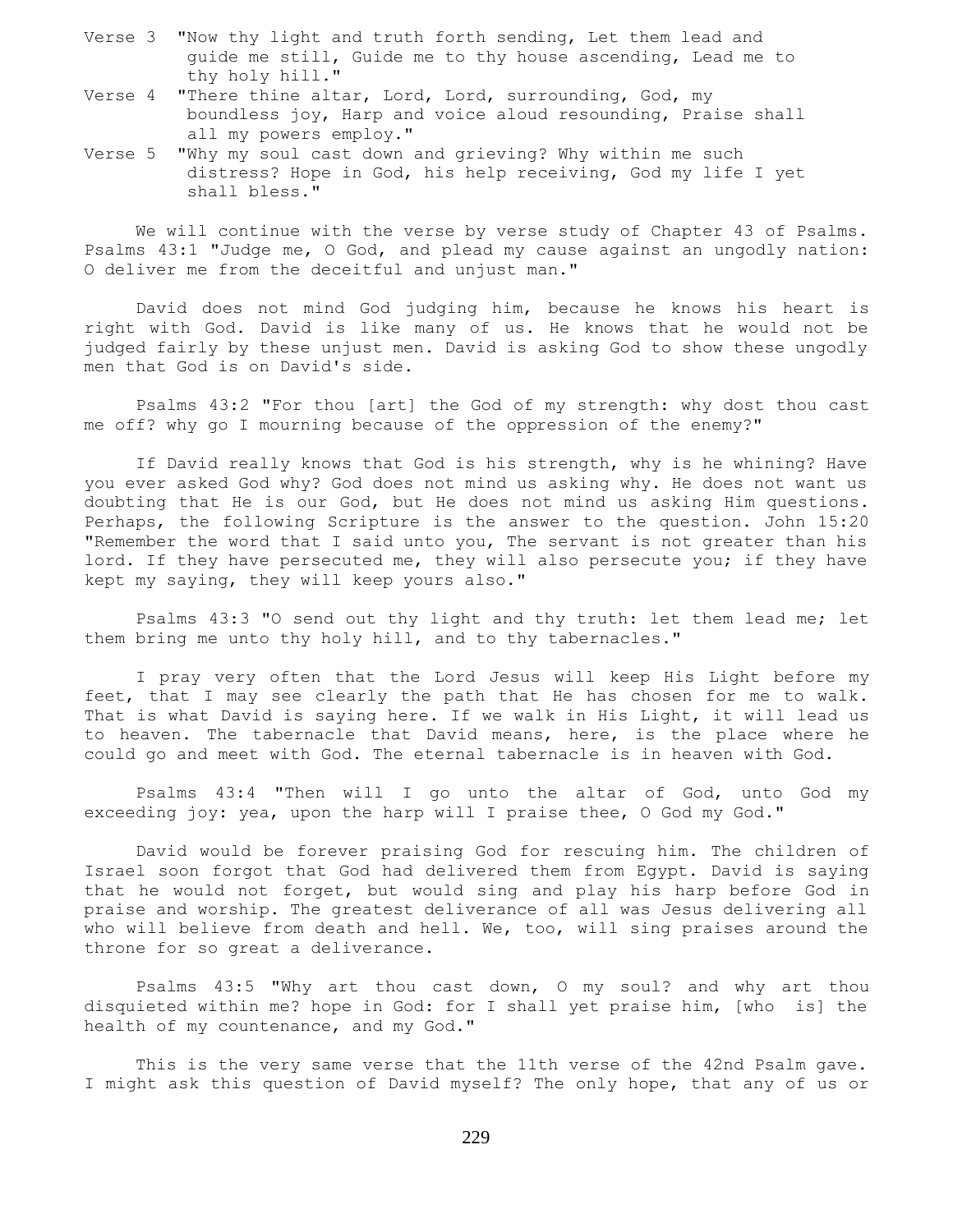- Verse 3 "Now thy light and truth forth sending, Let them lead and guide me still, Guide me to thy house ascending, Lead me to thy holy hill."
- Verse 4 "There thine altar, Lord, Lord, surrounding, God, my boundless joy, Harp and voice aloud resounding, Praise shall all my powers employ."
- Verse 5 "Why my soul cast down and grieving? Why within me such distress? Hope in God, his help receiving, God my life I yet shall bless."

 We will continue with the verse by verse study of Chapter 43 of Psalms. Psalms 43:1 "Judge me, O God, and plead my cause against an ungodly nation: O deliver me from the deceitful and unjust man."

 David does not mind God judging him, because he knows his heart is right with God. David is like many of us. He knows that he would not be judged fairly by these unjust men. David is asking God to show these ungodly men that God is on David's side.

 Psalms 43:2 "For thou [art] the God of my strength: why dost thou cast me off? why go I mourning because of the oppression of the enemy?"

 If David really knows that God is his strength, why is he whining? Have you ever asked God why? God does not mind us asking why. He does not want us doubting that He is our God, but He does not mind us asking Him questions. Perhaps, the following Scripture is the answer to the question. John 15:20 "Remember the word that I said unto you, The servant is not greater than his lord. If they have persecuted me, they will also persecute you; if they have kept my saying, they will keep yours also."

 Psalms 43:3 "O send out thy light and thy truth: let them lead me; let them bring me unto thy holy hill, and to thy tabernacles."

 I pray very often that the Lord Jesus will keep His Light before my feet, that I may see clearly the path that He has chosen for me to walk. That is what David is saying here. If we walk in His Light, it will lead us to heaven. The tabernacle that David means, here, is the place where he could go and meet with God. The eternal tabernacle is in heaven with God.

 Psalms 43:4 "Then will I go unto the altar of God, unto God my exceeding joy: yea, upon the harp will I praise thee, O God my God."

 David would be forever praising God for rescuing him. The children of Israel soon forgot that God had delivered them from Egypt. David is saying that he would not forget, but would sing and play his harp before God in praise and worship. The greatest deliverance of all was Jesus delivering all who will believe from death and hell. We, too, will sing praises around the throne for so great a deliverance.

 Psalms 43:5 "Why art thou cast down, O my soul? and why art thou disquieted within me? hope in God: for I shall yet praise him, [who is] the health of my countenance, and my God."

 This is the very same verse that the 11th verse of the 42nd Psalm gave. I might ask this question of David myself? The only hope, that any of us or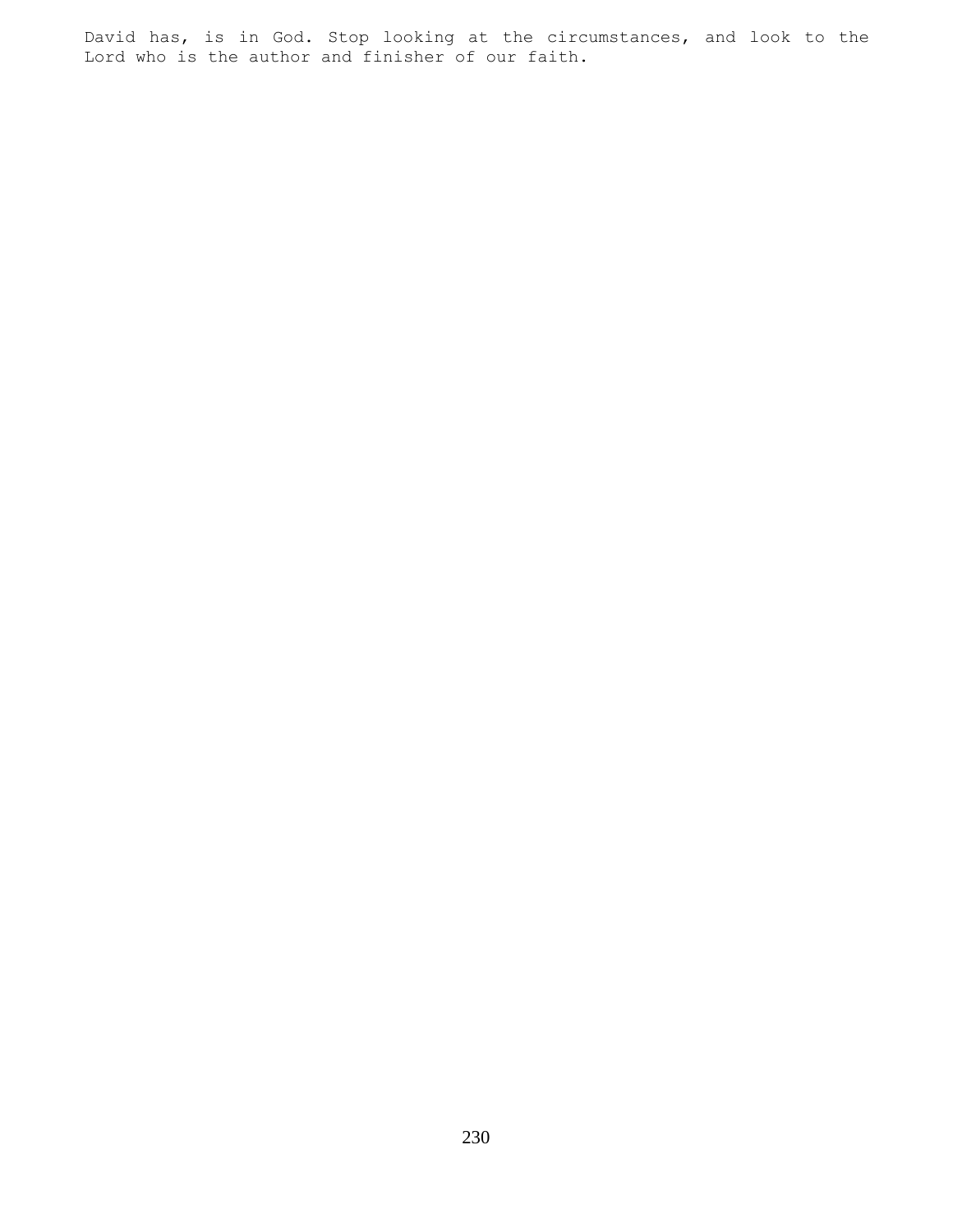David has, is in God. Stop looking at the circumstances, and look to the Lord who is the author and finisher of our faith.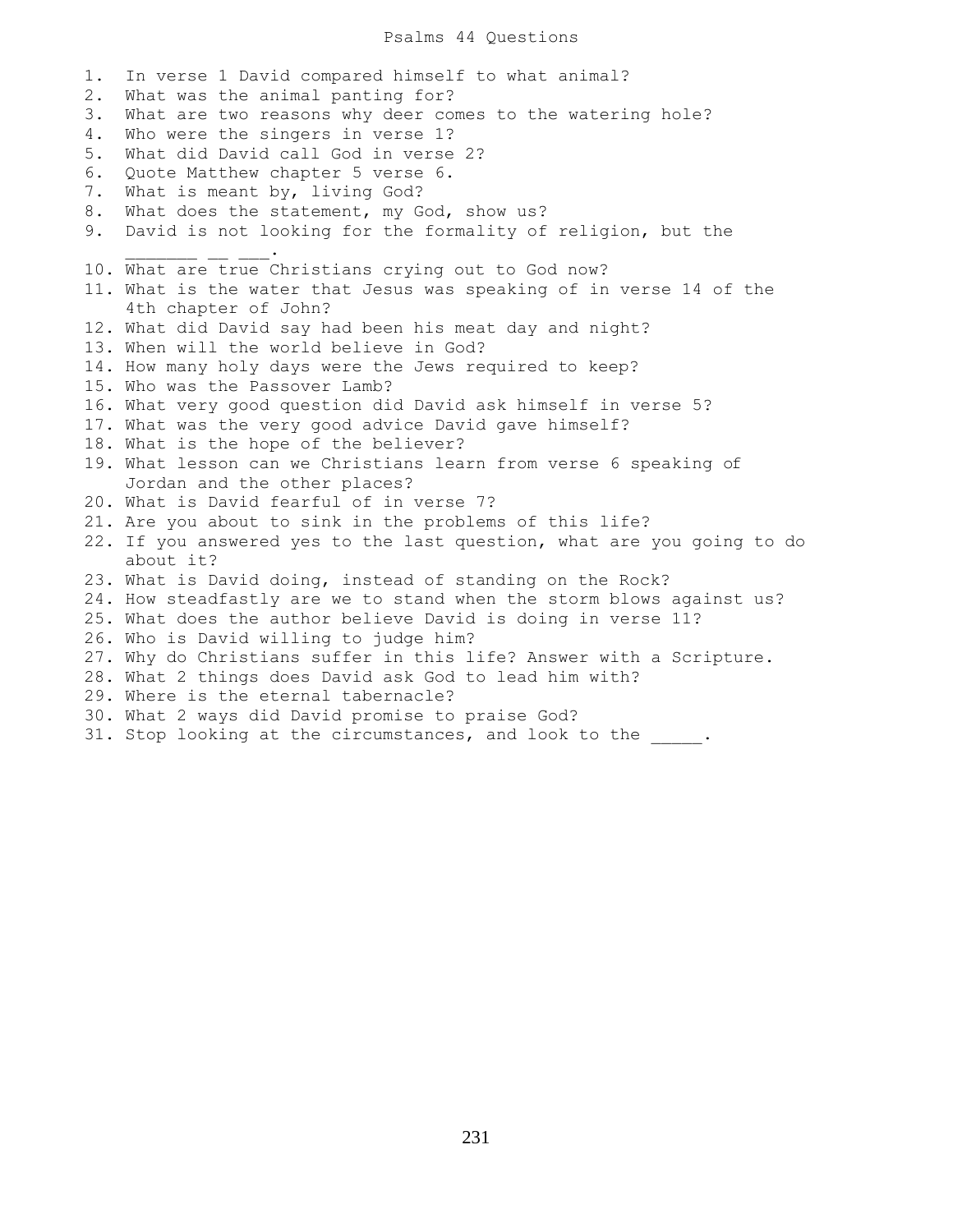### Psalms 44 Questions

1. In verse 1 David compared himself to what animal? 2. What was the animal panting for? 3. What are two reasons why deer comes to the watering hole? 4. Who were the singers in verse 1? 5. What did David call God in verse 2? 6. Quote Matthew chapter 5 verse 6. 7. What is meant by, living God? 8. What does the statement, my God, show us? 9. David is not looking for the formality of religion, but the  $\mathcal{L}=\mathcal{L}=\mathcal{L}=\mathcal{L}=\mathcal{L}=\mathcal{L}=\mathcal{L}$ 10. What are true Christians crying out to God now? 11. What is the water that Jesus was speaking of in verse 14 of the 4th chapter of John? 12. What did David say had been his meat day and night? 13. When will the world believe in God? 14. How many holy days were the Jews required to keep? 15. Who was the Passover Lamb? 16. What very good question did David ask himself in verse 5? 17. What was the very good advice David gave himself? 18. What is the hope of the believer? 19. What lesson can we Christians learn from verse 6 speaking of Jordan and the other places? 20. What is David fearful of in verse 7? 21. Are you about to sink in the problems of this life? 22. If you answered yes to the last question, what are you going to do about it? 23. What is David doing, instead of standing on the Rock? 24. How steadfastly are we to stand when the storm blows against us? 25. What does the author believe David is doing in verse 11? 26. Who is David willing to judge him? 27. Why do Christians suffer in this life? Answer with a Scripture. 28. What 2 things does David ask God to lead him with? 29. Where is the eternal tabernacle? 30. What 2 ways did David promise to praise God? 31. Stop looking at the circumstances, and look to the  $\qquad$ .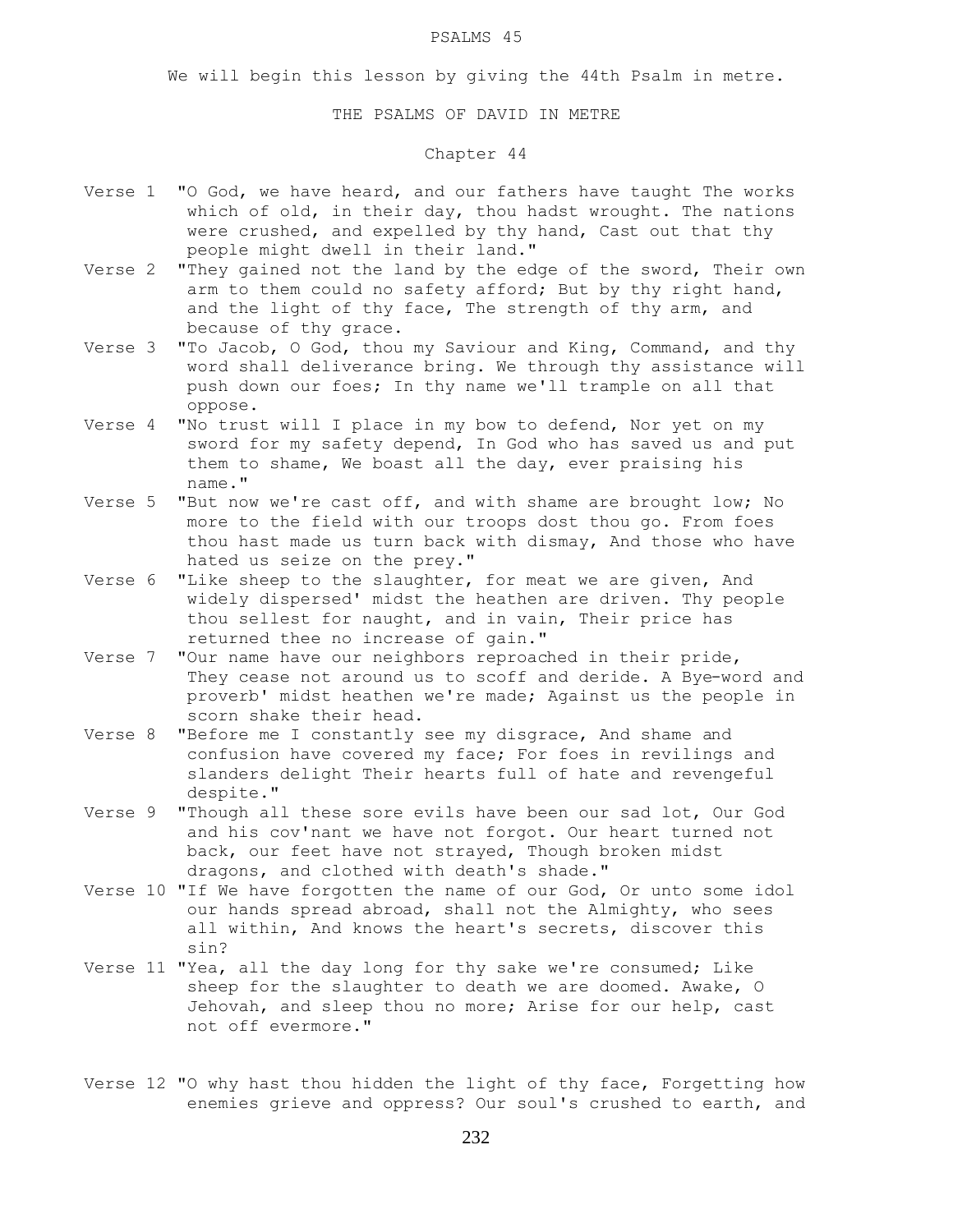#### PSALMS 45

We will begin this lesson by giving the 44th Psalm in metre.

### THE PSALMS OF DAVID IN METRE

# Chapter 44

- Verse 1 "O God, we have heard, and our fathers have taught The works which of old, in their day, thou hadst wrought. The nations were crushed, and expelled by thy hand, Cast out that thy people might dwell in their land."
- Verse 2 "They gained not the land by the edge of the sword, Their own arm to them could no safety afford; But by thy right hand, and the light of thy face, The strength of thy arm, and because of thy grace.
- Verse 3 "To Jacob, O God, thou my Saviour and King, Command, and thy word shall deliverance bring. We through thy assistance will push down our foes; In thy name we'll trample on all that oppose.
- Verse 4 "No trust will I place in my bow to defend, Nor yet on my sword for my safety depend, In God who has saved us and put them to shame, We boast all the day, ever praising his name."
- Verse 5 "But now we're cast off, and with shame are brought low; No more to the field with our troops dost thou go. From foes thou hast made us turn back with dismay, And those who have hated us seize on the prey."
- Verse 6 "Like sheep to the slaughter, for meat we are given, And widely dispersed' midst the heathen are driven. Thy people thou sellest for naught, and in vain, Their price has returned thee no increase of gain."
- Verse 7 "Our name have our neighbors reproached in their pride, They cease not around us to scoff and deride. A Bye-word and proverb' midst heathen we're made; Against us the people in scorn shake their head.
- Verse 8 "Before me I constantly see my disgrace, And shame and confusion have covered my face; For foes in revilings and slanders delight Their hearts full of hate and revengeful despite."
- Verse 9 "Though all these sore evils have been our sad lot, Our God and his cov'nant we have not forgot. Our heart turned not back, our feet have not strayed, Though broken midst dragons, and clothed with death's shade."
- Verse 10 "If We have forgotten the name of our God, Or unto some idol our hands spread abroad, shall not the Almighty, who sees all within, And knows the heart's secrets, discover this sin?
- Verse 11 "Yea, all the day long for thy sake we're consumed; Like sheep for the slaughter to death we are doomed. Awake, O Jehovah, and sleep thou no more; Arise for our help, cast not off evermore."
- Verse 12 "O why hast thou hidden the light of thy face, Forgetting how enemies grieve and oppress? Our soul's crushed to earth, and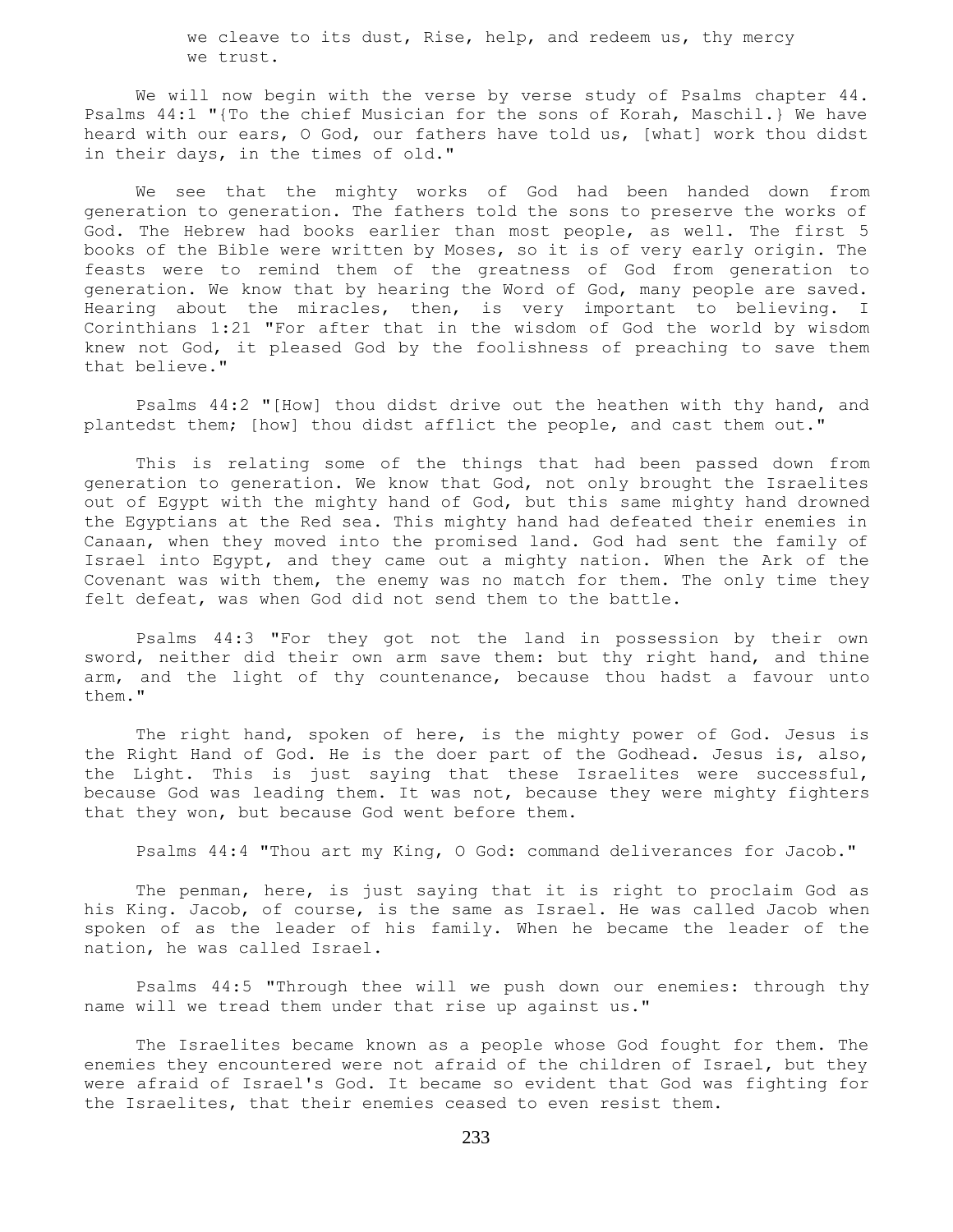we cleave to its dust, Rise, help, and redeem us, thy mercy we trust.

We will now begin with the verse by verse study of Psalms chapter 44. Psalms 44:1 "{To the chief Musician for the sons of Korah, Maschil.} We have heard with our ears, O God, our fathers have told us, [what] work thou didst in their days, in the times of old."

 We see that the mighty works of God had been handed down from generation to generation. The fathers told the sons to preserve the works of God. The Hebrew had books earlier than most people, as well. The first 5 books of the Bible were written by Moses, so it is of very early origin. The feasts were to remind them of the greatness of God from generation to generation. We know that by hearing the Word of God, many people are saved. Hearing about the miracles, then, is very important to believing. I Corinthians 1:21 "For after that in the wisdom of God the world by wisdom knew not God, it pleased God by the foolishness of preaching to save them that believe."

 Psalms 44:2 "[How] thou didst drive out the heathen with thy hand, and plantedst them; [how] thou didst afflict the people, and cast them out."

 This is relating some of the things that had been passed down from generation to generation. We know that God, not only brought the Israelites out of Egypt with the mighty hand of God, but this same mighty hand drowned the Egyptians at the Red sea. This mighty hand had defeated their enemies in Canaan, when they moved into the promised land. God had sent the family of Israel into Egypt, and they came out a mighty nation. When the Ark of the Covenant was with them, the enemy was no match for them. The only time they felt defeat, was when God did not send them to the battle.

 Psalms 44:3 "For they got not the land in possession by their own sword, neither did their own arm save them: but thy right hand, and thine arm, and the light of thy countenance, because thou hadst a favour unto them."

 The right hand, spoken of here, is the mighty power of God. Jesus is the Right Hand of God. He is the doer part of the Godhead. Jesus is, also, the Light. This is just saying that these Israelites were successful, because God was leading them. It was not, because they were mighty fighters that they won, but because God went before them.

Psalms 44:4 "Thou art my King, O God: command deliverances for Jacob."

 The penman, here, is just saying that it is right to proclaim God as his King. Jacob, of course, is the same as Israel. He was called Jacob when spoken of as the leader of his family. When he became the leader of the nation, he was called Israel.

 Psalms 44:5 "Through thee will we push down our enemies: through thy name will we tread them under that rise up against us."

 The Israelites became known as a people whose God fought for them. The enemies they encountered were not afraid of the children of Israel, but they were afraid of Israel's God. It became so evident that God was fighting for the Israelites, that their enemies ceased to even resist them.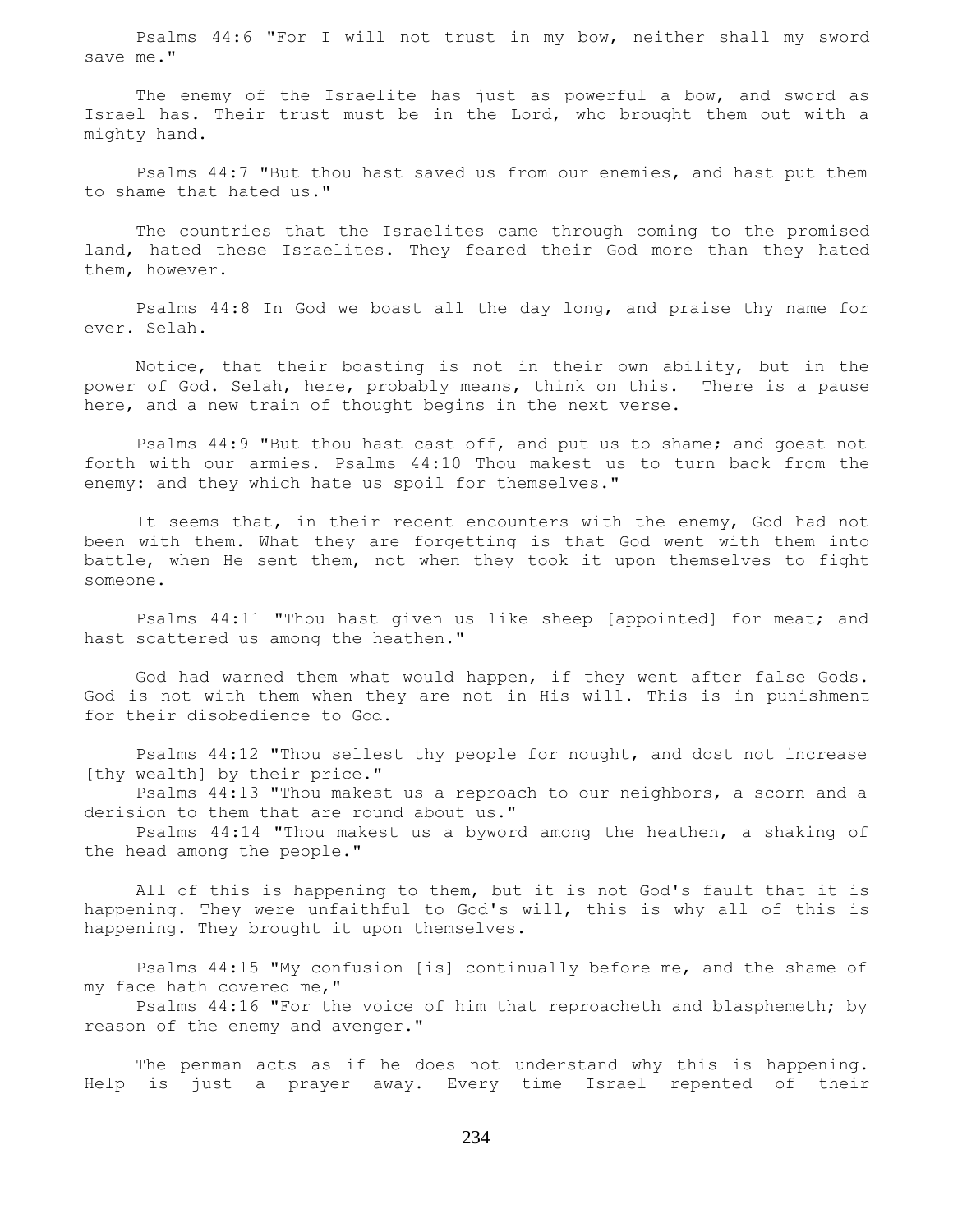Psalms 44:6 "For I will not trust in my bow, neither shall my sword save me."

The enemy of the Israelite has just as powerful a bow, and sword as Israel has. Their trust must be in the Lord, who brought them out with a mighty hand.

 Psalms 44:7 "But thou hast saved us from our enemies, and hast put them to shame that hated us."

 The countries that the Israelites came through coming to the promised land, hated these Israelites. They feared their God more than they hated them, however.

 Psalms 44:8 In God we boast all the day long, and praise thy name for ever. Selah.

 Notice, that their boasting is not in their own ability, but in the power of God. Selah, here, probably means, think on this. There is a pause here, and a new train of thought begins in the next verse.

 Psalms 44:9 "But thou hast cast off, and put us to shame; and goest not forth with our armies. Psalms 44:10 Thou makest us to turn back from the enemy: and they which hate us spoil for themselves."

 It seems that, in their recent encounters with the enemy, God had not been with them. What they are forgetting is that God went with them into battle, when He sent them, not when they took it upon themselves to fight someone.

 Psalms 44:11 "Thou hast given us like sheep [appointed] for meat; and hast scattered us among the heathen."

 God had warned them what would happen, if they went after false Gods. God is not with them when they are not in His will. This is in punishment for their disobedience to God.

 Psalms 44:12 "Thou sellest thy people for nought, and dost not increase [thy wealth] by their price."

 Psalms 44:13 "Thou makest us a reproach to our neighbors, a scorn and a derision to them that are round about us."

 Psalms 44:14 "Thou makest us a byword among the heathen, a shaking of the head among the people."

 All of this is happening to them, but it is not God's fault that it is happening. They were unfaithful to God's will, this is why all of this is happening. They brought it upon themselves.

 Psalms 44:15 "My confusion [is] continually before me, and the shame of my face hath covered me,"

 Psalms 44:16 "For the voice of him that reproacheth and blasphemeth; by reason of the enemy and avenger."

 The penman acts as if he does not understand why this is happening. Help is just a prayer away. Every time Israel repented of their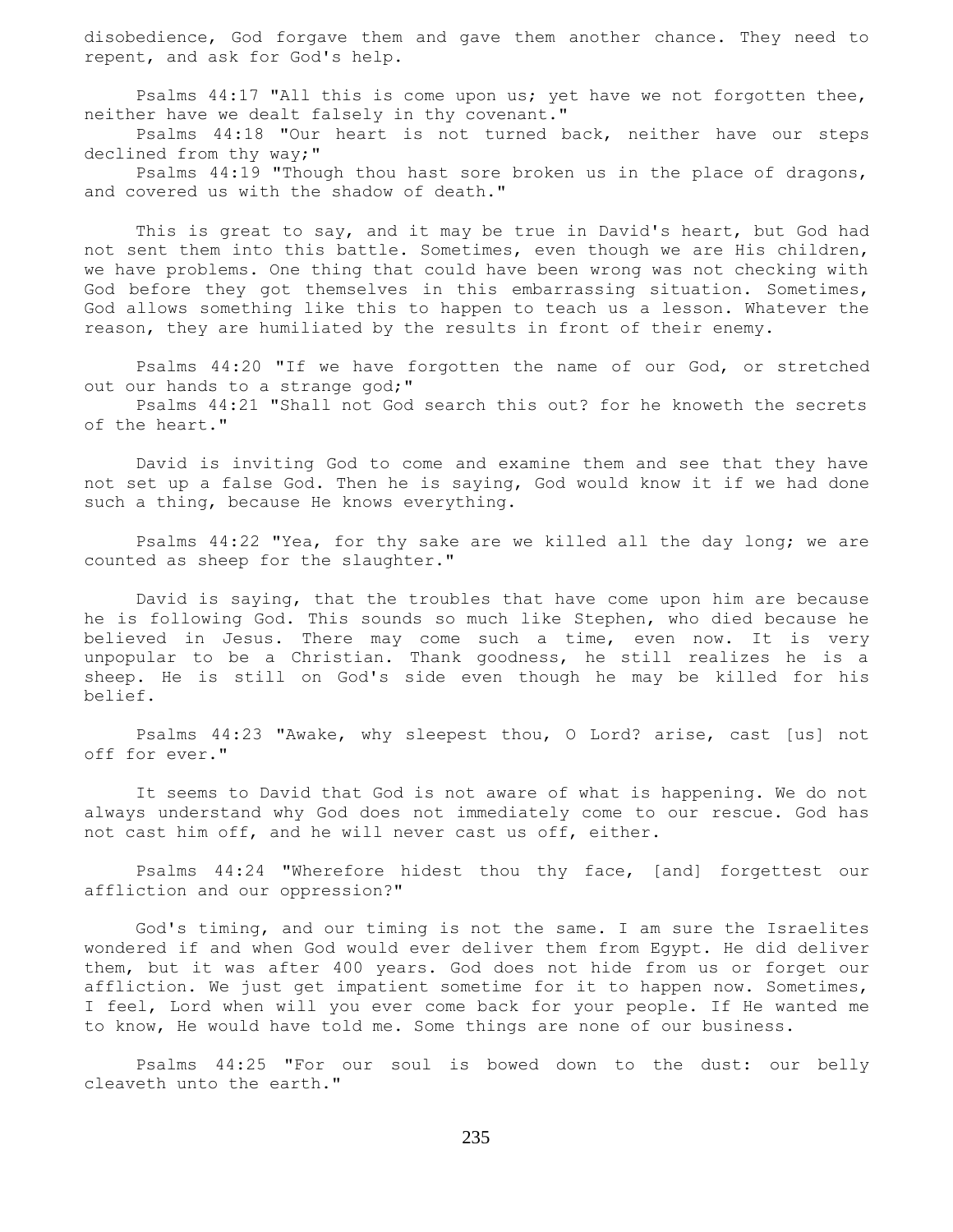disobedience, God forgave them and gave them another chance. They need to repent, and ask for God's help.

 Psalms 44:17 "All this is come upon us; yet have we not forgotten thee, neither have we dealt falsely in thy covenant."

 Psalms 44:18 "Our heart is not turned back, neither have our steps declined from thy way;"

Psalms 44:19 "Though thou hast sore broken us in the place of dragons, and covered us with the shadow of death."

 This is great to say, and it may be true in David's heart, but God had not sent them into this battle. Sometimes, even though we are His children, we have problems. One thing that could have been wrong was not checking with God before they got themselves in this embarrassing situation. Sometimes, God allows something like this to happen to teach us a lesson. Whatever the reason, they are humiliated by the results in front of their enemy.

 Psalms 44:20 "If we have forgotten the name of our God, or stretched out our hands to a strange god;"

 Psalms 44:21 "Shall not God search this out? for he knoweth the secrets of the heart."

 David is inviting God to come and examine them and see that they have not set up a false God. Then he is saying, God would know it if we had done such a thing, because He knows everything.

 Psalms 44:22 "Yea, for thy sake are we killed all the day long; we are counted as sheep for the slaughter."

 David is saying, that the troubles that have come upon him are because he is following God. This sounds so much like Stephen, who died because he believed in Jesus. There may come such a time, even now. It is very unpopular to be a Christian. Thank goodness, he still realizes he is a sheep. He is still on God's side even though he may be killed for his belief.

 Psalms 44:23 "Awake, why sleepest thou, O Lord? arise, cast [us] not off for ever."

 It seems to David that God is not aware of what is happening. We do not always understand why God does not immediately come to our rescue. God has not cast him off, and he will never cast us off, either.

 Psalms 44:24 "Wherefore hidest thou thy face, [and] forgettest our affliction and our oppression?"

 God's timing, and our timing is not the same. I am sure the Israelites wondered if and when God would ever deliver them from Egypt. He did deliver them, but it was after 400 years. God does not hide from us or forget our affliction. We just get impatient sometime for it to happen now. Sometimes, I feel, Lord when will you ever come back for your people. If He wanted me to know, He would have told me. Some things are none of our business.

 Psalms 44:25 "For our soul is bowed down to the dust: our belly cleaveth unto the earth."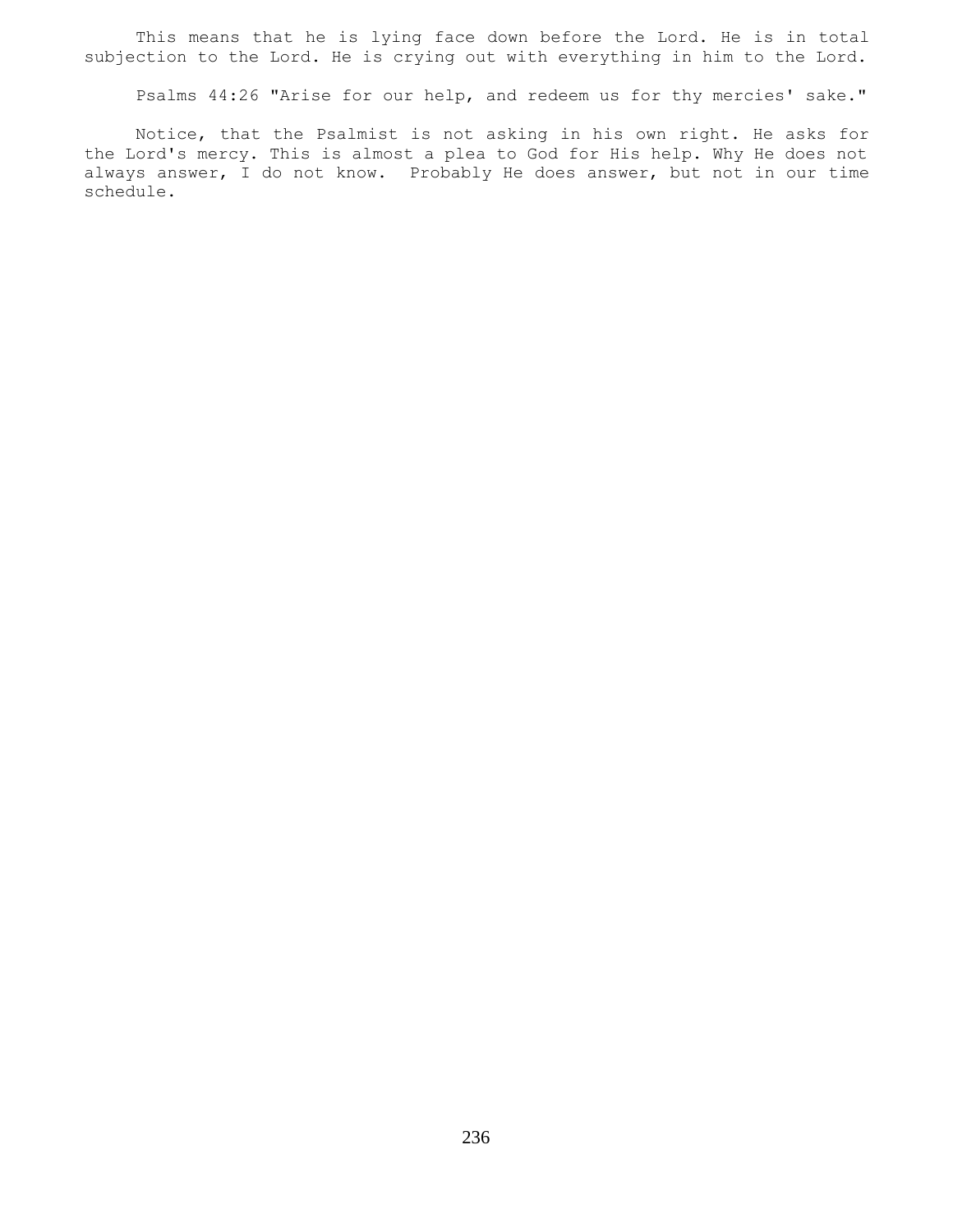This means that he is lying face down before the Lord. He is in total subjection to the Lord. He is crying out with everything in him to the Lord.

Psalms 44:26 "Arise for our help, and redeem us for thy mercies' sake."

 Notice, that the Psalmist is not asking in his own right. He asks for the Lord's mercy. This is almost a plea to God for His help. Why He does not always answer, I do not know. Probably He does answer, but not in our time schedule.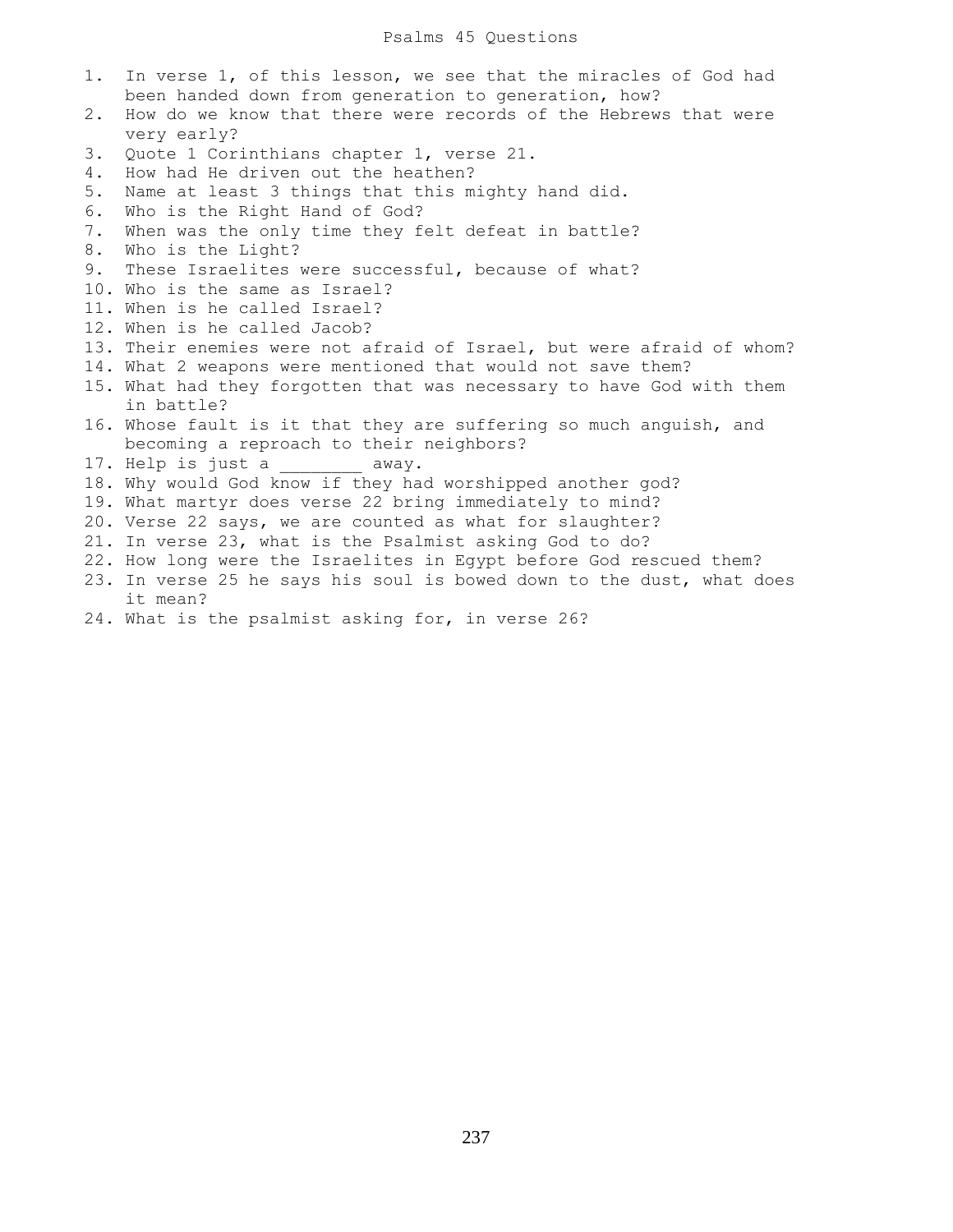- 1. In verse 1, of this lesson, we see that the miracles of God had been handed down from generation to generation, how?
- 2. How do we know that there were records of the Hebrews that were very early?
- 3. Quote 1 Corinthians chapter 1, verse 21.
- 4. How had He driven out the heathen?
- 5. Name at least 3 things that this mighty hand did.
- 6. Who is the Right Hand of God?
- 7. When was the only time they felt defeat in battle?
- 8. Who is the Light?
- 9. These Israelites were successful, because of what?
- 10. Who is the same as Israel?
- 11. When is he called Israel?
- 12. When is he called Jacob?
- 13. Their enemies were not afraid of Israel, but were afraid of whom?
- 14. What 2 weapons were mentioned that would not save them?
- 15. What had they forgotten that was necessary to have God with them in battle?
- 16. Whose fault is it that they are suffering so much anguish, and becoming a reproach to their neighbors?
- 17. Help is just a \_\_\_\_\_\_\_ away.
- 18. Why would God know if they had worshipped another god?
- 19. What martyr does verse 22 bring immediately to mind?
- 20. Verse 22 says, we are counted as what for slaughter?
- 21. In verse 23, what is the Psalmist asking God to do?
- 22. How long were the Israelites in Egypt before God rescued them?
- 23. In verse 25 he says his soul is bowed down to the dust, what does it mean?
- 24. What is the psalmist asking for, in verse 26?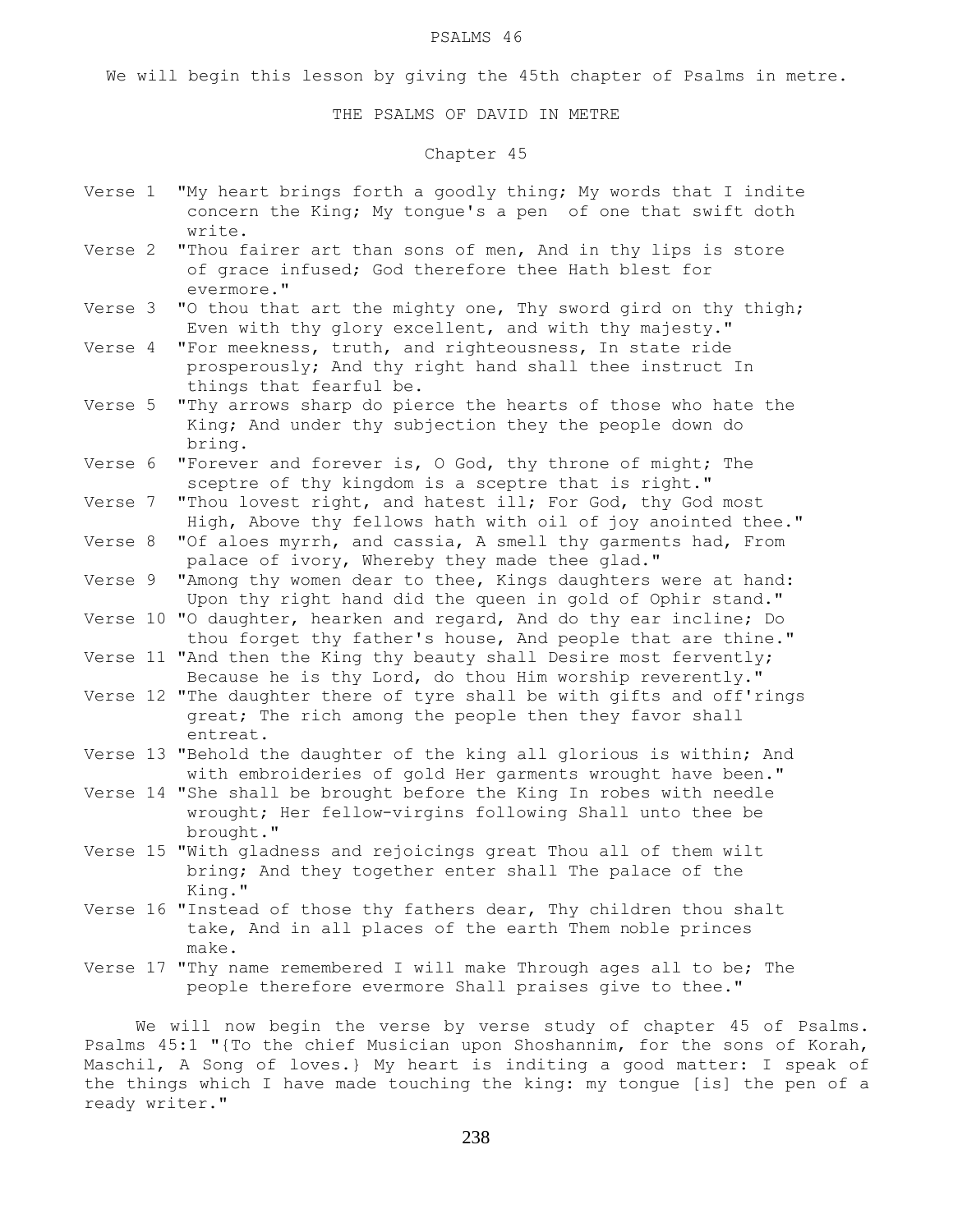#### PSALMS 46

We will begin this lesson by giving the 45th chapter of Psalms in metre.

#### THE PSALMS OF DAVID IN METRE

# Chapter 45

- Verse 1 "My heart brings forth a goodly thing; My words that I indite concern the King; My tongue's a pen of one that swift doth write.
- Verse 2 "Thou fairer art than sons of men, And in thy lips is store of grace infused; God therefore thee Hath blest for evermore."
- Verse 3 "O thou that art the mighty one, Thy sword gird on thy thigh; Even with thy glory excellent, and with thy majesty."
- Verse 4 "For meekness, truth, and righteousness, In state ride prosperously; And thy right hand shall thee instruct In things that fearful be.
- Verse 5 "Thy arrows sharp do pierce the hearts of those who hate the King; And under thy subjection they the people down do bring.
- Verse 6 "Forever and forever is, O God, thy throne of might; The sceptre of thy kingdom is a sceptre that is right."
- Verse 7 "Thou lovest right, and hatest ill; For God, thy God most High, Above thy fellows hath with oil of joy anointed thee."
- Verse 8 "Of aloes myrrh, and cassia, A smell thy garments had, From palace of ivory, Whereby they made thee glad."
- Verse 9 "Among thy women dear to thee, Kings daughters were at hand: Upon thy right hand did the queen in gold of Ophir stand."
- Verse 10 "O daughter, hearken and regard, And do thy ear incline; Do thou forget thy father's house, And people that are thine."
- Verse 11 "And then the King thy beauty shall Desire most fervently; Because he is thy Lord, do thou Him worship reverently."
- Verse 12 "The daughter there of tyre shall be with gifts and off'rings great; The rich among the people then they favor shall entreat.
- Verse 13 "Behold the daughter of the king all glorious is within; And with embroideries of gold Her garments wrought have been."
- Verse 14 "She shall be brought before the King In robes with needle wrought; Her fellow-virgins following Shall unto thee be brought."
- Verse 15 "With gladness and rejoicings great Thou all of them wilt bring; And they together enter shall The palace of the King."
- Verse 16 "Instead of those thy fathers dear, Thy children thou shalt take, And in all places of the earth Them noble princes make.
- Verse 17 "Thy name remembered I will make Through ages all to be; The people therefore evermore Shall praises give to thee."

 We will now begin the verse by verse study of chapter 45 of Psalms. Psalms 45:1 "{To the chief Musician upon Shoshannim, for the sons of Korah, Maschil, A Song of loves.} My heart is inditing a good matter: I speak of the things which I have made touching the king: my tongue [is] the pen of a ready writer."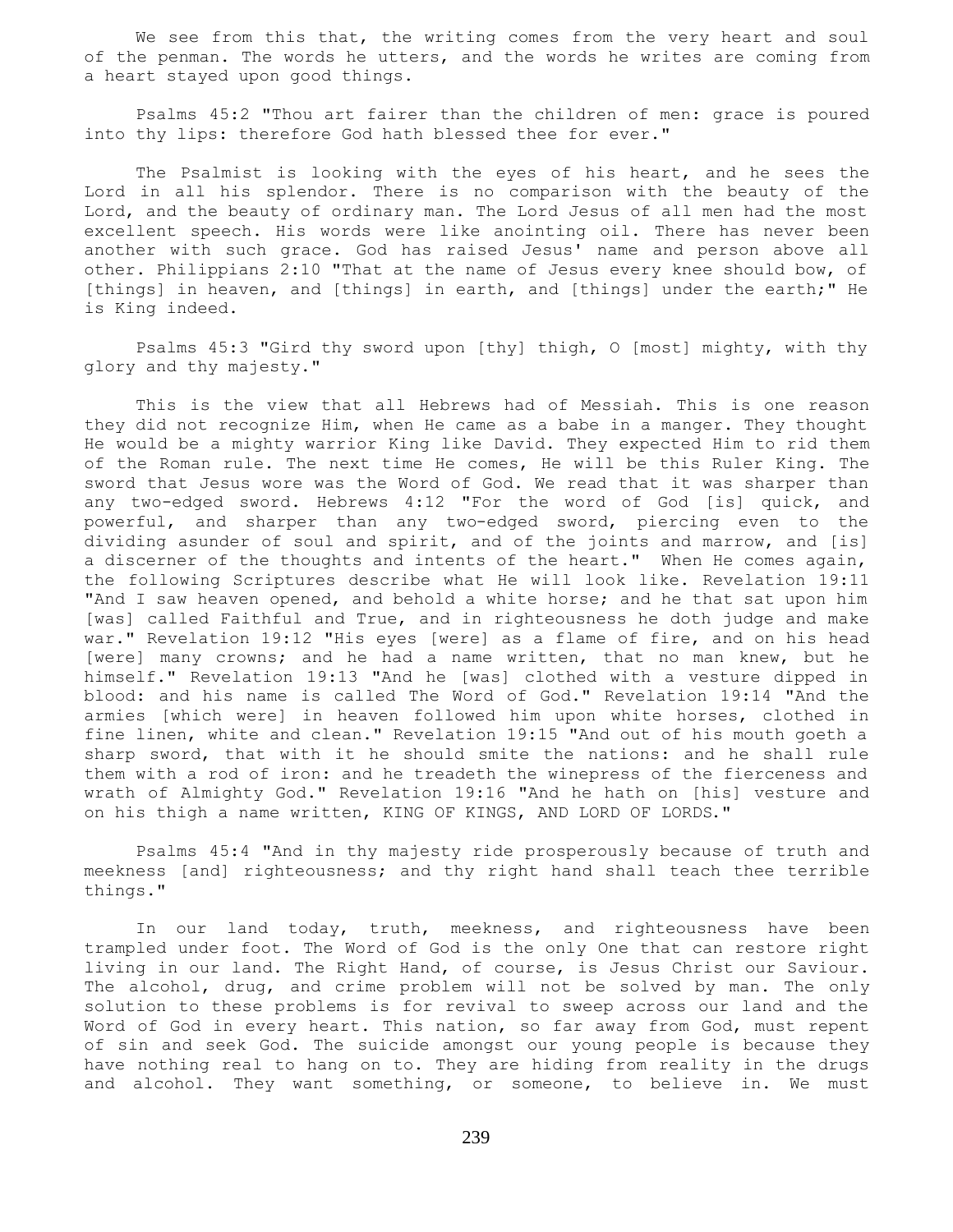We see from this that, the writing comes from the very heart and soul of the penman. The words he utters, and the words he writes are coming from a heart stayed upon good things.

 Psalms 45:2 "Thou art fairer than the children of men: grace is poured into thy lips: therefore God hath blessed thee for ever."

 The Psalmist is looking with the eyes of his heart, and he sees the Lord in all his splendor. There is no comparison with the beauty of the Lord, and the beauty of ordinary man. The Lord Jesus of all men had the most excellent speech. His words were like anointing oil. There has never been another with such grace. God has raised Jesus' name and person above all other. Philippians 2:10 "That at the name of Jesus every knee should bow, of [things] in heaven, and [things] in earth, and [things] under the earth;" He is King indeed.

 Psalms 45:3 "Gird thy sword upon [thy] thigh, O [most] mighty, with thy glory and thy majesty."

 This is the view that all Hebrews had of Messiah. This is one reason they did not recognize Him, when He came as a babe in a manger. They thought He would be a mighty warrior King like David. They expected Him to rid them of the Roman rule. The next time He comes, He will be this Ruler King. The sword that Jesus wore was the Word of God. We read that it was sharper than any two-edged sword. Hebrews 4:12 "For the word of God [is] quick, and powerful, and sharper than any two-edged sword, piercing even to the dividing asunder of soul and spirit, and of the joints and marrow, and [is] a discerner of the thoughts and intents of the heart." When He comes again, the following Scriptures describe what He will look like. Revelation 19:11 "And I saw heaven opened, and behold a white horse; and he that sat upon him [was] called Faithful and True, and in righteousness he doth judge and make war." Revelation 19:12 "His eyes [were] as a flame of fire, and on his head [were] many crowns; and he had a name written, that no man knew, but he himself." Revelation 19:13 "And he [was] clothed with a vesture dipped in blood: and his name is called The Word of God." Revelation 19:14 "And the armies [which were] in heaven followed him upon white horses, clothed in fine linen, white and clean." Revelation 19:15 "And out of his mouth goeth a sharp sword, that with it he should smite the nations: and he shall rule them with a rod of iron: and he treadeth the winepress of the fierceness and wrath of Almighty God." Revelation 19:16 "And he hath on [his] vesture and on his thigh a name written, KING OF KINGS, AND LORD OF LORDS."

 Psalms 45:4 "And in thy majesty ride prosperously because of truth and meekness [and] righteousness; and thy right hand shall teach thee terrible things."

 In our land today, truth, meekness, and righteousness have been trampled under foot. The Word of God is the only One that can restore right living in our land. The Right Hand, of course, is Jesus Christ our Saviour. The alcohol, drug, and crime problem will not be solved by man. The only solution to these problems is for revival to sweep across our land and the Word of God in every heart. This nation, so far away from God, must repent of sin and seek God. The suicide amongst our young people is because they have nothing real to hang on to. They are hiding from reality in the drugs and alcohol. They want something, or someone, to believe in. We must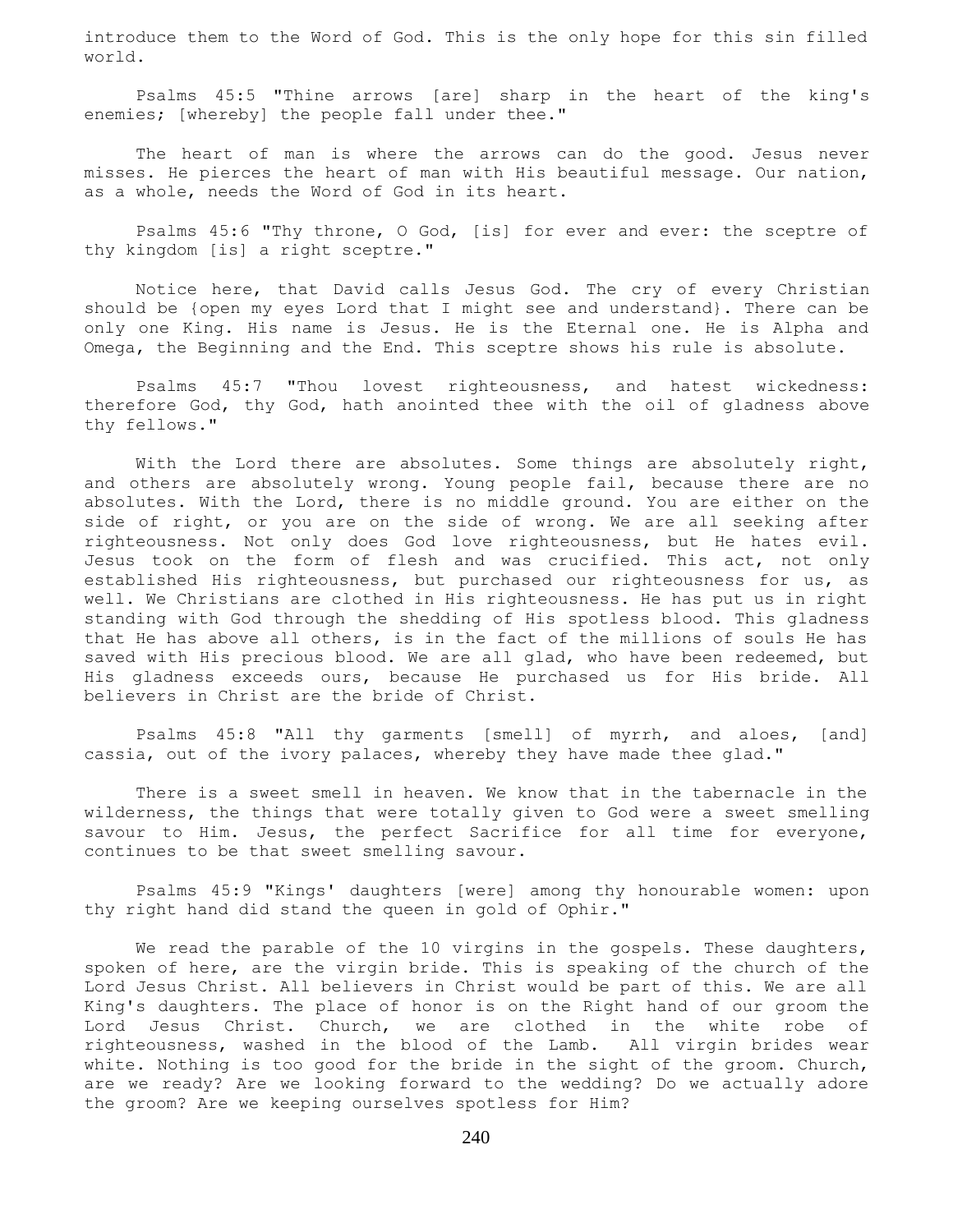introduce them to the Word of God. This is the only hope for this sin filled world.

 Psalms 45:5 "Thine arrows [are] sharp in the heart of the king's enemies; [whereby] the people fall under thee."

 The heart of man is where the arrows can do the good. Jesus never misses. He pierces the heart of man with His beautiful message. Our nation, as a whole, needs the Word of God in its heart.

 Psalms 45:6 "Thy throne, O God, [is] for ever and ever: the sceptre of thy kingdom [is] a right sceptre."

 Notice here, that David calls Jesus God. The cry of every Christian should be {open my eyes Lord that I might see and understand}. There can be only one King. His name is Jesus. He is the Eternal one. He is Alpha and Omega, the Beginning and the End. This sceptre shows his rule is absolute.

 Psalms 45:7 "Thou lovest righteousness, and hatest wickedness: therefore God, thy God, hath anointed thee with the oil of gladness above thy fellows."

With the Lord there are absolutes. Some things are absolutely right, and others are absolutely wrong. Young people fail, because there are no absolutes. With the Lord, there is no middle ground. You are either on the side of right, or you are on the side of wrong. We are all seeking after righteousness. Not only does God love righteousness, but He hates evil. Jesus took on the form of flesh and was crucified. This act, not only established His righteousness, but purchased our righteousness for us, as well. We Christians are clothed in His righteousness. He has put us in right standing with God through the shedding of His spotless blood. This gladness that He has above all others, is in the fact of the millions of souls He has saved with His precious blood. We are all glad, who have been redeemed, but His gladness exceeds ours, because He purchased us for His bride. All believers in Christ are the bride of Christ.

 Psalms 45:8 "All thy garments [smell] of myrrh, and aloes, [and] cassia, out of the ivory palaces, whereby they have made thee glad."

 There is a sweet smell in heaven. We know that in the tabernacle in the wilderness, the things that were totally given to God were a sweet smelling savour to Him. Jesus, the perfect Sacrifice for all time for everyone, continues to be that sweet smelling savour.

 Psalms 45:9 "Kings' daughters [were] among thy honourable women: upon thy right hand did stand the queen in gold of Ophir."

We read the parable of the 10 virgins in the gospels. These daughters, spoken of here, are the virgin bride. This is speaking of the church of the Lord Jesus Christ. All believers in Christ would be part of this. We are all King's daughters. The place of honor is on the Right hand of our groom the Lord Jesus Christ. Church, we are clothed in the white robe of righteousness, washed in the blood of the Lamb. All virgin brides wear white. Nothing is too good for the bride in the sight of the groom. Church, are we ready? Are we looking forward to the wedding? Do we actually adore the groom? Are we keeping ourselves spotless for Him?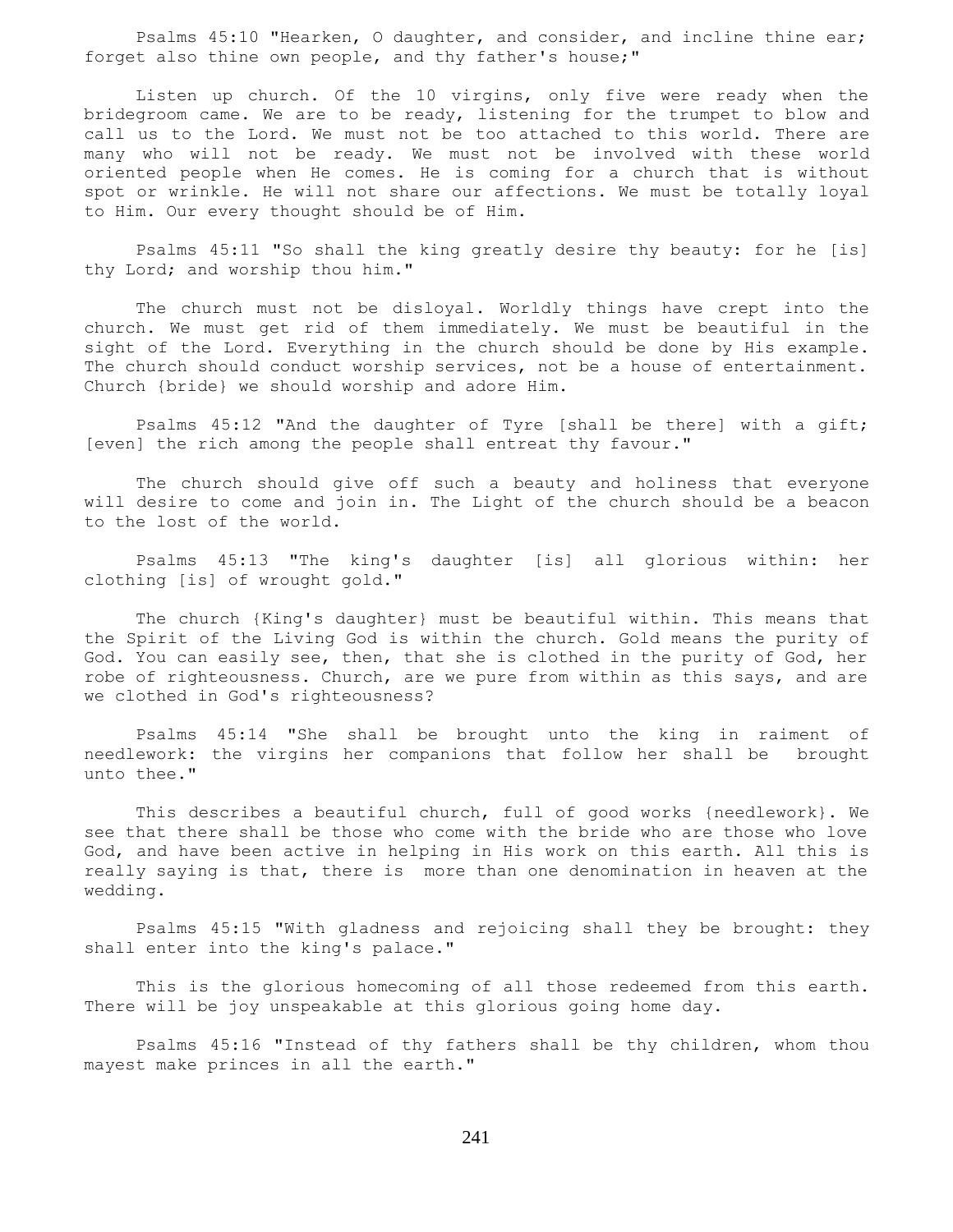Psalms 45:10 "Hearken, O daughter, and consider, and incline thine ear; forget also thine own people, and thy father's house;"

 Listen up church. Of the 10 virgins, only five were ready when the bridegroom came. We are to be ready, listening for the trumpet to blow and call us to the Lord. We must not be too attached to this world. There are many who will not be ready. We must not be involved with these world oriented people when He comes. He is coming for a church that is without spot or wrinkle. He will not share our affections. We must be totally loyal to Him. Our every thought should be of Him.

 Psalms 45:11 "So shall the king greatly desire thy beauty: for he [is] thy Lord; and worship thou him."

 The church must not be disloyal. Worldly things have crept into the church. We must get rid of them immediately. We must be beautiful in the sight of the Lord. Everything in the church should be done by His example. The church should conduct worship services, not be a house of entertainment. Church {bride} we should worship and adore Him.

 Psalms 45:12 "And the daughter of Tyre [shall be there] with a gift; [even] the rich among the people shall entreat thy favour."

 The church should give off such a beauty and holiness that everyone will desire to come and join in. The Light of the church should be a beacon to the lost of the world.

 Psalms 45:13 "The king's daughter [is] all glorious within: her clothing [is] of wrought gold."

 The church {King's daughter} must be beautiful within. This means that the Spirit of the Living God is within the church. Gold means the purity of God. You can easily see, then, that she is clothed in the purity of God, her robe of righteousness. Church, are we pure from within as this says, and are we clothed in God's righteousness?

 Psalms 45:14 "She shall be brought unto the king in raiment of needlework: the virgins her companions that follow her shall be brought unto thee."

 This describes a beautiful church, full of good works {needlework}. We see that there shall be those who come with the bride who are those who love God, and have been active in helping in His work on this earth. All this is really saying is that, there is more than one denomination in heaven at the wedding.

 Psalms 45:15 "With gladness and rejoicing shall they be brought: they shall enter into the king's palace."

 This is the glorious homecoming of all those redeemed from this earth. There will be joy unspeakable at this glorious going home day.

 Psalms 45:16 "Instead of thy fathers shall be thy children, whom thou mayest make princes in all the earth."

241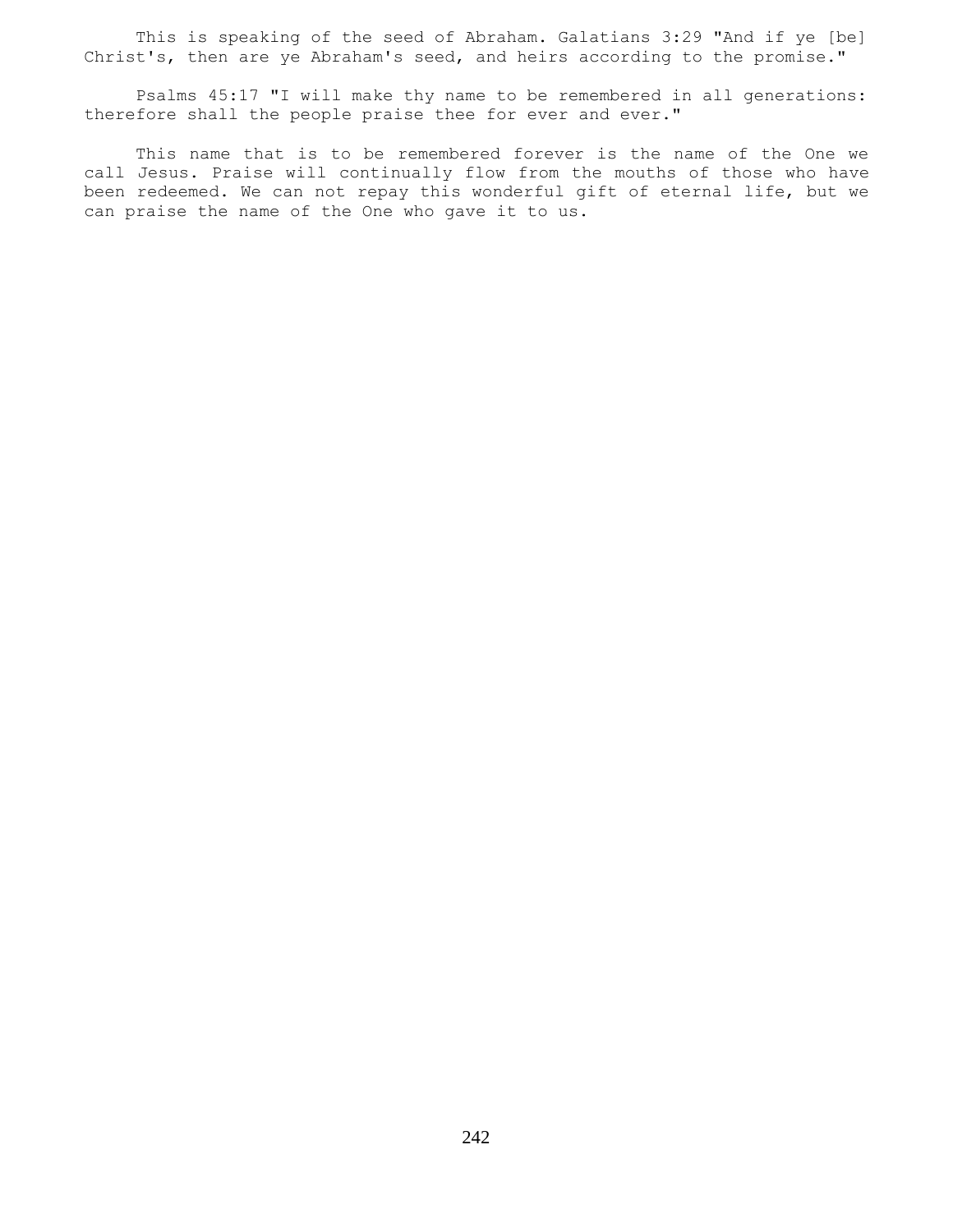This is speaking of the seed of Abraham. Galatians 3:29 "And if ye [be] Christ's, then are ye Abraham's seed, and heirs according to the promise."

 Psalms 45:17 "I will make thy name to be remembered in all generations: therefore shall the people praise thee for ever and ever."

 This name that is to be remembered forever is the name of the One we call Jesus. Praise will continually flow from the mouths of those who have been redeemed. We can not repay this wonderful gift of eternal life, but we can praise the name of the One who gave it to us.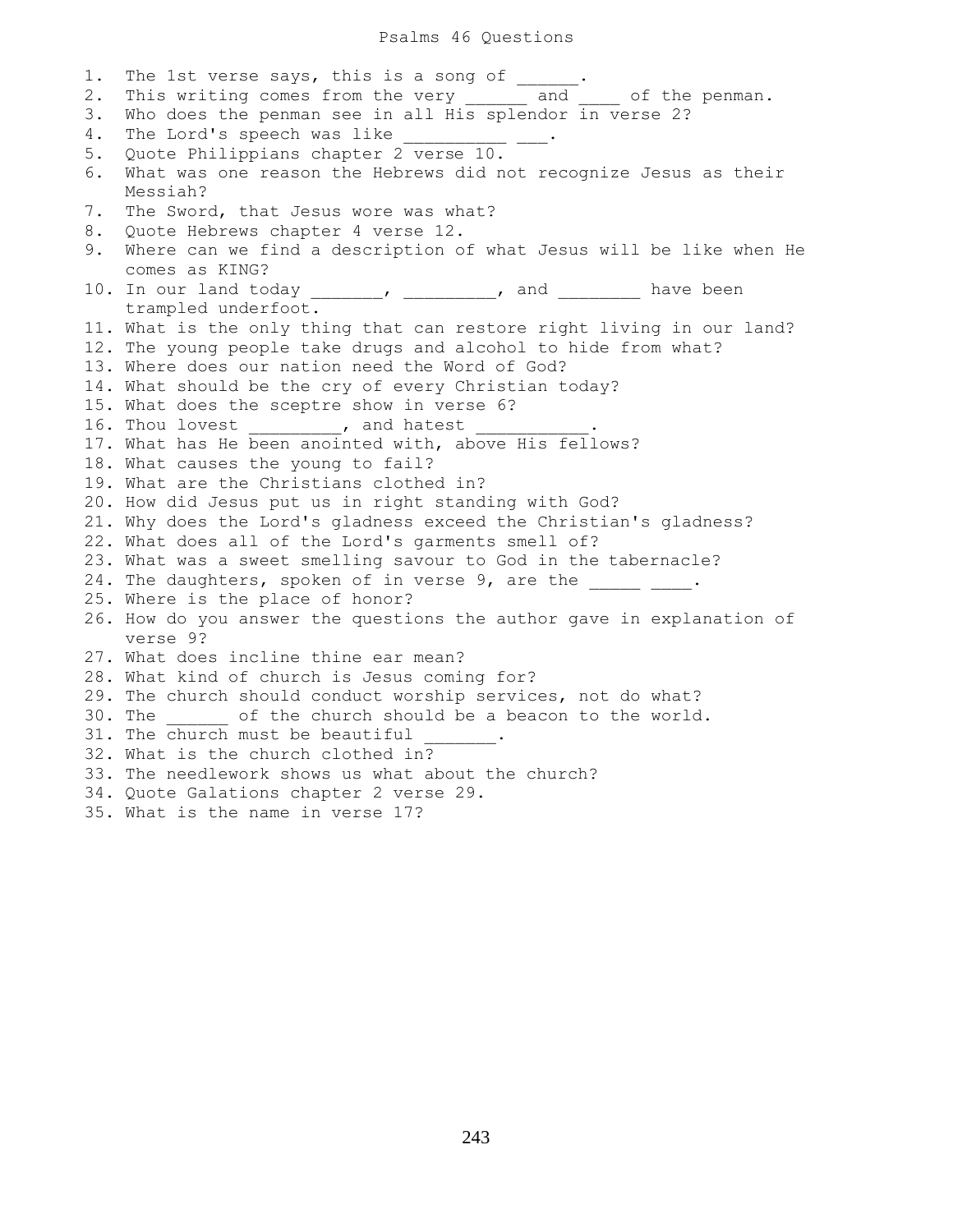#### Psalms 46 Questions

1. The 1st verse says, this is a song of \_\_\_\_\_\_ 2. This writing comes from the very \_\_\_\_\_\_ and \_\_\_\_ of the penman. 3. Who does the penman see in all His splendor in verse 2? 4. The Lord's speech was like 5. Quote Philippians chapter 2 verse 10. 6. What was one reason the Hebrews did not recognize Jesus as their Messiah? 7. The Sword, that Jesus wore was what? 8. Quote Hebrews chapter 4 verse 12. 9. Where can we find a description of what Jesus will be like when He comes as KING? 10. In our land today \_\_\_\_\_\_\_, \_\_\_\_\_\_\_\_, and \_\_\_\_\_\_\_\_ have been trampled underfoot. 11. What is the only thing that can restore right living in our land? 12. The young people take drugs and alcohol to hide from what? 13. Where does our nation need the Word of God? 14. What should be the cry of every Christian today? 15. What does the sceptre show in verse 6? 16. Thou lovest \_\_\_\_\_\_\_\_\_, and hatest 17. What has He been anointed with, above His fellows? 18. What causes the young to fail? 19. What are the Christians clothed in? 20. How did Jesus put us in right standing with God? 21. Why does the Lord's gladness exceed the Christian's gladness? 22. What does all of the Lord's garments smell of? 23. What was a sweet smelling savour to God in the tabernacle? 24. The daughters, spoken of in verse 9, are the \_\_\_\_\_\_\_\_. 25. Where is the place of honor? 26. How do you answer the questions the author gave in explanation of verse 9? 27. What does incline thine ear mean? 28. What kind of church is Jesus coming for? 29. The church should conduct worship services, not do what? 30. The \_\_\_\_\_\_ of the church should be a beacon to the world. 31. The church must be beautiful 32. What is the church clothed in? 33. The needlework shows us what about the church? 34. Quote Galations chapter 2 verse 29. 35. What is the name in verse 17?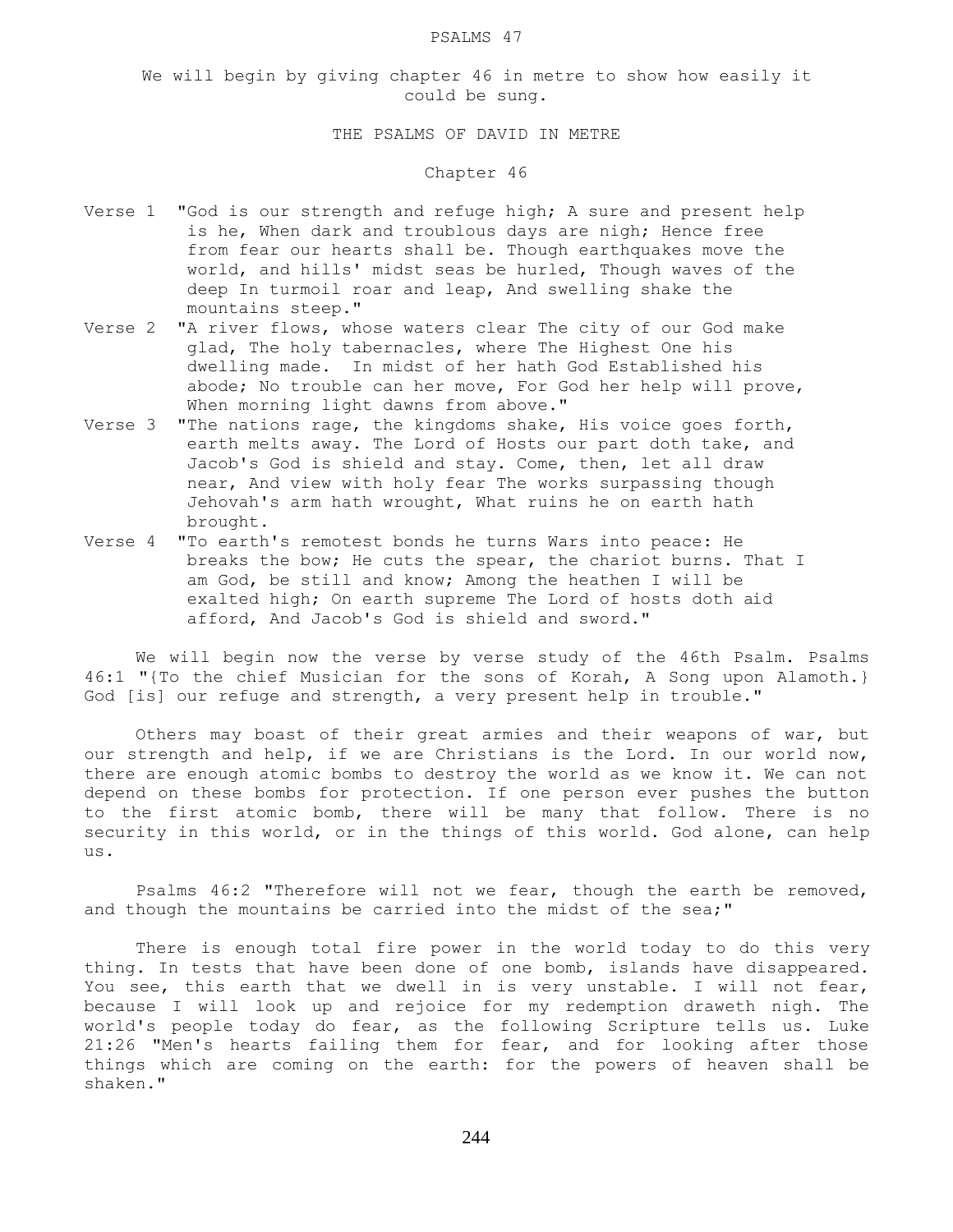#### PSALMS 47

We will begin by giving chapter 46 in metre to show how easily it could be sung.

# THE PSALMS OF DAVID IN METRE

### Chapter 46

- Verse 1 "God is our strength and refuge high; A sure and present help is he, When dark and troublous days are nigh; Hence free from fear our hearts shall be. Though earthquakes move the world, and hills' midst seas be hurled, Though waves of the deep In turmoil roar and leap, And swelling shake the mountains steep."
- Verse 2 "A river flows, whose waters clear The city of our God make glad, The holy tabernacles, where The Highest One his dwelling made. In midst of her hath God Established his abode; No trouble can her move, For God her help will prove, When morning light dawns from above."
- Verse 3 "The nations rage, the kingdoms shake, His voice goes forth, earth melts away. The Lord of Hosts our part doth take, and Jacob's God is shield and stay. Come, then, let all draw near, And view with holy fear The works surpassing though Jehovah's arm hath wrought, What ruins he on earth hath brought.
- Verse 4 "To earth's remotest bonds he turns Wars into peace: He breaks the bow; He cuts the spear, the chariot burns. That I am God, be still and know; Among the heathen I will be exalted high; On earth supreme The Lord of hosts doth aid afford, And Jacob's God is shield and sword."

 We will begin now the verse by verse study of the 46th Psalm. Psalms 46:1 "{To the chief Musician for the sons of Korah, A Song upon Alamoth.} God [is] our refuge and strength, a very present help in trouble."

 Others may boast of their great armies and their weapons of war, but our strength and help, if we are Christians is the Lord. In our world now, there are enough atomic bombs to destroy the world as we know it. We can not depend on these bombs for protection. If one person ever pushes the button to the first atomic bomb, there will be many that follow. There is no security in this world, or in the things of this world. God alone, can help us.

 Psalms 46:2 "Therefore will not we fear, though the earth be removed, and though the mountains be carried into the midst of the sea;"

 There is enough total fire power in the world today to do this very thing. In tests that have been done of one bomb, islands have disappeared. You see, this earth that we dwell in is very unstable. I will not fear, because I will look up and rejoice for my redemption draweth nigh. The world's people today do fear, as the following Scripture tells us. Luke 21:26 "Men's hearts failing them for fear, and for looking after those things which are coming on the earth: for the powers of heaven shall be shaken."

244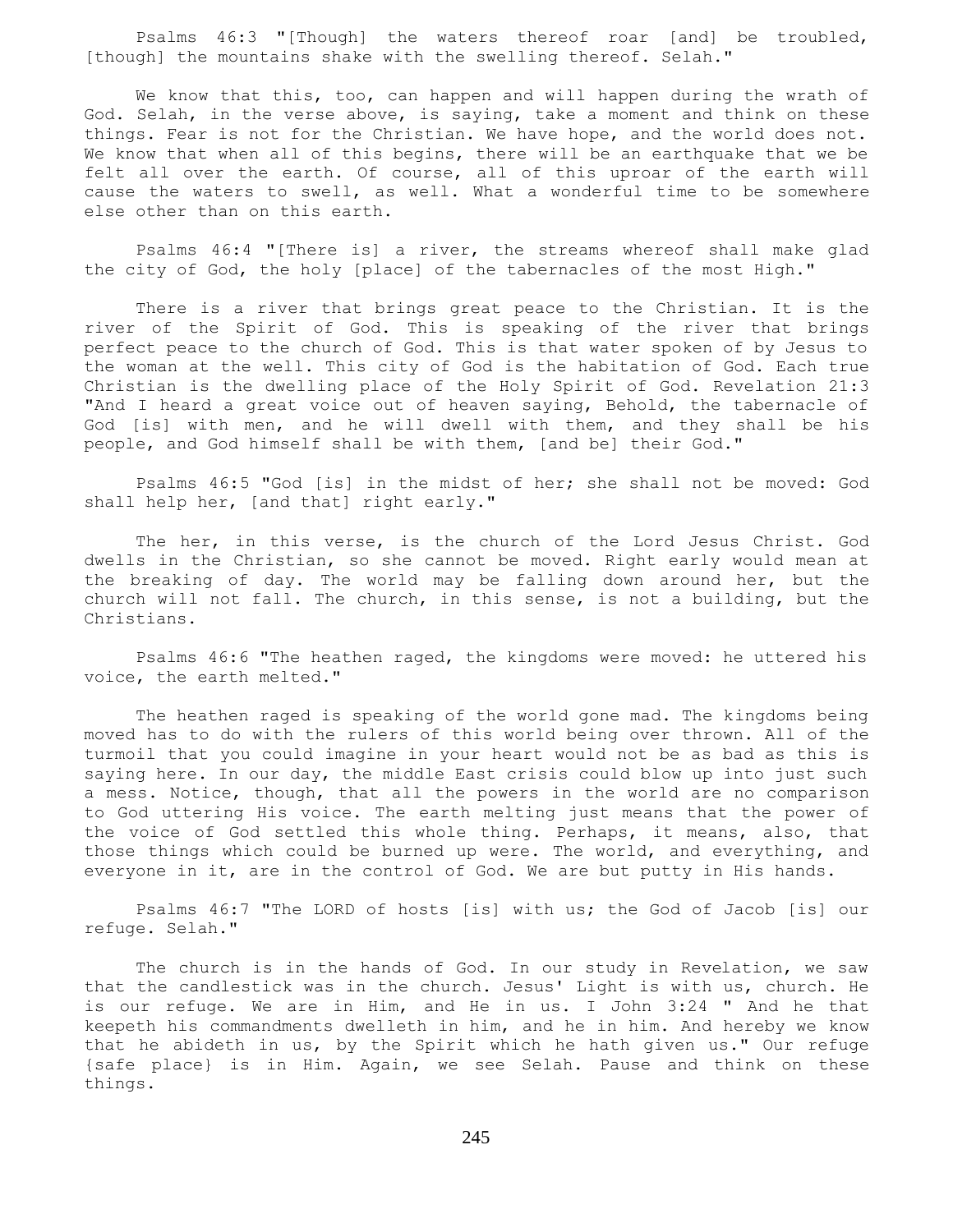Psalms 46:3 "[Though] the waters thereof roar [and] be troubled, [though] the mountains shake with the swelling thereof. Selah."

We know that this, too, can happen and will happen during the wrath of God. Selah, in the verse above, is saying, take a moment and think on these things. Fear is not for the Christian. We have hope, and the world does not. We know that when all of this begins, there will be an earthquake that we be felt all over the earth. Of course, all of this uproar of the earth will cause the waters to swell, as well. What a wonderful time to be somewhere else other than on this earth.

 Psalms 46:4 "[There is] a river, the streams whereof shall make glad the city of God, the holy [place] of the tabernacles of the most High."

 There is a river that brings great peace to the Christian. It is the river of the Spirit of God. This is speaking of the river that brings perfect peace to the church of God. This is that water spoken of by Jesus to the woman at the well. This city of God is the habitation of God. Each true Christian is the dwelling place of the Holy Spirit of God. Revelation 21:3 "And I heard a great voice out of heaven saying, Behold, the tabernacle of God [is] with men, and he will dwell with them, and they shall be his people, and God himself shall be with them, [and be] their God."

 Psalms 46:5 "God [is] in the midst of her; she shall not be moved: God shall help her, [and that] right early."

The her, in this verse, is the church of the Lord Jesus Christ. God dwells in the Christian, so she cannot be moved. Right early would mean at the breaking of day. The world may be falling down around her, but the church will not fall. The church, in this sense, is not a building, but the Christians.

 Psalms 46:6 "The heathen raged, the kingdoms were moved: he uttered his voice, the earth melted."

 The heathen raged is speaking of the world gone mad. The kingdoms being moved has to do with the rulers of this world being over thrown. All of the turmoil that you could imagine in your heart would not be as bad as this is saying here. In our day, the middle East crisis could blow up into just such a mess. Notice, though, that all the powers in the world are no comparison to God uttering His voice. The earth melting just means that the power of the voice of God settled this whole thing. Perhaps, it means, also, that those things which could be burned up were. The world, and everything, and everyone in it, are in the control of God. We are but putty in His hands.

 Psalms 46:7 "The LORD of hosts [is] with us; the God of Jacob [is] our refuge. Selah."

 The church is in the hands of God. In our study in Revelation, we saw that the candlestick was in the church. Jesus' Light is with us, church. He is our refuge. We are in Him, and He in us. I John 3:24 " And he that keepeth his commandments dwelleth in him, and he in him. And hereby we know that he abideth in us, by the Spirit which he hath given us." Our refuge {safe place} is in Him. Again, we see Selah. Pause and think on these things.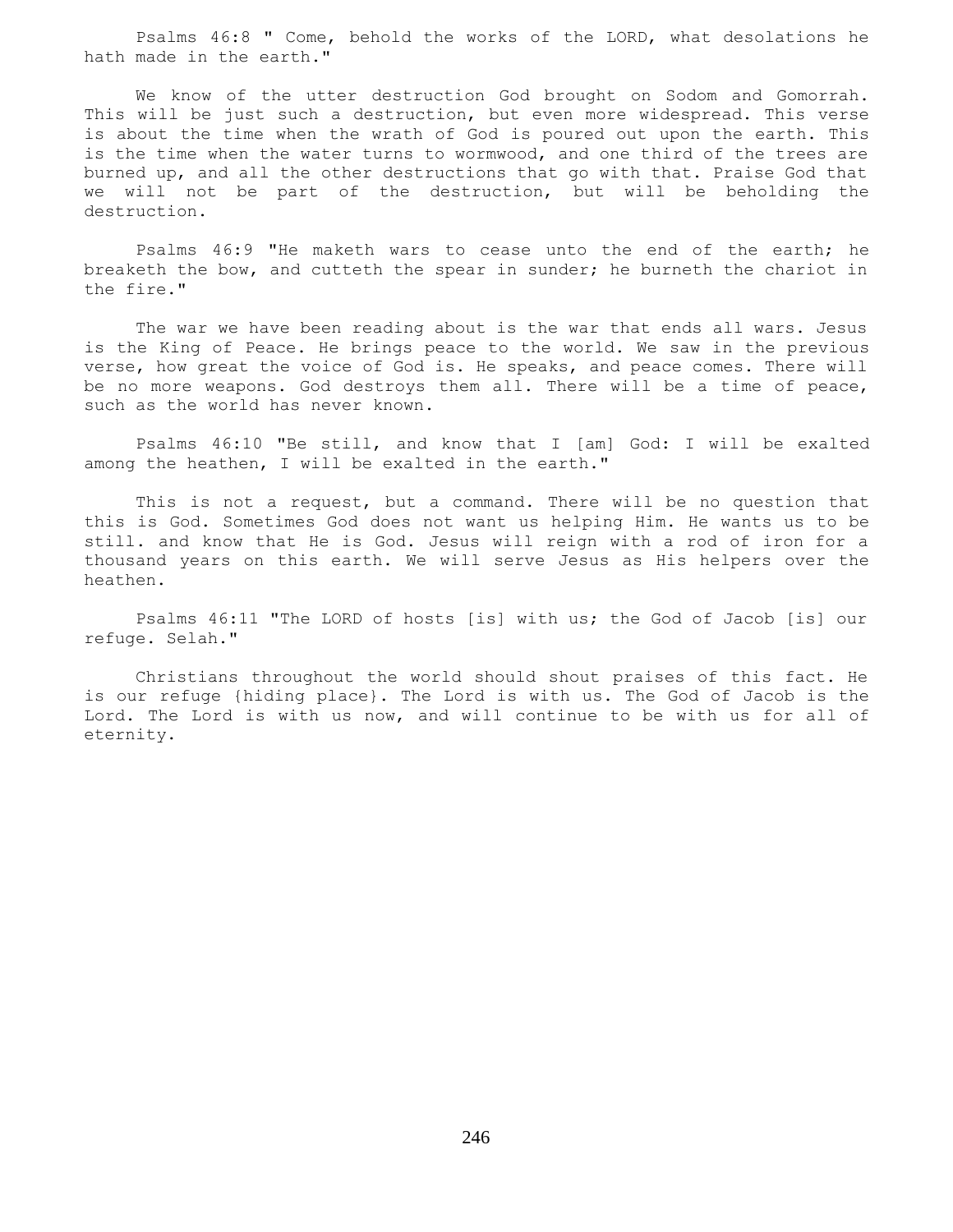Psalms 46:8 " Come, behold the works of the LORD, what desolations he hath made in the earth."

 We know of the utter destruction God brought on Sodom and Gomorrah. This will be just such a destruction, but even more widespread. This verse is about the time when the wrath of God is poured out upon the earth. This is the time when the water turns to wormwood, and one third of the trees are burned up, and all the other destructions that go with that. Praise God that we will not be part of the destruction, but will be beholding the destruction.

 Psalms 46:9 "He maketh wars to cease unto the end of the earth; he breaketh the bow, and cutteth the spear in sunder; he burneth the chariot in the fire."

 The war we have been reading about is the war that ends all wars. Jesus is the King of Peace. He brings peace to the world. We saw in the previous verse, how great the voice of God is. He speaks, and peace comes. There will be no more weapons. God destroys them all. There will be a time of peace, such as the world has never known.

 Psalms 46:10 "Be still, and know that I [am] God: I will be exalted among the heathen, I will be exalted in the earth."

 This is not a request, but a command. There will be no question that this is God. Sometimes God does not want us helping Him. He wants us to be still. and know that He is God. Jesus will reign with a rod of iron for a thousand years on this earth. We will serve Jesus as His helpers over the heathen.

 Psalms 46:11 "The LORD of hosts [is] with us; the God of Jacob [is] our refuge. Selah."

 Christians throughout the world should shout praises of this fact. He is our refuge {hiding place}. The Lord is with us. The God of Jacob is the Lord. The Lord is with us now, and will continue to be with us for all of eternity.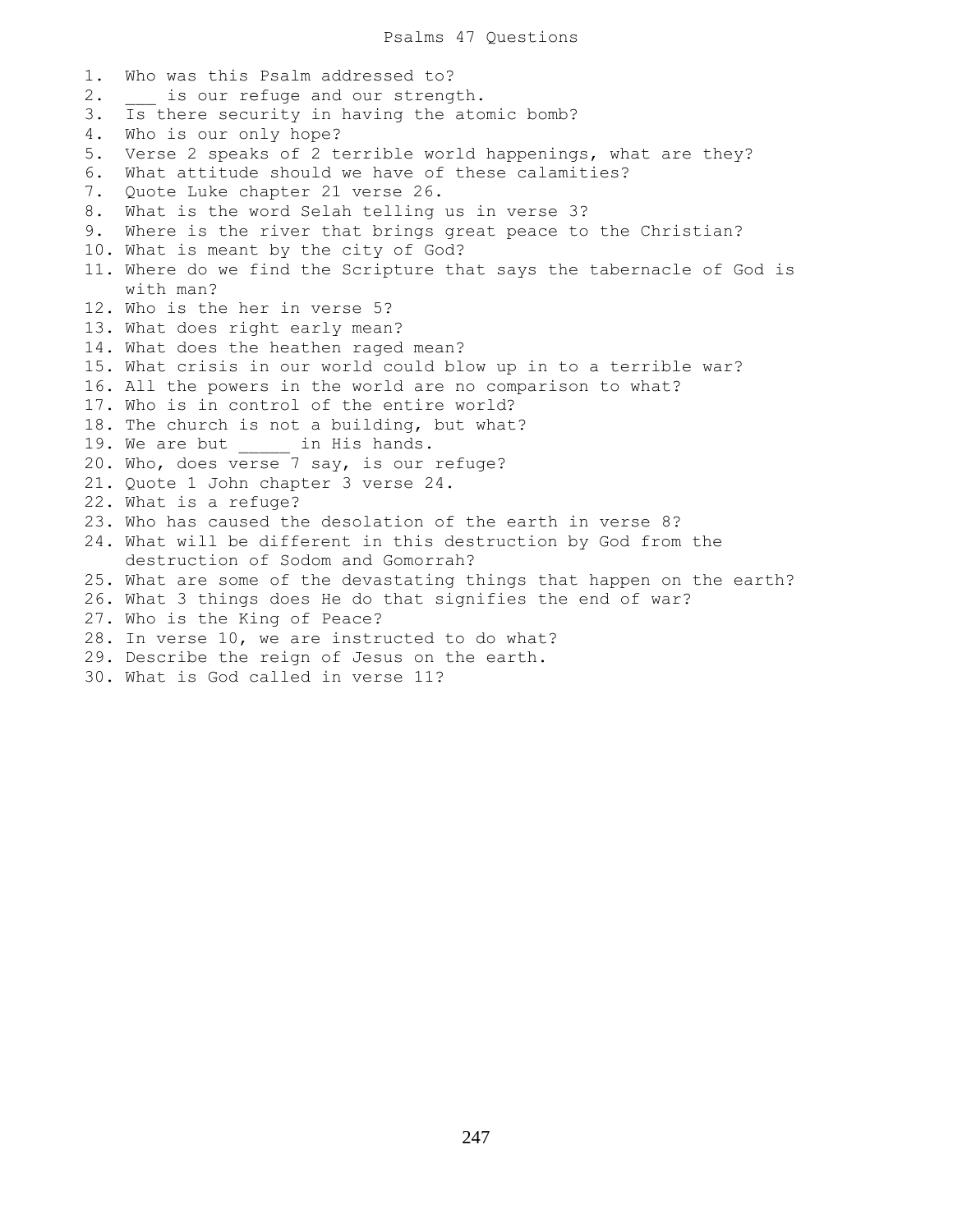1. Who was this Psalm addressed to? 2. is our refuge and our strength. 3. Is there security in having the atomic bomb? 4. Who is our only hope? 5. Verse 2 speaks of 2 terrible world happenings, what are they? 6. What attitude should we have of these calamities? 7. Quote Luke chapter 21 verse 26. 8. What is the word Selah telling us in verse 3? 9. Where is the river that brings great peace to the Christian? 10. What is meant by the city of God? 11. Where do we find the Scripture that says the tabernacle of God is with man? 12. Who is the her in verse 5? 13. What does right early mean? 14. What does the heathen raged mean? 15. What crisis in our world could blow up in to a terrible war? 16. All the powers in the world are no comparison to what? 17. Who is in control of the entire world? 18. The church is not a building, but what? 19. We are but \_\_\_\_\_\_ in His hands. 20. Who, does verse 7 say, is our refuge? 21. Quote 1 John chapter 3 verse 24. 22. What is a refuge? 23. Who has caused the desolation of the earth in verse 8? 24. What will be different in this destruction by God from the destruction of Sodom and Gomorrah? 25. What are some of the devastating things that happen on the earth? 26. What 3 things does He do that signifies the end of war? 27. Who is the King of Peace? 28. In verse 10, we are instructed to do what? 29. Describe the reign of Jesus on the earth. 30. What is God called in verse 11?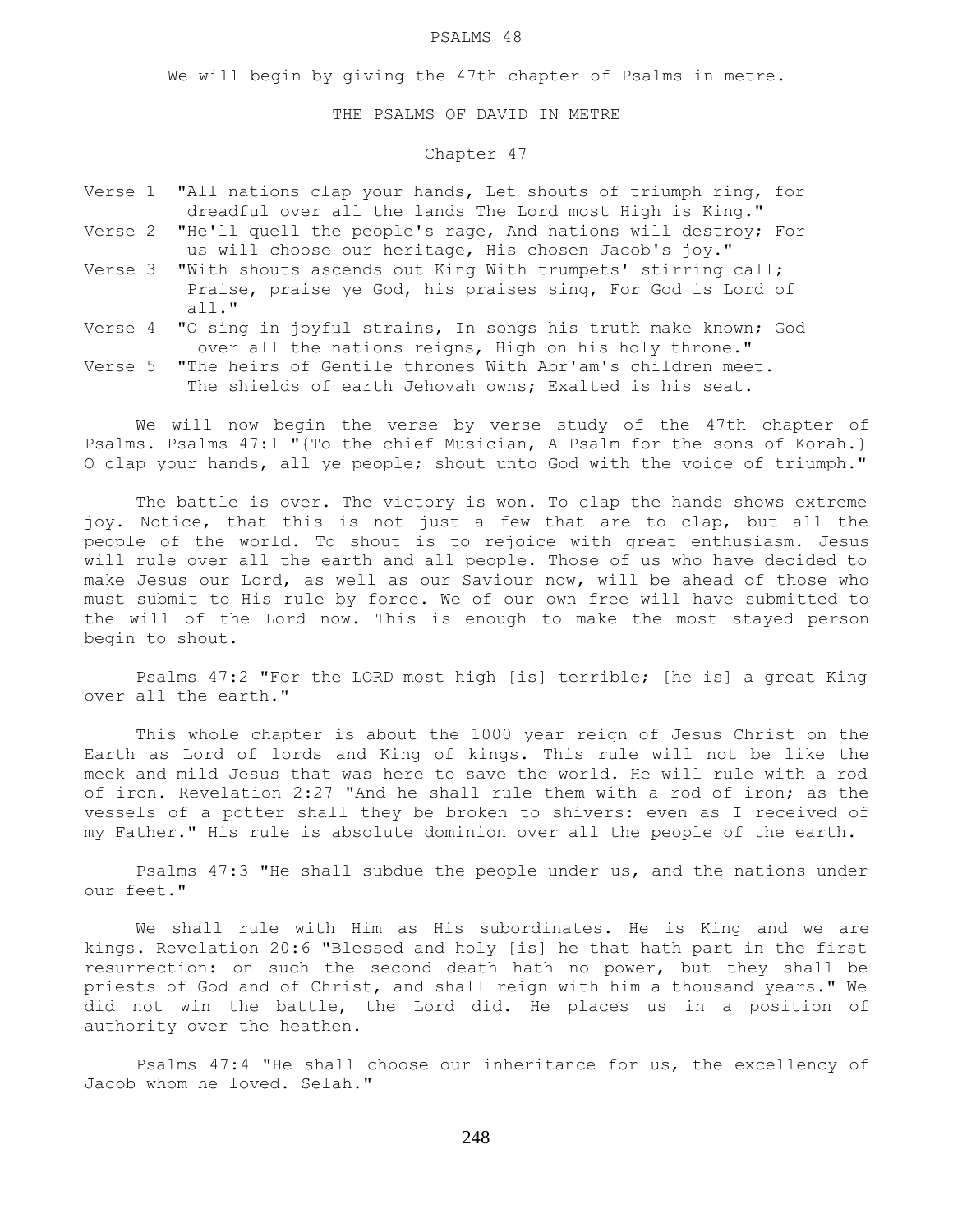#### PSALMS 48

We will begin by giving the 47th chapter of Psalms in metre.

#### THE PSALMS OF DAVID IN METRE

### Chapter 47

- Verse 1 "All nations clap your hands, Let shouts of triumph ring, for dreadful over all the lands The Lord most High is King." Verse 2 "He'll quell the people's rage, And nations will destroy; For
- us will choose our heritage, His chosen Jacob's joy." Verse 3 "With shouts ascends out King With trumpets' stirring call; Praise, praise ye God, his praises sing, For God is Lord of all."
- Verse 4 "O sing in joyful strains, In songs his truth make known; God over all the nations reigns, High on his holy throne."
- Verse 5 "The heirs of Gentile thrones With Abr'am's children meet. The shields of earth Jehovah owns; Exalted is his seat.

 We will now begin the verse by verse study of the 47th chapter of Psalms. Psalms 47:1 "{To the chief Musician, A Psalm for the sons of Korah.} O clap your hands, all ye people; shout unto God with the voice of triumph."

 The battle is over. The victory is won. To clap the hands shows extreme joy. Notice, that this is not just a few that are to clap, but all the people of the world. To shout is to rejoice with great enthusiasm. Jesus will rule over all the earth and all people. Those of us who have decided to make Jesus our Lord, as well as our Saviour now, will be ahead of those who must submit to His rule by force. We of our own free will have submitted to the will of the Lord now. This is enough to make the most stayed person begin to shout.

 Psalms 47:2 "For the LORD most high [is] terrible; [he is] a great King over all the earth."

 This whole chapter is about the 1000 year reign of Jesus Christ on the Earth as Lord of lords and King of kings. This rule will not be like the meek and mild Jesus that was here to save the world. He will rule with a rod of iron. Revelation 2:27 "And he shall rule them with a rod of iron; as the vessels of a potter shall they be broken to shivers: even as I received of my Father." His rule is absolute dominion over all the people of the earth.

 Psalms 47:3 "He shall subdue the people under us, and the nations under our feet."

 We shall rule with Him as His subordinates. He is King and we are kings. Revelation 20:6 "Blessed and holy [is] he that hath part in the first resurrection: on such the second death hath no power, but they shall be priests of God and of Christ, and shall reign with him a thousand years." We did not win the battle, the Lord did. He places us in a position of authority over the heathen.

 Psalms 47:4 "He shall choose our inheritance for us, the excellency of Jacob whom he loved. Selah."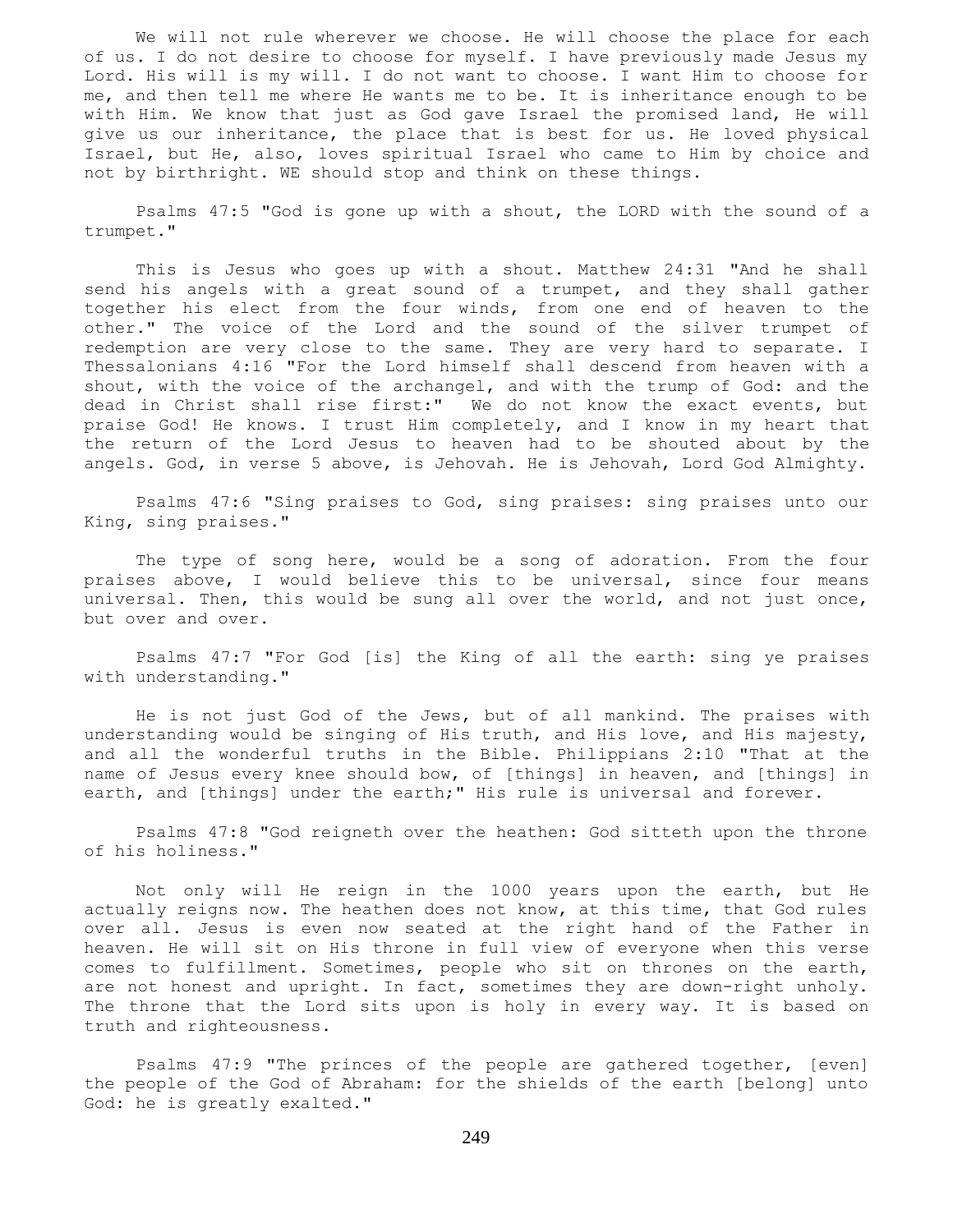We will not rule wherever we choose. He will choose the place for each of us. I do not desire to choose for myself. I have previously made Jesus my Lord. His will is my will. I do not want to choose. I want Him to choose for me, and then tell me where He wants me to be. It is inheritance enough to be with Him. We know that just as God gave Israel the promised land, He will give us our inheritance, the place that is best for us. He loved physical Israel, but He, also, loves spiritual Israel who came to Him by choice and not by birthright. WE should stop and think on these things.

 Psalms 47:5 "God is gone up with a shout, the LORD with the sound of a trumpet."

 This is Jesus who goes up with a shout. Matthew 24:31 "And he shall send his angels with a great sound of a trumpet, and they shall gather together his elect from the four winds, from one end of heaven to the other." The voice of the Lord and the sound of the silver trumpet of redemption are very close to the same. They are very hard to separate. I Thessalonians 4:16 "For the Lord himself shall descend from heaven with a shout, with the voice of the archangel, and with the trump of God: and the dead in Christ shall rise first:" We do not know the exact events, but praise God! He knows. I trust Him completely, and I know in my heart that the return of the Lord Jesus to heaven had to be shouted about by the angels. God, in verse 5 above, is Jehovah. He is Jehovah, Lord God Almighty.

 Psalms 47:6 "Sing praises to God, sing praises: sing praises unto our King, sing praises."

 The type of song here, would be a song of adoration. From the four praises above, I would believe this to be universal, since four means universal. Then, this would be sung all over the world, and not just once, but over and over.

 Psalms 47:7 "For God [is] the King of all the earth: sing ye praises with understanding."

 He is not just God of the Jews, but of all mankind. The praises with understanding would be singing of His truth, and His love, and His majesty, and all the wonderful truths in the Bible. Philippians 2:10 "That at the name of Jesus every knee should bow, of [things] in heaven, and [things] in earth, and [things] under the earth;" His rule is universal and forever.

 Psalms 47:8 "God reigneth over the heathen: God sitteth upon the throne of his holiness."

 Not only will He reign in the 1000 years upon the earth, but He actually reigns now. The heathen does not know, at this time, that God rules over all. Jesus is even now seated at the right hand of the Father in heaven. He will sit on His throne in full view of everyone when this verse comes to fulfillment. Sometimes, people who sit on thrones on the earth, are not honest and upright. In fact, sometimes they are down-right unholy. The throne that the Lord sits upon is holy in every way. It is based on truth and righteousness.

 Psalms 47:9 "The princes of the people are gathered together, [even] the people of the God of Abraham: for the shields of the earth [belong] unto God: he is greatly exalted."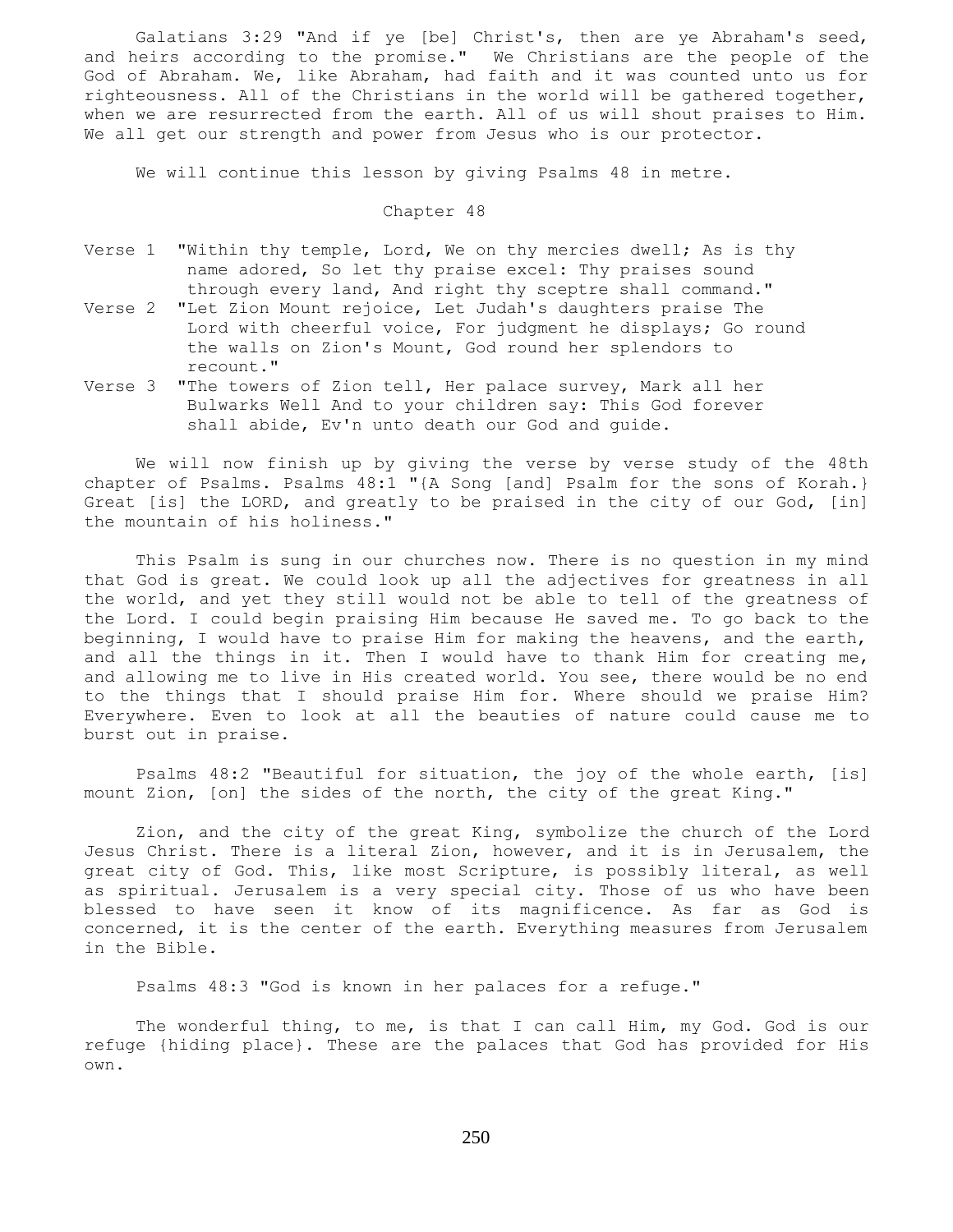Galatians 3:29 "And if ye [be] Christ's, then are ye Abraham's seed, and heirs according to the promise." We Christians are the people of the God of Abraham. We, like Abraham, had faith and it was counted unto us for righteousness. All of the Christians in the world will be gathered together, when we are resurrected from the earth. All of us will shout praises to Him. We all get our strength and power from Jesus who is our protector.

We will continue this lesson by giving Psalms 48 in metre.

Chapter 48

- Verse 1 "Within thy temple, Lord, We on thy mercies dwell; As is thy name adored, So let thy praise excel: Thy praises sound through every land, And right thy sceptre shall command."
- Verse 2 "Let Zion Mount rejoice, Let Judah's daughters praise The Lord with cheerful voice, For judgment he displays; Go round the walls on Zion's Mount, God round her splendors to recount."
- Verse 3 "The towers of Zion tell, Her palace survey, Mark all her Bulwarks Well And to your children say: This God forever shall abide, Ev'n unto death our God and guide.

 We will now finish up by giving the verse by verse study of the 48th chapter of Psalms. Psalms 48:1 "{A Song [and] Psalm for the sons of Korah.} Great [is] the LORD, and greatly to be praised in the city of our God, [in] the mountain of his holiness."

 This Psalm is sung in our churches now. There is no question in my mind that God is great. We could look up all the adjectives for greatness in all the world, and yet they still would not be able to tell of the greatness of the Lord. I could begin praising Him because He saved me. To go back to the beginning, I would have to praise Him for making the heavens, and the earth, and all the things in it. Then I would have to thank Him for creating me, and allowing me to live in His created world. You see, there would be no end to the things that I should praise Him for. Where should we praise Him? Everywhere. Even to look at all the beauties of nature could cause me to burst out in praise.

 Psalms 48:2 "Beautiful for situation, the joy of the whole earth, [is] mount Zion, [on] the sides of the north, the city of the great King."

 Zion, and the city of the great King, symbolize the church of the Lord Jesus Christ. There is a literal Zion, however, and it is in Jerusalem, the great city of God. This, like most Scripture, is possibly literal, as well as spiritual. Jerusalem is a very special city. Those of us who have been blessed to have seen it know of its magnificence. As far as God is concerned, it is the center of the earth. Everything measures from Jerusalem in the Bible.

Psalms 48:3 "God is known in her palaces for a refuge."

The wonderful thing, to me, is that I can call Him, my God. God is our refuge {hiding place}. These are the palaces that God has provided for His own.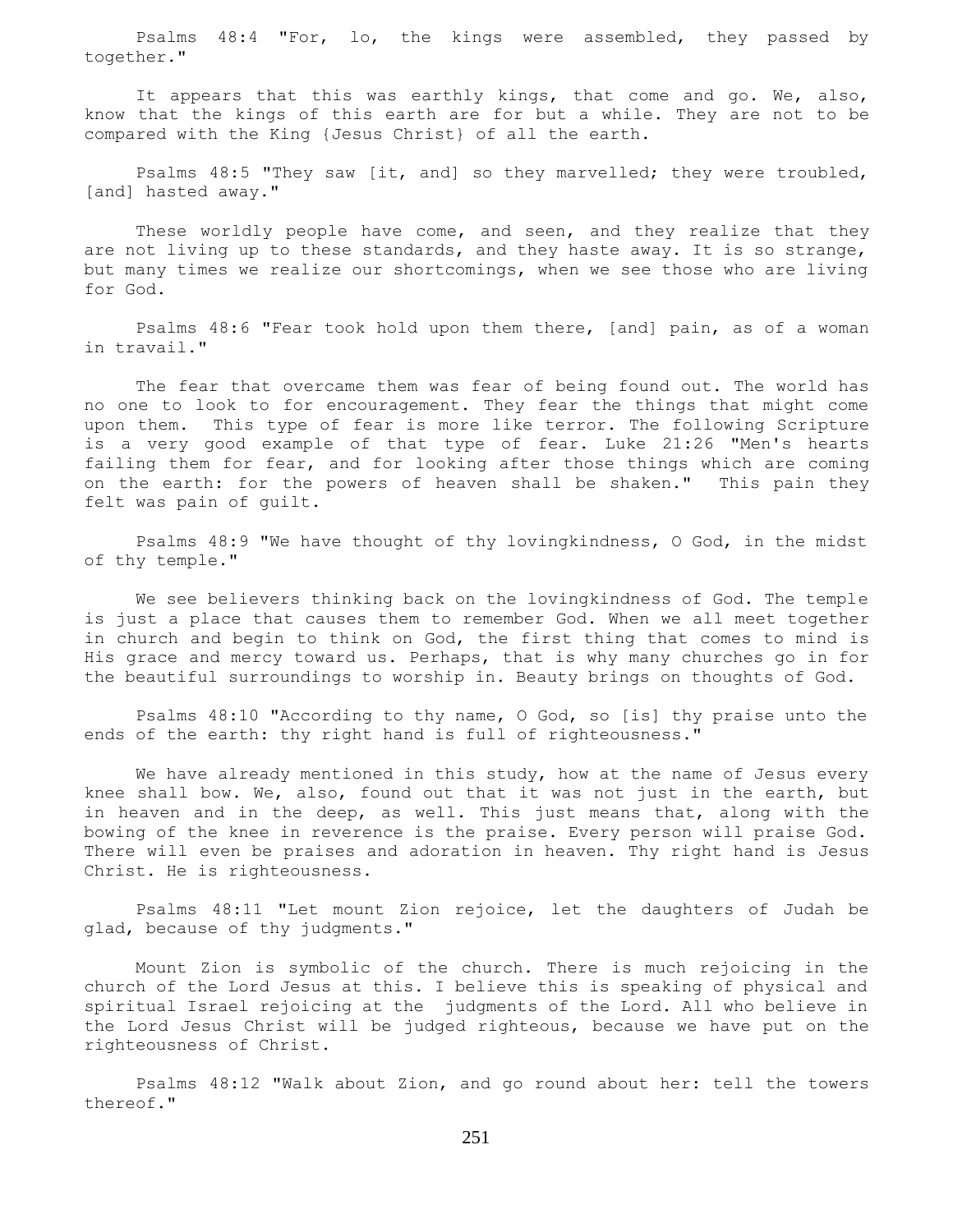Psalms 48:4 "For, lo, the kings were assembled, they passed by together."

 It appears that this was earthly kings, that come and go. We, also, know that the kings of this earth are for but a while. They are not to be compared with the King {Jesus Christ} of all the earth.

 Psalms 48:5 "They saw [it, and] so they marvelled; they were troubled, [and] hasted away."

These worldly people have come, and seen, and they realize that they are not living up to these standards, and they haste away. It is so strange, but many times we realize our shortcomings, when we see those who are living for God.

 Psalms 48:6 "Fear took hold upon them there, [and] pain, as of a woman in travail."

 The fear that overcame them was fear of being found out. The world has no one to look to for encouragement. They fear the things that might come upon them. This type of fear is more like terror. The following Scripture is a very good example of that type of fear. Luke 21:26 "Men's hearts failing them for fear, and for looking after those things which are coming on the earth: for the powers of heaven shall be shaken." This pain they felt was pain of guilt.

 Psalms 48:9 "We have thought of thy lovingkindness, O God, in the midst of thy temple."

 We see believers thinking back on the lovingkindness of God. The temple is just a place that causes them to remember God. When we all meet together in church and begin to think on God, the first thing that comes to mind is His grace and mercy toward us. Perhaps, that is why many churches go in for the beautiful surroundings to worship in. Beauty brings on thoughts of God.

 Psalms 48:10 "According to thy name, O God, so [is] thy praise unto the ends of the earth: thy right hand is full of righteousness."

We have already mentioned in this study, how at the name of Jesus every knee shall bow. We, also, found out that it was not just in the earth, but in heaven and in the deep, as well. This just means that, along with the bowing of the knee in reverence is the praise. Every person will praise God. There will even be praises and adoration in heaven. Thy right hand is Jesus Christ. He is righteousness.

 Psalms 48:11 "Let mount Zion rejoice, let the daughters of Judah be glad, because of thy judgments."

 Mount Zion is symbolic of the church. There is much rejoicing in the church of the Lord Jesus at this. I believe this is speaking of physical and spiritual Israel rejoicing at the judgments of the Lord. All who believe in the Lord Jesus Christ will be judged righteous, because we have put on the righteousness of Christ.

 Psalms 48:12 "Walk about Zion, and go round about her: tell the towers thereof."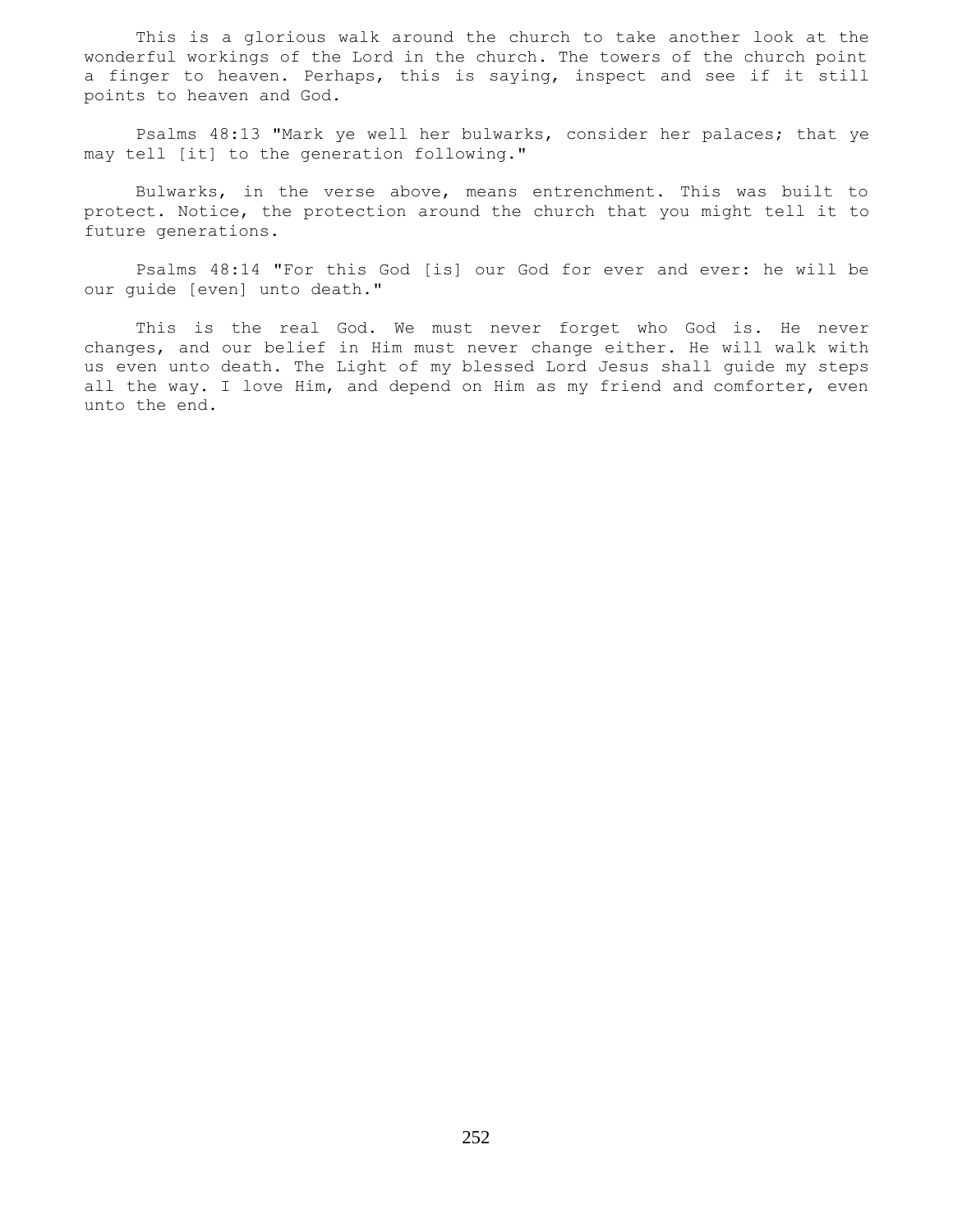This is a glorious walk around the church to take another look at the wonderful workings of the Lord in the church. The towers of the church point a finger to heaven. Perhaps, this is saying, inspect and see if it still points to heaven and God.

 Psalms 48:13 "Mark ye well her bulwarks, consider her palaces; that ye may tell [it] to the generation following."

 Bulwarks, in the verse above, means entrenchment. This was built to protect. Notice, the protection around the church that you might tell it to future generations.

 Psalms 48:14 "For this God [is] our God for ever and ever: he will be our guide [even] unto death."

 This is the real God. We must never forget who God is. He never changes, and our belief in Him must never change either. He will walk with us even unto death. The Light of my blessed Lord Jesus shall guide my steps all the way. I love Him, and depend on Him as my friend and comforter, even unto the end.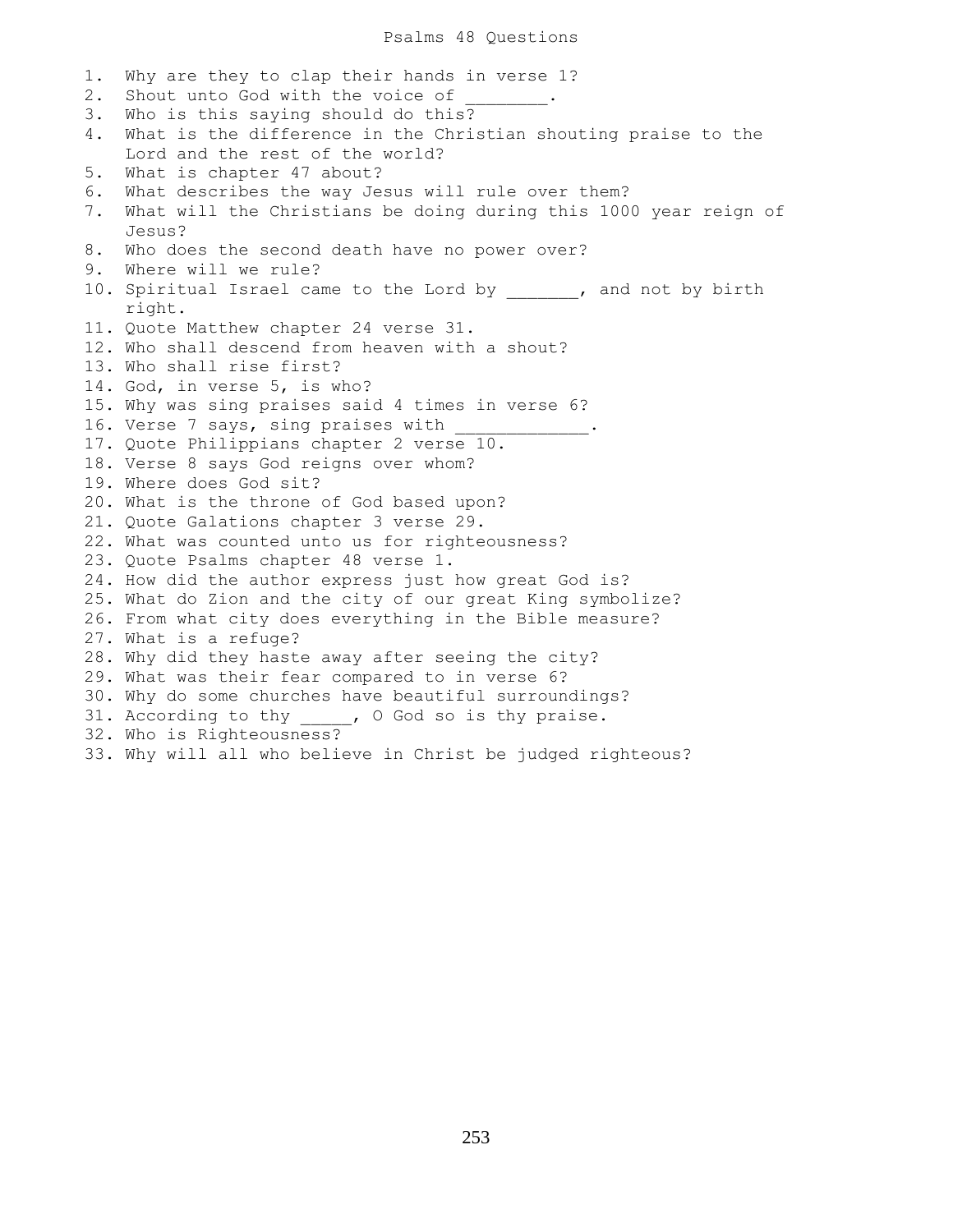### Psalms 48 Questions

1. Why are they to clap their hands in verse 1? 2. Shout unto God with the voice of 3. Who is this saying should do this? 4. What is the difference in the Christian shouting praise to the Lord and the rest of the world? 5. What is chapter 47 about? 6. What describes the way Jesus will rule over them? 7. What will the Christians be doing during this 1000 year reign of Jesus? 8. Who does the second death have no power over? 9. Where will we rule? 10. Spiritual Israel came to the Lord by  $\qquad \qquad$ , and not by birth right. 11. Quote Matthew chapter 24 verse 31. 12. Who shall descend from heaven with a shout? 13. Who shall rise first? 14. God, in verse 5, is who? 15. Why was sing praises said 4 times in verse 6? 16. Verse 7 says, sing praises with 17. Quote Philippians chapter 2 verse 10. 18. Verse 8 says God reigns over whom? 19. Where does God sit? 20. What is the throne of God based upon? 21. Quote Galations chapter 3 verse 29. 22. What was counted unto us for righteousness? 23. Quote Psalms chapter 48 verse 1. 24. How did the author express just how great God is? 25. What do Zion and the city of our great King symbolize? 26. From what city does everything in the Bible measure? 27. What is a refuge? 28. Why did they haste away after seeing the city? 29. What was their fear compared to in verse 6? 30. Why do some churches have beautiful surroundings? 31. According to thy \_\_\_\_, O God so is thy praise. 32. Who is Righteousness? 33. Why will all who believe in Christ be judged righteous?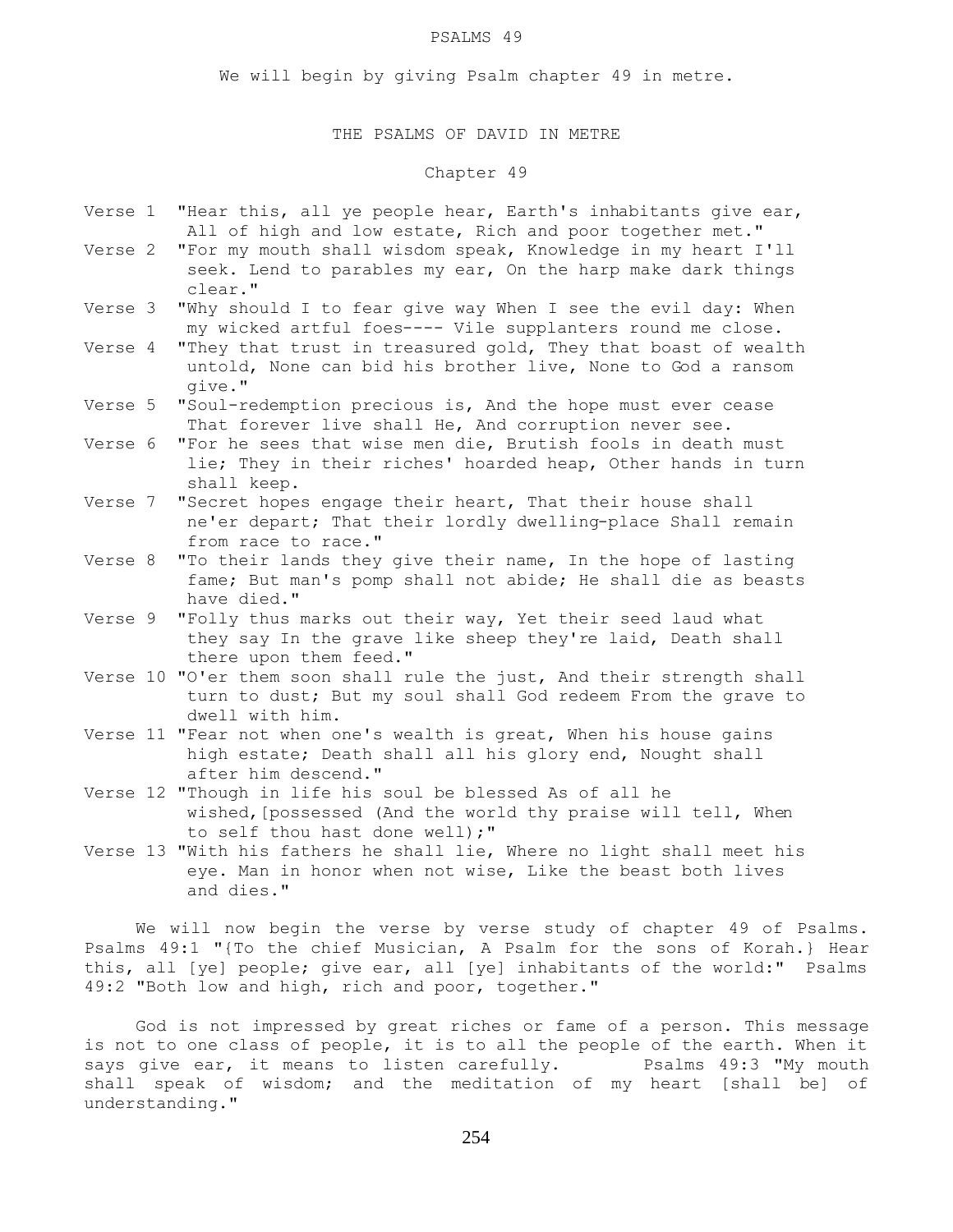### PSALMS 49

We will begin by giving Psalm chapter 49 in metre.

# THE PSALMS OF DAVID IN METRE

# Chapter 49

- Verse 1 "Hear this, all ye people hear, Earth's inhabitants give ear, All of high and low estate, Rich and poor together met."
- Verse 2 "For my mouth shall wisdom speak, Knowledge in my heart I'll seek. Lend to parables my ear, On the harp make dark things clear."
- Verse 3 "Why should I to fear give way When I see the evil day: When my wicked artful foes---- Vile supplanters round me close.
- Verse 4 "They that trust in treasured gold, They that boast of wealth untold, None can bid his brother live, None to God a ransom give."
- Verse 5 "Soul-redemption precious is, And the hope must ever cease That forever live shall He, And corruption never see.
- Verse 6 "For he sees that wise men die, Brutish fools in death must lie; They in their riches' hoarded heap, Other hands in turn shall keep.
- Verse 7 "Secret hopes engage their heart, That their house shall ne'er depart; That their lordly dwelling-place Shall remain from race to race."
- Verse 8 "To their lands they give their name, In the hope of lasting fame; But man's pomp shall not abide; He shall die as beasts have died."
- Verse 9 "Folly thus marks out their way, Yet their seed laud what they say In the grave like sheep they're laid, Death shall there upon them feed."
- Verse 10 "O'er them soon shall rule the just, And their strength shall turn to dust; But my soul shall God redeem From the grave to dwell with him.
- Verse 11 "Fear not when one's wealth is great, When his house gains high estate; Death shall all his glory end, Nought shall after him descend."
- Verse 12 "Though in life his soul be blessed As of all he wished,[possessed (And the world thy praise will tell, When to self thou hast done well);"
- Verse 13 "With his fathers he shall lie, Where no light shall meet his eye. Man in honor when not wise, Like the beast both lives and dies."

 We will now begin the verse by verse study of chapter 49 of Psalms. Psalms 49:1 "{To the chief Musician, A Psalm for the sons of Korah.} Hear this, all [ye] people; give ear, all [ye] inhabitants of the world:" Psalms 49:2 "Both low and high, rich and poor, together."

 God is not impressed by great riches or fame of a person. This message is not to one class of people, it is to all the people of the earth. When it says give ear, it means to listen carefully. Psalms 49:3 "My mouth shall speak of wisdom; and the meditation of my heart [shall be] of understanding."

254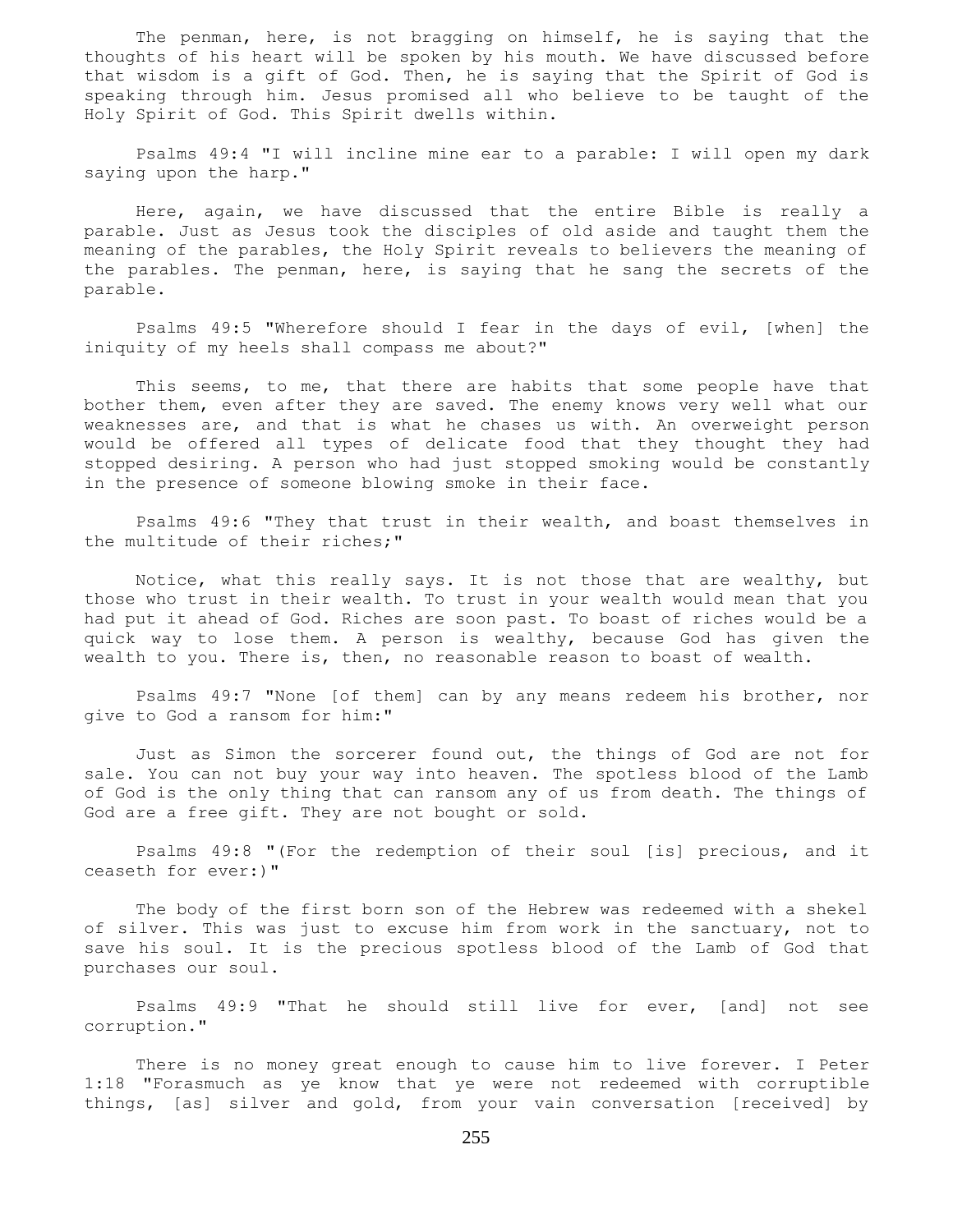The penman, here, is not bragging on himself, he is saying that the thoughts of his heart will be spoken by his mouth. We have discussed before that wisdom is a gift of God. Then, he is saying that the Spirit of God is speaking through him. Jesus promised all who believe to be taught of the Holy Spirit of God. This Spirit dwells within.

 Psalms 49:4 "I will incline mine ear to a parable: I will open my dark saying upon the harp."

 Here, again, we have discussed that the entire Bible is really a parable. Just as Jesus took the disciples of old aside and taught them the meaning of the parables, the Holy Spirit reveals to believers the meaning of the parables. The penman, here, is saying that he sang the secrets of the parable.

 Psalms 49:5 "Wherefore should I fear in the days of evil, [when] the iniquity of my heels shall compass me about?"

This seems, to me, that there are habits that some people have that bother them, even after they are saved. The enemy knows very well what our weaknesses are, and that is what he chases us with. An overweight person would be offered all types of delicate food that they thought they had stopped desiring. A person who had just stopped smoking would be constantly in the presence of someone blowing smoke in their face.

 Psalms 49:6 "They that trust in their wealth, and boast themselves in the multitude of their riches;"

 Notice, what this really says. It is not those that are wealthy, but those who trust in their wealth. To trust in your wealth would mean that you had put it ahead of God. Riches are soon past. To boast of riches would be a quick way to lose them. A person is wealthy, because God has given the wealth to you. There is, then, no reasonable reason to boast of wealth.

 Psalms 49:7 "None [of them] can by any means redeem his brother, nor give to God a ransom for him:"

 Just as Simon the sorcerer found out, the things of God are not for sale. You can not buy your way into heaven. The spotless blood of the Lamb of God is the only thing that can ransom any of us from death. The things of God are a free gift. They are not bought or sold.

 Psalms 49:8 "(For the redemption of their soul [is] precious, and it ceaseth for ever:)"

 The body of the first born son of the Hebrew was redeemed with a shekel of silver. This was just to excuse him from work in the sanctuary, not to save his soul. It is the precious spotless blood of the Lamb of God that purchases our soul.

 Psalms 49:9 "That he should still live for ever, [and] not see corruption."

 There is no money great enough to cause him to live forever. I Peter 1:18 "Forasmuch as ye know that ye were not redeemed with corruptible things, [as] silver and gold, from your vain conversation [received] by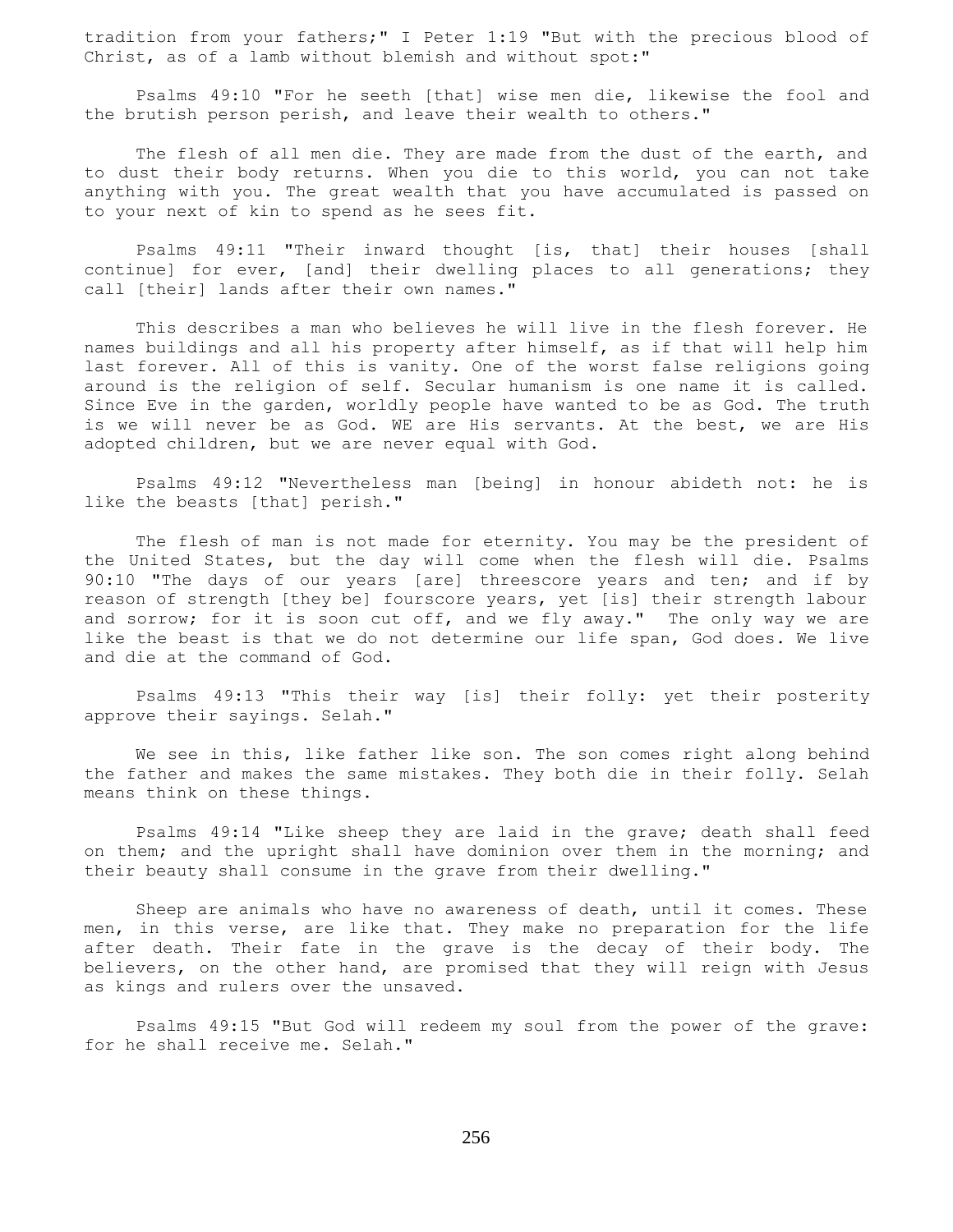tradition from your fathers;" I Peter 1:19 "But with the precious blood of Christ, as of a lamb without blemish and without spot:"

 Psalms 49:10 "For he seeth [that] wise men die, likewise the fool and the brutish person perish, and leave their wealth to others."

 The flesh of all men die. They are made from the dust of the earth, and to dust their body returns. When you die to this world, you can not take anything with you. The great wealth that you have accumulated is passed on to your next of kin to spend as he sees fit.

 Psalms 49:11 "Their inward thought [is, that] their houses [shall continue] for ever, [and] their dwelling places to all generations; they call [their] lands after their own names."

 This describes a man who believes he will live in the flesh forever. He names buildings and all his property after himself, as if that will help him last forever. All of this is vanity. One of the worst false religions going around is the religion of self. Secular humanism is one name it is called. Since Eve in the garden, worldly people have wanted to be as God. The truth is we will never be as God. WE are His servants. At the best, we are His adopted children, but we are never equal with God.

 Psalms 49:12 "Nevertheless man [being] in honour abideth not: he is like the beasts [that] perish."

 The flesh of man is not made for eternity. You may be the president of the United States, but the day will come when the flesh will die. Psalms 90:10 "The days of our years [are] threescore years and ten; and if by reason of strength [they be] fourscore years, yet [is] their strength labour and sorrow; for it is soon cut off, and we fly away." The only way we are like the beast is that we do not determine our life span, God does. We live and die at the command of God.

 Psalms 49:13 "This their way [is] their folly: yet their posterity approve their sayings. Selah."

 We see in this, like father like son. The son comes right along behind the father and makes the same mistakes. They both die in their folly. Selah means think on these things.

 Psalms 49:14 "Like sheep they are laid in the grave; death shall feed on them; and the upright shall have dominion over them in the morning; and their beauty shall consume in the grave from their dwelling."

 Sheep are animals who have no awareness of death, until it comes. These men, in this verse, are like that. They make no preparation for the life after death. Their fate in the grave is the decay of their body. The believers, on the other hand, are promised that they will reign with Jesus as kings and rulers over the unsaved.

 Psalms 49:15 "But God will redeem my soul from the power of the grave: for he shall receive me. Selah."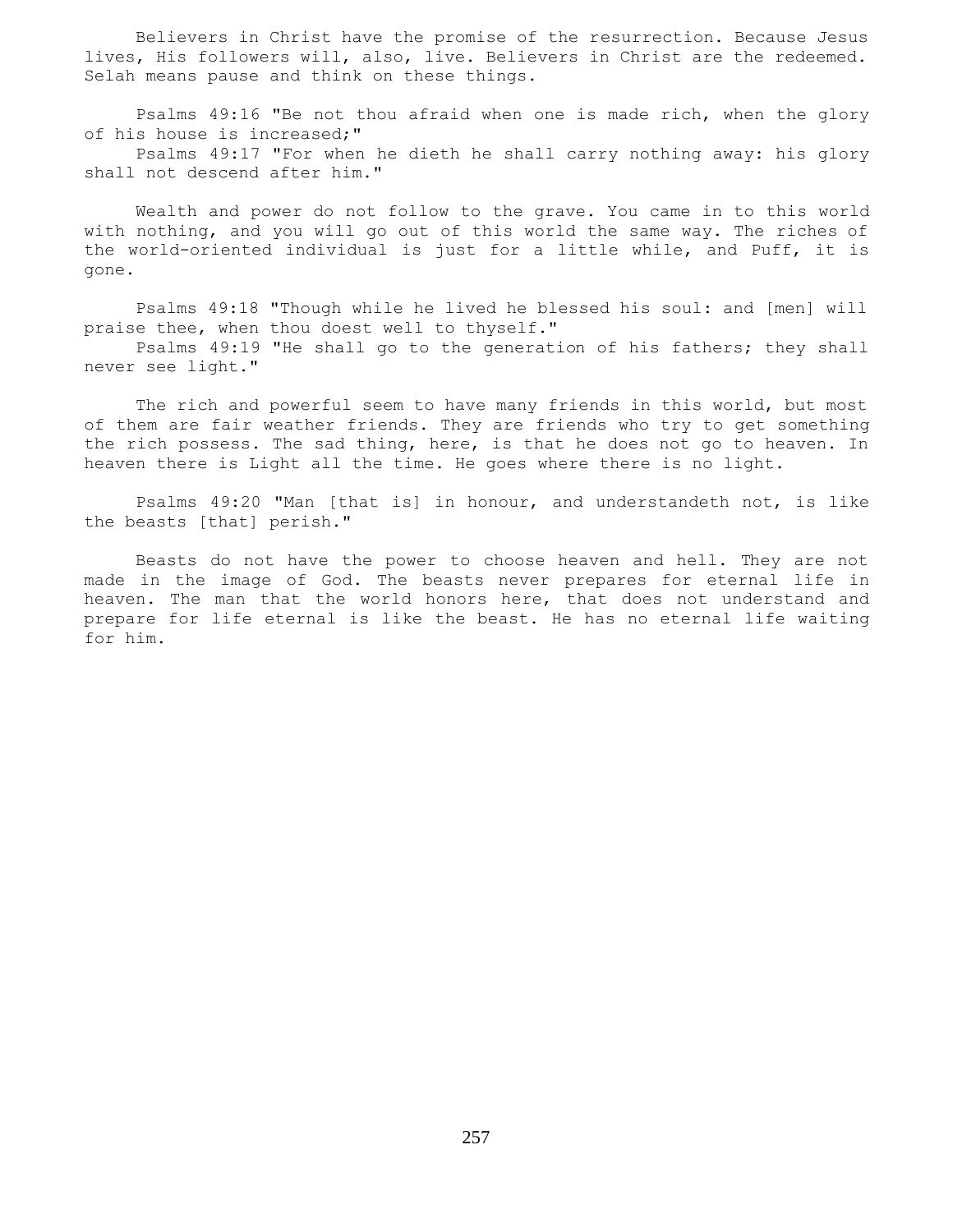Believers in Christ have the promise of the resurrection. Because Jesus lives, His followers will, also, live. Believers in Christ are the redeemed. Selah means pause and think on these things.

 Psalms 49:16 "Be not thou afraid when one is made rich, when the glory of his house is increased;"

 Psalms 49:17 "For when he dieth he shall carry nothing away: his glory shall not descend after him."

 Wealth and power do not follow to the grave. You came in to this world with nothing, and you will go out of this world the same way. The riches of the world-oriented individual is just for a little while, and Puff, it is gone.

 Psalms 49:18 "Though while he lived he blessed his soul: and [men] will praise thee, when thou doest well to thyself." Psalms 49:19 "He shall go to the generation of his fathers; they shall

never see light."

 The rich and powerful seem to have many friends in this world, but most of them are fair weather friends. They are friends who try to get something the rich possess. The sad thing, here, is that he does not go to heaven. In heaven there is Light all the time. He goes where there is no light.

 Psalms 49:20 "Man [that is] in honour, and understandeth not, is like the beasts [that] perish."

 Beasts do not have the power to choose heaven and hell. They are not made in the image of God. The beasts never prepares for eternal life in heaven. The man that the world honors here, that does not understand and prepare for life eternal is like the beast. He has no eternal life waiting for him.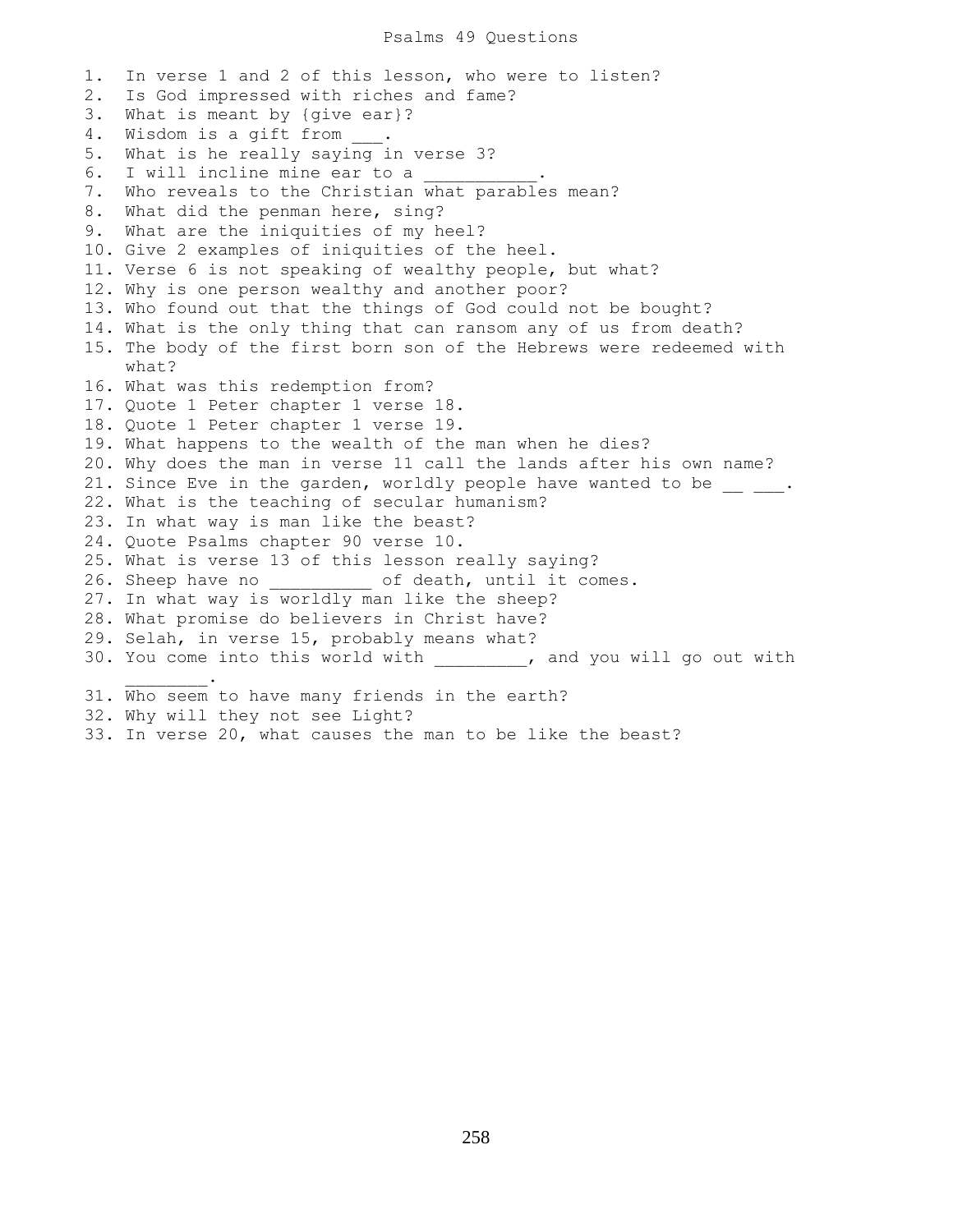```
1. In verse 1 and 2 of this lesson, who were to listen?
2. Is God impressed with riches and fame?
3. What is meant by {give ear}?
4. Wisdom is a gift from ___.
5. What is he really saying in verse 3?
6. I will incline mine ear to a
7. Who reveals to the Christian what parables mean?
8. What did the penman here, sing?
9. What are the iniquities of my heel?
10. Give 2 examples of iniquities of the heel.
11. Verse 6 is not speaking of wealthy people, but what?
12. Why is one person wealthy and another poor?
13. Who found out that the things of God could not be bought?
14. What is the only thing that can ransom any of us from death?
15. The body of the first born son of the Hebrews were redeemed with
    what?
16. What was this redemption from?
17. Quote 1 Peter chapter 1 verse 18.
18. Quote 1 Peter chapter 1 verse 19.
19. What happens to the wealth of the man when he dies?
20. Why does the man in verse 11 call the lands after his own name?
21. Since Eve in the garden, worldly people have wanted to be \frac{\ }{2} ___.
22. What is the teaching of secular humanism?
23. In what way is man like the beast?
24. Quote Psalms chapter 90 verse 10.
25. What is verse 13 of this lesson really saying?
26. Sheep have no __________ of death, until it comes.
27. In what way is worldly man like the sheep?
28. What promise do believers in Christ have?
29. Selah, in verse 15, probably means what?
30. You come into this world with ________, and you will go out with
\mathcal{L}=\mathcal{L}^{\mathcal{L}}31. Who seem to have many friends in the earth?
32. Why will they not see Light?
```
33. In verse 20, what causes the man to be like the beast?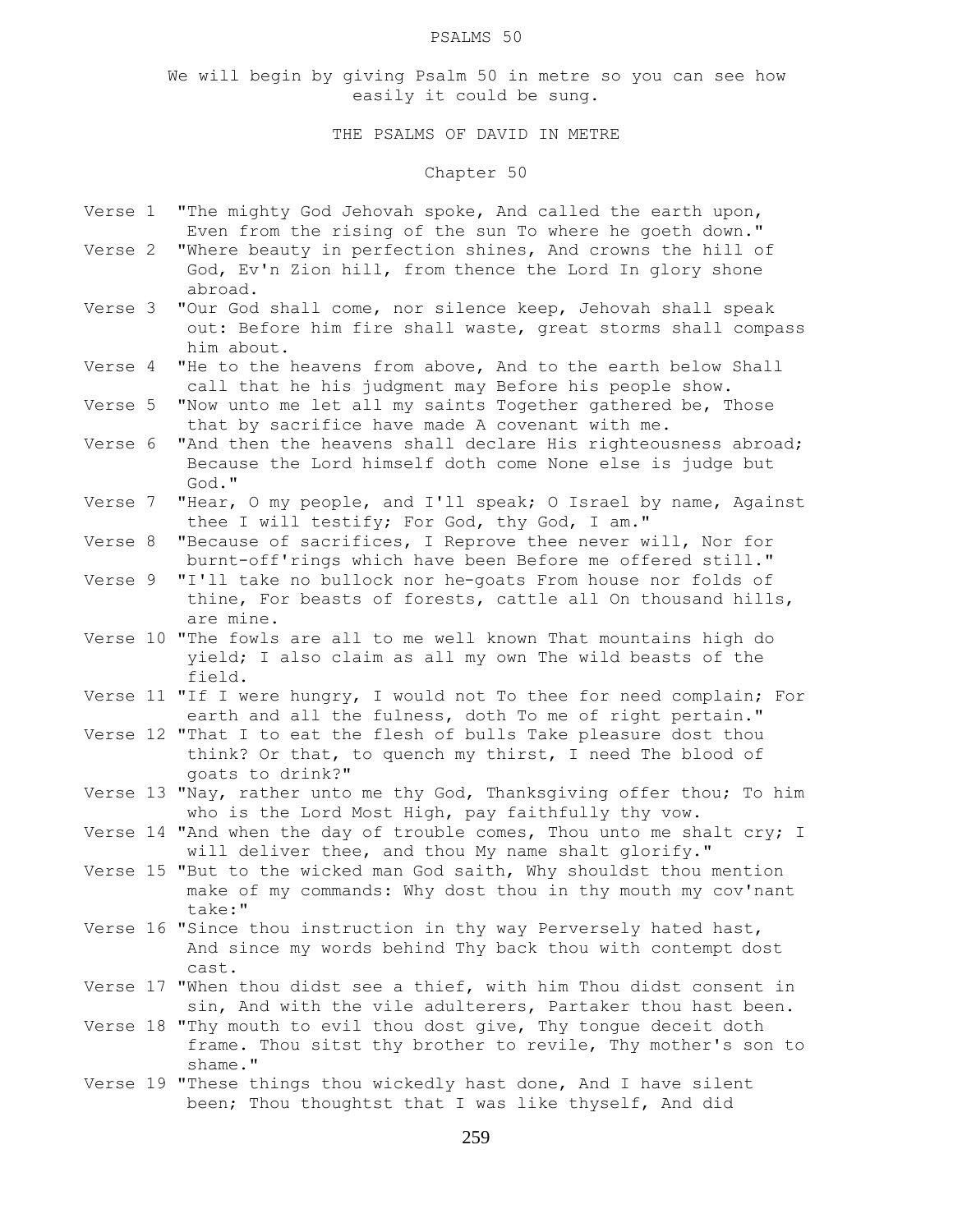### PSALMS 50

We will begin by giving Psalm 50 in metre so you can see how easily it could be sung.

# THE PSALMS OF DAVID IN METRE

# Chapter 50

- Verse 1 "The mighty God Jehovah spoke, And called the earth upon, Even from the rising of the sun To where he goeth down."
- Verse 2 "Where beauty in perfection shines, And crowns the hill of God, Ev'n Zion hill, from thence the Lord In glory shone abroad.
- Verse 3 "Our God shall come, nor silence keep, Jehovah shall speak out: Before him fire shall waste, great storms shall compass him about.
- Verse 4 "He to the heavens from above, And to the earth below Shall call that he his judgment may Before his people show.
- Verse 5 "Now unto me let all my saints Together gathered be, Those that by sacrifice have made A covenant with me.
- Verse 6 "And then the heavens shall declare His righteousness abroad; Because the Lord himself doth come None else is judge but God."
- Verse 7 "Hear, O my people, and I'll speak; O Israel by name, Against thee I will testify; For God, thy God, I am."
- Verse 8 "Because of sacrifices, I Reprove thee never will, Nor for burnt-off'rings which have been Before me offered still."
- Verse 9 "I'll take no bullock nor he-goats From house nor folds of thine, For beasts of forests, cattle all On thousand hills, are mine.
- Verse 10 "The fowls are all to me well known That mountains high do yield; I also claim as all my own The wild beasts of the field.
- Verse 11 "If I were hungry, I would not To thee for need complain; For earth and all the fulness, doth To me of right pertain."
- Verse 12 "That I to eat the flesh of bulls Take pleasure dost thou think? Or that, to quench my thirst, I need The blood of goats to drink?"
- Verse 13 "Nay, rather unto me thy God, Thanksgiving offer thou; To him who is the Lord Most High, pay faithfully thy vow.
- Verse 14 "And when the day of trouble comes, Thou unto me shalt cry; I will deliver thee, and thou My name shalt glorify."
- Verse 15 "But to the wicked man God saith, Why shouldst thou mention make of my commands: Why dost thou in thy mouth my cov'nant take:"
- Verse 16 "Since thou instruction in thy way Perversely hated hast, And since my words behind Thy back thou with contempt dost cast.
- Verse 17 "When thou didst see a thief, with him Thou didst consent in sin, And with the vile adulterers, Partaker thou hast been.
- Verse 18 "Thy mouth to evil thou dost give, Thy tongue deceit doth frame. Thou sitst thy brother to revile, Thy mother's son to shame."
- Verse 19 "These things thou wickedly hast done, And I have silent been; Thou thoughtst that I was like thyself, And did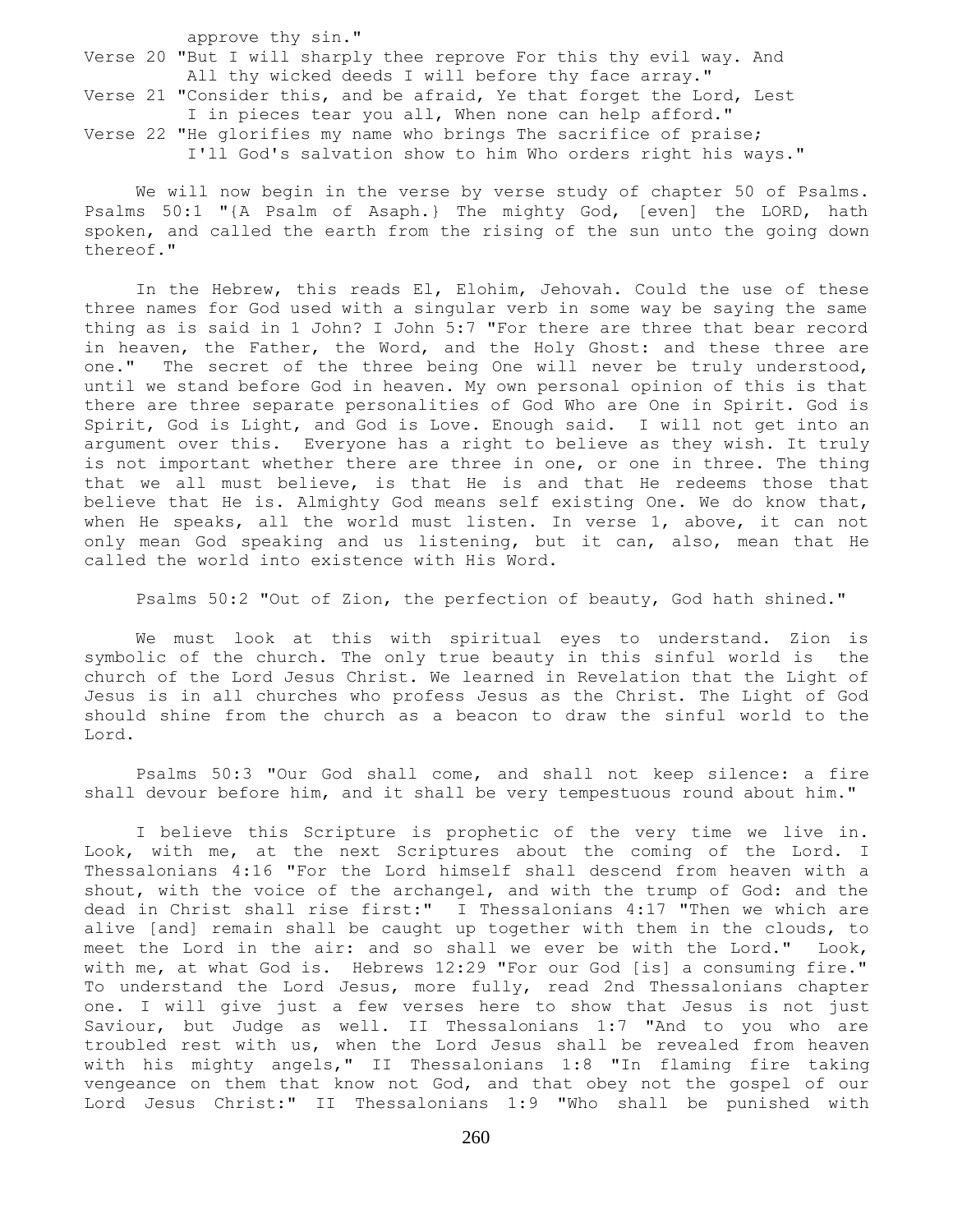approve thy sin." Verse 20 "But I will sharply thee reprove For this thy evil way. And All thy wicked deeds I will before thy face array."

Verse 21 "Consider this, and be afraid, Ye that forget the Lord, Lest I in pieces tear you all, When none can help afford." Verse 22 "He glorifies my name who brings The sacrifice of praise; I'll God's salvation show to him Who orders right his ways."

 We will now begin in the verse by verse study of chapter 50 of Psalms. Psalms 50:1 "{A Psalm of Asaph.} The mighty God, [even] the LORD, hath spoken, and called the earth from the rising of the sun unto the going down thereof."

 In the Hebrew, this reads El, Elohim, Jehovah. Could the use of these three names for God used with a singular verb in some way be saying the same thing as is said in 1 John? I John 5:7 "For there are three that bear record in heaven, the Father, the Word, and the Holy Ghost: and these three are one." The secret of the three being One will never be truly understood, until we stand before God in heaven. My own personal opinion of this is that there are three separate personalities of God Who are One in Spirit. God is Spirit, God is Light, and God is Love. Enough said. I will not get into an argument over this. Everyone has a right to believe as they wish. It truly is not important whether there are three in one, or one in three. The thing that we all must believe, is that He is and that He redeems those that believe that He is. Almighty God means self existing One. We do know that, when He speaks, all the world must listen. In verse 1, above, it can not only mean God speaking and us listening, but it can, also, mean that He called the world into existence with His Word.

Psalms 50:2 "Out of Zion, the perfection of beauty, God hath shined."

 We must look at this with spiritual eyes to understand. Zion is symbolic of the church. The only true beauty in this sinful world is the church of the Lord Jesus Christ. We learned in Revelation that the Light of Jesus is in all churches who profess Jesus as the Christ. The Light of God should shine from the church as a beacon to draw the sinful world to the Lord.

 Psalms 50:3 "Our God shall come, and shall not keep silence: a fire shall devour before him, and it shall be very tempestuous round about him."

 I believe this Scripture is prophetic of the very time we live in. Look, with me, at the next Scriptures about the coming of the Lord. I Thessalonians 4:16 "For the Lord himself shall descend from heaven with a shout, with the voice of the archangel, and with the trump of God: and the dead in Christ shall rise first:" I Thessalonians 4:17 "Then we which are alive [and] remain shall be caught up together with them in the clouds, to meet the Lord in the air: and so shall we ever be with the Lord." Look, with me, at what God is. Hebrews 12:29 "For our God [is] a consuming fire." To understand the Lord Jesus, more fully, read 2nd Thessalonians chapter one. I will give just a few verses here to show that Jesus is not just Saviour, but Judge as well. II Thessalonians 1:7 "And to you who are troubled rest with us, when the Lord Jesus shall be revealed from heaven with his mighty angels," II Thessalonians 1:8 "In flaming fire taking vengeance on them that know not God, and that obey not the gospel of our Lord Jesus Christ:" II Thessalonians 1:9 "Who shall be punished with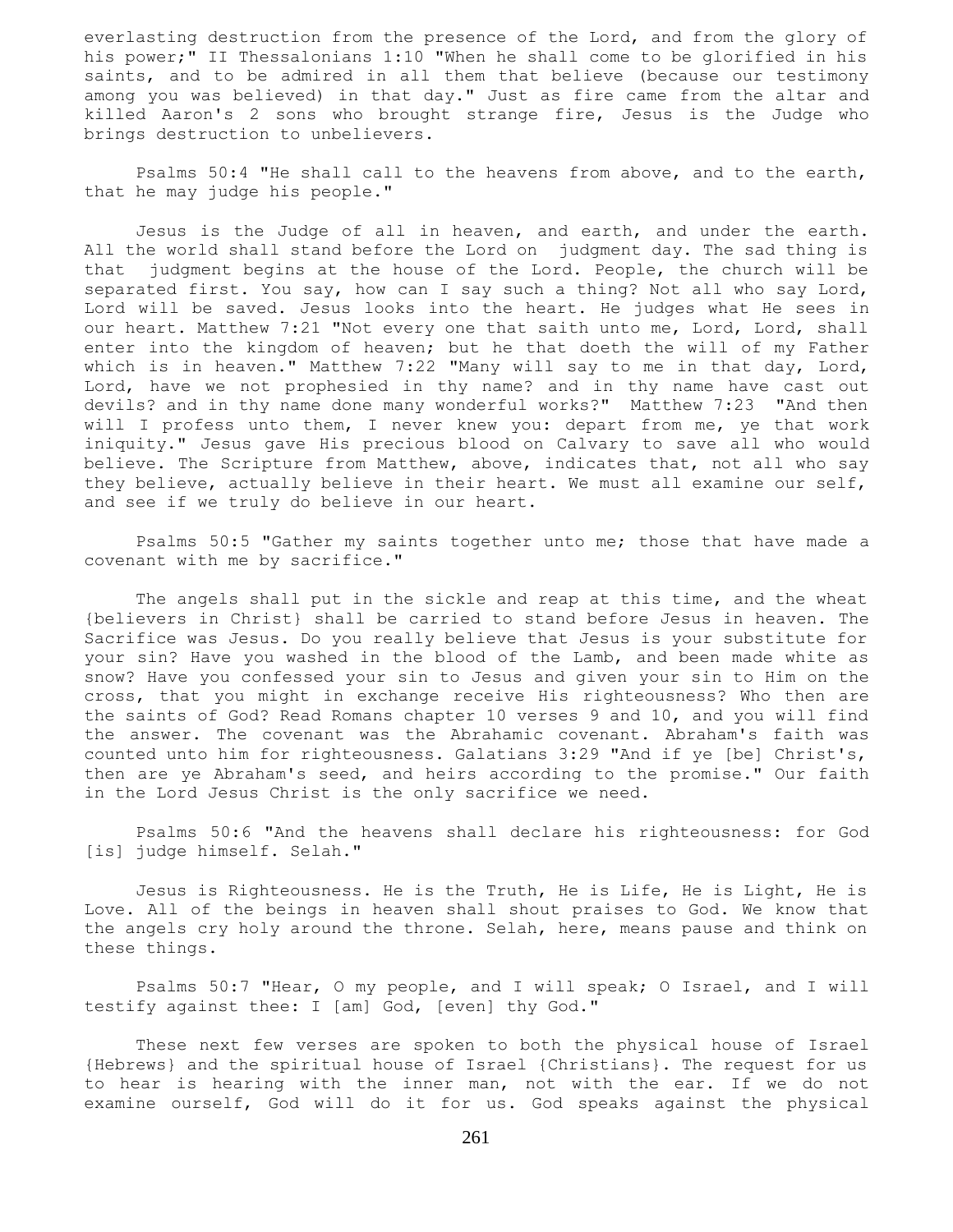everlasting destruction from the presence of the Lord, and from the glory of his power;" II Thessalonians 1:10 "When he shall come to be glorified in his saints, and to be admired in all them that believe (because our testimony among you was believed) in that day." Just as fire came from the altar and killed Aaron's 2 sons who brought strange fire, Jesus is the Judge who brings destruction to unbelievers.

 Psalms 50:4 "He shall call to the heavens from above, and to the earth, that he may judge his people."

 Jesus is the Judge of all in heaven, and earth, and under the earth. All the world shall stand before the Lord on judgment day. The sad thing is that judgment begins at the house of the Lord. People, the church will be separated first. You say, how can I say such a thing? Not all who say Lord, Lord will be saved. Jesus looks into the heart. He judges what He sees in our heart. Matthew 7:21 "Not every one that saith unto me, Lord, Lord, shall enter into the kingdom of heaven; but he that doeth the will of my Father which is in heaven." Matthew 7:22 "Many will say to me in that day, Lord, Lord, have we not prophesied in thy name? and in thy name have cast out devils? and in thy name done many wonderful works?" Matthew 7:23 "And then will I profess unto them, I never knew you: depart from me, ye that work iniquity." Jesus gave His precious blood on Calvary to save all who would believe. The Scripture from Matthew, above, indicates that, not all who say they believe, actually believe in their heart. We must all examine our self, and see if we truly do believe in our heart.

 Psalms 50:5 "Gather my saints together unto me; those that have made a covenant with me by sacrifice."

 The angels shall put in the sickle and reap at this time, and the wheat {believers in Christ} shall be carried to stand before Jesus in heaven. The Sacrifice was Jesus. Do you really believe that Jesus is your substitute for your sin? Have you washed in the blood of the Lamb, and been made white as snow? Have you confessed your sin to Jesus and given your sin to Him on the cross, that you might in exchange receive His righteousness? Who then are the saints of God? Read Romans chapter 10 verses 9 and 10, and you will find the answer. The covenant was the Abrahamic covenant. Abraham's faith was counted unto him for righteousness. Galatians 3:29 "And if ye [be] Christ's, then are ye Abraham's seed, and heirs according to the promise." Our faith in the Lord Jesus Christ is the only sacrifice we need.

 Psalms 50:6 "And the heavens shall declare his righteousness: for God [is] judge himself. Selah."

 Jesus is Righteousness. He is the Truth, He is Life, He is Light, He is Love. All of the beings in heaven shall shout praises to God. We know that the angels cry holy around the throne. Selah, here, means pause and think on these things.

 Psalms 50:7 "Hear, O my people, and I will speak; O Israel, and I will testify against thee: I [am] God, [even] thy God."

 These next few verses are spoken to both the physical house of Israel {Hebrews} and the spiritual house of Israel {Christians}. The request for us to hear is hearing with the inner man, not with the ear. If we do not examine ourself, God will do it for us. God speaks against the physical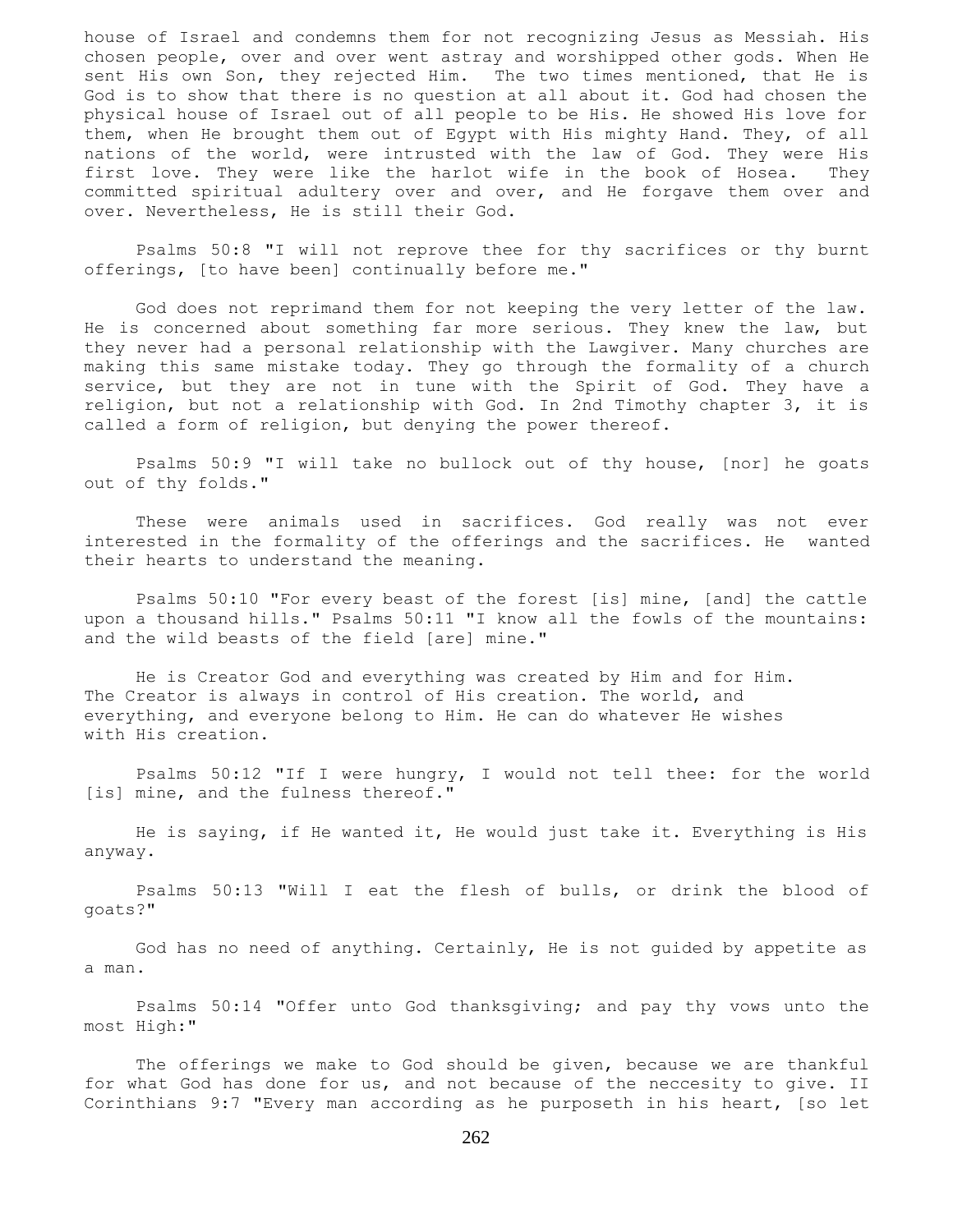house of Israel and condemns them for not recognizing Jesus as Messiah. His chosen people, over and over went astray and worshipped other gods. When He sent His own Son, they rejected Him. The two times mentioned, that He is God is to show that there is no question at all about it. God had chosen the physical house of Israel out of all people to be His. He showed His love for them, when He brought them out of Egypt with His mighty Hand. They, of all nations of the world, were intrusted with the law of God. They were His first love. They were like the harlot wife in the book of Hosea. They committed spiritual adultery over and over, and He forgave them over and over. Nevertheless, He is still their God.

 Psalms 50:8 "I will not reprove thee for thy sacrifices or thy burnt offerings, [to have been] continually before me."

 God does not reprimand them for not keeping the very letter of the law. He is concerned about something far more serious. They knew the law, but they never had a personal relationship with the Lawgiver. Many churches are making this same mistake today. They go through the formality of a church service, but they are not in tune with the Spirit of God. They have a religion, but not a relationship with God. In 2nd Timothy chapter 3, it is called a form of religion, but denying the power thereof.

 Psalms 50:9 "I will take no bullock out of thy house, [nor] he goats out of thy folds."

 These were animals used in sacrifices. God really was not ever interested in the formality of the offerings and the sacrifices. He wanted their hearts to understand the meaning.

 Psalms 50:10 "For every beast of the forest [is] mine, [and] the cattle upon a thousand hills." Psalms 50:11 "I know all the fowls of the mountains: and the wild beasts of the field [are] mine."

 He is Creator God and everything was created by Him and for Him. The Creator is always in control of His creation. The world, and everything, and everyone belong to Him. He can do whatever He wishes with His creation.

 Psalms 50:12 "If I were hungry, I would not tell thee: for the world [is] mine, and the fulness thereof."

 He is saying, if He wanted it, He would just take it. Everything is His anyway.

 Psalms 50:13 "Will I eat the flesh of bulls, or drink the blood of goats?"

 God has no need of anything. Certainly, He is not guided by appetite as a man.

 Psalms 50:14 "Offer unto God thanksgiving; and pay thy vows unto the most High:"

 The offerings we make to God should be given, because we are thankful for what God has done for us, and not because of the neccesity to give. II Corinthians 9:7 "Every man according as he purposeth in his heart, [so let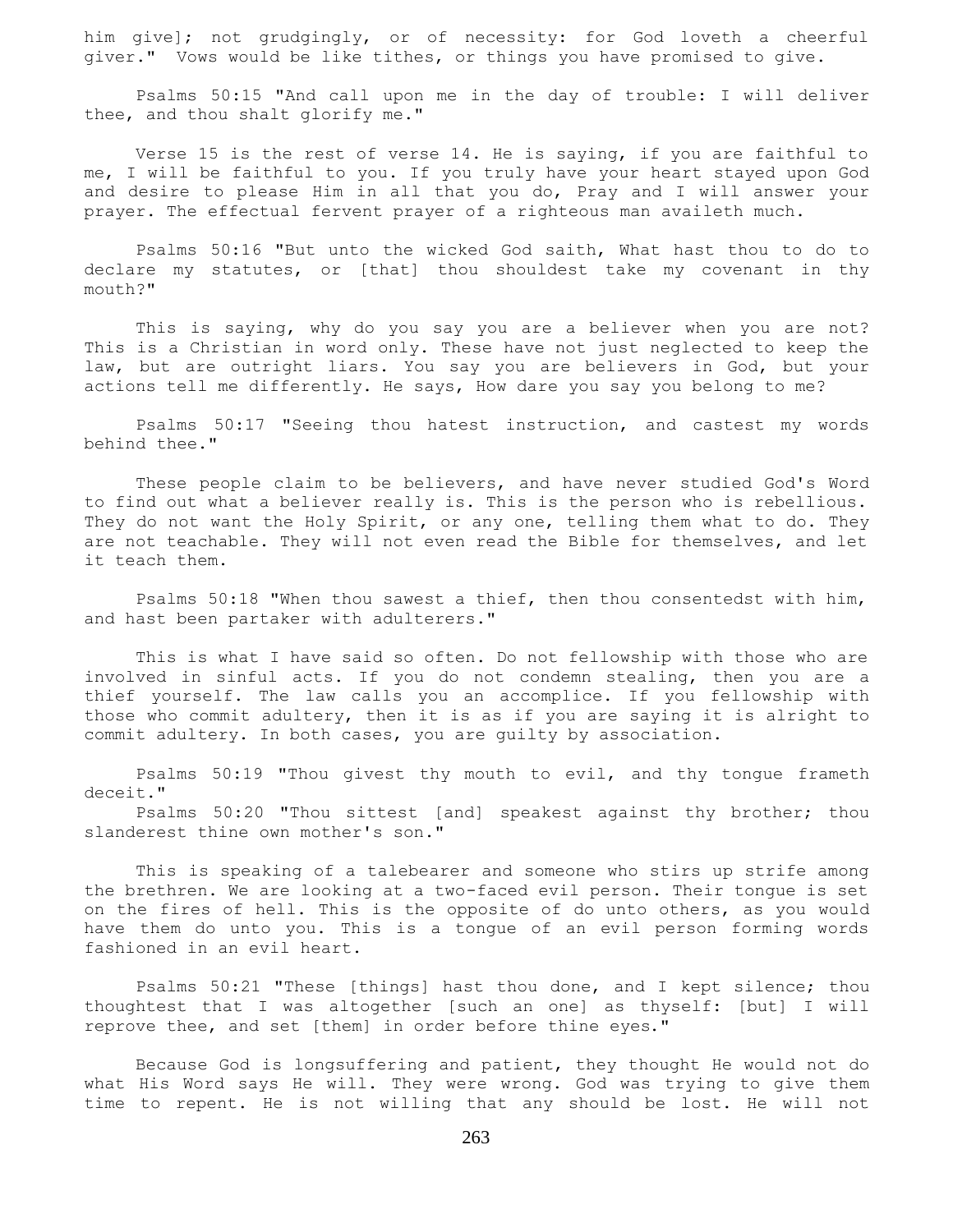him give]; not grudgingly, or of necessity: for God loveth a cheerful giver." Vows would be like tithes, or things you have promised to give.

 Psalms 50:15 "And call upon me in the day of trouble: I will deliver thee, and thou shalt glorify me."

 Verse 15 is the rest of verse 14. He is saying, if you are faithful to me, I will be faithful to you. If you truly have your heart stayed upon God and desire to please Him in all that you do, Pray and I will answer your prayer. The effectual fervent prayer of a righteous man availeth much.

 Psalms 50:16 "But unto the wicked God saith, What hast thou to do to declare my statutes, or [that] thou shouldest take my covenant in thy mouth?"

 This is saying, why do you say you are a believer when you are not? This is a Christian in word only. These have not just neglected to keep the law, but are outright liars. You say you are believers in God, but your actions tell me differently. He says, How dare you say you belong to me?

 Psalms 50:17 "Seeing thou hatest instruction, and castest my words behind thee."

 These people claim to be believers, and have never studied God's Word to find out what a believer really is. This is the person who is rebellious. They do not want the Holy Spirit, or any one, telling them what to do. They are not teachable. They will not even read the Bible for themselves, and let it teach them.

 Psalms 50:18 "When thou sawest a thief, then thou consentedst with him, and hast been partaker with adulterers."

 This is what I have said so often. Do not fellowship with those who are involved in sinful acts. If you do not condemn stealing, then you are a thief yourself. The law calls you an accomplice. If you fellowship with those who commit adultery, then it is as if you are saying it is alright to commit adultery. In both cases, you are guilty by association.

 Psalms 50:19 "Thou givest thy mouth to evil, and thy tongue frameth deceit."

 Psalms 50:20 "Thou sittest [and] speakest against thy brother; thou slanderest thine own mother's son."

 This is speaking of a talebearer and someone who stirs up strife among the brethren. We are looking at a two-faced evil person. Their tongue is set on the fires of hell. This is the opposite of do unto others, as you would have them do unto you. This is a tongue of an evil person forming words fashioned in an evil heart.

 Psalms 50:21 "These [things] hast thou done, and I kept silence; thou thoughtest that I was altogether [such an one] as thyself: [but] I will reprove thee, and set [them] in order before thine eyes."

 Because God is longsuffering and patient, they thought He would not do what His Word says He will. They were wrong. God was trying to give them time to repent. He is not willing that any should be lost. He will not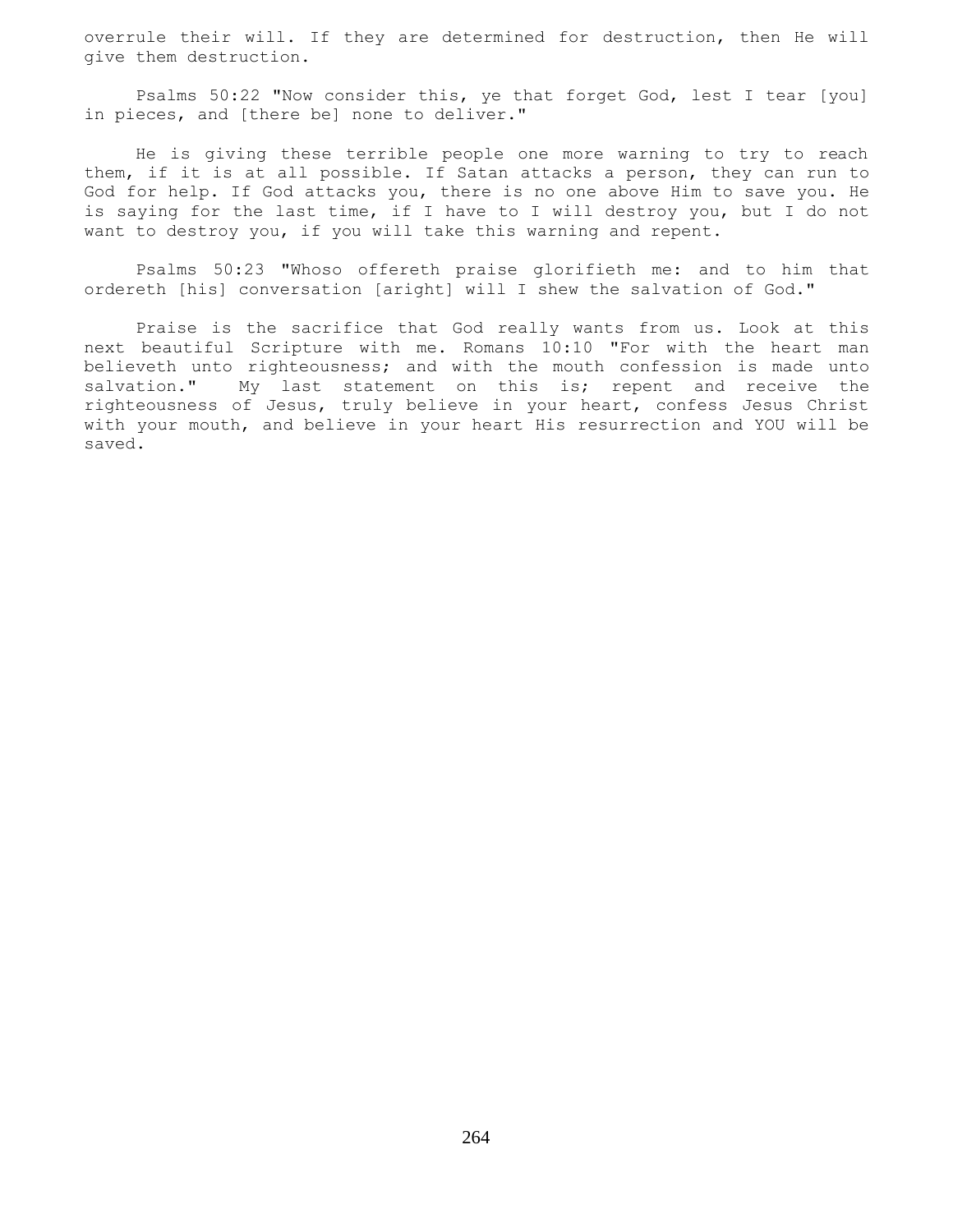overrule their will. If they are determined for destruction, then He will give them destruction.

 Psalms 50:22 "Now consider this, ye that forget God, lest I tear [you] in pieces, and [there be] none to deliver."

 He is giving these terrible people one more warning to try to reach them, if it is at all possible. If Satan attacks a person, they can run to God for help. If God attacks you, there is no one above Him to save you. He is saying for the last time, if I have to I will destroy you, but I do not want to destroy you, if you will take this warning and repent.

 Psalms 50:23 "Whoso offereth praise glorifieth me: and to him that ordereth [his] conversation [aright] will I shew the salvation of God."

 Praise is the sacrifice that God really wants from us. Look at this next beautiful Scripture with me. Romans 10:10 "For with the heart man believeth unto righteousness; and with the mouth confession is made unto salvation." My last statement on this is; repent and receive the righteousness of Jesus, truly believe in your heart, confess Jesus Christ with your mouth, and believe in your heart His resurrection and YOU will be saved.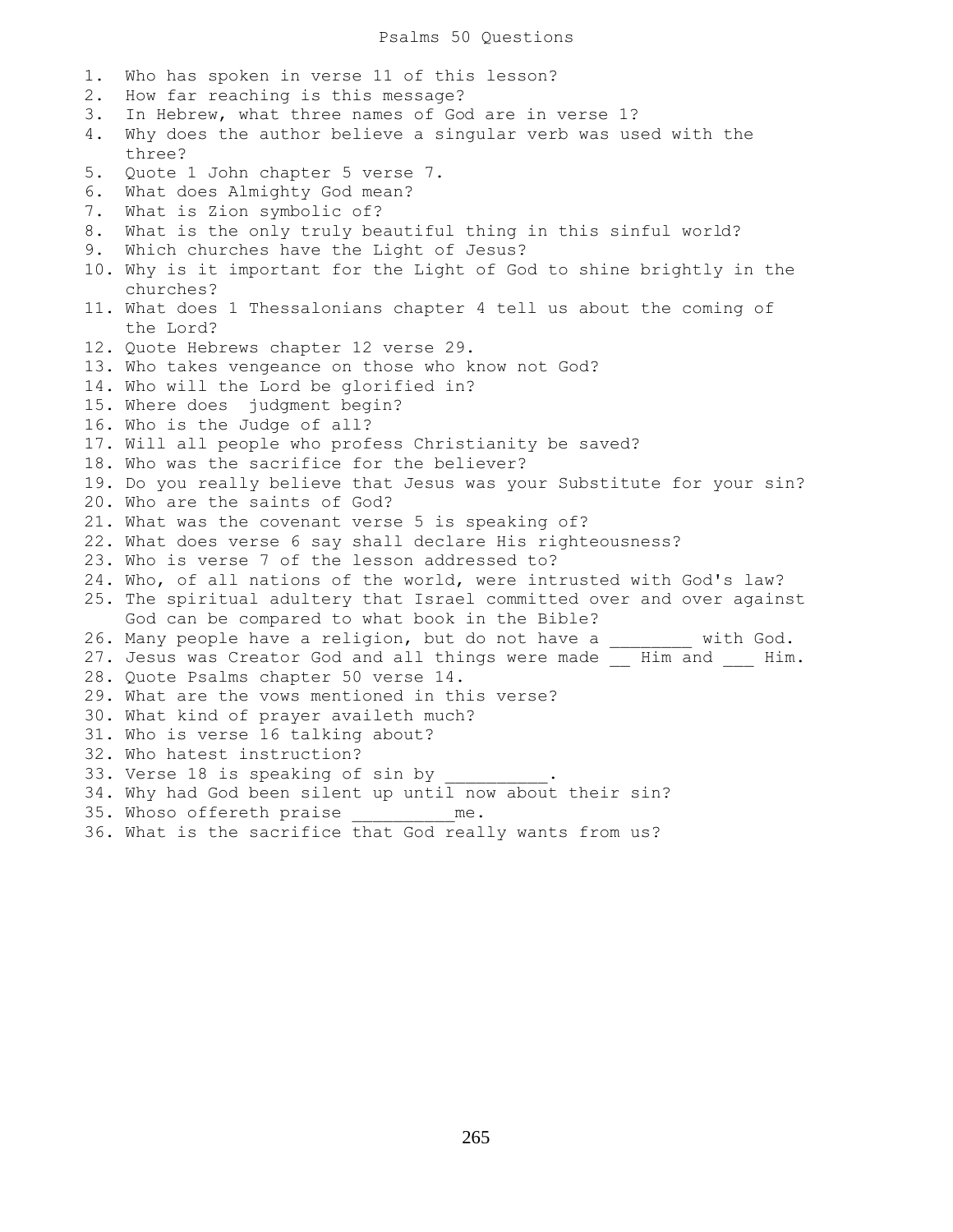1. Who has spoken in verse 11 of this lesson? 2. How far reaching is this message? 3. In Hebrew, what three names of God are in verse 1? 4. Why does the author believe a singular verb was used with the three? 5. Quote 1 John chapter 5 verse 7. 6. What does Almighty God mean? 7. What is Zion symbolic of? 8. What is the only truly beautiful thing in this sinful world? 9. Which churches have the Light of Jesus? 10. Why is it important for the Light of God to shine brightly in the churches? 11. What does 1 Thessalonians chapter 4 tell us about the coming of the Lord? 12. Quote Hebrews chapter 12 verse 29. 13. Who takes vengeance on those who know not God? 14. Who will the Lord be glorified in? 15. Where does judgment begin? 16. Who is the Judge of all? 17. Will all people who profess Christianity be saved? 18. Who was the sacrifice for the believer? 19. Do you really believe that Jesus was your Substitute for your sin? 20. Who are the saints of God? 21. What was the covenant verse 5 is speaking of? 22. What does verse 6 say shall declare His righteousness? 23. Who is verse 7 of the lesson addressed to? 24. Who, of all nations of the world, were intrusted with God's law? 25. The spiritual adultery that Israel committed over and over against God can be compared to what book in the Bible? 26. Many people have a religion, but do not have a with God. 27. Jesus was Creator God and all things were made \_\_ Him and \_\_\_ Him. 28. Quote Psalms chapter 50 verse 14. 29. What are the vows mentioned in this verse? 30. What kind of prayer availeth much? 31. Who is verse 16 talking about? 32. Who hatest instruction? 33. Verse 18 is speaking of sin by 34. Why had God been silent up until now about their sin? 35. Whoso offereth praise **me.** 

36. What is the sacrifice that God really wants from us?